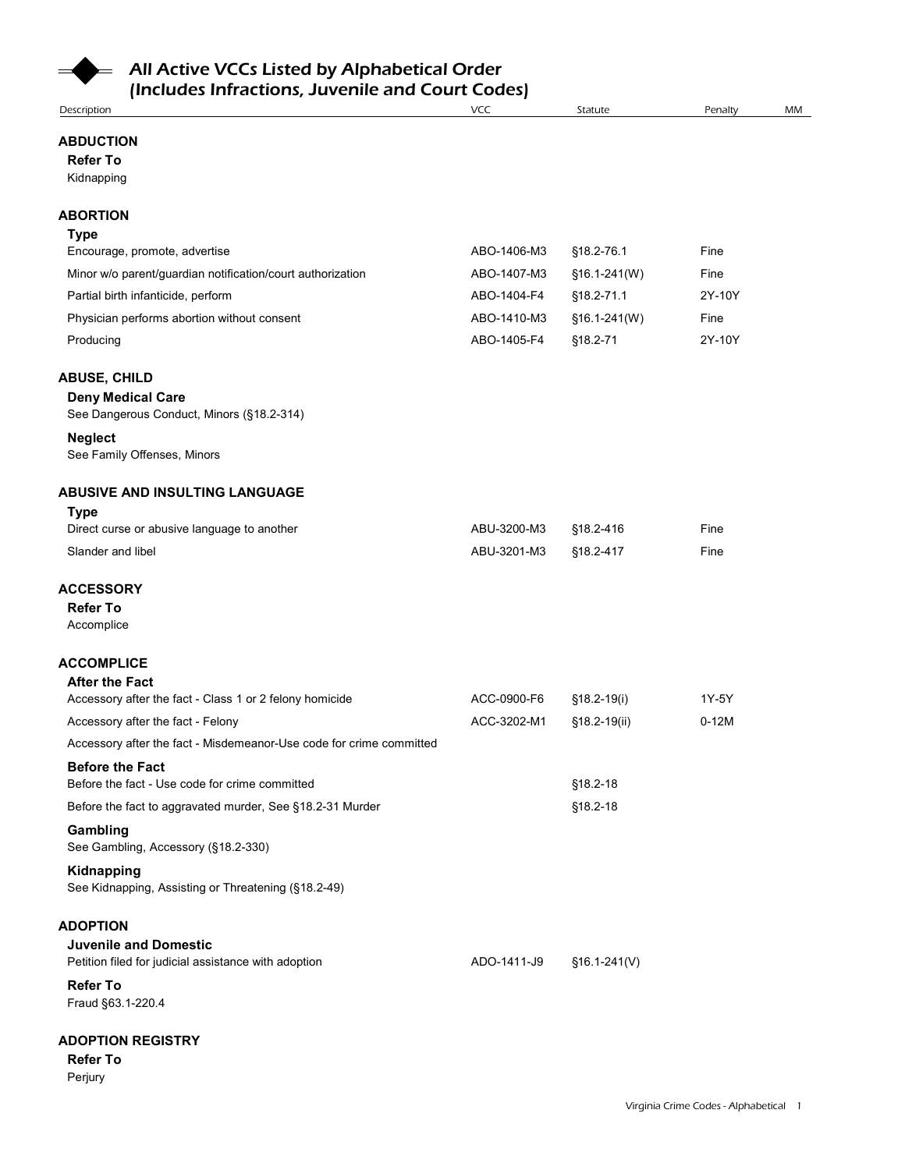

| <b>Refer To</b><br>Kidnapping<br><b>Type</b><br>ABO-1406-M3<br>Encourage, promote, advertise<br>§18.2-76.1<br>Fine<br>Minor w/o parent/guardian notification/court authorization<br>ABO-1407-M3<br>§16.1-241(W)<br>Fine<br>2Y-10Y<br>Partial birth infanticide, perform<br>ABO-1404-F4<br>§18.2-71.1<br>Physician performs abortion without consent<br>ABO-1410-M3<br>§16.1-241(W)<br>Fine<br>ABO-1405-F4<br>2Y-10Y<br>§18.2-71<br>Producing<br><b>Deny Medical Care</b><br>See Dangerous Conduct, Minors (§18.2-314)<br><b>Neglect</b><br>See Family Offenses, Minors<br><b>Type</b><br>ABU-3200-M3<br>Direct curse or abusive language to another<br>§18.2-416<br>Fine<br>ABU-3201-M3<br>§18.2-417<br>Slander and libel<br>Fine<br><b>Refer To</b><br>Accomplice<br><b>After the Fact</b><br>Accessory after the fact - Class 1 or 2 felony homicide<br>ACC-0900-F6<br>§18.2-19(i)<br>1Y-5Y<br>ACC-3202-M1<br>$0-12M$<br>Accessory after the fact - Felony<br>§18.2-19(ii)<br>Accessory after the fact - Misdemeanor-Use code for crime committed<br><b>Before the Fact</b><br>Before the fact - Use code for crime committed<br>§18.2-18<br>§18.2-18<br>Before the fact to aggravated murder, See §18.2-31 Murder<br>Gambling<br>See Gambling, Accessory (§18.2-330)<br>Kidnapping<br>See Kidnapping, Assisting or Threatening (§18.2-49)<br><b>Juvenile and Domestic</b><br>Petition filed for judicial assistance with adoption<br>ADO-1411-J9<br>$$16.1-241(V)$<br><b>Refer To</b><br>Fraud §63.1-220.4 | (Includes Infractions, Juvenile and Court Codes)<br><b>Description</b> | VCC | Statute | Penalty | MM |
|---------------------------------------------------------------------------------------------------------------------------------------------------------------------------------------------------------------------------------------------------------------------------------------------------------------------------------------------------------------------------------------------------------------------------------------------------------------------------------------------------------------------------------------------------------------------------------------------------------------------------------------------------------------------------------------------------------------------------------------------------------------------------------------------------------------------------------------------------------------------------------------------------------------------------------------------------------------------------------------------------------------------------------------------------------------------------------------------------------------------------------------------------------------------------------------------------------------------------------------------------------------------------------------------------------------------------------------------------------------------------------------------------------------------------------------------------------------------------------------------------------------|------------------------------------------------------------------------|-----|---------|---------|----|
| <b>ABORTION</b><br><b>ABUSE, CHILD</b><br><b>ABUSIVE AND INSULTING LANGUAGE</b><br><b>ACCESSORY</b><br><b>ACCOMPLICE</b><br><b>ADOPTION</b>                                                                                                                                                                                                                                                                                                                                                                                                                                                                                                                                                                                                                                                                                                                                                                                                                                                                                                                                                                                                                                                                                                                                                                                                                                                                                                                                                                   | <b>ABDUCTION</b>                                                       |     |         |         |    |
|                                                                                                                                                                                                                                                                                                                                                                                                                                                                                                                                                                                                                                                                                                                                                                                                                                                                                                                                                                                                                                                                                                                                                                                                                                                                                                                                                                                                                                                                                                               |                                                                        |     |         |         |    |
|                                                                                                                                                                                                                                                                                                                                                                                                                                                                                                                                                                                                                                                                                                                                                                                                                                                                                                                                                                                                                                                                                                                                                                                                                                                                                                                                                                                                                                                                                                               |                                                                        |     |         |         |    |
|                                                                                                                                                                                                                                                                                                                                                                                                                                                                                                                                                                                                                                                                                                                                                                                                                                                                                                                                                                                                                                                                                                                                                                                                                                                                                                                                                                                                                                                                                                               |                                                                        |     |         |         |    |
|                                                                                                                                                                                                                                                                                                                                                                                                                                                                                                                                                                                                                                                                                                                                                                                                                                                                                                                                                                                                                                                                                                                                                                                                                                                                                                                                                                                                                                                                                                               |                                                                        |     |         |         |    |
|                                                                                                                                                                                                                                                                                                                                                                                                                                                                                                                                                                                                                                                                                                                                                                                                                                                                                                                                                                                                                                                                                                                                                                                                                                                                                                                                                                                                                                                                                                               |                                                                        |     |         |         |    |
|                                                                                                                                                                                                                                                                                                                                                                                                                                                                                                                                                                                                                                                                                                                                                                                                                                                                                                                                                                                                                                                                                                                                                                                                                                                                                                                                                                                                                                                                                                               |                                                                        |     |         |         |    |
|                                                                                                                                                                                                                                                                                                                                                                                                                                                                                                                                                                                                                                                                                                                                                                                                                                                                                                                                                                                                                                                                                                                                                                                                                                                                                                                                                                                                                                                                                                               |                                                                        |     |         |         |    |
|                                                                                                                                                                                                                                                                                                                                                                                                                                                                                                                                                                                                                                                                                                                                                                                                                                                                                                                                                                                                                                                                                                                                                                                                                                                                                                                                                                                                                                                                                                               |                                                                        |     |         |         |    |
|                                                                                                                                                                                                                                                                                                                                                                                                                                                                                                                                                                                                                                                                                                                                                                                                                                                                                                                                                                                                                                                                                                                                                                                                                                                                                                                                                                                                                                                                                                               |                                                                        |     |         |         |    |
|                                                                                                                                                                                                                                                                                                                                                                                                                                                                                                                                                                                                                                                                                                                                                                                                                                                                                                                                                                                                                                                                                                                                                                                                                                                                                                                                                                                                                                                                                                               |                                                                        |     |         |         |    |
|                                                                                                                                                                                                                                                                                                                                                                                                                                                                                                                                                                                                                                                                                                                                                                                                                                                                                                                                                                                                                                                                                                                                                                                                                                                                                                                                                                                                                                                                                                               |                                                                        |     |         |         |    |
|                                                                                                                                                                                                                                                                                                                                                                                                                                                                                                                                                                                                                                                                                                                                                                                                                                                                                                                                                                                                                                                                                                                                                                                                                                                                                                                                                                                                                                                                                                               |                                                                        |     |         |         |    |
|                                                                                                                                                                                                                                                                                                                                                                                                                                                                                                                                                                                                                                                                                                                                                                                                                                                                                                                                                                                                                                                                                                                                                                                                                                                                                                                                                                                                                                                                                                               |                                                                        |     |         |         |    |
|                                                                                                                                                                                                                                                                                                                                                                                                                                                                                                                                                                                                                                                                                                                                                                                                                                                                                                                                                                                                                                                                                                                                                                                                                                                                                                                                                                                                                                                                                                               |                                                                        |     |         |         |    |
|                                                                                                                                                                                                                                                                                                                                                                                                                                                                                                                                                                                                                                                                                                                                                                                                                                                                                                                                                                                                                                                                                                                                                                                                                                                                                                                                                                                                                                                                                                               |                                                                        |     |         |         |    |
|                                                                                                                                                                                                                                                                                                                                                                                                                                                                                                                                                                                                                                                                                                                                                                                                                                                                                                                                                                                                                                                                                                                                                                                                                                                                                                                                                                                                                                                                                                               |                                                                        |     |         |         |    |
|                                                                                                                                                                                                                                                                                                                                                                                                                                                                                                                                                                                                                                                                                                                                                                                                                                                                                                                                                                                                                                                                                                                                                                                                                                                                                                                                                                                                                                                                                                               |                                                                        |     |         |         |    |
|                                                                                                                                                                                                                                                                                                                                                                                                                                                                                                                                                                                                                                                                                                                                                                                                                                                                                                                                                                                                                                                                                                                                                                                                                                                                                                                                                                                                                                                                                                               |                                                                        |     |         |         |    |
|                                                                                                                                                                                                                                                                                                                                                                                                                                                                                                                                                                                                                                                                                                                                                                                                                                                                                                                                                                                                                                                                                                                                                                                                                                                                                                                                                                                                                                                                                                               |                                                                        |     |         |         |    |
|                                                                                                                                                                                                                                                                                                                                                                                                                                                                                                                                                                                                                                                                                                                                                                                                                                                                                                                                                                                                                                                                                                                                                                                                                                                                                                                                                                                                                                                                                                               |                                                                        |     |         |         |    |
|                                                                                                                                                                                                                                                                                                                                                                                                                                                                                                                                                                                                                                                                                                                                                                                                                                                                                                                                                                                                                                                                                                                                                                                                                                                                                                                                                                                                                                                                                                               |                                                                        |     |         |         |    |
|                                                                                                                                                                                                                                                                                                                                                                                                                                                                                                                                                                                                                                                                                                                                                                                                                                                                                                                                                                                                                                                                                                                                                                                                                                                                                                                                                                                                                                                                                                               |                                                                        |     |         |         |    |
|                                                                                                                                                                                                                                                                                                                                                                                                                                                                                                                                                                                                                                                                                                                                                                                                                                                                                                                                                                                                                                                                                                                                                                                                                                                                                                                                                                                                                                                                                                               |                                                                        |     |         |         |    |
|                                                                                                                                                                                                                                                                                                                                                                                                                                                                                                                                                                                                                                                                                                                                                                                                                                                                                                                                                                                                                                                                                                                                                                                                                                                                                                                                                                                                                                                                                                               |                                                                        |     |         |         |    |
|                                                                                                                                                                                                                                                                                                                                                                                                                                                                                                                                                                                                                                                                                                                                                                                                                                                                                                                                                                                                                                                                                                                                                                                                                                                                                                                                                                                                                                                                                                               |                                                                        |     |         |         |    |
| <b>ADOPTION REGISTRY</b>                                                                                                                                                                                                                                                                                                                                                                                                                                                                                                                                                                                                                                                                                                                                                                                                                                                                                                                                                                                                                                                                                                                                                                                                                                                                                                                                                                                                                                                                                      |                                                                        |     |         |         |    |

# ADOPTION REGISTRY

Refer To Perjury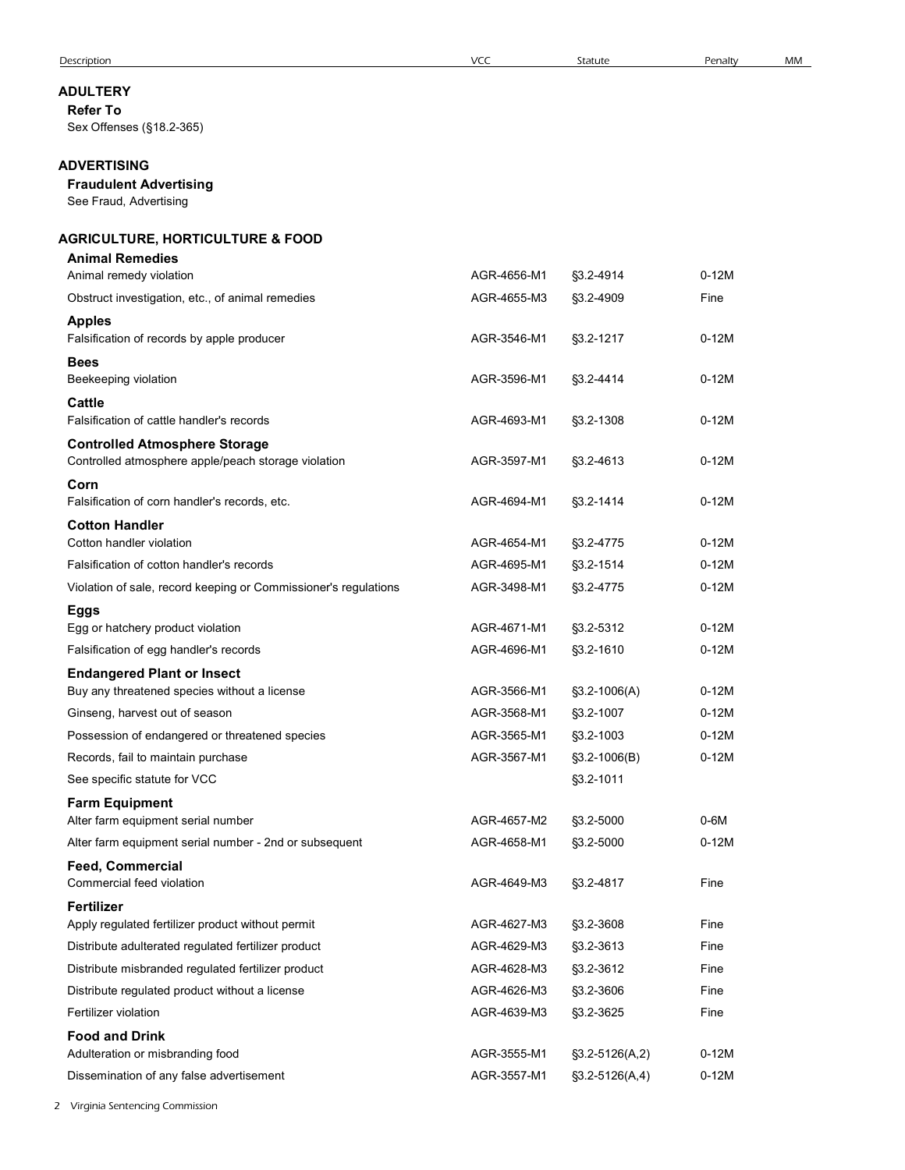### ADULTERY

# ADVERTISING

### Fraudulent Advertising

# AGRICULTURE, HORTICULTURE & FOOD

| escription                                                                                           | <b>VCC</b>                 | Statute                | Penalty      | MM |
|------------------------------------------------------------------------------------------------------|----------------------------|------------------------|--------------|----|
| <b>DULTERY</b><br><b>Refer To</b><br>Sex Offenses (§18.2-365)                                        |                            |                        |              |    |
| <b>DVERTISING</b><br><b>Fraudulent Advertising</b><br>See Fraud, Advertising                         |                            |                        |              |    |
| <b>GRICULTURE, HORTICULTURE &amp; FOOD</b><br><b>Animal Remedies</b>                                 |                            |                        |              |    |
| Animal remedy violation                                                                              | AGR-4656-M1                | §3.2-4914              | $0-12M$      |    |
| Obstruct investigation, etc., of animal remedies                                                     | AGR-4655-M3                | §3.2-4909              | Fine         |    |
| <b>Apples</b><br>Falsification of records by apple producer                                          | AGR-3546-M1                | §3.2-1217              | $0-12M$      |    |
| <b>Bees</b><br>Beekeeping violation                                                                  | AGR-3596-M1                | §3.2-4414              | $0-12M$      |    |
| Cattle                                                                                               |                            |                        |              |    |
| Falsification of cattle handler's records                                                            | AGR-4693-M1                | §3.2-1308              | $0-12M$      |    |
| <b>Controlled Atmosphere Storage</b><br>Controlled atmosphere apple/peach storage violation          | AGR-3597-M1                | $$3.2 - 4613$          | $0-12M$      |    |
| Corn<br>Falsification of corn handler's records, etc.                                                | AGR-4694-M1                | §3.2-1414              | $0-12M$      |    |
| <b>Cotton Handler</b>                                                                                |                            |                        |              |    |
| Cotton handler violation                                                                             | AGR-4654-M1                | §3.2-4775              | $0-12M$      |    |
| Falsification of cotton handler's records                                                            | AGR-4695-M1                | §3.2-1514              | $0-12M$      |    |
| Violation of sale, record keeping or Commissioner's regulations<br><b>Eggs</b>                       | AGR-3498-M1                | §3.2-4775              | $0-12M$      |    |
| Egg or hatchery product violation                                                                    | AGR-4671-M1                | §3.2-5312              | $0-12M$      |    |
| Falsification of egg handler's records                                                               | AGR-4696-M1                | §3.2-1610              | $0-12M$      |    |
| <b>Endangered Plant or Insect</b><br>Buy any threatened species without a license                    | AGR-3566-M1                | $$3.2-1006(A)$         | $0-12M$      |    |
| Ginseng, harvest out of season                                                                       | AGR-3568-M1                | §3.2-1007              | $0-12M$      |    |
| Possession of endangered or threatened species                                                       | AGR-3565-M1                | §3.2-1003              | $0-12M$      |    |
| Records, fail to maintain purchase                                                                   | AGR-3567-M1                | $$3.2-1006(B)$         | $0-12M$      |    |
| See specific statute for VCC                                                                         |                            | §3.2-1011              |              |    |
| <b>Farm Equipment</b><br>Alter farm equipment serial number                                          | AGR-4657-M2                | §3.2-5000              | $0-6M$       |    |
| Alter farm equipment serial number - 2nd or subsequent                                               | AGR-4658-M1                | §3.2-5000              | $0-12M$      |    |
| Feed, Commercial<br>Commercial feed violation                                                        | AGR-4649-M3                | §3.2-4817              | Fine         |    |
| Fertilizer                                                                                           |                            |                        |              |    |
| Apply regulated fertilizer product without permit                                                    | AGR-4627-M3                | §3.2-3608              | Fine         |    |
| Distribute adulterated regulated fertilizer product                                                  | AGR-4629-M3                | §3.2-3613              | Fine         |    |
| Distribute misbranded regulated fertilizer product<br>Distribute regulated product without a license | AGR-4628-M3<br>AGR-4626-M3 | §3.2-3612<br>§3.2-3606 | Fine<br>Fine |    |
| Fertilizer violation                                                                                 | AGR-4639-M3                | §3.2-3625              | Fine         |    |
| <b>Food and Drink</b>                                                                                |                            |                        |              |    |
| Adulteration or misbranding food                                                                     | AGR-3555-M1                | $$3.2-5126(A,2)$       | $0-12M$      |    |
| Dissemination of any false advertisement                                                             | AGR-3557-M1                | $$3.2-5126(A,4)$       | $0-12M$      |    |
| Virginia Sentencing Commission                                                                       |                            |                        |              |    |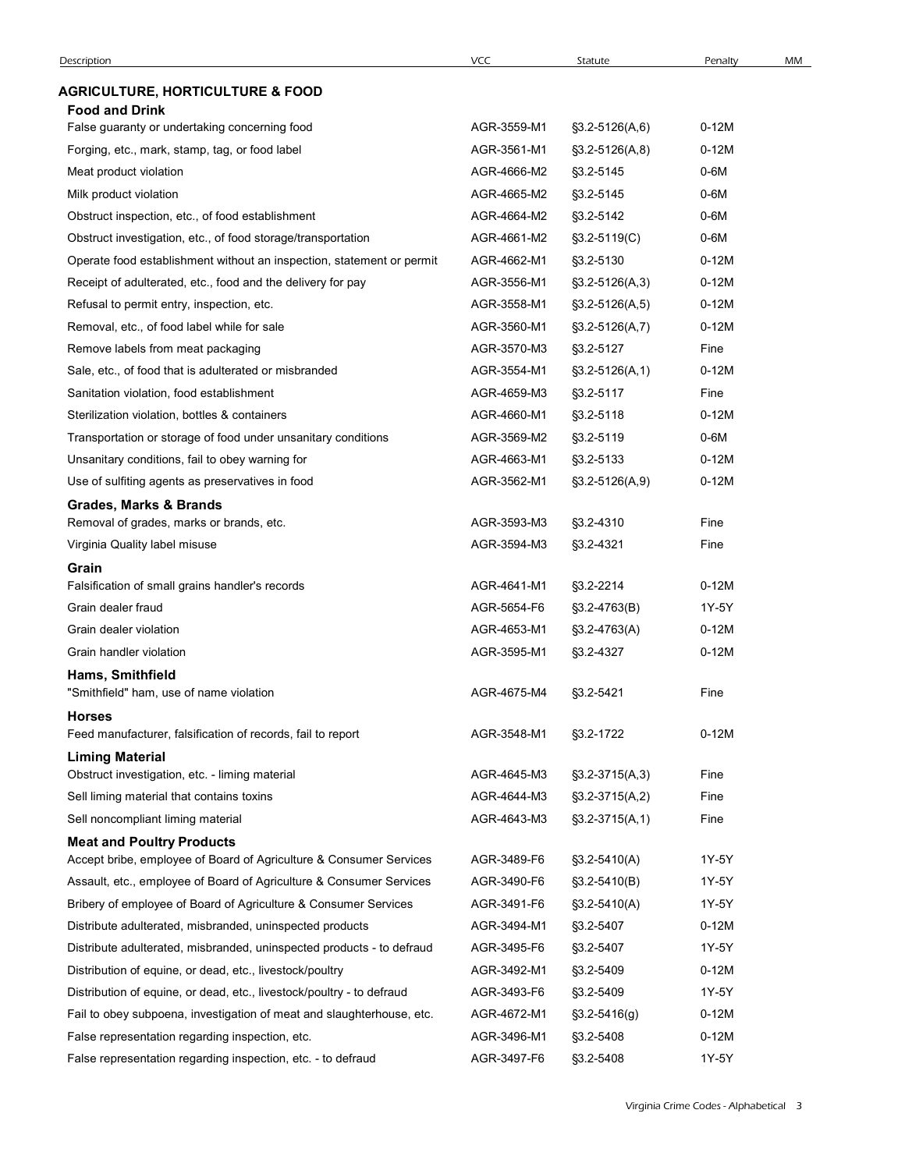|                                                                                                        | VCC                        | Statute                          | Penalty         | MM |
|--------------------------------------------------------------------------------------------------------|----------------------------|----------------------------------|-----------------|----|
| <b>AGRICULTURE, HORTICULTURE &amp; FOOD</b>                                                            |                            |                                  |                 |    |
| <b>Food and Drink</b>                                                                                  |                            |                                  |                 |    |
| False guaranty or undertaking concerning food                                                          | AGR-3559-M1                | $$3.2-5126(A,6)$                 | $0-12M$         |    |
| Forging, etc., mark, stamp, tag, or food label                                                         | AGR-3561-M1<br>AGR-4666-M2 | $$3.2-5126(A,8)$                 | $0-12M$<br>0-6M |    |
| Meat product violation<br>Milk product violation                                                       | AGR-4665-M2                | §3.2-5145<br>§3.2-5145           | 0-6M            |    |
| Obstruct inspection, etc., of food establishment                                                       | AGR-4664-M2                | §3.2-5142                        | 0-6M            |    |
| Obstruct investigation, etc., of food storage/transportation                                           | AGR-4661-M2                | $$3.2-5119(C)$                   | 0-6M            |    |
| Operate food establishment without an inspection, statement or permit                                  | AGR-4662-M1                | §3.2-5130                        | $0-12M$         |    |
| Receipt of adulterated, etc., food and the delivery for pay                                            | AGR-3556-M1                | $$3.2-5126(A,3)$                 | $0-12M$         |    |
| Refusal to permit entry, inspection, etc.                                                              | AGR-3558-M1                | $\S3.2 - 5126(A, 5)$             | $0-12M$         |    |
| Removal, etc., of food label while for sale                                                            | AGR-3560-M1                | $$3.2-5126(A,7)$                 | $0-12M$         |    |
| Remove labels from meat packaging                                                                      | AGR-3570-M3                | §3.2-5127                        | Fine            |    |
| Sale, etc., of food that is adulterated or misbranded                                                  | AGR-3554-M1                | $\S3.2 - 5126(A, 1)$             | $0-12M$         |    |
| Sanitation violation, food establishment                                                               | AGR-4659-M3                | §3.2-5117                        | Fine            |    |
| Sterilization violation, bottles & containers                                                          | AGR-4660-M1                | §3.2-5118                        | $0-12M$         |    |
| Transportation or storage of food under unsanitary conditions                                          | AGR-3569-M2                | §3.2-5119                        | $0-6M$          |    |
| Unsanitary conditions, fail to obey warning for                                                        | AGR-4663-M1                | §3.2-5133                        | $0-12M$         |    |
| Use of sulfiting agents as preservatives in food                                                       | AGR-3562-M1                | $\S3.2 - 5126(A, 9)$             | $0-12M$         |    |
| <b>Grades, Marks &amp; Brands</b><br>Removal of grades, marks or brands, etc.                          | AGR-3593-M3                | §3.2-4310                        | Fine            |    |
| Virginia Quality label misuse                                                                          | AGR-3594-M3                | §3.2-4321                        | Fine            |    |
| Grain                                                                                                  |                            |                                  |                 |    |
| Falsification of small grains handler's records                                                        | AGR-4641-M1                | §3.2-2214                        | $0-12M$         |    |
| Grain dealer fraud                                                                                     | AGR-5654-F6                | $\S3.2 - 4763(B)$                | 1Y-5Y           |    |
| Grain dealer violation                                                                                 | AGR-4653-M1                | $$3.2-4763(A)$                   | $0-12M$         |    |
| Grain handler violation                                                                                | AGR-3595-M1                | §3.2-4327                        | $0-12M$         |    |
| Hams, Smithfield                                                                                       |                            |                                  |                 |    |
| "Smithfield" ham, use of name violation                                                                | AGR-4675-M4                | §3.2-5421                        | Fine            |    |
| <b>Horses</b><br>Feed manufacturer, falsification of records, fail to report                           | AGR-3548-M1                | §3.2-1722                        | $0-12M$         |    |
| <b>Liming Material</b>                                                                                 |                            |                                  |                 |    |
| Obstruct investigation, etc. - liming material                                                         | AGR-4645-M3                | $\S3.2 - 3715(A,3)$              | Fine            |    |
| Sell liming material that contains toxins                                                              | AGR-4644-M3                | $\S3.2 - 3715(A,2)$              | Fine            |    |
| Sell noncompliant liming material                                                                      | AGR-4643-M3                | $\S3.2 - 3715(A, 1)$             | Fine            |    |
| <b>Meat and Poultry Products</b><br>Accept bribe, employee of Board of Agriculture & Consumer Services | AGR-3489-F6                |                                  | 1Y-5Y           |    |
| Assault, etc., employee of Board of Agriculture & Consumer Services                                    | AGR-3490-F6                | §3.2-5410(A)<br>$$3.2 - 5410(B)$ | 1Y-5Y           |    |
| Bribery of employee of Board of Agriculture & Consumer Services                                        | AGR-3491-F6                | $$3.2 - 5410(A)$                 | 1Y-5Y           |    |
| Distribute adulterated, misbranded, uninspected products                                               | AGR-3494-M1                | §3.2-5407                        | $0-12M$         |    |
| Distribute adulterated, misbranded, uninspected products - to defraud                                  | AGR-3495-F6                | §3.2-5407                        | 1Y-5Y           |    |
| Distribution of equine, or dead, etc., livestock/poultry                                               | AGR-3492-M1                | §3.2-5409                        | $0-12M$         |    |
| Distribution of equine, or dead, etc., livestock/poultry - to defraud                                  | AGR-3493-F6                | §3.2-5409                        | 1Y-5Y           |    |
| Fail to obey subpoena, investigation of meat and slaughterhouse, etc.                                  | AGR-4672-M1                | $$3.2 - 5416(g)$                 | $0-12M$         |    |
| False representation regarding inspection, etc.                                                        | AGR-3496-M1                | §3.2-5408                        | $0-12M$         |    |
|                                                                                                        | AGR-3497-F6                | §3.2-5408                        | 1Y-5Y           |    |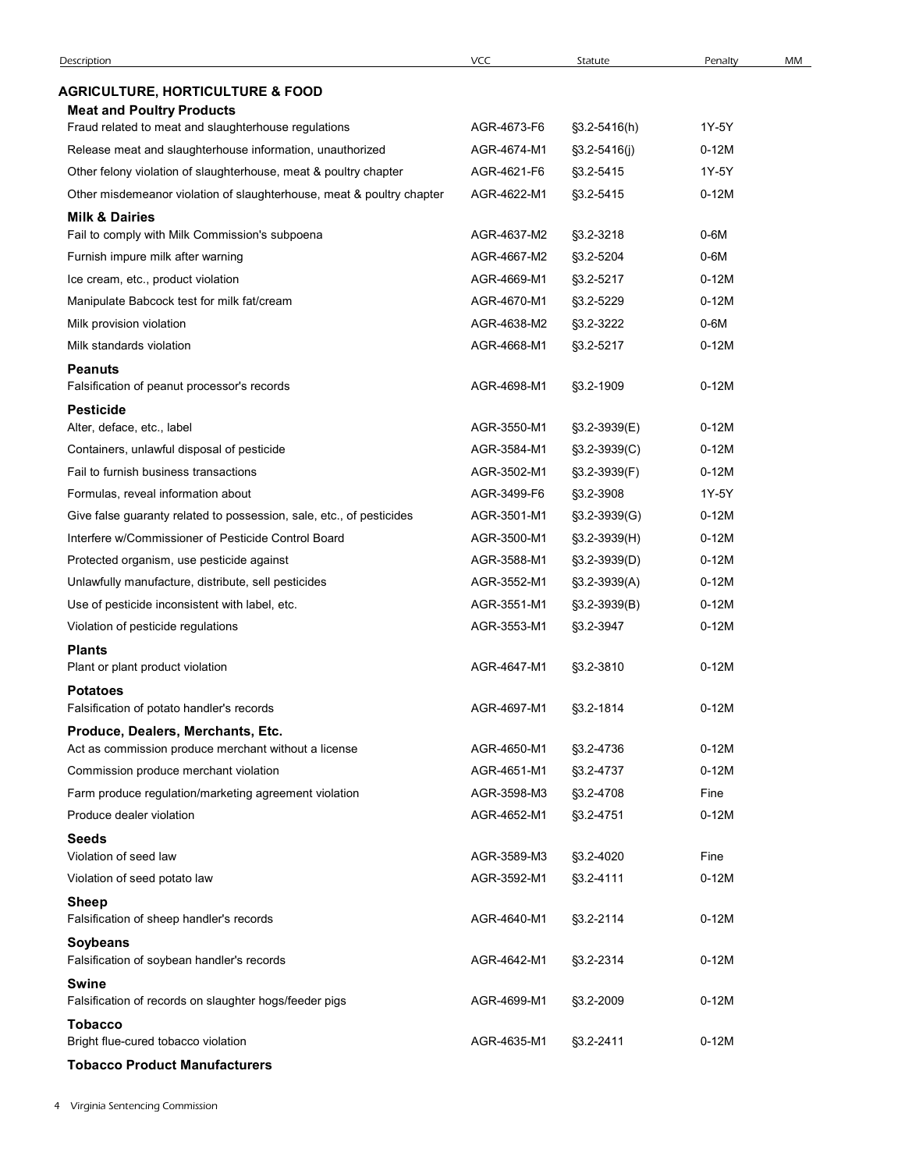| <b>AGRICULTURE, HORTICULTURE &amp; FOOD</b><br><b>Meat and Poultry Products</b><br>Fraud related to meat and slaughterhouse regulations<br>AGR-4673-F6<br>1Y-5Y<br>$\S3.2 - 5416(h)$<br>Release meat and slaughterhouse information, unauthorized<br>AGR-4674-M1<br>$0-12M$<br>$\S3.2 - 5416$ (j)<br>Other felony violation of slaughterhouse, meat & poultry chapter<br>AGR-4621-F6<br>1Y-5Y<br>§3.2-5415<br>Other misdemeanor violation of slaughterhouse, meat & poultry chapter<br>AGR-4622-M1<br>§3.2-5415<br>$0-12M$<br><b>Milk &amp; Dairies</b><br>$0-6M$<br>Fail to comply with Milk Commission's subpoena<br>AGR-4637-M2<br>§3.2-3218<br>Furnish impure milk after warning<br>AGR-4667-M2<br>§3.2-5204<br>0-6M<br>Ice cream, etc., product violation<br>AGR-4669-M1<br>§3.2-5217<br>$0-12M$<br>Manipulate Babcock test for milk fat/cream<br>AGR-4670-M1<br>§3.2-5229<br>$0-12M$<br>Milk provision violation<br>AGR-4638-M2<br>§3.2-3222<br>0-6M<br>Milk standards violation<br>AGR-4668-M1<br>§3.2-5217<br>$0-12M$<br><b>Peanuts</b><br>AGR-4698-M1<br>$0-12M$<br>Falsification of peanut processor's records<br>§3.2-1909<br><b>Pesticide</b><br>Alter, deface, etc., label<br>AGR-3550-M1<br>§3.2-3939(E)<br>$0-12M$<br>Containers, unlawful disposal of pesticide<br>AGR-3584-M1<br>$0-12M$<br>$$3.2-3939(C)$<br>Fail to furnish business transactions<br>AGR-3502-M1<br>$0-12M$<br>§3.2-3939(F)<br>Formulas, reveal information about<br>AGR-3499-F6<br>1Y-5Y<br>§3.2-3908<br>Give false guaranty related to possession, sale, etc., of pesticides<br>AGR-3501-M1<br>$0-12M$<br>$$3.2-3939(G)$<br>Interfere w/Commissioner of Pesticide Control Board<br>AGR-3500-M1<br>$0-12M$<br>$$3.2-3939(H)$<br>Protected organism, use pesticide against<br>AGR-3588-M1<br>$0-12M$<br>$\S3.2 - 3939(D)$<br>Unlawfully manufacture, distribute, sell pesticides<br>AGR-3552-M1<br>$0-12M$<br>§3.2-3939(A)<br>Use of pesticide inconsistent with label, etc.<br>AGR-3551-M1<br>$0-12M$<br>$\S3.2 - 3939(B)$<br>AGR-3553-M1<br>$0-12M$<br>Violation of pesticide regulations<br>§3.2-3947<br><b>Plants</b><br>$0-12M$<br>AGR-4647-M1<br>§3.2-3810<br>Plant or plant product violation<br><b>Potatoes</b><br>Falsification of potato handler's records<br>AGR-4697-M1<br>$0-12M$<br>§3.2-1814<br>Produce, Dealers, Merchants, Etc.<br>$0-12M$<br>Act as commission produce merchant without a license<br>AGR-4650-M1<br>§3.2-4736<br>$0-12M$<br>Commission produce merchant violation<br>AGR-4651-M1<br>§3.2-4737<br>Farm produce regulation/marketing agreement violation<br>AGR-3598-M3<br>§3.2-4708<br>Fine<br>$0-12M$<br>Produce dealer violation<br>AGR-4652-M1<br>§3.2-4751<br><b>Seeds</b><br>AGR-3589-M3<br>Violation of seed law<br>Fine<br>§3.2-4020<br>$0-12M$<br>AGR-3592-M1<br>Violation of seed potato law<br>§3.2-4111<br><b>Sheep</b><br>Falsification of sheep handler's records<br>AGR-4640-M1<br>§3.2-2114<br>$0-12M$<br><b>Soybeans</b><br>$0-12M$<br>Falsification of soybean handler's records<br>AGR-4642-M1<br>§3.2-2314<br><b>Swine</b><br>Falsification of records on slaughter hogs/feeder pigs<br>AGR-4699-M1<br>$0-12M$<br>§3.2-2009<br><b>Tobacco</b><br>Bright flue-cured tobacco violation<br>AGR-4635-M1<br>§3.2-2411<br>$0-12M$ | Description | <b>VCC</b> | Statute | Penalty | MM |
|--------------------------------------------------------------------------------------------------------------------------------------------------------------------------------------------------------------------------------------------------------------------------------------------------------------------------------------------------------------------------------------------------------------------------------------------------------------------------------------------------------------------------------------------------------------------------------------------------------------------------------------------------------------------------------------------------------------------------------------------------------------------------------------------------------------------------------------------------------------------------------------------------------------------------------------------------------------------------------------------------------------------------------------------------------------------------------------------------------------------------------------------------------------------------------------------------------------------------------------------------------------------------------------------------------------------------------------------------------------------------------------------------------------------------------------------------------------------------------------------------------------------------------------------------------------------------------------------------------------------------------------------------------------------------------------------------------------------------------------------------------------------------------------------------------------------------------------------------------------------------------------------------------------------------------------------------------------------------------------------------------------------------------------------------------------------------------------------------------------------------------------------------------------------------------------------------------------------------------------------------------------------------------------------------------------------------------------------------------------------------------------------------------------------------------------------------------------------------------------------------------------------------------------------------------------------------------------------------------------------------------------------------------------------------------------------------------------------------------------------------------------------------------------------------------------------------------------------------------------------------------------------------------------------------------------------------------------------------------------------------------------------------------------------------------------------------------------------------------------------------------------------------------------------------------------------------------------------------------------------------------------------|-------------|------------|---------|---------|----|
|                                                                                                                                                                                                                                                                                                                                                                                                                                                                                                                                                                                                                                                                                                                                                                                                                                                                                                                                                                                                                                                                                                                                                                                                                                                                                                                                                                                                                                                                                                                                                                                                                                                                                                                                                                                                                                                                                                                                                                                                                                                                                                                                                                                                                                                                                                                                                                                                                                                                                                                                                                                                                                                                                                                                                                                                                                                                                                                                                                                                                                                                                                                                                                                                                                                                    |             |            |         |         |    |
|                                                                                                                                                                                                                                                                                                                                                                                                                                                                                                                                                                                                                                                                                                                                                                                                                                                                                                                                                                                                                                                                                                                                                                                                                                                                                                                                                                                                                                                                                                                                                                                                                                                                                                                                                                                                                                                                                                                                                                                                                                                                                                                                                                                                                                                                                                                                                                                                                                                                                                                                                                                                                                                                                                                                                                                                                                                                                                                                                                                                                                                                                                                                                                                                                                                                    |             |            |         |         |    |
|                                                                                                                                                                                                                                                                                                                                                                                                                                                                                                                                                                                                                                                                                                                                                                                                                                                                                                                                                                                                                                                                                                                                                                                                                                                                                                                                                                                                                                                                                                                                                                                                                                                                                                                                                                                                                                                                                                                                                                                                                                                                                                                                                                                                                                                                                                                                                                                                                                                                                                                                                                                                                                                                                                                                                                                                                                                                                                                                                                                                                                                                                                                                                                                                                                                                    |             |            |         |         |    |
|                                                                                                                                                                                                                                                                                                                                                                                                                                                                                                                                                                                                                                                                                                                                                                                                                                                                                                                                                                                                                                                                                                                                                                                                                                                                                                                                                                                                                                                                                                                                                                                                                                                                                                                                                                                                                                                                                                                                                                                                                                                                                                                                                                                                                                                                                                                                                                                                                                                                                                                                                                                                                                                                                                                                                                                                                                                                                                                                                                                                                                                                                                                                                                                                                                                                    |             |            |         |         |    |
|                                                                                                                                                                                                                                                                                                                                                                                                                                                                                                                                                                                                                                                                                                                                                                                                                                                                                                                                                                                                                                                                                                                                                                                                                                                                                                                                                                                                                                                                                                                                                                                                                                                                                                                                                                                                                                                                                                                                                                                                                                                                                                                                                                                                                                                                                                                                                                                                                                                                                                                                                                                                                                                                                                                                                                                                                                                                                                                                                                                                                                                                                                                                                                                                                                                                    |             |            |         |         |    |
|                                                                                                                                                                                                                                                                                                                                                                                                                                                                                                                                                                                                                                                                                                                                                                                                                                                                                                                                                                                                                                                                                                                                                                                                                                                                                                                                                                                                                                                                                                                                                                                                                                                                                                                                                                                                                                                                                                                                                                                                                                                                                                                                                                                                                                                                                                                                                                                                                                                                                                                                                                                                                                                                                                                                                                                                                                                                                                                                                                                                                                                                                                                                                                                                                                                                    |             |            |         |         |    |
|                                                                                                                                                                                                                                                                                                                                                                                                                                                                                                                                                                                                                                                                                                                                                                                                                                                                                                                                                                                                                                                                                                                                                                                                                                                                                                                                                                                                                                                                                                                                                                                                                                                                                                                                                                                                                                                                                                                                                                                                                                                                                                                                                                                                                                                                                                                                                                                                                                                                                                                                                                                                                                                                                                                                                                                                                                                                                                                                                                                                                                                                                                                                                                                                                                                                    |             |            |         |         |    |
|                                                                                                                                                                                                                                                                                                                                                                                                                                                                                                                                                                                                                                                                                                                                                                                                                                                                                                                                                                                                                                                                                                                                                                                                                                                                                                                                                                                                                                                                                                                                                                                                                                                                                                                                                                                                                                                                                                                                                                                                                                                                                                                                                                                                                                                                                                                                                                                                                                                                                                                                                                                                                                                                                                                                                                                                                                                                                                                                                                                                                                                                                                                                                                                                                                                                    |             |            |         |         |    |
|                                                                                                                                                                                                                                                                                                                                                                                                                                                                                                                                                                                                                                                                                                                                                                                                                                                                                                                                                                                                                                                                                                                                                                                                                                                                                                                                                                                                                                                                                                                                                                                                                                                                                                                                                                                                                                                                                                                                                                                                                                                                                                                                                                                                                                                                                                                                                                                                                                                                                                                                                                                                                                                                                                                                                                                                                                                                                                                                                                                                                                                                                                                                                                                                                                                                    |             |            |         |         |    |
|                                                                                                                                                                                                                                                                                                                                                                                                                                                                                                                                                                                                                                                                                                                                                                                                                                                                                                                                                                                                                                                                                                                                                                                                                                                                                                                                                                                                                                                                                                                                                                                                                                                                                                                                                                                                                                                                                                                                                                                                                                                                                                                                                                                                                                                                                                                                                                                                                                                                                                                                                                                                                                                                                                                                                                                                                                                                                                                                                                                                                                                                                                                                                                                                                                                                    |             |            |         |         |    |
|                                                                                                                                                                                                                                                                                                                                                                                                                                                                                                                                                                                                                                                                                                                                                                                                                                                                                                                                                                                                                                                                                                                                                                                                                                                                                                                                                                                                                                                                                                                                                                                                                                                                                                                                                                                                                                                                                                                                                                                                                                                                                                                                                                                                                                                                                                                                                                                                                                                                                                                                                                                                                                                                                                                                                                                                                                                                                                                                                                                                                                                                                                                                                                                                                                                                    |             |            |         |         |    |
|                                                                                                                                                                                                                                                                                                                                                                                                                                                                                                                                                                                                                                                                                                                                                                                                                                                                                                                                                                                                                                                                                                                                                                                                                                                                                                                                                                                                                                                                                                                                                                                                                                                                                                                                                                                                                                                                                                                                                                                                                                                                                                                                                                                                                                                                                                                                                                                                                                                                                                                                                                                                                                                                                                                                                                                                                                                                                                                                                                                                                                                                                                                                                                                                                                                                    |             |            |         |         |    |
|                                                                                                                                                                                                                                                                                                                                                                                                                                                                                                                                                                                                                                                                                                                                                                                                                                                                                                                                                                                                                                                                                                                                                                                                                                                                                                                                                                                                                                                                                                                                                                                                                                                                                                                                                                                                                                                                                                                                                                                                                                                                                                                                                                                                                                                                                                                                                                                                                                                                                                                                                                                                                                                                                                                                                                                                                                                                                                                                                                                                                                                                                                                                                                                                                                                                    |             |            |         |         |    |
|                                                                                                                                                                                                                                                                                                                                                                                                                                                                                                                                                                                                                                                                                                                                                                                                                                                                                                                                                                                                                                                                                                                                                                                                                                                                                                                                                                                                                                                                                                                                                                                                                                                                                                                                                                                                                                                                                                                                                                                                                                                                                                                                                                                                                                                                                                                                                                                                                                                                                                                                                                                                                                                                                                                                                                                                                                                                                                                                                                                                                                                                                                                                                                                                                                                                    |             |            |         |         |    |
|                                                                                                                                                                                                                                                                                                                                                                                                                                                                                                                                                                                                                                                                                                                                                                                                                                                                                                                                                                                                                                                                                                                                                                                                                                                                                                                                                                                                                                                                                                                                                                                                                                                                                                                                                                                                                                                                                                                                                                                                                                                                                                                                                                                                                                                                                                                                                                                                                                                                                                                                                                                                                                                                                                                                                                                                                                                                                                                                                                                                                                                                                                                                                                                                                                                                    |             |            |         |         |    |
|                                                                                                                                                                                                                                                                                                                                                                                                                                                                                                                                                                                                                                                                                                                                                                                                                                                                                                                                                                                                                                                                                                                                                                                                                                                                                                                                                                                                                                                                                                                                                                                                                                                                                                                                                                                                                                                                                                                                                                                                                                                                                                                                                                                                                                                                                                                                                                                                                                                                                                                                                                                                                                                                                                                                                                                                                                                                                                                                                                                                                                                                                                                                                                                                                                                                    |             |            |         |         |    |
|                                                                                                                                                                                                                                                                                                                                                                                                                                                                                                                                                                                                                                                                                                                                                                                                                                                                                                                                                                                                                                                                                                                                                                                                                                                                                                                                                                                                                                                                                                                                                                                                                                                                                                                                                                                                                                                                                                                                                                                                                                                                                                                                                                                                                                                                                                                                                                                                                                                                                                                                                                                                                                                                                                                                                                                                                                                                                                                                                                                                                                                                                                                                                                                                                                                                    |             |            |         |         |    |
|                                                                                                                                                                                                                                                                                                                                                                                                                                                                                                                                                                                                                                                                                                                                                                                                                                                                                                                                                                                                                                                                                                                                                                                                                                                                                                                                                                                                                                                                                                                                                                                                                                                                                                                                                                                                                                                                                                                                                                                                                                                                                                                                                                                                                                                                                                                                                                                                                                                                                                                                                                                                                                                                                                                                                                                                                                                                                                                                                                                                                                                                                                                                                                                                                                                                    |             |            |         |         |    |
|                                                                                                                                                                                                                                                                                                                                                                                                                                                                                                                                                                                                                                                                                                                                                                                                                                                                                                                                                                                                                                                                                                                                                                                                                                                                                                                                                                                                                                                                                                                                                                                                                                                                                                                                                                                                                                                                                                                                                                                                                                                                                                                                                                                                                                                                                                                                                                                                                                                                                                                                                                                                                                                                                                                                                                                                                                                                                                                                                                                                                                                                                                                                                                                                                                                                    |             |            |         |         |    |
|                                                                                                                                                                                                                                                                                                                                                                                                                                                                                                                                                                                                                                                                                                                                                                                                                                                                                                                                                                                                                                                                                                                                                                                                                                                                                                                                                                                                                                                                                                                                                                                                                                                                                                                                                                                                                                                                                                                                                                                                                                                                                                                                                                                                                                                                                                                                                                                                                                                                                                                                                                                                                                                                                                                                                                                                                                                                                                                                                                                                                                                                                                                                                                                                                                                                    |             |            |         |         |    |
|                                                                                                                                                                                                                                                                                                                                                                                                                                                                                                                                                                                                                                                                                                                                                                                                                                                                                                                                                                                                                                                                                                                                                                                                                                                                                                                                                                                                                                                                                                                                                                                                                                                                                                                                                                                                                                                                                                                                                                                                                                                                                                                                                                                                                                                                                                                                                                                                                                                                                                                                                                                                                                                                                                                                                                                                                                                                                                                                                                                                                                                                                                                                                                                                                                                                    |             |            |         |         |    |
|                                                                                                                                                                                                                                                                                                                                                                                                                                                                                                                                                                                                                                                                                                                                                                                                                                                                                                                                                                                                                                                                                                                                                                                                                                                                                                                                                                                                                                                                                                                                                                                                                                                                                                                                                                                                                                                                                                                                                                                                                                                                                                                                                                                                                                                                                                                                                                                                                                                                                                                                                                                                                                                                                                                                                                                                                                                                                                                                                                                                                                                                                                                                                                                                                                                                    |             |            |         |         |    |
|                                                                                                                                                                                                                                                                                                                                                                                                                                                                                                                                                                                                                                                                                                                                                                                                                                                                                                                                                                                                                                                                                                                                                                                                                                                                                                                                                                                                                                                                                                                                                                                                                                                                                                                                                                                                                                                                                                                                                                                                                                                                                                                                                                                                                                                                                                                                                                                                                                                                                                                                                                                                                                                                                                                                                                                                                                                                                                                                                                                                                                                                                                                                                                                                                                                                    |             |            |         |         |    |
|                                                                                                                                                                                                                                                                                                                                                                                                                                                                                                                                                                                                                                                                                                                                                                                                                                                                                                                                                                                                                                                                                                                                                                                                                                                                                                                                                                                                                                                                                                                                                                                                                                                                                                                                                                                                                                                                                                                                                                                                                                                                                                                                                                                                                                                                                                                                                                                                                                                                                                                                                                                                                                                                                                                                                                                                                                                                                                                                                                                                                                                                                                                                                                                                                                                                    |             |            |         |         |    |
|                                                                                                                                                                                                                                                                                                                                                                                                                                                                                                                                                                                                                                                                                                                                                                                                                                                                                                                                                                                                                                                                                                                                                                                                                                                                                                                                                                                                                                                                                                                                                                                                                                                                                                                                                                                                                                                                                                                                                                                                                                                                                                                                                                                                                                                                                                                                                                                                                                                                                                                                                                                                                                                                                                                                                                                                                                                                                                                                                                                                                                                                                                                                                                                                                                                                    |             |            |         |         |    |
|                                                                                                                                                                                                                                                                                                                                                                                                                                                                                                                                                                                                                                                                                                                                                                                                                                                                                                                                                                                                                                                                                                                                                                                                                                                                                                                                                                                                                                                                                                                                                                                                                                                                                                                                                                                                                                                                                                                                                                                                                                                                                                                                                                                                                                                                                                                                                                                                                                                                                                                                                                                                                                                                                                                                                                                                                                                                                                                                                                                                                                                                                                                                                                                                                                                                    |             |            |         |         |    |
|                                                                                                                                                                                                                                                                                                                                                                                                                                                                                                                                                                                                                                                                                                                                                                                                                                                                                                                                                                                                                                                                                                                                                                                                                                                                                                                                                                                                                                                                                                                                                                                                                                                                                                                                                                                                                                                                                                                                                                                                                                                                                                                                                                                                                                                                                                                                                                                                                                                                                                                                                                                                                                                                                                                                                                                                                                                                                                                                                                                                                                                                                                                                                                                                                                                                    |             |            |         |         |    |
|                                                                                                                                                                                                                                                                                                                                                                                                                                                                                                                                                                                                                                                                                                                                                                                                                                                                                                                                                                                                                                                                                                                                                                                                                                                                                                                                                                                                                                                                                                                                                                                                                                                                                                                                                                                                                                                                                                                                                                                                                                                                                                                                                                                                                                                                                                                                                                                                                                                                                                                                                                                                                                                                                                                                                                                                                                                                                                                                                                                                                                                                                                                                                                                                                                                                    |             |            |         |         |    |
|                                                                                                                                                                                                                                                                                                                                                                                                                                                                                                                                                                                                                                                                                                                                                                                                                                                                                                                                                                                                                                                                                                                                                                                                                                                                                                                                                                                                                                                                                                                                                                                                                                                                                                                                                                                                                                                                                                                                                                                                                                                                                                                                                                                                                                                                                                                                                                                                                                                                                                                                                                                                                                                                                                                                                                                                                                                                                                                                                                                                                                                                                                                                                                                                                                                                    |             |            |         |         |    |
|                                                                                                                                                                                                                                                                                                                                                                                                                                                                                                                                                                                                                                                                                                                                                                                                                                                                                                                                                                                                                                                                                                                                                                                                                                                                                                                                                                                                                                                                                                                                                                                                                                                                                                                                                                                                                                                                                                                                                                                                                                                                                                                                                                                                                                                                                                                                                                                                                                                                                                                                                                                                                                                                                                                                                                                                                                                                                                                                                                                                                                                                                                                                                                                                                                                                    |             |            |         |         |    |
|                                                                                                                                                                                                                                                                                                                                                                                                                                                                                                                                                                                                                                                                                                                                                                                                                                                                                                                                                                                                                                                                                                                                                                                                                                                                                                                                                                                                                                                                                                                                                                                                                                                                                                                                                                                                                                                                                                                                                                                                                                                                                                                                                                                                                                                                                                                                                                                                                                                                                                                                                                                                                                                                                                                                                                                                                                                                                                                                                                                                                                                                                                                                                                                                                                                                    |             |            |         |         |    |
|                                                                                                                                                                                                                                                                                                                                                                                                                                                                                                                                                                                                                                                                                                                                                                                                                                                                                                                                                                                                                                                                                                                                                                                                                                                                                                                                                                                                                                                                                                                                                                                                                                                                                                                                                                                                                                                                                                                                                                                                                                                                                                                                                                                                                                                                                                                                                                                                                                                                                                                                                                                                                                                                                                                                                                                                                                                                                                                                                                                                                                                                                                                                                                                                                                                                    |             |            |         |         |    |
|                                                                                                                                                                                                                                                                                                                                                                                                                                                                                                                                                                                                                                                                                                                                                                                                                                                                                                                                                                                                                                                                                                                                                                                                                                                                                                                                                                                                                                                                                                                                                                                                                                                                                                                                                                                                                                                                                                                                                                                                                                                                                                                                                                                                                                                                                                                                                                                                                                                                                                                                                                                                                                                                                                                                                                                                                                                                                                                                                                                                                                                                                                                                                                                                                                                                    |             |            |         |         |    |
|                                                                                                                                                                                                                                                                                                                                                                                                                                                                                                                                                                                                                                                                                                                                                                                                                                                                                                                                                                                                                                                                                                                                                                                                                                                                                                                                                                                                                                                                                                                                                                                                                                                                                                                                                                                                                                                                                                                                                                                                                                                                                                                                                                                                                                                                                                                                                                                                                                                                                                                                                                                                                                                                                                                                                                                                                                                                                                                                                                                                                                                                                                                                                                                                                                                                    |             |            |         |         |    |
|                                                                                                                                                                                                                                                                                                                                                                                                                                                                                                                                                                                                                                                                                                                                                                                                                                                                                                                                                                                                                                                                                                                                                                                                                                                                                                                                                                                                                                                                                                                                                                                                                                                                                                                                                                                                                                                                                                                                                                                                                                                                                                                                                                                                                                                                                                                                                                                                                                                                                                                                                                                                                                                                                                                                                                                                                                                                                                                                                                                                                                                                                                                                                                                                                                                                    |             |            |         |         |    |
|                                                                                                                                                                                                                                                                                                                                                                                                                                                                                                                                                                                                                                                                                                                                                                                                                                                                                                                                                                                                                                                                                                                                                                                                                                                                                                                                                                                                                                                                                                                                                                                                                                                                                                                                                                                                                                                                                                                                                                                                                                                                                                                                                                                                                                                                                                                                                                                                                                                                                                                                                                                                                                                                                                                                                                                                                                                                                                                                                                                                                                                                                                                                                                                                                                                                    |             |            |         |         |    |
|                                                                                                                                                                                                                                                                                                                                                                                                                                                                                                                                                                                                                                                                                                                                                                                                                                                                                                                                                                                                                                                                                                                                                                                                                                                                                                                                                                                                                                                                                                                                                                                                                                                                                                                                                                                                                                                                                                                                                                                                                                                                                                                                                                                                                                                                                                                                                                                                                                                                                                                                                                                                                                                                                                                                                                                                                                                                                                                                                                                                                                                                                                                                                                                                                                                                    |             |            |         |         |    |
|                                                                                                                                                                                                                                                                                                                                                                                                                                                                                                                                                                                                                                                                                                                                                                                                                                                                                                                                                                                                                                                                                                                                                                                                                                                                                                                                                                                                                                                                                                                                                                                                                                                                                                                                                                                                                                                                                                                                                                                                                                                                                                                                                                                                                                                                                                                                                                                                                                                                                                                                                                                                                                                                                                                                                                                                                                                                                                                                                                                                                                                                                                                                                                                                                                                                    |             |            |         |         |    |
|                                                                                                                                                                                                                                                                                                                                                                                                                                                                                                                                                                                                                                                                                                                                                                                                                                                                                                                                                                                                                                                                                                                                                                                                                                                                                                                                                                                                                                                                                                                                                                                                                                                                                                                                                                                                                                                                                                                                                                                                                                                                                                                                                                                                                                                                                                                                                                                                                                                                                                                                                                                                                                                                                                                                                                                                                                                                                                                                                                                                                                                                                                                                                                                                                                                                    |             |            |         |         |    |
|                                                                                                                                                                                                                                                                                                                                                                                                                                                                                                                                                                                                                                                                                                                                                                                                                                                                                                                                                                                                                                                                                                                                                                                                                                                                                                                                                                                                                                                                                                                                                                                                                                                                                                                                                                                                                                                                                                                                                                                                                                                                                                                                                                                                                                                                                                                                                                                                                                                                                                                                                                                                                                                                                                                                                                                                                                                                                                                                                                                                                                                                                                                                                                                                                                                                    |             |            |         |         |    |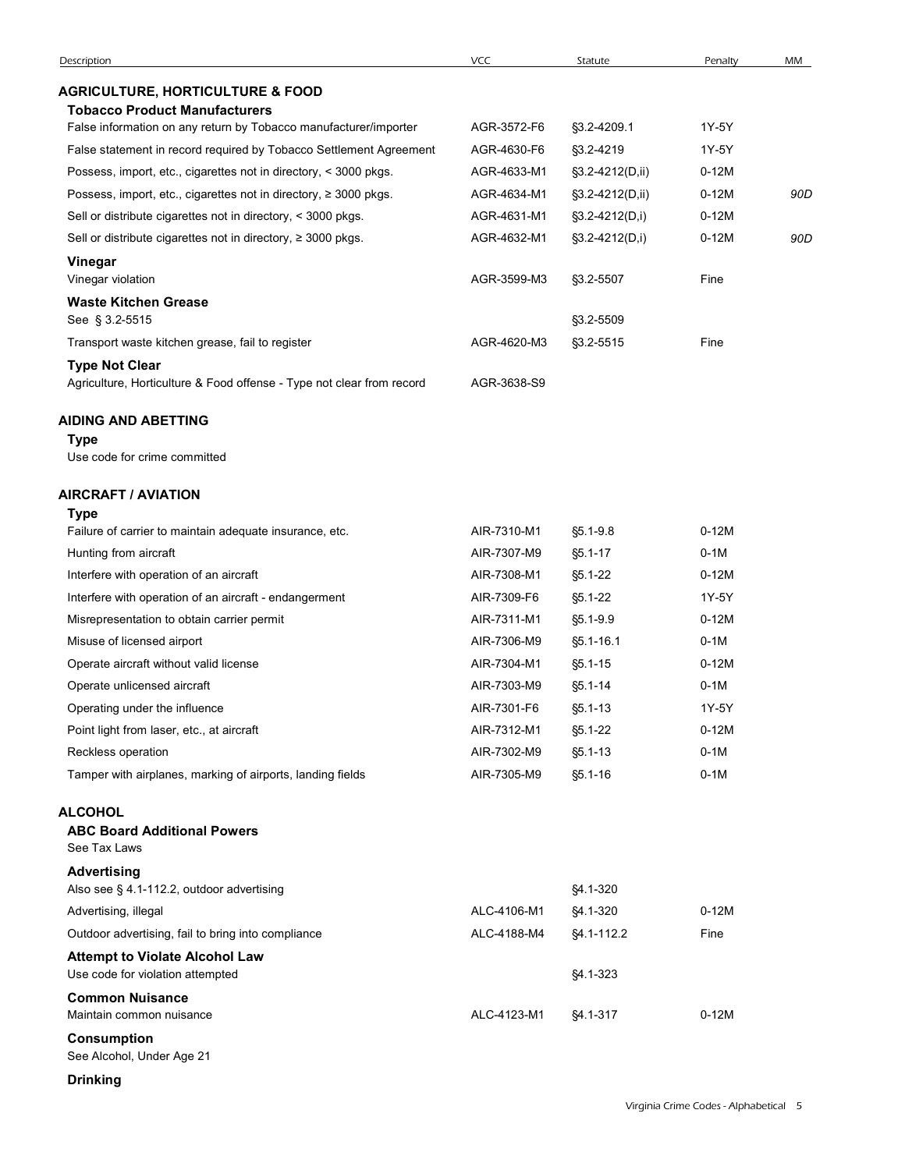| Description                                                               | <b>VCC</b>  | Statute         | Penalty | MM  |
|---------------------------------------------------------------------------|-------------|-----------------|---------|-----|
| <b>AGRICULTURE, HORTICULTURE &amp; FOOD</b>                               |             |                 |         |     |
| <b>Tobacco Product Manufacturers</b>                                      |             |                 |         |     |
| False information on any return by Tobacco manufacturer/importer          | AGR-3572-F6 | §3.2-4209.1     | 1Y-5Y   |     |
| False statement in record required by Tobacco Settlement Agreement        | AGR-4630-F6 | §3.2-4219       | 1Y-5Y   |     |
| Possess, import, etc., cigarettes not in directory, < 3000 pkgs.          | AGR-4633-M1 | §3.2-4212(D,ii) | $0-12M$ |     |
| Possess, import, etc., cigarettes not in directory, ≥ 3000 pkgs.          | AGR-4634-M1 | §3.2-4212(D,ii) | $0-12M$ | 90D |
| Sell or distribute cigarettes not in directory, < 3000 pkgs.              | AGR-4631-M1 | §3.2-4212(D,i)  | $0-12M$ |     |
| Sell or distribute cigarettes not in directory, ≥ 3000 pkgs.              | AGR-4632-M1 | §3.2-4212(D,i)  | $0-12M$ | 90D |
| Vinegar<br>Vinegar violation                                              | AGR-3599-M3 | §3.2-5507       | Fine    |     |
| <b>Waste Kitchen Grease</b>                                               |             |                 |         |     |
| See § 3.2-5515                                                            |             | §3.2-5509       |         |     |
| Transport waste kitchen grease, fail to register                          | AGR-4620-M3 | §3.2-5515       | Fine    |     |
| <b>Type Not Clear</b>                                                     |             |                 |         |     |
| Agriculture, Horticulture & Food offense - Type not clear from record     | AGR-3638-S9 |                 |         |     |
| <b>AIDING AND ABETTING</b><br>Type<br>Use code for crime committed        |             |                 |         |     |
|                                                                           |             |                 |         |     |
| AIRCRAFT / AVIATION                                                       |             |                 |         |     |
| <b>Type</b><br>Failure of carrier to maintain adequate insurance, etc.    | AIR-7310-M1 | §5.1-9.8        | $0-12M$ |     |
| Hunting from aircraft                                                     | AIR-7307-M9 | $§5.1 - 17$     | $0-1M$  |     |
| Interfere with operation of an aircraft                                   | AIR-7308-M1 | §5.1-22         | $0-12M$ |     |
| Interfere with operation of an aircraft - endangerment                    | AIR-7309-F6 | §5.1-22         | 1Y-5Y   |     |
| Misrepresentation to obtain carrier permit                                | AIR-7311-M1 | §5.1-9.9        | $0-12M$ |     |
| Misuse of licensed airport                                                | AIR-7306-M9 | §5.1-16.1       | $0-1M$  |     |
| Operate aircraft without valid license                                    | AIR-7304-M1 | $§5.1 - 15$     | $0-12M$ |     |
| Operate unlicensed aircraft                                               | AIR-7303-M9 | §5.1-14         | $0-1M$  |     |
| Operating under the influence                                             | AIR-7301-F6 | $§5.1 - 13$     | 1Y-5Y   |     |
| Point light from laser, etc., at aircraft                                 | AIR-7312-M1 | §5.1-22         | $0-12M$ |     |
| Reckless operation                                                        | AIR-7302-M9 | $§5.1 - 13$     | $0-1M$  |     |
| Tamper with airplanes, marking of airports, landing fields                | AIR-7305-M9 | $$5.1-16$       | $0-1M$  |     |
| <b>ALCOHOL</b><br><b>ABC Board Additional Powers</b><br>See Tax Laws      |             |                 |         |     |
| <b>Advertising</b>                                                        |             |                 |         |     |
| Also see § 4.1-112.2, outdoor advertising                                 |             | §4.1-320        |         |     |
| Advertising, illegal                                                      | ALC-4106-M1 | §4.1-320        | $0-12M$ |     |
| Outdoor advertising, fail to bring into compliance                        | ALC-4188-M4 | §4.1-112.2      | Fine    |     |
| <b>Attempt to Violate Alcohol Law</b><br>Use code for violation attempted |             | §4.1-323        |         |     |
| <b>Common Nuisance</b><br>Maintain common nuisance                        | ALC-4123-M1 | §4.1-317        | $0-12M$ |     |
| <b>Consumption</b><br>See Alcohol, Under Age 21                           |             |                 |         |     |
| <b>Drinking</b>                                                           |             |                 |         |     |
|                                                                           |             |                 |         |     |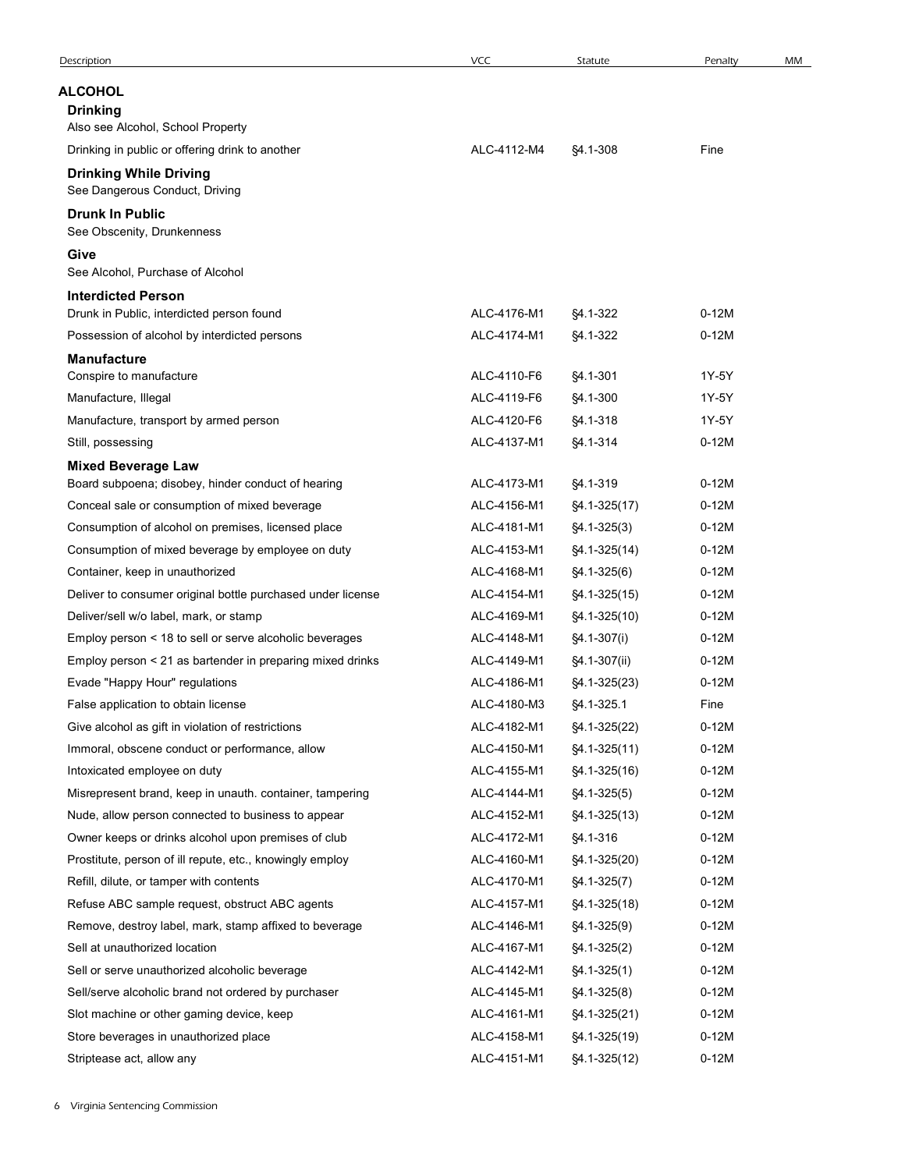|                                                                                                      | <b>VCC</b>                 | Statute              | Penalty            | MM |
|------------------------------------------------------------------------------------------------------|----------------------------|----------------------|--------------------|----|
| <b>ALCOHOL</b>                                                                                       |                            |                      |                    |    |
| <b>Drinking</b>                                                                                      |                            |                      |                    |    |
| Also see Alcohol, School Property                                                                    |                            |                      |                    |    |
| Drinking in public or offering drink to another                                                      | ALC-4112-M4                | §4.1-308             | Fine               |    |
| <b>Drinking While Driving</b>                                                                        |                            |                      |                    |    |
| See Dangerous Conduct, Driving                                                                       |                            |                      |                    |    |
| <b>Drunk In Public</b><br>See Obscenity, Drunkenness                                                 |                            |                      |                    |    |
| Give                                                                                                 |                            |                      |                    |    |
| See Alcohol, Purchase of Alcohol                                                                     |                            |                      |                    |    |
| <b>Interdicted Person</b>                                                                            |                            |                      |                    |    |
| Drunk in Public, interdicted person found                                                            | ALC-4176-M1                | §4.1-322             | $0-12M$            |    |
| Possession of alcohol by interdicted persons                                                         | ALC-4174-M1                | §4.1-322             | $0-12M$            |    |
| <b>Manufacture</b>                                                                                   |                            |                      |                    |    |
| Conspire to manufacture                                                                              | ALC-4110-F6<br>ALC-4119-F6 | §4.1-301<br>§4.1-300 | 1Y-5Y<br>1Y-5Y     |    |
| Manufacture, Illegal<br>Manufacture, transport by armed person                                       | ALC-4120-F6                | §4.1-318             | 1Y-5Y              |    |
| Still, possessing                                                                                    | ALC-4137-M1                | §4.1-314             | $0-12M$            |    |
| <b>Mixed Beverage Law</b>                                                                            |                            |                      |                    |    |
| Board subpoena; disobey, hinder conduct of hearing                                                   | ALC-4173-M1                | §4.1-319             | $0-12M$            |    |
| Conceal sale or consumption of mixed beverage                                                        | ALC-4156-M1                | $$4.1-325(17)$       | $0-12M$            |    |
| Consumption of alcohol on premises, licensed place                                                   | ALC-4181-M1                | $§4.1 - 325(3)$      | $0-12M$            |    |
| Consumption of mixed beverage by employee on duty                                                    | ALC-4153-M1                | $$4.1-325(14)$       | $0-12M$            |    |
| Container, keep in unauthorized                                                                      | ALC-4168-M1                | $$4.1-325(6)$        | $0-12M$            |    |
| Deliver to consumer original bottle purchased under license                                          | ALC-4154-M1                | §4.1-325(15)         | $0-12M$            |    |
| Deliver/sell w/o label, mark, or stamp                                                               | ALC-4169-M1                | §4.1-325(10)         | $0-12M$            |    |
| Employ person < 18 to sell or serve alcoholic beverages                                              | ALC-4148-M1                | §4.1-307(i)          | $0-12M$            |    |
| Employ person < 21 as bartender in preparing mixed drinks                                            | ALC-4149-M1                | §4.1-307(ii)         | $0-12M$            |    |
| Evade "Happy Hour" regulations                                                                       | ALC-4186-M1                | §4.1-325(23)         | $0-12M$            |    |
| False application to obtain license                                                                  | ALC-4180-M3                | §4.1-325.1           | Fine               |    |
| Give alcohol as gift in violation of restrictions                                                    | ALC-4182-M1                | §4.1-325(22)         | $0-12M$            |    |
| Immoral, obscene conduct or performance, allow                                                       | ALC-4150-M1                | §4.1-325(11)         | $0-12M$            |    |
| Intoxicated employee on duty                                                                         | ALC-4155-M1                | §4.1-325(16)         | $0-12M$            |    |
| Misrepresent brand, keep in unauth. container, tampering                                             | ALC-4144-M1                | $$4.1-325(5)$        | $0-12M$            |    |
| Nude, allow person connected to business to appear                                                   | ALC-4152-M1                | $$4.1-325(13)$       | $0-12M$            |    |
| Owner keeps or drinks alcohol upon premises of club                                                  | ALC-4172-M1                | §4.1-316             | $0-12M$            |    |
| Prostitute, person of ill repute, etc., knowingly employ                                             | ALC-4160-M1                | §4.1-325(20)         | $0-12M$            |    |
| Refill, dilute, or tamper with contents                                                              | ALC-4170-M1                | $$4.1-325(7)$        | $0-12M$            |    |
| Refuse ABC sample request, obstruct ABC agents                                                       | ALC-4157-M1                | §4.1-325(18)         | $0-12M$            |    |
| Remove, destroy label, mark, stamp affixed to beverage                                               | ALC-4146-M1                | §4.1-325(9)          | $0-12M$            |    |
| Sell at unauthorized location                                                                        | ALC-4167-M1                | <b>§4.1-325(2)</b>   | $0-12M$<br>$0-12M$ |    |
| Sell or serve unauthorized alcoholic beverage<br>Sell/serve alcoholic brand not ordered by purchaser | ALC-4142-M1                | $$4.1-325(1)$        | $0-12M$            |    |
| Slot machine or other gaming device, keep                                                            | ALC-4145-M1<br>ALC-4161-M1 | §4.1-325(8)          | $0-12M$            |    |
|                                                                                                      |                            | §4.1-325(21)         | $0-12M$            |    |
| Store beverages in unauthorized place                                                                | ALC-4158-M1                | §4.1-325(19)         |                    |    |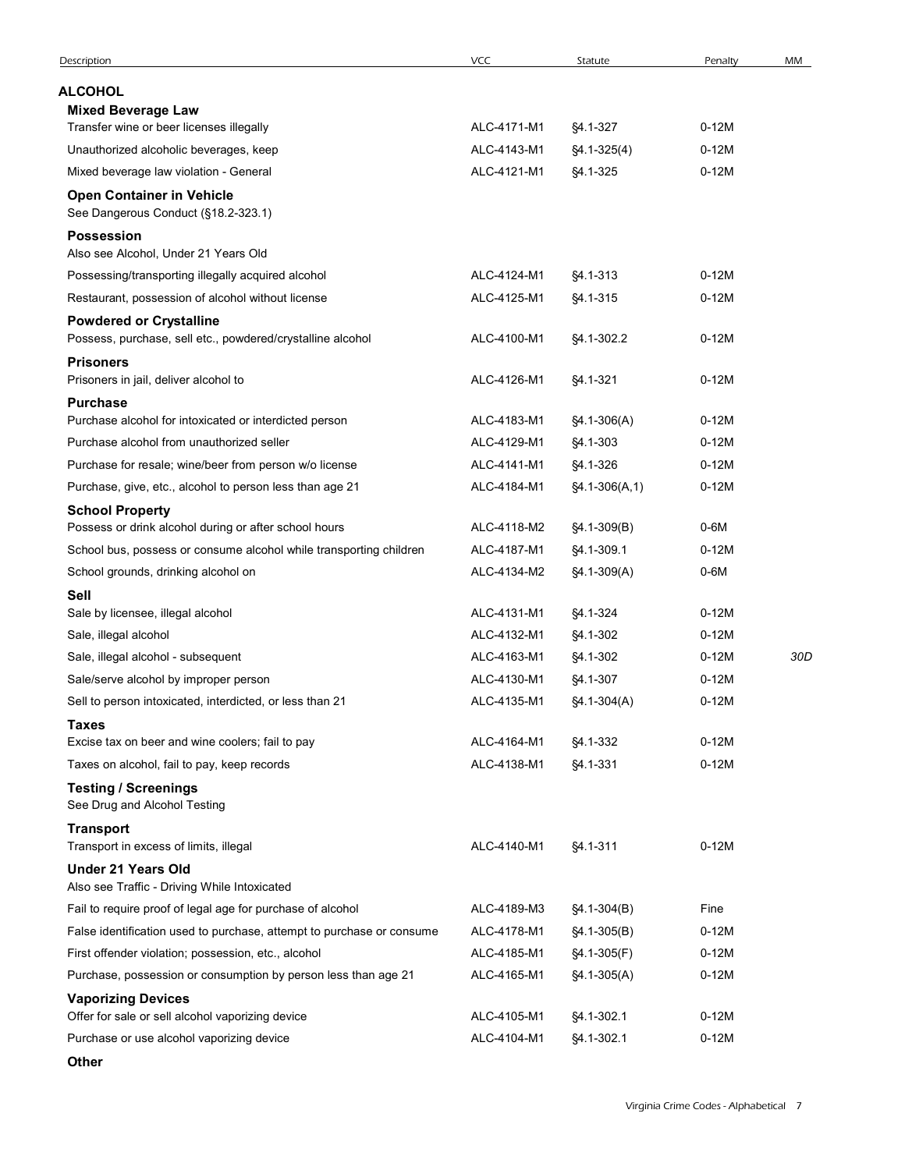| Description                                                                                               | <b>VCC</b>                 | Statute                   | Penalty            | MM  |
|-----------------------------------------------------------------------------------------------------------|----------------------------|---------------------------|--------------------|-----|
| <b>ALCOHOL</b>                                                                                            |                            |                           |                    |     |
| <b>Mixed Beverage Law</b>                                                                                 |                            |                           |                    |     |
| Transfer wine or beer licenses illegally                                                                  | ALC-4171-M1                | \$4.1-327                 | $0-12M$            |     |
| Unauthorized alcoholic beverages, keep                                                                    | ALC-4143-M1                | $$4.1-325(4)$             | $0-12M$            |     |
| Mixed beverage law violation - General                                                                    | ALC-4121-M1                | §4.1-325                  | $0-12M$            |     |
| <b>Open Container in Vehicle</b><br>See Dangerous Conduct (§18.2-323.1)                                   |                            |                           |                    |     |
| <b>Possession</b>                                                                                         |                            |                           |                    |     |
| Also see Alcohol, Under 21 Years Old                                                                      |                            |                           |                    |     |
| Possessing/transporting illegally acquired alcohol                                                        | ALC-4124-M1                | §4.1-313                  | $0-12M$            |     |
| Restaurant, possession of alcohol without license                                                         | ALC-4125-M1                | §4.1-315                  | $0-12M$            |     |
| <b>Powdered or Crystalline</b>                                                                            |                            |                           |                    |     |
| Possess, purchase, sell etc., powdered/crystalline alcohol                                                | ALC-4100-M1                | §4.1-302.2                | $0-12M$            |     |
| <b>Prisoners</b><br>Prisoners in jail, deliver alcohol to                                                 | ALC-4126-M1                | §4.1-321                  | $0-12M$            |     |
| <b>Purchase</b>                                                                                           |                            |                           |                    |     |
| Purchase alcohol for intoxicated or interdicted person                                                    | ALC-4183-M1                | $$4.1-306(A)$             | $0-12M$            |     |
| Purchase alcohol from unauthorized seller                                                                 | ALC-4129-M1                | §4.1-303                  | $0-12M$            |     |
| Purchase for resale; wine/beer from person w/o license                                                    | ALC-4141-M1                | §4.1-326                  | $0-12M$            |     |
| Purchase, give, etc., alcohol to person less than age 21                                                  | ALC-4184-M1                | $$4.1-306(A,1)$           | $0-12M$            |     |
| <b>School Property</b>                                                                                    |                            |                           |                    |     |
| Possess or drink alcohol during or after school hours                                                     | ALC-4118-M2<br>ALC-4187-M1 | $$4.1-309(B)$             | $0-6M$<br>$0-12M$  |     |
| School bus, possess or consume alcohol while transporting children<br>School grounds, drinking alcohol on | ALC-4134-M2                | §4.1-309.1<br>§4.1-309(A) | $0-6M$             |     |
| Sell                                                                                                      |                            |                           |                    |     |
| Sale by licensee, illegal alcohol                                                                         | ALC-4131-M1                | §4.1-324                  | $0-12M$            |     |
| Sale, illegal alcohol                                                                                     | ALC-4132-M1                | §4.1-302                  | $0-12M$            |     |
| Sale, illegal alcohol - subsequent                                                                        | ALC-4163-M1                | §4.1-302                  | $0-12M$            | 30D |
| Sale/serve alcohol by improper person                                                                     | ALC-4130-M1                | §4.1-307                  | $0-12M$            |     |
| Sell to person intoxicated, interdicted, or less than 21                                                  | ALC-4135-M1                | §4.1-304(A)               | $0-12M$            |     |
| <b>Taxes</b>                                                                                              |                            |                           |                    |     |
| Excise tax on beer and wine coolers; fail to pay<br>Taxes on alcohol, fail to pay, keep records           | ALC-4164-M1<br>ALC-4138-M1 | §4.1-332                  | $0-12M$<br>$0-12M$ |     |
| <b>Testing / Screenings</b><br>See Drug and Alcohol Testing                                               |                            | §4.1-331                  |                    |     |
| <b>Transport</b>                                                                                          |                            |                           |                    |     |
| Transport in excess of limits, illegal                                                                    | ALC-4140-M1                | §4.1-311                  | $0-12M$            |     |
| <b>Under 21 Years Old</b><br>Also see Traffic - Driving While Intoxicated                                 |                            |                           |                    |     |
| Fail to require proof of legal age for purchase of alcohol                                                | ALC-4189-M3                | $$4.1-304(B)$             | Fine               |     |
| False identification used to purchase, attempt to purchase or consume                                     | ALC-4178-M1                | $$4.1-305(B)$             | $0-12M$            |     |
| First offender violation; possession, etc., alcohol                                                       | ALC-4185-M1                | §4.1-305(F)               | $0-12M$            |     |
| Purchase, possession or consumption by person less than age 21                                            | ALC-4165-M1                | $$4.1-305(A)$             | $0-12M$            |     |
| <b>Vaporizing Devices</b><br>Offer for sale or sell alcohol vaporizing device                             | ALC-4105-M1                | §4.1-302.1                | $0-12M$            |     |
| Purchase or use alcohol vaporizing device                                                                 | ALC-4104-M1                | §4.1-302.1                | $0-12M$            |     |
|                                                                                                           |                            |                           |                    |     |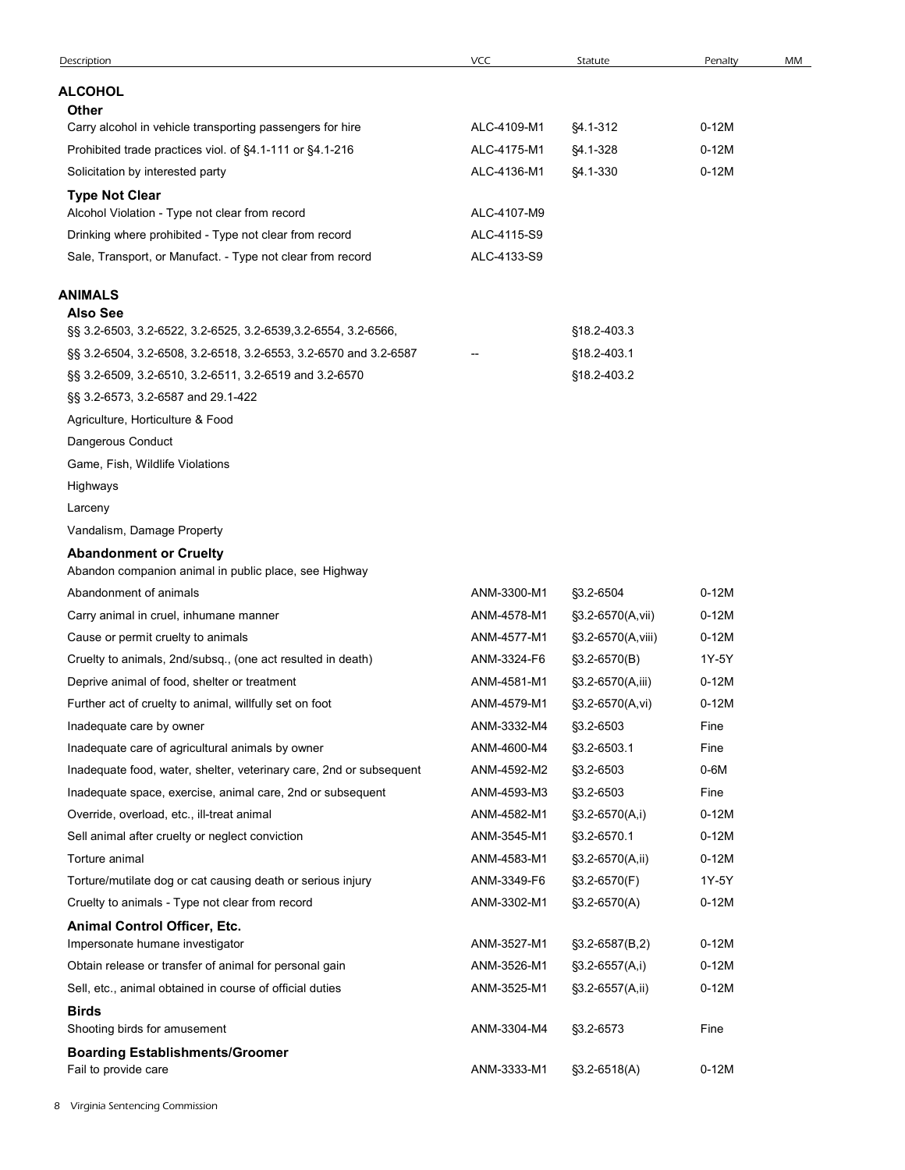| Description                                                                            | VCC         | Statute           | Penalty | MM |
|----------------------------------------------------------------------------------------|-------------|-------------------|---------|----|
|                                                                                        |             |                   |         |    |
| <b>ALCOHOL</b><br><b>Other</b>                                                         |             |                   |         |    |
| Carry alcohol in vehicle transporting passengers for hire                              | ALC-4109-M1 | §4.1-312          | $0-12M$ |    |
| Prohibited trade practices viol. of §4.1-111 or §4.1-216                               | ALC-4175-M1 | §4.1-328          | $0-12M$ |    |
| Solicitation by interested party                                                       | ALC-4136-M1 | §4.1-330          | $0-12M$ |    |
| <b>Type Not Clear</b>                                                                  |             |                   |         |    |
| Alcohol Violation - Type not clear from record                                         | ALC-4107-M9 |                   |         |    |
| Drinking where prohibited - Type not clear from record                                 | ALC-4115-S9 |                   |         |    |
| Sale, Transport, or Manufact. - Type not clear from record                             | ALC-4133-S9 |                   |         |    |
| ANIMALS                                                                                |             |                   |         |    |
| <b>Also See</b>                                                                        |             |                   |         |    |
| §§ 3.2-6503, 3.2-6522, 3.2-6525, 3.2-6539, 3.2-6554, 3.2-6566,                         |             | §18.2-403.3       |         |    |
| §§ 3.2-6504, 3.2-6508, 3.2-6518, 3.2-6553, 3.2-6570 and 3.2-6587                       |             | §18.2-403.1       |         |    |
| §§ 3.2-6509, 3.2-6510, 3.2-6511, 3.2-6519 and 3.2-6570                                 |             | §18.2-403.2       |         |    |
| §§ 3.2-6573, 3.2-6587 and 29.1-422                                                     |             |                   |         |    |
| Agriculture, Horticulture & Food                                                       |             |                   |         |    |
| Dangerous Conduct                                                                      |             |                   |         |    |
| Game, Fish, Wildlife Violations                                                        |             |                   |         |    |
| Highways                                                                               |             |                   |         |    |
| Larceny                                                                                |             |                   |         |    |
| Vandalism, Damage Property                                                             |             |                   |         |    |
| <b>Abandonment or Cruelty</b><br>Abandon companion animal in public place, see Highway |             |                   |         |    |
| Abandonment of animals                                                                 | ANM-3300-M1 | §3.2-6504         | $0-12M$ |    |
| Carry animal in cruel, inhumane manner                                                 | ANM-4578-M1 | §3.2-6570(A,vii)  | $0-12M$ |    |
| Cause or permit cruelty to animals                                                     | ANM-4577-M1 | §3.2-6570(A,viii) | $0-12M$ |    |
| Cruelty to animals, 2nd/subsq., (one act resulted in death)                            | ANM-3324-F6 | $$3.2-6570(B)$    | 1Y-5Y   |    |
| Deprive animal of food, shelter or treatment                                           | ANM-4581-M1 | §3.2-6570(A,iii)  | $0-12M$ |    |
| Further act of cruelty to animal, willfully set on foot                                | ANM-4579-M1 | §3.2-6570(A,vi)   | $0-12M$ |    |
| Inadequate care by owner                                                               | ANM-3332-M4 | §3.2-6503         | Fine    |    |
| Inadequate care of agricultural animals by owner                                       | ANM-4600-M4 | §3.2-6503.1       | Fine    |    |
| Inadequate food, water, shelter, veterinary care, 2nd or subsequent                    | ANM-4592-M2 | §3.2-6503         | $0-6M$  |    |
| Inadequate space, exercise, animal care, 2nd or subsequent                             | ANM-4593-M3 | §3.2-6503         | Fine    |    |
| Override, overload, etc., ill-treat animal                                             | ANM-4582-M1 | §3.2-6570(A,i)    | $0-12M$ |    |
| Sell animal after cruelty or neglect conviction                                        | ANM-3545-M1 | §3.2-6570.1       | $0-12M$ |    |
| Torture animal                                                                         | ANM-4583-M1 | §3.2-6570(A,ii)   | $0-12M$ |    |
| Torture/mutilate dog or cat causing death or serious injury                            | ANM-3349-F6 | §3.2-6570(F)      | 1Y-5Y   |    |
| Cruelty to animals - Type not clear from record                                        | ANM-3302-M1 | §3.2-6570(A)      | $0-12M$ |    |
| Animal Control Officer, Etc.                                                           |             |                   |         |    |
| Impersonate humane investigator                                                        | ANM-3527-M1 | $$3.2-6587(B,2)$  | $0-12M$ |    |
| Obtain release or transfer of animal for personal gain                                 | ANM-3526-M1 | $$3.2-6557(A,i)$  | $0-12M$ |    |
| Sell, etc., animal obtained in course of official duties                               | ANM-3525-M1 | §3.2-6557(A,ii)   | $0-12M$ |    |
| <b>Birds</b><br>Shooting birds for amusement                                           | ANM-3304-M4 | §3.2-6573         | Fine    |    |
| <b>Boarding Establishments/Groomer</b>                                                 |             |                   |         |    |
|                                                                                        | ANM-3333-M1 | §3.2-6518(A)      | $0-12M$ |    |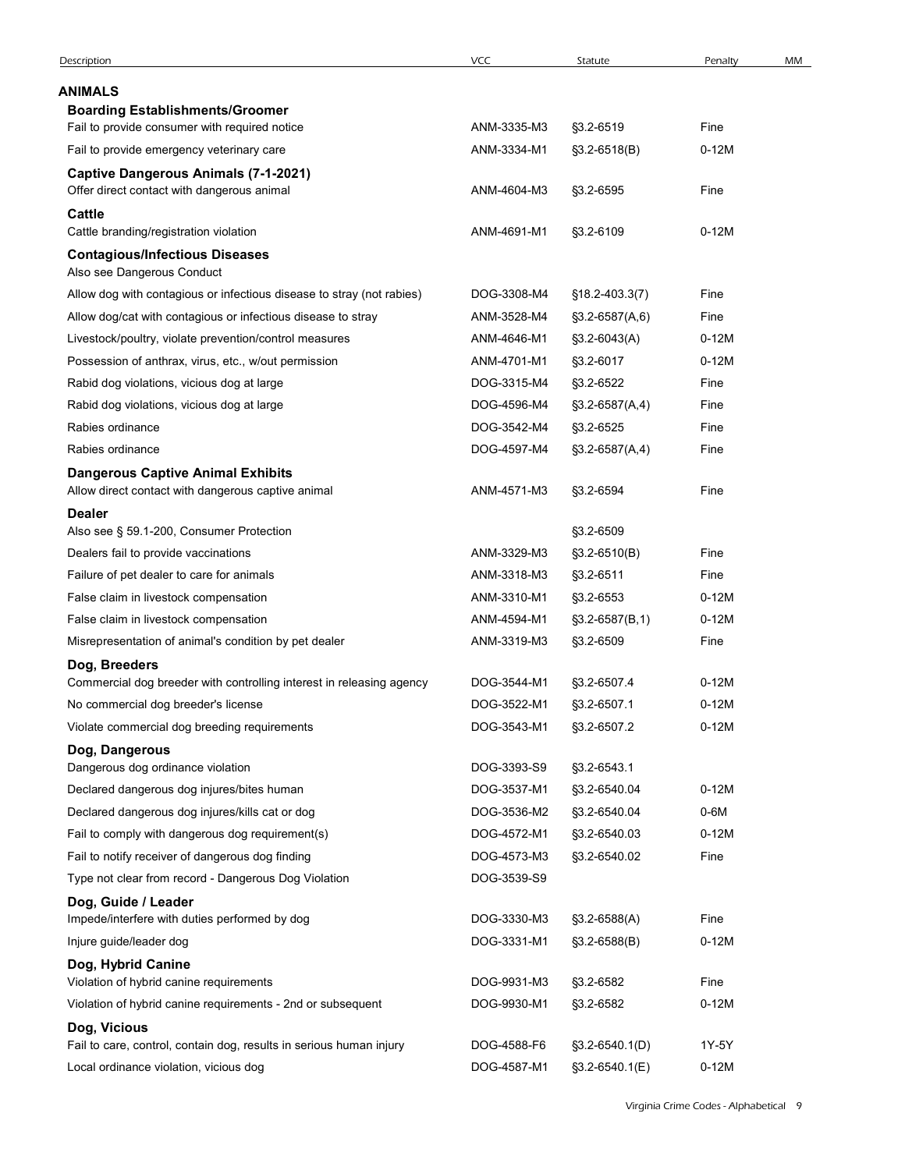|                                                                       | <b>VCC</b>  | Statute                     | Penalty   | MM |
|-----------------------------------------------------------------------|-------------|-----------------------------|-----------|----|
| ANIMALS                                                               |             |                             |           |    |
| <b>Boarding Establishments/Groomer</b>                                |             |                             |           |    |
| Fail to provide consumer with required notice                         | ANM-3335-M3 | §3.2-6519                   | Fine      |    |
| Fail to provide emergency veterinary care                             | ANM-3334-M1 | $$3.2-6518(B)$              | $0-12M$   |    |
| <b>Captive Dangerous Animals (7-1-2021)</b>                           |             |                             |           |    |
| Offer direct contact with dangerous animal                            | ANM-4604-M3 | §3.2-6595                   | Fine      |    |
| Cattle                                                                |             |                             |           |    |
| Cattle branding/registration violation                                | ANM-4691-M1 | §3.2-6109                   | $0-12M$   |    |
| <b>Contagious/Infectious Diseases</b><br>Also see Dangerous Conduct   |             |                             |           |    |
| Allow dog with contagious or infectious disease to stray (not rabies) | DOG-3308-M4 | §18.2-403.3(7)              | Fine      |    |
| Allow dog/cat with contagious or infectious disease to stray          | ANM-3528-M4 | $$3.2-6587(A, 6)$           | Fine      |    |
| Livestock/poultry, violate prevention/control measures                | ANM-4646-M1 | $$3.2-6043(A)$              | $0-12M$   |    |
| Possession of anthrax, virus, etc., w/out permission                  | ANM-4701-M1 | §3.2-6017                   | $0-12M$   |    |
| Rabid dog violations, vicious dog at large                            | DOG-3315-M4 | §3.2-6522                   | Fine      |    |
| Rabid dog violations, vicious dog at large                            | DOG-4596-M4 | $$3.2-6587(A,4)$            | Fine      |    |
| Rabies ordinance                                                      | DOG-3542-M4 | §3.2-6525                   | Fine      |    |
| Rabies ordinance                                                      | DOG-4597-M4 | $$3.2-6587(A,4)$            | Fine      |    |
| <b>Dangerous Captive Animal Exhibits</b>                              |             |                             |           |    |
| Allow direct contact with dangerous captive animal                    | ANM-4571-M3 | §3.2-6594                   | Fine      |    |
| <b>Dealer</b>                                                         |             |                             |           |    |
| Also see § 59.1-200, Consumer Protection                              |             | §3.2-6509                   |           |    |
| Dealers fail to provide vaccinations                                  | ANM-3329-M3 | §3.2-6510(B)                | Fine      |    |
| Failure of pet dealer to care for animals                             | ANM-3318-M3 | §3.2-6511                   | Fine      |    |
| False claim in livestock compensation                                 | ANM-3310-M1 | §3.2-6553                   | $0-12M$   |    |
| False claim in livestock compensation                                 | ANM-4594-M1 | $\S3.2 - 6587(B, 1)$        | $0-12M$   |    |
| Misrepresentation of animal's condition by pet dealer                 | ANM-3319-M3 | §3.2-6509                   | Fine      |    |
| Dog, Breeders                                                         |             |                             |           |    |
| Commercial dog breeder with controlling interest in releasing agency  | DOG-3544-M1 | §3.2-6507.4                 | $0-12M$   |    |
| No commercial dog breeder's license                                   | DOG-3522-M1 | §3.2-6507.1                 | $0-12M$   |    |
| Violate commercial dog breeding requirements                          | DOG-3543-M1 | §3.2-6507.2                 | $0-12M$   |    |
| Dog, Dangerous<br>Dangerous dog ordinance violation                   | DOG-3393-S9 | §3.2-6543.1                 |           |    |
| Declared dangerous dog injures/bites human                            | DOG-3537-M1 | §3.2-6540.04                | $0-12M$   |    |
| Declared dangerous dog injures/kills cat or dog                       | DOG-3536-M2 | §3.2-6540.04                | $0-6M$    |    |
| Fail to comply with dangerous dog requirement(s)                      | DOG-4572-M1 | §3.2-6540.03                | $0-12M$   |    |
| Fail to notify receiver of dangerous dog finding                      | DOG-4573-M3 | §3.2-6540.02                | Fine      |    |
| Type not clear from record - Dangerous Dog Violation                  | DOG-3539-S9 |                             |           |    |
| Dog, Guide / Leader                                                   |             |                             |           |    |
| Impede/interfere with duties performed by dog                         | DOG-3330-M3 | $$3.2-6588(A)$              | Fine      |    |
| Injure guide/leader dog                                               | DOG-3331-M1 | $$3.2-6588(B)$              | $0-12M$   |    |
| Dog, Hybrid Canine                                                    |             |                             |           |    |
| Violation of hybrid canine requirements                               | DOG-9931-M3 | §3.2-6582                   | Fine      |    |
| Violation of hybrid canine requirements - 2nd or subsequent           | DOG-9930-M1 | §3.2-6582                   | $0-12M$   |    |
| Dog, Vicious                                                          |             |                             |           |    |
| Fail to care, control, contain dog, results in serious human injury   | DOG-4588-F6 | $\S3.2 - 6540.1(D)$         | 1Y-5Y     |    |
| Local ordinance violation, vicious dog                                |             | DOG-4587-M1  §3.2-6540.1(E) | $0 - 12M$ |    |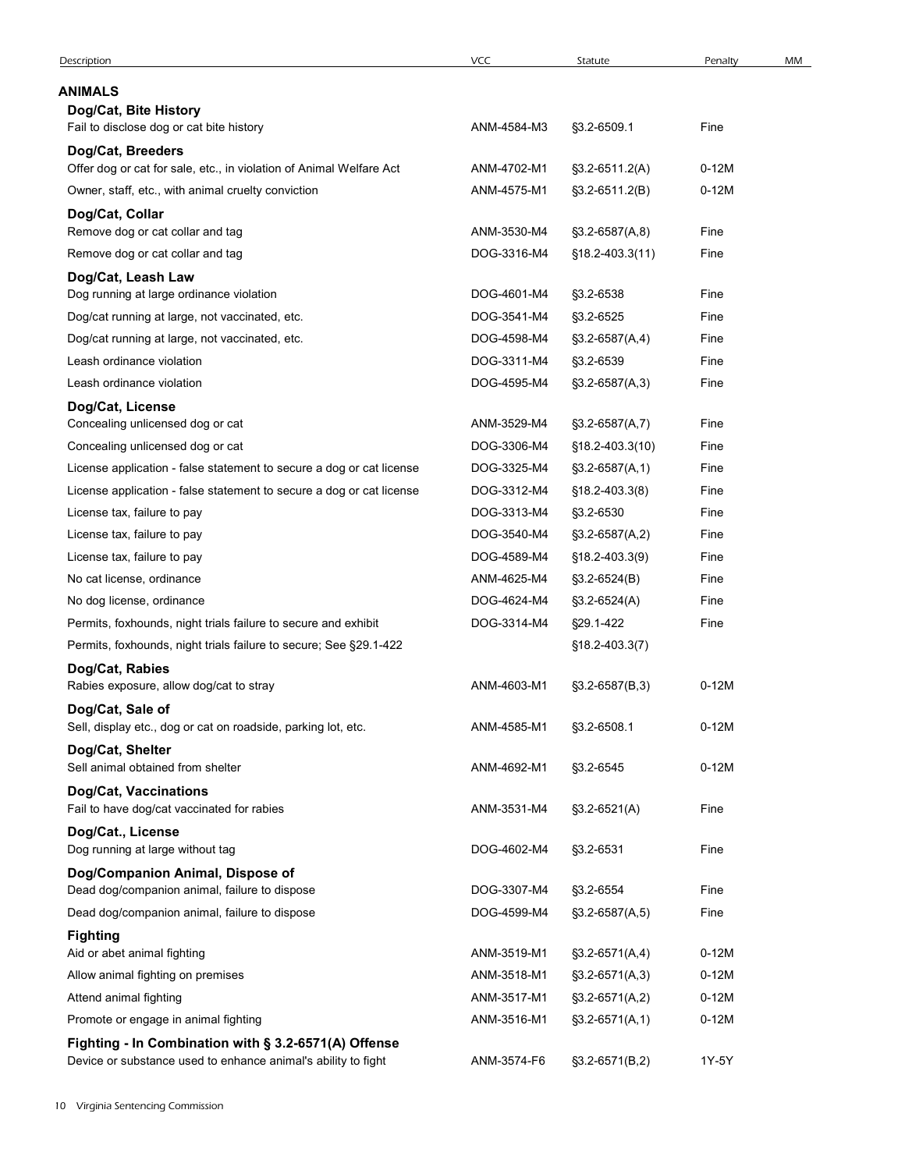| Description                                                                       | VCC         | Statute              | Penalty | MM |
|-----------------------------------------------------------------------------------|-------------|----------------------|---------|----|
| ANIMALS                                                                           |             |                      |         |    |
| Dog/Cat, Bite History                                                             |             |                      |         |    |
| Fail to disclose dog or cat bite history                                          | ANM-4584-M3 | §3.2-6509.1          | Fine    |    |
| Dog/Cat, Breeders                                                                 |             |                      |         |    |
| Offer dog or cat for sale, etc., in violation of Animal Welfare Act               | ANM-4702-M1 | $$3.2-6511.2(A)$     | $0-12M$ |    |
| Owner, staff, etc., with animal cruelty conviction                                | ANM-4575-M1 | §3.2-6511.2(B)       | $0-12M$ |    |
| Dog/Cat, Collar                                                                   |             |                      |         |    |
| Remove dog or cat collar and tag                                                  | ANM-3530-M4 | $$3.2-6587(A,8)$     | Fine    |    |
| Remove dog or cat collar and tag                                                  | DOG-3316-M4 | $$18.2 - 403.3(11)$  | Fine    |    |
| Dog/Cat, Leash Law                                                                |             |                      |         |    |
| Dog running at large ordinance violation                                          | DOG-4601-M4 | §3.2-6538            | Fine    |    |
| Dog/cat running at large, not vaccinated, etc.                                    | DOG-3541-M4 | §3.2-6525            | Fine    |    |
| Dog/cat running at large, not vaccinated, etc.                                    | DOG-4598-M4 | $$3.2-6587(A,4)$     | Fine    |    |
| Leash ordinance violation                                                         | DOG-3311-M4 | §3.2-6539            | Fine    |    |
| Leash ordinance violation                                                         | DOG-4595-M4 | $\S3.2 - 6587(A,3)$  | Fine    |    |
| Dog/Cat, License                                                                  |             |                      |         |    |
| Concealing unlicensed dog or cat                                                  | ANM-3529-M4 | $$3.2-6587(A,7)$     | Fine    |    |
| Concealing unlicensed dog or cat                                                  | DOG-3306-M4 | §18.2-403.3(10)      | Fine    |    |
| License application - false statement to secure a dog or cat license              | DOG-3325-M4 | $$3.2-6587(A,1)$     | Fine    |    |
| License application - false statement to secure a dog or cat license              | DOG-3312-M4 | $$18.2 - 403.3(8)$   | Fine    |    |
| License tax, failure to pay                                                       | DOG-3313-M4 | §3.2-6530            | Fine    |    |
| License tax, failure to pay                                                       | DOG-3540-M4 | $$3.2-6587(A,2)$     | Fine    |    |
| License tax, failure to pay                                                       | DOG-4589-M4 | $$18.2 - 403.3(9)$   | Fine    |    |
| No cat license, ordinance                                                         | ANM-4625-M4 | $$3.2-6524(B)$       | Fine    |    |
| No dog license, ordinance                                                         | DOG-4624-M4 | §3.2-6524(A)         | Fine    |    |
| Permits, foxhounds, night trials failure to secure and exhibit                    | DOG-3314-M4 | §29.1-422            | Fine    |    |
| Permits, foxhounds, night trials failure to secure; See §29.1-422                 |             | $$18.2 - 403.3(7)$   |         |    |
| Dog/Cat, Rabies<br>Rabies exposure, allow dog/cat to stray                        | ANM-4603-M1 | $$3.2-6587(B,3)$     | $0-12M$ |    |
| Dog/Cat, Sale of                                                                  |             |                      |         |    |
| Sell, display etc., dog or cat on roadside, parking lot, etc.                     | ANM-4585-M1 | §3.2-6508.1          | $0-12M$ |    |
| Dog/Cat, Shelter                                                                  |             |                      |         |    |
| Sell animal obtained from shelter                                                 | ANM-4692-M1 | §3.2-6545            | $0-12M$ |    |
| Dog/Cat, Vaccinations                                                             |             |                      |         |    |
| Fail to have dog/cat vaccinated for rabies                                        | ANM-3531-M4 | $$3.2-6521(A)$       | Fine    |    |
| Dog/Cat., License<br>Dog running at large without tag                             | DOG-4602-M4 | §3.2-6531            | Fine    |    |
|                                                                                   |             |                      |         |    |
| Dog/Companion Animal, Dispose of<br>Dead dog/companion animal, failure to dispose | DOG-3307-M4 | §3.2-6554            | Fine    |    |
| Dead dog/companion animal, failure to dispose                                     | DOG-4599-M4 | $\S3.2 - 6587(A, 5)$ | Fine    |    |
| <b>Fighting</b>                                                                   |             |                      |         |    |
| Aid or abet animal fighting                                                       | ANM-3519-M1 | $$3.2-6571(A,4)$     | $0-12M$ |    |
| Allow animal fighting on premises                                                 | ANM-3518-M1 | $$3.2-6571(A,3)$     | $0-12M$ |    |
| Attend animal fighting                                                            | ANM-3517-M1 | $$3.2-6571(A,2)$     | $0-12M$ |    |
| Promote or engage in animal fighting                                              | ANM-3516-M1 | $$3.2-6571(A,1)$     | $0-12M$ |    |
| Fighting - In Combination with § 3.2-6571(A) Offense                              |             |                      |         |    |
| Device or substance used to enhance animal's ability to fight                     | ANM-3574-F6 | $$3.2-6571(B,2)$     | 1Y-5Y   |    |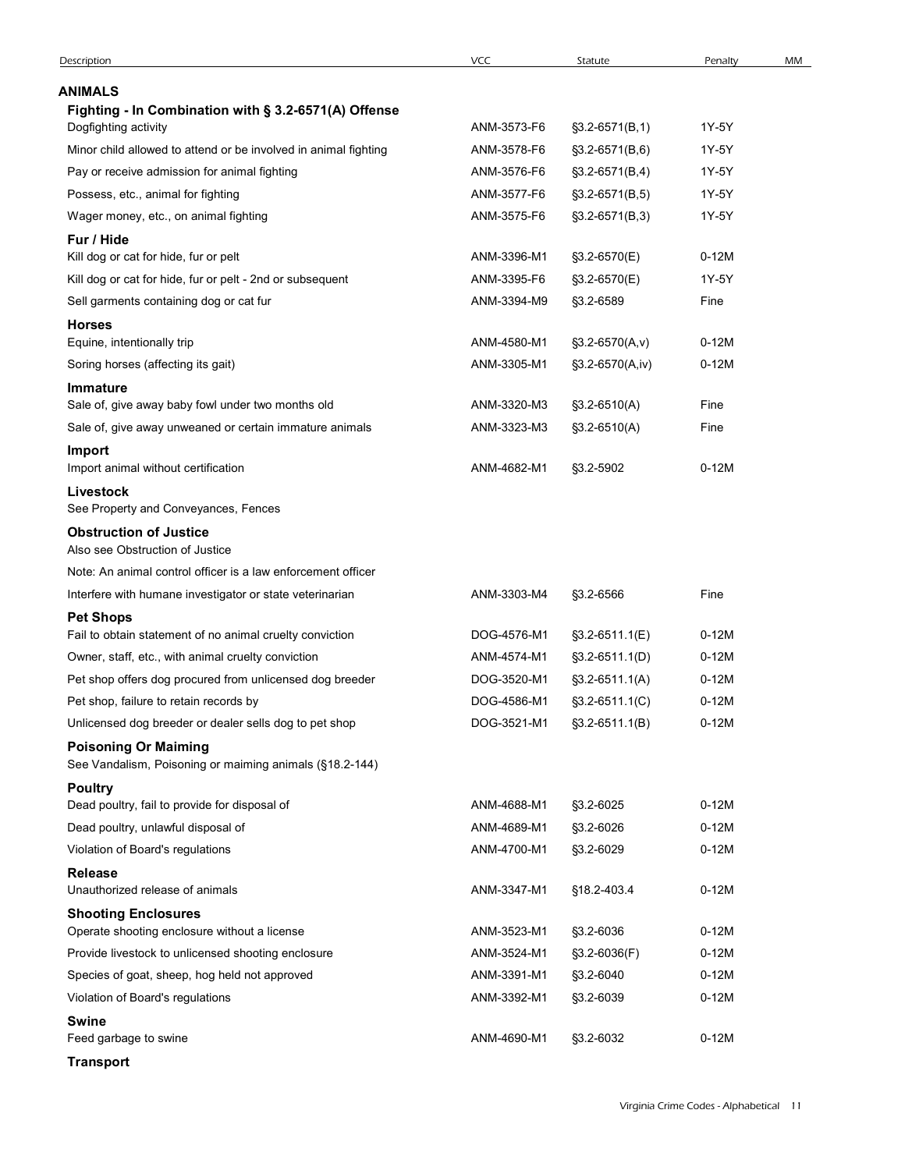| <b>Description</b>                                                                                  | VCC                        | Statute                   | Penalty            | MM |
|-----------------------------------------------------------------------------------------------------|----------------------------|---------------------------|--------------------|----|
| <b>ANIMALS</b><br>Fighting - In Combination with § 3.2-6571(A) Offense                              |                            |                           |                    |    |
| Dogfighting activity                                                                                | ANM-3573-F6                | $$3.2-6571(B,1)$          | 1Y-5Y              |    |
| Minor child allowed to attend or be involved in animal fighting                                     | ANM-3578-F6                | $$3.2-6571(B,6)$          | 1Y-5Y              |    |
| Pay or receive admission for animal fighting                                                        | ANM-3576-F6                | $\S3.2 - 6571(B, 4)$      | 1Y-5Y              |    |
| Possess, etc., animal for fighting                                                                  | ANM-3577-F6                | $$3.2-6571(B,5)$          | 1Y-5Y              |    |
| Wager money, etc., on animal fighting                                                               | ANM-3575-F6                | $\S3.2 - 6571(B,3)$       | 1Y-5Y              |    |
| Fur / Hide<br>Kill dog or cat for hide, fur or pelt                                                 | ANM-3396-M1                | §3.2-6570(E)              | $0-12M$            |    |
| Kill dog or cat for hide, fur or pelt - 2nd or subsequent                                           | ANM-3395-F6                | §3.2-6570(E)              | 1Y-5Y              |    |
| Sell garments containing dog or cat fur                                                             | ANM-3394-M9                | §3.2-6589                 | Fine               |    |
| <b>Horses</b>                                                                                       |                            |                           |                    |    |
| Equine, intentionally trip                                                                          | ANM-4580-M1                | $$3.2-6570(A,v)$          | $0-12M$            |    |
| Soring horses (affecting its gait)                                                                  | ANM-3305-M1                | §3.2-6570(A,iv)           | $0-12M$            |    |
| Immature<br>Sale of, give away baby fowl under two months old                                       | ANM-3320-M3                | $$3.2-6510(A)$            | Fine               |    |
| Sale of, give away unweaned or certain immature animals                                             | ANM-3323-M3                | $$3.2-6510(A)$            | Fine               |    |
| Import                                                                                              |                            |                           |                    |    |
| Import animal without certification                                                                 | ANM-4682-M1                | §3.2-5902                 | $0-12M$            |    |
| Livestock<br>See Property and Conveyances, Fences                                                   |                            |                           |                    |    |
| <b>Obstruction of Justice</b>                                                                       |                            |                           |                    |    |
| Also see Obstruction of Justice                                                                     |                            |                           |                    |    |
| Note: An animal control officer is a law enforcement officer                                        |                            |                           |                    |    |
| Interfere with humane investigator or state veterinarian                                            | ANM-3303-M4                | §3.2-6566                 | Fine               |    |
| <b>Pet Shops</b><br>Fail to obtain statement of no animal cruelty conviction                        | DOG-4576-M1                | §3.2-6511.1(E)            | $0-12M$            |    |
| Owner, staff, etc., with animal cruelty conviction                                                  | ANM-4574-M1                | $\S3.2 - 6511.1(D)$       | $0-12M$            |    |
| Pet shop offers dog procured from unlicensed dog breeder                                            | DOG-3520-M1                | $$3.2-6511.1(A)$          | $0-12M$            |    |
| Pet shop, failure to retain records by                                                              | DOG-4586-M1                | $$3.2-6511.1(C)$          | $0-12M$            |    |
| Unlicensed dog breeder or dealer sells dog to pet shop                                              | DOG-3521-M1                | $$3.2-6511.1(B)$          | $0-12M$            |    |
| <b>Poisoning Or Maiming</b><br>See Vandalism, Poisoning or maiming animals (§18.2-144)              |                            |                           |                    |    |
| <b>Poultry</b><br>Dead poultry, fail to provide for disposal of                                     | ANM-4688-M1                |                           | $0-12M$            |    |
| Dead poultry, unlawful disposal of                                                                  | ANM-4689-M1                | §3.2-6025<br>§3.2-6026    | $0-12M$            |    |
| Violation of Board's regulations                                                                    | ANM-4700-M1                | §3.2-6029                 | $0-12M$            |    |
| Release                                                                                             |                            |                           |                    |    |
| Unauthorized release of animals                                                                     | ANM-3347-M1                | §18.2-403.4               | $0-12M$            |    |
| <b>Shooting Enclosures</b>                                                                          |                            |                           |                    |    |
| Operate shooting enclosure without a license                                                        | ANM-3523-M1                | §3.2-6036                 | $0-12M$            |    |
| Provide livestock to unlicensed shooting enclosure<br>Species of goat, sheep, hog held not approved | ANM-3524-M1<br>ANM-3391-M1 | §3.2-6036(F)<br>§3.2-6040 | $0-12M$<br>$0-12M$ |    |
|                                                                                                     | ANM-3392-M1                | §3.2-6039                 | $0-12M$            |    |
|                                                                                                     |                            |                           |                    |    |
| Violation of Board's regulations<br><b>Swine</b>                                                    |                            |                           |                    |    |
| Feed garbage to swine<br><b>Transport</b>                                                           | ANM-4690-M1                | §3.2-6032                 | $0-12M$            |    |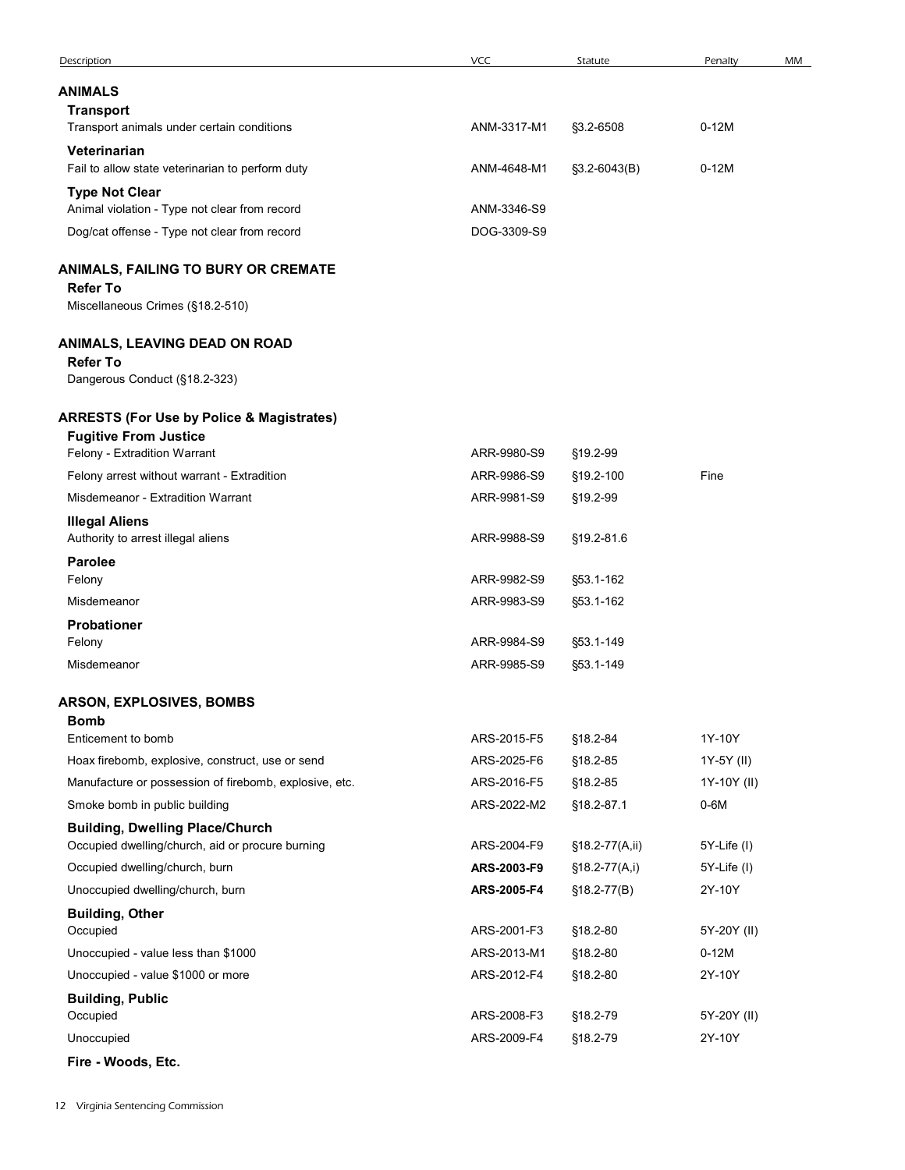| Description                                                                 | VCC                        | Statute               | Penalty              | MM |
|-----------------------------------------------------------------------------|----------------------------|-----------------------|----------------------|----|
| <b>ANIMALS</b>                                                              |                            |                       |                      |    |
| <b>Transport</b>                                                            |                            |                       |                      |    |
| Transport animals under certain conditions                                  | ANM-3317-M1                | §3.2-6508             | $0-12M$              |    |
| Veterinarian<br>Fail to allow state veterinarian to perform duty            | ANM-4648-M1                | $$3.2-6043(B)$        | $0-12M$              |    |
| <b>Type Not Clear</b>                                                       |                            |                       |                      |    |
| Animal violation - Type not clear from record                               | ANM-3346-S9                |                       |                      |    |
| Dog/cat offense - Type not clear from record                                | DOG-3309-S9                |                       |                      |    |
| ANIMALS, FAILING TO BURY OR CREMATE                                         |                            |                       |                      |    |
| <b>Refer To</b>                                                             |                            |                       |                      |    |
| Miscellaneous Crimes (§18.2-510)                                            |                            |                       |                      |    |
| ANIMALS, LEAVING DEAD ON ROAD                                               |                            |                       |                      |    |
| <b>Refer To</b>                                                             |                            |                       |                      |    |
| Dangerous Conduct (§18.2-323)                                               |                            |                       |                      |    |
| <b>ARRESTS (For Use by Police &amp; Magistrates)</b>                        |                            |                       |                      |    |
| <b>Fugitive From Justice</b>                                                | ARR-9980-S9                |                       |                      |    |
| Felony - Extradition Warrant<br>Felony arrest without warrant - Extradition | ARR-9986-S9                | §19.2-99<br>§19.2-100 | Fine                 |    |
| Misdemeanor - Extradition Warrant                                           | ARR-9981-S9                | §19.2-99              |                      |    |
| <b>Illegal Aliens</b>                                                       |                            |                       |                      |    |
| Authority to arrest illegal aliens                                          | ARR-9988-S9                | §19.2-81.6            |                      |    |
| <b>Parolee</b><br>Felony                                                    | ARR-9982-S9                | §53.1-162             |                      |    |
| Misdemeanor                                                                 | ARR-9983-S9                | §53.1-162             |                      |    |
| Probationer                                                                 |                            |                       |                      |    |
| Felony                                                                      | ARR-9984-S9                | §53.1-149             |                      |    |
| Misdemeanor                                                                 | ARR-9985-S9                | §53.1-149             |                      |    |
| <b>ARSON, EXPLOSIVES, BOMBS</b>                                             |                            |                       |                      |    |
| <b>Bomb</b>                                                                 |                            |                       |                      |    |
| Enticement to bomb<br>Hoax firebomb, explosive, construct, use or send      | ARS-2015-F5<br>ARS-2025-F6 | §18.2-84<br>§18.2-85  | 1Y-10Y<br>1Y-5Y (II) |    |
| Manufacture or possession of firebomb, explosive, etc.                      | ARS-2016-F5                | §18.2-85              | 1Y-10Y (II)          |    |
| Smoke bomb in public building                                               | ARS-2022-M2                | §18.2-87.1            | $0-6M$               |    |
| <b>Building, Dwelling Place/Church</b>                                      |                            |                       |                      |    |
| Occupied dwelling/church, aid or procure burning                            | ARS-2004-F9                | §18.2-77(A,ii)        | 5Y-Life (I)          |    |
| Occupied dwelling/church, burn                                              | ARS-2003-F9                | §18.2-77(A,i)         | 5Y-Life (I)          |    |
| Unoccupied dwelling/church, burn                                            | ARS-2005-F4                | $$18.2-77(B)$         | 2Y-10Y               |    |
| <b>Building, Other</b><br>Occupied                                          | ARS-2001-F3                | §18.2-80              | 5Y-20Y (II)          |    |
| Unoccupied - value less than \$1000                                         | ARS-2013-M1                | §18.2-80              | $0-12M$              |    |
| Unoccupied - value \$1000 or more                                           | ARS-2012-F4                | §18.2-80              | 2Y-10Y               |    |
| <b>Building, Public</b>                                                     |                            |                       |                      |    |
| Occupied                                                                    | ARS-2008-F3                | §18.2-79              | 5Y-20Y (II)          |    |
| Unoccupied<br>Fire - Woods, Etc.                                            | ARS-2009-F4                | §18.2-79              | 2Y-10Y               |    |
|                                                                             |                            |                       |                      |    |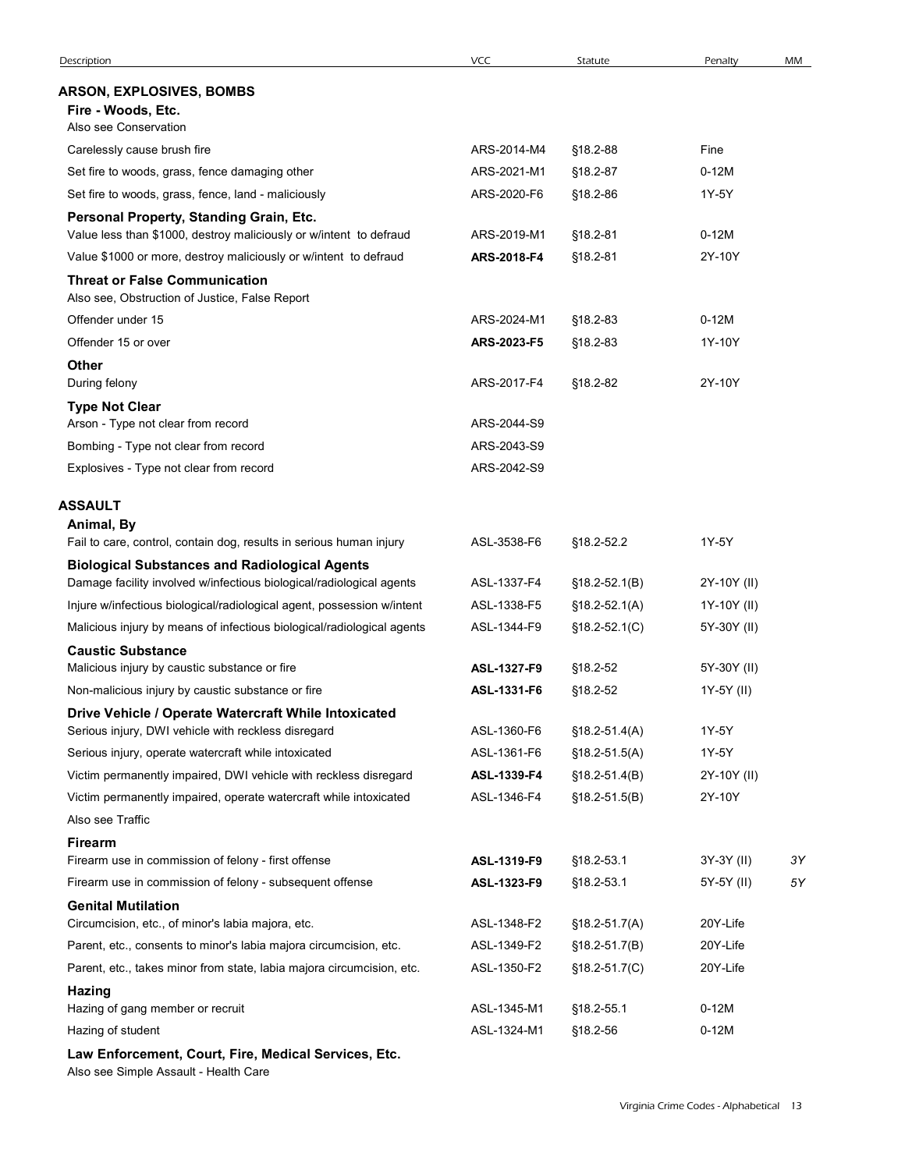| Description                                                                                                                 | <b>VCC</b>                 | Statute                  | Penalty                                | MM       |
|-----------------------------------------------------------------------------------------------------------------------------|----------------------------|--------------------------|----------------------------------------|----------|
| <b>ARSON, EXPLOSIVES, BOMBS</b><br>Fire - Woods, Etc.<br>Also see Conservation                                              |                            |                          |                                        |          |
| Carelessly cause brush fire                                                                                                 | ARS-2014-M4                | §18.2-88                 | Fine                                   |          |
| Set fire to woods, grass, fence damaging other                                                                              | ARS-2021-M1                | §18.2-87                 | $0-12M$                                |          |
| Set fire to woods, grass, fence, land - maliciously                                                                         | ARS-2020-F6                | §18.2-86                 | 1Y-5Y                                  |          |
| Personal Property, Standing Grain, Etc.<br>Value less than \$1000, destroy maliciously or w/intent to defraud               | ARS-2019-M1                | §18.2-81                 | $0-12M$                                |          |
| Value \$1000 or more, destroy maliciously or w/intent to defraud                                                            | ARS-2018-F4                | §18.2-81                 | 2Y-10Y                                 |          |
| <b>Threat or False Communication</b><br>Also see, Obstruction of Justice, False Report                                      |                            |                          |                                        |          |
| Offender under 15                                                                                                           | ARS-2024-M1                | §18.2-83                 | $0-12M$                                |          |
| Offender 15 or over                                                                                                         | ARS-2023-F5                | §18.2-83                 | 1Y-10Y                                 |          |
| <b>Other</b><br>During felony                                                                                               | ARS-2017-F4                | §18.2-82                 | 2Y-10Y                                 |          |
| <b>Type Not Clear</b>                                                                                                       |                            |                          |                                        |          |
| Arson - Type not clear from record                                                                                          | ARS-2044-S9                |                          |                                        |          |
| Bombing - Type not clear from record                                                                                        | ARS-2043-S9                |                          |                                        |          |
| Explosives - Type not clear from record                                                                                     | ARS-2042-S9                |                          |                                        |          |
| ASSAULT<br>Animal, By                                                                                                       |                            |                          |                                        |          |
| Fail to care, control, contain dog, results in serious human injury<br><b>Biological Substances and Radiological Agents</b> | ASL-3538-F6                | §18.2-52.2               | 1Y-5Y                                  |          |
| Damage facility involved w/infectious biological/radiological agents                                                        | ASL-1337-F4                | $$18.2 - 52.1(B)$        | 2Y-10Y (II)                            |          |
| Injure w/infectious biological/radiological agent, possession w/intent                                                      | ASL-1338-F5                | $$18.2 - 52.1(A)$        | 1Y-10Y (II)                            |          |
| Malicious injury by means of infectious biological/radiological agents                                                      | ASL-1344-F9                | $$18.2 - 52.1(C)$        | 5Y-30Y (II)                            |          |
| <b>Caustic Substance</b><br>Malicious injury by caustic substance or fire                                                   | ASL-1327-F9                | §18.2-52                 | 5Y-30Y (II)                            |          |
| Non-malicious injury by caustic substance or fire                                                                           | ASL-1331-F6                | §18.2-52                 | 1Y-5Y (II)                             |          |
| Drive Vehicle / Operate Watercraft While Intoxicated                                                                        |                            |                          |                                        |          |
| Serious injury, DWI vehicle with reckless disregard                                                                         | ASL-1360-F6                | $$18.2 - 51.4(A)$        | 1Y-5Y                                  |          |
| Serious injury, operate watercraft while intoxicated                                                                        | ASL-1361-F6                | $$18.2 - 51.5(A)$        | 1Y-5Y                                  |          |
| Victim permanently impaired, DWI vehicle with reckless disregard                                                            | ASL-1339-F4                | $$18.2 - 51.4(B)$        | 2Y-10Y (II)                            |          |
| Victim permanently impaired, operate watercraft while intoxicated                                                           | ASL-1346-F4                | $$18.2 - 51.5(B)$        | 2Y-10Y                                 |          |
| Also see Traffic                                                                                                            |                            |                          |                                        |          |
| <b>Firearm</b>                                                                                                              |                            |                          |                                        |          |
| Firearm use in commission of felony - first offense<br>Firearm use in commission of felony - subsequent offense             | ASL-1319-F9<br>ASL-1323-F9 | §18.2-53.1<br>§18.2-53.1 | 3Y-3Y (II)<br>5Y-5Y (II)               | 3Y<br>5Υ |
| <b>Genital Mutilation</b>                                                                                                   |                            |                          |                                        |          |
| Circumcision, etc., of minor's labia majora, etc.                                                                           | ASL-1348-F2                | $$18.2 - 51.7(A)$        | 20Y-Life                               |          |
| Parent, etc., consents to minor's labia majora circumcision, etc.                                                           | ASL-1349-F2                | $$18.2 - 51.7(B)$        | 20Y-Life                               |          |
| Parent, etc., takes minor from state, labia majora circumcision, etc.                                                       | ASL-1350-F2                | $$18.2 - 51.7(C)$        | 20Y-Life                               |          |
| Hazing<br>Hazing of gang member or recruit                                                                                  | ASL-1345-M1                | §18.2-55.1               | $0-12M$                                |          |
| Hazing of student                                                                                                           | ASL-1324-M1                | §18.2-56                 | $0-12M$                                |          |
| Law Enforcement, Court, Fire, Medical Services, Etc.<br>Also see Simple Assault - Health Care                               |                            |                          |                                        |          |
|                                                                                                                             |                            |                          | Virginia Crime Codes - Alphabetical 13 |          |
|                                                                                                                             |                            |                          |                                        |          |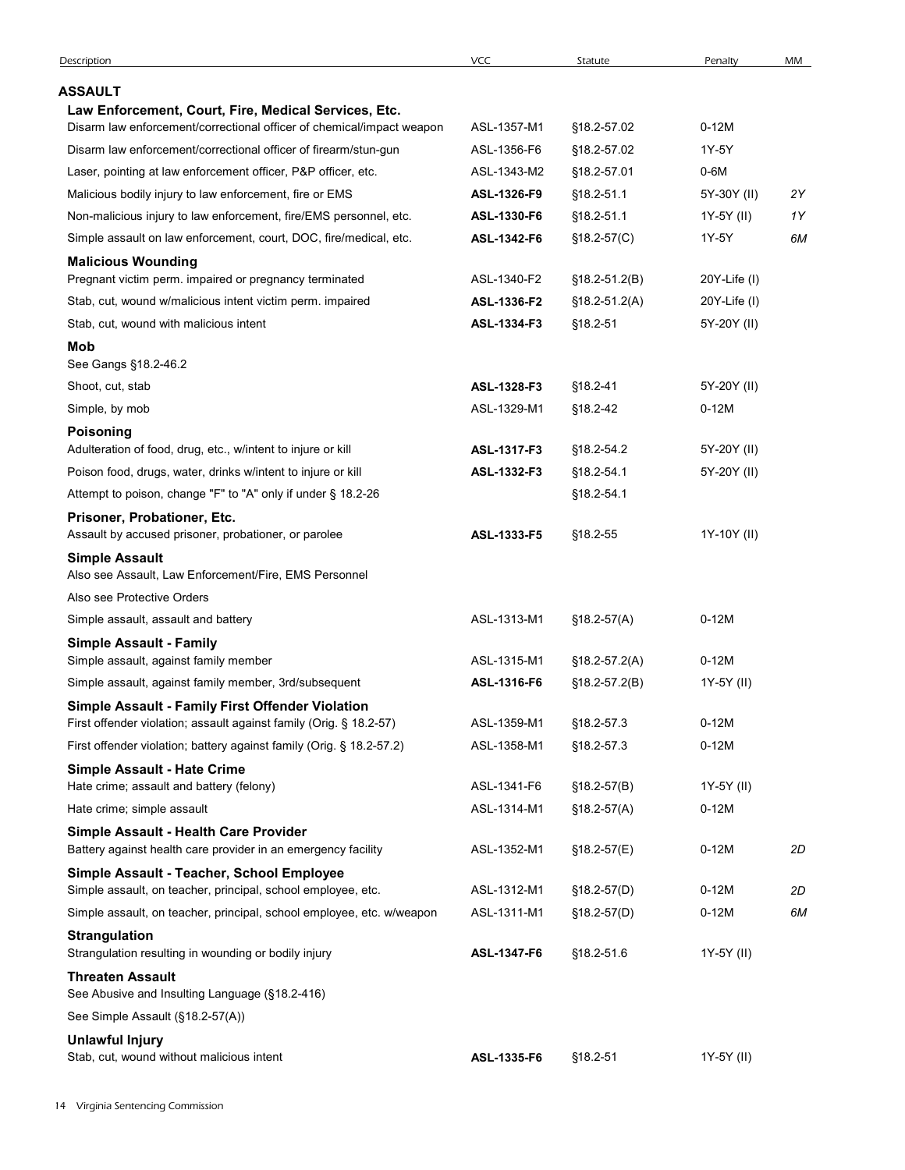| ASSAULT<br>Law Enforcement, Court, Fire, Medical Services, Etc.                                                        |             |                   |              |    |
|------------------------------------------------------------------------------------------------------------------------|-------------|-------------------|--------------|----|
|                                                                                                                        |             |                   |              |    |
|                                                                                                                        |             |                   |              |    |
| Disarm law enforcement/correctional officer of chemical/impact weapon                                                  | ASL-1357-M1 | §18.2-57.02       | $0-12M$      |    |
| Disarm law enforcement/correctional officer of firearm/stun-gun                                                        | ASL-1356-F6 | §18.2-57.02       | 1Y-5Y        |    |
| Laser, pointing at law enforcement officer, P&P officer, etc.                                                          | ASL-1343-M2 | §18.2-57.01       | 0-6M         |    |
| Malicious bodily injury to law enforcement, fire or EMS                                                                | ASL-1326-F9 | §18.2-51.1        | 5Y-30Y (II)  | 2Y |
| Non-malicious injury to law enforcement, fire/EMS personnel, etc.                                                      | ASL-1330-F6 | §18.2-51.1        | 1Y-5Y (II)   | 1Y |
| Simple assault on law enforcement, court, DOC, fire/medical, etc.                                                      | ASL-1342-F6 | $$18.2-57(C)$     | 1Y-5Y        | 6M |
| <b>Malicious Wounding</b><br>Pregnant victim perm. impaired or pregnancy terminated                                    | ASL-1340-F2 | $$18.2 - 51.2(B)$ | 20Y-Life (I) |    |
| Stab, cut, wound w/malicious intent victim perm. impaired                                                              | ASL-1336-F2 | $$18.2 - 51.2(A)$ | 20Y-Life (I) |    |
| Stab, cut, wound with malicious intent                                                                                 | ASL-1334-F3 | §18.2-51          | 5Y-20Y (II)  |    |
| Mob                                                                                                                    |             |                   |              |    |
| See Gangs §18.2-46.2                                                                                                   |             |                   |              |    |
| Shoot, cut, stab                                                                                                       | ASL-1328-F3 | §18.2-41          | 5Y-20Y (II)  |    |
| Simple, by mob                                                                                                         | ASL-1329-M1 | §18.2-42          | $0-12M$      |    |
| Poisoning                                                                                                              |             |                   |              |    |
| Adulteration of food, drug, etc., w/intent to injure or kill                                                           | ASL-1317-F3 | §18.2-54.2        | 5Y-20Y (II)  |    |
| Poison food, drugs, water, drinks w/intent to injure or kill                                                           | ASL-1332-F3 | §18.2-54.1        | 5Y-20Y (II)  |    |
| Attempt to poison, change "F" to "A" only if under § 18.2-26                                                           |             | §18.2-54.1        |              |    |
| Prisoner, Probationer, Etc.                                                                                            |             |                   |              |    |
| Assault by accused prisoner, probationer, or parolee                                                                   | ASL-1333-F5 | §18.2-55          | 1Y-10Y (II)  |    |
| <b>Simple Assault</b>                                                                                                  |             |                   |              |    |
| Also see Assault, Law Enforcement/Fire, EMS Personnel                                                                  |             |                   |              |    |
| Also see Protective Orders                                                                                             |             |                   |              |    |
| Simple assault, assault and battery                                                                                    | ASL-1313-M1 | $$18.2-57(A)$     | $0-12M$      |    |
| <b>Simple Assault - Family</b><br>Simple assault, against family member                                                | ASL-1315-M1 | $$18.2-57.2(A)$   | $0-12M$      |    |
| Simple assault, against family member, 3rd/subsequent                                                                  | ASL-1316-F6 | $$18.2-57.2(B)$   | 1Y-5Y (II)   |    |
|                                                                                                                        |             |                   |              |    |
| Simple Assault - Family First Offender Violation<br>First offender violation; assault against family (Orig. § 18.2-57) | ASL-1359-M1 | §18.2-57.3        | $0-12M$      |    |
| First offender violation; battery against family (Orig. § 18.2-57.2)                                                   | ASL-1358-M1 | §18.2-57.3        | $0-12M$      |    |
| Simple Assault - Hate Crime                                                                                            |             |                   |              |    |
| Hate crime; assault and battery (felony)                                                                               | ASL-1341-F6 | $$18.2-57(B)$     | 1Y-5Y (II)   |    |
| Hate crime; simple assault                                                                                             | ASL-1314-M1 | $$18.2-57(A)$     | $0-12M$      |    |
| Simple Assault - Health Care Provider                                                                                  |             |                   |              |    |
| Battery against health care provider in an emergency facility                                                          | ASL-1352-M1 | §18.2-57(E)       | $0-12M$      | 2D |
| Simple Assault - Teacher, School Employee                                                                              |             |                   |              |    |
| Simple assault, on teacher, principal, school employee, etc.                                                           | ASL-1312-M1 | $$18.2-57(D)$     | $0-12M$      | 2D |
| Simple assault, on teacher, principal, school employee, etc. w/weapon                                                  | ASL-1311-M1 | $$18.2-57(D)$     | $0-12M$      | 6M |
| <b>Strangulation</b>                                                                                                   |             |                   |              |    |
| Strangulation resulting in wounding or bodily injury                                                                   | ASL-1347-F6 | §18.2-51.6        | 1Y-5Y (II)   |    |
| <b>Threaten Assault</b>                                                                                                |             |                   |              |    |
| See Abusive and Insulting Language (§18.2-416)                                                                         |             |                   |              |    |
| See Simple Assault (§18.2-57(A))                                                                                       |             |                   |              |    |
| <b>Unlawful Injury</b><br>Stab, cut, wound without malicious intent                                                    | ASL-1335-F6 | §18.2-51          | 1Y-5Y (II)   |    |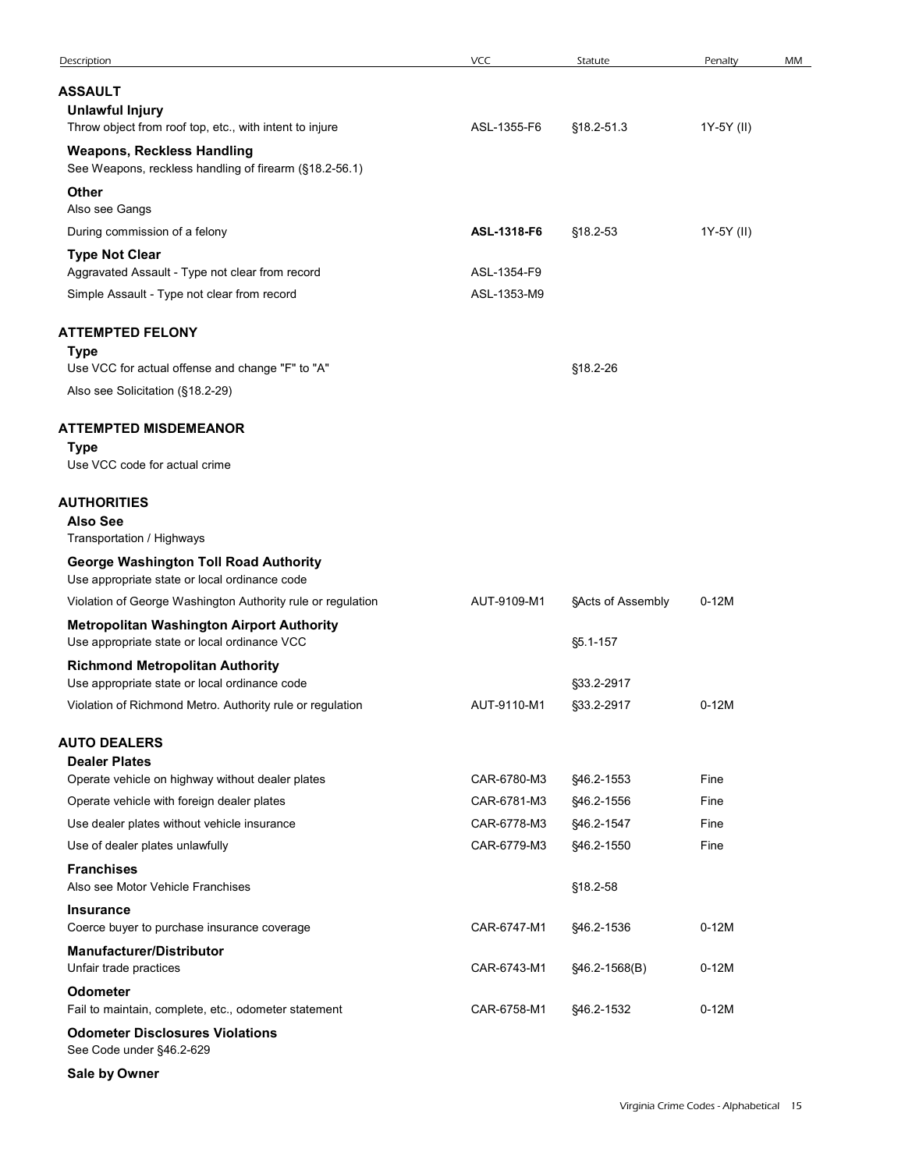| Description                                                                                                | VCC         | Statute                  | Penalty    | МM |
|------------------------------------------------------------------------------------------------------------|-------------|--------------------------|------------|----|
| <b>ASSAULT</b>                                                                                             |             |                          |            |    |
| <b>Unlawful Injury</b><br>Throw object from roof top, etc., with intent to injure                          | ASL-1355-F6 | §18.2-51.3               | 1Y-5Y (II) |    |
| <b>Weapons, Reckless Handling</b><br>See Weapons, reckless handling of firearm (§18.2-56.1)                |             |                          |            |    |
| Other                                                                                                      |             |                          |            |    |
| Also see Gangs<br>During commission of a felony                                                            | ASL-1318-F6 | §18.2-53                 | 1Y-5Y (II) |    |
| <b>Type Not Clear</b>                                                                                      |             |                          |            |    |
| Aggravated Assault - Type not clear from record                                                            | ASL-1354-F9 |                          |            |    |
| Simple Assault - Type not clear from record                                                                | ASL-1353-M9 |                          |            |    |
| <b>ATTEMPTED FELONY</b><br><b>Type</b>                                                                     |             |                          |            |    |
| Use VCC for actual offense and change "F" to "A"                                                           |             | §18.2-26                 |            |    |
| Also see Solicitation (§18.2-29)                                                                           |             |                          |            |    |
| <b>ATTEMPTED MISDEMEANOR</b>                                                                               |             |                          |            |    |
| <b>Type</b><br>Use VCC code for actual crime                                                               |             |                          |            |    |
| <b>AUTHORITIES</b><br><b>Also See</b><br>Transportation / Highways                                         |             |                          |            |    |
| <b>George Washington Toll Road Authority</b><br>Use appropriate state or local ordinance code              |             |                          |            |    |
| Violation of George Washington Authority rule or regulation                                                | AUT-9109-M1 | §Acts of Assembly        | $0-12M$    |    |
| <b>Metropolitan Washington Airport Authority</b><br>Use appropriate state or local ordinance VCC           |             | §5.1-157                 |            |    |
| <b>Richmond Metropolitan Authority</b>                                                                     |             |                          |            |    |
| Use appropriate state or local ordinance code<br>Violation of Richmond Metro. Authority rule or regulation | AUT-9110-M1 | §33.2-2917<br>§33.2-2917 | $0-12M$    |    |
|                                                                                                            |             |                          |            |    |
| <b>AUTO DEALERS</b><br><b>Dealer Plates</b>                                                                |             |                          |            |    |
| Operate vehicle on highway without dealer plates                                                           | CAR-6780-M3 | §46.2-1553               | Fine       |    |
| Operate vehicle with foreign dealer plates                                                                 | CAR-6781-M3 | §46.2-1556               | Fine       |    |
| Use dealer plates without vehicle insurance                                                                | CAR-6778-M3 | §46.2-1547               | Fine       |    |
| Use of dealer plates unlawfully                                                                            | CAR-6779-M3 | §46.2-1550               | Fine       |    |
| <b>Franchises</b><br>Also see Motor Vehicle Franchises                                                     |             | §18.2-58                 |            |    |
| <b>Insurance</b><br>Coerce buyer to purchase insurance coverage                                            | CAR-6747-M1 | §46.2-1536               | $0-12M$    |    |
| <b>Manufacturer/Distributor</b><br>Unfair trade practices                                                  | CAR-6743-M1 | §46.2-1568(B)            | $0-12M$    |    |
| Odometer<br>Fail to maintain, complete, etc., odometer statement                                           | CAR-6758-M1 | §46.2-1532               | $0-12M$    |    |
| <b>Odometer Disclosures Violations</b><br>See Code under §46.2-629                                         |             |                          |            |    |
| Sale by Owner                                                                                              |             |                          |            |    |
|                                                                                                            |             |                          |            |    |

Virginia Crime Codes - Alphabetical 15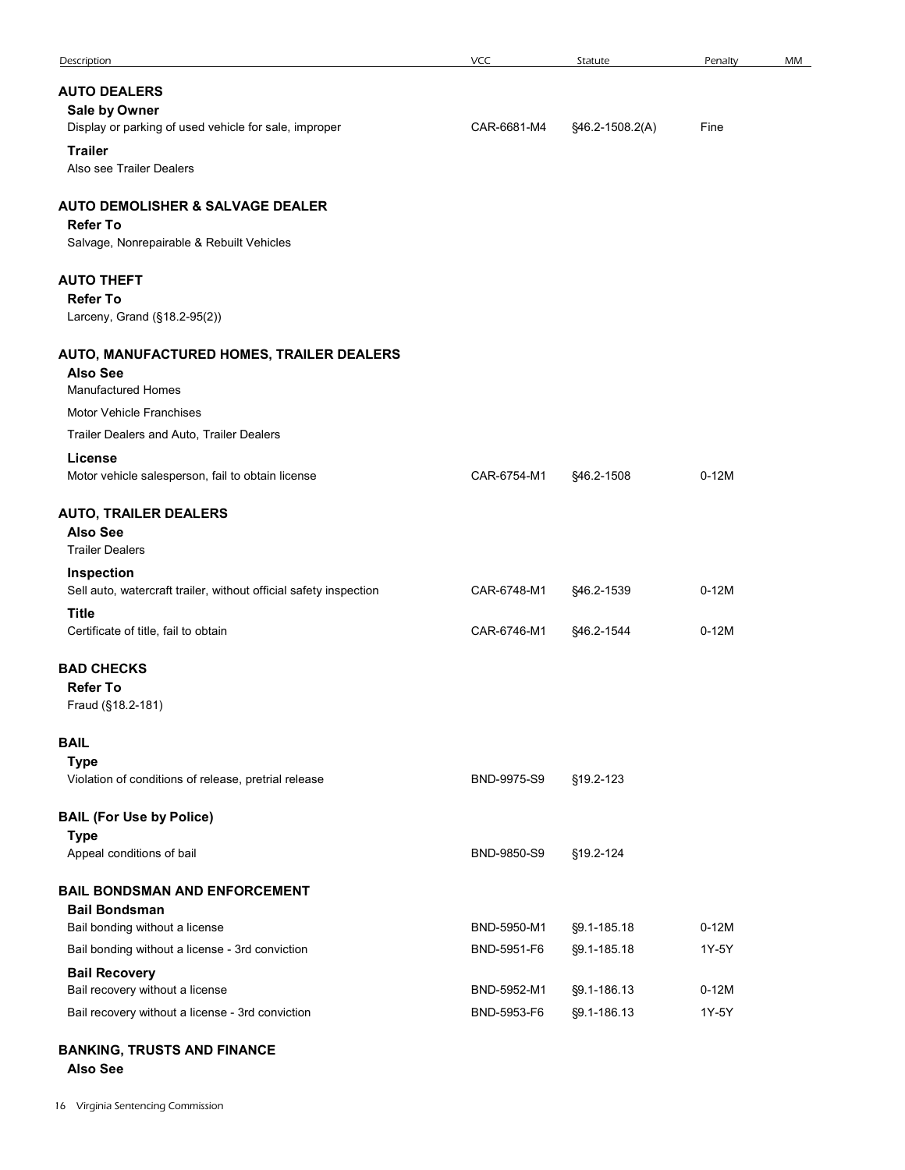| Description                                                                         | <b>VCC</b>                 | Statute                    | Penalty          | MM |
|-------------------------------------------------------------------------------------|----------------------------|----------------------------|------------------|----|
| <b>AUTO DEALERS</b>                                                                 |                            |                            |                  |    |
| Sale by Owner                                                                       |                            |                            |                  |    |
| Display or parking of used vehicle for sale, improper                               | CAR-6681-M4                | §46.2-1508.2(A)            | Fine             |    |
| <b>Trailer</b><br>Also see Trailer Dealers                                          |                            |                            |                  |    |
| <b>AUTO DEMOLISHER &amp; SALVAGE DEALER</b>                                         |                            |                            |                  |    |
| <b>Refer To</b>                                                                     |                            |                            |                  |    |
| Salvage, Nonrepairable & Rebuilt Vehicles                                           |                            |                            |                  |    |
| <b>AUTO THEFT</b>                                                                   |                            |                            |                  |    |
| <b>Refer To</b><br>Larceny, Grand (§18.2-95(2))                                     |                            |                            |                  |    |
| AUTO, MANUFACTURED HOMES, TRAILER DEALERS                                           |                            |                            |                  |    |
| <b>Also See</b>                                                                     |                            |                            |                  |    |
| Manufactured Homes                                                                  |                            |                            |                  |    |
| Motor Vehicle Franchises<br>Trailer Dealers and Auto, Trailer Dealers               |                            |                            |                  |    |
| License                                                                             |                            |                            |                  |    |
| Motor vehicle salesperson, fail to obtain license                                   | CAR-6754-M1                | §46.2-1508                 | $0-12M$          |    |
| <b>AUTO, TRAILER DEALERS</b>                                                        |                            |                            |                  |    |
| <b>Also See</b><br><b>Trailer Dealers</b>                                           |                            |                            |                  |    |
| Inspection                                                                          |                            |                            |                  |    |
| Sell auto, watercraft trailer, without official safety inspection                   | CAR-6748-M1                | §46.2-1539                 | $0-12M$          |    |
| Title<br>Certificate of title, fail to obtain                                       | CAR-6746-M1                | §46.2-1544                 | $0-12M$          |    |
|                                                                                     |                            |                            |                  |    |
| <b>BAD CHECKS</b><br><b>Refer To</b>                                                |                            |                            |                  |    |
| Fraud (§18.2-181)                                                                   |                            |                            |                  |    |
| <b>BAIL</b>                                                                         |                            |                            |                  |    |
| <b>Type</b>                                                                         |                            |                            |                  |    |
| Violation of conditions of release, pretrial release                                | BND-9975-S9                | §19.2-123                  |                  |    |
| <b>BAIL (For Use by Police)</b>                                                     |                            |                            |                  |    |
| <b>Type</b><br>Appeal conditions of bail                                            | BND-9850-S9                | §19.2-124                  |                  |    |
|                                                                                     |                            |                            |                  |    |
| <b>BAIL BONDSMAN AND ENFORCEMENT</b><br><b>Bail Bondsman</b>                        |                            |                            |                  |    |
| Bail bonding without a license                                                      | BND-5950-M1                | §9.1-185.18                | $0-12M$          |    |
| Bail bonding without a license - 3rd conviction                                     | BND-5951-F6                | §9.1-185.18                | 1Y-5Y            |    |
| <b>Bail Recovery</b>                                                                |                            |                            |                  |    |
| Bail recovery without a license<br>Bail recovery without a license - 3rd conviction | BND-5952-M1<br>BND-5953-F6 | §9.1-186.13<br>§9.1-186.13 | $0-12M$<br>1Y-5Y |    |
|                                                                                     |                            |                            |                  |    |
| <b>BANKING, TRUSTS AND FINANCE</b><br><b>Also See</b>                               |                            |                            |                  |    |
| 6 Virginia Sentencing Commission                                                    |                            |                            |                  |    |
|                                                                                     |                            |                            |                  |    |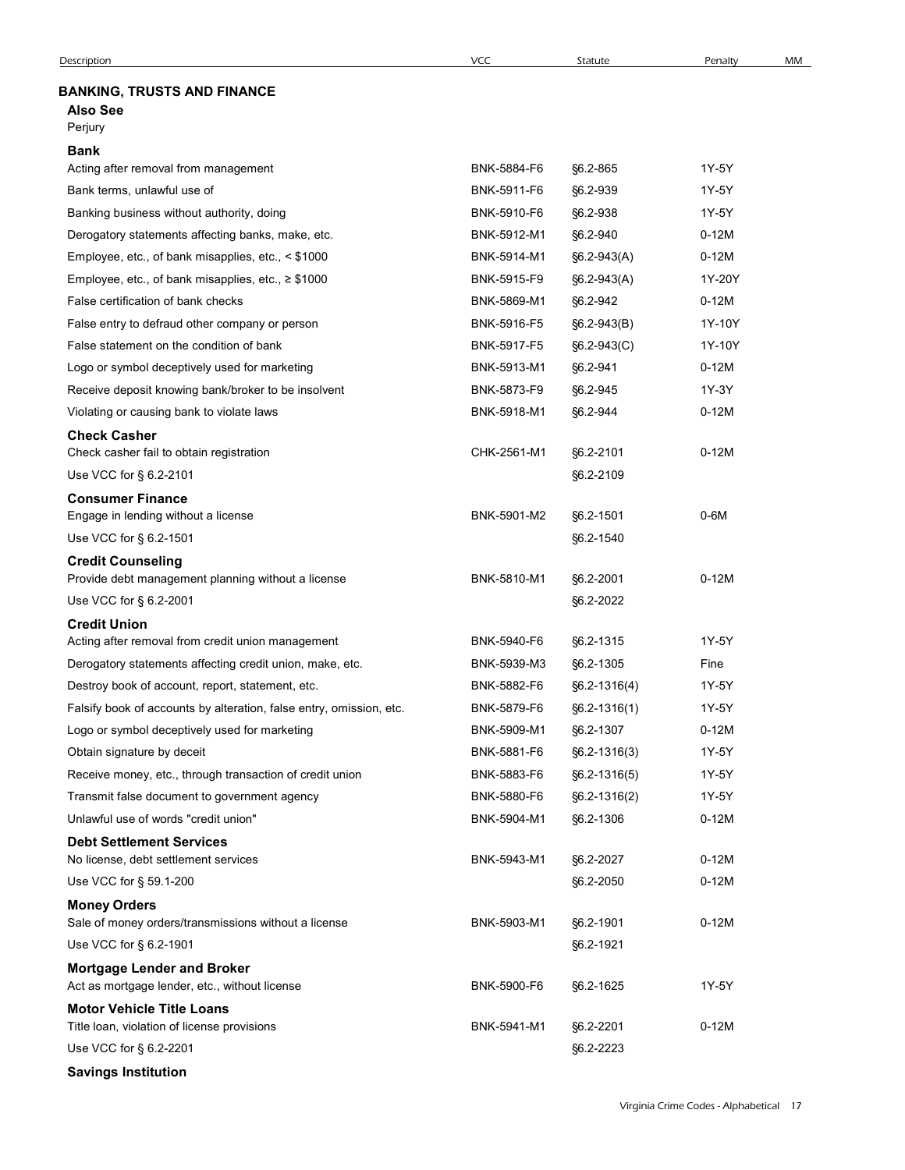# BANKING, TRUSTS AND FINANCE

# Also See

| <b>VCC</b><br><b>Description</b><br>Statute<br>Penalty<br><b>BANKING, TRUSTS AND FINANCE</b><br><b>Also See</b><br>Perjury<br><b>Bank</b><br>1Y-5Y<br>Acting after removal from management<br>BNK-5884-F6<br>§6.2-865<br>Bank terms, unlawful use of<br>BNK-5911-F6<br>§6.2-939<br>1Y-5Y<br>Banking business without authority, doing<br>BNK-5910-F6<br>§6.2-938<br>1Y-5Y<br>Derogatory statements affecting banks, make, etc.<br>BNK-5912-M1<br>§6.2-940<br>$0-12M$<br>$0-12M$<br>Employee, etc., of bank misapplies, etc., < \$1000<br>BNK-5914-M1<br>$§6.2-943(A)$<br>Employee, etc., of bank misapplies, etc., ≥ \$1000<br>BNK-5915-F9<br>1Y-20Y<br>$§6.2-943(A)$<br>False certification of bank checks<br>BNK-5869-M1<br>$0-12M$<br>§6.2-942<br>BNK-5916-F5<br>1Y-10Y<br>False entry to defraud other company or person<br>$§6.2-943(B)$<br>1Y-10Y<br>False statement on the condition of bank<br>BNK-5917-F5<br>$§6.2-943(C)$<br>Logo or symbol deceptively used for marketing<br>BNK-5913-M1<br>§6.2-941<br>$0-12M$<br>Receive deposit knowing bank/broker to be insolvent<br>BNK-5873-F9<br>§6.2-945<br>1Y-3Y<br>Violating or causing bank to violate laws<br>BNK-5918-M1<br>§6.2-944<br>$0-12M$<br><b>Check Casher</b><br>CHK-2561-M1<br>$0-12M$<br>Check casher fail to obtain registration<br>§6.2-2101<br>Use VCC for § 6.2-2101<br>§6.2-2109<br><b>Consumer Finance</b><br>$0-6M$<br>Engage in lending without a license<br>BNK-5901-M2<br>§6.2-1501<br>Use VCC for § 6.2-1501<br>§6.2-1540<br><b>Credit Counseling</b><br>$0-12M$<br>BNK-5810-M1<br>§6.2-2001<br>Provide debt management planning without a license<br>Use VCC for § 6.2-2001<br>§6.2-2022<br><b>Credit Union</b><br>1Y-5Y<br>Acting after removal from credit union management<br>BNK-5940-F6<br>§6.2-1315<br>Derogatory statements affecting credit union, make, etc.<br>BNK-5939-M3<br>§6.2-1305<br>Fine<br>1Y-5Y<br>Destroy book of account, report, statement, etc.<br>BNK-5882-F6<br>$§6.2 - 1316(4)$<br>1Y-5Y<br>Falsify book of accounts by alteration, false entry, omission, etc.<br>BNK-5879-F6<br>$§6.2 - 1316(1)$<br>$0-12M$<br>Logo or symbol deceptively used for marketing<br>BNK-5909-M1<br>§6.2-1307<br>1Y-5Y<br>Obtain signature by deceit<br>BNK-5881-F6<br>$§6.2 - 1316(3)$<br>Receive money, etc., through transaction of credit union<br>BNK-5883-F6<br>1Y-5Y<br>$§6.2 - 1316(5)$<br>1Y-5Y<br>Transmit false document to government agency<br>BNK-5880-F6<br>$§6.2 - 1316(2)$<br>Unlawful use of words "credit union"<br>BNK-5904-M1<br>$0-12M$<br>§6.2-1306<br><b>Debt Settlement Services</b><br>$0-12M$<br>No license, debt settlement services<br>BNK-5943-M1<br>§6.2-2027 |    |
|-------------------------------------------------------------------------------------------------------------------------------------------------------------------------------------------------------------------------------------------------------------------------------------------------------------------------------------------------------------------------------------------------------------------------------------------------------------------------------------------------------------------------------------------------------------------------------------------------------------------------------------------------------------------------------------------------------------------------------------------------------------------------------------------------------------------------------------------------------------------------------------------------------------------------------------------------------------------------------------------------------------------------------------------------------------------------------------------------------------------------------------------------------------------------------------------------------------------------------------------------------------------------------------------------------------------------------------------------------------------------------------------------------------------------------------------------------------------------------------------------------------------------------------------------------------------------------------------------------------------------------------------------------------------------------------------------------------------------------------------------------------------------------------------------------------------------------------------------------------------------------------------------------------------------------------------------------------------------------------------------------------------------------------------------------------------------------------------------------------------------------------------------------------------------------------------------------------------------------------------------------------------------------------------------------------------------------------------------------------------------------------------------------------------------------------------------------------------------------------------------------------------------------------------------------------------------------------------------------------------------------------------------------------------------------------|----|
|                                                                                                                                                                                                                                                                                                                                                                                                                                                                                                                                                                                                                                                                                                                                                                                                                                                                                                                                                                                                                                                                                                                                                                                                                                                                                                                                                                                                                                                                                                                                                                                                                                                                                                                                                                                                                                                                                                                                                                                                                                                                                                                                                                                                                                                                                                                                                                                                                                                                                                                                                                                                                                                                                     | MM |
|                                                                                                                                                                                                                                                                                                                                                                                                                                                                                                                                                                                                                                                                                                                                                                                                                                                                                                                                                                                                                                                                                                                                                                                                                                                                                                                                                                                                                                                                                                                                                                                                                                                                                                                                                                                                                                                                                                                                                                                                                                                                                                                                                                                                                                                                                                                                                                                                                                                                                                                                                                                                                                                                                     |    |
|                                                                                                                                                                                                                                                                                                                                                                                                                                                                                                                                                                                                                                                                                                                                                                                                                                                                                                                                                                                                                                                                                                                                                                                                                                                                                                                                                                                                                                                                                                                                                                                                                                                                                                                                                                                                                                                                                                                                                                                                                                                                                                                                                                                                                                                                                                                                                                                                                                                                                                                                                                                                                                                                                     |    |
|                                                                                                                                                                                                                                                                                                                                                                                                                                                                                                                                                                                                                                                                                                                                                                                                                                                                                                                                                                                                                                                                                                                                                                                                                                                                                                                                                                                                                                                                                                                                                                                                                                                                                                                                                                                                                                                                                                                                                                                                                                                                                                                                                                                                                                                                                                                                                                                                                                                                                                                                                                                                                                                                                     |    |
|                                                                                                                                                                                                                                                                                                                                                                                                                                                                                                                                                                                                                                                                                                                                                                                                                                                                                                                                                                                                                                                                                                                                                                                                                                                                                                                                                                                                                                                                                                                                                                                                                                                                                                                                                                                                                                                                                                                                                                                                                                                                                                                                                                                                                                                                                                                                                                                                                                                                                                                                                                                                                                                                                     |    |
|                                                                                                                                                                                                                                                                                                                                                                                                                                                                                                                                                                                                                                                                                                                                                                                                                                                                                                                                                                                                                                                                                                                                                                                                                                                                                                                                                                                                                                                                                                                                                                                                                                                                                                                                                                                                                                                                                                                                                                                                                                                                                                                                                                                                                                                                                                                                                                                                                                                                                                                                                                                                                                                                                     |    |
|                                                                                                                                                                                                                                                                                                                                                                                                                                                                                                                                                                                                                                                                                                                                                                                                                                                                                                                                                                                                                                                                                                                                                                                                                                                                                                                                                                                                                                                                                                                                                                                                                                                                                                                                                                                                                                                                                                                                                                                                                                                                                                                                                                                                                                                                                                                                                                                                                                                                                                                                                                                                                                                                                     |    |
|                                                                                                                                                                                                                                                                                                                                                                                                                                                                                                                                                                                                                                                                                                                                                                                                                                                                                                                                                                                                                                                                                                                                                                                                                                                                                                                                                                                                                                                                                                                                                                                                                                                                                                                                                                                                                                                                                                                                                                                                                                                                                                                                                                                                                                                                                                                                                                                                                                                                                                                                                                                                                                                                                     |    |
|                                                                                                                                                                                                                                                                                                                                                                                                                                                                                                                                                                                                                                                                                                                                                                                                                                                                                                                                                                                                                                                                                                                                                                                                                                                                                                                                                                                                                                                                                                                                                                                                                                                                                                                                                                                                                                                                                                                                                                                                                                                                                                                                                                                                                                                                                                                                                                                                                                                                                                                                                                                                                                                                                     |    |
|                                                                                                                                                                                                                                                                                                                                                                                                                                                                                                                                                                                                                                                                                                                                                                                                                                                                                                                                                                                                                                                                                                                                                                                                                                                                                                                                                                                                                                                                                                                                                                                                                                                                                                                                                                                                                                                                                                                                                                                                                                                                                                                                                                                                                                                                                                                                                                                                                                                                                                                                                                                                                                                                                     |    |
|                                                                                                                                                                                                                                                                                                                                                                                                                                                                                                                                                                                                                                                                                                                                                                                                                                                                                                                                                                                                                                                                                                                                                                                                                                                                                                                                                                                                                                                                                                                                                                                                                                                                                                                                                                                                                                                                                                                                                                                                                                                                                                                                                                                                                                                                                                                                                                                                                                                                                                                                                                                                                                                                                     |    |
|                                                                                                                                                                                                                                                                                                                                                                                                                                                                                                                                                                                                                                                                                                                                                                                                                                                                                                                                                                                                                                                                                                                                                                                                                                                                                                                                                                                                                                                                                                                                                                                                                                                                                                                                                                                                                                                                                                                                                                                                                                                                                                                                                                                                                                                                                                                                                                                                                                                                                                                                                                                                                                                                                     |    |
|                                                                                                                                                                                                                                                                                                                                                                                                                                                                                                                                                                                                                                                                                                                                                                                                                                                                                                                                                                                                                                                                                                                                                                                                                                                                                                                                                                                                                                                                                                                                                                                                                                                                                                                                                                                                                                                                                                                                                                                                                                                                                                                                                                                                                                                                                                                                                                                                                                                                                                                                                                                                                                                                                     |    |
|                                                                                                                                                                                                                                                                                                                                                                                                                                                                                                                                                                                                                                                                                                                                                                                                                                                                                                                                                                                                                                                                                                                                                                                                                                                                                                                                                                                                                                                                                                                                                                                                                                                                                                                                                                                                                                                                                                                                                                                                                                                                                                                                                                                                                                                                                                                                                                                                                                                                                                                                                                                                                                                                                     |    |
|                                                                                                                                                                                                                                                                                                                                                                                                                                                                                                                                                                                                                                                                                                                                                                                                                                                                                                                                                                                                                                                                                                                                                                                                                                                                                                                                                                                                                                                                                                                                                                                                                                                                                                                                                                                                                                                                                                                                                                                                                                                                                                                                                                                                                                                                                                                                                                                                                                                                                                                                                                                                                                                                                     |    |
|                                                                                                                                                                                                                                                                                                                                                                                                                                                                                                                                                                                                                                                                                                                                                                                                                                                                                                                                                                                                                                                                                                                                                                                                                                                                                                                                                                                                                                                                                                                                                                                                                                                                                                                                                                                                                                                                                                                                                                                                                                                                                                                                                                                                                                                                                                                                                                                                                                                                                                                                                                                                                                                                                     |    |
|                                                                                                                                                                                                                                                                                                                                                                                                                                                                                                                                                                                                                                                                                                                                                                                                                                                                                                                                                                                                                                                                                                                                                                                                                                                                                                                                                                                                                                                                                                                                                                                                                                                                                                                                                                                                                                                                                                                                                                                                                                                                                                                                                                                                                                                                                                                                                                                                                                                                                                                                                                                                                                                                                     |    |
|                                                                                                                                                                                                                                                                                                                                                                                                                                                                                                                                                                                                                                                                                                                                                                                                                                                                                                                                                                                                                                                                                                                                                                                                                                                                                                                                                                                                                                                                                                                                                                                                                                                                                                                                                                                                                                                                                                                                                                                                                                                                                                                                                                                                                                                                                                                                                                                                                                                                                                                                                                                                                                                                                     |    |
|                                                                                                                                                                                                                                                                                                                                                                                                                                                                                                                                                                                                                                                                                                                                                                                                                                                                                                                                                                                                                                                                                                                                                                                                                                                                                                                                                                                                                                                                                                                                                                                                                                                                                                                                                                                                                                                                                                                                                                                                                                                                                                                                                                                                                                                                                                                                                                                                                                                                                                                                                                                                                                                                                     |    |
|                                                                                                                                                                                                                                                                                                                                                                                                                                                                                                                                                                                                                                                                                                                                                                                                                                                                                                                                                                                                                                                                                                                                                                                                                                                                                                                                                                                                                                                                                                                                                                                                                                                                                                                                                                                                                                                                                                                                                                                                                                                                                                                                                                                                                                                                                                                                                                                                                                                                                                                                                                                                                                                                                     |    |
|                                                                                                                                                                                                                                                                                                                                                                                                                                                                                                                                                                                                                                                                                                                                                                                                                                                                                                                                                                                                                                                                                                                                                                                                                                                                                                                                                                                                                                                                                                                                                                                                                                                                                                                                                                                                                                                                                                                                                                                                                                                                                                                                                                                                                                                                                                                                                                                                                                                                                                                                                                                                                                                                                     |    |
|                                                                                                                                                                                                                                                                                                                                                                                                                                                                                                                                                                                                                                                                                                                                                                                                                                                                                                                                                                                                                                                                                                                                                                                                                                                                                                                                                                                                                                                                                                                                                                                                                                                                                                                                                                                                                                                                                                                                                                                                                                                                                                                                                                                                                                                                                                                                                                                                                                                                                                                                                                                                                                                                                     |    |
|                                                                                                                                                                                                                                                                                                                                                                                                                                                                                                                                                                                                                                                                                                                                                                                                                                                                                                                                                                                                                                                                                                                                                                                                                                                                                                                                                                                                                                                                                                                                                                                                                                                                                                                                                                                                                                                                                                                                                                                                                                                                                                                                                                                                                                                                                                                                                                                                                                                                                                                                                                                                                                                                                     |    |
|                                                                                                                                                                                                                                                                                                                                                                                                                                                                                                                                                                                                                                                                                                                                                                                                                                                                                                                                                                                                                                                                                                                                                                                                                                                                                                                                                                                                                                                                                                                                                                                                                                                                                                                                                                                                                                                                                                                                                                                                                                                                                                                                                                                                                                                                                                                                                                                                                                                                                                                                                                                                                                                                                     |    |
|                                                                                                                                                                                                                                                                                                                                                                                                                                                                                                                                                                                                                                                                                                                                                                                                                                                                                                                                                                                                                                                                                                                                                                                                                                                                                                                                                                                                                                                                                                                                                                                                                                                                                                                                                                                                                                                                                                                                                                                                                                                                                                                                                                                                                                                                                                                                                                                                                                                                                                                                                                                                                                                                                     |    |
|                                                                                                                                                                                                                                                                                                                                                                                                                                                                                                                                                                                                                                                                                                                                                                                                                                                                                                                                                                                                                                                                                                                                                                                                                                                                                                                                                                                                                                                                                                                                                                                                                                                                                                                                                                                                                                                                                                                                                                                                                                                                                                                                                                                                                                                                                                                                                                                                                                                                                                                                                                                                                                                                                     |    |
|                                                                                                                                                                                                                                                                                                                                                                                                                                                                                                                                                                                                                                                                                                                                                                                                                                                                                                                                                                                                                                                                                                                                                                                                                                                                                                                                                                                                                                                                                                                                                                                                                                                                                                                                                                                                                                                                                                                                                                                                                                                                                                                                                                                                                                                                                                                                                                                                                                                                                                                                                                                                                                                                                     |    |
|                                                                                                                                                                                                                                                                                                                                                                                                                                                                                                                                                                                                                                                                                                                                                                                                                                                                                                                                                                                                                                                                                                                                                                                                                                                                                                                                                                                                                                                                                                                                                                                                                                                                                                                                                                                                                                                                                                                                                                                                                                                                                                                                                                                                                                                                                                                                                                                                                                                                                                                                                                                                                                                                                     |    |
|                                                                                                                                                                                                                                                                                                                                                                                                                                                                                                                                                                                                                                                                                                                                                                                                                                                                                                                                                                                                                                                                                                                                                                                                                                                                                                                                                                                                                                                                                                                                                                                                                                                                                                                                                                                                                                                                                                                                                                                                                                                                                                                                                                                                                                                                                                                                                                                                                                                                                                                                                                                                                                                                                     |    |
|                                                                                                                                                                                                                                                                                                                                                                                                                                                                                                                                                                                                                                                                                                                                                                                                                                                                                                                                                                                                                                                                                                                                                                                                                                                                                                                                                                                                                                                                                                                                                                                                                                                                                                                                                                                                                                                                                                                                                                                                                                                                                                                                                                                                                                                                                                                                                                                                                                                                                                                                                                                                                                                                                     |    |
|                                                                                                                                                                                                                                                                                                                                                                                                                                                                                                                                                                                                                                                                                                                                                                                                                                                                                                                                                                                                                                                                                                                                                                                                                                                                                                                                                                                                                                                                                                                                                                                                                                                                                                                                                                                                                                                                                                                                                                                                                                                                                                                                                                                                                                                                                                                                                                                                                                                                                                                                                                                                                                                                                     |    |
|                                                                                                                                                                                                                                                                                                                                                                                                                                                                                                                                                                                                                                                                                                                                                                                                                                                                                                                                                                                                                                                                                                                                                                                                                                                                                                                                                                                                                                                                                                                                                                                                                                                                                                                                                                                                                                                                                                                                                                                                                                                                                                                                                                                                                                                                                                                                                                                                                                                                                                                                                                                                                                                                                     |    |
|                                                                                                                                                                                                                                                                                                                                                                                                                                                                                                                                                                                                                                                                                                                                                                                                                                                                                                                                                                                                                                                                                                                                                                                                                                                                                                                                                                                                                                                                                                                                                                                                                                                                                                                                                                                                                                                                                                                                                                                                                                                                                                                                                                                                                                                                                                                                                                                                                                                                                                                                                                                                                                                                                     |    |
|                                                                                                                                                                                                                                                                                                                                                                                                                                                                                                                                                                                                                                                                                                                                                                                                                                                                                                                                                                                                                                                                                                                                                                                                                                                                                                                                                                                                                                                                                                                                                                                                                                                                                                                                                                                                                                                                                                                                                                                                                                                                                                                                                                                                                                                                                                                                                                                                                                                                                                                                                                                                                                                                                     |    |
| $0-12M$<br>Use VCC for § 59.1-200<br>§6.2-2050                                                                                                                                                                                                                                                                                                                                                                                                                                                                                                                                                                                                                                                                                                                                                                                                                                                                                                                                                                                                                                                                                                                                                                                                                                                                                                                                                                                                                                                                                                                                                                                                                                                                                                                                                                                                                                                                                                                                                                                                                                                                                                                                                                                                                                                                                                                                                                                                                                                                                                                                                                                                                                      |    |
| <b>Money Orders</b>                                                                                                                                                                                                                                                                                                                                                                                                                                                                                                                                                                                                                                                                                                                                                                                                                                                                                                                                                                                                                                                                                                                                                                                                                                                                                                                                                                                                                                                                                                                                                                                                                                                                                                                                                                                                                                                                                                                                                                                                                                                                                                                                                                                                                                                                                                                                                                                                                                                                                                                                                                                                                                                                 |    |
| $0-12M$<br>Sale of money orders/transmissions without a license<br>BNK-5903-M1<br>§6.2-1901                                                                                                                                                                                                                                                                                                                                                                                                                                                                                                                                                                                                                                                                                                                                                                                                                                                                                                                                                                                                                                                                                                                                                                                                                                                                                                                                                                                                                                                                                                                                                                                                                                                                                                                                                                                                                                                                                                                                                                                                                                                                                                                                                                                                                                                                                                                                                                                                                                                                                                                                                                                         |    |
| Use VCC for § 6.2-1901<br>§6.2-1921                                                                                                                                                                                                                                                                                                                                                                                                                                                                                                                                                                                                                                                                                                                                                                                                                                                                                                                                                                                                                                                                                                                                                                                                                                                                                                                                                                                                                                                                                                                                                                                                                                                                                                                                                                                                                                                                                                                                                                                                                                                                                                                                                                                                                                                                                                                                                                                                                                                                                                                                                                                                                                                 |    |
| <b>Mortgage Lender and Broker</b>                                                                                                                                                                                                                                                                                                                                                                                                                                                                                                                                                                                                                                                                                                                                                                                                                                                                                                                                                                                                                                                                                                                                                                                                                                                                                                                                                                                                                                                                                                                                                                                                                                                                                                                                                                                                                                                                                                                                                                                                                                                                                                                                                                                                                                                                                                                                                                                                                                                                                                                                                                                                                                                   |    |
| 1Y-5Y<br>Act as mortgage lender, etc., without license<br>BNK-5900-F6<br>§6.2-1625                                                                                                                                                                                                                                                                                                                                                                                                                                                                                                                                                                                                                                                                                                                                                                                                                                                                                                                                                                                                                                                                                                                                                                                                                                                                                                                                                                                                                                                                                                                                                                                                                                                                                                                                                                                                                                                                                                                                                                                                                                                                                                                                                                                                                                                                                                                                                                                                                                                                                                                                                                                                  |    |
| <b>Motor Vehicle Title Loans</b>                                                                                                                                                                                                                                                                                                                                                                                                                                                                                                                                                                                                                                                                                                                                                                                                                                                                                                                                                                                                                                                                                                                                                                                                                                                                                                                                                                                                                                                                                                                                                                                                                                                                                                                                                                                                                                                                                                                                                                                                                                                                                                                                                                                                                                                                                                                                                                                                                                                                                                                                                                                                                                                    |    |
| $0-12M$<br>Title loan, violation of license provisions<br>BNK-5941-M1<br>§6.2-2201                                                                                                                                                                                                                                                                                                                                                                                                                                                                                                                                                                                                                                                                                                                                                                                                                                                                                                                                                                                                                                                                                                                                                                                                                                                                                                                                                                                                                                                                                                                                                                                                                                                                                                                                                                                                                                                                                                                                                                                                                                                                                                                                                                                                                                                                                                                                                                                                                                                                                                                                                                                                  |    |
| Use VCC for § 6.2-2201<br>§6.2-2223<br><b>Savings Institution</b>                                                                                                                                                                                                                                                                                                                                                                                                                                                                                                                                                                                                                                                                                                                                                                                                                                                                                                                                                                                                                                                                                                                                                                                                                                                                                                                                                                                                                                                                                                                                                                                                                                                                                                                                                                                                                                                                                                                                                                                                                                                                                                                                                                                                                                                                                                                                                                                                                                                                                                                                                                                                                   |    |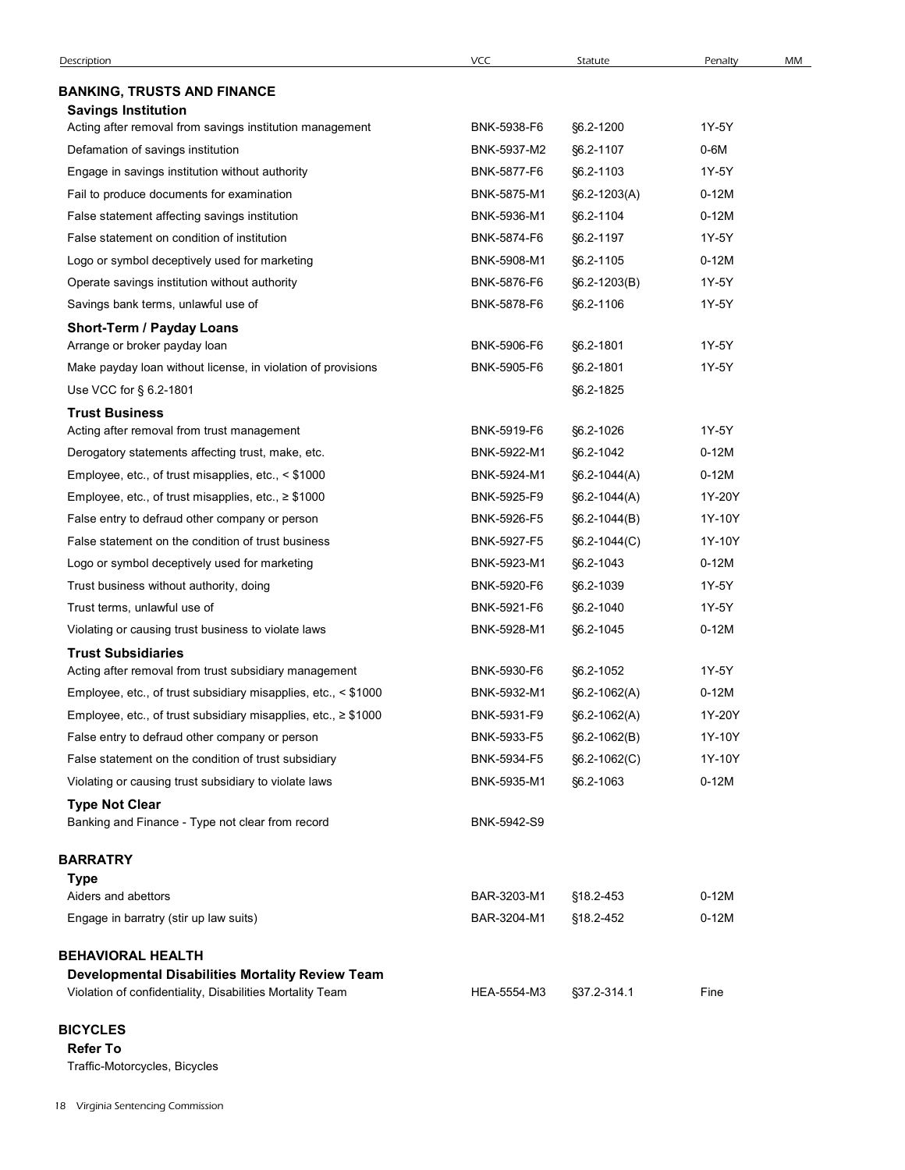| <b>VCC</b><br>MM<br>Description<br>Statute<br>Penalty<br><b>BANKING, TRUSTS AND FINANCE</b><br><b>Savings Institution</b><br>Acting after removal from savings institution management<br>BNK-5938-F6<br>§6.2-1200<br>1Y-5Y<br>BNK-5937-M2<br>§6.2-1107<br>0-6M<br>Defamation of savings institution<br>BNK-5877-F6<br>§6.2-1103<br>1Y-5Y<br>Engage in savings institution without authority<br>Fail to produce documents for examination<br>BNK-5875-M1<br>$0-12M$<br>§6.2-1203(A)<br>False statement affecting savings institution<br>BNK-5936-M1<br>§6.2-1104<br>$0-12M$<br>BNK-5874-F6<br>§6.2-1197<br>1Y-5Y<br>False statement on condition of institution<br>$0-12M$<br>Logo or symbol deceptively used for marketing<br>BNK-5908-M1<br>§6.2-1105<br>Operate savings institution without authority<br>BNK-5876-F6<br>§6.2-1203(B)<br>1Y-5Y<br>BNK-5878-F6<br>Savings bank terms, unlawful use of<br>1Y-5Y<br>§6.2-1106<br>Short-Term / Payday Loans<br>Arrange or broker payday loan<br>BNK-5906-F6<br>§6.2-1801<br>1Y-5Y<br>Make payday loan without license, in violation of provisions<br>BNK-5905-F6<br>§6.2-1801<br>1Y-5Y<br>Use VCC for § 6.2-1801<br>§6.2-1825<br><b>Trust Business</b><br>1Y-5Y<br>Acting after removal from trust management<br>BNK-5919-F6<br>§6.2-1026<br>$0-12M$<br>Derogatory statements affecting trust, make, etc.<br>BNK-5922-M1<br>§6.2-1042<br>BNK-5924-M1<br>$0-12M$<br>Employee, etc., of trust misapplies, etc., < \$1000<br>§6.2-1044(A)<br>1Y-20Y<br>Employee, etc., of trust misapplies, etc., ≥ \$1000<br>BNK-5925-F9<br>$§6.2-1044(A)$<br>BNK-5926-F5<br>1Y-10Y<br>False entry to defraud other company or person<br>$§6.2-1044(B)$<br>1Y-10Y<br>False statement on the condition of trust business<br>BNK-5927-F5<br>$§6.2 - 1044(C)$<br>Logo or symbol deceptively used for marketing<br>BNK-5923-M1<br>§6.2-1043<br>$0-12M$<br>Trust business without authority, doing<br>BNK-5920-F6<br>§6.2-1039<br>1Y-5Y<br>Trust terms, unlawful use of<br>BNK-5921-F6<br>§6.2-1040<br>1Y-5Y<br>$0-12M$<br>Violating or causing trust business to violate laws<br>BNK-5928-M1<br>§6.2-1045<br><b>Trust Subsidiaries</b><br>BNK-5930-F6<br>§6.2-1052<br>1Y-5Y<br>Acting after removal from trust subsidiary management<br>Employee, etc., of trust subsidiary misapplies, etc., < \$1000<br>BNK-5932-M1<br>$0-12M$<br>$§6.2-1062(A)$<br>Employee, etc., of trust subsidiary misapplies, etc., ≥ \$1000<br>BNK-5931-F9<br>1Y-20Y<br>§6.2-1062(A)<br>False entry to defraud other company or person<br>BNK-5933-F5<br>1Y-10Y<br>§6.2-1062(B)<br>False statement on the condition of trust subsidiary<br>BNK-5934-F5<br>1Y-10Y<br>$§6.2 - 1062(C)$<br>$0-12M$<br>Violating or causing trust subsidiary to violate laws<br>BNK-5935-M1<br>§6.2-1063<br><b>Type Not Clear</b><br>Banking and Finance - Type not clear from record<br>BNK-5942-S9 |
|----------------------------------------------------------------------------------------------------------------------------------------------------------------------------------------------------------------------------------------------------------------------------------------------------------------------------------------------------------------------------------------------------------------------------------------------------------------------------------------------------------------------------------------------------------------------------------------------------------------------------------------------------------------------------------------------------------------------------------------------------------------------------------------------------------------------------------------------------------------------------------------------------------------------------------------------------------------------------------------------------------------------------------------------------------------------------------------------------------------------------------------------------------------------------------------------------------------------------------------------------------------------------------------------------------------------------------------------------------------------------------------------------------------------------------------------------------------------------------------------------------------------------------------------------------------------------------------------------------------------------------------------------------------------------------------------------------------------------------------------------------------------------------------------------------------------------------------------------------------------------------------------------------------------------------------------------------------------------------------------------------------------------------------------------------------------------------------------------------------------------------------------------------------------------------------------------------------------------------------------------------------------------------------------------------------------------------------------------------------------------------------------------------------------------------------------------------------------------------------------------------------------------------------------------------------------------------------------------------------------------------------------------------------------------------------------------------------------------------------------------------------------------------------------------------------------------------------------------------------------------------|
|                                                                                                                                                                                                                                                                                                                                                                                                                                                                                                                                                                                                                                                                                                                                                                                                                                                                                                                                                                                                                                                                                                                                                                                                                                                                                                                                                                                                                                                                                                                                                                                                                                                                                                                                                                                                                                                                                                                                                                                                                                                                                                                                                                                                                                                                                                                                                                                                                                                                                                                                                                                                                                                                                                                                                                                                                                                                                  |
|                                                                                                                                                                                                                                                                                                                                                                                                                                                                                                                                                                                                                                                                                                                                                                                                                                                                                                                                                                                                                                                                                                                                                                                                                                                                                                                                                                                                                                                                                                                                                                                                                                                                                                                                                                                                                                                                                                                                                                                                                                                                                                                                                                                                                                                                                                                                                                                                                                                                                                                                                                                                                                                                                                                                                                                                                                                                                  |
|                                                                                                                                                                                                                                                                                                                                                                                                                                                                                                                                                                                                                                                                                                                                                                                                                                                                                                                                                                                                                                                                                                                                                                                                                                                                                                                                                                                                                                                                                                                                                                                                                                                                                                                                                                                                                                                                                                                                                                                                                                                                                                                                                                                                                                                                                                                                                                                                                                                                                                                                                                                                                                                                                                                                                                                                                                                                                  |
|                                                                                                                                                                                                                                                                                                                                                                                                                                                                                                                                                                                                                                                                                                                                                                                                                                                                                                                                                                                                                                                                                                                                                                                                                                                                                                                                                                                                                                                                                                                                                                                                                                                                                                                                                                                                                                                                                                                                                                                                                                                                                                                                                                                                                                                                                                                                                                                                                                                                                                                                                                                                                                                                                                                                                                                                                                                                                  |
|                                                                                                                                                                                                                                                                                                                                                                                                                                                                                                                                                                                                                                                                                                                                                                                                                                                                                                                                                                                                                                                                                                                                                                                                                                                                                                                                                                                                                                                                                                                                                                                                                                                                                                                                                                                                                                                                                                                                                                                                                                                                                                                                                                                                                                                                                                                                                                                                                                                                                                                                                                                                                                                                                                                                                                                                                                                                                  |
|                                                                                                                                                                                                                                                                                                                                                                                                                                                                                                                                                                                                                                                                                                                                                                                                                                                                                                                                                                                                                                                                                                                                                                                                                                                                                                                                                                                                                                                                                                                                                                                                                                                                                                                                                                                                                                                                                                                                                                                                                                                                                                                                                                                                                                                                                                                                                                                                                                                                                                                                                                                                                                                                                                                                                                                                                                                                                  |
|                                                                                                                                                                                                                                                                                                                                                                                                                                                                                                                                                                                                                                                                                                                                                                                                                                                                                                                                                                                                                                                                                                                                                                                                                                                                                                                                                                                                                                                                                                                                                                                                                                                                                                                                                                                                                                                                                                                                                                                                                                                                                                                                                                                                                                                                                                                                                                                                                                                                                                                                                                                                                                                                                                                                                                                                                                                                                  |
|                                                                                                                                                                                                                                                                                                                                                                                                                                                                                                                                                                                                                                                                                                                                                                                                                                                                                                                                                                                                                                                                                                                                                                                                                                                                                                                                                                                                                                                                                                                                                                                                                                                                                                                                                                                                                                                                                                                                                                                                                                                                                                                                                                                                                                                                                                                                                                                                                                                                                                                                                                                                                                                                                                                                                                                                                                                                                  |
|                                                                                                                                                                                                                                                                                                                                                                                                                                                                                                                                                                                                                                                                                                                                                                                                                                                                                                                                                                                                                                                                                                                                                                                                                                                                                                                                                                                                                                                                                                                                                                                                                                                                                                                                                                                                                                                                                                                                                                                                                                                                                                                                                                                                                                                                                                                                                                                                                                                                                                                                                                                                                                                                                                                                                                                                                                                                                  |
|                                                                                                                                                                                                                                                                                                                                                                                                                                                                                                                                                                                                                                                                                                                                                                                                                                                                                                                                                                                                                                                                                                                                                                                                                                                                                                                                                                                                                                                                                                                                                                                                                                                                                                                                                                                                                                                                                                                                                                                                                                                                                                                                                                                                                                                                                                                                                                                                                                                                                                                                                                                                                                                                                                                                                                                                                                                                                  |
|                                                                                                                                                                                                                                                                                                                                                                                                                                                                                                                                                                                                                                                                                                                                                                                                                                                                                                                                                                                                                                                                                                                                                                                                                                                                                                                                                                                                                                                                                                                                                                                                                                                                                                                                                                                                                                                                                                                                                                                                                                                                                                                                                                                                                                                                                                                                                                                                                                                                                                                                                                                                                                                                                                                                                                                                                                                                                  |
|                                                                                                                                                                                                                                                                                                                                                                                                                                                                                                                                                                                                                                                                                                                                                                                                                                                                                                                                                                                                                                                                                                                                                                                                                                                                                                                                                                                                                                                                                                                                                                                                                                                                                                                                                                                                                                                                                                                                                                                                                                                                                                                                                                                                                                                                                                                                                                                                                                                                                                                                                                                                                                                                                                                                                                                                                                                                                  |
|                                                                                                                                                                                                                                                                                                                                                                                                                                                                                                                                                                                                                                                                                                                                                                                                                                                                                                                                                                                                                                                                                                                                                                                                                                                                                                                                                                                                                                                                                                                                                                                                                                                                                                                                                                                                                                                                                                                                                                                                                                                                                                                                                                                                                                                                                                                                                                                                                                                                                                                                                                                                                                                                                                                                                                                                                                                                                  |
|                                                                                                                                                                                                                                                                                                                                                                                                                                                                                                                                                                                                                                                                                                                                                                                                                                                                                                                                                                                                                                                                                                                                                                                                                                                                                                                                                                                                                                                                                                                                                                                                                                                                                                                                                                                                                                                                                                                                                                                                                                                                                                                                                                                                                                                                                                                                                                                                                                                                                                                                                                                                                                                                                                                                                                                                                                                                                  |
|                                                                                                                                                                                                                                                                                                                                                                                                                                                                                                                                                                                                                                                                                                                                                                                                                                                                                                                                                                                                                                                                                                                                                                                                                                                                                                                                                                                                                                                                                                                                                                                                                                                                                                                                                                                                                                                                                                                                                                                                                                                                                                                                                                                                                                                                                                                                                                                                                                                                                                                                                                                                                                                                                                                                                                                                                                                                                  |
|                                                                                                                                                                                                                                                                                                                                                                                                                                                                                                                                                                                                                                                                                                                                                                                                                                                                                                                                                                                                                                                                                                                                                                                                                                                                                                                                                                                                                                                                                                                                                                                                                                                                                                                                                                                                                                                                                                                                                                                                                                                                                                                                                                                                                                                                                                                                                                                                                                                                                                                                                                                                                                                                                                                                                                                                                                                                                  |
|                                                                                                                                                                                                                                                                                                                                                                                                                                                                                                                                                                                                                                                                                                                                                                                                                                                                                                                                                                                                                                                                                                                                                                                                                                                                                                                                                                                                                                                                                                                                                                                                                                                                                                                                                                                                                                                                                                                                                                                                                                                                                                                                                                                                                                                                                                                                                                                                                                                                                                                                                                                                                                                                                                                                                                                                                                                                                  |
|                                                                                                                                                                                                                                                                                                                                                                                                                                                                                                                                                                                                                                                                                                                                                                                                                                                                                                                                                                                                                                                                                                                                                                                                                                                                                                                                                                                                                                                                                                                                                                                                                                                                                                                                                                                                                                                                                                                                                                                                                                                                                                                                                                                                                                                                                                                                                                                                                                                                                                                                                                                                                                                                                                                                                                                                                                                                                  |
|                                                                                                                                                                                                                                                                                                                                                                                                                                                                                                                                                                                                                                                                                                                                                                                                                                                                                                                                                                                                                                                                                                                                                                                                                                                                                                                                                                                                                                                                                                                                                                                                                                                                                                                                                                                                                                                                                                                                                                                                                                                                                                                                                                                                                                                                                                                                                                                                                                                                                                                                                                                                                                                                                                                                                                                                                                                                                  |
|                                                                                                                                                                                                                                                                                                                                                                                                                                                                                                                                                                                                                                                                                                                                                                                                                                                                                                                                                                                                                                                                                                                                                                                                                                                                                                                                                                                                                                                                                                                                                                                                                                                                                                                                                                                                                                                                                                                                                                                                                                                                                                                                                                                                                                                                                                                                                                                                                                                                                                                                                                                                                                                                                                                                                                                                                                                                                  |
|                                                                                                                                                                                                                                                                                                                                                                                                                                                                                                                                                                                                                                                                                                                                                                                                                                                                                                                                                                                                                                                                                                                                                                                                                                                                                                                                                                                                                                                                                                                                                                                                                                                                                                                                                                                                                                                                                                                                                                                                                                                                                                                                                                                                                                                                                                                                                                                                                                                                                                                                                                                                                                                                                                                                                                                                                                                                                  |
|                                                                                                                                                                                                                                                                                                                                                                                                                                                                                                                                                                                                                                                                                                                                                                                                                                                                                                                                                                                                                                                                                                                                                                                                                                                                                                                                                                                                                                                                                                                                                                                                                                                                                                                                                                                                                                                                                                                                                                                                                                                                                                                                                                                                                                                                                                                                                                                                                                                                                                                                                                                                                                                                                                                                                                                                                                                                                  |
|                                                                                                                                                                                                                                                                                                                                                                                                                                                                                                                                                                                                                                                                                                                                                                                                                                                                                                                                                                                                                                                                                                                                                                                                                                                                                                                                                                                                                                                                                                                                                                                                                                                                                                                                                                                                                                                                                                                                                                                                                                                                                                                                                                                                                                                                                                                                                                                                                                                                                                                                                                                                                                                                                                                                                                                                                                                                                  |
|                                                                                                                                                                                                                                                                                                                                                                                                                                                                                                                                                                                                                                                                                                                                                                                                                                                                                                                                                                                                                                                                                                                                                                                                                                                                                                                                                                                                                                                                                                                                                                                                                                                                                                                                                                                                                                                                                                                                                                                                                                                                                                                                                                                                                                                                                                                                                                                                                                                                                                                                                                                                                                                                                                                                                                                                                                                                                  |
|                                                                                                                                                                                                                                                                                                                                                                                                                                                                                                                                                                                                                                                                                                                                                                                                                                                                                                                                                                                                                                                                                                                                                                                                                                                                                                                                                                                                                                                                                                                                                                                                                                                                                                                                                                                                                                                                                                                                                                                                                                                                                                                                                                                                                                                                                                                                                                                                                                                                                                                                                                                                                                                                                                                                                                                                                                                                                  |
|                                                                                                                                                                                                                                                                                                                                                                                                                                                                                                                                                                                                                                                                                                                                                                                                                                                                                                                                                                                                                                                                                                                                                                                                                                                                                                                                                                                                                                                                                                                                                                                                                                                                                                                                                                                                                                                                                                                                                                                                                                                                                                                                                                                                                                                                                                                                                                                                                                                                                                                                                                                                                                                                                                                                                                                                                                                                                  |
|                                                                                                                                                                                                                                                                                                                                                                                                                                                                                                                                                                                                                                                                                                                                                                                                                                                                                                                                                                                                                                                                                                                                                                                                                                                                                                                                                                                                                                                                                                                                                                                                                                                                                                                                                                                                                                                                                                                                                                                                                                                                                                                                                                                                                                                                                                                                                                                                                                                                                                                                                                                                                                                                                                                                                                                                                                                                                  |
|                                                                                                                                                                                                                                                                                                                                                                                                                                                                                                                                                                                                                                                                                                                                                                                                                                                                                                                                                                                                                                                                                                                                                                                                                                                                                                                                                                                                                                                                                                                                                                                                                                                                                                                                                                                                                                                                                                                                                                                                                                                                                                                                                                                                                                                                                                                                                                                                                                                                                                                                                                                                                                                                                                                                                                                                                                                                                  |
|                                                                                                                                                                                                                                                                                                                                                                                                                                                                                                                                                                                                                                                                                                                                                                                                                                                                                                                                                                                                                                                                                                                                                                                                                                                                                                                                                                                                                                                                                                                                                                                                                                                                                                                                                                                                                                                                                                                                                                                                                                                                                                                                                                                                                                                                                                                                                                                                                                                                                                                                                                                                                                                                                                                                                                                                                                                                                  |
|                                                                                                                                                                                                                                                                                                                                                                                                                                                                                                                                                                                                                                                                                                                                                                                                                                                                                                                                                                                                                                                                                                                                                                                                                                                                                                                                                                                                                                                                                                                                                                                                                                                                                                                                                                                                                                                                                                                                                                                                                                                                                                                                                                                                                                                                                                                                                                                                                                                                                                                                                                                                                                                                                                                                                                                                                                                                                  |
|                                                                                                                                                                                                                                                                                                                                                                                                                                                                                                                                                                                                                                                                                                                                                                                                                                                                                                                                                                                                                                                                                                                                                                                                                                                                                                                                                                                                                                                                                                                                                                                                                                                                                                                                                                                                                                                                                                                                                                                                                                                                                                                                                                                                                                                                                                                                                                                                                                                                                                                                                                                                                                                                                                                                                                                                                                                                                  |
|                                                                                                                                                                                                                                                                                                                                                                                                                                                                                                                                                                                                                                                                                                                                                                                                                                                                                                                                                                                                                                                                                                                                                                                                                                                                                                                                                                                                                                                                                                                                                                                                                                                                                                                                                                                                                                                                                                                                                                                                                                                                                                                                                                                                                                                                                                                                                                                                                                                                                                                                                                                                                                                                                                                                                                                                                                                                                  |
|                                                                                                                                                                                                                                                                                                                                                                                                                                                                                                                                                                                                                                                                                                                                                                                                                                                                                                                                                                                                                                                                                                                                                                                                                                                                                                                                                                                                                                                                                                                                                                                                                                                                                                                                                                                                                                                                                                                                                                                                                                                                                                                                                                                                                                                                                                                                                                                                                                                                                                                                                                                                                                                                                                                                                                                                                                                                                  |
|                                                                                                                                                                                                                                                                                                                                                                                                                                                                                                                                                                                                                                                                                                                                                                                                                                                                                                                                                                                                                                                                                                                                                                                                                                                                                                                                                                                                                                                                                                                                                                                                                                                                                                                                                                                                                                                                                                                                                                                                                                                                                                                                                                                                                                                                                                                                                                                                                                                                                                                                                                                                                                                                                                                                                                                                                                                                                  |
|                                                                                                                                                                                                                                                                                                                                                                                                                                                                                                                                                                                                                                                                                                                                                                                                                                                                                                                                                                                                                                                                                                                                                                                                                                                                                                                                                                                                                                                                                                                                                                                                                                                                                                                                                                                                                                                                                                                                                                                                                                                                                                                                                                                                                                                                                                                                                                                                                                                                                                                                                                                                                                                                                                                                                                                                                                                                                  |
| BARRATRY                                                                                                                                                                                                                                                                                                                                                                                                                                                                                                                                                                                                                                                                                                                                                                                                                                                                                                                                                                                                                                                                                                                                                                                                                                                                                                                                                                                                                                                                                                                                                                                                                                                                                                                                                                                                                                                                                                                                                                                                                                                                                                                                                                                                                                                                                                                                                                                                                                                                                                                                                                                                                                                                                                                                                                                                                                                                         |
| <b>Type</b><br>Aiders and abettors<br>BAR-3203-M1<br>§18.2-453<br>$0-12M$                                                                                                                                                                                                                                                                                                                                                                                                                                                                                                                                                                                                                                                                                                                                                                                                                                                                                                                                                                                                                                                                                                                                                                                                                                                                                                                                                                                                                                                                                                                                                                                                                                                                                                                                                                                                                                                                                                                                                                                                                                                                                                                                                                                                                                                                                                                                                                                                                                                                                                                                                                                                                                                                                                                                                                                                        |
| Engage in barratry (stir up law suits)<br>BAR-3204-M1<br>§18.2-452<br>$0-12M$                                                                                                                                                                                                                                                                                                                                                                                                                                                                                                                                                                                                                                                                                                                                                                                                                                                                                                                                                                                                                                                                                                                                                                                                                                                                                                                                                                                                                                                                                                                                                                                                                                                                                                                                                                                                                                                                                                                                                                                                                                                                                                                                                                                                                                                                                                                                                                                                                                                                                                                                                                                                                                                                                                                                                                                                    |
|                                                                                                                                                                                                                                                                                                                                                                                                                                                                                                                                                                                                                                                                                                                                                                                                                                                                                                                                                                                                                                                                                                                                                                                                                                                                                                                                                                                                                                                                                                                                                                                                                                                                                                                                                                                                                                                                                                                                                                                                                                                                                                                                                                                                                                                                                                                                                                                                                                                                                                                                                                                                                                                                                                                                                                                                                                                                                  |
| <b>BEHAVIORAL HEALTH</b>                                                                                                                                                                                                                                                                                                                                                                                                                                                                                                                                                                                                                                                                                                                                                                                                                                                                                                                                                                                                                                                                                                                                                                                                                                                                                                                                                                                                                                                                                                                                                                                                                                                                                                                                                                                                                                                                                                                                                                                                                                                                                                                                                                                                                                                                                                                                                                                                                                                                                                                                                                                                                                                                                                                                                                                                                                                         |
| Developmental Disabilities Mortality Review Team                                                                                                                                                                                                                                                                                                                                                                                                                                                                                                                                                                                                                                                                                                                                                                                                                                                                                                                                                                                                                                                                                                                                                                                                                                                                                                                                                                                                                                                                                                                                                                                                                                                                                                                                                                                                                                                                                                                                                                                                                                                                                                                                                                                                                                                                                                                                                                                                                                                                                                                                                                                                                                                                                                                                                                                                                                 |
| Violation of confidentiality, Disabilities Mortality Team<br>HEA-5554-M3<br>§37.2-314.1<br>Fine                                                                                                                                                                                                                                                                                                                                                                                                                                                                                                                                                                                                                                                                                                                                                                                                                                                                                                                                                                                                                                                                                                                                                                                                                                                                                                                                                                                                                                                                                                                                                                                                                                                                                                                                                                                                                                                                                                                                                                                                                                                                                                                                                                                                                                                                                                                                                                                                                                                                                                                                                                                                                                                                                                                                                                                  |

# **BICYCLES**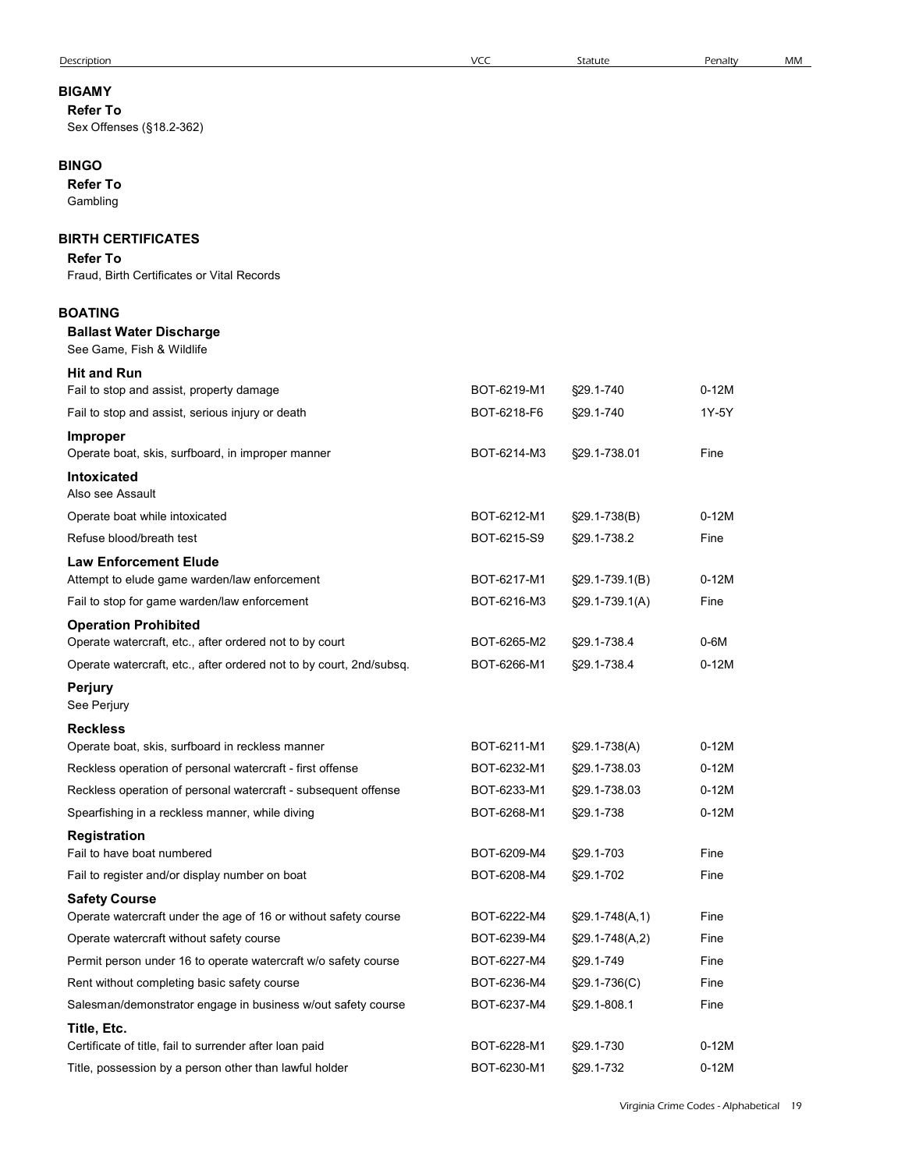| Description                                                                             | <b>VCC</b>  | Statute             | Penalty | MM |
|-----------------------------------------------------------------------------------------|-------------|---------------------|---------|----|
| <b>BIGAMY</b>                                                                           |             |                     |         |    |
| <b>Refer To</b>                                                                         |             |                     |         |    |
| Sex Offenses (§18.2-362)                                                                |             |                     |         |    |
| <b>BINGO</b>                                                                            |             |                     |         |    |
| <b>Refer To</b>                                                                         |             |                     |         |    |
| Gambling                                                                                |             |                     |         |    |
| <b>BIRTH CERTIFICATES</b>                                                               |             |                     |         |    |
| <b>Refer To</b>                                                                         |             |                     |         |    |
| Fraud, Birth Certificates or Vital Records                                              |             |                     |         |    |
| <b>BOATING</b>                                                                          |             |                     |         |    |
| <b>Ballast Water Discharge</b>                                                          |             |                     |         |    |
| See Game, Fish & Wildlife                                                               |             |                     |         |    |
| <b>Hit and Run</b>                                                                      |             |                     |         |    |
| Fail to stop and assist, property damage                                                | BOT-6219-M1 | §29.1-740           | $0-12M$ |    |
| Fail to stop and assist, serious injury or death                                        | BOT-6218-F6 | §29.1-740           | 1Y-5Y   |    |
| <b>Improper</b><br>Operate boat, skis, surfboard, in improper manner                    | BOT-6214-M3 | §29.1-738.01        | Fine    |    |
| Intoxicated<br>Also see Assault                                                         |             |                     |         |    |
| Operate boat while intoxicated                                                          | BOT-6212-M1 | §29.1-738(B)        | $0-12M$ |    |
| Refuse blood/breath test                                                                | BOT-6215-S9 | §29.1-738.2         | Fine    |    |
| <b>Law Enforcement Elude</b>                                                            |             |                     |         |    |
| Attempt to elude game warden/law enforcement                                            | BOT-6217-M1 | $\S29.1 - 739.1(B)$ | $0-12M$ |    |
| Fail to stop for game warden/law enforcement                                            | BOT-6216-M3 | $\S29.1 - 739.1(A)$ | Fine    |    |
| <b>Operation Prohibited</b>                                                             |             |                     |         |    |
| Operate watercraft, etc., after ordered not to by court                                 | BOT-6265-M2 | §29.1-738.4         | $0-6M$  |    |
| Operate watercraft, etc., after ordered not to by court, 2nd/subsq.                     | BOT-6266-M1 | §29.1-738.4         | $0-12M$ |    |
| <b>Perjury</b><br>See Perjury                                                           |             |                     |         |    |
| <b>Reckless</b>                                                                         |             |                     |         |    |
| Operate boat, skis, surfboard in reckless manner                                        | BOT-6211-M1 | §29.1-738(A)        | $0-12M$ |    |
| Reckless operation of personal watercraft - first offense                               | BOT-6232-M1 | §29.1-738.03        | $0-12M$ |    |
| Reckless operation of personal watercraft - subsequent offense                          | BOT-6233-M1 | §29.1-738.03        | $0-12M$ |    |
| Spearfishing in a reckless manner, while diving                                         | BOT-6268-M1 | §29.1-738           | $0-12M$ |    |
| Registration                                                                            |             |                     |         |    |
| Fail to have boat numbered                                                              | BOT-6209-M4 | §29.1-703           | Fine    |    |
| Fail to register and/or display number on boat                                          | BOT-6208-M4 | §29.1-702           | Fine    |    |
| <b>Safety Course</b><br>Operate watercraft under the age of 16 or without safety course | BOT-6222-M4 | $$29.1-748(A,1)$    | Fine    |    |
| Operate watercraft without safety course                                                | BOT-6239-M4 | §29.1-748(A,2)      | Fine    |    |
| Permit person under 16 to operate watercraft w/o safety course                          | BOT-6227-M4 | §29.1-749           | Fine    |    |
| Rent without completing basic safety course                                             | BOT-6236-M4 | §29.1-736(C)        | Fine    |    |
| Salesman/demonstrator engage in business w/out safety course                            | BOT-6237-M4 | §29.1-808.1         | Fine    |    |
| Title, Etc.                                                                             |             |                     |         |    |
| Certificate of title, fail to surrender after loan paid                                 | BOT-6228-M1 | §29.1-730           | $0-12M$ |    |
| Title, possession by a person other than lawful holder                                  | BOT-6230-M1 | §29.1-732           | $0-12M$ |    |
|                                                                                         |             |                     |         |    |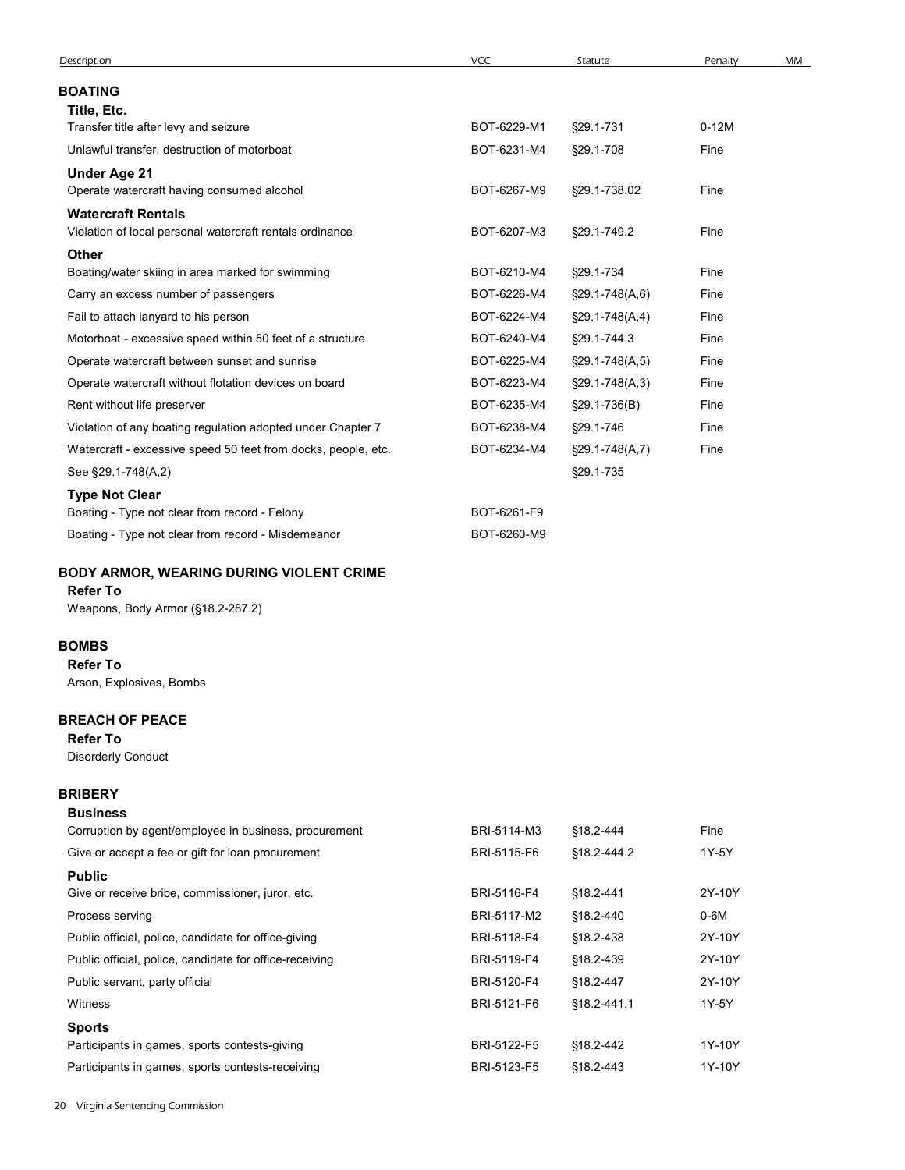| Description                                                   | VCC         | Statute              | Penalty | MM |
|---------------------------------------------------------------|-------------|----------------------|---------|----|
| <b>BOATING</b>                                                |             |                      |         |    |
| Title, Etc.                                                   |             |                      |         |    |
| Transfer title after levy and seizure                         | BOT-6229-M1 | §29.1-731            | $0-12M$ |    |
| Unlawful transfer, destruction of motorboat                   | BOT-6231-M4 | §29.1-708            | Fine    |    |
| <b>Under Age 21</b>                                           |             |                      |         |    |
| Operate watercraft having consumed alcohol                    | BOT-6267-M9 | §29.1-738.02         | Fine    |    |
| <b>Watercraft Rentals</b>                                     |             |                      |         |    |
| Violation of local personal watercraft rentals ordinance      | BOT-6207-M3 | §29.1-749.2          | Fine    |    |
| Other<br>Boating/water skiing in area marked for swimming     | BOT-6210-M4 | §29.1-734            | Fine    |    |
| Carry an excess number of passengers                          | BOT-6226-M4 | §29.1-748(A,6)       | Fine    |    |
| Fail to attach lanyard to his person                          | BOT-6224-M4 | $\S29.1 - 748(A, 4)$ | Fine    |    |
| Motorboat - excessive speed within 50 feet of a structure     | BOT-6240-M4 | §29.1-744.3          | Fine    |    |
| Operate watercraft between sunset and sunrise                 | BOT-6225-M4 | $\S29.1 - 748(A, 5)$ | Fine    |    |
| Operate watercraft without flotation devices on board         | BOT-6223-M4 | $\S29.1 - 748(A, 3)$ | Fine    |    |
| Rent without life preserver                                   | BOT-6235-M4 | §29.1-736(B)         | Fine    |    |
| Violation of any boating regulation adopted under Chapter 7   | BOT-6238-M4 | §29.1-746            | Fine    |    |
| Watercraft - excessive speed 50 feet from docks, people, etc. | BOT-6234-M4 | $\S29.1 - 748(A, 7)$ | Fine    |    |
| See §29.1-748(A,2)                                            |             | §29.1-735            |         |    |
| <b>Type Not Clear</b>                                         |             |                      |         |    |
| Boating - Type not clear from record - Felony                 | BOT-6261-F9 |                      |         |    |
| Boating - Type not clear from record - Misdemeanor            | BOT-6260-M9 |                      |         |    |
| BODY ARMOR, WEARING DURING VIOLENT CRIME                      |             |                      |         |    |
| <b>Refer To</b>                                               |             |                      |         |    |
| Weapons, Body Armor (§18.2-287.2)                             |             |                      |         |    |
| <b>BOMBS</b>                                                  |             |                      |         |    |
| <b>Refer To</b>                                               |             |                      |         |    |
| Arson, Explosives, Bombs                                      |             |                      |         |    |
|                                                               |             |                      |         |    |
| <b>BREACH OF PEACE</b><br><b>Refer To</b>                     |             |                      |         |    |
| <b>Disorderly Conduct</b>                                     |             |                      |         |    |
|                                                               |             |                      |         |    |
| <b>BRIBERY</b><br><b>Business</b>                             |             |                      |         |    |
| Corruption by agent/employee in business, procurement         | BRI-5114-M3 | §18.2-444            | Fine    |    |
| Give or accept a fee or gift for loan procurement             | BRI-5115-F6 | §18.2-444.2          | 1Y-5Y   |    |
| <b>Public</b>                                                 |             |                      |         |    |
| Give or receive bribe, commissioner, juror, etc.              | BRI-5116-F4 | §18.2-441            | 2Y-10Y  |    |
| Process serving                                               | BRI-5117-M2 | §18.2-440            | $0-6M$  |    |

# BODY ARMOR, WEARING DURING VIOLENT CRIME

# Refer To

# BOMBS

# BREACH OF PEACE

# **BRIBERY** Business

| See §29.1-748(A,2)                                                     |             | §29.1-735   |        |  |
|------------------------------------------------------------------------|-------------|-------------|--------|--|
| <b>Type Not Clear</b><br>Boating - Type not clear from record - Felony | BOT-6261-F9 |             |        |  |
| Boating - Type not clear from record - Misdemeanor                     | BOT-6260-M9 |             |        |  |
| <b>BODY ARMOR, WEARING DURING VIOLENT CRIME</b>                        |             |             |        |  |
| <b>Refer To</b>                                                        |             |             |        |  |
| Weapons, Body Armor (§18.2-287.2)                                      |             |             |        |  |
| <b>3OMBS</b>                                                           |             |             |        |  |
| <b>Refer To</b>                                                        |             |             |        |  |
| Arson, Explosives, Bombs                                               |             |             |        |  |
| <b>BREACH OF PEACE</b>                                                 |             |             |        |  |
| <b>Refer To</b>                                                        |             |             |        |  |
| <b>Disorderly Conduct</b>                                              |             |             |        |  |
| <b>BRIBERY</b>                                                         |             |             |        |  |
| <b>Business</b>                                                        |             |             |        |  |
| Corruption by agent/employee in business, procurement                  | BRI-5114-M3 | §18.2-444   | Fine   |  |
| Give or accept a fee or gift for loan procurement                      | BRI-5115-F6 | §18.2-444.2 | 1Y-5Y  |  |
| <b>Public</b>                                                          |             |             |        |  |
| Give or receive bribe, commissioner, juror, etc.                       | BRI-5116-F4 | §18.2-441   | 2Y-10Y |  |
| Process serving                                                        | BRI-5117-M2 | §18.2-440   | $0-6M$ |  |
| Public official, police, candidate for office-giving                   | BRI-5118-F4 | §18.2-438   | 2Y-10Y |  |
| Public official, police, candidate for office-receiving                | BRI-5119-F4 | §18.2-439   | 2Y-10Y |  |
| Public servant, party official                                         | BRI-5120-F4 | §18.2-447   | 2Y-10Y |  |
| Witness                                                                | BRI-5121-F6 | §18.2-441.1 | 1Y-5Y  |  |
| <b>Sports</b>                                                          |             |             |        |  |
| Participants in games, sports contests-giving                          | BRI-5122-F5 | §18.2-442   | 1Y-10Y |  |
| Participants in games, sports contests-receiving                       | BRI-5123-F5 | §18.2-443   | 1Y-10Y |  |
|                                                                        |             |             |        |  |
| Virginia Sentencing Commission                                         |             |             |        |  |
|                                                                        |             |             |        |  |
|                                                                        |             |             |        |  |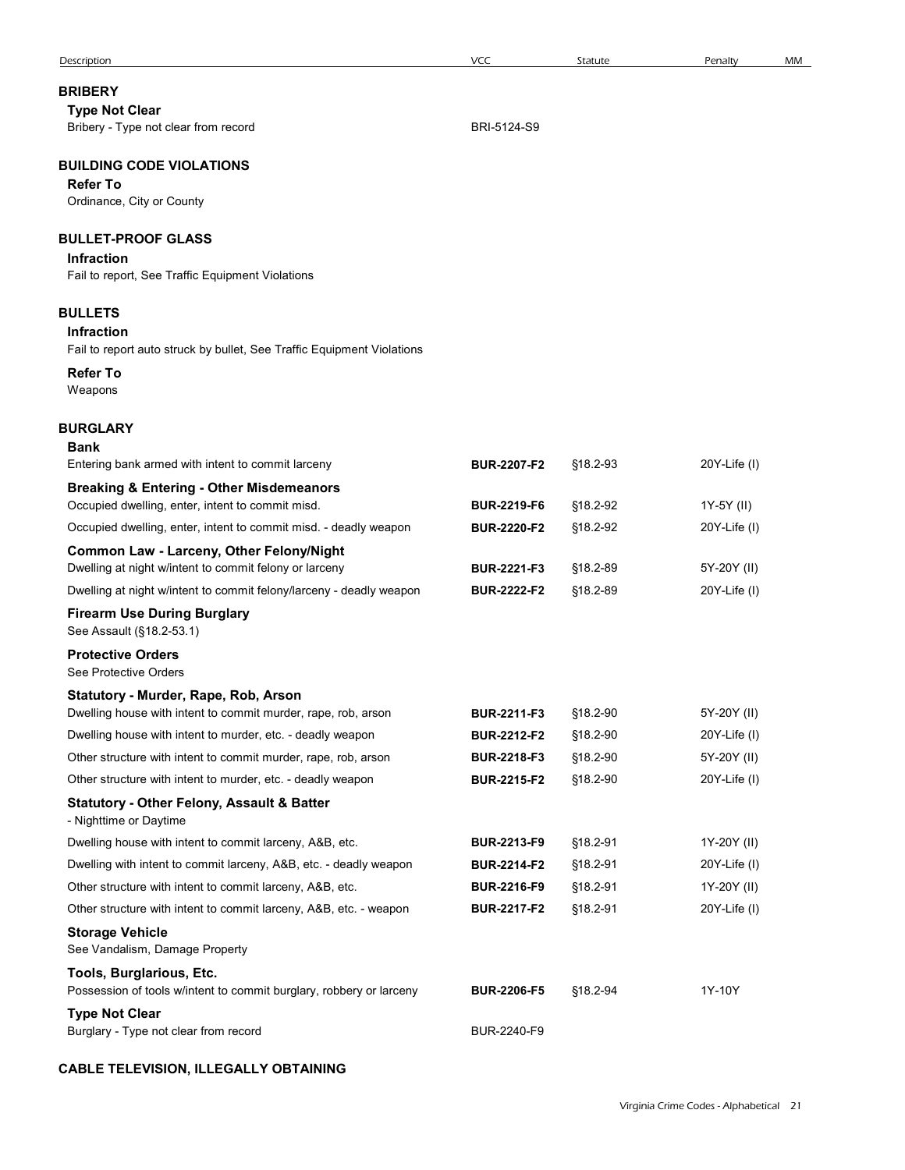| Description                                                                                                                   | <b>VCC</b>                               | Statute              | Penalty                                | MM |
|-------------------------------------------------------------------------------------------------------------------------------|------------------------------------------|----------------------|----------------------------------------|----|
| <b>BRIBERY</b>                                                                                                                |                                          |                      |                                        |    |
| <b>Type Not Clear</b><br>Bribery - Type not clear from record                                                                 | BRI-5124-S9                              |                      |                                        |    |
| <b>BUILDING CODE VIOLATIONS</b><br><b>Refer To</b><br>Ordinance, City or County                                               |                                          |                      |                                        |    |
| <b>BULLET-PROOF GLASS</b><br><b>Infraction</b>                                                                                |                                          |                      |                                        |    |
| Fail to report, See Traffic Equipment Violations                                                                              |                                          |                      |                                        |    |
| <b>BULLETS</b><br><b>Infraction</b><br>Fail to report auto struck by bullet, See Traffic Equipment Violations                 |                                          |                      |                                        |    |
| <b>Refer To</b><br>Weapons                                                                                                    |                                          |                      |                                        |    |
| <b>BURGLARY</b><br><b>Bank</b><br>Entering bank armed with intent to commit larceny                                           | <b>BUR-2207-F2</b>                       | §18.2-93             | $20Y$ -Life $(I)$                      |    |
| <b>Breaking &amp; Entering - Other Misdemeanors</b>                                                                           |                                          |                      |                                        |    |
| Occupied dwelling, enter, intent to commit misd.                                                                              | <b>BUR-2219-F6</b>                       | §18.2-92             | 1Y-5Y (II)                             |    |
| Occupied dwelling, enter, intent to commit misd. - deadly weapon<br>Common Law - Larceny, Other Felony/Night                  | <b>BUR-2220-F2</b>                       | §18.2-92             | $20Y$ -Life $(I)$                      |    |
| Dwelling at night w/intent to commit felony or larceny                                                                        | <b>BUR-2221-F3</b>                       | §18.2-89             | 5Y-20Y (II)                            |    |
| Dwelling at night w/intent to commit felony/larceny - deadly weapon                                                           | <b>BUR-2222-F2</b>                       | §18.2-89             | $20Y$ -Life $(I)$                      |    |
| <b>Firearm Use During Burglary</b><br>See Assault (§18.2-53.1)                                                                |                                          |                      |                                        |    |
| <b>Protective Orders</b><br>See Protective Orders                                                                             |                                          |                      |                                        |    |
| Statutory - Murder, Rape, Rob, Arson<br>Dwelling house with intent to commit murder, rape, rob, arson                         | BUR-2211-F3                              | §18.2-90             | 5Y-20Y (II)                            |    |
| Dwelling house with intent to murder, etc. - deadly weapon                                                                    | <b>BUR-2212-F2</b>                       | §18.2-90             | $20Y$ -Life $(I)$                      |    |
| Other structure with intent to commit murder, rape, rob, arson                                                                | <b>BUR-2218-F3</b>                       | §18.2-90             | 5Y-20Y (II)                            |    |
| Other structure with intent to murder, etc. - deadly weapon                                                                   | <b>BUR-2215-F2</b>                       | §18.2-90             | $20Y$ -Life $(I)$                      |    |
| <b>Statutory - Other Felony, Assault &amp; Batter</b><br>- Nighttime or Daytime                                               |                                          |                      |                                        |    |
| Dwelling house with intent to commit larceny, A&B, etc.                                                                       | BUR-2213-F9                              | §18.2-91             | 1Y-20Y (II)                            |    |
| Dwelling with intent to commit larceny, A&B, etc. - deadly weapon<br>Other structure with intent to commit larceny, A&B, etc. | <b>BUR-2214-F2</b><br><b>BUR-2216-F9</b> | §18.2-91<br>§18.2-91 | $20Y$ -Life $(I)$<br>1Y-20Y (II)       |    |
| Other structure with intent to commit larceny, A&B, etc. - weapon                                                             | <b>BUR-2217-F2</b>                       | §18.2-91             | $20Y$ -Life $(I)$                      |    |
| <b>Storage Vehicle</b><br>See Vandalism, Damage Property                                                                      |                                          |                      |                                        |    |
| Tools, Burglarious, Etc.<br>Possession of tools w/intent to commit burglary, robbery or larceny                               | <b>BUR-2206-F5</b>                       | §18.2-94             | 1Y-10Y                                 |    |
| <b>Type Not Clear</b><br>Burglary - Type not clear from record                                                                | BUR-2240-F9                              |                      |                                        |    |
| <b>CABLE TELEVISION, ILLEGALLY OBTAINING</b>                                                                                  |                                          |                      |                                        |    |
|                                                                                                                               |                                          |                      | Virginia Crime Codes - Alphabetical 21 |    |
|                                                                                                                               |                                          |                      |                                        |    |

# CABLE TELEVISION, ILLEGALLY OBTAINING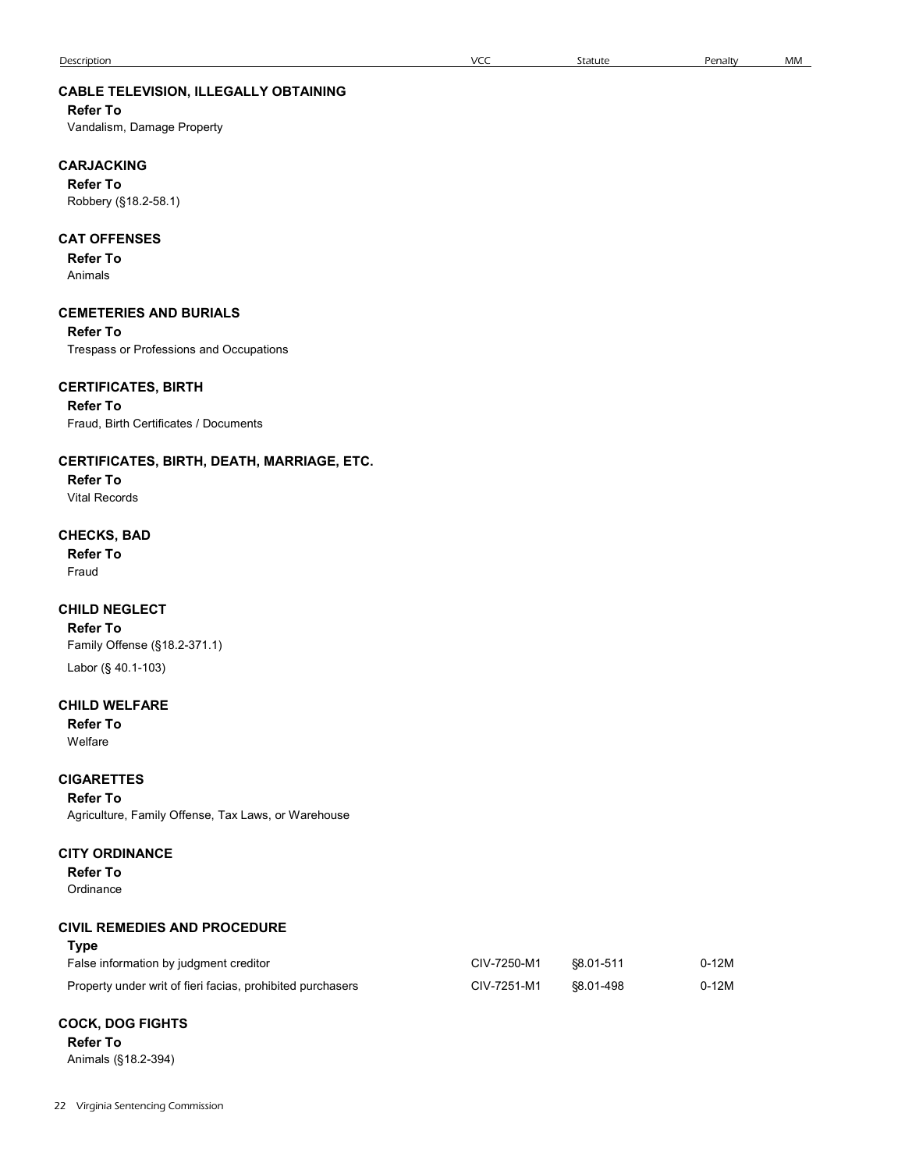| Description                                  | <b>VCC</b> | Statute | Penalty | МM |
|----------------------------------------------|------------|---------|---------|----|
| <b>CABLE TELEVISION, ILLEGALLY OBTAINING</b> |            |         |         |    |
| <b>Refer To</b>                              |            |         |         |    |
| Vandalism, Damage Property                   |            |         |         |    |
| <b>CARJACKING</b>                            |            |         |         |    |
| <b>Refer To</b>                              |            |         |         |    |
| Robbery (§18.2-58.1)                         |            |         |         |    |
| <b>CAT OFFENSES</b>                          |            |         |         |    |
| <b>Refer To</b>                              |            |         |         |    |
| Animals                                      |            |         |         |    |

#### CEMETERIES AND BURIALS

Refer To

Trespass or Professions and Occupations

### CERTIFICATES, BIRTH

Refer To Fraud, Birth Certificates / Documents

### CERTIFICATES, BIRTH, DEATH, MARRIAGE, ETC.

Refer To Vital Records

# CHECKS, BAD

Refer To Fraud **Fraud Australian Communist Communist Communist Communist Communist Communist Communist Communist Communist Communist Communist Communist Communist Communist Communist Communist Communist Communist Communist Communis** 

#### CHILD NEGLECT

### CHILD WELFARE

#### **CIGARETTES**

# CITY ORDINANCE

### CIVIL REMEDIES AND PROCEDURE

| .                                                          |             |           |         |  |
|------------------------------------------------------------|-------------|-----------|---------|--|
| <b>CHILD NEGLECT</b><br><b>Refer To</b>                    |             |           |         |  |
| Family Offense (§18.2-371.1)                               |             |           |         |  |
| Labor (§ 40.1-103)                                         |             |           |         |  |
| <b>CHILD WELFARE</b>                                       |             |           |         |  |
| <b>Refer To</b>                                            |             |           |         |  |
| Welfare                                                    |             |           |         |  |
| <b>CIGARETTES</b>                                          |             |           |         |  |
| <b>Refer To</b>                                            |             |           |         |  |
| Agriculture, Family Offense, Tax Laws, or Warehouse        |             |           |         |  |
| <b>CITY ORDINANCE</b>                                      |             |           |         |  |
| <b>Refer To</b>                                            |             |           |         |  |
| Ordinance                                                  |             |           |         |  |
| <b>CIVIL REMEDIES AND PROCEDURE</b>                        |             |           |         |  |
| <b>Type</b>                                                |             |           |         |  |
| False information by judgment creditor                     | CIV-7250-M1 | §8.01-511 | $0-12M$ |  |
| Property under writ of fieri facias, prohibited purchasers | CIV-7251-M1 | §8.01-498 | $0-12M$ |  |
| <b>COCK, DOG FIGHTS</b>                                    |             |           |         |  |
| <b>Refer To</b>                                            |             |           |         |  |
| Animals (§18.2-394)                                        |             |           |         |  |
|                                                            |             |           |         |  |

# COCK, DOG FIGHTS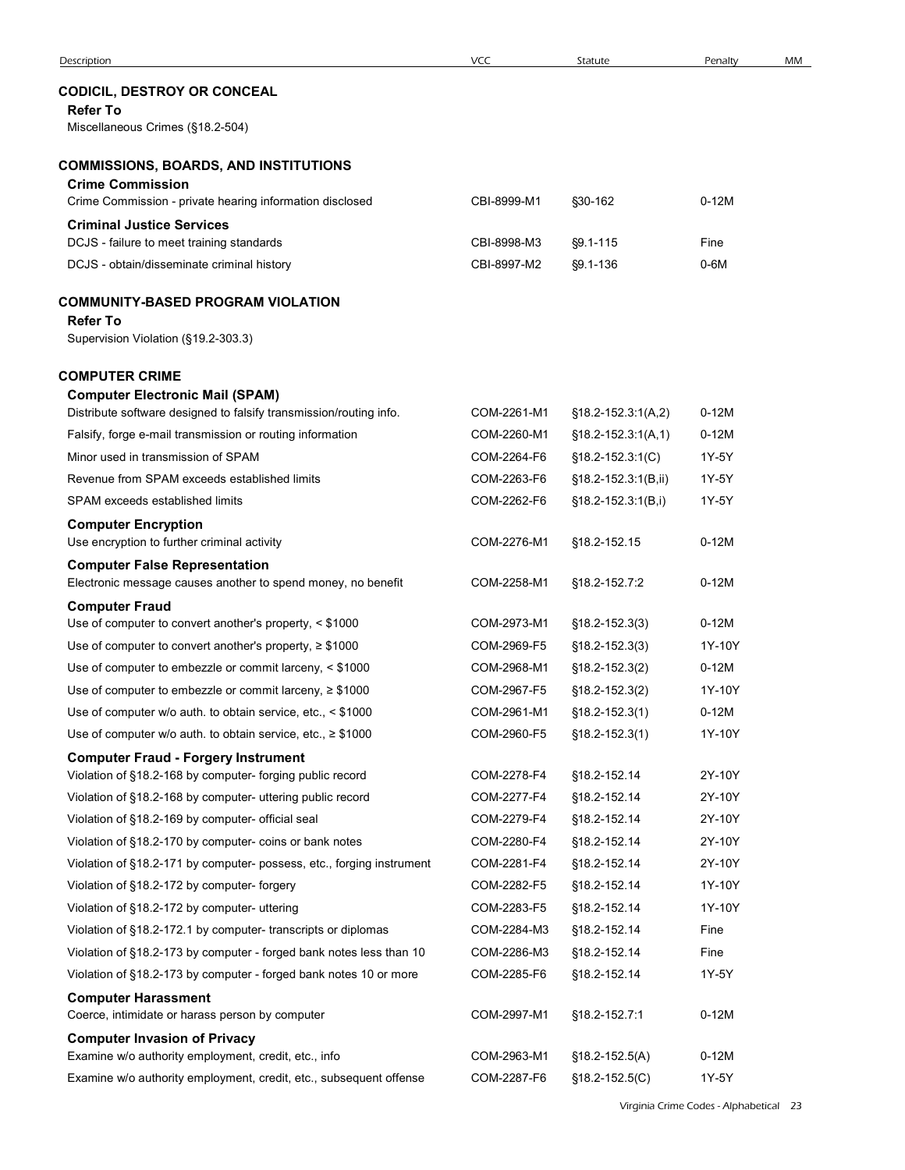|                                                                                                                         | <b>VCC</b>                 |                                          |                   | MM |
|-------------------------------------------------------------------------------------------------------------------------|----------------------------|------------------------------------------|-------------------|----|
| Description<br><b>CODICIL, DESTROY OR CONCEAL</b><br><b>Refer To</b>                                                    |                            | Statute                                  | Penalty           |    |
| Miscellaneous Crimes (§18.2-504)                                                                                        |                            |                                          |                   |    |
| <b>COMMISSIONS, BOARDS, AND INSTITUTIONS</b>                                                                            |                            |                                          |                   |    |
| <b>Crime Commission</b>                                                                                                 |                            |                                          |                   |    |
| Crime Commission - private hearing information disclosed                                                                | CBI-8999-M1                | §30-162                                  | $0-12M$           |    |
| <b>Criminal Justice Services</b>                                                                                        | CBI-8998-M3                | §9.1-115                                 | Fine              |    |
| DCJS - failure to meet training standards<br>DCJS - obtain/disseminate criminal history                                 | CBI-8997-M2                | $§9.1 - 136$                             | $0-6M$            |    |
|                                                                                                                         |                            |                                          |                   |    |
| COMMUNITY-BASED PROGRAM VIOLATION                                                                                       |                            |                                          |                   |    |
| <b>Refer To</b><br>Supervision Violation (§19.2-303.3)                                                                  |                            |                                          |                   |    |
|                                                                                                                         |                            |                                          |                   |    |
| <b>COMPUTER CRIME</b>                                                                                                   |                            |                                          |                   |    |
| <b>Computer Electronic Mail (SPAM)</b><br>Distribute software designed to falsify transmission/routing info.            | COM-2261-M1                | $§18.2 - 152.3:1(A,2)$                   | $0-12M$           |    |
| Falsify, forge e-mail transmission or routing information                                                               | COM-2260-M1                | $$18.2-152.3:1(A,1)$                     | $0-12M$           |    |
| Minor used in transmission of SPAM                                                                                      | COM-2264-F6                | $$18.2 - 152.3:1(C)$                     | 1Y-5Y             |    |
| Revenue from SPAM exceeds established limits                                                                            | COM-2263-F6                | §18.2-152.3:1(B,ii)                      | 1Y-5Y             |    |
| SPAM exceeds established limits                                                                                         | COM-2262-F6                | $$18.2 - 152.3:1(B,i)$                   | 1Y-5Y             |    |
| <b>Computer Encryption</b><br>Use encryption to further criminal activity                                               | COM-2276-M1                | §18.2-152.15                             | $0-12M$           |    |
| <b>Computer False Representation</b><br>Electronic message causes another to spend money, no benefit                    | COM-2258-M1                | §18.2-152.7:2                            | $0-12M$           |    |
| <b>Computer Fraud</b>                                                                                                   |                            |                                          |                   |    |
| Use of computer to convert another's property, < \$1000                                                                 | COM-2973-M1<br>COM-2969-F5 | $$18.2 - 152.3(3)$                       | $0-12M$<br>1Y-10Y |    |
| Use of computer to convert another's property, $\geq$ \$1000<br>Use of computer to embezzle or commit larceny, < \$1000 | COM-2968-M1                | $$18.2 - 152.3(3)$<br>$$18.2 - 152.3(2)$ | $0-12M$           |    |
| Use of computer to embezzle or commit larceny, $\geq$ \$1000                                                            | COM-2967-F5                | $$18.2 - 152.3(2)$                       | 1Y-10Y            |    |
| Use of computer w/o auth. to obtain service, etc., < \$1000                                                             | COM-2961-M1                | $$18.2 - 152.3(1)$                       | $0-12M$           |    |
| Use of computer w/o auth. to obtain service, etc., $\geq$ \$1000                                                        | COM-2960-F5                | $$18.2 - 152.3(1)$                       | 1Y-10Y            |    |
| <b>Computer Fraud - Forgery Instrument</b>                                                                              |                            |                                          |                   |    |
| Violation of §18.2-168 by computer- forging public record                                                               | COM-2278-F4                | §18.2-152.14                             | 2Y-10Y            |    |
| Violation of §18.2-168 by computer- uttering public record                                                              | COM-2277-F4                | §18.2-152.14                             | 2Y-10Y            |    |
| Violation of §18.2-169 by computer- official seal                                                                       | COM-2279-F4                | §18.2-152.14                             | 2Y-10Y            |    |
| Violation of §18.2-170 by computer- coins or bank notes                                                                 | COM-2280-F4                | §18.2-152.14                             | 2Y-10Y            |    |
| Violation of §18.2-171 by computer- possess, etc., forging instrument                                                   | COM-2281-F4                | §18.2-152.14                             | 2Y-10Y<br>1Y-10Y  |    |
| Violation of §18.2-172 by computer- forgery<br>Violation of §18.2-172 by computer- uttering                             | COM-2282-F5<br>COM-2283-F5 | §18.2-152.14<br>§18.2-152.14             | 1Y-10Y            |    |
| Violation of §18.2-172.1 by computer- transcripts or diplomas                                                           | COM-2284-M3                | §18.2-152.14                             | Fine              |    |
| Violation of §18.2-173 by computer - forged bank notes less than 10                                                     | COM-2286-M3                | §18.2-152.14                             | Fine              |    |
| Violation of §18.2-173 by computer - forged bank notes 10 or more                                                       | COM-2285-F6                | §18.2-152.14                             | 1Y-5Y             |    |
| <b>Computer Harassment</b>                                                                                              |                            |                                          |                   |    |
| Coerce, intimidate or harass person by computer<br><b>Computer Invasion of Privacy</b>                                  | COM-2997-M1                | §18.2-152.7:1                            | $0-12M$           |    |
| Examine w/o authority employment, credit, etc., info                                                                    | COM-2963-M1                | $$18.2 - 152.5(A)$                       | $0-12M$           |    |
| Examine w/o authority employment, credit, etc., subsequent offense                                                      | COM-2287-F6                | $$18.2 - 152.5(C)$                       | 1Y-5Y             |    |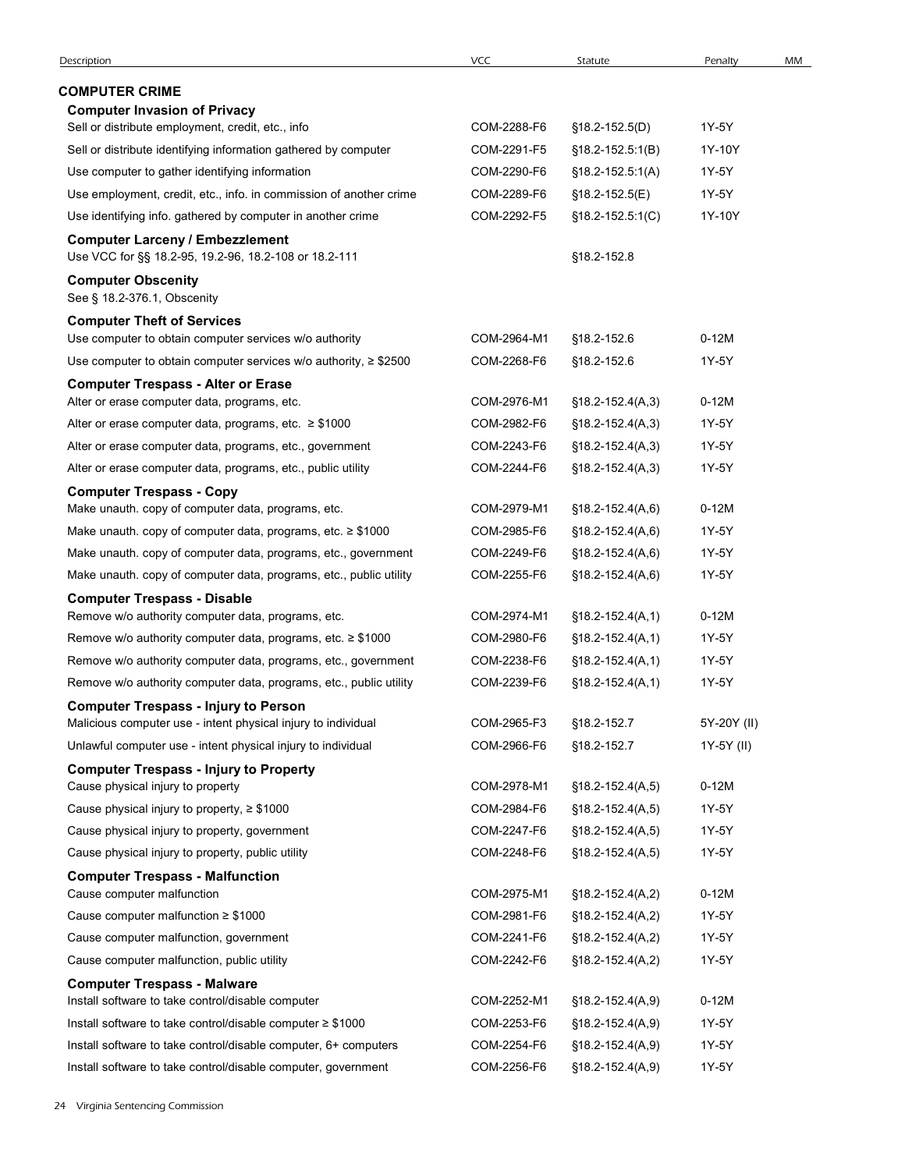| Description                                                                                                  | <b>VCC</b>  | Statute                       | Penalty     | MM |
|--------------------------------------------------------------------------------------------------------------|-------------|-------------------------------|-------------|----|
|                                                                                                              |             |                               |             |    |
| <b>COMPUTER CRIME</b><br><b>Computer Invasion of Privacy</b>                                                 |             |                               |             |    |
| Sell or distribute employment, credit, etc., info                                                            | COM-2288-F6 | $$18.2 - 152.5(D)$            | 1Y-5Y       |    |
| Sell or distribute identifying information gathered by computer                                              | COM-2291-F5 | $$18.2 - 152.5:1(B)$          | 1Y-10Y      |    |
| Use computer to gather identifying information                                                               | COM-2290-F6 | $$18.2 - 152.5:1(A)$          | 1Y-5Y       |    |
| Use employment, credit, etc., info. in commission of another crime                                           | COM-2289-F6 | $$18.2 - 152.5(E)$            | 1Y-5Y       |    |
| Use identifying info. gathered by computer in another crime                                                  | COM-2292-F5 | $$18.2 - 152.5:1(C)$          | 1Y-10Y      |    |
| <b>Computer Larceny / Embezzlement</b><br>Use VCC for §§ 18.2-95, 19.2-96, 18.2-108 or 18.2-111              |             | §18.2-152.8                   |             |    |
| <b>Computer Obscenity</b><br>See § 18.2-376.1, Obscenity                                                     |             |                               |             |    |
| <b>Computer Theft of Services</b>                                                                            |             |                               |             |    |
| Use computer to obtain computer services w/o authority                                                       | COM-2964-M1 | §18.2-152.6                   | $0-12M$     |    |
| Use computer to obtain computer services $w/o$ authority, $\geq$ \$2500                                      | COM-2268-F6 | §18.2-152.6                   | 1Y-5Y       |    |
| <b>Computer Trespass - Alter or Erase</b><br>Alter or erase computer data, programs, etc.                    | COM-2976-M1 | $$18.2-152.4(A,3)$            | $0-12M$     |    |
| Alter or erase computer data, programs, etc. $\geq$ \$1000                                                   | COM-2982-F6 | $$18.2 - 152.4(A,3)$          | 1Y-5Y       |    |
| Alter or erase computer data, programs, etc., government                                                     | COM-2243-F6 | $$18.2 - 152.4(A,3)$          | 1Y-5Y       |    |
| Alter or erase computer data, programs, etc., public utility                                                 | COM-2244-F6 | $$18.2 - 152.4(A,3)$          | 1Y-5Y       |    |
| <b>Computer Trespass - Copy</b>                                                                              |             |                               |             |    |
| Make unauth. copy of computer data, programs, etc.                                                           | COM-2979-M1 | $$18.2 - 152.4(A, 6)$         | $0-12M$     |    |
| Make unauth. copy of computer data, programs, etc. ≥ \$1000                                                  | COM-2985-F6 | $$18.2 - 152.4(A, 6)$         | 1Y-5Y       |    |
| Make unauth. copy of computer data, programs, etc., government                                               | COM-2249-F6 | $$18.2 - 152.4(A, 6)$         | 1Y-5Y       |    |
| Make unauth. copy of computer data, programs, etc., public utility                                           | COM-2255-F6 | $$18.2 - 152.4(A, 6)$         | 1Y-5Y       |    |
| <b>Computer Trespass - Disable</b>                                                                           |             |                               |             |    |
| Remove w/o authority computer data, programs, etc.                                                           | COM-2974-M1 | $$18.2 - 152.4(A, 1)$         | $0-12M$     |    |
| Remove w/o authority computer data, programs, etc. ≥ \$1000                                                  | COM-2980-F6 | $$18.2 - 152.4(A, 1)$         | 1Y-5Y       |    |
| Remove w/o authority computer data, programs, etc., government                                               | COM-2238-F6 | $$18.2 - 152.4(A, 1)$         | 1Y-5Y       |    |
| Remove w/o authority computer data, programs, etc., public utility                                           | COM-2239-F6 | $$18.2 - 152.4(A, 1)$         | 1Y-5Y       |    |
| <b>Computer Trespass - Injury to Person</b><br>Malicious computer use - intent physical injury to individual | COM-2965-F3 | §18.2-152.7                   | 5Y-20Y (II) |    |
| Unlawful computer use - intent physical injury to individual                                                 | COM-2966-F6 | §18.2-152.7                   | 1Y-5Y (II)  |    |
| <b>Computer Trespass - Injury to Property</b>                                                                |             |                               |             |    |
| Cause physical injury to property                                                                            | COM-2978-M1 | $$18.2 - 152.4(A, 5)$         | $0-12M$     |    |
| Cause physical injury to property, $\geq$ \$1000                                                             | COM-2984-F6 | $$18.2 - 152.4(A, 5)$         | 1Y-5Y       |    |
| Cause physical injury to property, government                                                                | COM-2247-F6 | $$18.2 - 152.4(A, 5)$         | 1Y-5Y       |    |
| Cause physical injury to property, public utility                                                            | COM-2248-F6 | $$18.2-152.4(A,5)$            | 1Y-5Y       |    |
| <b>Computer Trespass - Malfunction</b><br>Cause computer malfunction                                         | COM-2975-M1 | $$18.2 - 152.4(A,2)$          | $0-12M$     |    |
| Cause computer malfunction $\geq$ \$1000                                                                     | COM-2981-F6 | $$18.2 - 152.4(A,2)$          | 1Y-5Y       |    |
| Cause computer malfunction, government                                                                       | COM-2241-F6 | $$18.2 - 152.4(A,2)$          | 1Y-5Y       |    |
| Cause computer malfunction, public utility                                                                   | COM-2242-F6 | $$18.2 - 152.4(A,2)$          | 1Y-5Y       |    |
| <b>Computer Trespass - Malware</b><br>Install software to take control/disable computer                      | COM-2252-M1 | $$18.2 - 152.4(A, 9)$         | $0-12M$     |    |
| Install software to take control/disable computer ≥ \$1000                                                   | COM-2253-F6 | $$18.2 - 152.4(A, 9)$         | 1Y-5Y       |    |
| Install software to take control/disable computer, 6+ computers                                              | COM-2254-F6 | $$18.2 - 152.4(A, 9)$         | 1Y-5Y       |    |
| Install software to take control/disable computer, government                                                |             | COM-2256-F6  §18.2-152.4(A,9) | 1Y-5Y       |    |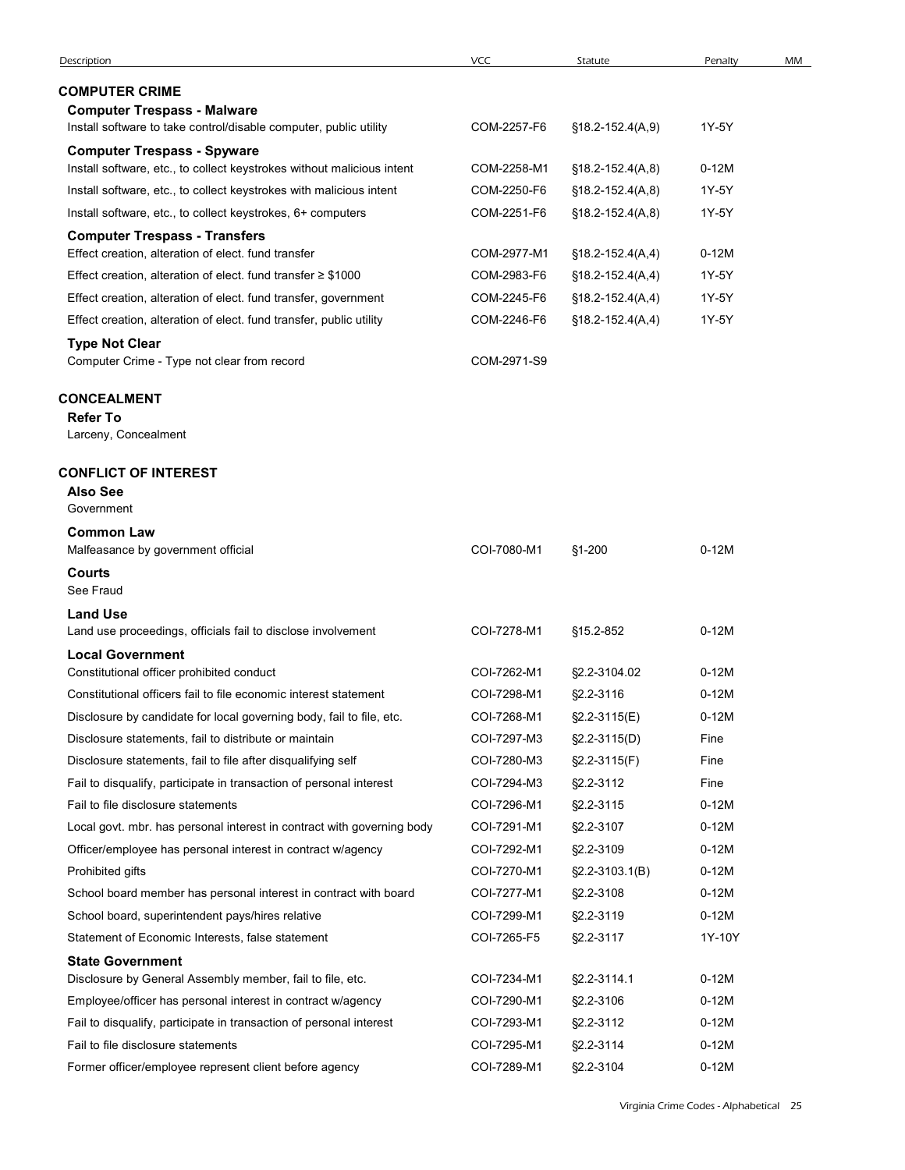| Description                                                                                                                         |                            |                                        |                    |    |
|-------------------------------------------------------------------------------------------------------------------------------------|----------------------------|----------------------------------------|--------------------|----|
|                                                                                                                                     | <b>VCC</b>                 | Statute                                | Penalty            | MM |
| <b>COMPUTER CRIME</b><br><b>Computer Trespass - Malware</b>                                                                         |                            |                                        |                    |    |
| Install software to take control/disable computer, public utility                                                                   | COM-2257-F6                | $$18.2-152.4(A, 9)$                    | 1Y-5Y              |    |
| <b>Computer Trespass - Spyware</b><br>Install software, etc., to collect keystrokes without malicious intent                        | COM-2258-M1                | $$18.2 - 152.4(A, 8)$                  | $0-12M$            |    |
| Install software, etc., to collect keystrokes with malicious intent                                                                 | COM-2250-F6                | $$18.2 - 152.4(A, 8)$                  | 1Y-5Y              |    |
| Install software, etc., to collect keystrokes, 6+ computers                                                                         | COM-2251-F6                | $$18.2 - 152.4(A, 8)$                  | 1Y-5Y              |    |
| <b>Computer Trespass - Transfers</b>                                                                                                |                            |                                        |                    |    |
| Effect creation, alteration of elect. fund transfer                                                                                 | COM-2977-M1                | $$18.2 - 152.4(A, 4)$                  | $0-12M$            |    |
| Effect creation, alteration of elect. fund transfer $\geq$ \$1000                                                                   | COM-2983-F6                | $$18.2 - 152.4(A, 4)$                  | 1Y-5Y              |    |
| Effect creation, alteration of elect. fund transfer, government                                                                     | COM-2245-F6                | $$18.2 - 152.4(A, 4)$                  | 1Y-5Y              |    |
| Effect creation, alteration of elect. fund transfer, public utility                                                                 | COM-2246-F6                | $$18.2 - 152.4(A, 4)$                  | 1Y-5Y              |    |
| <b>Type Not Clear</b><br>Computer Crime - Type not clear from record                                                                | COM-2971-S9                |                                        |                    |    |
| <b>CONCEALMENT</b>                                                                                                                  |                            |                                        |                    |    |
| <b>Refer To</b>                                                                                                                     |                            |                                        |                    |    |
| Larceny, Concealment                                                                                                                |                            |                                        |                    |    |
| <b>CONFLICT OF INTEREST</b><br><b>Also See</b>                                                                                      |                            |                                        |                    |    |
| Government<br><b>Common Law</b>                                                                                                     |                            |                                        |                    |    |
|                                                                                                                                     | COI-7080-M1                | §1-200                                 | $0-12M$            |    |
| Malfeasance by government official                                                                                                  |                            |                                        |                    |    |
| Courts<br>See Fraud                                                                                                                 |                            |                                        |                    |    |
| <b>Land Use</b>                                                                                                                     |                            |                                        |                    |    |
| Land use proceedings, officials fail to disclose involvement                                                                        | COI-7278-M1                | §15.2-852                              | $0-12M$            |    |
| <b>Local Government</b>                                                                                                             |                            |                                        |                    |    |
| Constitutional officer prohibited conduct                                                                                           | COI-7262-M1                | §2.2-3104.02                           | $0-12M$            |    |
| Constitutional officers fail to file economic interest statement                                                                    | COI-7298-M1                | §2.2-3116                              | $0-12M$            |    |
| Disclosure by candidate for local governing body, fail to file, etc.<br>Disclosure statements, fail to distribute or maintain       | COI-7268-M1<br>COI-7297-M3 | $$2.2-3115(E)$                         | $0-12M$<br>Fine    |    |
|                                                                                                                                     | COI-7280-M3                | $\S2.2 - 3115(D)$<br>$\S2.2 - 3115(F)$ | Fine               |    |
| Disclosure statements, fail to file after disqualifying self<br>Fail to disqualify, participate in transaction of personal interest | COI-7294-M3                | §2.2-3112                              | Fine               |    |
| Fail to file disclosure statements                                                                                                  | COI-7296-M1                | §2.2-3115                              | $0-12M$            |    |
| Local govt. mbr. has personal interest in contract with governing body                                                              | COI-7291-M1                | §2.2-3107                              | $0-12M$            |    |
| Officer/employee has personal interest in contract w/agency                                                                         | COI-7292-M1                | §2.2-3109                              | $0-12M$            |    |
| Prohibited gifts                                                                                                                    | COI-7270-M1                | $\S2.2 - 3103.1(B)$                    | $0-12M$            |    |
| School board member has personal interest in contract with board                                                                    | COI-7277-M1                | §2.2-3108                              | $0-12M$            |    |
| School board, superintendent pays/hires relative                                                                                    | COI-7299-M1                | §2.2-3119                              | $0-12M$            |    |
| Statement of Economic Interests, false statement                                                                                    | COI-7265-F5                | §2.2-3117                              | 1Y-10Y             |    |
| <b>State Government</b>                                                                                                             |                            |                                        |                    |    |
| Disclosure by General Assembly member, fail to file, etc.                                                                           | COI-7234-M1                | §2.2-3114.1                            | $0-12M$            |    |
| Employee/officer has personal interest in contract w/agency                                                                         | COI-7290-M1                | §2.2-3106                              | $0-12M$            |    |
| Fail to disqualify, participate in transaction of personal interest<br>Fail to file disclosure statements                           | COI-7293-M1<br>COI-7295-M1 | §2.2-3112<br>§2.2-3114                 | $0-12M$<br>$0-12M$ |    |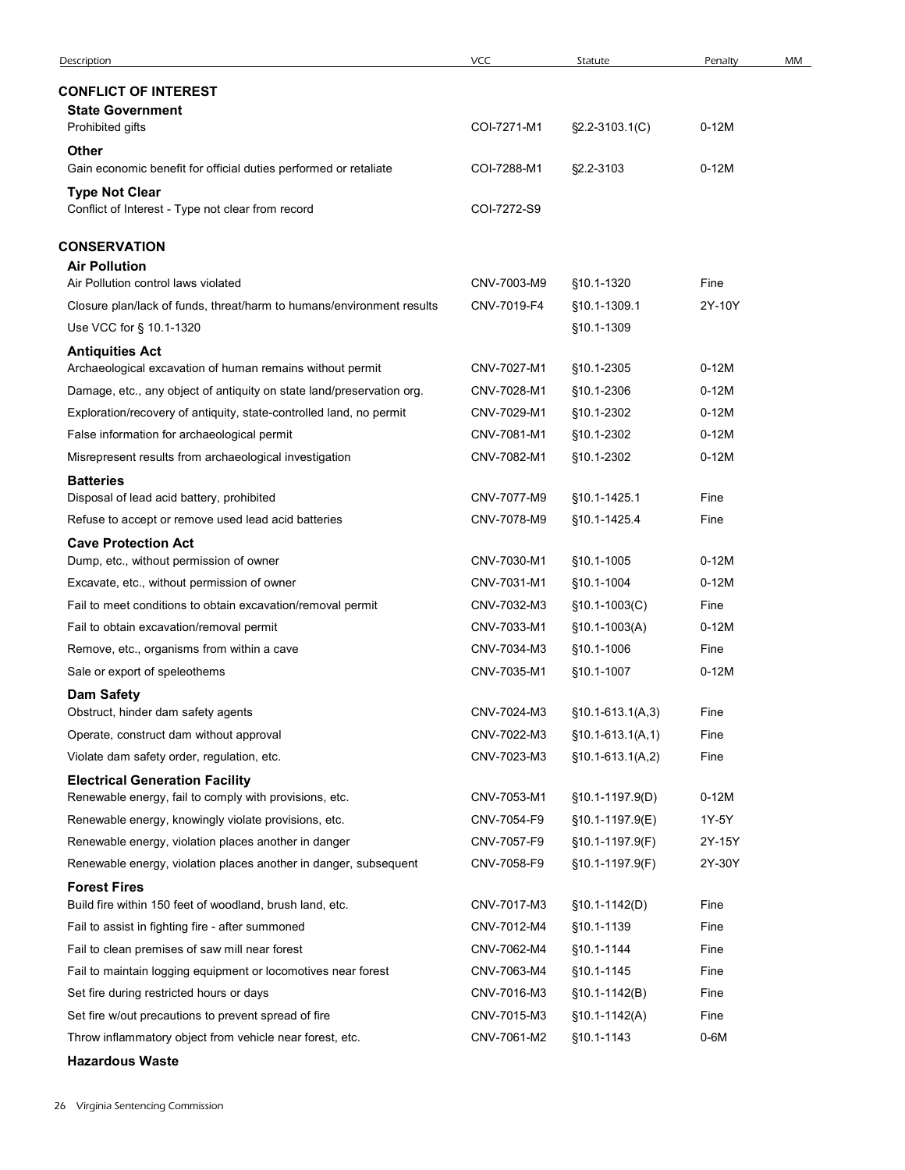| Description                                                                                                  | <b>VCC</b>                 | Statute                      | Penalty        | MM |
|--------------------------------------------------------------------------------------------------------------|----------------------------|------------------------------|----------------|----|
| <b>CONFLICT OF INTEREST</b>                                                                                  |                            |                              |                |    |
| <b>State Government</b>                                                                                      |                            |                              |                |    |
| Prohibited gifts                                                                                             | COI-7271-M1                | §2.2-3103.1(C)               | $0-12M$        |    |
| Other<br>Gain economic benefit for official duties performed or retaliate                                    | COI-7288-M1                | §2.2-3103                    | $0-12M$        |    |
| <b>Type Not Clear</b>                                                                                        |                            |                              |                |    |
| Conflict of Interest - Type not clear from record                                                            | COI-7272-S9                |                              |                |    |
| <b>CONSERVATION</b>                                                                                          |                            |                              |                |    |
| <b>Air Pollution</b>                                                                                         |                            |                              |                |    |
| Air Pollution control laws violated<br>Closure plan/lack of funds, threat/harm to humans/environment results | CNV-7003-M9<br>CNV-7019-F4 | §10.1-1320<br>§10.1-1309.1   | Fine<br>2Y-10Y |    |
| Use VCC for § 10.1-1320                                                                                      |                            | §10.1-1309                   |                |    |
| <b>Antiquities Act</b>                                                                                       |                            |                              |                |    |
| Archaeological excavation of human remains without permit                                                    | CNV-7027-M1                | §10.1-2305                   | $0-12M$        |    |
| Damage, etc., any object of antiquity on state land/preservation org.                                        | CNV-7028-M1                | §10.1-2306                   | $0-12M$        |    |
| Exploration/recovery of antiquity, state-controlled land, no permit                                          | CNV-7029-M1                | §10.1-2302                   | $0-12M$        |    |
| False information for archaeological permit                                                                  | CNV-7081-M1                | §10.1-2302                   | $0-12M$        |    |
| Misrepresent results from archaeological investigation                                                       | CNV-7082-M1                | §10.1-2302                   | $0-12M$        |    |
| <b>Batteries</b>                                                                                             |                            |                              |                |    |
| Disposal of lead acid battery, prohibited<br>Refuse to accept or remove used lead acid batteries             | CNV-7077-M9<br>CNV-7078-M9 | §10.1-1425.1<br>§10.1-1425.4 | Fine<br>Fine   |    |
| <b>Cave Protection Act</b>                                                                                   |                            |                              |                |    |
| Dump, etc., without permission of owner                                                                      | CNV-7030-M1                | §10.1-1005                   | $0-12M$        |    |
| Excavate, etc., without permission of owner                                                                  | CNV-7031-M1                | §10.1-1004                   | $0-12M$        |    |
| Fail to meet conditions to obtain excavation/removal permit                                                  | CNV-7032-M3                | $$10.1-1003(C)$              | Fine           |    |
| Fail to obtain excavation/removal permit                                                                     | CNV-7033-M1                | §10.1-1003(A)                | $0-12M$        |    |
| Remove, etc., organisms from within a cave                                                                   | CNV-7034-M3                | §10.1-1006                   | Fine           |    |
| Sale or export of speleothems                                                                                | CNV-7035-M1                | §10.1-1007                   | $0-12M$        |    |
| <b>Dam Safety</b>                                                                                            |                            |                              |                |    |
| Obstruct, hinder dam safety agents                                                                           | CNV-7024-M3                | $$10.1-613.1(A,3)$           | Fine           |    |
| Operate, construct dam without approval                                                                      | CNV-7022-M3                | $$10.1-613.1(A,1)$           | Fine           |    |
| Violate dam safety order, regulation, etc.                                                                   | CNV-7023-M3                | $$10.1-613.1(A,2)$           | Fine           |    |
| <b>Electrical Generation Facility</b><br>Renewable energy, fail to comply with provisions, etc.              | CNV-7053-M1                | §10.1-1197.9(D)              | $0-12M$        |    |
| Renewable energy, knowingly violate provisions, etc.                                                         | CNV-7054-F9                | §10.1-1197.9(E)              | 1Y-5Y          |    |
| Renewable energy, violation places another in danger                                                         | CNV-7057-F9                | §10.1-1197.9(F)              | 2Y-15Y         |    |
| Renewable energy, violation places another in danger, subsequent                                             | CNV-7058-F9                | §10.1-1197.9(F)              | 2Y-30Y         |    |
| <b>Forest Fires</b>                                                                                          |                            |                              |                |    |
| Build fire within 150 feet of woodland, brush land, etc.                                                     | CNV-7017-M3                | $$10.1-1142(D)$              | Fine           |    |
| Fail to assist in fighting fire - after summoned                                                             | CNV-7012-M4                | §10.1-1139                   | Fine           |    |
| Fail to clean premises of saw mill near forest                                                               | CNV-7062-M4                | §10.1-1144                   | Fine           |    |
| Fail to maintain logging equipment or locomotives near forest                                                | CNV-7063-M4                | §10.1-1145                   | Fine           |    |
| Set fire during restricted hours or days                                                                     | CNV-7016-M3                | §10.1-1142(B)                | Fine           |    |
| Set fire w/out precautions to prevent spread of fire                                                         | CNV-7015-M3                | $$10.1-1142(A)$              | Fine           |    |
| Throw inflammatory object from vehicle near forest, etc.                                                     | CNV-7061-M2                | §10.1-1143                   | $0-6M$         |    |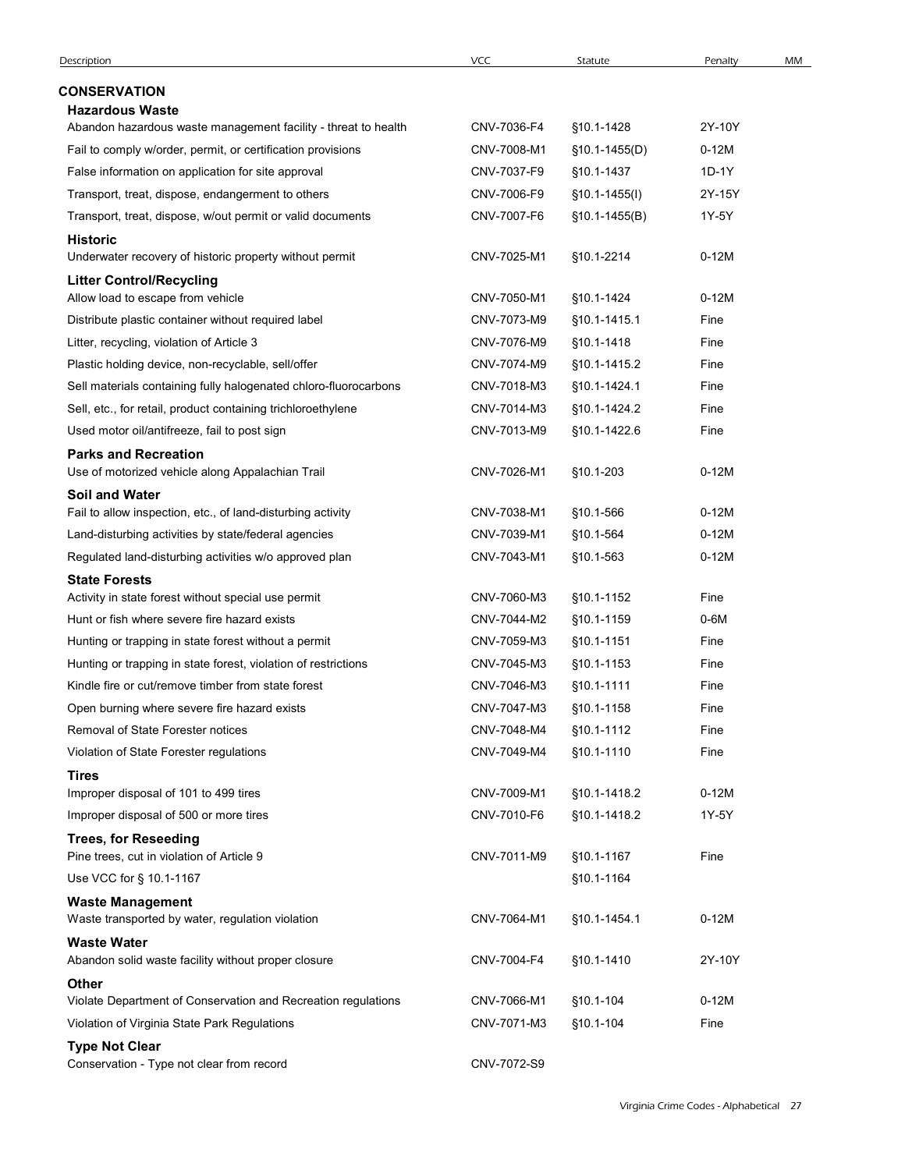| Description                                                                                         | <b>VCC</b>                 | Statute                    | Penalty                                | MM |
|-----------------------------------------------------------------------------------------------------|----------------------------|----------------------------|----------------------------------------|----|
| <b>CONSERVATION</b>                                                                                 |                            |                            |                                        |    |
| <b>Hazardous Waste</b>                                                                              |                            |                            |                                        |    |
| Abandon hazardous waste management facility - threat to health                                      | CNV-7036-F4                | §10.1-1428                 | 2Y-10Y                                 |    |
| Fail to comply w/order, permit, or certification provisions                                         | CNV-7008-M1                | $$10.1-1455(D)$            | $0-12M$                                |    |
| False information on application for site approval                                                  | CNV-7037-F9                | §10.1-1437                 | 1D-1Y                                  |    |
| Transport, treat, dispose, endangerment to others                                                   | CNV-7006-F9                | $$10.1-1455(l)$            | 2Y-15Y                                 |    |
| Transport, treat, dispose, w/out permit or valid documents                                          | CNV-7007-F6                | $$10.1-1455(B)$            | 1Y-5Y                                  |    |
| <b>Historic</b><br>Underwater recovery of historic property without permit                          | CNV-7025-M1                | §10.1-2214                 | $0-12M$                                |    |
| <b>Litter Control/Recycling</b>                                                                     |                            |                            |                                        |    |
| Allow load to escape from vehicle                                                                   | CNV-7050-M1                | §10.1-1424                 | $0-12M$                                |    |
| Distribute plastic container without required label<br>Litter, recycling, violation of Article 3    | CNV-7073-M9<br>CNV-7076-M9 | §10.1-1415.1<br>§10.1-1418 | Fine<br>Fine                           |    |
| Plastic holding device, non-recyclable, sell/offer                                                  | CNV-7074-M9                | §10.1-1415.2               | Fine                                   |    |
| Sell materials containing fully halogenated chloro-fluorocarbons                                    | CNV-7018-M3                | §10.1-1424.1               | Fine                                   |    |
| Sell, etc., for retail, product containing trichloroethylene                                        | CNV-7014-M3                | §10.1-1424.2               | Fine                                   |    |
| Used motor oil/antifreeze, fail to post sign                                                        | CNV-7013-M9                | §10.1-1422.6               | Fine                                   |    |
| <b>Parks and Recreation</b><br>Use of motorized vehicle along Appalachian Trail                     | CNV-7026-M1                | §10.1-203                  | $0-12M$                                |    |
| <b>Soil and Water</b>                                                                               |                            |                            |                                        |    |
| Fail to allow inspection, etc., of land-disturbing activity                                         | CNV-7038-M1                | §10.1-566                  | $0-12M$                                |    |
| Land-disturbing activities by state/federal agencies                                                | CNV-7039-M1                | §10.1-564                  | $0-12M$                                |    |
| Regulated land-disturbing activities w/o approved plan                                              | CNV-7043-M1                | §10.1-563                  | $0-12M$                                |    |
| <b>State Forests</b>                                                                                |                            |                            |                                        |    |
| Activity in state forest without special use permit<br>Hunt or fish where severe fire hazard exists | CNV-7060-M3<br>CNV-7044-M2 | §10.1-1152                 | Fine<br>$0-6M$                         |    |
| Hunting or trapping in state forest without a permit                                                | CNV-7059-M3                | §10.1-1159<br>§10.1-1151   | Fine                                   |    |
| Hunting or trapping in state forest, violation of restrictions                                      | CNV-7045-M3                | §10.1-1153                 | Fine                                   |    |
| Kindle fire or cut/remove timber from state forest                                                  | CNV-7046-M3                | §10.1-1111                 | Fine                                   |    |
| Open burning where severe fire hazard exists                                                        | CNV-7047-M3                | §10.1-1158                 | Fine                                   |    |
| Removal of State Forester notices                                                                   | CNV-7048-M4                | §10.1-1112                 | Fine                                   |    |
| Violation of State Forester regulations                                                             | CNV-7049-M4                | §10.1-1110                 | Fine                                   |    |
| <b>Tires</b>                                                                                        |                            |                            |                                        |    |
| Improper disposal of 101 to 499 tires                                                               | CNV-7009-M1                | §10.1-1418.2               | $0-12M$                                |    |
| Improper disposal of 500 or more tires                                                              | CNV-7010-F6                | §10.1-1418.2               | 1Y-5Y                                  |    |
| <b>Trees, for Reseeding</b><br>Pine trees, cut in violation of Article 9                            | CNV-7011-M9                | §10.1-1167                 | Fine                                   |    |
| Use VCC for § 10.1-1167                                                                             |                            | §10.1-1164                 |                                        |    |
| <b>Waste Management</b><br>Waste transported by water, regulation violation                         | CNV-7064-M1                | §10.1-1454.1               | $0-12M$                                |    |
| <b>Waste Water</b><br>Abandon solid waste facility without proper closure                           | CNV-7004-F4                | §10.1-1410                 | 2Y-10Y                                 |    |
| <b>Other</b>                                                                                        |                            |                            |                                        |    |
| Violate Department of Conservation and Recreation regulations                                       | CNV-7066-M1                | §10.1-104                  | $0-12M$                                |    |
| Violation of Virginia State Park Regulations                                                        | CNV-7071-M3                | §10.1-104                  | Fine                                   |    |
| <b>Type Not Clear</b><br>Conservation - Type not clear from record                                  | CNV-7072-S9                |                            |                                        |    |
|                                                                                                     |                            |                            | Virginia Crime Codes - Alphabetical 27 |    |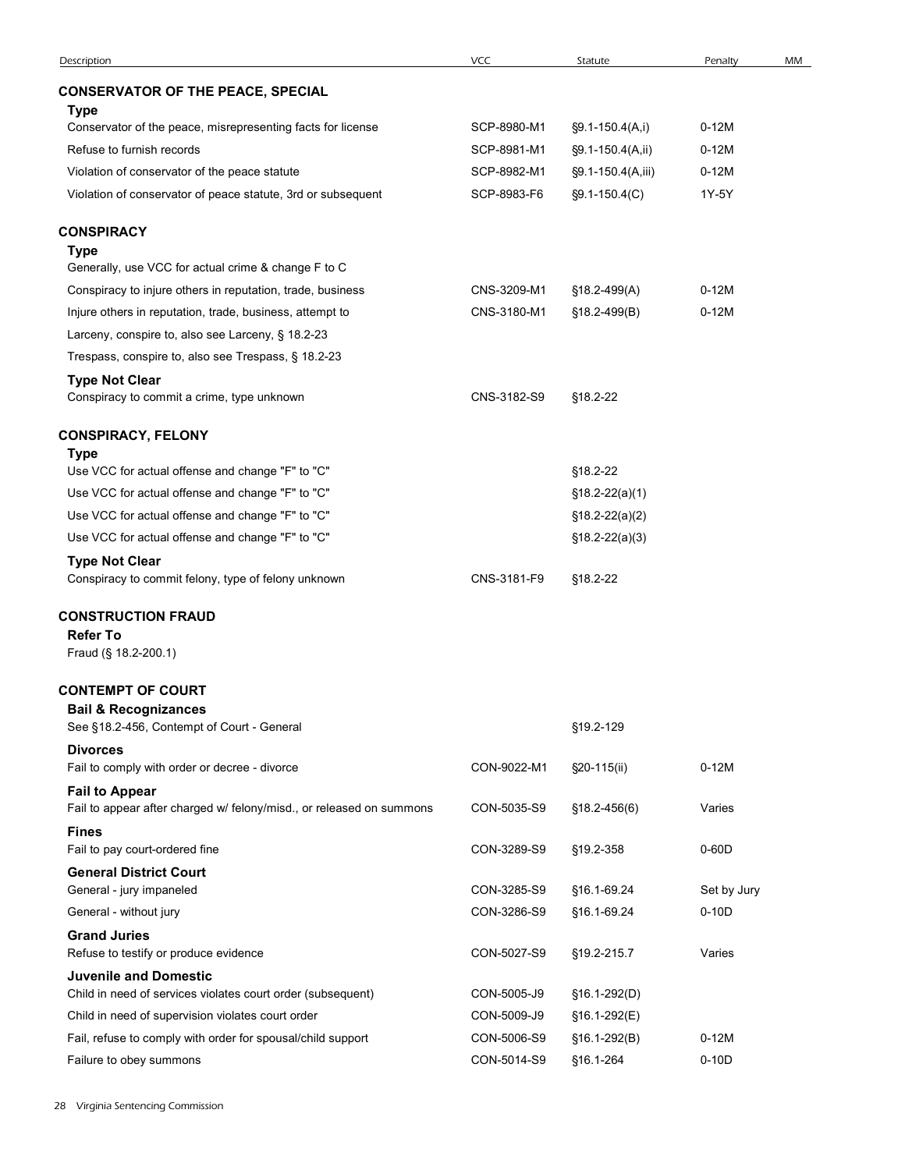| Description                                                          | VCC         | Statute            | Penalty     | MM |
|----------------------------------------------------------------------|-------------|--------------------|-------------|----|
| <b>CONSERVATOR OF THE PEACE, SPECIAL</b><br><b>Type</b>              |             |                    |             |    |
| Conservator of the peace, misrepresenting facts for license          | SCP-8980-M1 | §9.1-150.4(A,i)    | $0-12M$     |    |
| Refuse to furnish records                                            | SCP-8981-M1 | §9.1-150.4(A,ii)   | $0-12M$     |    |
| Violation of conservator of the peace statute                        | SCP-8982-M1 | §9.1-150.4(A,iii)  | $0-12M$     |    |
| Violation of conservator of peace statute, 3rd or subsequent         | SCP-8983-F6 | $\S9.1 - 150.4(C)$ | 1Y-5Y       |    |
| CONSPIRACY                                                           |             |                    |             |    |
| <b>Type</b>                                                          |             |                    |             |    |
| Generally, use VCC for actual crime & change F to C                  |             |                    |             |    |
| Conspiracy to injure others in reputation, trade, business           | CNS-3209-M1 | §18.2-499(A)       | $0-12M$     |    |
| Injure others in reputation, trade, business, attempt to             | CNS-3180-M1 | §18.2-499(B)       | $0-12M$     |    |
| Larceny, conspire to, also see Larceny, § 18.2-23                    |             |                    |             |    |
| Trespass, conspire to, also see Trespass, § 18.2-23                  |             |                    |             |    |
| <b>Type Not Clear</b><br>Conspiracy to commit a crime, type unknown  | CNS-3182-S9 | §18.2-22           |             |    |
|                                                                      |             |                    |             |    |
| <b>CONSPIRACY, FELONY</b><br><b>Type</b>                             |             |                    |             |    |
| Use VCC for actual offense and change "F" to "C"                     |             | §18.2-22           |             |    |
| Use VCC for actual offense and change "F" to "C"                     |             | $$18.2-22(a)(1)$   |             |    |
| Use VCC for actual offense and change "F" to "C"                     |             | $$18.2-22(a)(2)$   |             |    |
| Use VCC for actual offense and change "F" to "C"                     |             | $$18.2-22(a)(3)$   |             |    |
| <b>Type Not Clear</b>                                                |             |                    |             |    |
| Conspiracy to commit felony, type of felony unknown                  | CNS-3181-F9 | §18.2-22           |             |    |
| <b>CONSTRUCTION FRAUD</b>                                            |             |                    |             |    |
| <b>Refer To</b>                                                      |             |                    |             |    |
| Fraud (§ 18.2-200.1)                                                 |             |                    |             |    |
| <b>CONTEMPT OF COURT</b>                                             |             |                    |             |    |
| <b>Bail &amp; Recognizances</b>                                      |             |                    |             |    |
| See §18.2-456, Contempt of Court - General<br><b>Divorces</b>        |             | §19.2-129          |             |    |
| Fail to comply with order or decree - divorce                        | CON-9022-M1 | §20-115(ii)        | $0-12M$     |    |
| <b>Fail to Appear</b>                                                |             |                    |             |    |
| Fail to appear after charged w/ felony/misd., or released on summons | CON-5035-S9 | §18.2-456(6)       | Varies      |    |
| <b>Fines</b>                                                         | CON-3289-S9 |                    | $0-60D$     |    |
| Fail to pay court-ordered fine<br><b>General District Court</b>      |             | §19.2-358          |             |    |
| General - jury impaneled                                             | CON-3285-S9 | §16.1-69.24        | Set by Jury |    |
| General - without jury                                               | CON-3286-S9 | §16.1-69.24        | $0-10D$     |    |
| <b>Grand Juries</b>                                                  |             |                    |             |    |
| Refuse to testify or produce evidence                                | CON-5027-S9 | §19.2-215.7        | Varies      |    |
| <b>Juvenile and Domestic</b>                                         |             |                    |             |    |
| Child in need of services violates court order (subsequent)          | CON-5005-J9 | §16.1-292(D)       |             |    |
| Child in need of supervision violates court order                    | CON-5009-J9 | §16.1-292(E)       |             |    |
| Fail, refuse to comply with order for spousal/child support          | CON-5006-S9 | §16.1-292(B)       | $0-12M$     |    |
| Failure to obey summons                                              | CON-5014-S9 | §16.1-264          | $0-10D$     |    |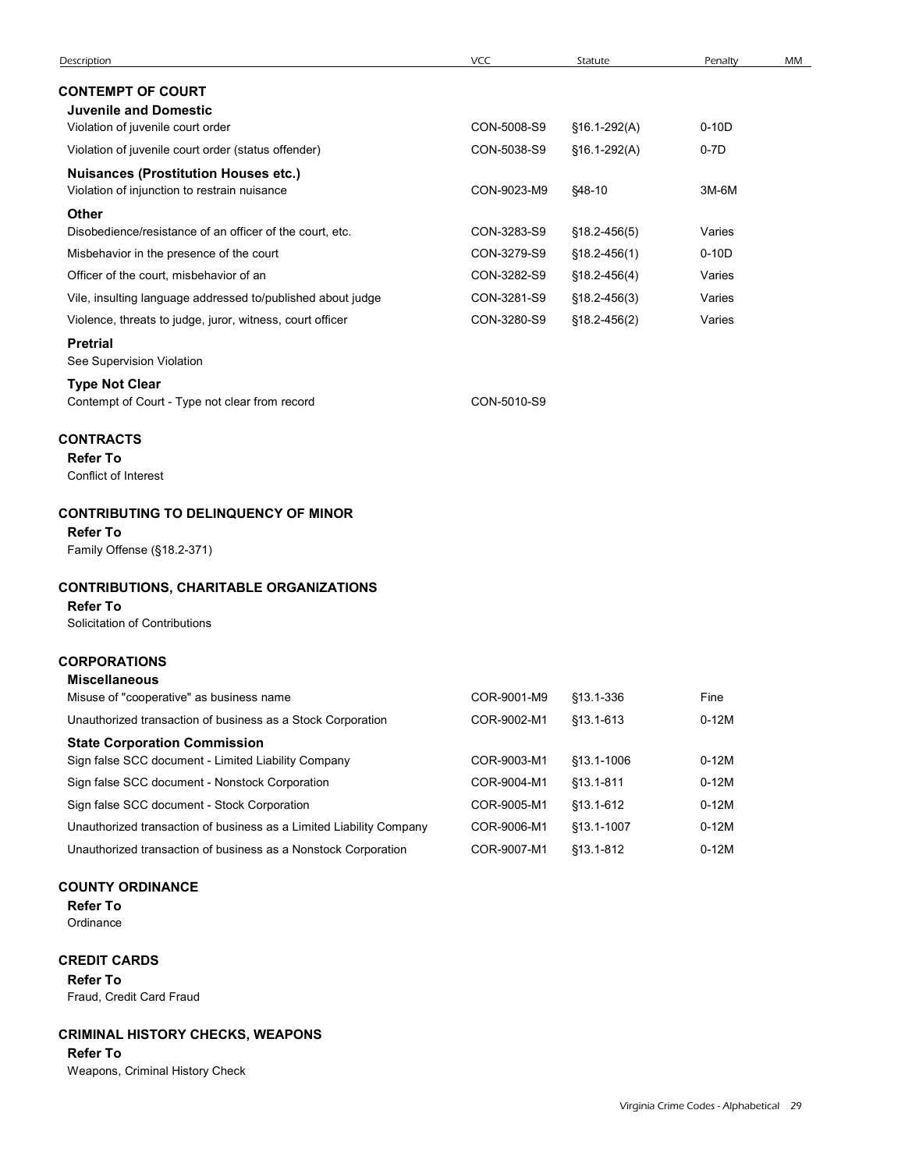| Description                                                                                        | VCC         | Statute          | Penalty | MM |
|----------------------------------------------------------------------------------------------------|-------------|------------------|---------|----|
| <b>CONTEMPT OF COURT</b>                                                                           |             |                  |         |    |
| <b>Juvenile and Domestic</b>                                                                       |             |                  |         |    |
| Violation of juvenile court order                                                                  | CON-5008-S9 | §16.1-292(A)     | $0-10D$ |    |
| Violation of juvenile court order (status offender)                                                | CON-5038-S9 | §16.1-292(A)     | $0-7D$  |    |
| <b>Nuisances (Prostitution Houses etc.)</b><br>Violation of injunction to restrain nuisance        | CON-9023-M9 | §48-10           | 3M-6M   |    |
| <b>Other</b><br>Disobedience/resistance of an officer of the court, etc.                           | CON-3283-S9 | §18.2-456(5)     | Varies  |    |
| Misbehavior in the presence of the court                                                           | CON-3279-S9 | §18.2-456(1)     | $0-10D$ |    |
| Officer of the court, misbehavior of an                                                            | CON-3282-S9 | §18.2-456(4)     | Varies  |    |
| Vile, insulting language addressed to/published about judge                                        | CON-3281-S9 | §18.2-456(3)     | Varies  |    |
| Violence, threats to judge, juror, witness, court officer                                          | CON-3280-S9 | $$18.2 - 456(2)$ | Varies  |    |
| <b>Pretrial</b><br>See Supervision Violation                                                       |             |                  |         |    |
| <b>Type Not Clear</b><br>Contempt of Court - Type not clear from record                            | CON-5010-S9 |                  |         |    |
| <b>CONTRACTS</b><br><b>Refer To</b><br>Conflict of Interest                                        |             |                  |         |    |
| <b>CONTRIBUTING TO DELINQUENCY OF MINOR</b><br><b>Refer To</b><br>Family Offense (§18.2-371)       |             |                  |         |    |
| <b>CONTRIBUTIONS, CHARITABLE ORGANIZATIONS</b><br><b>Refer To</b><br>Solicitation of Contributions |             |                  |         |    |
| <b>CORPORATIONS</b><br><b>Miscellaneous</b>                                                        |             |                  |         |    |
| Misuse of "cooperative" as business name                                                           | COR-9001-M9 | §13.1-336        | Fine    |    |
| Unauthorized transaction of business as a Stock Corporation                                        | COR-9002-M1 | §13.1-613        | $0-12M$ |    |
| <b>State Corporation Commission</b><br>Sign false SCC document - Limited Liability Company         | COR-9003-M1 | §13.1-1006       | $0-12M$ |    |
| Sign false SCC document - Nonstock Corporation                                                     | COR-9004-M1 | §13.1-811        | $0-12M$ |    |
| Sign false SCC document - Stock Corporation                                                        | COR-9005-M1 | §13.1-612        | $0-12M$ |    |
| Unauthorized transaction of business as a Limited Liability Company                                | COR-9006-M1 | §13.1-1007       | $0-12M$ |    |
| Unauthorized transaction of business as a Nonstock Corporation                                     | COR-9007-M1 | §13.1-812        |         |    |

CREDIT CARDS

Refer To Fraud, Credit Card Fraud

# CRIMINAL HISTORY CHECKS, WEAPONS

Refer To

Weapons, Criminal History Check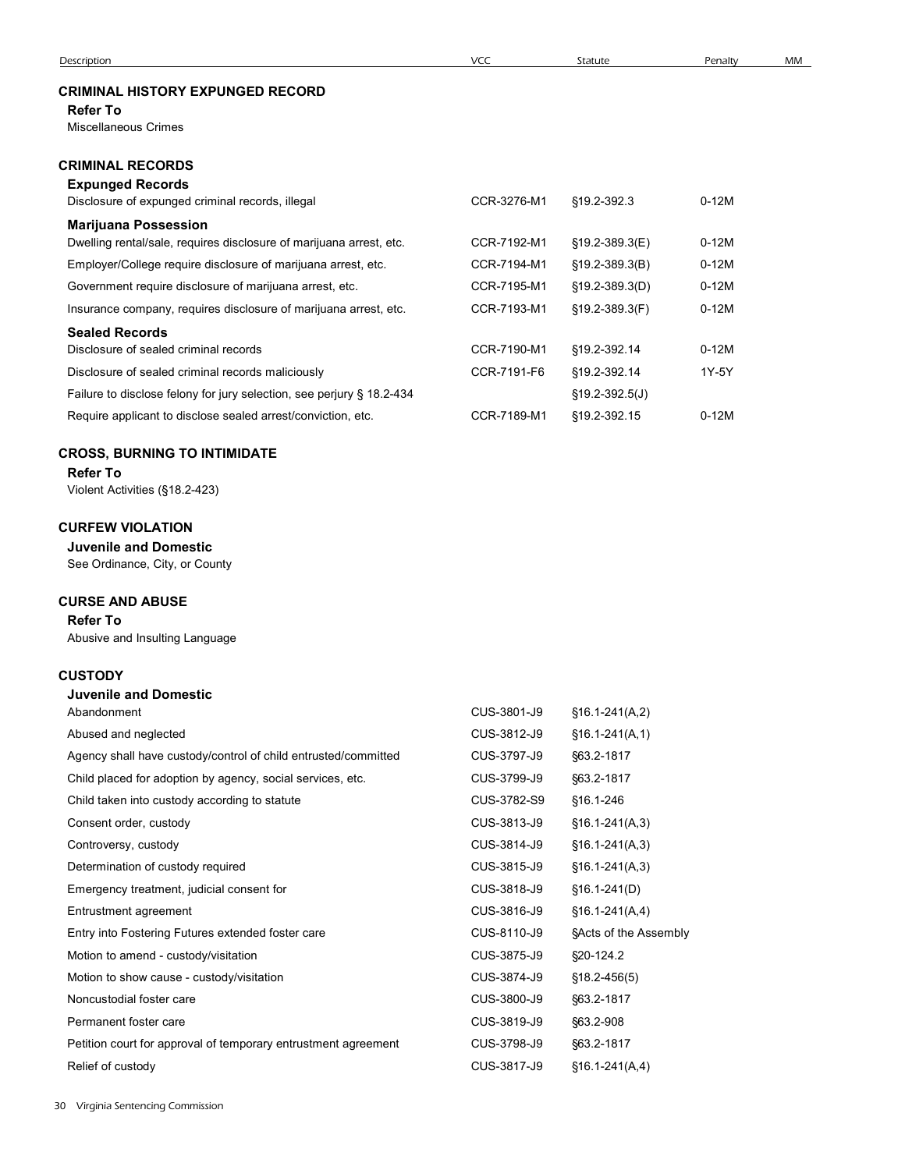# CRIMINAL HISTORY EXPUNGED RECORD

#### Refer To

# CRIMINAL RECORDS

| <b>Description</b>                                                                                 |             |                  |         |    |
|----------------------------------------------------------------------------------------------------|-------------|------------------|---------|----|
|                                                                                                    | VCC         | Statute          | Penalty | MM |
| <b>CRIMINAL HISTORY EXPUNGED RECORD</b>                                                            |             |                  |         |    |
| <b>Refer To</b>                                                                                    |             |                  |         |    |
| Miscellaneous Crimes                                                                               |             |                  |         |    |
| <b>CRIMINAL RECORDS</b>                                                                            |             |                  |         |    |
| <b>Expunged Records</b>                                                                            |             |                  |         |    |
| Disclosure of expunged criminal records, illegal                                                   | CCR-3276-M1 | §19.2-392.3      | $0-12M$ |    |
| <b>Marijuana Possession</b><br>Dwelling rental/sale, requires disclosure of marijuana arrest, etc. | CCR-7192-M1 | §19.2-389.3(E)   | $0-12M$ |    |
| Employer/College require disclosure of marijuana arrest, etc.                                      | CCR-7194-M1 | §19.2-389.3(B)   | $0-12M$ |    |
| Government require disclosure of marijuana arrest, etc.                                            | CCR-7195-M1 | §19.2-389.3(D)   | $0-12M$ |    |
| Insurance company, requires disclosure of marijuana arrest, etc.                                   | CCR-7193-M1 | §19.2-389.3(F)   | $0-12M$ |    |
| <b>Sealed Records</b>                                                                              |             |                  |         |    |
| Disclosure of sealed criminal records                                                              | CCR-7190-M1 | §19.2-392.14     | $0-12M$ |    |
| Disclosure of sealed criminal records maliciously                                                  | CCR-7191-F6 | §19.2-392.14     | 1Y-5Y   |    |
| Failure to disclose felony for jury selection, see perjury § 18.2-434                              |             | $$19.2-392.5(J)$ |         |    |
|                                                                                                    |             |                  |         |    |

### CROSS, BURNING TO INTIMIDATE

# CURFEW VIOLATION

### CURSE AND ABUSE

# **CUSTODY**<br>Luvenile and Domestic

| <b>Sealed Records</b>                                                 |             |                       |         |
|-----------------------------------------------------------------------|-------------|-----------------------|---------|
| Disclosure of sealed criminal records                                 | CCR-7190-M1 | §19.2-392.14          | $0-12M$ |
| Disclosure of sealed criminal records maliciously                     | CCR-7191-F6 | §19.2-392.14          | 1Y-5Y   |
| Failure to disclose felony for jury selection, see perjury § 18.2-434 |             | $§19.2 - 392.5(J)$    |         |
| Require applicant to disclose sealed arrest/conviction, etc.          | CCR-7189-M1 | §19.2-392.15          | $0-12M$ |
| <b>CROSS, BURNING TO INTIMIDATE</b>                                   |             |                       |         |
| <b>Refer To</b>                                                       |             |                       |         |
| Violent Activities (§18.2-423)                                        |             |                       |         |
| <b>CURFEW VIOLATION:</b>                                              |             |                       |         |
| <b>Juvenile and Domestic</b>                                          |             |                       |         |
| See Ordinance, City, or County                                        |             |                       |         |
| <b>CURSE AND ABUSE</b>                                                |             |                       |         |
| <b>Refer To</b>                                                       |             |                       |         |
| Abusive and Insulting Language                                        |             |                       |         |
| <b>CUSTODY</b>                                                        |             |                       |         |
| <b>Juvenile and Domestic</b>                                          |             |                       |         |
| Abandonment                                                           | CUS-3801-J9 | $$16.1-241(A,2)$      |         |
| Abused and neglected                                                  | CUS-3812-J9 | $$16.1-241(A,1)$      |         |
| Agency shall have custody/control of child entrusted/committed        | CUS-3797-J9 | §63.2-1817            |         |
| Child placed for adoption by agency, social services, etc.            | CUS-3799-J9 | §63.2-1817            |         |
| Child taken into custody according to statute                         | CUS-3782-S9 | §16.1-246             |         |
| Consent order, custody                                                | CUS-3813-J9 | $§16.1-241(A,3)$      |         |
| Controversy, custody                                                  | CUS-3814-J9 | $$16.1-241(A,3)$      |         |
| Determination of custody required                                     | CUS-3815-J9 | $§16.1-241(A,3)$      |         |
| Emergency treatment, judicial consent for                             | CUS-3818-J9 | $$16.1-241(D)$        |         |
| Entrustment agreement                                                 | CUS-3816-J9 | $$16.1-241(A,4)$      |         |
| Entry into Fostering Futures extended foster care                     | CUS-8110-J9 | §Acts of the Assembly |         |
| Motion to amend - custody/visitation                                  | CUS-3875-J9 | §20-124.2             |         |
| Motion to show cause - custody/visitation                             | CUS-3874-J9 | $$18.2 - 456(5)$      |         |
| Noncustodial foster care                                              | CUS-3800-J9 | §63.2-1817            |         |
| Permanent foster care                                                 | CUS-3819-J9 | §63.2-908             |         |
| Petition court for approval of temporary entrustment agreement        | CUS-3798-J9 | §63.2-1817            |         |
| Relief of custody                                                     | CUS-3817-J9 | $$16.1-241(A,4)$      |         |
| Virginia Sentencing Commission                                        |             |                       |         |
|                                                                       |             |                       |         |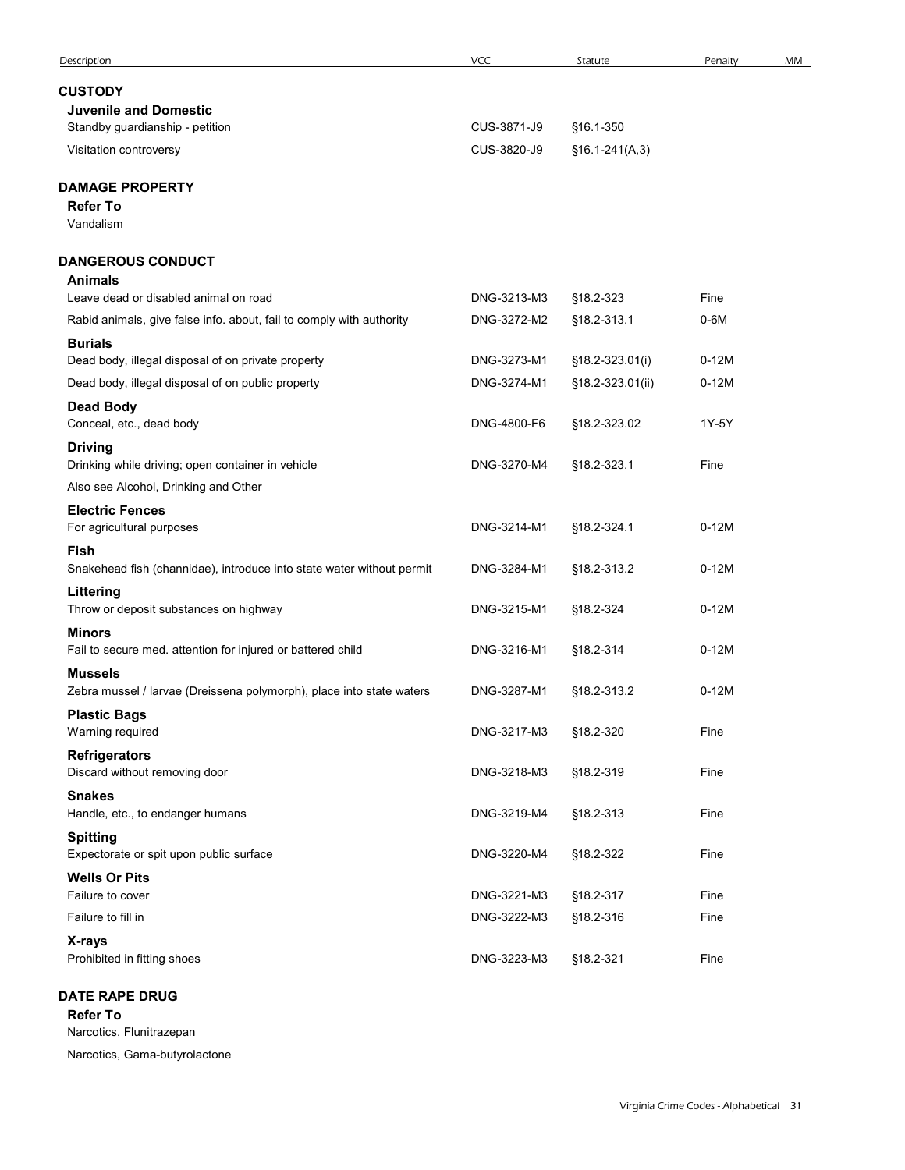| Description                                                                                             | VCC                        | Statute                             | Penalty            | MM |
|---------------------------------------------------------------------------------------------------------|----------------------------|-------------------------------------|--------------------|----|
| <b>CUSTODY</b>                                                                                          |                            |                                     |                    |    |
| <b>Juvenile and Domestic</b><br>Standby guardianship - petition                                         | CUS-3871-J9                | §16.1-350                           |                    |    |
| Visitation controversy                                                                                  | CUS-3820-J9                | $$16.1-241(A,3)$                    |                    |    |
| <b>DAMAGE PROPERTY</b>                                                                                  |                            |                                     |                    |    |
| <b>Refer To</b><br>Vandalism                                                                            |                            |                                     |                    |    |
| <b>DANGEROUS CONDUCT</b><br><b>Animals</b>                                                              |                            |                                     |                    |    |
| Leave dead or disabled animal on road                                                                   | DNG-3213-M3                | §18.2-323                           | Fine               |    |
| Rabid animals, give false info. about, fail to comply with authority                                    | DNG-3272-M2                | §18.2-313.1                         | $0-6M$             |    |
| <b>Burials</b>                                                                                          |                            |                                     |                    |    |
| Dead body, illegal disposal of on private property<br>Dead body, illegal disposal of on public property | DNG-3273-M1<br>DNG-3274-M1 | §18.2-323.01(i)<br>§18.2-323.01(ii) | $0-12M$<br>$0-12M$ |    |
| <b>Dead Body</b><br>Conceal, etc., dead body                                                            | DNG-4800-F6                | §18.2-323.02                        | 1Y-5Y              |    |
| <b>Driving</b><br>Drinking while driving; open container in vehicle                                     | DNG-3270-M4                | §18.2-323.1                         | Fine               |    |
| Also see Alcohol, Drinking and Other                                                                    |                            |                                     |                    |    |
| <b>Electric Fences</b><br>For agricultural purposes                                                     | DNG-3214-M1                | §18.2-324.1                         | $0-12M$            |    |
| Fish<br>Snakehead fish (channidae), introduce into state water without permit                           | DNG-3284-M1                | §18.2-313.2                         | $0-12M$            |    |
| Littering<br>Throw or deposit substances on highway                                                     | DNG-3215-M1                | §18.2-324                           | $0-12M$            |    |
| <b>Minors</b><br>Fail to secure med. attention for injured or battered child                            | DNG-3216-M1                | §18.2-314                           | $0-12M$            |    |
| <b>Mussels</b><br>Zebra mussel / larvae (Dreissena polymorph), place into state waters                  | DNG-3287-M1                | §18.2-313.2                         | $0-12M$            |    |
| <b>Plastic Bags</b><br>Warning required                                                                 | DNG-3217-M3                | §18.2-320                           | Fine               |    |
| <b>Refrigerators</b><br>Discard without removing door                                                   | DNG-3218-M3                | §18.2-319                           | Fine               |    |
| <b>Snakes</b><br>Handle, etc., to endanger humans                                                       | DNG-3219-M4                | §18.2-313                           | Fine               |    |
| <b>Spitting</b><br>Expectorate or spit upon public surface                                              | DNG-3220-M4                | §18.2-322                           | Fine               |    |
| <b>Wells Or Pits</b>                                                                                    |                            |                                     |                    |    |
| Failure to cover                                                                                        | DNG-3221-M3<br>DNG-3222-M3 | §18.2-317                           | Fine<br>Fine       |    |
| Failure to fill in<br>X-rays                                                                            |                            | §18.2-316                           |                    |    |
| Prohibited in fitting shoes                                                                             | DNG-3223-M3                | §18.2-321                           | Fine               |    |
| <b>DATE RAPE DRUG</b><br><b>Refer To</b><br>Narcotics, Flunitrazepan                                    |                            |                                     |                    |    |
| Narostian Camp but realactors                                                                           |                            |                                     |                    |    |

Refer To Narcotics, Flunitrazepan Narcotics, Gama-butyrolactone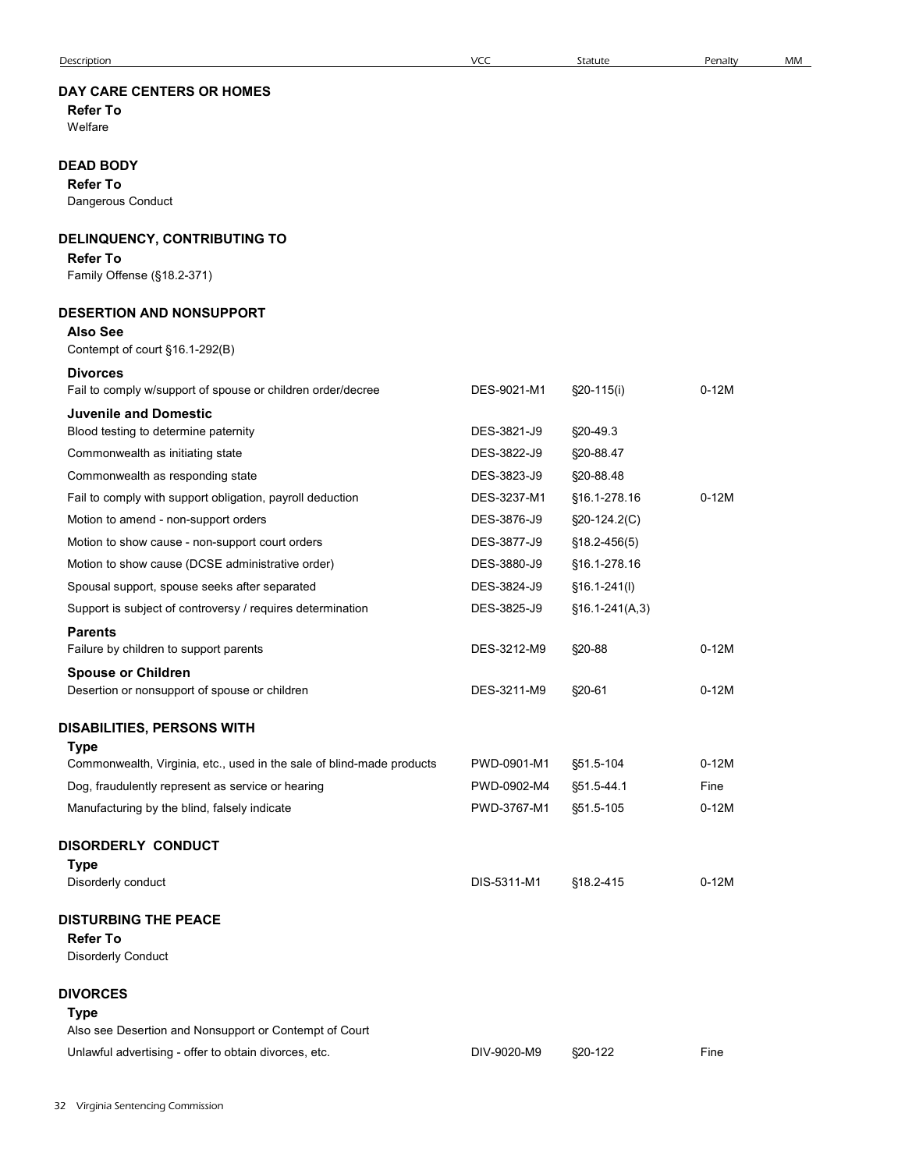# DAY CARE CENTERS OR HOMES

# DEAD BODY

# DELINQUENCY, CONTRIBUTING TO

#### Refer To

#### DESERTION AND NONSUPPORT

# Also See

| Description                                                                          | <b>VCC</b>  | Statute          | Penalty | MM |
|--------------------------------------------------------------------------------------|-------------|------------------|---------|----|
| <b>DAY CARE CENTERS OR HOMES</b><br><b>Refer To</b><br>Welfare                       |             |                  |         |    |
| <b>DEAD BODY</b><br><b>Refer To</b><br>Dangerous Conduct                             |             |                  |         |    |
|                                                                                      |             |                  |         |    |
| <b>DELINQUENCY, CONTRIBUTING TO</b><br><b>Refer To</b><br>Family Offense (§18.2-371) |             |                  |         |    |
| <b>DESERTION AND NONSUPPORT</b>                                                      |             |                  |         |    |
| <b>Also See</b>                                                                      |             |                  |         |    |
| Contempt of court §16.1-292(B)                                                       |             |                  |         |    |
| <b>Divorces</b><br>Fail to comply w/support of spouse or children order/decree       | DES-9021-M1 | $\S20-115(i)$    | $0-12M$ |    |
| <b>Juvenile and Domestic</b><br>Blood testing to determine paternity                 | DES-3821-J9 | §20-49.3         |         |    |
| Commonwealth as initiating state                                                     | DES-3822-J9 | §20-88.47        |         |    |
| Commonwealth as responding state                                                     | DES-3823-J9 | §20-88.48        |         |    |
| Fail to comply with support obligation, payroll deduction                            | DES-3237-M1 | §16.1-278.16     | $0-12M$ |    |
| Motion to amend - non-support orders                                                 | DES-3876-J9 | §20-124.2(C)     |         |    |
| Motion to show cause - non-support court orders                                      | DES-3877-J9 | $$18.2 - 456(5)$ |         |    |
| Motion to show cause (DCSE administrative order)                                     | DES-3880-J9 | §16.1-278.16     |         |    |
| Spousal support, spouse seeks after separated                                        | DES-3824-J9 | $$16.1-241(l)$   |         |    |
| Support is subject of controversy / requires determination                           | DES-3825-J9 | $$16.1-241(A,3)$ |         |    |
| <b>Parents</b>                                                                       |             |                  | $0-12M$ |    |
| Failure by children to support parents                                               | DES-3212-M9 | §20-88           |         |    |
| <b>Spouse or Children</b><br>Desertion or nonsupport of spouse or children           | DES-3211-M9 | §20-61           | $0-12M$ |    |
| <b>DISABILITIES, PERSONS WITH</b>                                                    |             |                  |         |    |
| <b>Type</b>                                                                          |             |                  |         |    |
| Commonwealth, Virginia, etc., used in the sale of blind-made products                | PWD-0901-M1 | §51.5-104        | $0-12M$ |    |
| Dog, fraudulently represent as service or hearing                                    | PWD-0902-M4 | §51.5-44.1       | Fine    |    |
| Manufacturing by the blind, falsely indicate                                         | PWD-3767-M1 | §51.5-105        | $0-12M$ |    |
| <b>DISORDERLY CONDUCT</b>                                                            |             |                  |         |    |
| <b>Type</b><br>Disorderly conduct                                                    | DIS-5311-M1 | §18.2-415        | $0-12M$ |    |
| <b>DISTURBING THE PEACE</b>                                                          |             |                  |         |    |
| <b>Refer To</b><br>Disorderly Conduct                                                |             |                  |         |    |
| <b>DIVORCES</b>                                                                      |             |                  |         |    |
| <b>Type</b>                                                                          |             |                  |         |    |
| Also see Desertion and Nonsupport or Contempt of Court                               |             |                  |         |    |
| Unlawful advertising - offer to obtain divorces, etc.                                | DIV-9020-M9 | §20-122          | Fine    |    |
| 2 Virginia Sentencing Commission                                                     |             |                  |         |    |
|                                                                                      |             |                  |         |    |
|                                                                                      |             |                  |         |    |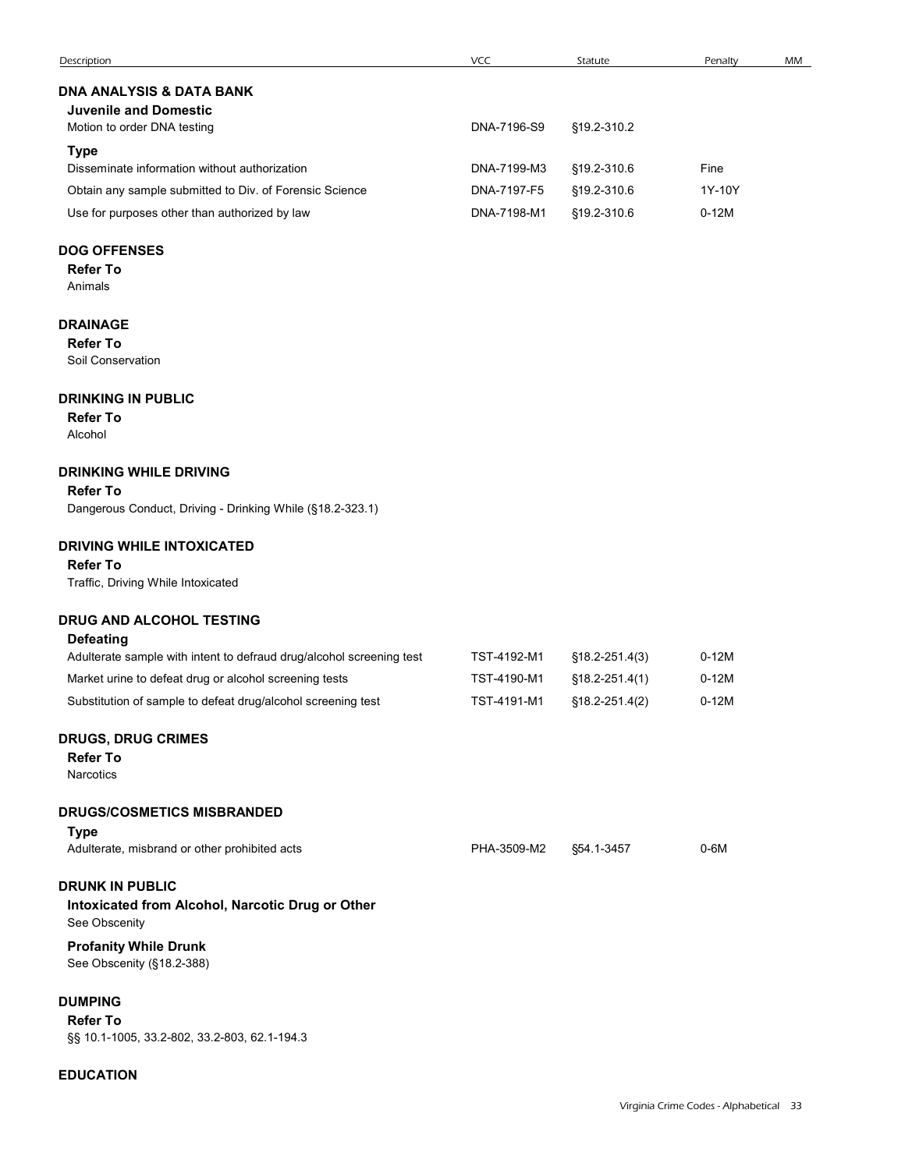|                                                                      | VCC         |                    |         |    |
|----------------------------------------------------------------------|-------------|--------------------|---------|----|
| Description                                                          |             | Statute            | Penalty | MM |
| DNA ANALYSIS & DATA BANK                                             |             |                    |         |    |
| <b>Juvenile and Domestic</b><br>Motion to order DNA testing          | DNA-7196-S9 | §19.2-310.2        |         |    |
| <b>Type</b>                                                          |             |                    |         |    |
| Disseminate information without authorization                        | DNA-7199-M3 | §19.2-310.6        | Fine    |    |
| Obtain any sample submitted to Div. of Forensic Science              | DNA-7197-F5 | §19.2-310.6        | 1Y-10Y  |    |
| Use for purposes other than authorized by law                        | DNA-7198-M1 | §19.2-310.6        | $0-12M$ |    |
| <b>DOG OFFENSES</b>                                                  |             |                    |         |    |
| <b>Refer To</b>                                                      |             |                    |         |    |
| Animals                                                              |             |                    |         |    |
| <b>DRAINAGE</b>                                                      |             |                    |         |    |
| <b>Refer To</b>                                                      |             |                    |         |    |
| Soil Conservation                                                    |             |                    |         |    |
| <b>DRINKING IN PUBLIC</b>                                            |             |                    |         |    |
| <b>Refer To</b>                                                      |             |                    |         |    |
| Alcohol                                                              |             |                    |         |    |
| <b>DRINKING WHILE DRIVING</b>                                        |             |                    |         |    |
| <b>Refer To</b>                                                      |             |                    |         |    |
| Dangerous Conduct, Driving - Drinking While (§18.2-323.1)            |             |                    |         |    |
| <b>DRIVING WHILE INTOXICATED</b>                                     |             |                    |         |    |
| <b>Refer To</b>                                                      |             |                    |         |    |
| Traffic, Driving While Intoxicated                                   |             |                    |         |    |
| DRUG AND ALCOHOL TESTING                                             |             |                    |         |    |
| <b>Defeating</b>                                                     |             |                    |         |    |
| Adulterate sample with intent to defraud drug/alcohol screening test | TST-4192-M1 | $$18.2 - 251.4(3)$ | $0-12M$ |    |
| Market urine to defeat drug or alcohol screening tests               | TST-4190-M1 | §18.2-251.4(1)     | $0-12M$ |    |
| Substitution of sample to defeat drug/alcohol screening test         | TST-4191-M1 | $$18.2 - 251.4(2)$ | $0-12M$ |    |
| <b>DRUGS, DRUG CRIMES</b>                                            |             |                    |         |    |
| <b>Refer To</b>                                                      |             |                    |         |    |
| Narcotics                                                            |             |                    |         |    |
|                                                                      |             |                    |         |    |

#### DRINKING WHILE DRIVING

#### Refer To

#### DRIVING WHILE INTOXICATED

#### Refer To

#### DRUG AND ALCOHOL TESTING

| <b>DRINKING WHILE DRIVING</b>                                        |             |                    |         |  |
|----------------------------------------------------------------------|-------------|--------------------|---------|--|
| <b>Refer To</b>                                                      |             |                    |         |  |
| Dangerous Conduct, Driving - Drinking While (§18.2-323.1)            |             |                    |         |  |
| <b>DRIVING WHILE INTOXICATED</b>                                     |             |                    |         |  |
| <b>Refer To</b>                                                      |             |                    |         |  |
| Traffic, Driving While Intoxicated                                   |             |                    |         |  |
| DRUG AND ALCOHOL TESTING                                             |             |                    |         |  |
| <b>Defeating</b>                                                     |             |                    |         |  |
| Adulterate sample with intent to defraud drug/alcohol screening test | TST-4192-M1 | $$18.2 - 251.4(3)$ | $0-12M$ |  |
| Market urine to defeat drug or alcohol screening tests               | TST-4190-M1 | $$18.2 - 251.4(1)$ | $0-12M$ |  |
| Substitution of sample to defeat drug/alcohol screening test         | TST-4191-M1 | §18.2-251.4(2)     | $0-12M$ |  |
| <b>DRUGS, DRUG CRIMES</b>                                            |             |                    |         |  |
| <b>Refer To</b>                                                      |             |                    |         |  |
| Narcotics                                                            |             |                    |         |  |
| <b>DRUGS/COSMETICS MISBRANDED</b>                                    |             |                    |         |  |
| <b>Type</b>                                                          |             |                    |         |  |
| Adulterate, misbrand or other prohibited acts                        | PHA-3509-M2 | §54.1-3457         | $0-6M$  |  |
| <b>DRUNK IN PUBLIC</b>                                               |             |                    |         |  |
| Intoxicated from Alcohol, Narcotic Drug or Other<br>See Obscenity    |             |                    |         |  |
| Bushantes Milletta Barrata                                           |             |                    |         |  |

#### DRUGS, DRUG CRIMES

# DRUGS/COSMETICS MISBRANDED

| Type                                          |                        |      |
|-----------------------------------------------|------------------------|------|
| Adulterate, misbrand or other prohibited acts | PHA-3509-M2 §54.1-3457 | 0-6M |

# DRUNK IN PUBLIC

# Intoxicated from Alcohol, Narcotic Drug or Other

#### Profanity While Drunk

See Obscenity (§18.2-388)

# DUMPING

Refer To §§ 10.1-1005, 33.2-802, 33.2-803, 62.1-194.3

#### EDUCATION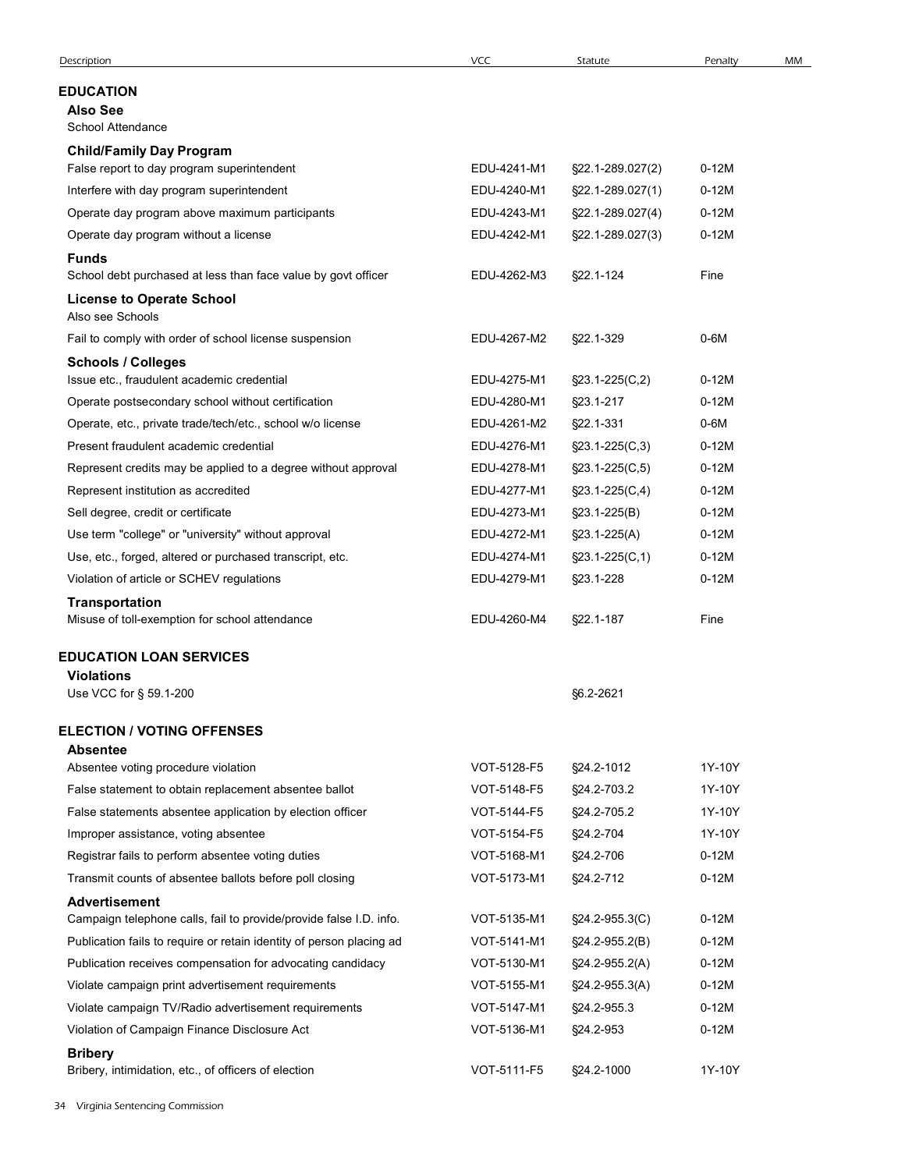| Description                                                                                          | <b>VCC</b>                 | Statute                                    | Penalty         | MM |
|------------------------------------------------------------------------------------------------------|----------------------------|--------------------------------------------|-----------------|----|
| EDUCATION                                                                                            |                            |                                            |                 |    |
| <b>Also See</b><br>School Attendance                                                                 |                            |                                            |                 |    |
| <b>Child/Family Day Program</b>                                                                      |                            |                                            |                 |    |
| False report to day program superintendent                                                           | EDU-4241-M1                | §22.1-289.027(2)                           | $0-12M$         |    |
| Interfere with day program superintendent                                                            | EDU-4240-M1                | §22.1-289.027(1)                           | $0-12M$         |    |
| Operate day program above maximum participants                                                       | EDU-4243-M1                | §22.1-289.027(4)                           | $0-12M$         |    |
| Operate day program without a license                                                                | EDU-4242-M1                | §22.1-289.027(3)                           | $0-12M$         |    |
| <b>Funds</b>                                                                                         |                            |                                            |                 |    |
| School debt purchased at less than face value by govt officer                                        | EDU-4262-M3                | §22.1-124                                  | Fine            |    |
| <b>License to Operate School</b><br>Also see Schools                                                 |                            |                                            |                 |    |
| Fail to comply with order of school license suspension                                               | EDU-4267-M2                | §22.1-329                                  | $0-6M$          |    |
| <b>Schools / Colleges</b>                                                                            |                            |                                            |                 |    |
| Issue etc., fraudulent academic credential                                                           | EDU-4275-M1                | $\S$ 23.1-225(C,2)                         | $0-12M$         |    |
| Operate postsecondary school without certification                                                   | EDU-4280-M1                | §23.1-217                                  | $0-12M$         |    |
| Operate, etc., private trade/tech/etc., school w/o license<br>Present fraudulent academic credential | EDU-4261-M2<br>EDU-4276-M1 | §22.1-331                                  | 0-6M<br>$0-12M$ |    |
| Represent credits may be applied to a degree without approval                                        | EDU-4278-M1                | $\S23.1 - 225(C, 3)$<br>$\S$ 23.1-225(C,5) | $0-12M$         |    |
| Represent institution as accredited                                                                  | EDU-4277-M1                |                                            | $0-12M$         |    |
| Sell degree, credit or certificate                                                                   | EDU-4273-M1                | $\S$ 23.1-225(C,4)<br>$\S23.1 - 225(B)$    | $0-12M$         |    |
| Use term "college" or "university" without approval                                                  | EDU-4272-M1                | $$23.1-225(A)$                             | $0-12M$         |    |
| Use, etc., forged, altered or purchased transcript, etc.                                             | EDU-4274-M1                | $\S23.1 - 225(C, 1)$                       | $0-12M$         |    |
| Violation of article or SCHEV regulations                                                            | EDU-4279-M1                | §23.1-228                                  | $0-12M$         |    |
| Transportation                                                                                       |                            |                                            |                 |    |
| Misuse of toll-exemption for school attendance                                                       | EDU-4260-M4                | §22.1-187                                  | Fine            |    |
| <b>EDUCATION LOAN SERVICES</b><br><b>Violations</b>                                                  |                            |                                            |                 |    |
| Use VCC for § 59.1-200                                                                               |                            | §6.2-2621                                  |                 |    |
| <b>ELECTION / VOTING OFFENSES</b>                                                                    |                            |                                            |                 |    |
| <b>Absentee</b><br>Absentee voting procedure violation                                               | VOT-5128-F5                | §24.2-1012                                 | 1Y-10Y          |    |
| False statement to obtain replacement absentee ballot                                                | VOT-5148-F5                | §24.2-703.2                                | 1Y-10Y          |    |
| False statements absentee application by election officer                                            | VOT-5144-F5                | §24.2-705.2                                | 1Y-10Y          |    |
| Improper assistance, voting absentee                                                                 | VOT-5154-F5                | §24.2-704                                  | 1Y-10Y          |    |
| Registrar fails to perform absentee voting duties                                                    | VOT-5168-M1                | §24.2-706                                  | $0-12M$         |    |
| Transmit counts of absentee ballots before poll closing                                              | VOT-5173-M1                | §24.2-712                                  | $0-12M$         |    |
| <b>Advertisement</b><br>Campaign telephone calls, fail to provide/provide false I.D. info.           | VOT-5135-M1                | $\S24.2 - 955.3(C)$                        | $0-12M$         |    |
| Publication fails to require or retain identity of person placing ad                                 | VOT-5141-M1                | $\S24.2 - 955.2(B)$                        | $0-12M$         |    |
| Publication receives compensation for advocating candidacy                                           | VOT-5130-M1                | §24.2-955.2(A)                             | $0-12M$         |    |
| Violate campaign print advertisement requirements                                                    | VOT-5155-M1                | $\S24.2 - 955.3(A)$                        | $0-12M$         |    |
| Violate campaign TV/Radio advertisement requirements                                                 | VOT-5147-M1                | §24.2-955.3                                | $0-12M$         |    |
| Violation of Campaign Finance Disclosure Act                                                         | VOT-5136-M1                | §24.2-953                                  | $0-12M$         |    |
| <b>Bribery</b><br>Bribery, intimidation, etc., of officers of election                               | VOT-5111-F5                | §24.2-1000                                 | 1Y-10Y          |    |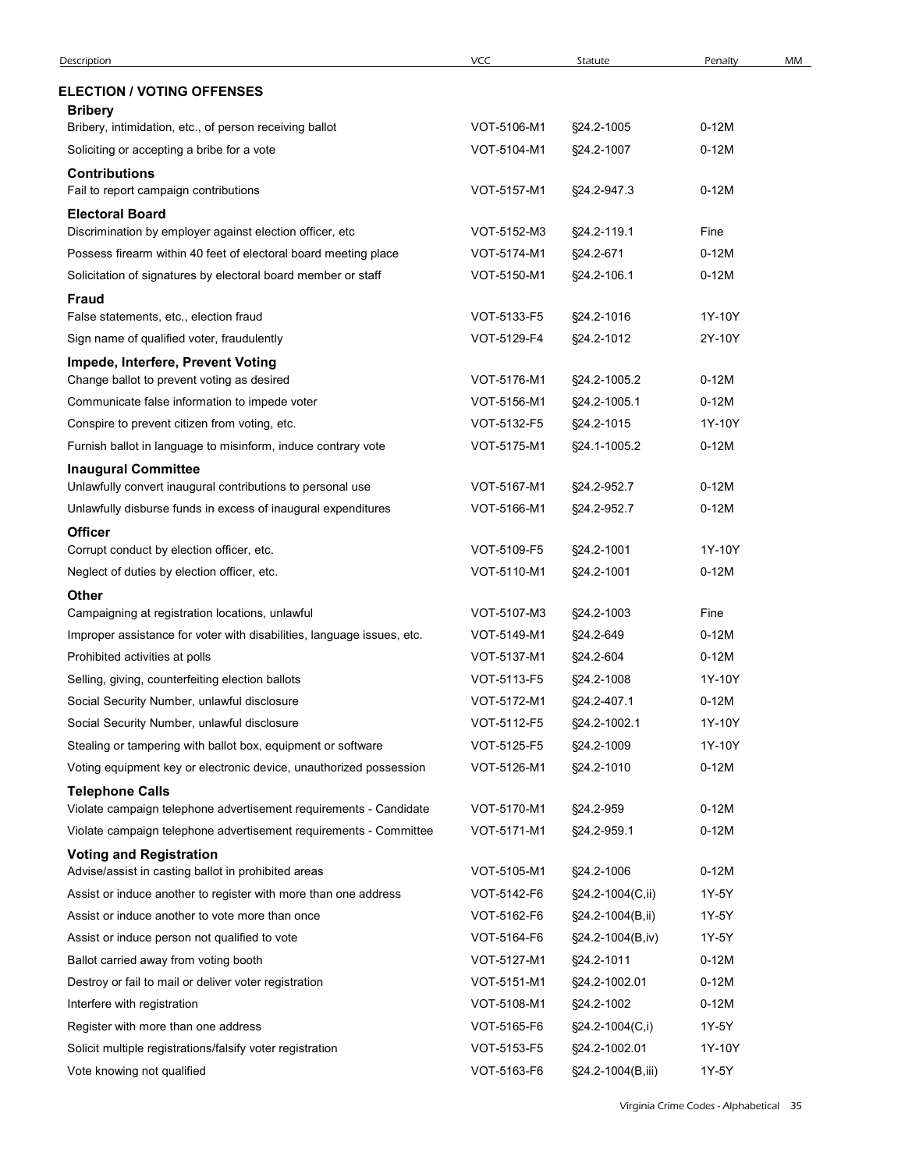| Description                                                                             |                            |                  |         |    |
|-----------------------------------------------------------------------------------------|----------------------------|------------------|---------|----|
|                                                                                         | <b>VCC</b>                 | Statute          | Penalty | MM |
| <b>ELECTION / VOTING OFFENSES</b>                                                       |                            |                  |         |    |
| <b>Bribery</b>                                                                          |                            |                  |         |    |
| Bribery, intimidation, etc., of person receiving ballot                                 | VOT-5106-M1                | §24.2-1005       | $0-12M$ |    |
| Soliciting or accepting a bribe for a vote                                              | VOT-5104-M1                | §24.2-1007       | $0-12M$ |    |
| <b>Contributions</b><br>Fail to report campaign contributions                           | VOT-5157-M1                | §24.2-947.3      | $0-12M$ |    |
| <b>Electoral Board</b>                                                                  |                            |                  |         |    |
| Discrimination by employer against election officer, etc                                | VOT-5152-M3                | §24.2-119.1      | Fine    |    |
| Possess firearm within 40 feet of electoral board meeting place                         | VOT-5174-M1                | §24.2-671        | $0-12M$ |    |
| Solicitation of signatures by electoral board member or staff                           | VOT-5150-M1                | §24.2-106.1      | $0-12M$ |    |
| <b>Fraud</b>                                                                            |                            |                  |         |    |
| False statements, etc., election fraud                                                  | VOT-5133-F5                | §24.2-1016       | 1Y-10Y  |    |
| Sign name of qualified voter, fraudulently                                              | VOT-5129-F4                | §24.2-1012       | 2Y-10Y  |    |
| Impede, Interfere, Prevent Voting<br>Change ballot to prevent voting as desired         | VOT-5176-M1                | §24.2-1005.2     | $0-12M$ |    |
| Communicate false information to impede voter                                           | VOT-5156-M1                | §24.2-1005.1     | $0-12M$ |    |
| Conspire to prevent citizen from voting, etc.                                           | VOT-5132-F5                | §24.2-1015       | 1Y-10Y  |    |
| Furnish ballot in language to misinform, induce contrary vote                           | VOT-5175-M1                | §24.1-1005.2     | $0-12M$ |    |
| <b>Inaugural Committee</b>                                                              |                            |                  |         |    |
| Unlawfully convert inaugural contributions to personal use                              | VOT-5167-M1                | §24.2-952.7      | $0-12M$ |    |
| Unlawfully disburse funds in excess of inaugural expenditures                           | VOT-5166-M1                | §24.2-952.7      | $0-12M$ |    |
| <b>Officer</b>                                                                          |                            |                  |         |    |
| Corrupt conduct by election officer, etc.                                               | VOT-5109-F5                | §24.2-1001       | 1Y-10Y  |    |
| Neglect of duties by election officer, etc.                                             | VOT-5110-M1                | §24.2-1001       | $0-12M$ |    |
| <b>Other</b><br>Campaigning at registration locations, unlawful                         | VOT-5107-M3                | §24.2-1003       | Fine    |    |
| Improper assistance for voter with disabilities, language issues, etc.                  | VOT-5149-M1                | §24.2-649        | $0-12M$ |    |
| Prohibited activities at polls                                                          | VOT-5137-M1                | §24.2-604        | $0-12M$ |    |
| Selling, giving, counterfeiting election ballots                                        | VOT-5113-F5                | §24.2-1008       | 1Y-10Y  |    |
| Social Security Number, unlawful disclosure                                             | VOT-5172-M1                | §24.2-407.1      | $0-12M$ |    |
| Social Security Number, unlawful disclosure                                             | VOT-5112-F5                | §24.2-1002.1     | 1Y-10Y  |    |
| Stealing or tampering with ballot box, equipment or software                            | VOT-5125-F5                | §24.2-1009       | 1Y-10Y  |    |
| Voting equipment key or electronic device, unauthorized possession                      | VOT-5126-M1                | §24.2-1010       | $0-12M$ |    |
| <b>Telephone Calls</b>                                                                  |                            |                  |         |    |
| Violate campaign telephone advertisement requirements - Candidate                       | VOT-5170-M1                | §24.2-959        | $0-12M$ |    |
| Violate campaign telephone advertisement requirements - Committee                       | VOT-5171-M1                | §24.2-959.1      | $0-12M$ |    |
| <b>Voting and Registration</b>                                                          |                            |                  |         |    |
| Advise/assist in casting ballot in prohibited areas                                     | VOT-5105-M1                | §24.2-1006       | $0-12M$ |    |
| Assist or induce another to register with more than one address                         | VOT-5142-F6                | §24.2-1004(C,ii) | 1Y-5Y   |    |
| Assist or induce another to vote more than once                                         | VOT-5162-F6                | §24.2-1004(B,ii) | 1Y-5Y   |    |
| Assist or induce person not qualified to vote                                           | VOT-5164-F6                | §24.2-1004(B,iv) | 1Y-5Y   |    |
| Ballot carried away from voting booth                                                   | VOT-5127-M1                | §24.2-1011       | $0-12M$ |    |
| Destroy or fail to mail or deliver voter registration                                   | VOT-5151-M1                | §24.2-1002.01    | $0-12M$ |    |
| Interfere with registration                                                             | VOT-5108-M1                | §24.2-1002       | $0-12M$ |    |
| Register with more than one address                                                     | VOT-5165-F6                | §24.2-1004(C,i)  | 1Y-5Y   |    |
| Solicit multiple registrations/falsify voter registration<br>Vote knowing not qualified | VOT-5153-F5<br>VOT-5163-F6 | §24.2-1002.01    | 1Y-10Y  |    |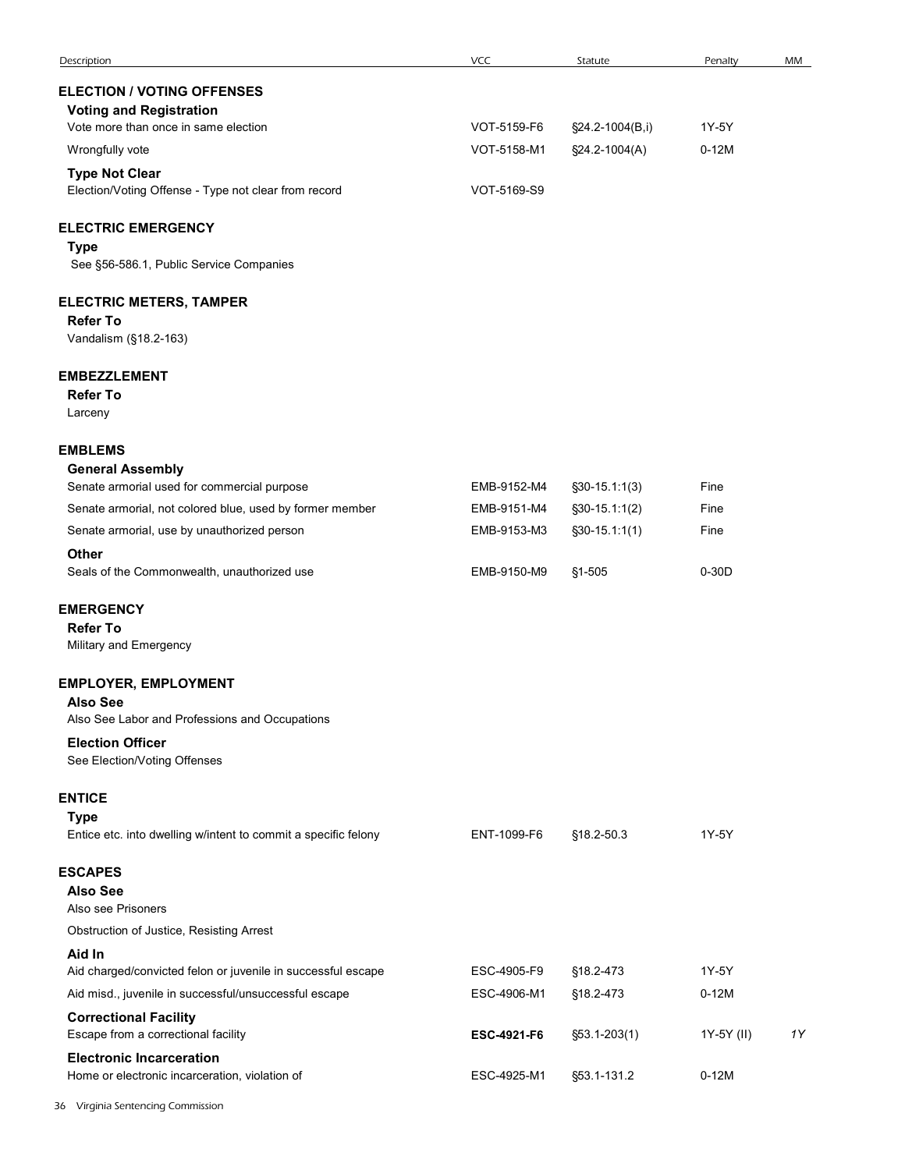| Description                                                    | VCC         | Statute          | Penalty    | MM |
|----------------------------------------------------------------|-------------|------------------|------------|----|
| <b>ELECTION / VOTING OFFENSES</b>                              |             |                  |            |    |
| <b>Voting and Registration</b>                                 |             |                  |            |    |
| Vote more than once in same election                           | VOT-5159-F6 | §24.2-1004(B,i)  | 1Y-5Y      |    |
| Wrongfully vote                                                | VOT-5158-M1 | §24.2-1004(A)    | $0-12M$    |    |
| <b>Type Not Clear</b>                                          |             |                  |            |    |
| Election/Voting Offense - Type not clear from record           | VOT-5169-S9 |                  |            |    |
| <b>ELECTRIC EMERGENCY</b>                                      |             |                  |            |    |
| <b>Type</b><br>See §56-586.1, Public Service Companies         |             |                  |            |    |
| <b>ELECTRIC METERS, TAMPER</b>                                 |             |                  |            |    |
| <b>Refer To</b><br>Vandalism (§18.2-163)                       |             |                  |            |    |
| <b>EMBEZZLEMENT</b>                                            |             |                  |            |    |
| <b>Refer To</b>                                                |             |                  |            |    |
| Larceny                                                        |             |                  |            |    |
| <b>EMBLEMS</b>                                                 |             |                  |            |    |
| <b>General Assembly</b>                                        |             |                  |            |    |
| Senate armorial used for commercial purpose                    | EMB-9152-M4 | $$30-15.1:1(3)$  | Fine       |    |
| Senate armorial, not colored blue, used by former member       | EMB-9151-M4 | $\S30-15.1:1(2)$ | Fine       |    |
| Senate armorial, use by unauthorized person                    | EMB-9153-M3 | $$30-15.1:1(1)$  | Fine       |    |
| Other                                                          |             |                  |            |    |
| Seals of the Commonwealth, unauthorized use                    | EMB-9150-M9 | §1-505           | $0-30D$    |    |
| <b>EMERGENCY</b>                                               |             |                  |            |    |
| <b>Refer To</b>                                                |             |                  |            |    |
| Military and Emergency                                         |             |                  |            |    |
| <b>EMPLOYER, EMPLOYMENT</b>                                    |             |                  |            |    |
| <b>Also See</b>                                                |             |                  |            |    |
| Also See Labor and Professions and Occupations                 |             |                  |            |    |
| <b>Election Officer</b><br>See Election/Voting Offenses        |             |                  |            |    |
|                                                                |             |                  |            |    |
| <b>ENTICE</b><br><b>Type</b>                                   |             |                  |            |    |
| Entice etc. into dwelling w/intent to commit a specific felony | ENT-1099-F6 | §18.2-50.3       | 1Y-5Y      |    |
| <b>ESCAPES</b>                                                 |             |                  |            |    |
| <b>Also See</b>                                                |             |                  |            |    |
| Also see Prisoners                                             |             |                  |            |    |
| Obstruction of Justice, Resisting Arrest                       |             |                  |            |    |
| Aid In                                                         |             |                  |            |    |
| Aid charged/convicted felon or juvenile in successful escape   | ESC-4905-F9 | §18.2-473        | 1Y-5Y      |    |
| Aid misd., juvenile in successful/unsuccessful escape          | ESC-4906-M1 | §18.2-473        | $0-12M$    |    |
| <b>Correctional Facility</b>                                   |             |                  |            |    |
| Escape from a correctional facility                            | ESC-4921-F6 | $$53.1 - 203(1)$ | 1Y-5Y (II) | 1Y |
| <b>Electronic Incarceration</b>                                |             |                  |            |    |
| Home or electronic incarceration, violation of                 | ESC-4925-M1 | §53.1-131.2      | $0-12M$    |    |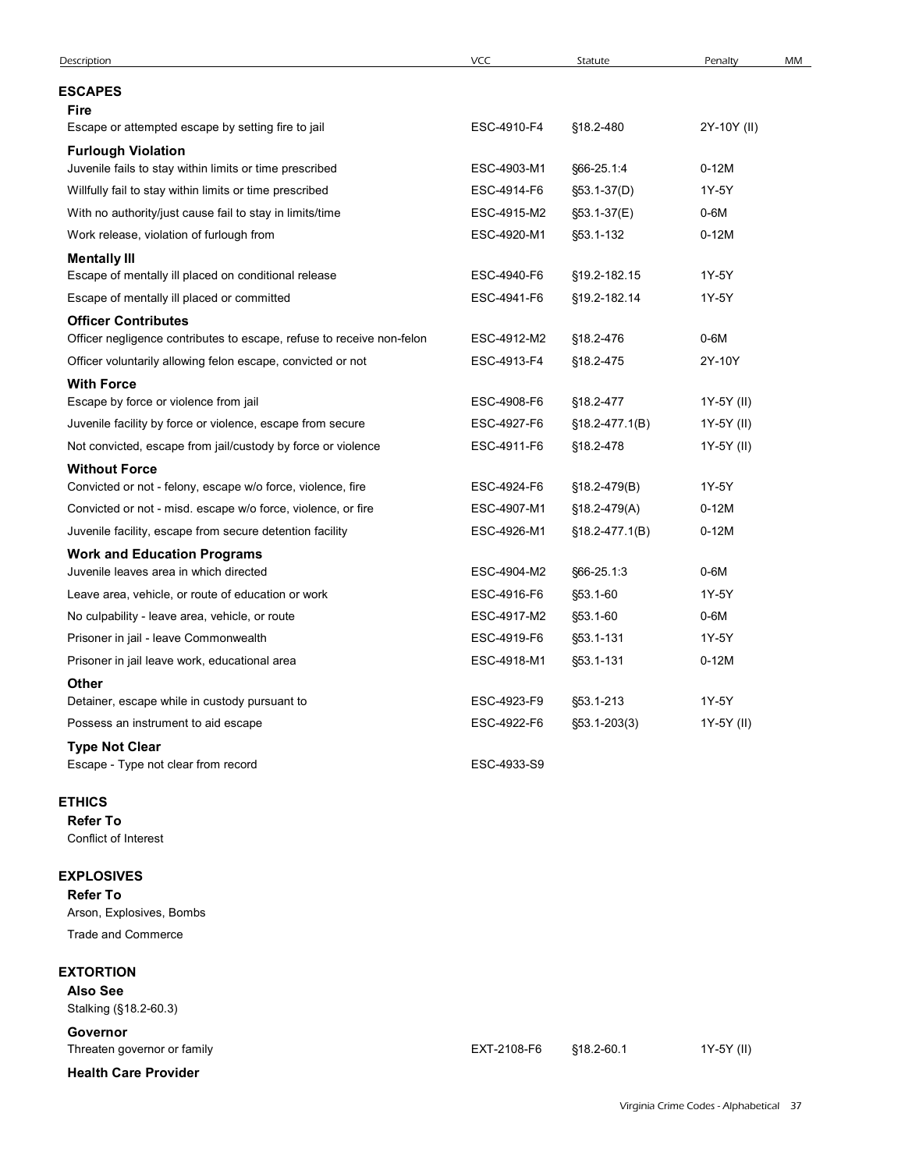| Description                                                                                                                          | VCC                        | Statute                  | Penalty<br>MM     |
|--------------------------------------------------------------------------------------------------------------------------------------|----------------------------|--------------------------|-------------------|
| <b>ESCAPES</b>                                                                                                                       |                            |                          |                   |
| <b>Fire</b>                                                                                                                          |                            |                          |                   |
| Escape or attempted escape by setting fire to jail<br><b>Furlough Violation</b>                                                      | ESC-4910-F4                | §18.2-480                | 2Y-10Y (II)       |
| Juvenile fails to stay within limits or time prescribed                                                                              | ESC-4903-M1                | §66-25.1:4               | $0-12M$           |
| Willfully fail to stay within limits or time prescribed                                                                              | ESC-4914-F6                | §53.1-37(D)              | 1Y-5Y             |
| With no authority/just cause fail to stay in limits/time<br>Work release, violation of furlough from                                 | ESC-4915-M2<br>ESC-4920-M1 | §53.1-37(E)<br>§53.1-132 | $0-6M$<br>$0-12M$ |
| <b>Mentally III</b>                                                                                                                  |                            |                          |                   |
| Escape of mentally ill placed on conditional release                                                                                 | ESC-4940-F6                | §19.2-182.15             | 1Y-5Y             |
| Escape of mentally ill placed or committed                                                                                           | ESC-4941-F6                | §19.2-182.14             | 1Y-5Y             |
| <b>Officer Contributes</b>                                                                                                           |                            |                          |                   |
| Officer negligence contributes to escape, refuse to receive non-felon<br>Officer voluntarily allowing felon escape, convicted or not | ESC-4912-M2<br>ESC-4913-F4 | §18.2-476<br>§18.2-475   | 0-6M<br>2Y-10Y    |
| <b>With Force</b>                                                                                                                    |                            |                          |                   |
| Escape by force or violence from jail                                                                                                | ESC-4908-F6                | §18.2-477                | 1Y-5Y (II)        |
| Juvenile facility by force or violence, escape from secure                                                                           | ESC-4927-F6                | $$18.2-477.1(B)$         | 1Y-5Y (II)        |
| Not convicted, escape from jail/custody by force or violence<br><b>Without Force</b>                                                 | ESC-4911-F6                | §18.2-478                | 1Y-5Y (II)        |
| Convicted or not - felony, escape w/o force, violence, fire                                                                          | ESC-4924-F6                | §18.2-479(B)             | 1Y-5Y             |
| Convicted or not - misd. escape w/o force, violence, or fire                                                                         | ESC-4907-M1                | §18.2-479(A)             | $0-12M$           |
| Juvenile facility, escape from secure detention facility                                                                             | ESC-4926-M1                | $$18.2-477.1(B)$         | $0-12M$           |
| <b>Work and Education Programs</b><br>Juvenile leaves area in which directed                                                         | ESC-4904-M2                | §66-25.1:3               | $0-6M$            |
| Leave area, vehicle, or route of education or work                                                                                   | ESC-4916-F6                | §53.1-60                 | 1Y-5Y             |
| No culpability - leave area, vehicle, or route                                                                                       | ESC-4917-M2                | §53.1-60                 | $0-6M$            |
| Prisoner in jail - leave Commonwealth                                                                                                | ESC-4919-F6                | §53.1-131                | 1Y-5Y             |
| Prisoner in jail leave work, educational area                                                                                        | ESC-4918-M1                | §53.1-131                | $0-12M$           |
| Other                                                                                                                                |                            |                          |                   |
| Detainer, escape while in custody pursuant to                                                                                        | ESC-4923-F9                | §53.1-213                | 1Y-5Y             |
| Possess an instrument to aid escape                                                                                                  | ESC-4922-F6                | §53.1-203(3)             | 1Y-5Y (II)        |
| <b>Type Not Clear</b><br>Escape - Type not clear from record                                                                         | ESC-4933-S9                |                          |                   |
| <b>ETHICS</b>                                                                                                                        |                            |                          |                   |
| <b>Refer To</b><br>Conflict of Interest                                                                                              |                            |                          |                   |
| <b>EXPLOSIVES</b>                                                                                                                    |                            |                          |                   |
| <b>Refer To</b>                                                                                                                      |                            |                          |                   |
| Arson, Explosives, Bombs<br>Trade and Commerce                                                                                       |                            |                          |                   |
|                                                                                                                                      |                            |                          |                   |
| <b>EXTORTION</b>                                                                                                                     |                            |                          |                   |
| <b>Also See</b><br>Stalking (§18.2-60.3)                                                                                             |                            |                          |                   |
|                                                                                                                                      |                            |                          |                   |
|                                                                                                                                      |                            |                          |                   |
| Governor<br>Threaten governor or family                                                                                              | EXT-2108-F6                | §18.2-60.1               | 1Y-5Y (II)        |

## EXPLOSIVES

## EXTORTION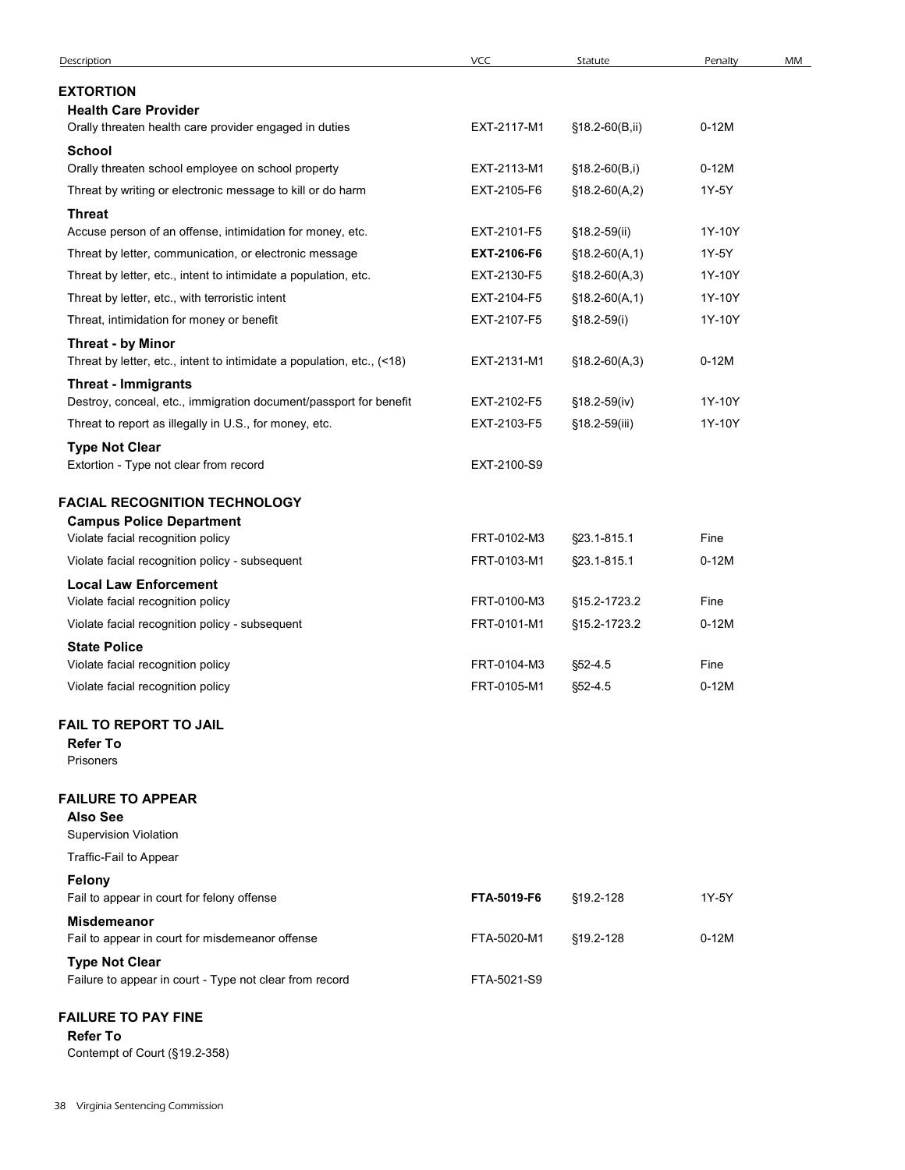| VCC<br>Description<br>Statute                                                                                                                                                        |                  |    |
|--------------------------------------------------------------------------------------------------------------------------------------------------------------------------------------|------------------|----|
|                                                                                                                                                                                      |                  |    |
|                                                                                                                                                                                      |                  |    |
|                                                                                                                                                                                      | Penalty          | MM |
| <b>EXTORTION</b>                                                                                                                                                                     |                  |    |
| <b>Health Care Provider</b><br>EXT-2117-M1<br>§18.2-60(B,ii)<br>Orally threaten health care provider engaged in duties                                                               | $0-12M$          |    |
| <b>School</b>                                                                                                                                                                        |                  |    |
| Orally threaten school employee on school property<br>EXT-2113-M1<br>$$18.2-60(B,i)$<br>Threat by writing or electronic message to kill or do harm<br>EXT-2105-F6<br>$$18.2-60(A,2)$ | $0-12M$<br>1Y-5Y |    |
| <b>Threat</b>                                                                                                                                                                        |                  |    |
| Accuse person of an offense, intimidation for money, etc.<br>EXT-2101-F5<br>§18.2-59(ii)                                                                                             | 1Y-10Y           |    |
| Threat by letter, communication, or electronic message<br>EXT-2106-F6<br>$$18.2-60(A,1)$                                                                                             | 1Y-5Y            |    |
| Threat by letter, etc., intent to intimidate a population, etc.<br>EXT-2130-F5<br>$$18.2-60(A,3)$                                                                                    | 1Y-10Y           |    |
| EXT-2104-F5<br>Threat by letter, etc., with terroristic intent<br>$$18.2-60(A,1)$                                                                                                    | 1Y-10Y           |    |
| Threat, intimidation for money or benefit<br>EXT-2107-F5<br>§18.2-59(i)                                                                                                              | 1Y-10Y           |    |
| <b>Threat - by Minor</b><br>EXT-2131-M1<br>$$18.2-60(A,3)$<br>Threat by letter, etc., intent to intimidate a population, etc., (<18)                                                 | $0-12M$          |    |
| <b>Threat - Immigrants</b><br>EXT-2102-F5<br>$$18.2-59(iv)$<br>Destroy, conceal, etc., immigration document/passport for benefit                                                     | 1Y-10Y           |    |
| Threat to report as illegally in U.S., for money, etc.<br>EXT-2103-F5<br>§18.2-59(iii)                                                                                               | 1Y-10Y           |    |
| <b>Type Not Clear</b><br>Extortion - Type not clear from record<br>EXT-2100-S9                                                                                                       |                  |    |
| <b>FACIAL RECOGNITION TECHNOLOGY</b>                                                                                                                                                 |                  |    |
| <b>Campus Police Department</b>                                                                                                                                                      |                  |    |
| Violate facial recognition policy<br>FRT-0102-M3<br>§23.1-815.1                                                                                                                      | Fine             |    |
| Violate facial recognition policy - subsequent<br>FRT-0103-M1<br>§23.1-815.1                                                                                                         | $0-12M$          |    |
| <b>Local Law Enforcement</b>                                                                                                                                                         |                  |    |
| FRT-0100-M3<br>Violate facial recognition policy<br>§15.2-1723.2                                                                                                                     | Fine             |    |
| Violate facial recognition policy - subsequent<br>FRT-0101-M1<br>§15.2-1723.2                                                                                                        | $0-12M$          |    |
| <b>State Police</b><br>Violate facial recognition policy<br>FRT-0104-M3<br>§52-4.5                                                                                                   | Fine             |    |
| Violate facial recognition policy<br>FRT-0105-M1<br>§52-4.5                                                                                                                          | $0-12M$          |    |
|                                                                                                                                                                                      |                  |    |
| <b>FAIL TO REPORT TO JAIL</b><br><b>Refer To</b><br>Prisoners                                                                                                                        |                  |    |
| <b>FAILURE TO APPEAR</b>                                                                                                                                                             |                  |    |
| <b>Also See</b>                                                                                                                                                                      |                  |    |
| <b>Supervision Violation</b>                                                                                                                                                         |                  |    |
| Traffic-Fail to Appear<br>Felony                                                                                                                                                     |                  |    |
| Fail to appear in court for felony offense<br>FTA-5019-F6<br>§19.2-128                                                                                                               | 1Y-5Y            |    |
| <b>Misdemeanor</b><br>FTA-5020-M1<br>Fail to appear in court for misdemeanor offense<br>§19.2-128                                                                                    | $0-12M$          |    |
| <b>Type Not Clear</b><br>Failure to appear in court - Type not clear from record<br>FTA-5021-S9                                                                                      |                  |    |
| <b>FAILURE TO PAY FINE</b><br><b>Refer To</b><br>Contempt of Court (§19.2-358)                                                                                                       |                  |    |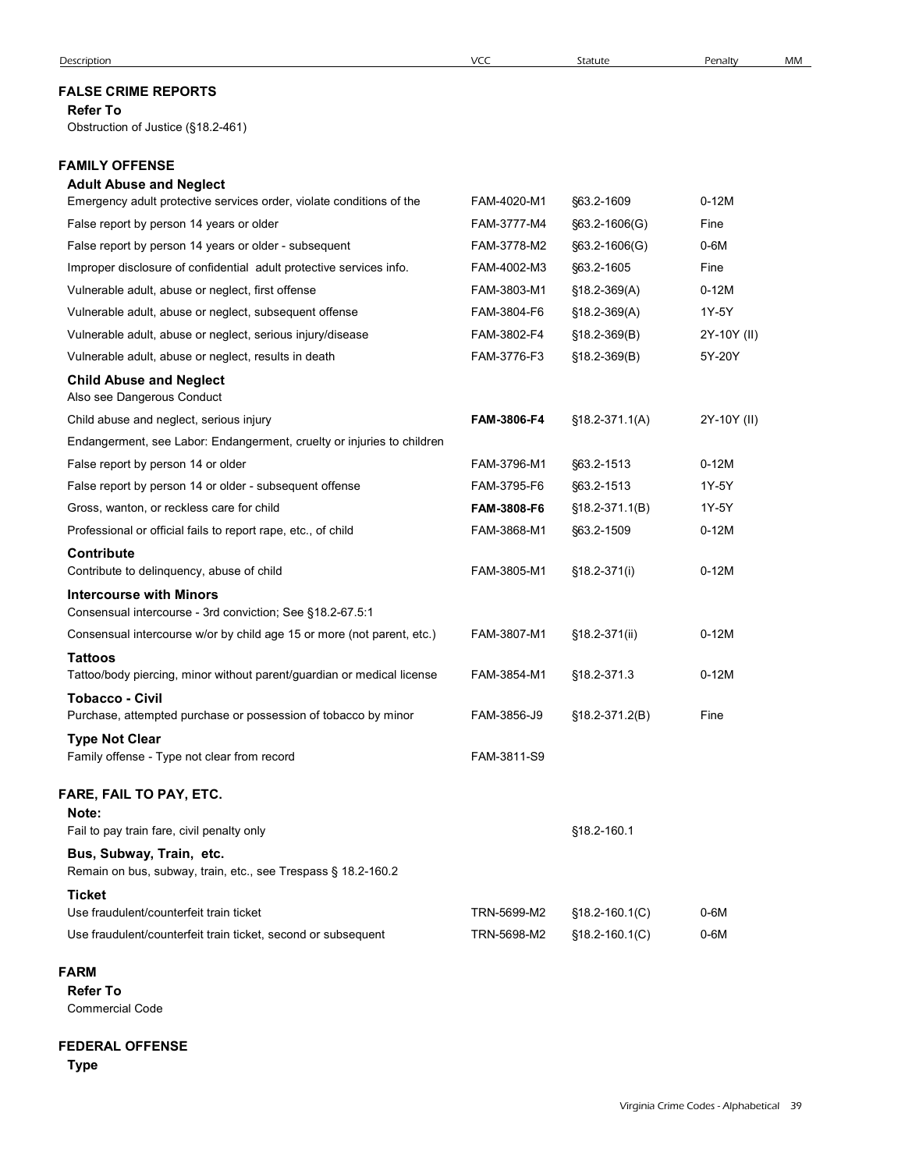## FALSE CRIME REPORTS

## Refer To

# FAMILY OFFENSE

# Adult Abuse and Neglect

| <b>FALSE CRIME REPORTS</b>                                                                                                          |                            |                    |                       |  |
|-------------------------------------------------------------------------------------------------------------------------------------|----------------------------|--------------------|-----------------------|--|
|                                                                                                                                     |                            |                    |                       |  |
| <b>Refer To</b><br>Obstruction of Justice (§18.2-461)                                                                               |                            |                    |                       |  |
| <b>FAMILY OFFENSE</b>                                                                                                               |                            |                    |                       |  |
| <b>Adult Abuse and Neglect</b>                                                                                                      |                            |                    |                       |  |
| Emergency adult protective services order, violate conditions of the                                                                | FAM-4020-M1                | §63.2-1609         | $0-12M$               |  |
| False report by person 14 years or older                                                                                            | FAM-3777-M4                | §63.2-1606(G)      | Fine                  |  |
| False report by person 14 years or older - subsequent                                                                               | FAM-3778-M2                | $§63.2 - 1606(G)$  | $0-6M$                |  |
| Improper disclosure of confidential adult protective services info.                                                                 | FAM-4002-M3                | §63.2-1605         | Fine                  |  |
| Vulnerable adult, abuse or neglect, first offense                                                                                   | FAM-3803-M1                | $$18.2-369(A)$     | $0-12M$               |  |
| Vulnerable adult, abuse or neglect, subsequent offense                                                                              | FAM-3804-F6                | $$18.2 - 369(A)$   | 1Y-5Y                 |  |
| Vulnerable adult, abuse or neglect, serious injury/disease                                                                          | FAM-3802-F4<br>FAM-3776-F3 | $$18.2 - 369(B)$   | 2Y-10Y (II)<br>5Y-20Y |  |
| Vulnerable adult, abuse or neglect, results in death                                                                                |                            | $$18.2-369(B)$     |                       |  |
| <b>Child Abuse and Neglect</b><br>Also see Dangerous Conduct                                                                        |                            |                    |                       |  |
| Child abuse and neglect, serious injury                                                                                             | FAM-3806-F4                | $$18.2-371.1(A)$   | 2Y-10Y (II)           |  |
| Endangerment, see Labor: Endangerment, cruelty or injuries to children                                                              |                            |                    |                       |  |
| False report by person 14 or older                                                                                                  | FAM-3796-M1                | \$63.2-1513        | $0-12M$               |  |
| False report by person 14 or older - subsequent offense                                                                             | FAM-3795-F6                | §63.2-1513         | 1Y-5Y                 |  |
| Gross, wanton, or reckless care for child                                                                                           | FAM-3808-F6                | §18.2-371.1(B)     | 1Y-5Y                 |  |
| Professional or official fails to report rape, etc., of child                                                                       | FAM-3868-M1                | \$63.2-1509        | $0-12M$               |  |
| Contribute                                                                                                                          |                            |                    |                       |  |
| Contribute to delinquency, abuse of child                                                                                           | FAM-3805-M1                | §18.2-371(i)       | $0-12M$               |  |
| <b>Intercourse with Minors</b>                                                                                                      |                            |                    |                       |  |
| Consensual intercourse - 3rd conviction; See §18.2-67.5:1<br>Consensual intercourse w/or by child age 15 or more (not parent, etc.) |                            |                    |                       |  |
|                                                                                                                                     | FAM-3807-M1                | §18.2-371(ii)      | $0-12M$               |  |
| <b>Tattoos</b><br>Tattoo/body piercing, minor without parent/guardian or medical license                                            | FAM-3854-M1                | §18.2-371.3        | $0-12M$               |  |
| <b>Tobacco - Civil</b>                                                                                                              |                            |                    |                       |  |
| Purchase, attempted purchase or possession of tobacco by minor                                                                      | FAM-3856-J9                | §18.2-371.2(B)     | Fine                  |  |
| <b>Type Not Clear</b>                                                                                                               |                            |                    |                       |  |
| Family offense - Type not clear from record                                                                                         | FAM-3811-S9                |                    |                       |  |
| FARE, FAIL TO PAY, ETC.                                                                                                             |                            |                    |                       |  |
| Note:                                                                                                                               |                            |                    |                       |  |
| Fail to pay train fare, civil penalty only                                                                                          |                            | §18.2-160.1        |                       |  |
| Bus, Subway, Train, etc.<br>Remain on bus, subway, train, etc., see Trespass § 18.2-160.2                                           |                            |                    |                       |  |
| <b>Ticket</b>                                                                                                                       |                            |                    |                       |  |
| Use fraudulent/counterfeit train ticket                                                                                             | TRN-5699-M2                | §18.2-160.1(C)     | $0-6M$                |  |
| Use fraudulent/counterfeit train ticket, second or subsequent                                                                       | TRN-5698-M2                | $$18.2 - 160.1(C)$ | $0-6M$                |  |

### FARM **FRAME**

## FEDERAL OFFENSE

Type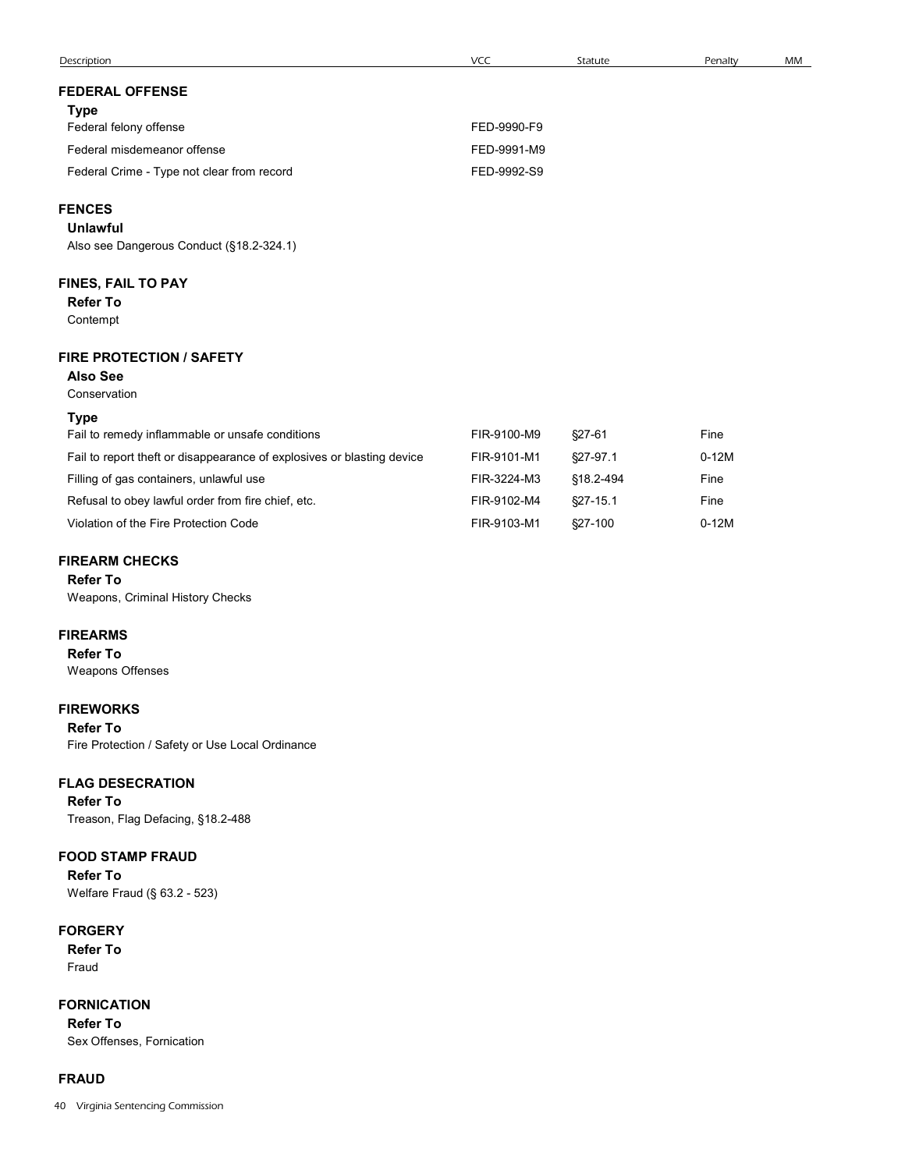| Description                                                            | VCC         | Statute       | Penalty | MM |
|------------------------------------------------------------------------|-------------|---------------|---------|----|
| <b>FEDERAL OFFENSE</b>                                                 |             |               |         |    |
| <b>Type</b>                                                            |             |               |         |    |
| Federal felony offense                                                 | FED-9990-F9 |               |         |    |
| Federal misdemeanor offense                                            | FED-9991-M9 |               |         |    |
| Federal Crime - Type not clear from record                             | FED-9992-S9 |               |         |    |
| <b>FENCES</b>                                                          |             |               |         |    |
| <b>Unlawful</b>                                                        |             |               |         |    |
| Also see Dangerous Conduct (§18.2-324.1)                               |             |               |         |    |
| FINES, FAIL TO PAY                                                     |             |               |         |    |
| <b>Refer To</b>                                                        |             |               |         |    |
| Contempt                                                               |             |               |         |    |
| <b>FIRE PROTECTION / SAFETY</b>                                        |             |               |         |    |
| <b>Also See</b><br>Conservation                                        |             |               |         |    |
| <b>Type</b>                                                            |             |               |         |    |
| Fail to remedy inflammable or unsafe conditions                        | FIR-9100-M9 | $$27-61$      | Fine    |    |
| Fail to report theft or disappearance of explosives or blasting device | FIR-9101-M1 | §27-97.1      | $0-12M$ |    |
| Filling of gas containers, unlawful use                                | FIR-3224-M3 | §18.2-494     | Fine    |    |
| Refusal to obey lawful order from fire chief, etc.                     | FIR-9102-M4 | $\S27 - 15.1$ | Fine    |    |
| Violation of the Fire Protection Code                                  | FIR-9103-M1 | §27-100       | $0-12M$ |    |
| <b>FIREARM CHECKS</b>                                                  |             |               |         |    |
| <b>Refer To</b>                                                        |             |               |         |    |
| Weapons, Criminal History Checks                                       |             |               |         |    |

# FIREARM CHECKS

# FIREARMS

Refer To Weapons Offenses

## FIREWORKS

Refer To Fire Protection / Safety or Use Local Ordinance

# FLAG DESECRATION

Refer To Treason, Flag Defacing, §18.2-488

# FOOD STAMP FRAUD

Refer To Welfare Fraud (§ 63.2 - 523)

# **FORGERY**

Refer To Fraud

FORNICATION Refer To Sex Offenses, Fornication

# FRAUD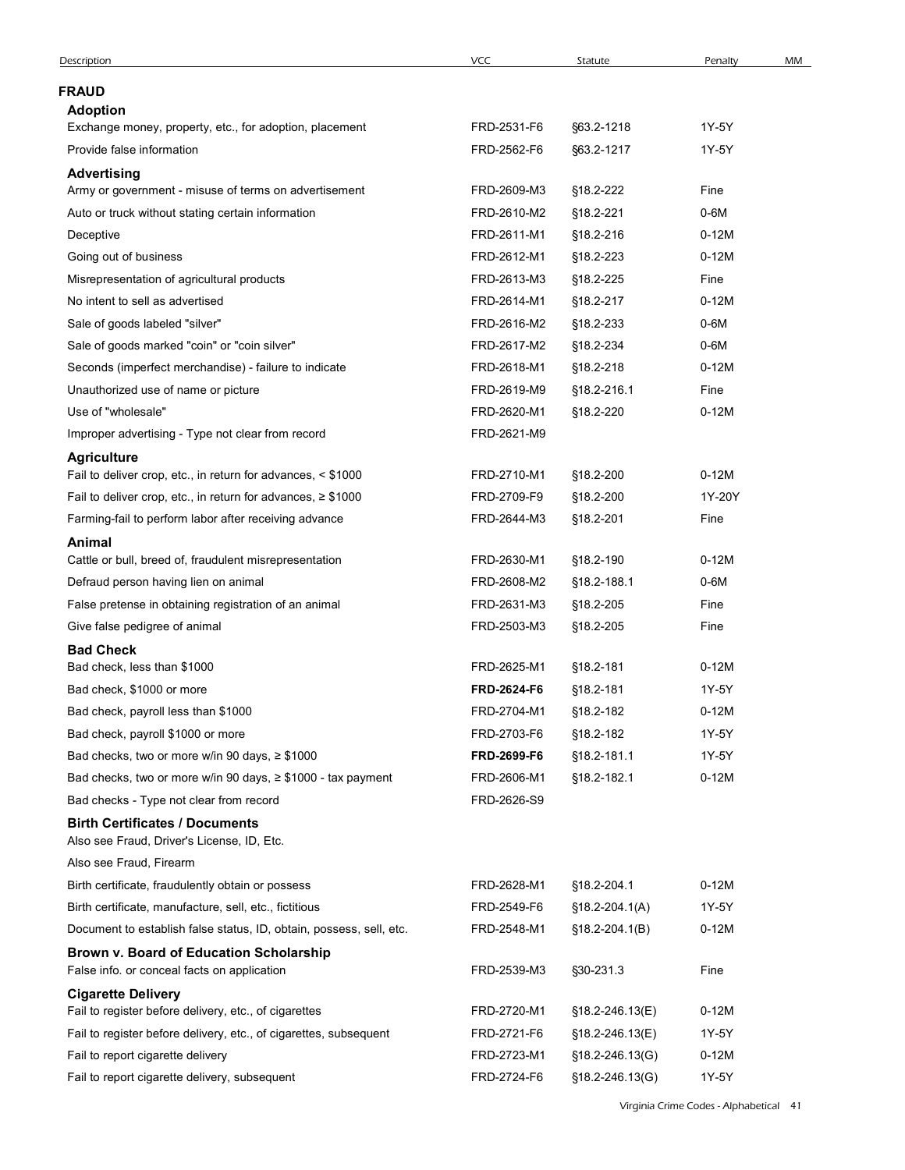| Description                                                                                                                       | VCC         | Statute             | Penalty | MM |
|-----------------------------------------------------------------------------------------------------------------------------------|-------------|---------------------|---------|----|
| <b>FRAUD</b>                                                                                                                      |             |                     |         |    |
| <b>Adoption</b>                                                                                                                   |             |                     |         |    |
| Exchange money, property, etc., for adoption, placement                                                                           | FRD-2531-F6 | §63.2-1218          | 1Y-5Y   |    |
| Provide false information                                                                                                         | FRD-2562-F6 | §63.2-1217          | 1Y-5Y   |    |
| <b>Advertising</b>                                                                                                                |             |                     |         |    |
| Army or government - misuse of terms on advertisement                                                                             | FRD-2609-M3 | §18.2-222           | Fine    |    |
| Auto or truck without stating certain information                                                                                 | FRD-2610-M2 | §18.2-221           | 0-6M    |    |
| Deceptive                                                                                                                         | FRD-2611-M1 | §18.2-216           | $0-12M$ |    |
| Going out of business                                                                                                             | FRD-2612-M1 | §18.2-223           | $0-12M$ |    |
| Misrepresentation of agricultural products                                                                                        | FRD-2613-M3 | §18.2-225           | Fine    |    |
| No intent to sell as advertised                                                                                                   | FRD-2614-M1 | §18.2-217           | $0-12M$ |    |
| Sale of goods labeled "silver"                                                                                                    | FRD-2616-M2 | §18.2-233           | 0-6M    |    |
| Sale of goods marked "coin" or "coin silver"                                                                                      | FRD-2617-M2 | §18.2-234           | 0-6M    |    |
| Seconds (imperfect merchandise) - failure to indicate                                                                             | FRD-2618-M1 | §18.2-218           | $0-12M$ |    |
| Unauthorized use of name or picture                                                                                               | FRD-2619-M9 | §18.2-216.1         | Fine    |    |
| Use of "wholesale"                                                                                                                | FRD-2620-M1 | §18.2-220           | $0-12M$ |    |
| Improper advertising - Type not clear from record                                                                                 | FRD-2621-M9 |                     |         |    |
| <b>Agriculture</b>                                                                                                                | FRD-2710-M1 | §18.2-200           | $0-12M$ |    |
| Fail to deliver crop, etc., in return for advances, < \$1000<br>Fail to deliver crop, etc., in return for advances, $\geq$ \$1000 | FRD-2709-F9 | §18.2-200           | 1Y-20Y  |    |
| Farming-fail to perform labor after receiving advance                                                                             | FRD-2644-M3 | §18.2-201           | Fine    |    |
| Animal                                                                                                                            |             |                     |         |    |
| Cattle or bull, breed of, fraudulent misrepresentation                                                                            | FRD-2630-M1 | §18.2-190           | $0-12M$ |    |
| Defraud person having lien on animal                                                                                              | FRD-2608-M2 | §18.2-188.1         | $0-6M$  |    |
| False pretense in obtaining registration of an animal                                                                             | FRD-2631-M3 | §18.2-205           | Fine    |    |
| Give false pedigree of animal                                                                                                     | FRD-2503-M3 | §18.2-205           | Fine    |    |
| <b>Bad Check</b>                                                                                                                  |             |                     |         |    |
| Bad check, less than \$1000                                                                                                       | FRD-2625-M1 | §18.2-181           | $0-12M$ |    |
| Bad check, \$1000 or more                                                                                                         | FRD-2624-F6 | §18.2-181           | 1Y-5Y   |    |
| Bad check, payroll less than \$1000                                                                                               | FRD-2704-M1 | §18.2-182           | $0-12M$ |    |
| Bad check, payroll \$1000 or more                                                                                                 | FRD-2703-F6 | §18.2-182           | 1Y-5Y   |    |
| Bad checks, two or more w/in 90 days, $\geq$ \$1000                                                                               | FRD-2699-F6 | §18.2-181.1         | 1Y-5Y   |    |
| Bad checks, two or more w/in 90 days, ≥ \$1000 - tax payment                                                                      | FRD-2606-M1 | §18.2-182.1         | $0-12M$ |    |
| Bad checks - Type not clear from record                                                                                           | FRD-2626-S9 |                     |         |    |
| <b>Birth Certificates / Documents</b><br>Also see Fraud, Driver's License, ID, Etc.                                               |             |                     |         |    |
| Also see Fraud, Firearm                                                                                                           |             |                     |         |    |
| Birth certificate, fraudulently obtain or possess                                                                                 | FRD-2628-M1 | §18.2-204.1         | $0-12M$ |    |
| Birth certificate, manufacture, sell, etc., fictitious                                                                            | FRD-2549-F6 | $$18.2 - 204.1(A)$  | 1Y-5Y   |    |
| Document to establish false status, ID, obtain, possess, sell, etc.                                                               | FRD-2548-M1 | $$18.2 - 204.1(B)$  | $0-12M$ |    |
| Brown v. Board of Education Scholarship<br>False info. or conceal facts on application                                            | FRD-2539-M3 | §30-231.3           | Fine    |    |
| <b>Cigarette Delivery</b>                                                                                                         |             |                     |         |    |
| Fail to register before delivery, etc., of cigarettes                                                                             | FRD-2720-M1 | §18.2-246.13(E)     | $0-12M$ |    |
| Fail to register before delivery, etc., of cigarettes, subsequent                                                                 | FRD-2721-F6 | §18.2-246.13(E)     | 1Y-5Y   |    |
| Fail to report cigarette delivery                                                                                                 | FRD-2723-M1 | $$18.2 - 246.13(G)$ | $0-12M$ |    |
| Fail to report cigarette delivery, subsequent                                                                                     | FRD-2724-F6 | §18.2-246.13(G)     | 1Y-5Y   |    |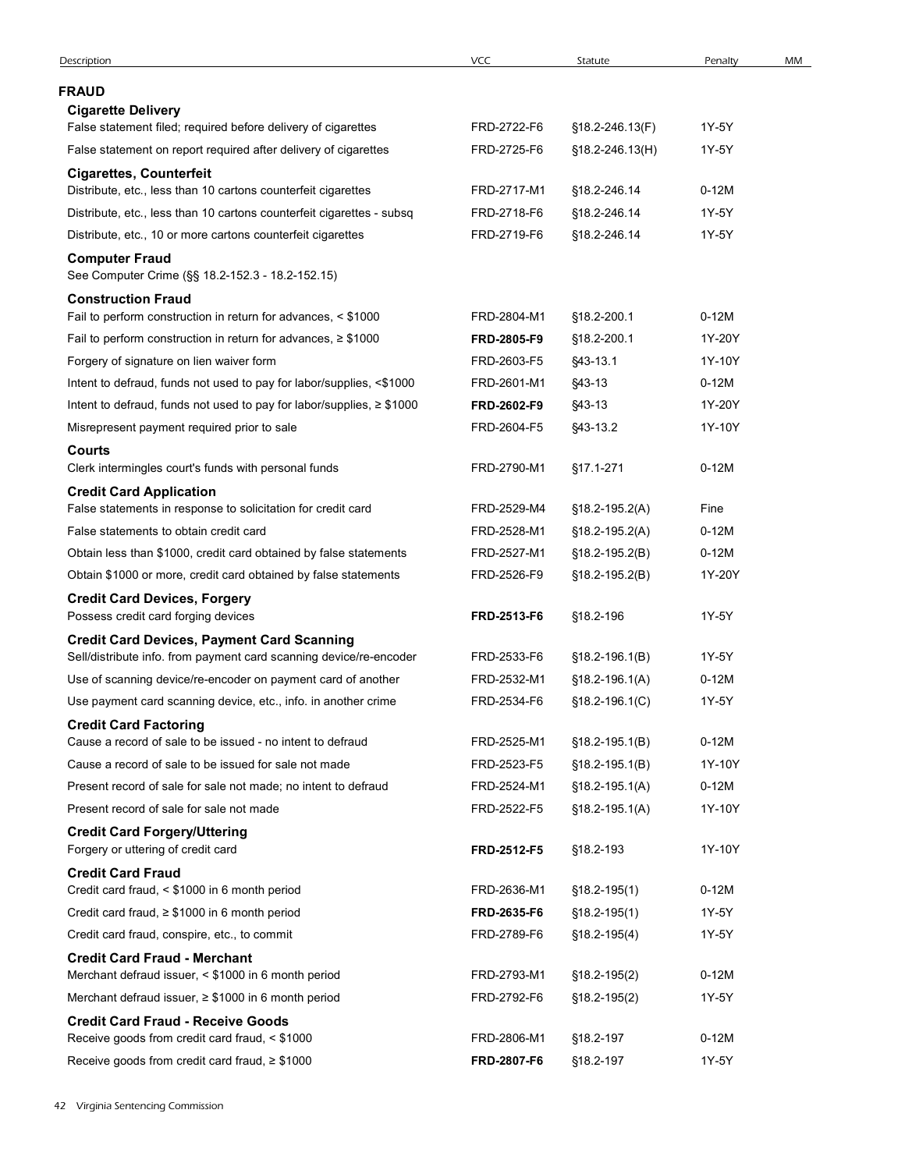| Description                                                                                                             | <b>VCC</b>                 | Statute                              | Penalty        | MM |
|-------------------------------------------------------------------------------------------------------------------------|----------------------------|--------------------------------------|----------------|----|
| <b>FRAUD</b>                                                                                                            |                            |                                      |                |    |
| <b>Cigarette Delivery</b>                                                                                               |                            |                                      |                |    |
| False statement filed; required before delivery of cigarettes                                                           | FRD-2722-F6                | §18.2-246.13(F)                      | 1Y-5Y          |    |
| False statement on report required after delivery of cigarettes                                                         | FRD-2725-F6                | $$18.2 - 246.13(H)$                  | 1Y-5Y          |    |
| <b>Cigarettes, Counterfeit</b>                                                                                          |                            |                                      |                |    |
| Distribute, etc., less than 10 cartons counterfeit cigarettes                                                           | FRD-2717-M1                | §18.2-246.14                         | $0-12M$        |    |
| Distribute, etc., less than 10 cartons counterfeit cigarettes - subsq                                                   | FRD-2718-F6<br>FRD-2719-F6 | §18.2-246.14                         | 1Y-5Y<br>1Y-5Y |    |
| Distribute, etc., 10 or more cartons counterfeit cigarettes<br><b>Computer Fraud</b>                                    |                            | §18.2-246.14                         |                |    |
| See Computer Crime (§§ 18.2-152.3 - 18.2-152.15)                                                                        |                            |                                      |                |    |
| <b>Construction Fraud</b>                                                                                               |                            |                                      |                |    |
| Fail to perform construction in return for advances, < \$1000                                                           | FRD-2804-M1                | §18.2-200.1                          | $0-12M$        |    |
| Fail to perform construction in return for advances, $\geq$ \$1000                                                      | FRD-2805-F9                | §18.2-200.1                          | 1Y-20Y         |    |
| Forgery of signature on lien waiver form                                                                                | FRD-2603-F5                | §43-13.1                             | 1Y-10Y         |    |
| Intent to defraud, funds not used to pay for labor/supplies, <\$1000                                                    | FRD-2601-M1                | $$43-13$                             | $0-12M$        |    |
| Intent to defraud, funds not used to pay for labor/supplies, $\geq$ \$1000                                              | FRD-2602-F9                | §43-13                               | 1Y-20Y         |    |
| Misrepresent payment required prior to sale                                                                             | FRD-2604-F5                | §43-13.2                             | 1Y-10Y         |    |
| <b>Courts</b><br>Clerk intermingles court's funds with personal funds                                                   | FRD-2790-M1                | §17.1-271                            | $0-12M$        |    |
| <b>Credit Card Application</b>                                                                                          |                            |                                      |                |    |
| False statements in response to solicitation for credit card                                                            | FRD-2529-M4                | $$18.2-195.2(A)$                     | Fine           |    |
| False statements to obtain credit card                                                                                  | FRD-2528-M1                | $$18.2 - 195.2(A)$                   | $0-12M$        |    |
| Obtain less than \$1000, credit card obtained by false statements                                                       | FRD-2527-M1                | $$18.2-195.2(B)$                     | $0-12M$        |    |
| Obtain \$1000 or more, credit card obtained by false statements                                                         | FRD-2526-F9                | $$18.2-195.2(B)$                     | 1Y-20Y         |    |
| <b>Credit Card Devices, Forgery</b>                                                                                     |                            |                                      |                |    |
| Possess credit card forging devices                                                                                     | FRD-2513-F6                | §18.2-196                            | 1Y-5Y          |    |
| <b>Credit Card Devices, Payment Card Scanning</b><br>Sell/distribute info. from payment card scanning device/re-encoder | FRD-2533-F6                |                                      | 1Y-5Y          |    |
| Use of scanning device/re-encoder on payment card of another                                                            | FRD-2532-M1                | $$18.2-196.1(B)$<br>$$18.2-196.1(A)$ | $0-12M$        |    |
| Use payment card scanning device, etc., info. in another crime                                                          | FRD-2534-F6                | $$18.2-196.1(C)$                     | 1Y-5Y          |    |
| <b>Credit Card Factoring</b>                                                                                            |                            |                                      |                |    |
| Cause a record of sale to be issued - no intent to defraud                                                              | FRD-2525-M1                | $$18.2-195.1(B)$                     | $0-12M$        |    |
| Cause a record of sale to be issued for sale not made                                                                   | FRD-2523-F5                | $$18.2-195.1(B)$                     | 1Y-10Y         |    |
| Present record of sale for sale not made; no intent to defraud                                                          | FRD-2524-M1                | $$18.2-195.1(A)$                     | $0-12M$        |    |
| Present record of sale for sale not made                                                                                | FRD-2522-F5                | $$18.2 - 195.1(A)$                   | 1Y-10Y         |    |
| <b>Credit Card Forgery/Uttering</b>                                                                                     |                            |                                      |                |    |
| Forgery or uttering of credit card                                                                                      | FRD-2512-F5                | §18.2-193                            | 1Y-10Y         |    |
| <b>Credit Card Fraud</b><br>Credit card fraud, < \$1000 in 6 month period                                               | FRD-2636-M1                | $$18.2 - 195(1)$                     | $0-12M$        |    |
| Credit card fraud, $\geq$ \$1000 in 6 month period                                                                      | FRD-2635-F6                | $$18.2 - 195(1)$                     | 1Y-5Y          |    |
| Credit card fraud, conspire, etc., to commit                                                                            | FRD-2789-F6                | $$18.2 - 195(4)$                     | 1Y-5Y          |    |
|                                                                                                                         |                            |                                      |                |    |
| <b>Credit Card Fraud - Merchant</b><br>Merchant defraud issuer, < \$1000 in 6 month period                              | FRD-2793-M1                | $$18.2 - 195(2)$                     | $0-12M$        |    |
| Merchant defraud issuer, ≥ \$1000 in 6 month period                                                                     | FRD-2792-F6                | $$18.2-195(2)$                       | 1Y-5Y          |    |
| <b>Credit Card Fraud - Receive Goods</b>                                                                                |                            |                                      |                |    |
| Receive goods from credit card fraud, < \$1000                                                                          | FRD-2806-M1                | §18.2-197                            | 0-12M          |    |
| Receive goods from credit card fraud, $\geq$ \$1000                                                                     | FRD-2807-F6                | §18.2-197                            | 1Y-5Y          |    |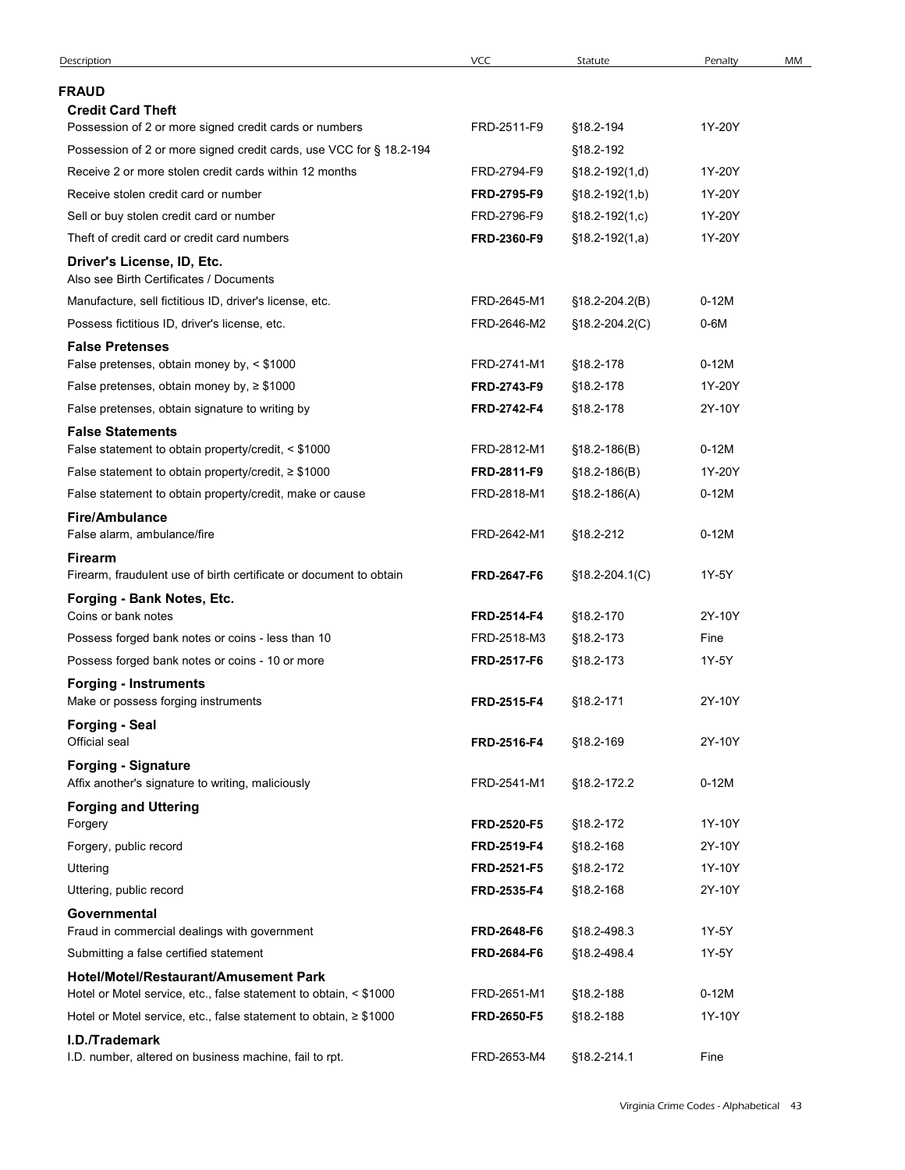| <b>FRAUD</b><br><b>Credit Card Theft</b><br>Possession of 2 or more signed credit cards or numbers<br>FRD-2511-F9<br>§18.2-194<br>1Y-20Y<br>Possession of 2 or more signed credit cards, use VCC for § 18.2-194<br>§18.2-192<br>Receive 2 or more stolen credit cards within 12 months<br>FRD-2794-F9<br>$$18.2-192(1,d)$<br>1Y-20Y<br>Receive stolen credit card or number<br>FRD-2795-F9<br>1Y-20Y<br>$$18.2-192(1,b)$<br>Sell or buy stolen credit card or number<br>FRD-2796-F9<br>$$18.2-192(1,c)$<br>1Y-20Y<br>Theft of credit card or credit card numbers<br>FRD-2360-F9<br>1Y-20Y<br>$$18.2-192(1,a)$<br>Driver's License, ID, Etc.<br>Also see Birth Certificates / Documents<br>Manufacture, sell fictitious ID, driver's license, etc.<br>FRD-2645-M1<br>$0-12M$<br>$$18.2 - 204.2(B)$<br>Possess fictitious ID, driver's license, etc.<br>FRD-2646-M2<br>0-6M<br>$$18.2 - 204.2(C)$<br><b>False Pretenses</b><br>False pretenses, obtain money by, < \$1000<br>FRD-2741-M1<br>§18.2-178<br>$0-12M$<br>False pretenses, obtain money by, $\geq$ \$1000<br>1Y-20Y<br>FRD-2743-F9<br>§18.2-178<br>False pretenses, obtain signature to writing by<br>FRD-2742-F4<br>§18.2-178<br>2Y-10Y<br><b>False Statements</b><br>$0-12M$<br>False statement to obtain property/credit, < \$1000<br>FRD-2812-M1<br>$$18.2 - 186(B)$<br>False statement to obtain property/credit, ≥ \$1000<br>FRD-2811-F9<br>$$18.2 - 186(B)$<br>1Y-20Y<br>False statement to obtain property/credit, make or cause<br>FRD-2818-M1<br>$$18.2 - 186(A)$<br>$0-12M$<br><b>Fire/Ambulance</b><br>$0-12M$<br>False alarm, ambulance/fire<br>FRD-2642-M1<br>§18.2-212<br><b>Firearm</b><br>Firearm, fraudulent use of birth certificate or document to obtain<br>1Y-5Y<br>FRD-2647-F6<br>$$18.2 - 204.1(C)$<br>Forging - Bank Notes, Etc.<br>2Y-10Y<br>Coins or bank notes<br>FRD-2514-F4<br>§18.2-170<br>Possess forged bank notes or coins - less than 10<br>FRD-2518-M3<br>§18.2-173<br>Fine<br>Possess forged bank notes or coins - 10 or more<br>FRD-2517-F6<br>§18.2-173<br>1Y-5Y<br><b>Forging - Instruments</b><br>2Y-10Y<br>Make or possess forging instruments<br>FRD-2515-F4<br>§18.2-171<br><b>Forging - Seal</b><br>Official seal<br>§18.2-169<br>2Y-10Y<br>FRD-2516-F4<br><b>Forging - Signature</b><br>$0-12M$<br>Affix another's signature to writing, maliciously<br>FRD-2541-M1<br>§18.2-172.2<br><b>Forging and Uttering</b><br>FRD-2520-F5<br>§18.2-172<br>1Y-10Y<br>Forgery<br>Forgery, public record<br>FRD-2519-F4<br>§18.2-168<br>2Y-10Y<br>FRD-2521-F5<br>§18.2-172<br>1Y-10Y<br>Uttering<br>Uttering, public record<br>FRD-2535-F4<br>§18.2-168<br>2Y-10Y<br>Governmental<br>1Y-5Y<br>Fraud in commercial dealings with government<br>§18.2-498.3<br>FRD-2648-F6<br>Submitting a false certified statement<br>§18.2-498.4<br>1Y-5Y<br>FRD-2684-F6<br>Hotel/Motel/Restaurant/Amusement Park<br>$0-12M$<br>Hotel or Motel service, etc., false statement to obtain, < \$1000<br>FRD-2651-M1<br>§18.2-188 | Description | <b>VCC</b> | Statute | Penalty | MM |
|----------------------------------------------------------------------------------------------------------------------------------------------------------------------------------------------------------------------------------------------------------------------------------------------------------------------------------------------------------------------------------------------------------------------------------------------------------------------------------------------------------------------------------------------------------------------------------------------------------------------------------------------------------------------------------------------------------------------------------------------------------------------------------------------------------------------------------------------------------------------------------------------------------------------------------------------------------------------------------------------------------------------------------------------------------------------------------------------------------------------------------------------------------------------------------------------------------------------------------------------------------------------------------------------------------------------------------------------------------------------------------------------------------------------------------------------------------------------------------------------------------------------------------------------------------------------------------------------------------------------------------------------------------------------------------------------------------------------------------------------------------------------------------------------------------------------------------------------------------------------------------------------------------------------------------------------------------------------------------------------------------------------------------------------------------------------------------------------------------------------------------------------------------------------------------------------------------------------------------------------------------------------------------------------------------------------------------------------------------------------------------------------------------------------------------------------------------------------------------------------------------------------------------------------------------------------------------------------------------------------------------------------------------------------------------------------------------------------------------------------------------------------------------------------------------------------------------------------------------------------------------------------------------------------------------------------------------------------------------------------------------|-------------|------------|---------|---------|----|
|                                                                                                                                                                                                                                                                                                                                                                                                                                                                                                                                                                                                                                                                                                                                                                                                                                                                                                                                                                                                                                                                                                                                                                                                                                                                                                                                                                                                                                                                                                                                                                                                                                                                                                                                                                                                                                                                                                                                                                                                                                                                                                                                                                                                                                                                                                                                                                                                                                                                                                                                                                                                                                                                                                                                                                                                                                                                                                                                                                                                          |             |            |         |         |    |
|                                                                                                                                                                                                                                                                                                                                                                                                                                                                                                                                                                                                                                                                                                                                                                                                                                                                                                                                                                                                                                                                                                                                                                                                                                                                                                                                                                                                                                                                                                                                                                                                                                                                                                                                                                                                                                                                                                                                                                                                                                                                                                                                                                                                                                                                                                                                                                                                                                                                                                                                                                                                                                                                                                                                                                                                                                                                                                                                                                                                          |             |            |         |         |    |
|                                                                                                                                                                                                                                                                                                                                                                                                                                                                                                                                                                                                                                                                                                                                                                                                                                                                                                                                                                                                                                                                                                                                                                                                                                                                                                                                                                                                                                                                                                                                                                                                                                                                                                                                                                                                                                                                                                                                                                                                                                                                                                                                                                                                                                                                                                                                                                                                                                                                                                                                                                                                                                                                                                                                                                                                                                                                                                                                                                                                          |             |            |         |         |    |
|                                                                                                                                                                                                                                                                                                                                                                                                                                                                                                                                                                                                                                                                                                                                                                                                                                                                                                                                                                                                                                                                                                                                                                                                                                                                                                                                                                                                                                                                                                                                                                                                                                                                                                                                                                                                                                                                                                                                                                                                                                                                                                                                                                                                                                                                                                                                                                                                                                                                                                                                                                                                                                                                                                                                                                                                                                                                                                                                                                                                          |             |            |         |         |    |
|                                                                                                                                                                                                                                                                                                                                                                                                                                                                                                                                                                                                                                                                                                                                                                                                                                                                                                                                                                                                                                                                                                                                                                                                                                                                                                                                                                                                                                                                                                                                                                                                                                                                                                                                                                                                                                                                                                                                                                                                                                                                                                                                                                                                                                                                                                                                                                                                                                                                                                                                                                                                                                                                                                                                                                                                                                                                                                                                                                                                          |             |            |         |         |    |
|                                                                                                                                                                                                                                                                                                                                                                                                                                                                                                                                                                                                                                                                                                                                                                                                                                                                                                                                                                                                                                                                                                                                                                                                                                                                                                                                                                                                                                                                                                                                                                                                                                                                                                                                                                                                                                                                                                                                                                                                                                                                                                                                                                                                                                                                                                                                                                                                                                                                                                                                                                                                                                                                                                                                                                                                                                                                                                                                                                                                          |             |            |         |         |    |
|                                                                                                                                                                                                                                                                                                                                                                                                                                                                                                                                                                                                                                                                                                                                                                                                                                                                                                                                                                                                                                                                                                                                                                                                                                                                                                                                                                                                                                                                                                                                                                                                                                                                                                                                                                                                                                                                                                                                                                                                                                                                                                                                                                                                                                                                                                                                                                                                                                                                                                                                                                                                                                                                                                                                                                                                                                                                                                                                                                                                          |             |            |         |         |    |
|                                                                                                                                                                                                                                                                                                                                                                                                                                                                                                                                                                                                                                                                                                                                                                                                                                                                                                                                                                                                                                                                                                                                                                                                                                                                                                                                                                                                                                                                                                                                                                                                                                                                                                                                                                                                                                                                                                                                                                                                                                                                                                                                                                                                                                                                                                                                                                                                                                                                                                                                                                                                                                                                                                                                                                                                                                                                                                                                                                                                          |             |            |         |         |    |
|                                                                                                                                                                                                                                                                                                                                                                                                                                                                                                                                                                                                                                                                                                                                                                                                                                                                                                                                                                                                                                                                                                                                                                                                                                                                                                                                                                                                                                                                                                                                                                                                                                                                                                                                                                                                                                                                                                                                                                                                                                                                                                                                                                                                                                                                                                                                                                                                                                                                                                                                                                                                                                                                                                                                                                                                                                                                                                                                                                                                          |             |            |         |         |    |
|                                                                                                                                                                                                                                                                                                                                                                                                                                                                                                                                                                                                                                                                                                                                                                                                                                                                                                                                                                                                                                                                                                                                                                                                                                                                                                                                                                                                                                                                                                                                                                                                                                                                                                                                                                                                                                                                                                                                                                                                                                                                                                                                                                                                                                                                                                                                                                                                                                                                                                                                                                                                                                                                                                                                                                                                                                                                                                                                                                                                          |             |            |         |         |    |
|                                                                                                                                                                                                                                                                                                                                                                                                                                                                                                                                                                                                                                                                                                                                                                                                                                                                                                                                                                                                                                                                                                                                                                                                                                                                                                                                                                                                                                                                                                                                                                                                                                                                                                                                                                                                                                                                                                                                                                                                                                                                                                                                                                                                                                                                                                                                                                                                                                                                                                                                                                                                                                                                                                                                                                                                                                                                                                                                                                                                          |             |            |         |         |    |
|                                                                                                                                                                                                                                                                                                                                                                                                                                                                                                                                                                                                                                                                                                                                                                                                                                                                                                                                                                                                                                                                                                                                                                                                                                                                                                                                                                                                                                                                                                                                                                                                                                                                                                                                                                                                                                                                                                                                                                                                                                                                                                                                                                                                                                                                                                                                                                                                                                                                                                                                                                                                                                                                                                                                                                                                                                                                                                                                                                                                          |             |            |         |         |    |
|                                                                                                                                                                                                                                                                                                                                                                                                                                                                                                                                                                                                                                                                                                                                                                                                                                                                                                                                                                                                                                                                                                                                                                                                                                                                                                                                                                                                                                                                                                                                                                                                                                                                                                                                                                                                                                                                                                                                                                                                                                                                                                                                                                                                                                                                                                                                                                                                                                                                                                                                                                                                                                                                                                                                                                                                                                                                                                                                                                                                          |             |            |         |         |    |
|                                                                                                                                                                                                                                                                                                                                                                                                                                                                                                                                                                                                                                                                                                                                                                                                                                                                                                                                                                                                                                                                                                                                                                                                                                                                                                                                                                                                                                                                                                                                                                                                                                                                                                                                                                                                                                                                                                                                                                                                                                                                                                                                                                                                                                                                                                                                                                                                                                                                                                                                                                                                                                                                                                                                                                                                                                                                                                                                                                                                          |             |            |         |         |    |
|                                                                                                                                                                                                                                                                                                                                                                                                                                                                                                                                                                                                                                                                                                                                                                                                                                                                                                                                                                                                                                                                                                                                                                                                                                                                                                                                                                                                                                                                                                                                                                                                                                                                                                                                                                                                                                                                                                                                                                                                                                                                                                                                                                                                                                                                                                                                                                                                                                                                                                                                                                                                                                                                                                                                                                                                                                                                                                                                                                                                          |             |            |         |         |    |
|                                                                                                                                                                                                                                                                                                                                                                                                                                                                                                                                                                                                                                                                                                                                                                                                                                                                                                                                                                                                                                                                                                                                                                                                                                                                                                                                                                                                                                                                                                                                                                                                                                                                                                                                                                                                                                                                                                                                                                                                                                                                                                                                                                                                                                                                                                                                                                                                                                                                                                                                                                                                                                                                                                                                                                                                                                                                                                                                                                                                          |             |            |         |         |    |
|                                                                                                                                                                                                                                                                                                                                                                                                                                                                                                                                                                                                                                                                                                                                                                                                                                                                                                                                                                                                                                                                                                                                                                                                                                                                                                                                                                                                                                                                                                                                                                                                                                                                                                                                                                                                                                                                                                                                                                                                                                                                                                                                                                                                                                                                                                                                                                                                                                                                                                                                                                                                                                                                                                                                                                                                                                                                                                                                                                                                          |             |            |         |         |    |
|                                                                                                                                                                                                                                                                                                                                                                                                                                                                                                                                                                                                                                                                                                                                                                                                                                                                                                                                                                                                                                                                                                                                                                                                                                                                                                                                                                                                                                                                                                                                                                                                                                                                                                                                                                                                                                                                                                                                                                                                                                                                                                                                                                                                                                                                                                                                                                                                                                                                                                                                                                                                                                                                                                                                                                                                                                                                                                                                                                                                          |             |            |         |         |    |
|                                                                                                                                                                                                                                                                                                                                                                                                                                                                                                                                                                                                                                                                                                                                                                                                                                                                                                                                                                                                                                                                                                                                                                                                                                                                                                                                                                                                                                                                                                                                                                                                                                                                                                                                                                                                                                                                                                                                                                                                                                                                                                                                                                                                                                                                                                                                                                                                                                                                                                                                                                                                                                                                                                                                                                                                                                                                                                                                                                                                          |             |            |         |         |    |
|                                                                                                                                                                                                                                                                                                                                                                                                                                                                                                                                                                                                                                                                                                                                                                                                                                                                                                                                                                                                                                                                                                                                                                                                                                                                                                                                                                                                                                                                                                                                                                                                                                                                                                                                                                                                                                                                                                                                                                                                                                                                                                                                                                                                                                                                                                                                                                                                                                                                                                                                                                                                                                                                                                                                                                                                                                                                                                                                                                                                          |             |            |         |         |    |
|                                                                                                                                                                                                                                                                                                                                                                                                                                                                                                                                                                                                                                                                                                                                                                                                                                                                                                                                                                                                                                                                                                                                                                                                                                                                                                                                                                                                                                                                                                                                                                                                                                                                                                                                                                                                                                                                                                                                                                                                                                                                                                                                                                                                                                                                                                                                                                                                                                                                                                                                                                                                                                                                                                                                                                                                                                                                                                                                                                                                          |             |            |         |         |    |
|                                                                                                                                                                                                                                                                                                                                                                                                                                                                                                                                                                                                                                                                                                                                                                                                                                                                                                                                                                                                                                                                                                                                                                                                                                                                                                                                                                                                                                                                                                                                                                                                                                                                                                                                                                                                                                                                                                                                                                                                                                                                                                                                                                                                                                                                                                                                                                                                                                                                                                                                                                                                                                                                                                                                                                                                                                                                                                                                                                                                          |             |            |         |         |    |
|                                                                                                                                                                                                                                                                                                                                                                                                                                                                                                                                                                                                                                                                                                                                                                                                                                                                                                                                                                                                                                                                                                                                                                                                                                                                                                                                                                                                                                                                                                                                                                                                                                                                                                                                                                                                                                                                                                                                                                                                                                                                                                                                                                                                                                                                                                                                                                                                                                                                                                                                                                                                                                                                                                                                                                                                                                                                                                                                                                                                          |             |            |         |         |    |
|                                                                                                                                                                                                                                                                                                                                                                                                                                                                                                                                                                                                                                                                                                                                                                                                                                                                                                                                                                                                                                                                                                                                                                                                                                                                                                                                                                                                                                                                                                                                                                                                                                                                                                                                                                                                                                                                                                                                                                                                                                                                                                                                                                                                                                                                                                                                                                                                                                                                                                                                                                                                                                                                                                                                                                                                                                                                                                                                                                                                          |             |            |         |         |    |
|                                                                                                                                                                                                                                                                                                                                                                                                                                                                                                                                                                                                                                                                                                                                                                                                                                                                                                                                                                                                                                                                                                                                                                                                                                                                                                                                                                                                                                                                                                                                                                                                                                                                                                                                                                                                                                                                                                                                                                                                                                                                                                                                                                                                                                                                                                                                                                                                                                                                                                                                                                                                                                                                                                                                                                                                                                                                                                                                                                                                          |             |            |         |         |    |
|                                                                                                                                                                                                                                                                                                                                                                                                                                                                                                                                                                                                                                                                                                                                                                                                                                                                                                                                                                                                                                                                                                                                                                                                                                                                                                                                                                                                                                                                                                                                                                                                                                                                                                                                                                                                                                                                                                                                                                                                                                                                                                                                                                                                                                                                                                                                                                                                                                                                                                                                                                                                                                                                                                                                                                                                                                                                                                                                                                                                          |             |            |         |         |    |
|                                                                                                                                                                                                                                                                                                                                                                                                                                                                                                                                                                                                                                                                                                                                                                                                                                                                                                                                                                                                                                                                                                                                                                                                                                                                                                                                                                                                                                                                                                                                                                                                                                                                                                                                                                                                                                                                                                                                                                                                                                                                                                                                                                                                                                                                                                                                                                                                                                                                                                                                                                                                                                                                                                                                                                                                                                                                                                                                                                                                          |             |            |         |         |    |
|                                                                                                                                                                                                                                                                                                                                                                                                                                                                                                                                                                                                                                                                                                                                                                                                                                                                                                                                                                                                                                                                                                                                                                                                                                                                                                                                                                                                                                                                                                                                                                                                                                                                                                                                                                                                                                                                                                                                                                                                                                                                                                                                                                                                                                                                                                                                                                                                                                                                                                                                                                                                                                                                                                                                                                                                                                                                                                                                                                                                          |             |            |         |         |    |
|                                                                                                                                                                                                                                                                                                                                                                                                                                                                                                                                                                                                                                                                                                                                                                                                                                                                                                                                                                                                                                                                                                                                                                                                                                                                                                                                                                                                                                                                                                                                                                                                                                                                                                                                                                                                                                                                                                                                                                                                                                                                                                                                                                                                                                                                                                                                                                                                                                                                                                                                                                                                                                                                                                                                                                                                                                                                                                                                                                                                          |             |            |         |         |    |
|                                                                                                                                                                                                                                                                                                                                                                                                                                                                                                                                                                                                                                                                                                                                                                                                                                                                                                                                                                                                                                                                                                                                                                                                                                                                                                                                                                                                                                                                                                                                                                                                                                                                                                                                                                                                                                                                                                                                                                                                                                                                                                                                                                                                                                                                                                                                                                                                                                                                                                                                                                                                                                                                                                                                                                                                                                                                                                                                                                                                          |             |            |         |         |    |
|                                                                                                                                                                                                                                                                                                                                                                                                                                                                                                                                                                                                                                                                                                                                                                                                                                                                                                                                                                                                                                                                                                                                                                                                                                                                                                                                                                                                                                                                                                                                                                                                                                                                                                                                                                                                                                                                                                                                                                                                                                                                                                                                                                                                                                                                                                                                                                                                                                                                                                                                                                                                                                                                                                                                                                                                                                                                                                                                                                                                          |             |            |         |         |    |
|                                                                                                                                                                                                                                                                                                                                                                                                                                                                                                                                                                                                                                                                                                                                                                                                                                                                                                                                                                                                                                                                                                                                                                                                                                                                                                                                                                                                                                                                                                                                                                                                                                                                                                                                                                                                                                                                                                                                                                                                                                                                                                                                                                                                                                                                                                                                                                                                                                                                                                                                                                                                                                                                                                                                                                                                                                                                                                                                                                                                          |             |            |         |         |    |
|                                                                                                                                                                                                                                                                                                                                                                                                                                                                                                                                                                                                                                                                                                                                                                                                                                                                                                                                                                                                                                                                                                                                                                                                                                                                                                                                                                                                                                                                                                                                                                                                                                                                                                                                                                                                                                                                                                                                                                                                                                                                                                                                                                                                                                                                                                                                                                                                                                                                                                                                                                                                                                                                                                                                                                                                                                                                                                                                                                                                          |             |            |         |         |    |
|                                                                                                                                                                                                                                                                                                                                                                                                                                                                                                                                                                                                                                                                                                                                                                                                                                                                                                                                                                                                                                                                                                                                                                                                                                                                                                                                                                                                                                                                                                                                                                                                                                                                                                                                                                                                                                                                                                                                                                                                                                                                                                                                                                                                                                                                                                                                                                                                                                                                                                                                                                                                                                                                                                                                                                                                                                                                                                                                                                                                          |             |            |         |         |    |
|                                                                                                                                                                                                                                                                                                                                                                                                                                                                                                                                                                                                                                                                                                                                                                                                                                                                                                                                                                                                                                                                                                                                                                                                                                                                                                                                                                                                                                                                                                                                                                                                                                                                                                                                                                                                                                                                                                                                                                                                                                                                                                                                                                                                                                                                                                                                                                                                                                                                                                                                                                                                                                                                                                                                                                                                                                                                                                                                                                                                          |             |            |         |         |    |
|                                                                                                                                                                                                                                                                                                                                                                                                                                                                                                                                                                                                                                                                                                                                                                                                                                                                                                                                                                                                                                                                                                                                                                                                                                                                                                                                                                                                                                                                                                                                                                                                                                                                                                                                                                                                                                                                                                                                                                                                                                                                                                                                                                                                                                                                                                                                                                                                                                                                                                                                                                                                                                                                                                                                                                                                                                                                                                                                                                                                          |             |            |         |         |    |
|                                                                                                                                                                                                                                                                                                                                                                                                                                                                                                                                                                                                                                                                                                                                                                                                                                                                                                                                                                                                                                                                                                                                                                                                                                                                                                                                                                                                                                                                                                                                                                                                                                                                                                                                                                                                                                                                                                                                                                                                                                                                                                                                                                                                                                                                                                                                                                                                                                                                                                                                                                                                                                                                                                                                                                                                                                                                                                                                                                                                          |             |            |         |         |    |
|                                                                                                                                                                                                                                                                                                                                                                                                                                                                                                                                                                                                                                                                                                                                                                                                                                                                                                                                                                                                                                                                                                                                                                                                                                                                                                                                                                                                                                                                                                                                                                                                                                                                                                                                                                                                                                                                                                                                                                                                                                                                                                                                                                                                                                                                                                                                                                                                                                                                                                                                                                                                                                                                                                                                                                                                                                                                                                                                                                                                          |             |            |         |         |    |
|                                                                                                                                                                                                                                                                                                                                                                                                                                                                                                                                                                                                                                                                                                                                                                                                                                                                                                                                                                                                                                                                                                                                                                                                                                                                                                                                                                                                                                                                                                                                                                                                                                                                                                                                                                                                                                                                                                                                                                                                                                                                                                                                                                                                                                                                                                                                                                                                                                                                                                                                                                                                                                                                                                                                                                                                                                                                                                                                                                                                          |             |            |         |         |    |
|                                                                                                                                                                                                                                                                                                                                                                                                                                                                                                                                                                                                                                                                                                                                                                                                                                                                                                                                                                                                                                                                                                                                                                                                                                                                                                                                                                                                                                                                                                                                                                                                                                                                                                                                                                                                                                                                                                                                                                                                                                                                                                                                                                                                                                                                                                                                                                                                                                                                                                                                                                                                                                                                                                                                                                                                                                                                                                                                                                                                          |             |            |         |         |    |
|                                                                                                                                                                                                                                                                                                                                                                                                                                                                                                                                                                                                                                                                                                                                                                                                                                                                                                                                                                                                                                                                                                                                                                                                                                                                                                                                                                                                                                                                                                                                                                                                                                                                                                                                                                                                                                                                                                                                                                                                                                                                                                                                                                                                                                                                                                                                                                                                                                                                                                                                                                                                                                                                                                                                                                                                                                                                                                                                                                                                          |             |            |         |         |    |
|                                                                                                                                                                                                                                                                                                                                                                                                                                                                                                                                                                                                                                                                                                                                                                                                                                                                                                                                                                                                                                                                                                                                                                                                                                                                                                                                                                                                                                                                                                                                                                                                                                                                                                                                                                                                                                                                                                                                                                                                                                                                                                                                                                                                                                                                                                                                                                                                                                                                                                                                                                                                                                                                                                                                                                                                                                                                                                                                                                                                          |             |            |         |         |    |
| Hotel or Motel service, etc., false statement to obtain, ≥ \$1000<br>1Y-10Y<br>FRD-2650-F5<br>§18.2-188                                                                                                                                                                                                                                                                                                                                                                                                                                                                                                                                                                                                                                                                                                                                                                                                                                                                                                                                                                                                                                                                                                                                                                                                                                                                                                                                                                                                                                                                                                                                                                                                                                                                                                                                                                                                                                                                                                                                                                                                                                                                                                                                                                                                                                                                                                                                                                                                                                                                                                                                                                                                                                                                                                                                                                                                                                                                                                  |             |            |         |         |    |
| I.D./Trademark                                                                                                                                                                                                                                                                                                                                                                                                                                                                                                                                                                                                                                                                                                                                                                                                                                                                                                                                                                                                                                                                                                                                                                                                                                                                                                                                                                                                                                                                                                                                                                                                                                                                                                                                                                                                                                                                                                                                                                                                                                                                                                                                                                                                                                                                                                                                                                                                                                                                                                                                                                                                                                                                                                                                                                                                                                                                                                                                                                                           |             |            |         |         |    |
| Fine<br>I.D. number, altered on business machine, fail to rpt.<br>FRD-2653-M4<br>§18.2-214.1                                                                                                                                                                                                                                                                                                                                                                                                                                                                                                                                                                                                                                                                                                                                                                                                                                                                                                                                                                                                                                                                                                                                                                                                                                                                                                                                                                                                                                                                                                                                                                                                                                                                                                                                                                                                                                                                                                                                                                                                                                                                                                                                                                                                                                                                                                                                                                                                                                                                                                                                                                                                                                                                                                                                                                                                                                                                                                             |             |            |         |         |    |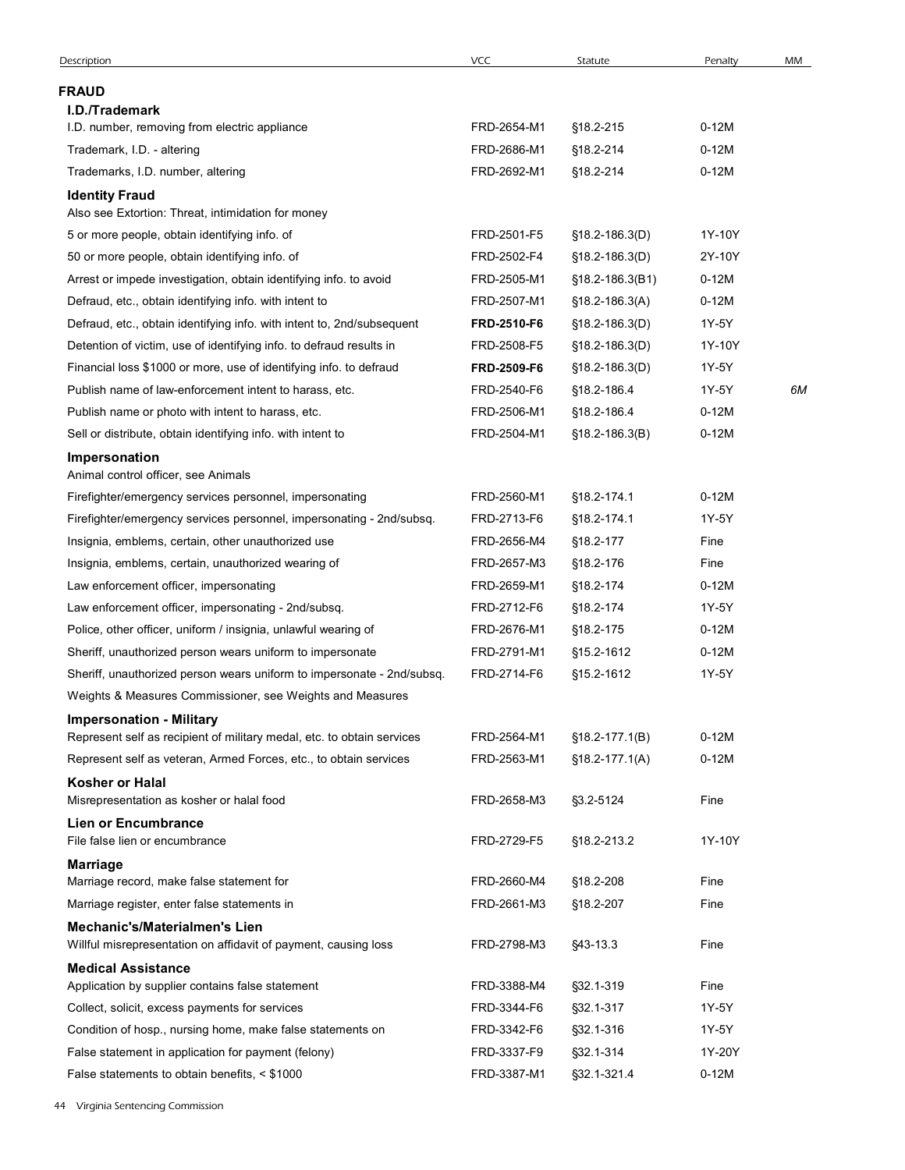| <b>FRAUD</b><br><b>I.D./Trademark</b><br>FRD-2654-M1<br>§18.2-215<br>$0-12M$<br>I.D. number, removing from electric appliance<br>Trademark, I.D. - altering<br>FRD-2686-M1<br>§18.2-214<br>$0-12M$<br>$0-12M$<br>Trademarks, I.D. number, altering<br>FRD-2692-M1<br>§18.2-214<br><b>Identity Fraud</b><br>Also see Extortion: Threat, intimidation for money<br>5 or more people, obtain identifying info. of<br>FRD-2501-F5<br>$$18.2 - 186.3(D)$<br>1Y-10Y<br>50 or more people, obtain identifying info. of<br>FRD-2502-F4<br>2Y-10Y<br>$$18.2 - 186.3(D)$<br>Arrest or impede investigation, obtain identifying info. to avoid<br>FRD-2505-M1<br>$0-12M$<br>$$18.2 - 186.3(B1)$<br>Defraud, etc., obtain identifying info. with intent to<br>FRD-2507-M1<br>$0-12M$<br>$$18.2 - 186.3(A)$<br>Defraud, etc., obtain identifying info. with intent to, 2nd/subsequent<br>1Y-5Y<br>FRD-2510-F6<br>$$18.2 - 186.3(D)$<br>Detention of victim, use of identifying info. to defraud results in<br>FRD-2508-F5<br>1Y-10Y<br>$$18.2 - 186.3(D)$<br>Financial loss \$1000 or more, use of identifying info. to defraud<br>1Y-5Y<br>FRD-2509-F6<br>$$18.2 - 186.3(D)$<br>Publish name of law-enforcement intent to harass, etc.<br>FRD-2540-F6<br>1Y-5Y<br>6M<br>§18.2-186.4<br>Publish name or photo with intent to harass, etc.<br>FRD-2506-M1<br>§18.2-186.4<br>$0-12M$<br>$0-12M$<br>Sell or distribute, obtain identifying info. with intent to<br>FRD-2504-M1<br>$$18.2 - 186.3(B)$<br>Impersonation<br>Animal control officer, see Animals<br>FRD-2560-M1<br>§18.2-174.1<br>$0-12M$<br>Firefighter/emergency services personnel, impersonating<br>Firefighter/emergency services personnel, impersonating - 2nd/subsq.<br>FRD-2713-F6<br>§18.2-174.1<br>1Y-5Y<br>Insignia, emblems, certain, other unauthorized use<br>FRD-2656-M4<br>§18.2-177<br>Fine<br>Insignia, emblems, certain, unauthorized wearing of<br>FRD-2657-M3<br>§18.2-176<br>Fine<br>$0-12M$<br>Law enforcement officer, impersonating<br>FRD-2659-M1<br>§18.2-174<br>Law enforcement officer, impersonating - 2nd/subsq.<br>FRD-2712-F6<br>§18.2-174<br>1Y-5Y<br>$0-12M$<br>Police, other officer, uniform / insignia, unlawful wearing of<br>FRD-2676-M1<br>§18.2-175<br>Sheriff, unauthorized person wears uniform to impersonate<br>FRD-2791-M1<br>§15.2-1612<br>$0-12M$<br>Sheriff, unauthorized person wears uniform to impersonate - 2nd/subsq.<br>FRD-2714-F6<br>§15.2-1612<br>1Y-5Y<br>Weights & Measures Commissioner, see Weights and Measures<br><b>Impersonation - Military</b><br>Represent self as recipient of military medal, etc. to obtain services<br>FRD-2564-M1<br>$$18.2 - 177.1(B)$<br>$0-12M$<br>FRD-2563-M1<br>$0-12M$<br>Represent self as veteran, Armed Forces, etc., to obtain services<br>$$18.2-177.1(A)$<br><b>Kosher or Halal</b><br>Misrepresentation as kosher or halal food<br>FRD-2658-M3<br>§3.2-5124<br>Fine<br><b>Lien or Encumbrance</b><br>File false lien or encumbrance<br>FRD-2729-F5<br>§18.2-213.2<br>1Y-10Y<br><b>Marriage</b><br>Marriage record, make false statement for<br>FRD-2660-M4<br>§18.2-208<br>Fine<br>Marriage register, enter false statements in<br>FRD-2661-M3<br>§18.2-207<br>Fine<br><b>Mechanic's/Materialmen's Lien</b><br>FRD-2798-M3<br>Fine<br>Willful misrepresentation on affidavit of payment, causing loss<br>§43-13.3<br><b>Medical Assistance</b><br>Application by supplier contains false statement<br>FRD-3388-M4<br>§32.1-319<br>Fine<br>Collect, solicit, excess payments for services<br>FRD-3344-F6<br>§32.1-317<br>1Y-5Y | Description                                                | <b>VCC</b>  | Statute   | Penalty | MM |
|-----------------------------------------------------------------------------------------------------------------------------------------------------------------------------------------------------------------------------------------------------------------------------------------------------------------------------------------------------------------------------------------------------------------------------------------------------------------------------------------------------------------------------------------------------------------------------------------------------------------------------------------------------------------------------------------------------------------------------------------------------------------------------------------------------------------------------------------------------------------------------------------------------------------------------------------------------------------------------------------------------------------------------------------------------------------------------------------------------------------------------------------------------------------------------------------------------------------------------------------------------------------------------------------------------------------------------------------------------------------------------------------------------------------------------------------------------------------------------------------------------------------------------------------------------------------------------------------------------------------------------------------------------------------------------------------------------------------------------------------------------------------------------------------------------------------------------------------------------------------------------------------------------------------------------------------------------------------------------------------------------------------------------------------------------------------------------------------------------------------------------------------------------------------------------------------------------------------------------------------------------------------------------------------------------------------------------------------------------------------------------------------------------------------------------------------------------------------------------------------------------------------------------------------------------------------------------------------------------------------------------------------------------------------------------------------------------------------------------------------------------------------------------------------------------------------------------------------------------------------------------------------------------------------------------------------------------------------------------------------------------------------------------------------------------------------------------------------------------------------------------------------------------------------------------------------------------------------------------------------------------------------------------------------------------------------------------------------------------------------------------------------------------------------------------------------------------------------------------------------------------------------------------------------------------------------------------------|------------------------------------------------------------|-------------|-----------|---------|----|
|                                                                                                                                                                                                                                                                                                                                                                                                                                                                                                                                                                                                                                                                                                                                                                                                                                                                                                                                                                                                                                                                                                                                                                                                                                                                                                                                                                                                                                                                                                                                                                                                                                                                                                                                                                                                                                                                                                                                                                                                                                                                                                                                                                                                                                                                                                                                                                                                                                                                                                                                                                                                                                                                                                                                                                                                                                                                                                                                                                                                                                                                                                                                                                                                                                                                                                                                                                                                                                                                                                                                                                                   |                                                            |             |           |         |    |
|                                                                                                                                                                                                                                                                                                                                                                                                                                                                                                                                                                                                                                                                                                                                                                                                                                                                                                                                                                                                                                                                                                                                                                                                                                                                                                                                                                                                                                                                                                                                                                                                                                                                                                                                                                                                                                                                                                                                                                                                                                                                                                                                                                                                                                                                                                                                                                                                                                                                                                                                                                                                                                                                                                                                                                                                                                                                                                                                                                                                                                                                                                                                                                                                                                                                                                                                                                                                                                                                                                                                                                                   |                                                            |             |           |         |    |
|                                                                                                                                                                                                                                                                                                                                                                                                                                                                                                                                                                                                                                                                                                                                                                                                                                                                                                                                                                                                                                                                                                                                                                                                                                                                                                                                                                                                                                                                                                                                                                                                                                                                                                                                                                                                                                                                                                                                                                                                                                                                                                                                                                                                                                                                                                                                                                                                                                                                                                                                                                                                                                                                                                                                                                                                                                                                                                                                                                                                                                                                                                                                                                                                                                                                                                                                                                                                                                                                                                                                                                                   |                                                            |             |           |         |    |
|                                                                                                                                                                                                                                                                                                                                                                                                                                                                                                                                                                                                                                                                                                                                                                                                                                                                                                                                                                                                                                                                                                                                                                                                                                                                                                                                                                                                                                                                                                                                                                                                                                                                                                                                                                                                                                                                                                                                                                                                                                                                                                                                                                                                                                                                                                                                                                                                                                                                                                                                                                                                                                                                                                                                                                                                                                                                                                                                                                                                                                                                                                                                                                                                                                                                                                                                                                                                                                                                                                                                                                                   |                                                            |             |           |         |    |
|                                                                                                                                                                                                                                                                                                                                                                                                                                                                                                                                                                                                                                                                                                                                                                                                                                                                                                                                                                                                                                                                                                                                                                                                                                                                                                                                                                                                                                                                                                                                                                                                                                                                                                                                                                                                                                                                                                                                                                                                                                                                                                                                                                                                                                                                                                                                                                                                                                                                                                                                                                                                                                                                                                                                                                                                                                                                                                                                                                                                                                                                                                                                                                                                                                                                                                                                                                                                                                                                                                                                                                                   |                                                            |             |           |         |    |
|                                                                                                                                                                                                                                                                                                                                                                                                                                                                                                                                                                                                                                                                                                                                                                                                                                                                                                                                                                                                                                                                                                                                                                                                                                                                                                                                                                                                                                                                                                                                                                                                                                                                                                                                                                                                                                                                                                                                                                                                                                                                                                                                                                                                                                                                                                                                                                                                                                                                                                                                                                                                                                                                                                                                                                                                                                                                                                                                                                                                                                                                                                                                                                                                                                                                                                                                                                                                                                                                                                                                                                                   |                                                            |             |           |         |    |
|                                                                                                                                                                                                                                                                                                                                                                                                                                                                                                                                                                                                                                                                                                                                                                                                                                                                                                                                                                                                                                                                                                                                                                                                                                                                                                                                                                                                                                                                                                                                                                                                                                                                                                                                                                                                                                                                                                                                                                                                                                                                                                                                                                                                                                                                                                                                                                                                                                                                                                                                                                                                                                                                                                                                                                                                                                                                                                                                                                                                                                                                                                                                                                                                                                                                                                                                                                                                                                                                                                                                                                                   |                                                            |             |           |         |    |
|                                                                                                                                                                                                                                                                                                                                                                                                                                                                                                                                                                                                                                                                                                                                                                                                                                                                                                                                                                                                                                                                                                                                                                                                                                                                                                                                                                                                                                                                                                                                                                                                                                                                                                                                                                                                                                                                                                                                                                                                                                                                                                                                                                                                                                                                                                                                                                                                                                                                                                                                                                                                                                                                                                                                                                                                                                                                                                                                                                                                                                                                                                                                                                                                                                                                                                                                                                                                                                                                                                                                                                                   |                                                            |             |           |         |    |
|                                                                                                                                                                                                                                                                                                                                                                                                                                                                                                                                                                                                                                                                                                                                                                                                                                                                                                                                                                                                                                                                                                                                                                                                                                                                                                                                                                                                                                                                                                                                                                                                                                                                                                                                                                                                                                                                                                                                                                                                                                                                                                                                                                                                                                                                                                                                                                                                                                                                                                                                                                                                                                                                                                                                                                                                                                                                                                                                                                                                                                                                                                                                                                                                                                                                                                                                                                                                                                                                                                                                                                                   |                                                            |             |           |         |    |
|                                                                                                                                                                                                                                                                                                                                                                                                                                                                                                                                                                                                                                                                                                                                                                                                                                                                                                                                                                                                                                                                                                                                                                                                                                                                                                                                                                                                                                                                                                                                                                                                                                                                                                                                                                                                                                                                                                                                                                                                                                                                                                                                                                                                                                                                                                                                                                                                                                                                                                                                                                                                                                                                                                                                                                                                                                                                                                                                                                                                                                                                                                                                                                                                                                                                                                                                                                                                                                                                                                                                                                                   |                                                            |             |           |         |    |
|                                                                                                                                                                                                                                                                                                                                                                                                                                                                                                                                                                                                                                                                                                                                                                                                                                                                                                                                                                                                                                                                                                                                                                                                                                                                                                                                                                                                                                                                                                                                                                                                                                                                                                                                                                                                                                                                                                                                                                                                                                                                                                                                                                                                                                                                                                                                                                                                                                                                                                                                                                                                                                                                                                                                                                                                                                                                                                                                                                                                                                                                                                                                                                                                                                                                                                                                                                                                                                                                                                                                                                                   |                                                            |             |           |         |    |
|                                                                                                                                                                                                                                                                                                                                                                                                                                                                                                                                                                                                                                                                                                                                                                                                                                                                                                                                                                                                                                                                                                                                                                                                                                                                                                                                                                                                                                                                                                                                                                                                                                                                                                                                                                                                                                                                                                                                                                                                                                                                                                                                                                                                                                                                                                                                                                                                                                                                                                                                                                                                                                                                                                                                                                                                                                                                                                                                                                                                                                                                                                                                                                                                                                                                                                                                                                                                                                                                                                                                                                                   |                                                            |             |           |         |    |
|                                                                                                                                                                                                                                                                                                                                                                                                                                                                                                                                                                                                                                                                                                                                                                                                                                                                                                                                                                                                                                                                                                                                                                                                                                                                                                                                                                                                                                                                                                                                                                                                                                                                                                                                                                                                                                                                                                                                                                                                                                                                                                                                                                                                                                                                                                                                                                                                                                                                                                                                                                                                                                                                                                                                                                                                                                                                                                                                                                                                                                                                                                                                                                                                                                                                                                                                                                                                                                                                                                                                                                                   |                                                            |             |           |         |    |
|                                                                                                                                                                                                                                                                                                                                                                                                                                                                                                                                                                                                                                                                                                                                                                                                                                                                                                                                                                                                                                                                                                                                                                                                                                                                                                                                                                                                                                                                                                                                                                                                                                                                                                                                                                                                                                                                                                                                                                                                                                                                                                                                                                                                                                                                                                                                                                                                                                                                                                                                                                                                                                                                                                                                                                                                                                                                                                                                                                                                                                                                                                                                                                                                                                                                                                                                                                                                                                                                                                                                                                                   |                                                            |             |           |         |    |
|                                                                                                                                                                                                                                                                                                                                                                                                                                                                                                                                                                                                                                                                                                                                                                                                                                                                                                                                                                                                                                                                                                                                                                                                                                                                                                                                                                                                                                                                                                                                                                                                                                                                                                                                                                                                                                                                                                                                                                                                                                                                                                                                                                                                                                                                                                                                                                                                                                                                                                                                                                                                                                                                                                                                                                                                                                                                                                                                                                                                                                                                                                                                                                                                                                                                                                                                                                                                                                                                                                                                                                                   |                                                            |             |           |         |    |
|                                                                                                                                                                                                                                                                                                                                                                                                                                                                                                                                                                                                                                                                                                                                                                                                                                                                                                                                                                                                                                                                                                                                                                                                                                                                                                                                                                                                                                                                                                                                                                                                                                                                                                                                                                                                                                                                                                                                                                                                                                                                                                                                                                                                                                                                                                                                                                                                                                                                                                                                                                                                                                                                                                                                                                                                                                                                                                                                                                                                                                                                                                                                                                                                                                                                                                                                                                                                                                                                                                                                                                                   |                                                            |             |           |         |    |
|                                                                                                                                                                                                                                                                                                                                                                                                                                                                                                                                                                                                                                                                                                                                                                                                                                                                                                                                                                                                                                                                                                                                                                                                                                                                                                                                                                                                                                                                                                                                                                                                                                                                                                                                                                                                                                                                                                                                                                                                                                                                                                                                                                                                                                                                                                                                                                                                                                                                                                                                                                                                                                                                                                                                                                                                                                                                                                                                                                                                                                                                                                                                                                                                                                                                                                                                                                                                                                                                                                                                                                                   |                                                            |             |           |         |    |
|                                                                                                                                                                                                                                                                                                                                                                                                                                                                                                                                                                                                                                                                                                                                                                                                                                                                                                                                                                                                                                                                                                                                                                                                                                                                                                                                                                                                                                                                                                                                                                                                                                                                                                                                                                                                                                                                                                                                                                                                                                                                                                                                                                                                                                                                                                                                                                                                                                                                                                                                                                                                                                                                                                                                                                                                                                                                                                                                                                                                                                                                                                                                                                                                                                                                                                                                                                                                                                                                                                                                                                                   |                                                            |             |           |         |    |
|                                                                                                                                                                                                                                                                                                                                                                                                                                                                                                                                                                                                                                                                                                                                                                                                                                                                                                                                                                                                                                                                                                                                                                                                                                                                                                                                                                                                                                                                                                                                                                                                                                                                                                                                                                                                                                                                                                                                                                                                                                                                                                                                                                                                                                                                                                                                                                                                                                                                                                                                                                                                                                                                                                                                                                                                                                                                                                                                                                                                                                                                                                                                                                                                                                                                                                                                                                                                                                                                                                                                                                                   |                                                            |             |           |         |    |
|                                                                                                                                                                                                                                                                                                                                                                                                                                                                                                                                                                                                                                                                                                                                                                                                                                                                                                                                                                                                                                                                                                                                                                                                                                                                                                                                                                                                                                                                                                                                                                                                                                                                                                                                                                                                                                                                                                                                                                                                                                                                                                                                                                                                                                                                                                                                                                                                                                                                                                                                                                                                                                                                                                                                                                                                                                                                                                                                                                                                                                                                                                                                                                                                                                                                                                                                                                                                                                                                                                                                                                                   |                                                            |             |           |         |    |
|                                                                                                                                                                                                                                                                                                                                                                                                                                                                                                                                                                                                                                                                                                                                                                                                                                                                                                                                                                                                                                                                                                                                                                                                                                                                                                                                                                                                                                                                                                                                                                                                                                                                                                                                                                                                                                                                                                                                                                                                                                                                                                                                                                                                                                                                                                                                                                                                                                                                                                                                                                                                                                                                                                                                                                                                                                                                                                                                                                                                                                                                                                                                                                                                                                                                                                                                                                                                                                                                                                                                                                                   |                                                            |             |           |         |    |
|                                                                                                                                                                                                                                                                                                                                                                                                                                                                                                                                                                                                                                                                                                                                                                                                                                                                                                                                                                                                                                                                                                                                                                                                                                                                                                                                                                                                                                                                                                                                                                                                                                                                                                                                                                                                                                                                                                                                                                                                                                                                                                                                                                                                                                                                                                                                                                                                                                                                                                                                                                                                                                                                                                                                                                                                                                                                                                                                                                                                                                                                                                                                                                                                                                                                                                                                                                                                                                                                                                                                                                                   |                                                            |             |           |         |    |
|                                                                                                                                                                                                                                                                                                                                                                                                                                                                                                                                                                                                                                                                                                                                                                                                                                                                                                                                                                                                                                                                                                                                                                                                                                                                                                                                                                                                                                                                                                                                                                                                                                                                                                                                                                                                                                                                                                                                                                                                                                                                                                                                                                                                                                                                                                                                                                                                                                                                                                                                                                                                                                                                                                                                                                                                                                                                                                                                                                                                                                                                                                                                                                                                                                                                                                                                                                                                                                                                                                                                                                                   |                                                            |             |           |         |    |
|                                                                                                                                                                                                                                                                                                                                                                                                                                                                                                                                                                                                                                                                                                                                                                                                                                                                                                                                                                                                                                                                                                                                                                                                                                                                                                                                                                                                                                                                                                                                                                                                                                                                                                                                                                                                                                                                                                                                                                                                                                                                                                                                                                                                                                                                                                                                                                                                                                                                                                                                                                                                                                                                                                                                                                                                                                                                                                                                                                                                                                                                                                                                                                                                                                                                                                                                                                                                                                                                                                                                                                                   |                                                            |             |           |         |    |
|                                                                                                                                                                                                                                                                                                                                                                                                                                                                                                                                                                                                                                                                                                                                                                                                                                                                                                                                                                                                                                                                                                                                                                                                                                                                                                                                                                                                                                                                                                                                                                                                                                                                                                                                                                                                                                                                                                                                                                                                                                                                                                                                                                                                                                                                                                                                                                                                                                                                                                                                                                                                                                                                                                                                                                                                                                                                                                                                                                                                                                                                                                                                                                                                                                                                                                                                                                                                                                                                                                                                                                                   |                                                            |             |           |         |    |
|                                                                                                                                                                                                                                                                                                                                                                                                                                                                                                                                                                                                                                                                                                                                                                                                                                                                                                                                                                                                                                                                                                                                                                                                                                                                                                                                                                                                                                                                                                                                                                                                                                                                                                                                                                                                                                                                                                                                                                                                                                                                                                                                                                                                                                                                                                                                                                                                                                                                                                                                                                                                                                                                                                                                                                                                                                                                                                                                                                                                                                                                                                                                                                                                                                                                                                                                                                                                                                                                                                                                                                                   |                                                            |             |           |         |    |
|                                                                                                                                                                                                                                                                                                                                                                                                                                                                                                                                                                                                                                                                                                                                                                                                                                                                                                                                                                                                                                                                                                                                                                                                                                                                                                                                                                                                                                                                                                                                                                                                                                                                                                                                                                                                                                                                                                                                                                                                                                                                                                                                                                                                                                                                                                                                                                                                                                                                                                                                                                                                                                                                                                                                                                                                                                                                                                                                                                                                                                                                                                                                                                                                                                                                                                                                                                                                                                                                                                                                                                                   |                                                            |             |           |         |    |
|                                                                                                                                                                                                                                                                                                                                                                                                                                                                                                                                                                                                                                                                                                                                                                                                                                                                                                                                                                                                                                                                                                                                                                                                                                                                                                                                                                                                                                                                                                                                                                                                                                                                                                                                                                                                                                                                                                                                                                                                                                                                                                                                                                                                                                                                                                                                                                                                                                                                                                                                                                                                                                                                                                                                                                                                                                                                                                                                                                                                                                                                                                                                                                                                                                                                                                                                                                                                                                                                                                                                                                                   |                                                            |             |           |         |    |
|                                                                                                                                                                                                                                                                                                                                                                                                                                                                                                                                                                                                                                                                                                                                                                                                                                                                                                                                                                                                                                                                                                                                                                                                                                                                                                                                                                                                                                                                                                                                                                                                                                                                                                                                                                                                                                                                                                                                                                                                                                                                                                                                                                                                                                                                                                                                                                                                                                                                                                                                                                                                                                                                                                                                                                                                                                                                                                                                                                                                                                                                                                                                                                                                                                                                                                                                                                                                                                                                                                                                                                                   |                                                            |             |           |         |    |
|                                                                                                                                                                                                                                                                                                                                                                                                                                                                                                                                                                                                                                                                                                                                                                                                                                                                                                                                                                                                                                                                                                                                                                                                                                                                                                                                                                                                                                                                                                                                                                                                                                                                                                                                                                                                                                                                                                                                                                                                                                                                                                                                                                                                                                                                                                                                                                                                                                                                                                                                                                                                                                                                                                                                                                                                                                                                                                                                                                                                                                                                                                                                                                                                                                                                                                                                                                                                                                                                                                                                                                                   |                                                            |             |           |         |    |
|                                                                                                                                                                                                                                                                                                                                                                                                                                                                                                                                                                                                                                                                                                                                                                                                                                                                                                                                                                                                                                                                                                                                                                                                                                                                                                                                                                                                                                                                                                                                                                                                                                                                                                                                                                                                                                                                                                                                                                                                                                                                                                                                                                                                                                                                                                                                                                                                                                                                                                                                                                                                                                                                                                                                                                                                                                                                                                                                                                                                                                                                                                                                                                                                                                                                                                                                                                                                                                                                                                                                                                                   |                                                            |             |           |         |    |
|                                                                                                                                                                                                                                                                                                                                                                                                                                                                                                                                                                                                                                                                                                                                                                                                                                                                                                                                                                                                                                                                                                                                                                                                                                                                                                                                                                                                                                                                                                                                                                                                                                                                                                                                                                                                                                                                                                                                                                                                                                                                                                                                                                                                                                                                                                                                                                                                                                                                                                                                                                                                                                                                                                                                                                                                                                                                                                                                                                                                                                                                                                                                                                                                                                                                                                                                                                                                                                                                                                                                                                                   |                                                            |             |           |         |    |
|                                                                                                                                                                                                                                                                                                                                                                                                                                                                                                                                                                                                                                                                                                                                                                                                                                                                                                                                                                                                                                                                                                                                                                                                                                                                                                                                                                                                                                                                                                                                                                                                                                                                                                                                                                                                                                                                                                                                                                                                                                                                                                                                                                                                                                                                                                                                                                                                                                                                                                                                                                                                                                                                                                                                                                                                                                                                                                                                                                                                                                                                                                                                                                                                                                                                                                                                                                                                                                                                                                                                                                                   |                                                            |             |           |         |    |
|                                                                                                                                                                                                                                                                                                                                                                                                                                                                                                                                                                                                                                                                                                                                                                                                                                                                                                                                                                                                                                                                                                                                                                                                                                                                                                                                                                                                                                                                                                                                                                                                                                                                                                                                                                                                                                                                                                                                                                                                                                                                                                                                                                                                                                                                                                                                                                                                                                                                                                                                                                                                                                                                                                                                                                                                                                                                                                                                                                                                                                                                                                                                                                                                                                                                                                                                                                                                                                                                                                                                                                                   |                                                            |             |           |         |    |
|                                                                                                                                                                                                                                                                                                                                                                                                                                                                                                                                                                                                                                                                                                                                                                                                                                                                                                                                                                                                                                                                                                                                                                                                                                                                                                                                                                                                                                                                                                                                                                                                                                                                                                                                                                                                                                                                                                                                                                                                                                                                                                                                                                                                                                                                                                                                                                                                                                                                                                                                                                                                                                                                                                                                                                                                                                                                                                                                                                                                                                                                                                                                                                                                                                                                                                                                                                                                                                                                                                                                                                                   |                                                            |             |           |         |    |
|                                                                                                                                                                                                                                                                                                                                                                                                                                                                                                                                                                                                                                                                                                                                                                                                                                                                                                                                                                                                                                                                                                                                                                                                                                                                                                                                                                                                                                                                                                                                                                                                                                                                                                                                                                                                                                                                                                                                                                                                                                                                                                                                                                                                                                                                                                                                                                                                                                                                                                                                                                                                                                                                                                                                                                                                                                                                                                                                                                                                                                                                                                                                                                                                                                                                                                                                                                                                                                                                                                                                                                                   |                                                            |             |           |         |    |
|                                                                                                                                                                                                                                                                                                                                                                                                                                                                                                                                                                                                                                                                                                                                                                                                                                                                                                                                                                                                                                                                                                                                                                                                                                                                                                                                                                                                                                                                                                                                                                                                                                                                                                                                                                                                                                                                                                                                                                                                                                                                                                                                                                                                                                                                                                                                                                                                                                                                                                                                                                                                                                                                                                                                                                                                                                                                                                                                                                                                                                                                                                                                                                                                                                                                                                                                                                                                                                                                                                                                                                                   |                                                            |             |           |         |    |
|                                                                                                                                                                                                                                                                                                                                                                                                                                                                                                                                                                                                                                                                                                                                                                                                                                                                                                                                                                                                                                                                                                                                                                                                                                                                                                                                                                                                                                                                                                                                                                                                                                                                                                                                                                                                                                                                                                                                                                                                                                                                                                                                                                                                                                                                                                                                                                                                                                                                                                                                                                                                                                                                                                                                                                                                                                                                                                                                                                                                                                                                                                                                                                                                                                                                                                                                                                                                                                                                                                                                                                                   |                                                            |             |           |         |    |
|                                                                                                                                                                                                                                                                                                                                                                                                                                                                                                                                                                                                                                                                                                                                                                                                                                                                                                                                                                                                                                                                                                                                                                                                                                                                                                                                                                                                                                                                                                                                                                                                                                                                                                                                                                                                                                                                                                                                                                                                                                                                                                                                                                                                                                                                                                                                                                                                                                                                                                                                                                                                                                                                                                                                                                                                                                                                                                                                                                                                                                                                                                                                                                                                                                                                                                                                                                                                                                                                                                                                                                                   |                                                            |             |           |         |    |
|                                                                                                                                                                                                                                                                                                                                                                                                                                                                                                                                                                                                                                                                                                                                                                                                                                                                                                                                                                                                                                                                                                                                                                                                                                                                                                                                                                                                                                                                                                                                                                                                                                                                                                                                                                                                                                                                                                                                                                                                                                                                                                                                                                                                                                                                                                                                                                                                                                                                                                                                                                                                                                                                                                                                                                                                                                                                                                                                                                                                                                                                                                                                                                                                                                                                                                                                                                                                                                                                                                                                                                                   |                                                            |             |           |         |    |
|                                                                                                                                                                                                                                                                                                                                                                                                                                                                                                                                                                                                                                                                                                                                                                                                                                                                                                                                                                                                                                                                                                                                                                                                                                                                                                                                                                                                                                                                                                                                                                                                                                                                                                                                                                                                                                                                                                                                                                                                                                                                                                                                                                                                                                                                                                                                                                                                                                                                                                                                                                                                                                                                                                                                                                                                                                                                                                                                                                                                                                                                                                                                                                                                                                                                                                                                                                                                                                                                                                                                                                                   |                                                            |             |           |         |    |
|                                                                                                                                                                                                                                                                                                                                                                                                                                                                                                                                                                                                                                                                                                                                                                                                                                                                                                                                                                                                                                                                                                                                                                                                                                                                                                                                                                                                                                                                                                                                                                                                                                                                                                                                                                                                                                                                                                                                                                                                                                                                                                                                                                                                                                                                                                                                                                                                                                                                                                                                                                                                                                                                                                                                                                                                                                                                                                                                                                                                                                                                                                                                                                                                                                                                                                                                                                                                                                                                                                                                                                                   |                                                            |             |           |         |    |
|                                                                                                                                                                                                                                                                                                                                                                                                                                                                                                                                                                                                                                                                                                                                                                                                                                                                                                                                                                                                                                                                                                                                                                                                                                                                                                                                                                                                                                                                                                                                                                                                                                                                                                                                                                                                                                                                                                                                                                                                                                                                                                                                                                                                                                                                                                                                                                                                                                                                                                                                                                                                                                                                                                                                                                                                                                                                                                                                                                                                                                                                                                                                                                                                                                                                                                                                                                                                                                                                                                                                                                                   | Condition of hosp., nursing home, make false statements on | FRD-3342-F6 | §32.1-316 | 1Y-5Y   |    |
| False statement in application for payment (felony)<br>FRD-3337-F9<br>1Y-20Y<br>§32.1-314                                                                                                                                                                                                                                                                                                                                                                                                                                                                                                                                                                                                                                                                                                                                                                                                                                                                                                                                                                                                                                                                                                                                                                                                                                                                                                                                                                                                                                                                                                                                                                                                                                                                                                                                                                                                                                                                                                                                                                                                                                                                                                                                                                                                                                                                                                                                                                                                                                                                                                                                                                                                                                                                                                                                                                                                                                                                                                                                                                                                                                                                                                                                                                                                                                                                                                                                                                                                                                                                                         |                                                            |             |           |         |    |
| FRD-3387-M1<br>§32.1-321.4<br>$0-12M$<br>False statements to obtain benefits, < \$1000                                                                                                                                                                                                                                                                                                                                                                                                                                                                                                                                                                                                                                                                                                                                                                                                                                                                                                                                                                                                                                                                                                                                                                                                                                                                                                                                                                                                                                                                                                                                                                                                                                                                                                                                                                                                                                                                                                                                                                                                                                                                                                                                                                                                                                                                                                                                                                                                                                                                                                                                                                                                                                                                                                                                                                                                                                                                                                                                                                                                                                                                                                                                                                                                                                                                                                                                                                                                                                                                                            |                                                            |             |           |         |    |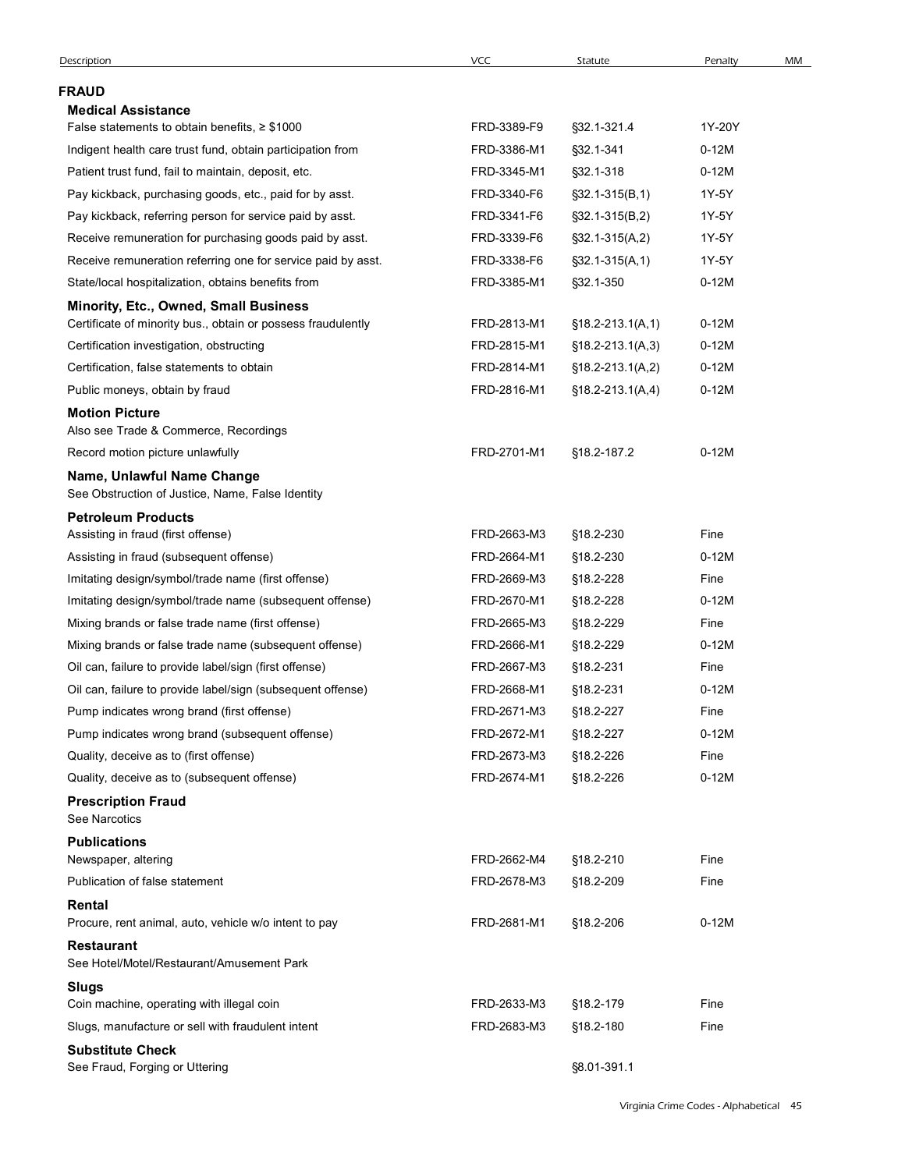|                                                                                                       | VCC         | Statute            | Penalty          | MM |
|-------------------------------------------------------------------------------------------------------|-------------|--------------------|------------------|----|
| <b>FRAUD</b>                                                                                          |             |                    |                  |    |
| <b>Medical Assistance</b>                                                                             |             |                    |                  |    |
| False statements to obtain benefits, $\geq$ \$1000                                                    | FRD-3389-F9 | §32.1-321.4        | 1Y-20Y           |    |
| Indigent health care trust fund, obtain participation from                                            | FRD-3386-M1 | §32.1-341          | $0-12M$          |    |
| Patient trust fund, fail to maintain, deposit, etc.                                                   | FRD-3345-M1 | §32.1-318          | $0-12M$          |    |
| Pay kickback, purchasing goods, etc., paid for by asst.                                               | FRD-3340-F6 | $$32.1-315(B,1)$   | 1Y-5Y            |    |
| Pay kickback, referring person for service paid by asst.                                              | FRD-3341-F6 | $$32.1-315(B,2)$   | 1Y-5Y            |    |
| Receive remuneration for purchasing goods paid by asst.                                               | FRD-3339-F6 | $$32.1-315(A,2)$   | 1Y-5Y            |    |
| Receive remuneration referring one for service paid by asst.                                          | FRD-3338-F6 | $\S$ 32.1-315(A,1) | 1Y-5Y<br>$0-12M$ |    |
| State/local hospitalization, obtains benefits from                                                    | FRD-3385-M1 | §32.1-350          |                  |    |
| Minority, Etc., Owned, Small Business<br>Certificate of minority bus., obtain or possess fraudulently | FRD-2813-M1 | $$18.2-213.1(A,1)$ | $0-12M$          |    |
| Certification investigation, obstructing                                                              | FRD-2815-M1 | $$18.2-213.1(A,3)$ | $0-12M$          |    |
| Certification, false statements to obtain                                                             | FRD-2814-M1 | $$18.2-213.1(A,2)$ | $0-12M$          |    |
| Public moneys, obtain by fraud                                                                        | FRD-2816-M1 | $$18.2-213.1(A,4)$ | $0-12M$          |    |
| <b>Motion Picture</b>                                                                                 |             |                    |                  |    |
| Also see Trade & Commerce, Recordings                                                                 |             |                    |                  |    |
| Record motion picture unlawfully                                                                      | FRD-2701-M1 | §18.2-187.2        | $0-12M$          |    |
| Name, Unlawful Name Change<br>See Obstruction of Justice, Name, False Identity                        |             |                    |                  |    |
| <b>Petroleum Products</b>                                                                             |             |                    |                  |    |
| Assisting in fraud (first offense)                                                                    | FRD-2663-M3 | §18.2-230          | Fine             |    |
| Assisting in fraud (subsequent offense)                                                               | FRD-2664-M1 | §18.2-230          | $0-12M$          |    |
| Imitating design/symbol/trade name (first offense)                                                    | FRD-2669-M3 | §18.2-228          | Fine             |    |
| Imitating design/symbol/trade name (subsequent offense)                                               | FRD-2670-M1 | §18.2-228          | $0-12M$          |    |
| Mixing brands or false trade name (first offense)                                                     | FRD-2665-M3 | §18.2-229          | Fine             |    |
| Mixing brands or false trade name (subsequent offense)                                                | FRD-2666-M1 | §18.2-229          | $0-12M$          |    |
| Oil can, failure to provide label/sign (first offense)                                                | FRD-2667-M3 | §18.2-231          | Fine             |    |
| Oil can, failure to provide label/sign (subsequent offense)                                           | FRD-2668-M1 | §18.2-231          | $0-12M$          |    |
| Pump indicates wrong brand (first offense)                                                            | FRD-2671-M3 | §18.2-227          | Fine             |    |
| Pump indicates wrong brand (subsequent offense)                                                       | FRD-2672-M1 | §18.2-227          | $0-12M$          |    |
| Quality, deceive as to (first offense)                                                                | FRD-2673-M3 | §18.2-226          | Fine             |    |
| Quality, deceive as to (subsequent offense)                                                           | FRD-2674-M1 | §18.2-226          | $0-12M$          |    |
| <b>Prescription Fraud</b>                                                                             |             |                    |                  |    |
| See Narcotics                                                                                         |             |                    |                  |    |
| <b>Publications</b>                                                                                   |             |                    |                  |    |
| Newspaper, altering                                                                                   | FRD-2662-M4 | §18.2-210          | Fine             |    |
| Publication of false statement                                                                        | FRD-2678-M3 | §18.2-209          | Fine             |    |
| Rental<br>Procure, rent animal, auto, vehicle w/o intent to pay                                       | FRD-2681-M1 | §18.2-206          | $0-12M$          |    |
| <b>Restaurant</b>                                                                                     |             |                    |                  |    |
| See Hotel/Motel/Restaurant/Amusement Park                                                             |             |                    |                  |    |
| <b>Slugs</b><br>Coin machine, operating with illegal coin                                             | FRD-2633-M3 | §18.2-179          | Fine             |    |
| Slugs, manufacture or sell with fraudulent intent                                                     | FRD-2683-M3 | §18.2-180          | Fine             |    |
| <b>Substitute Check</b>                                                                               |             |                    |                  |    |
| See Fraud, Forging or Uttering                                                                        |             | §8.01-391.1        |                  |    |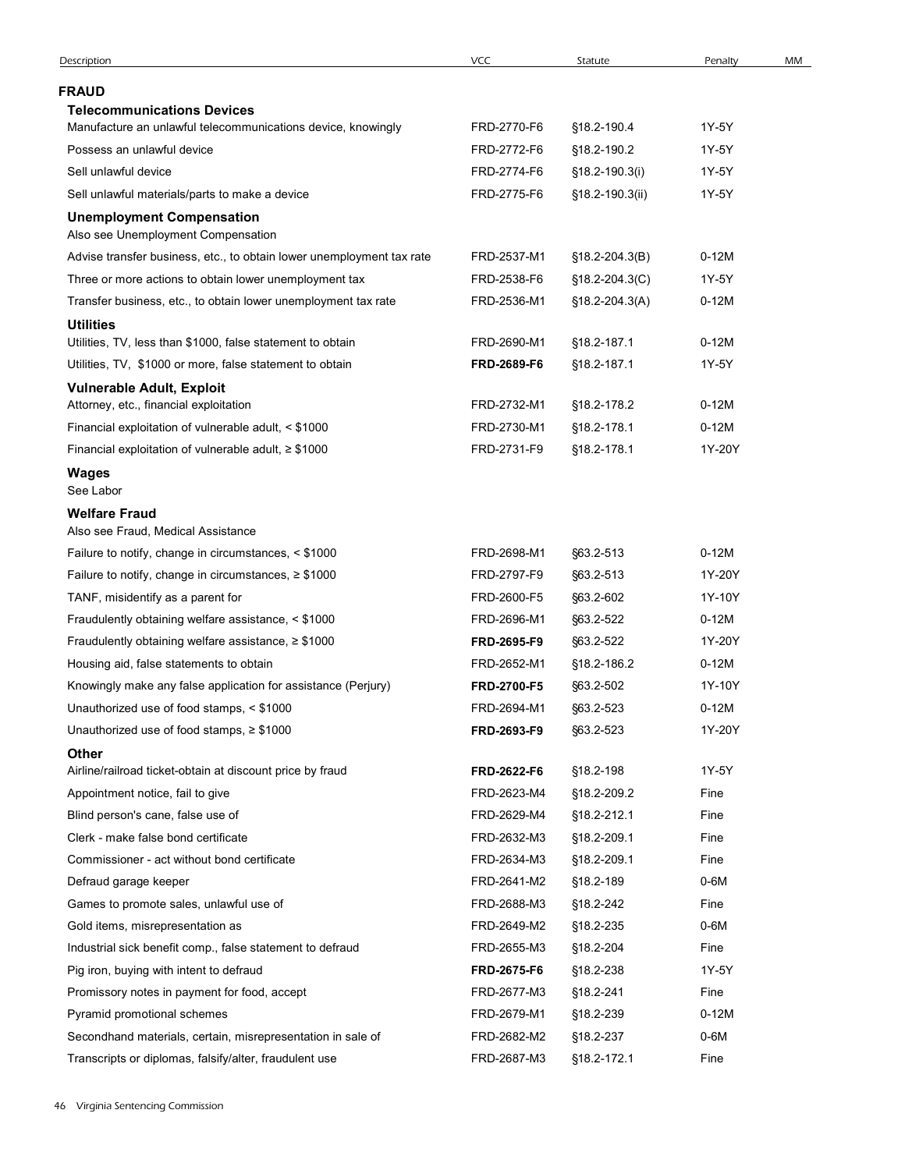|                                                                                                                          | <b>VCC</b>                 | Statute                    | Penalty           | MM |
|--------------------------------------------------------------------------------------------------------------------------|----------------------------|----------------------------|-------------------|----|
| <b>FRAUD</b>                                                                                                             |                            |                            |                   |    |
| <b>Telecommunications Devices</b>                                                                                        |                            |                            |                   |    |
| Manufacture an unlawful telecommunications device, knowingly                                                             | FRD-2770-F6                | §18.2-190.4                | 1Y-5Y             |    |
| Possess an unlawful device                                                                                               | FRD-2772-F6                | §18.2-190.2                | 1Y-5Y             |    |
| Sell unlawful device                                                                                                     | FRD-2774-F6                | §18.2-190.3(i)             | 1Y-5Y             |    |
| Sell unlawful materials/parts to make a device<br><b>Unemployment Compensation</b><br>Also see Unemployment Compensation | FRD-2775-F6                | §18.2-190.3(ii)            | 1Y-5Y             |    |
| Advise transfer business, etc., to obtain lower unemployment tax rate                                                    | FRD-2537-M1                | $$18.2 - 204.3(B)$         | $0-12M$           |    |
| Three or more actions to obtain lower unemployment tax                                                                   | FRD-2538-F6                | $$18.2 - 204.3(C)$         | 1Y-5Y             |    |
| Transfer business, etc., to obtain lower unemployment tax rate                                                           | FRD-2536-M1                | $$18.2 - 204.3(A)$         | $0-12M$           |    |
| <b>Utilities</b>                                                                                                         |                            |                            |                   |    |
| Utilities, TV, less than \$1000, false statement to obtain                                                               | FRD-2690-M1                | §18.2-187.1                | $0-12M$           |    |
| Utilities, TV, \$1000 or more, false statement to obtain                                                                 | FRD-2689-F6                | §18.2-187.1                | 1Y-5Y             |    |
| <b>Vulnerable Adult, Exploit</b>                                                                                         |                            |                            |                   |    |
| Attorney, etc., financial exploitation                                                                                   | FRD-2732-M1                | §18.2-178.2                | $0-12M$           |    |
| Financial exploitation of vulnerable adult, < \$1000<br>Financial exploitation of vulnerable adult, $\geq$ \$1000        | FRD-2730-M1<br>FRD-2731-F9 | §18.2-178.1<br>§18.2-178.1 | $0-12M$<br>1Y-20Y |    |
| Wages                                                                                                                    |                            |                            |                   |    |
| See Labor                                                                                                                |                            |                            |                   |    |
| <b>Welfare Fraud</b><br>Also see Fraud, Medical Assistance                                                               |                            |                            |                   |    |
| Failure to notify, change in circumstances, < \$1000                                                                     | FRD-2698-M1                | §63.2-513                  | $0-12M$           |    |
| Failure to notify, change in circumstances, $\geq$ \$1000                                                                | FRD-2797-F9                | §63.2-513                  | 1Y-20Y            |    |
| TANF, misidentify as a parent for                                                                                        | FRD-2600-F5                | §63.2-602                  | 1Y-10Y            |    |
| Fraudulently obtaining welfare assistance, < \$1000                                                                      | FRD-2696-M1                | §63.2-522                  | $0-12M$           |    |
| Fraudulently obtaining welfare assistance, $\geq$ \$1000                                                                 | FRD-2695-F9                | §63.2-522                  | 1Y-20Y            |    |
| Housing aid, false statements to obtain                                                                                  | FRD-2652-M1                | §18.2-186.2                | $0-12M$           |    |
| Knowingly make any false application for assistance (Perjury)                                                            | FRD-2700-F5                | §63.2-502                  | 1Y-10Y            |    |
| Unauthorized use of food stamps, < \$1000                                                                                | FRD-2694-M1                | §63.2-523                  | $0-12M$           |    |
| Unauthorized use of food stamps, $\geq$ \$1000                                                                           | FRD-2693-F9                | §63.2-523                  | 1Y-20Y            |    |
| <b>Other</b><br>Airline/railroad ticket-obtain at discount price by fraud                                                | FRD-2622-F6                | §18.2-198                  | 1Y-5Y             |    |
| Appointment notice, fail to give                                                                                         | FRD-2623-M4                | §18.2-209.2                | Fine              |    |
| Blind person's cane, false use of                                                                                        | FRD-2629-M4                | §18.2-212.1                | Fine              |    |
| Clerk - make false bond certificate                                                                                      | FRD-2632-M3                | §18.2-209.1                | Fine              |    |
| Commissioner - act without bond certificate                                                                              | FRD-2634-M3                | §18.2-209.1                | Fine              |    |
| Defraud garage keeper                                                                                                    | FRD-2641-M2                | §18.2-189                  | $0-6M$            |    |
| Games to promote sales, unlawful use of                                                                                  | FRD-2688-M3                | §18.2-242                  | Fine              |    |
| Gold items, misrepresentation as                                                                                         | FRD-2649-M2                | §18.2-235                  | $0-6M$            |    |
| Industrial sick benefit comp., false statement to defraud                                                                | FRD-2655-M3                | §18.2-204                  | Fine              |    |
| Pig iron, buying with intent to defraud                                                                                  | FRD-2675-F6                | §18.2-238                  | 1Y-5Y             |    |
| Promissory notes in payment for food, accept                                                                             | FRD-2677-M3                | §18.2-241                  | Fine              |    |
| Pyramid promotional schemes                                                                                              | FRD-2679-M1                | §18.2-239                  | $0-12M$           |    |
| Secondhand materials, certain, misrepresentation in sale of                                                              | FRD-2682-M2<br>FRD-2687-M3 | §18.2-237<br>§18.2-172.1   | $0-6M$<br>Fine    |    |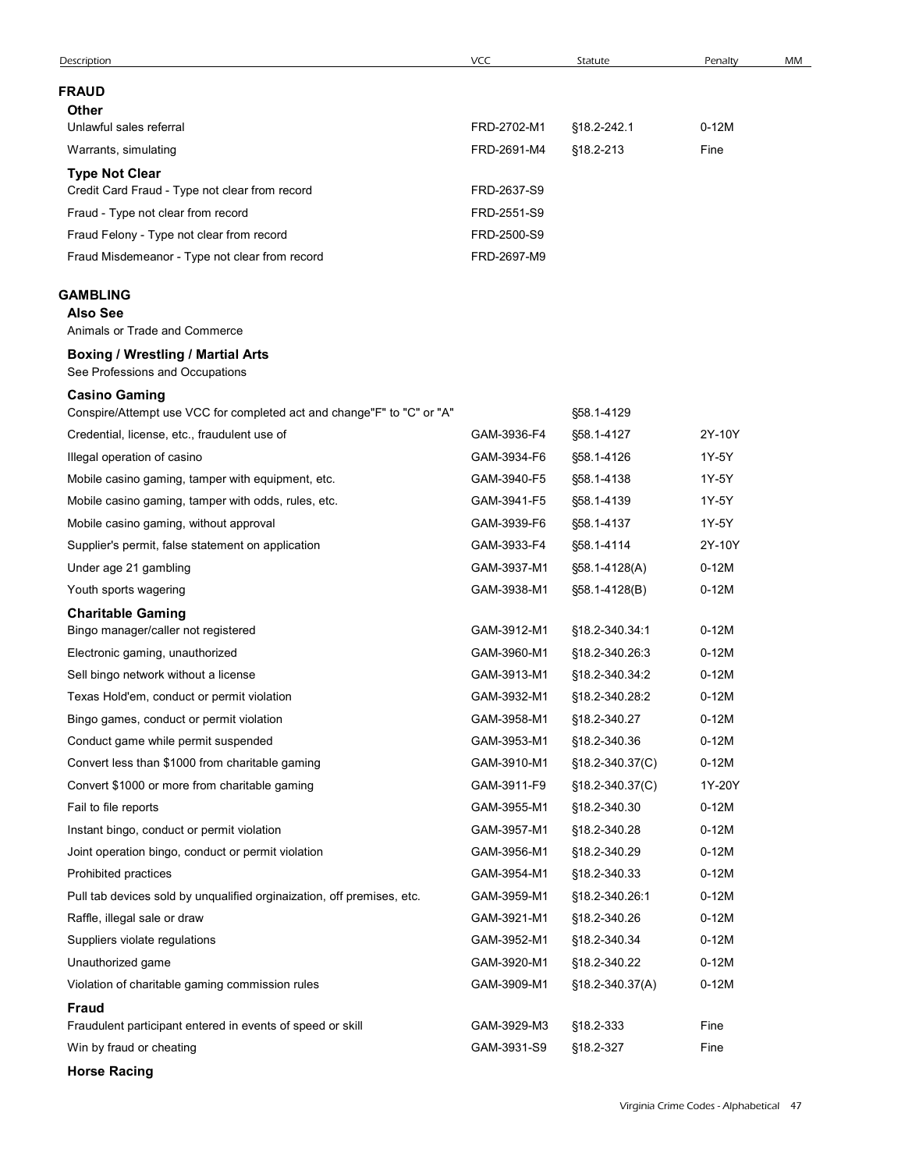| Description                                                                                                            | <b>VCC</b>                 | Statute                  | Penalty | MM |
|------------------------------------------------------------------------------------------------------------------------|----------------------------|--------------------------|---------|----|
| <b>FRAUD</b>                                                                                                           |                            |                          |         |    |
| <b>Other</b>                                                                                                           |                            |                          |         |    |
| Unlawful sales referral                                                                                                | FRD-2702-M1                | §18.2-242.1              | $0-12M$ |    |
| Warrants, simulating                                                                                                   | FRD-2691-M4                | §18.2-213                | Fine    |    |
| <b>Type Not Clear</b>                                                                                                  |                            |                          |         |    |
| Credit Card Fraud - Type not clear from record                                                                         | FRD-2637-S9                |                          |         |    |
| Fraud - Type not clear from record                                                                                     | FRD-2551-S9                |                          |         |    |
| Fraud Felony - Type not clear from record<br>Fraud Misdemeanor - Type not clear from record                            | FRD-2500-S9<br>FRD-2697-M9 |                          |         |    |
|                                                                                                                        |                            |                          |         |    |
| <b>GAMBLING</b>                                                                                                        |                            |                          |         |    |
| <b>Also See</b>                                                                                                        |                            |                          |         |    |
| Animals or Trade and Commerce                                                                                          |                            |                          |         |    |
| <b>Boxing / Wrestling / Martial Arts</b><br>See Professions and Occupations                                            |                            |                          |         |    |
| <b>Casino Gaming</b>                                                                                                   |                            |                          |         |    |
| Conspire/Attempt use VCC for completed act and change"F" to "C" or "A"<br>Credential, license, etc., fraudulent use of | GAM-3936-F4                | §58.1-4129<br>§58.1-4127 | 2Y-10Y  |    |
| Illegal operation of casino                                                                                            | GAM-3934-F6                | §58.1-4126               | 1Y-5Y   |    |
| Mobile casino gaming, tamper with equipment, etc.                                                                      | GAM-3940-F5                | §58.1-4138               | 1Y-5Y   |    |
| Mobile casino gaming, tamper with odds, rules, etc.                                                                    | GAM-3941-F5                | §58.1-4139               | 1Y-5Y   |    |
| Mobile casino gaming, without approval                                                                                 | GAM-3939-F6                | §58.1-4137               | 1Y-5Y   |    |
| Supplier's permit, false statement on application                                                                      | GAM-3933-F4                | §58.1-4114               | 2Y-10Y  |    |
| Under age 21 gambling                                                                                                  | GAM-3937-M1                | §58.1-4128(A)            | $0-12M$ |    |
| Youth sports wagering                                                                                                  | GAM-3938-M1                | §58.1-4128(B)            | $0-12M$ |    |
| <b>Charitable Gaming</b><br>Bingo manager/caller not registered                                                        | GAM-3912-M1                | §18.2-340.34:1           | $0-12M$ |    |
| Electronic gaming, unauthorized                                                                                        | GAM-3960-M1                | §18.2-340.26:3           | $0-12M$ |    |
| Sell bingo network without a license                                                                                   | GAM-3913-M1                | §18.2-340.34:2           | $0-12M$ |    |
| Texas Hold'em, conduct or permit violation                                                                             | GAM-3932-M1                | §18.2-340.28:2           | $0-12M$ |    |
| Bingo games, conduct or permit violation                                                                               | GAM-3958-M1                | §18.2-340.27             | $0-12M$ |    |
| Conduct game while permit suspended                                                                                    | GAM-3953-M1                | §18.2-340.36             | $0-12M$ |    |
| Convert less than \$1000 from charitable gaming                                                                        | GAM-3910-M1                | §18.2-340.37(C)          | $0-12M$ |    |
| Convert \$1000 or more from charitable gaming                                                                          | GAM-3911-F9                | §18.2-340.37(C)          | 1Y-20Y  |    |
| Fail to file reports                                                                                                   | GAM-3955-M1                | §18.2-340.30             | $0-12M$ |    |
| Instant bingo, conduct or permit violation                                                                             | GAM-3957-M1                | §18.2-340.28             | $0-12M$ |    |
| Joint operation bingo, conduct or permit violation                                                                     | GAM-3956-M1                | §18.2-340.29             | $0-12M$ |    |
| Prohibited practices                                                                                                   | GAM-3954-M1                | §18.2-340.33             | $0-12M$ |    |
| Pull tab devices sold by unqualified orginaization, off premises, etc.                                                 | GAM-3959-M1                | §18.2-340.26.1           | $0-12M$ |    |
| Raffle, illegal sale or draw                                                                                           | GAM-3921-M1                | §18.2-340.26             | $0-12M$ |    |
| Suppliers violate regulations                                                                                          | GAM-3952-M1                | §18.2-340.34             | $0-12M$ |    |
| Unauthorized game                                                                                                      | GAM-3920-M1                | §18.2-340.22             | $0-12M$ |    |
| Violation of charitable gaming commission rules<br><b>Fraud</b>                                                        | GAM-3909-M1                | $$18.2 - 340.37(A)$      | $0-12M$ |    |
| Fraudulent participant entered in events of speed or skill                                                             | GAM-3929-M3                | §18.2-333                | Fine    |    |
| Win by fraud or cheating                                                                                               | GAM-3931-S9                | §18.2-327                | Fine    |    |
|                                                                                                                        |                            |                          |         |    |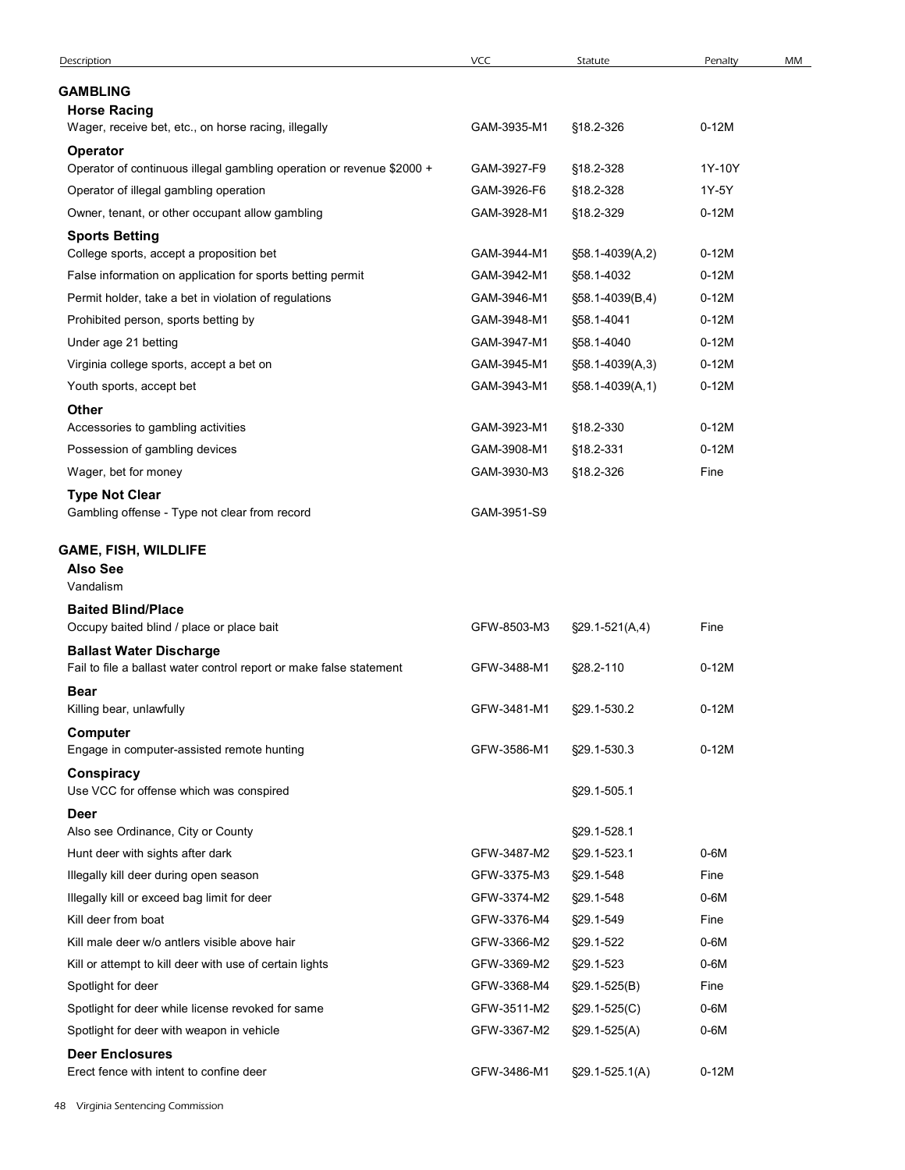| Description                                                                                    | VCC         | Statute              | Penalty | MM |
|------------------------------------------------------------------------------------------------|-------------|----------------------|---------|----|
|                                                                                                |             |                      |         |    |
| <b>GAMBLING</b><br><b>Horse Racing</b><br>Wager, receive bet, etc., on horse racing, illegally | GAM-3935-M1 | §18.2-326            | $0-12M$ |    |
|                                                                                                |             |                      |         |    |
| <b>Operator</b><br>Operator of continuous illegal gambling operation or revenue \$2000 +       | GAM-3927-F9 | §18.2-328            | 1Y-10Y  |    |
| Operator of illegal gambling operation                                                         | GAM-3926-F6 | §18.2-328            | 1Y-5Y   |    |
| Owner, tenant, or other occupant allow gambling                                                | GAM-3928-M1 | §18.2-329            | $0-12M$ |    |
| <b>Sports Betting</b>                                                                          |             |                      |         |    |
| College sports, accept a proposition bet                                                       | GAM-3944-M1 | §58.1-4039(A,2)      | $0-12M$ |    |
| False information on application for sports betting permit                                     | GAM-3942-M1 | §58.1-4032           | $0-12M$ |    |
| Permit holder, take a bet in violation of regulations                                          | GAM-3946-M1 | §58.1-4039(B,4)      | $0-12M$ |    |
| Prohibited person, sports betting by                                                           | GAM-3948-M1 | §58.1-4041           | $0-12M$ |    |
| Under age 21 betting                                                                           | GAM-3947-M1 | §58.1-4040           | $0-12M$ |    |
| Virginia college sports, accept a bet on                                                       | GAM-3945-M1 | §58.1-4039(A,3)      | $0-12M$ |    |
| Youth sports, accept bet                                                                       | GAM-3943-M1 | §58.1-4039(A,1)      | $0-12M$ |    |
| Other                                                                                          |             |                      |         |    |
| Accessories to gambling activities                                                             | GAM-3923-M1 | §18.2-330            | $0-12M$ |    |
| Possession of gambling devices                                                                 | GAM-3908-M1 | §18.2-331            | $0-12M$ |    |
| Wager, bet for money                                                                           | GAM-3930-M3 | §18.2-326            | Fine    |    |
| <b>Type Not Clear</b><br>Gambling offense - Type not clear from record                         | GAM-3951-S9 |                      |         |    |
| <b>GAME, FISH, WILDLIFE</b>                                                                    |             |                      |         |    |
| <b>Also See</b><br>Vandalism                                                                   |             |                      |         |    |
| <b>Baited Blind/Place</b>                                                                      |             |                      |         |    |
| Occupy baited blind / place or place bait                                                      | GFW-8503-M3 | $\S29.1 - 521(A, 4)$ | Fine    |    |
| <b>Ballast Water Discharge</b>                                                                 |             |                      |         |    |
| Fail to file a ballast water control report or make false statement                            | GFW-3488-M1 | §28.2-110            | $0-12M$ |    |
| <b>Bear</b>                                                                                    |             |                      |         |    |
| Killing bear, unlawfully                                                                       | GFW-3481-M1 | §29.1-530.2          | $0-12M$ |    |
| Computer<br>Engage in computer-assisted remote hunting                                         | GFW-3586-M1 | §29.1-530.3          | $0-12M$ |    |
| Conspiracy                                                                                     |             |                      |         |    |
| Use VCC for offense which was conspired                                                        |             | §29.1-505.1          |         |    |
| <b>Deer</b>                                                                                    |             |                      |         |    |
| Also see Ordinance, City or County                                                             |             | §29.1-528.1          |         |    |
| Hunt deer with sights after dark                                                               | GFW-3487-M2 | §29.1-523.1          | $0-6M$  |    |
| Illegally kill deer during open season                                                         | GFW-3375-M3 | §29.1-548            | Fine    |    |
| Illegally kill or exceed bag limit for deer                                                    | GFW-3374-M2 | §29.1-548            | $0-6M$  |    |
| Kill deer from boat                                                                            | GFW-3376-M4 | §29.1-549            | Fine    |    |
| Kill male deer w/o antlers visible above hair                                                  | GFW-3366-M2 | §29.1-522            | $0-6M$  |    |
| Kill or attempt to kill deer with use of certain lights                                        | GFW-3369-M2 | §29.1-523            | $0-6M$  |    |
| Spotlight for deer                                                                             | GFW-3368-M4 | §29.1-525(B)         | Fine    |    |
| Spotlight for deer while license revoked for same                                              | GFW-3511-M2 | $\S29.1 - 525(C)$    | $0-6M$  |    |
| Spotlight for deer with weapon in vehicle                                                      | GFW-3367-M2 | $$29.1-525(A)$       | $0-6M$  |    |
| <b>Deer Enclosures</b><br>Erect fence with intent to confine deer                              | GFW-3486-M1 | §29.1-525.1(A)       | $0-12M$ |    |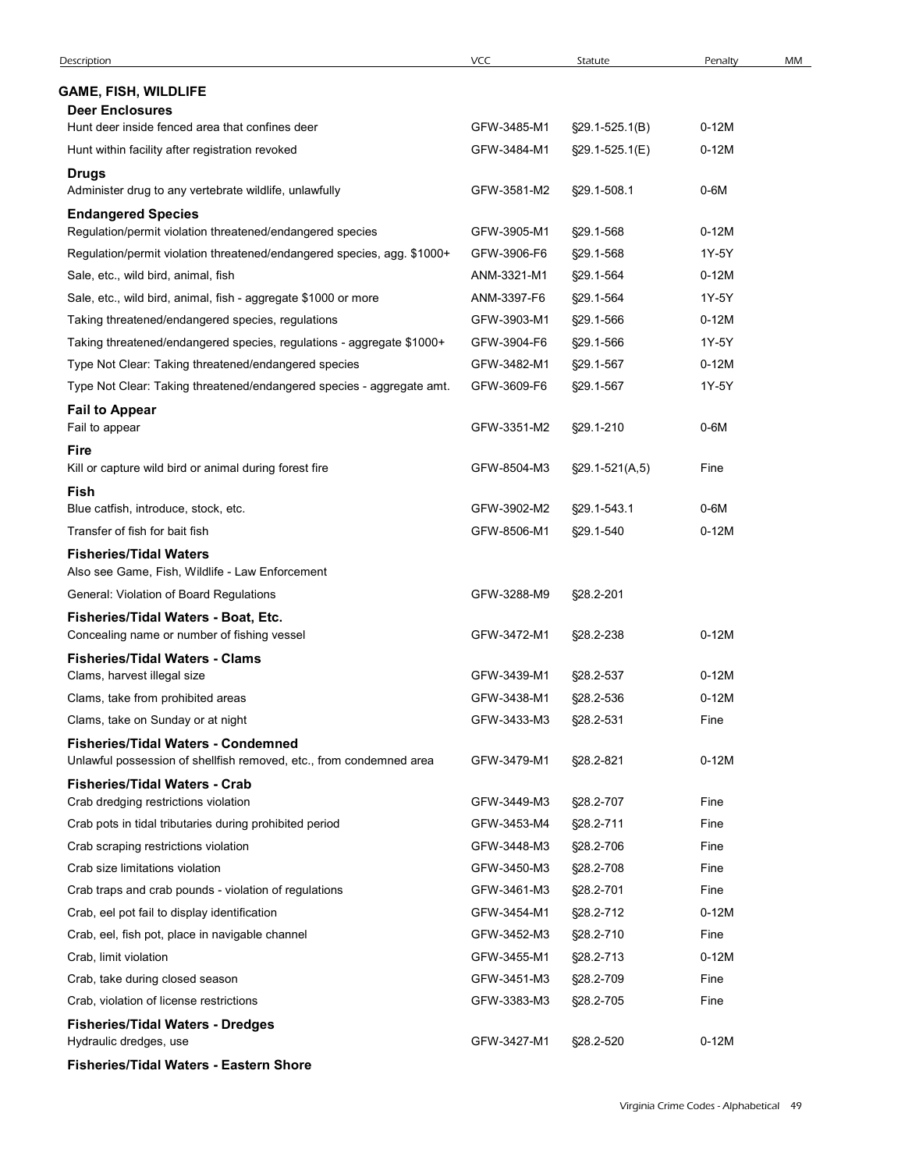| Description                                                             | VCC         | Statute              | Penalty | MM |
|-------------------------------------------------------------------------|-------------|----------------------|---------|----|
| <b>GAME, FISH, WILDLIFE</b>                                             |             |                      |         |    |
| <b>Deer Enclosures</b>                                                  |             |                      |         |    |
| Hunt deer inside fenced area that confines deer                         | GFW-3485-M1 | §29.1-525.1(B)       | $0-12M$ |    |
| Hunt within facility after registration revoked                         | GFW-3484-M1 | §29.1-525.1(E)       | $0-12M$ |    |
| <b>Drugs</b>                                                            |             |                      |         |    |
| Administer drug to any vertebrate wildlife, unlawfully                  | GFW-3581-M2 | §29.1-508.1          | $0-6M$  |    |
| <b>Endangered Species</b>                                               |             |                      |         |    |
| Regulation/permit violation threatened/endangered species               | GFW-3905-M1 | §29.1-568            | $0-12M$ |    |
| Regulation/permit violation threatened/endangered species, agg. \$1000+ | GFW-3906-F6 | §29.1-568            | 1Y-5Y   |    |
| Sale, etc., wild bird, animal, fish                                     | ANM-3321-M1 | §29.1-564            | $0-12M$ |    |
| Sale, etc., wild bird, animal, fish - aggregate \$1000 or more          | ANM-3397-F6 | §29.1-564            | 1Y-5Y   |    |
| Taking threatened/endangered species, regulations                       | GFW-3903-M1 | §29.1-566            | $0-12M$ |    |
| Taking threatened/endangered species, regulations - aggregate \$1000+   | GFW-3904-F6 | §29.1-566            | 1Y-5Y   |    |
| Type Not Clear: Taking threatened/endangered species                    | GFW-3482-M1 | §29.1-567            | $0-12M$ |    |
| Type Not Clear: Taking threatened/endangered species - aggregate amt.   | GFW-3609-F6 | §29.1-567            | 1Y-5Y   |    |
| <b>Fail to Appear</b>                                                   |             |                      |         |    |
| Fail to appear                                                          | GFW-3351-M2 | §29.1-210            | 0-6M    |    |
| <b>Fire</b><br>Kill or capture wild bird or animal during forest fire   | GFW-8504-M3 | $\S29.1 - 521(A, 5)$ | Fine    |    |
| Fish                                                                    |             |                      |         |    |
| Blue catfish, introduce, stock, etc.                                    | GFW-3902-M2 | §29.1-543.1          | $0-6M$  |    |
| Transfer of fish for bait fish                                          | GFW-8506-M1 | §29.1-540            | $0-12M$ |    |
| <b>Fisheries/Tidal Waters</b>                                           |             |                      |         |    |
| Also see Game, Fish, Wildlife - Law Enforcement                         |             |                      |         |    |
| General: Violation of Board Regulations                                 | GFW-3288-M9 | §28.2-201            |         |    |
| Fisheries/Tidal Waters - Boat, Etc.                                     |             |                      |         |    |
| Concealing name or number of fishing vessel                             | GFW-3472-M1 | §28.2-238            | $0-12M$ |    |
| <b>Fisheries/Tidal Waters - Clams</b>                                   |             |                      |         |    |
| Clams, harvest illegal size                                             | GFW-3439-M1 | §28.2-537            | $0-12M$ |    |
| Clams, take from prohibited areas                                       | GFW-3438-M1 | §28.2-536            | $0-12M$ |    |
| Clams, take on Sunday or at night                                       | GFW-3433-M3 | §28.2-531            | Fine    |    |
| <b>Fisheries/Tidal Waters - Condemned</b>                               |             |                      |         |    |
| Unlawful possession of shellfish removed, etc., from condemned area     | GFW-3479-M1 | §28.2-821            | $0-12M$ |    |
| <b>Fisheries/Tidal Waters - Crab</b>                                    |             |                      |         |    |
| Crab dredging restrictions violation                                    | GFW-3449-M3 | §28.2-707            | Fine    |    |
| Crab pots in tidal tributaries during prohibited period                 | GFW-3453-M4 | §28.2-711            | Fine    |    |
| Crab scraping restrictions violation                                    | GFW-3448-M3 | §28.2-706            | Fine    |    |
| Crab size limitations violation                                         | GFW-3450-M3 | §28.2-708            | Fine    |    |
| Crab traps and crab pounds - violation of regulations                   | GFW-3461-M3 | §28.2-701            | Fine    |    |
| Crab, eel pot fail to display identification                            | GFW-3454-M1 | §28.2-712            | $0-12M$ |    |
| Crab, eel, fish pot, place in navigable channel                         | GFW-3452-M3 | §28.2-710            | Fine    |    |
| Crab, limit violation                                                   | GFW-3455-M1 | §28.2-713            | $0-12M$ |    |
| Crab, take during closed season                                         | GFW-3451-M3 | §28.2-709            | Fine    |    |
| Crab, violation of license restrictions                                 | GFW-3383-M3 | §28.2-705            | Fine    |    |
| <b>Fisheries/Tidal Waters - Dredges</b>                                 |             |                      |         |    |
| Hydraulic dredges, use                                                  | GFW-3427-M1 | §28.2-520            | $0-12M$ |    |
|                                                                         |             |                      |         |    |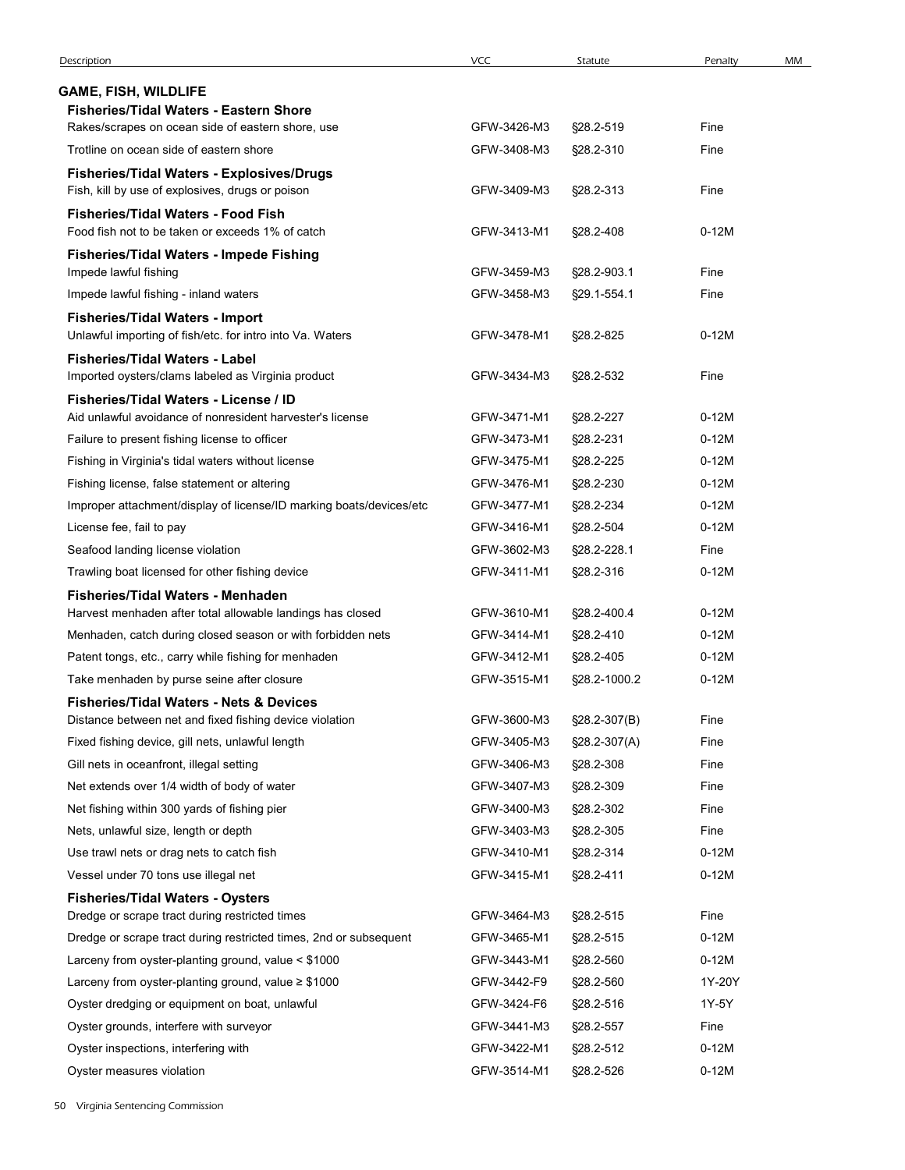| Description                                                                                                         | <b>VCC</b>                 | Statute                | Penalty            | MM |
|---------------------------------------------------------------------------------------------------------------------|----------------------------|------------------------|--------------------|----|
| <b>GAME, FISH, WILDLIFE</b>                                                                                         |                            |                        |                    |    |
| <b>Fisheries/Tidal Waters - Eastern Shore</b><br>Rakes/scrapes on ocean side of eastern shore, use                  | GFW-3426-M3                | §28.2-519              | Fine               |    |
| Trotline on ocean side of eastern shore                                                                             | GFW-3408-M3                | §28.2-310              | Fine               |    |
| Fisheries/Tidal Waters - Explosives/Drugs                                                                           |                            |                        |                    |    |
| Fish, kill by use of explosives, drugs or poison                                                                    | GFW-3409-M3                | §28.2-313              | Fine               |    |
| <b>Fisheries/Tidal Waters - Food Fish</b>                                                                           |                            |                        |                    |    |
| Food fish not to be taken or exceeds 1% of catch                                                                    | GFW-3413-M1                | §28.2-408              | $0-12M$            |    |
| Fisheries/Tidal Waters - Impede Fishing                                                                             |                            |                        |                    |    |
| Impede lawful fishing                                                                                               | GFW-3459-M3                | §28.2-903.1            | Fine               |    |
| Impede lawful fishing - inland waters                                                                               | GFW-3458-M3                | §29.1-554.1            | Fine               |    |
| <b>Fisheries/Tidal Waters - Import</b><br>Unlawful importing of fish/etc. for intro into Va. Waters                 | GFW-3478-M1                | §28.2-825              | $0-12M$            |    |
| <b>Fisheries/Tidal Waters - Label</b>                                                                               |                            |                        |                    |    |
| Imported oysters/clams labeled as Virginia product                                                                  | GFW-3434-M3                | §28.2-532              | Fine               |    |
| Fisheries/Tidal Waters - License / ID                                                                               |                            |                        |                    |    |
| Aid unlawful avoidance of nonresident harvester's license                                                           | GFW-3471-M1                | §28.2-227              | $0-12M$            |    |
| Failure to present fishing license to officer                                                                       | GFW-3473-M1                | §28.2-231              | $0-12M$            |    |
| Fishing in Virginia's tidal waters without license                                                                  | GFW-3475-M1<br>GFW-3476-M1 | §28.2-225              | $0-12M$<br>$0-12M$ |    |
| Fishing license, false statement or altering<br>Improper attachment/display of license/ID marking boats/devices/etc | GFW-3477-M1                | §28.2-230<br>§28.2-234 | $0-12M$            |    |
| License fee, fail to pay                                                                                            | GFW-3416-M1                | §28.2-504              | $0-12M$            |    |
| Seafood landing license violation                                                                                   | GFW-3602-M3                | §28.2-228.1            | Fine               |    |
| Trawling boat licensed for other fishing device                                                                     | GFW-3411-M1                | §28.2-316              | $0-12M$            |    |
| Fisheries/Tidal Waters - Menhaden                                                                                   |                            |                        |                    |    |
| Harvest menhaden after total allowable landings has closed                                                          | GFW-3610-M1                | §28.2-400.4            | $0-12M$            |    |
| Menhaden, catch during closed season or with forbidden nets                                                         | GFW-3414-M1                | §28.2-410              | $0-12M$            |    |
| Patent tongs, etc., carry while fishing for menhaden                                                                | GFW-3412-M1                | §28.2-405              | $0-12M$            |    |
| Take menhaden by purse seine after closure                                                                          | GFW-3515-M1                | §28.2-1000.2           | $0-12M$            |    |
| <b>Fisheries/Tidal Waters - Nets &amp; Devices</b>                                                                  |                            |                        |                    |    |
| Distance between net and fixed fishing device violation                                                             | GFW-3600-M3                | §28.2-307(B)           | Fine               |    |
| Fixed fishing device, gill nets, unlawful length                                                                    | GFW-3405-M3                | §28.2-307(A)           | Fine               |    |
| Gill nets in oceanfront, illegal setting                                                                            | GFW-3406-M3                | §28.2-308              | Fine               |    |
| Net extends over 1/4 width of body of water                                                                         | GFW-3407-M3                | §28.2-309              | Fine               |    |
| Net fishing within 300 yards of fishing pier                                                                        | GFW-3400-M3                | §28.2-302              | Fine               |    |
| Nets, unlawful size, length or depth                                                                                | GFW-3403-M3                | §28.2-305              | Fine               |    |
| Use trawl nets or drag nets to catch fish                                                                           | GFW-3410-M1                | §28.2-314              | $0-12M$            |    |
| Vessel under 70 tons use illegal net                                                                                | GFW-3415-M1                | §28.2-411              | $0-12M$            |    |
| <b>Fisheries/Tidal Waters - Oysters</b>                                                                             |                            |                        |                    |    |
| Dredge or scrape tract during restricted times                                                                      | GFW-3464-M3                | §28.2-515              | Fine               |    |
| Dredge or scrape tract during restricted times, 2nd or subsequent                                                   | GFW-3465-M1                | §28.2-515              | $0-12M$            |    |
| Larceny from oyster-planting ground, value < \$1000                                                                 | GFW-3443-M1                | §28.2-560              | $0-12M$            |    |
| Larceny from oyster-planting ground, value $\geq$ \$1000                                                            | GFW-3442-F9                | §28.2-560              | 1Y-20Y             |    |
| Oyster dredging or equipment on boat, unlawful                                                                      | GFW-3424-F6                | §28.2-516              | 1Y-5Y              |    |
| Oyster grounds, interfere with surveyor                                                                             | GFW-3441-M3                | §28.2-557              | Fine               |    |
| Oyster inspections, interfering with                                                                                | GFW-3422-M1                | §28.2-512              | $0-12M$            |    |
| Oyster measures violation                                                                                           | GFW-3514-M1                | §28.2-526              | $0-12M$            |    |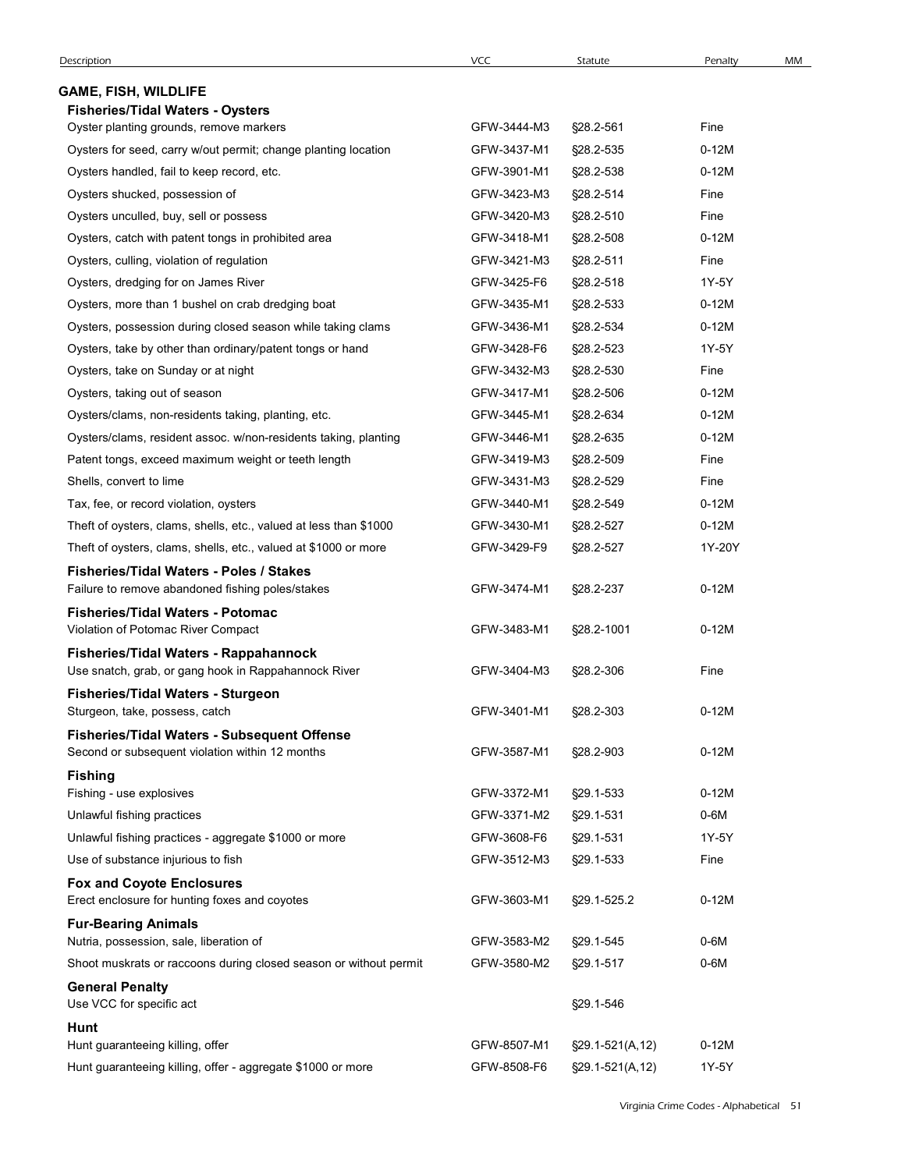| Description                                                                                        | VCC                        | Statute                      | Penalty         | MM |
|----------------------------------------------------------------------------------------------------|----------------------------|------------------------------|-----------------|----|
| <b>GAME, FISH, WILDLIFE</b>                                                                        |                            |                              |                 |    |
| <b>Fisheries/Tidal Waters - Oysters</b>                                                            |                            |                              |                 |    |
| Oyster planting grounds, remove markers                                                            | GFW-3444-M3                | §28.2-561                    | Fine            |    |
| Oysters for seed, carry w/out permit; change planting location                                     | GFW-3437-M1                | §28.2-535                    | $0-12M$         |    |
| Oysters handled, fail to keep record, etc.                                                         | GFW-3901-M1                | §28.2-538                    | $0-12M$         |    |
| Oysters shucked, possession of                                                                     | GFW-3423-M3                | §28.2-514                    | Fine            |    |
| Oysters unculled, buy, sell or possess                                                             | GFW-3420-M3                | §28.2-510                    | Fine            |    |
| Oysters, catch with patent tongs in prohibited area                                                | GFW-3418-M1<br>GFW-3421-M3 | §28.2-508                    | $0-12M$<br>Fine |    |
| Oysters, culling, violation of regulation<br>Oysters, dredging for on James River                  | GFW-3425-F6                | §28.2-511<br>§28.2-518       | 1Y-5Y           |    |
| Oysters, more than 1 bushel on crab dredging boat                                                  | GFW-3435-M1                | §28.2-533                    | $0-12M$         |    |
| Oysters, possession during closed season while taking clams                                        | GFW-3436-M1                | §28.2-534                    | $0-12M$         |    |
| Oysters, take by other than ordinary/patent tongs or hand                                          | GFW-3428-F6                | §28.2-523                    | 1Y-5Y           |    |
| Oysters, take on Sunday or at night                                                                | GFW-3432-M3                | §28.2-530                    | Fine            |    |
| Oysters, taking out of season                                                                      | GFW-3417-M1                | §28.2-506                    | $0-12M$         |    |
| Oysters/clams, non-residents taking, planting, etc.                                                | GFW-3445-M1                | §28.2-634                    | $0-12M$         |    |
| Oysters/clams, resident assoc. w/non-residents taking, planting                                    | GFW-3446-M1                | §28.2-635                    | $0-12M$         |    |
| Patent tongs, exceed maximum weight or teeth length                                                | GFW-3419-M3                | §28.2-509                    | Fine            |    |
| Shells, convert to lime                                                                            | GFW-3431-M3                | §28.2-529                    | Fine            |    |
| Tax, fee, or record violation, oysters                                                             | GFW-3440-M1                | §28.2-549                    | $0-12M$         |    |
| Theft of oysters, clams, shells, etc., valued at less than \$1000                                  | GFW-3430-M1                | §28.2-527                    | $0-12M$         |    |
| Theft of oysters, clams, shells, etc., valued at \$1000 or more                                    | GFW-3429-F9                | §28.2-527                    | 1Y-20Y          |    |
| <b>Fisheries/Tidal Waters - Poles / Stakes</b><br>Failure to remove abandoned fishing poles/stakes | GFW-3474-M1                | §28.2-237                    | $0-12M$         |    |
| <b>Fisheries/Tidal Waters - Potomac</b>                                                            |                            |                              |                 |    |
| Violation of Potomac River Compact                                                                 | GFW-3483-M1                | §28.2-1001                   | $0-12M$         |    |
| Fisheries/Tidal Waters - Rappahannock<br>Use snatch, grab, or gang hook in Rappahannock River      | GFW-3404-M3                | §28.2-306                    | Fine            |    |
| Fisheries/Tidal Waters - Sturgeon<br>Sturgeon, take, possess, catch                                | GFW-3401-M1                | §28.2-303                    | $0-12M$         |    |
| Fisheries/Tidal Waters - Subsequent Offense                                                        |                            |                              |                 |    |
| Second or subsequent violation within 12 months<br><b>Fishing</b>                                  | GFW-3587-M1                | §28.2-903                    | $0-12M$         |    |
| Fishing - use explosives                                                                           | GFW-3372-M1                | §29.1-533                    | $0-12M$         |    |
| Unlawful fishing practices                                                                         | GFW-3371-M2                | §29.1-531                    | 0-6M            |    |
| Unlawful fishing practices - aggregate \$1000 or more                                              | GFW-3608-F6                | §29.1-531                    | 1Y-5Y           |    |
| Use of substance injurious to fish                                                                 | GFW-3512-M3                | §29.1-533                    | Fine            |    |
| <b>Fox and Coyote Enclosures</b><br>Erect enclosure for hunting foxes and coyotes                  | GFW-3603-M1                | §29.1-525.2                  | $0-12M$         |    |
| <b>Fur-Bearing Animals</b>                                                                         |                            |                              |                 |    |
| Nutria, possession, sale, liberation of                                                            | GFW-3583-M2                | §29.1-545                    | $0-6M$          |    |
| Shoot muskrats or raccoons during closed season or without permit                                  | GFW-3580-M2                | §29.1-517                    | $0-6M$          |    |
| <b>General Penalty</b><br>Use VCC for specific act                                                 |                            | §29.1-546                    |                 |    |
| Hunt<br>Hunt guaranteeing killing, offer                                                           | GFW-8507-M1                | $\S29.1 - 521(A, 12)$        | $0-12M$         |    |
|                                                                                                    |                            | GFW-8508-F6  §29.1-521(A,12) | 1Y-5Y           |    |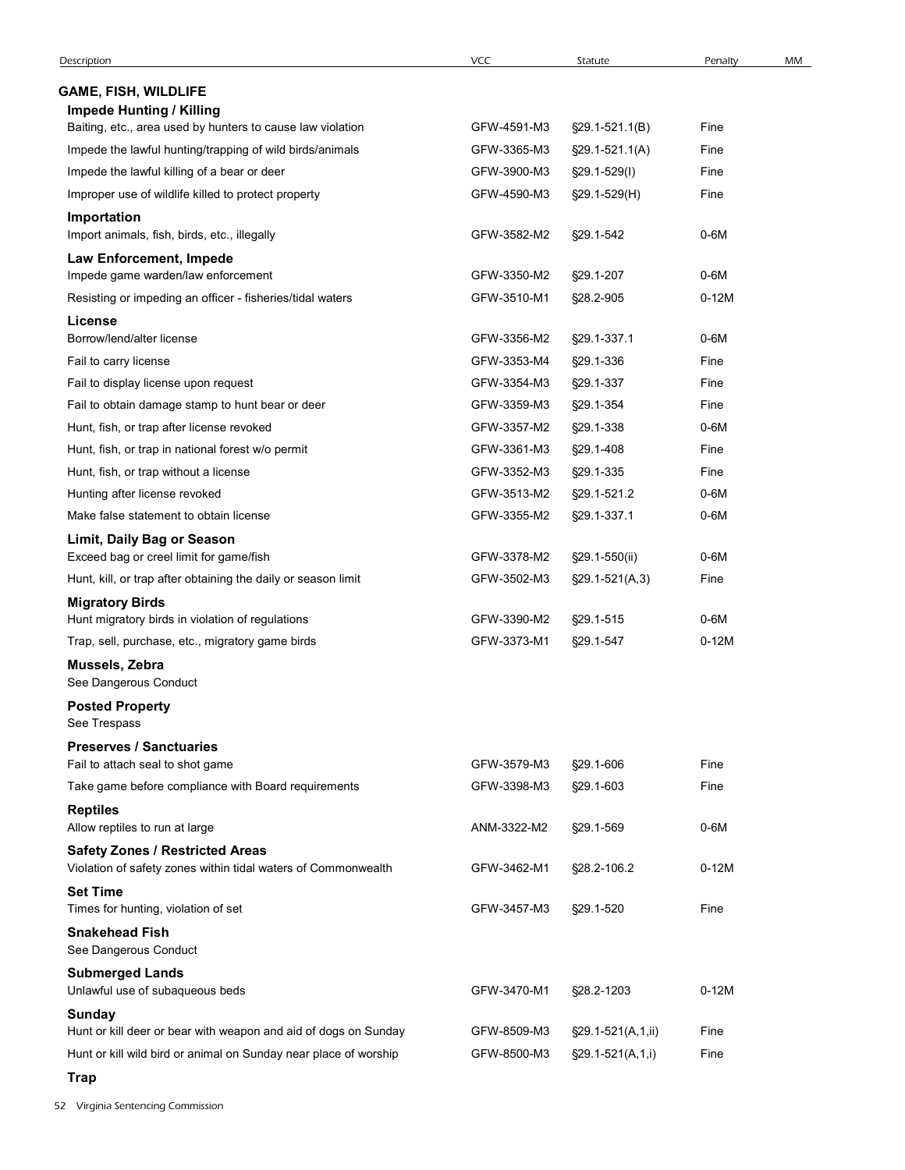| Description                                                                      | VCC         | Statute              | Penalty | MM |
|----------------------------------------------------------------------------------|-------------|----------------------|---------|----|
| <b>GAME, FISH, WILDLIFE</b>                                                      |             |                      |         |    |
| <b>Impede Hunting / Killing</b>                                                  |             |                      |         |    |
| Baiting, etc., area used by hunters to cause law violation                       | GFW-4591-M3 | $\S29.1 - 521.1(B)$  | Fine    |    |
| Impede the lawful hunting/trapping of wild birds/animals                         | GFW-3365-M3 | $\S29.1 - 521.1(A)$  | Fine    |    |
| Impede the lawful killing of a bear or deer                                      | GFW-3900-M3 | §29.1-529(I)         | Fine    |    |
| Improper use of wildlife killed to protect property                              | GFW-4590-M3 | $$29.1-529(H)$       | Fine    |    |
| Importation                                                                      |             |                      |         |    |
| Import animals, fish, birds, etc., illegally                                     | GFW-3582-M2 | §29.1-542            | $0-6M$  |    |
| Law Enforcement, Impede<br>Impede game warden/law enforcement                    | GFW-3350-M2 | §29.1-207            | $0-6M$  |    |
| Resisting or impeding an officer - fisheries/tidal waters                        | GFW-3510-M1 | §28.2-905            | $0-12M$ |    |
| License                                                                          |             |                      |         |    |
| Borrow/lend/alter license                                                        | GFW-3356-M2 | §29.1-337.1          | $0-6M$  |    |
| Fail to carry license                                                            | GFW-3353-M4 | §29.1-336            | Fine    |    |
| Fail to display license upon request                                             | GFW-3354-M3 | §29.1-337            | Fine    |    |
| Fail to obtain damage stamp to hunt bear or deer                                 | GFW-3359-M3 | §29.1-354            | Fine    |    |
| Hunt, fish, or trap after license revoked                                        | GFW-3357-M2 | §29.1-338            | 0-6M    |    |
| Hunt, fish, or trap in national forest w/o permit                                | GFW-3361-M3 | §29.1-408            | Fine    |    |
| Hunt, fish, or trap without a license                                            | GFW-3352-M3 | §29.1-335            | Fine    |    |
| Hunting after license revoked                                                    | GFW-3513-M2 | §29.1-521.2          | $0-6M$  |    |
| Make false statement to obtain license<br>Limit, Daily Bag or Season             | GFW-3355-M2 | §29.1-337.1          | $0-6M$  |    |
| Exceed bag or creel limit for game/fish                                          | GFW-3378-M2 | §29.1-550(ii)        | $0-6M$  |    |
| Hunt, kill, or trap after obtaining the daily or season limit                    | GFW-3502-M3 | $\S29.1 - 521(A, 3)$ | Fine    |    |
| <b>Migratory Birds</b><br>Hunt migratory birds in violation of regulations       | GFW-3390-M2 | §29.1-515            | $0-6M$  |    |
| Trap, sell, purchase, etc., migratory game birds                                 | GFW-3373-M1 | §29.1-547            | $0-12M$ |    |
| Mussels, Zebra                                                                   |             |                      |         |    |
| See Dangerous Conduct                                                            |             |                      |         |    |
| <b>Posted Property</b><br>See Trespass                                           |             |                      |         |    |
| <b>Preserves / Sanctuaries</b>                                                   |             |                      |         |    |
| Fail to attach seal to shot game                                                 | GFW-3579-M3 | §29.1-606            | Fine    |    |
| Take game before compliance with Board requirements                              | GFW-3398-M3 | §29.1-603            | Fine    |    |
| <b>Reptiles</b>                                                                  |             |                      |         |    |
| Allow reptiles to run at large                                                   | ANM-3322-M2 | §29.1-569            | $0-6M$  |    |
| <b>Safety Zones / Restricted Areas</b>                                           | GFW-3462-M1 |                      | $0-12M$ |    |
| Violation of safety zones within tidal waters of Commonwealth<br><b>Set Time</b> |             | §28.2-106.2          |         |    |
| Times for hunting, violation of set                                              | GFW-3457-M3 | §29.1-520            | Fine    |    |
| <b>Snakehead Fish</b><br>See Dangerous Conduct                                   |             |                      |         |    |
| <b>Submerged Lands</b><br>Unlawful use of subaqueous beds                        | GFW-3470-M1 | §28.2-1203           | $0-12M$ |    |
| Sunday                                                                           |             |                      |         |    |
| Hunt or kill deer or bear with weapon and aid of dogs on Sunday                  | GFW-8509-M3 | §29.1-521(A,1,ii)    | Fine    |    |
| Hunt or kill wild bird or animal on Sunday near place of worship                 | GFW-8500-M3 | §29.1-521(A,1,i)     | Fine    |    |
| <b>Trap</b>                                                                      |             |                      |         |    |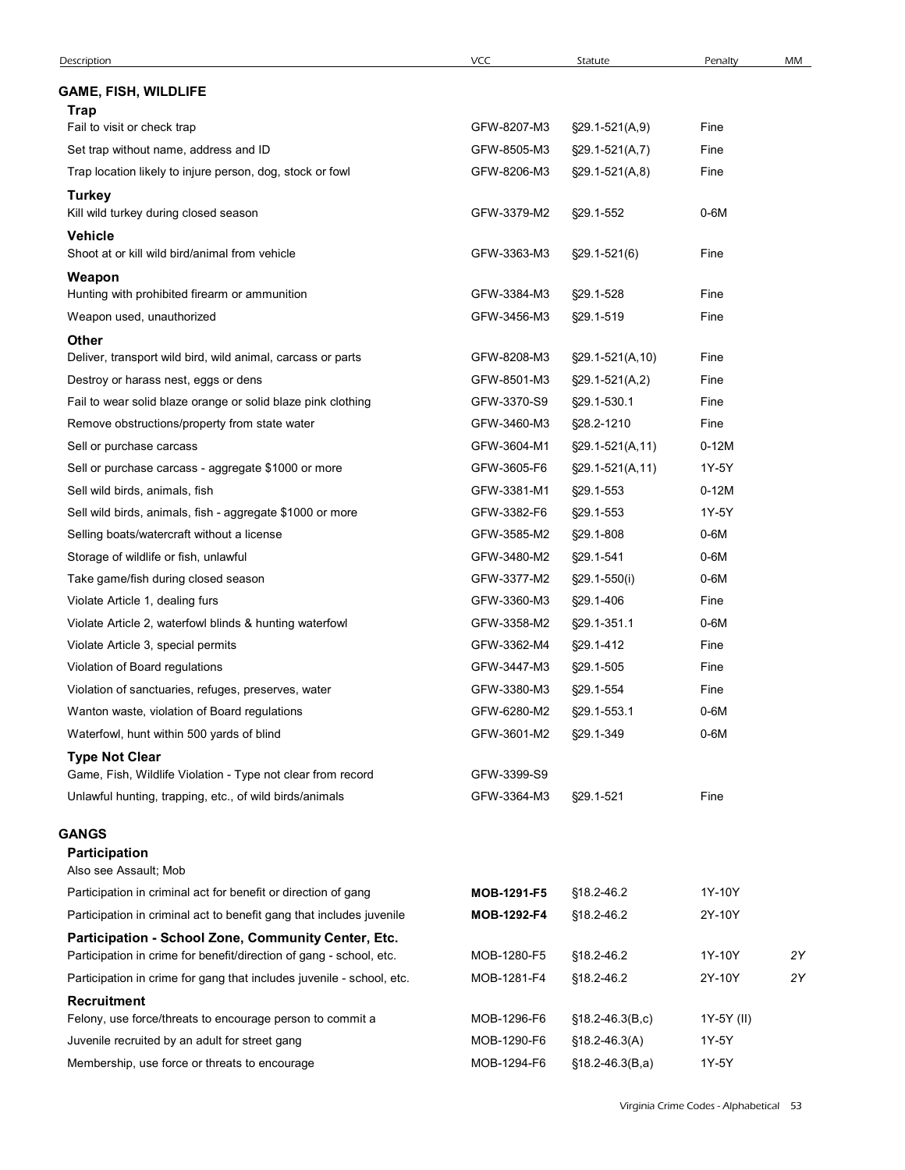| <b>VCC</b><br>MM<br>Description<br>Statute<br>Penalty<br><b>GAME, FISH, WILDLIFE</b><br>Trap<br>GFW-8207-M3<br>§29.1-521(A,9)<br>Fine<br>Fail to visit or check trap<br>GFW-8505-M3<br>Fine<br>Set trap without name, address and ID<br>$\S29.1 - 521(A, 7)$<br>Trap location likely to injure person, dog, stock or fowl<br>Fine<br>GFW-8206-M3<br>$\S29.1 - 521(A, 8)$<br><b>Turkey</b><br>Kill wild turkey during closed season<br>GFW-3379-M2<br>$0-6M$<br>§29.1-552<br><b>Vehicle</b><br>Shoot at or kill wild bird/animal from vehicle<br>GFW-3363-M3<br>$\S29.1 - 521(6)$<br>Fine<br>Weapon<br>Hunting with prohibited firearm or ammunition<br>GFW-3384-M3<br>Fine<br>§29.1-528<br>Fine<br>Weapon used, unauthorized<br>GFW-3456-M3<br>§29.1-519<br><b>Other</b><br>Deliver, transport wild bird, wild animal, carcass or parts<br>GFW-8208-M3<br>§29.1-521(A,10)<br>Fine<br>GFW-8501-M3<br>Fine<br>Destroy or harass nest, eggs or dens<br>$\S29.1 - 521(A,2)$<br>GFW-3370-S9<br>§29.1-530.1<br>Fine<br>Fail to wear solid blaze orange or solid blaze pink clothing<br>GFW-3460-M3<br>§28.2-1210<br>Fine<br>Remove obstructions/property from state water<br>$0-12M$<br>Sell or purchase carcass<br>GFW-3604-M1<br>$\S29.1 - 521(A, 11)$<br>1Y-5Y<br>Sell or purchase carcass - aggregate \$1000 or more<br>GFW-3605-F6<br>§29.1-521(A,11)<br>$0-12M$<br>Sell wild birds, animals, fish<br>GFW-3381-M1<br>§29.1-553<br>Sell wild birds, animals, fish - aggregate \$1000 or more<br>GFW-3382-F6<br>§29.1-553<br>1Y-5Y<br>$0-6M$<br>Selling boats/watercraft without a license<br>GFW-3585-M2<br>§29.1-808<br>Storage of wildlife or fish, unlawful<br>GFW-3480-M2<br>§29.1-541<br>$0-6M$<br>$0-6M$<br>Take game/fish during closed season<br>GFW-3377-M2<br>§29.1-550(i)<br>GFW-3360-M3<br>§29.1-406<br>Fine<br>Violate Article 1, dealing furs<br>$0-6M$<br>Violate Article 2, waterfowl blinds & hunting waterfowl<br>GFW-3358-M2<br>§29.1-351.1<br>Violate Article 3, special permits<br>GFW-3362-M4<br>§29.1-412<br>Fine<br>Violation of Board regulations<br>GFW-3447-M3<br>§29.1-505<br>Fine<br>Violation of sanctuaries, refuges, preserves, water<br>GFW-3380-M3<br>Fine<br>§29.1-554<br>$0-6M$<br>Wanton waste, violation of Board regulations<br>GFW-6280-M2<br>§29.1-553.1<br>$0-6M$<br>Waterfowl, hunt within 500 yards of blind<br>GFW-3601-M2<br>§29.1-349<br><b>Type Not Clear</b><br>Game, Fish, Wildlife Violation - Type not clear from record<br>GFW-3399-S9<br>Unlawful hunting, trapping, etc., of wild birds/animals<br>GFW-3364-M3<br>Fine<br>§29.1-521<br>GANGS<br><b>Participation</b><br>Also see Assault; Mob<br>1Y-10Y<br>Participation in criminal act for benefit or direction of gang<br>§18.2-46.2<br>MOB-1291-F5<br>Participation in criminal act to benefit gang that includes juvenile<br>2Y-10Y<br>MOB-1292-F4<br>§18.2-46.2<br>Participation - School Zone, Community Center, Etc.<br>1Y-10Y<br>2Y<br>Participation in crime for benefit/direction of gang - school, etc.<br>MOB-1280-F5<br>§18.2-46.2<br>Participation in crime for gang that includes juvenile - school, etc.<br>MOB-1281-F4<br>2Y-10Y<br>2Y<br>§18.2-46.2<br><b>Recruitment</b><br>MOB-1296-F6<br>Felony, use force/threats to encourage person to commit a<br>$$18.2 - 46.3(B,c)$<br>1Y-5Y (II)<br>Juvenile recruited by an adult for street gang<br>MOB-1290-F6<br>1Y-5Y<br>$$18.2 - 46.3(A)$ | MOB-1294-F6<br>$$18.2-46.3(B,a)$<br>1Y-5Y<br>Membership, use force or threats to encourage |  |  |  |
|-------------------------------------------------------------------------------------------------------------------------------------------------------------------------------------------------------------------------------------------------------------------------------------------------------------------------------------------------------------------------------------------------------------------------------------------------------------------------------------------------------------------------------------------------------------------------------------------------------------------------------------------------------------------------------------------------------------------------------------------------------------------------------------------------------------------------------------------------------------------------------------------------------------------------------------------------------------------------------------------------------------------------------------------------------------------------------------------------------------------------------------------------------------------------------------------------------------------------------------------------------------------------------------------------------------------------------------------------------------------------------------------------------------------------------------------------------------------------------------------------------------------------------------------------------------------------------------------------------------------------------------------------------------------------------------------------------------------------------------------------------------------------------------------------------------------------------------------------------------------------------------------------------------------------------------------------------------------------------------------------------------------------------------------------------------------------------------------------------------------------------------------------------------------------------------------------------------------------------------------------------------------------------------------------------------------------------------------------------------------------------------------------------------------------------------------------------------------------------------------------------------------------------------------------------------------------------------------------------------------------------------------------------------------------------------------------------------------------------------------------------------------------------------------------------------------------------------------------------------------------------------------------------------------------------------------------------------------------------------------------------------------------------------------------------------------------------------------------------------------------------------------------------------------------------------------------------------------------------------------------------------------------------------------------------------------------------------------------------------------------------------------------------------------|--------------------------------------------------------------------------------------------|--|--|--|
|                                                                                                                                                                                                                                                                                                                                                                                                                                                                                                                                                                                                                                                                                                                                                                                                                                                                                                                                                                                                                                                                                                                                                                                                                                                                                                                                                                                                                                                                                                                                                                                                                                                                                                                                                                                                                                                                                                                                                                                                                                                                                                                                                                                                                                                                                                                                                                                                                                                                                                                                                                                                                                                                                                                                                                                                                                                                                                                                                                                                                                                                                                                                                                                                                                                                                                                                                                                                                   |                                                                                            |  |  |  |
|                                                                                                                                                                                                                                                                                                                                                                                                                                                                                                                                                                                                                                                                                                                                                                                                                                                                                                                                                                                                                                                                                                                                                                                                                                                                                                                                                                                                                                                                                                                                                                                                                                                                                                                                                                                                                                                                                                                                                                                                                                                                                                                                                                                                                                                                                                                                                                                                                                                                                                                                                                                                                                                                                                                                                                                                                                                                                                                                                                                                                                                                                                                                                                                                                                                                                                                                                                                                                   |                                                                                            |  |  |  |
|                                                                                                                                                                                                                                                                                                                                                                                                                                                                                                                                                                                                                                                                                                                                                                                                                                                                                                                                                                                                                                                                                                                                                                                                                                                                                                                                                                                                                                                                                                                                                                                                                                                                                                                                                                                                                                                                                                                                                                                                                                                                                                                                                                                                                                                                                                                                                                                                                                                                                                                                                                                                                                                                                                                                                                                                                                                                                                                                                                                                                                                                                                                                                                                                                                                                                                                                                                                                                   |                                                                                            |  |  |  |
|                                                                                                                                                                                                                                                                                                                                                                                                                                                                                                                                                                                                                                                                                                                                                                                                                                                                                                                                                                                                                                                                                                                                                                                                                                                                                                                                                                                                                                                                                                                                                                                                                                                                                                                                                                                                                                                                                                                                                                                                                                                                                                                                                                                                                                                                                                                                                                                                                                                                                                                                                                                                                                                                                                                                                                                                                                                                                                                                                                                                                                                                                                                                                                                                                                                                                                                                                                                                                   |                                                                                            |  |  |  |
|                                                                                                                                                                                                                                                                                                                                                                                                                                                                                                                                                                                                                                                                                                                                                                                                                                                                                                                                                                                                                                                                                                                                                                                                                                                                                                                                                                                                                                                                                                                                                                                                                                                                                                                                                                                                                                                                                                                                                                                                                                                                                                                                                                                                                                                                                                                                                                                                                                                                                                                                                                                                                                                                                                                                                                                                                                                                                                                                                                                                                                                                                                                                                                                                                                                                                                                                                                                                                   |                                                                                            |  |  |  |
|                                                                                                                                                                                                                                                                                                                                                                                                                                                                                                                                                                                                                                                                                                                                                                                                                                                                                                                                                                                                                                                                                                                                                                                                                                                                                                                                                                                                                                                                                                                                                                                                                                                                                                                                                                                                                                                                                                                                                                                                                                                                                                                                                                                                                                                                                                                                                                                                                                                                                                                                                                                                                                                                                                                                                                                                                                                                                                                                                                                                                                                                                                                                                                                                                                                                                                                                                                                                                   |                                                                                            |  |  |  |
|                                                                                                                                                                                                                                                                                                                                                                                                                                                                                                                                                                                                                                                                                                                                                                                                                                                                                                                                                                                                                                                                                                                                                                                                                                                                                                                                                                                                                                                                                                                                                                                                                                                                                                                                                                                                                                                                                                                                                                                                                                                                                                                                                                                                                                                                                                                                                                                                                                                                                                                                                                                                                                                                                                                                                                                                                                                                                                                                                                                                                                                                                                                                                                                                                                                                                                                                                                                                                   |                                                                                            |  |  |  |
|                                                                                                                                                                                                                                                                                                                                                                                                                                                                                                                                                                                                                                                                                                                                                                                                                                                                                                                                                                                                                                                                                                                                                                                                                                                                                                                                                                                                                                                                                                                                                                                                                                                                                                                                                                                                                                                                                                                                                                                                                                                                                                                                                                                                                                                                                                                                                                                                                                                                                                                                                                                                                                                                                                                                                                                                                                                                                                                                                                                                                                                                                                                                                                                                                                                                                                                                                                                                                   |                                                                                            |  |  |  |
|                                                                                                                                                                                                                                                                                                                                                                                                                                                                                                                                                                                                                                                                                                                                                                                                                                                                                                                                                                                                                                                                                                                                                                                                                                                                                                                                                                                                                                                                                                                                                                                                                                                                                                                                                                                                                                                                                                                                                                                                                                                                                                                                                                                                                                                                                                                                                                                                                                                                                                                                                                                                                                                                                                                                                                                                                                                                                                                                                                                                                                                                                                                                                                                                                                                                                                                                                                                                                   |                                                                                            |  |  |  |
|                                                                                                                                                                                                                                                                                                                                                                                                                                                                                                                                                                                                                                                                                                                                                                                                                                                                                                                                                                                                                                                                                                                                                                                                                                                                                                                                                                                                                                                                                                                                                                                                                                                                                                                                                                                                                                                                                                                                                                                                                                                                                                                                                                                                                                                                                                                                                                                                                                                                                                                                                                                                                                                                                                                                                                                                                                                                                                                                                                                                                                                                                                                                                                                                                                                                                                                                                                                                                   |                                                                                            |  |  |  |
|                                                                                                                                                                                                                                                                                                                                                                                                                                                                                                                                                                                                                                                                                                                                                                                                                                                                                                                                                                                                                                                                                                                                                                                                                                                                                                                                                                                                                                                                                                                                                                                                                                                                                                                                                                                                                                                                                                                                                                                                                                                                                                                                                                                                                                                                                                                                                                                                                                                                                                                                                                                                                                                                                                                                                                                                                                                                                                                                                                                                                                                                                                                                                                                                                                                                                                                                                                                                                   |                                                                                            |  |  |  |
|                                                                                                                                                                                                                                                                                                                                                                                                                                                                                                                                                                                                                                                                                                                                                                                                                                                                                                                                                                                                                                                                                                                                                                                                                                                                                                                                                                                                                                                                                                                                                                                                                                                                                                                                                                                                                                                                                                                                                                                                                                                                                                                                                                                                                                                                                                                                                                                                                                                                                                                                                                                                                                                                                                                                                                                                                                                                                                                                                                                                                                                                                                                                                                                                                                                                                                                                                                                                                   |                                                                                            |  |  |  |
|                                                                                                                                                                                                                                                                                                                                                                                                                                                                                                                                                                                                                                                                                                                                                                                                                                                                                                                                                                                                                                                                                                                                                                                                                                                                                                                                                                                                                                                                                                                                                                                                                                                                                                                                                                                                                                                                                                                                                                                                                                                                                                                                                                                                                                                                                                                                                                                                                                                                                                                                                                                                                                                                                                                                                                                                                                                                                                                                                                                                                                                                                                                                                                                                                                                                                                                                                                                                                   |                                                                                            |  |  |  |
|                                                                                                                                                                                                                                                                                                                                                                                                                                                                                                                                                                                                                                                                                                                                                                                                                                                                                                                                                                                                                                                                                                                                                                                                                                                                                                                                                                                                                                                                                                                                                                                                                                                                                                                                                                                                                                                                                                                                                                                                                                                                                                                                                                                                                                                                                                                                                                                                                                                                                                                                                                                                                                                                                                                                                                                                                                                                                                                                                                                                                                                                                                                                                                                                                                                                                                                                                                                                                   |                                                                                            |  |  |  |
|                                                                                                                                                                                                                                                                                                                                                                                                                                                                                                                                                                                                                                                                                                                                                                                                                                                                                                                                                                                                                                                                                                                                                                                                                                                                                                                                                                                                                                                                                                                                                                                                                                                                                                                                                                                                                                                                                                                                                                                                                                                                                                                                                                                                                                                                                                                                                                                                                                                                                                                                                                                                                                                                                                                                                                                                                                                                                                                                                                                                                                                                                                                                                                                                                                                                                                                                                                                                                   |                                                                                            |  |  |  |
|                                                                                                                                                                                                                                                                                                                                                                                                                                                                                                                                                                                                                                                                                                                                                                                                                                                                                                                                                                                                                                                                                                                                                                                                                                                                                                                                                                                                                                                                                                                                                                                                                                                                                                                                                                                                                                                                                                                                                                                                                                                                                                                                                                                                                                                                                                                                                                                                                                                                                                                                                                                                                                                                                                                                                                                                                                                                                                                                                                                                                                                                                                                                                                                                                                                                                                                                                                                                                   |                                                                                            |  |  |  |
|                                                                                                                                                                                                                                                                                                                                                                                                                                                                                                                                                                                                                                                                                                                                                                                                                                                                                                                                                                                                                                                                                                                                                                                                                                                                                                                                                                                                                                                                                                                                                                                                                                                                                                                                                                                                                                                                                                                                                                                                                                                                                                                                                                                                                                                                                                                                                                                                                                                                                                                                                                                                                                                                                                                                                                                                                                                                                                                                                                                                                                                                                                                                                                                                                                                                                                                                                                                                                   |                                                                                            |  |  |  |
|                                                                                                                                                                                                                                                                                                                                                                                                                                                                                                                                                                                                                                                                                                                                                                                                                                                                                                                                                                                                                                                                                                                                                                                                                                                                                                                                                                                                                                                                                                                                                                                                                                                                                                                                                                                                                                                                                                                                                                                                                                                                                                                                                                                                                                                                                                                                                                                                                                                                                                                                                                                                                                                                                                                                                                                                                                                                                                                                                                                                                                                                                                                                                                                                                                                                                                                                                                                                                   |                                                                                            |  |  |  |
|                                                                                                                                                                                                                                                                                                                                                                                                                                                                                                                                                                                                                                                                                                                                                                                                                                                                                                                                                                                                                                                                                                                                                                                                                                                                                                                                                                                                                                                                                                                                                                                                                                                                                                                                                                                                                                                                                                                                                                                                                                                                                                                                                                                                                                                                                                                                                                                                                                                                                                                                                                                                                                                                                                                                                                                                                                                                                                                                                                                                                                                                                                                                                                                                                                                                                                                                                                                                                   |                                                                                            |  |  |  |
|                                                                                                                                                                                                                                                                                                                                                                                                                                                                                                                                                                                                                                                                                                                                                                                                                                                                                                                                                                                                                                                                                                                                                                                                                                                                                                                                                                                                                                                                                                                                                                                                                                                                                                                                                                                                                                                                                                                                                                                                                                                                                                                                                                                                                                                                                                                                                                                                                                                                                                                                                                                                                                                                                                                                                                                                                                                                                                                                                                                                                                                                                                                                                                                                                                                                                                                                                                                                                   |                                                                                            |  |  |  |
|                                                                                                                                                                                                                                                                                                                                                                                                                                                                                                                                                                                                                                                                                                                                                                                                                                                                                                                                                                                                                                                                                                                                                                                                                                                                                                                                                                                                                                                                                                                                                                                                                                                                                                                                                                                                                                                                                                                                                                                                                                                                                                                                                                                                                                                                                                                                                                                                                                                                                                                                                                                                                                                                                                                                                                                                                                                                                                                                                                                                                                                                                                                                                                                                                                                                                                                                                                                                                   |                                                                                            |  |  |  |
|                                                                                                                                                                                                                                                                                                                                                                                                                                                                                                                                                                                                                                                                                                                                                                                                                                                                                                                                                                                                                                                                                                                                                                                                                                                                                                                                                                                                                                                                                                                                                                                                                                                                                                                                                                                                                                                                                                                                                                                                                                                                                                                                                                                                                                                                                                                                                                                                                                                                                                                                                                                                                                                                                                                                                                                                                                                                                                                                                                                                                                                                                                                                                                                                                                                                                                                                                                                                                   |                                                                                            |  |  |  |
|                                                                                                                                                                                                                                                                                                                                                                                                                                                                                                                                                                                                                                                                                                                                                                                                                                                                                                                                                                                                                                                                                                                                                                                                                                                                                                                                                                                                                                                                                                                                                                                                                                                                                                                                                                                                                                                                                                                                                                                                                                                                                                                                                                                                                                                                                                                                                                                                                                                                                                                                                                                                                                                                                                                                                                                                                                                                                                                                                                                                                                                                                                                                                                                                                                                                                                                                                                                                                   |                                                                                            |  |  |  |
|                                                                                                                                                                                                                                                                                                                                                                                                                                                                                                                                                                                                                                                                                                                                                                                                                                                                                                                                                                                                                                                                                                                                                                                                                                                                                                                                                                                                                                                                                                                                                                                                                                                                                                                                                                                                                                                                                                                                                                                                                                                                                                                                                                                                                                                                                                                                                                                                                                                                                                                                                                                                                                                                                                                                                                                                                                                                                                                                                                                                                                                                                                                                                                                                                                                                                                                                                                                                                   |                                                                                            |  |  |  |
|                                                                                                                                                                                                                                                                                                                                                                                                                                                                                                                                                                                                                                                                                                                                                                                                                                                                                                                                                                                                                                                                                                                                                                                                                                                                                                                                                                                                                                                                                                                                                                                                                                                                                                                                                                                                                                                                                                                                                                                                                                                                                                                                                                                                                                                                                                                                                                                                                                                                                                                                                                                                                                                                                                                                                                                                                                                                                                                                                                                                                                                                                                                                                                                                                                                                                                                                                                                                                   |                                                                                            |  |  |  |
|                                                                                                                                                                                                                                                                                                                                                                                                                                                                                                                                                                                                                                                                                                                                                                                                                                                                                                                                                                                                                                                                                                                                                                                                                                                                                                                                                                                                                                                                                                                                                                                                                                                                                                                                                                                                                                                                                                                                                                                                                                                                                                                                                                                                                                                                                                                                                                                                                                                                                                                                                                                                                                                                                                                                                                                                                                                                                                                                                                                                                                                                                                                                                                                                                                                                                                                                                                                                                   |                                                                                            |  |  |  |
|                                                                                                                                                                                                                                                                                                                                                                                                                                                                                                                                                                                                                                                                                                                                                                                                                                                                                                                                                                                                                                                                                                                                                                                                                                                                                                                                                                                                                                                                                                                                                                                                                                                                                                                                                                                                                                                                                                                                                                                                                                                                                                                                                                                                                                                                                                                                                                                                                                                                                                                                                                                                                                                                                                                                                                                                                                                                                                                                                                                                                                                                                                                                                                                                                                                                                                                                                                                                                   |                                                                                            |  |  |  |
|                                                                                                                                                                                                                                                                                                                                                                                                                                                                                                                                                                                                                                                                                                                                                                                                                                                                                                                                                                                                                                                                                                                                                                                                                                                                                                                                                                                                                                                                                                                                                                                                                                                                                                                                                                                                                                                                                                                                                                                                                                                                                                                                                                                                                                                                                                                                                                                                                                                                                                                                                                                                                                                                                                                                                                                                                                                                                                                                                                                                                                                                                                                                                                                                                                                                                                                                                                                                                   |                                                                                            |  |  |  |
|                                                                                                                                                                                                                                                                                                                                                                                                                                                                                                                                                                                                                                                                                                                                                                                                                                                                                                                                                                                                                                                                                                                                                                                                                                                                                                                                                                                                                                                                                                                                                                                                                                                                                                                                                                                                                                                                                                                                                                                                                                                                                                                                                                                                                                                                                                                                                                                                                                                                                                                                                                                                                                                                                                                                                                                                                                                                                                                                                                                                                                                                                                                                                                                                                                                                                                                                                                                                                   |                                                                                            |  |  |  |
|                                                                                                                                                                                                                                                                                                                                                                                                                                                                                                                                                                                                                                                                                                                                                                                                                                                                                                                                                                                                                                                                                                                                                                                                                                                                                                                                                                                                                                                                                                                                                                                                                                                                                                                                                                                                                                                                                                                                                                                                                                                                                                                                                                                                                                                                                                                                                                                                                                                                                                                                                                                                                                                                                                                                                                                                                                                                                                                                                                                                                                                                                                                                                                                                                                                                                                                                                                                                                   |                                                                                            |  |  |  |
|                                                                                                                                                                                                                                                                                                                                                                                                                                                                                                                                                                                                                                                                                                                                                                                                                                                                                                                                                                                                                                                                                                                                                                                                                                                                                                                                                                                                                                                                                                                                                                                                                                                                                                                                                                                                                                                                                                                                                                                                                                                                                                                                                                                                                                                                                                                                                                                                                                                                                                                                                                                                                                                                                                                                                                                                                                                                                                                                                                                                                                                                                                                                                                                                                                                                                                                                                                                                                   |                                                                                            |  |  |  |
|                                                                                                                                                                                                                                                                                                                                                                                                                                                                                                                                                                                                                                                                                                                                                                                                                                                                                                                                                                                                                                                                                                                                                                                                                                                                                                                                                                                                                                                                                                                                                                                                                                                                                                                                                                                                                                                                                                                                                                                                                                                                                                                                                                                                                                                                                                                                                                                                                                                                                                                                                                                                                                                                                                                                                                                                                                                                                                                                                                                                                                                                                                                                                                                                                                                                                                                                                                                                                   |                                                                                            |  |  |  |
|                                                                                                                                                                                                                                                                                                                                                                                                                                                                                                                                                                                                                                                                                                                                                                                                                                                                                                                                                                                                                                                                                                                                                                                                                                                                                                                                                                                                                                                                                                                                                                                                                                                                                                                                                                                                                                                                                                                                                                                                                                                                                                                                                                                                                                                                                                                                                                                                                                                                                                                                                                                                                                                                                                                                                                                                                                                                                                                                                                                                                                                                                                                                                                                                                                                                                                                                                                                                                   |                                                                                            |  |  |  |
|                                                                                                                                                                                                                                                                                                                                                                                                                                                                                                                                                                                                                                                                                                                                                                                                                                                                                                                                                                                                                                                                                                                                                                                                                                                                                                                                                                                                                                                                                                                                                                                                                                                                                                                                                                                                                                                                                                                                                                                                                                                                                                                                                                                                                                                                                                                                                                                                                                                                                                                                                                                                                                                                                                                                                                                                                                                                                                                                                                                                                                                                                                                                                                                                                                                                                                                                                                                                                   |                                                                                            |  |  |  |
|                                                                                                                                                                                                                                                                                                                                                                                                                                                                                                                                                                                                                                                                                                                                                                                                                                                                                                                                                                                                                                                                                                                                                                                                                                                                                                                                                                                                                                                                                                                                                                                                                                                                                                                                                                                                                                                                                                                                                                                                                                                                                                                                                                                                                                                                                                                                                                                                                                                                                                                                                                                                                                                                                                                                                                                                                                                                                                                                                                                                                                                                                                                                                                                                                                                                                                                                                                                                                   |                                                                                            |  |  |  |
|                                                                                                                                                                                                                                                                                                                                                                                                                                                                                                                                                                                                                                                                                                                                                                                                                                                                                                                                                                                                                                                                                                                                                                                                                                                                                                                                                                                                                                                                                                                                                                                                                                                                                                                                                                                                                                                                                                                                                                                                                                                                                                                                                                                                                                                                                                                                                                                                                                                                                                                                                                                                                                                                                                                                                                                                                                                                                                                                                                                                                                                                                                                                                                                                                                                                                                                                                                                                                   |                                                                                            |  |  |  |
|                                                                                                                                                                                                                                                                                                                                                                                                                                                                                                                                                                                                                                                                                                                                                                                                                                                                                                                                                                                                                                                                                                                                                                                                                                                                                                                                                                                                                                                                                                                                                                                                                                                                                                                                                                                                                                                                                                                                                                                                                                                                                                                                                                                                                                                                                                                                                                                                                                                                                                                                                                                                                                                                                                                                                                                                                                                                                                                                                                                                                                                                                                                                                                                                                                                                                                                                                                                                                   |                                                                                            |  |  |  |
|                                                                                                                                                                                                                                                                                                                                                                                                                                                                                                                                                                                                                                                                                                                                                                                                                                                                                                                                                                                                                                                                                                                                                                                                                                                                                                                                                                                                                                                                                                                                                                                                                                                                                                                                                                                                                                                                                                                                                                                                                                                                                                                                                                                                                                                                                                                                                                                                                                                                                                                                                                                                                                                                                                                                                                                                                                                                                                                                                                                                                                                                                                                                                                                                                                                                                                                                                                                                                   |                                                                                            |  |  |  |
|                                                                                                                                                                                                                                                                                                                                                                                                                                                                                                                                                                                                                                                                                                                                                                                                                                                                                                                                                                                                                                                                                                                                                                                                                                                                                                                                                                                                                                                                                                                                                                                                                                                                                                                                                                                                                                                                                                                                                                                                                                                                                                                                                                                                                                                                                                                                                                                                                                                                                                                                                                                                                                                                                                                                                                                                                                                                                                                                                                                                                                                                                                                                                                                                                                                                                                                                                                                                                   |                                                                                            |  |  |  |
|                                                                                                                                                                                                                                                                                                                                                                                                                                                                                                                                                                                                                                                                                                                                                                                                                                                                                                                                                                                                                                                                                                                                                                                                                                                                                                                                                                                                                                                                                                                                                                                                                                                                                                                                                                                                                                                                                                                                                                                                                                                                                                                                                                                                                                                                                                                                                                                                                                                                                                                                                                                                                                                                                                                                                                                                                                                                                                                                                                                                                                                                                                                                                                                                                                                                                                                                                                                                                   |                                                                                            |  |  |  |
|                                                                                                                                                                                                                                                                                                                                                                                                                                                                                                                                                                                                                                                                                                                                                                                                                                                                                                                                                                                                                                                                                                                                                                                                                                                                                                                                                                                                                                                                                                                                                                                                                                                                                                                                                                                                                                                                                                                                                                                                                                                                                                                                                                                                                                                                                                                                                                                                                                                                                                                                                                                                                                                                                                                                                                                                                                                                                                                                                                                                                                                                                                                                                                                                                                                                                                                                                                                                                   |                                                                                            |  |  |  |
|                                                                                                                                                                                                                                                                                                                                                                                                                                                                                                                                                                                                                                                                                                                                                                                                                                                                                                                                                                                                                                                                                                                                                                                                                                                                                                                                                                                                                                                                                                                                                                                                                                                                                                                                                                                                                                                                                                                                                                                                                                                                                                                                                                                                                                                                                                                                                                                                                                                                                                                                                                                                                                                                                                                                                                                                                                                                                                                                                                                                                                                                                                                                                                                                                                                                                                                                                                                                                   |                                                                                            |  |  |  |
|                                                                                                                                                                                                                                                                                                                                                                                                                                                                                                                                                                                                                                                                                                                                                                                                                                                                                                                                                                                                                                                                                                                                                                                                                                                                                                                                                                                                                                                                                                                                                                                                                                                                                                                                                                                                                                                                                                                                                                                                                                                                                                                                                                                                                                                                                                                                                                                                                                                                                                                                                                                                                                                                                                                                                                                                                                                                                                                                                                                                                                                                                                                                                                                                                                                                                                                                                                                                                   |                                                                                            |  |  |  |
|                                                                                                                                                                                                                                                                                                                                                                                                                                                                                                                                                                                                                                                                                                                                                                                                                                                                                                                                                                                                                                                                                                                                                                                                                                                                                                                                                                                                                                                                                                                                                                                                                                                                                                                                                                                                                                                                                                                                                                                                                                                                                                                                                                                                                                                                                                                                                                                                                                                                                                                                                                                                                                                                                                                                                                                                                                                                                                                                                                                                                                                                                                                                                                                                                                                                                                                                                                                                                   |                                                                                            |  |  |  |
|                                                                                                                                                                                                                                                                                                                                                                                                                                                                                                                                                                                                                                                                                                                                                                                                                                                                                                                                                                                                                                                                                                                                                                                                                                                                                                                                                                                                                                                                                                                                                                                                                                                                                                                                                                                                                                                                                                                                                                                                                                                                                                                                                                                                                                                                                                                                                                                                                                                                                                                                                                                                                                                                                                                                                                                                                                                                                                                                                                                                                                                                                                                                                                                                                                                                                                                                                                                                                   |                                                                                            |  |  |  |
|                                                                                                                                                                                                                                                                                                                                                                                                                                                                                                                                                                                                                                                                                                                                                                                                                                                                                                                                                                                                                                                                                                                                                                                                                                                                                                                                                                                                                                                                                                                                                                                                                                                                                                                                                                                                                                                                                                                                                                                                                                                                                                                                                                                                                                                                                                                                                                                                                                                                                                                                                                                                                                                                                                                                                                                                                                                                                                                                                                                                                                                                                                                                                                                                                                                                                                                                                                                                                   |                                                                                            |  |  |  |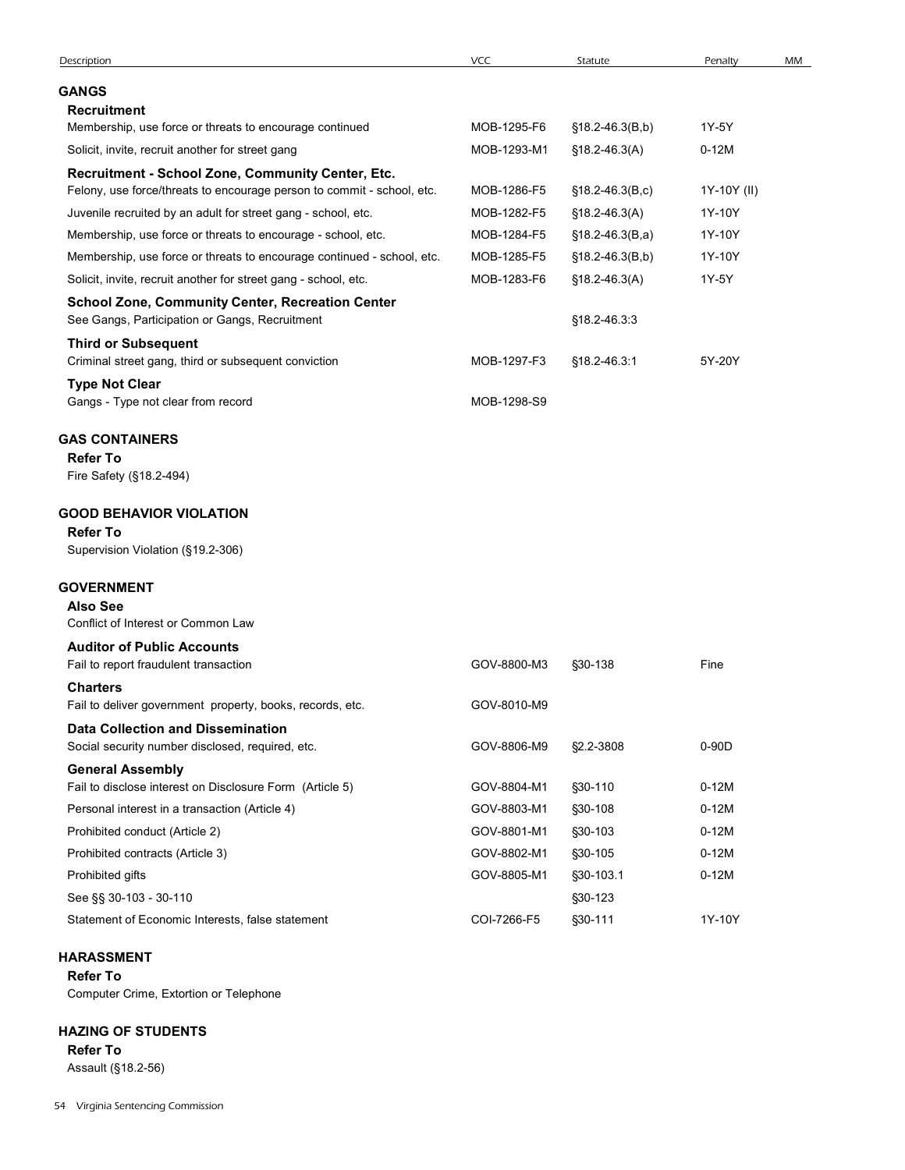| Description                                                                                               |             |                      |             |    |
|-----------------------------------------------------------------------------------------------------------|-------------|----------------------|-------------|----|
|                                                                                                           | VCC         | Statute              | Penalty     | MM |
| GANGS                                                                                                     |             |                      |             |    |
| <b>Recruitment</b>                                                                                        |             |                      |             |    |
| Membership, use force or threats to encourage continued                                                   | MOB-1295-F6 | $$18.2-46.3(B,b)$    | 1Y-5Y       |    |
| Solicit, invite, recruit another for street gang                                                          | MOB-1293-M1 | $$18.2 - 46.3(A)$    | $0-12M$     |    |
| Recruitment - School Zone, Community Center, Etc.                                                         |             |                      |             |    |
| Felony, use force/threats to encourage person to commit - school, etc.                                    | MOB-1286-F5 | $$18.2 - 46.3(B, c)$ | 1Y-10Y (II) |    |
| Juvenile recruited by an adult for street gang - school, etc.                                             | MOB-1282-F5 | $$18.2 - 46.3(A)$    | 1Y-10Y      |    |
| Membership, use force or threats to encourage - school, etc.                                              | MOB-1284-F5 | $$18.2-46.3(B,a)$    | 1Y-10Y      |    |
| Membership, use force or threats to encourage continued - school, etc.                                    | MOB-1285-F5 | $$18.2-46.3(B,b)$    | 1Y-10Y      |    |
| Solicit, invite, recruit another for street gang - school, etc.                                           | MOB-1283-F6 | $$18.2 - 46.3(A)$    | 1Y-5Y       |    |
| <b>School Zone, Community Center, Recreation Center</b><br>See Gangs, Participation or Gangs, Recruitment |             | §18.2-46.3.3         |             |    |
| <b>Third or Subsequent</b><br>Criminal street gang, third or subsequent conviction                        | MOB-1297-F3 | §18.2-46.3:1         | 5Y-20Y      |    |
| <b>Type Not Clear</b><br>Gangs - Type not clear from record                                               | MOB-1298-S9 |                      |             |    |
|                                                                                                           |             |                      |             |    |
| <b>GAS CONTAINERS</b><br><b>Refer To</b>                                                                  |             |                      |             |    |
| Fire Safety (§18.2-494)                                                                                   |             |                      |             |    |
| <b>GOOD BEHAVIOR VIOLATION</b>                                                                            |             |                      |             |    |
| <b>Refer To</b>                                                                                           |             |                      |             |    |
| Supervision Violation (§19.2-306)                                                                         |             |                      |             |    |
| <b>GOVERNMENT</b>                                                                                         |             |                      |             |    |
| <b>Also See</b>                                                                                           |             |                      |             |    |
| Conflict of Interest or Common Law                                                                        |             |                      |             |    |
| <b>Auditor of Public Accounts</b><br>Fail to report fraudulent transaction                                | GOV-8800-M3 | §30-138              | Fine        |    |
| <b>Charters</b>                                                                                           |             |                      |             |    |
| Fail to deliver government property, books, records, etc.                                                 | GOV-8010-M9 |                      |             |    |
| <b>Data Collection and Dissemination</b><br>Social security number disclosed, required, etc.              | GOV-8806-M9 | §2.2-3808            | 0-90D       |    |
| <b>General Assembly</b>                                                                                   |             |                      |             |    |
| Fail to disclose interest on Disclosure Form (Article 5)                                                  | GOV-8804-M1 | §30-110              | $0-12M$     |    |
| Personal interest in a transaction (Article 4)                                                            | GOV-8803-M1 | §30-108              | $0-12M$     |    |
| Prohibited conduct (Article 2)                                                                            | GOV-8801-M1 | §30-103              | $0-12M$     |    |
| Prohibited contracts (Article 3)                                                                          | GOV-8802-M1 | §30-105              | $0-12M$     |    |
| Prohibited gifts                                                                                          | GOV-8805-M1 | §30-103.1            | $0-12M$     |    |
|                                                                                                           |             | §30-123              |             |    |
| See §§ 30-103 - 30-110                                                                                    |             |                      |             |    |

# HARASSMENT

# HAZING OF STUDENTS

Refer To Assault (§18.2-56)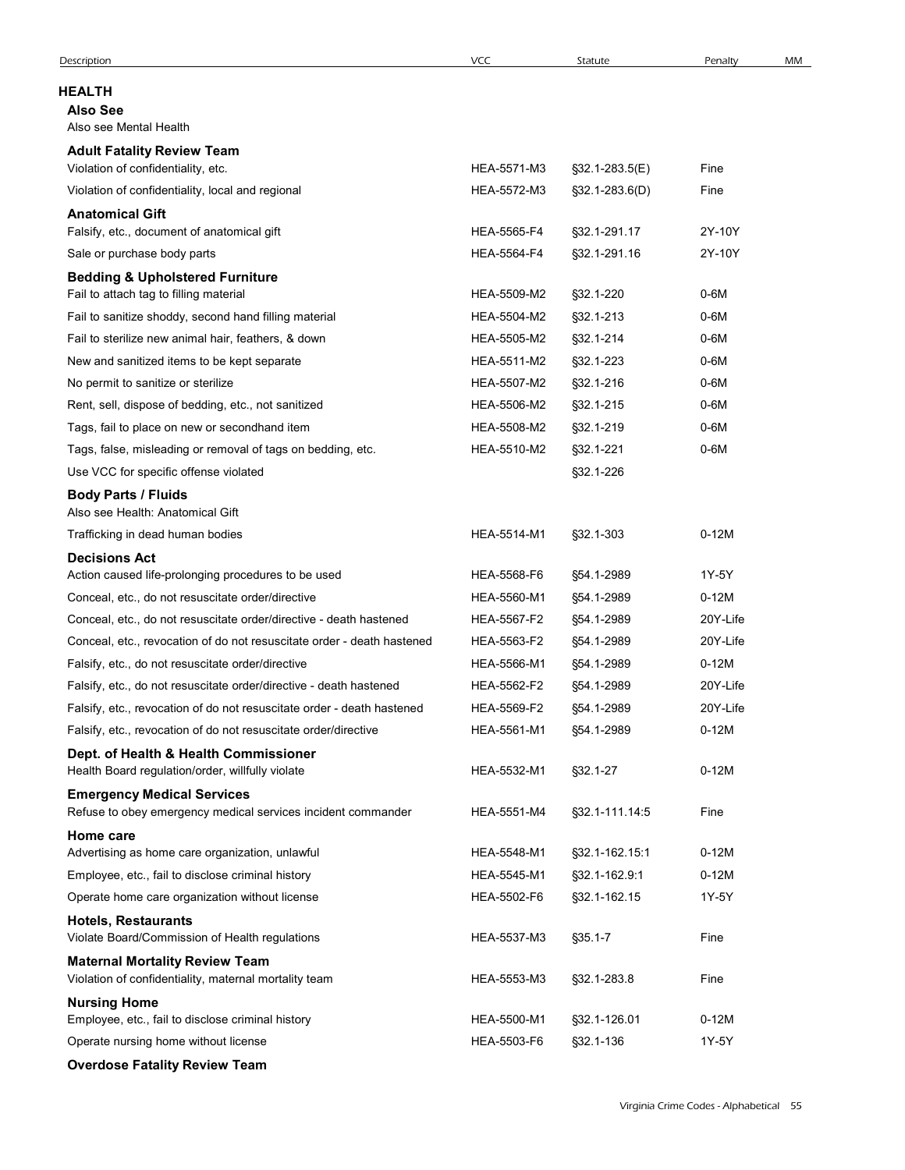| Description                                                                                       | <b>VCC</b>                 | Statute                      | Penalty          | MM |
|---------------------------------------------------------------------------------------------------|----------------------------|------------------------------|------------------|----|
| <b>HEALTH</b>                                                                                     |                            |                              |                  |    |
| <b>Also See</b><br>Also see Mental Health                                                         |                            |                              |                  |    |
| <b>Adult Fatality Review Team</b>                                                                 |                            |                              |                  |    |
| Violation of confidentiality, etc.                                                                | HEA-5571-M3                | §32.1-283.5(E)               | Fine             |    |
| Violation of confidentiality, local and regional                                                  | HEA-5572-M3                | $\S$ 32.1-283.6(D)           | Fine             |    |
| <b>Anatomical Gift</b>                                                                            |                            |                              |                  |    |
| Falsify, etc., document of anatomical gift<br>Sale or purchase body parts                         | HEA-5565-F4<br>HEA-5564-F4 | §32.1-291.17<br>§32.1-291.16 | 2Y-10Y<br>2Y-10Y |    |
| <b>Bedding &amp; Upholstered Furniture</b>                                                        |                            |                              |                  |    |
| Fail to attach tag to filling material                                                            | HEA-5509-M2                | §32.1-220                    | 0-6M             |    |
| Fail to sanitize shoddy, second hand filling material                                             | HEA-5504-M2                | $$32.1 - 213$                | 0-6M             |    |
| Fail to sterilize new animal hair, feathers, & down                                               | HEA-5505-M2                | $$32.1 - 214$                | 0-6M             |    |
| New and sanitized items to be kept separate                                                       | HEA-5511-M2                | §32.1-223                    | 0-6M             |    |
| No permit to sanitize or sterilize<br>Rent, sell, dispose of bedding, etc., not sanitized         | HEA-5507-M2<br>HEA-5506-M2 | $$32.1 - 216$<br>\$32.1-215  | 0-6M<br>0-6M     |    |
| Tags, fail to place on new or secondhand item                                                     | HEA-5508-M2                | §32.1-219                    | 0-6M             |    |
| Tags, false, misleading or removal of tags on bedding, etc.                                       | HEA-5510-M2                | §32.1-221                    | $0-6M$           |    |
| Use VCC for specific offense violated                                                             |                            | §32.1-226                    |                  |    |
| <b>Body Parts / Fluids</b><br>Also see Health: Anatomical Gift                                    |                            |                              |                  |    |
| Trafficking in dead human bodies                                                                  | HEA-5514-M1                | §32.1-303                    | $0-12M$          |    |
| <b>Decisions Act</b><br>Action caused life-prolonging procedures to be used                       | HEA-5568-F6                |                              | 1Y-5Y            |    |
| Conceal, etc., do not resuscitate order/directive                                                 | HEA-5560-M1                | §54.1-2989<br>§54.1-2989     | $0-12M$          |    |
| Conceal, etc., do not resuscitate order/directive - death hastened                                | HEA-5567-F2                | §54.1-2989                   | 20Y-Life         |    |
| Conceal, etc., revocation of do not resuscitate order - death hastened                            | HEA-5563-F2                | §54.1-2989                   | 20Y-Life         |    |
| Falsify, etc., do not resuscitate order/directive                                                 | HEA-5566-M1                | §54.1-2989                   | $0-12M$          |    |
| Falsify, etc., do not resuscitate order/directive - death hastened                                | HEA-5562-F2                | §54.1-2989                   | 20Y-Life         |    |
| Falsify, etc., revocation of do not resuscitate order - death hastened                            | HEA-5569-F2                | §54.1-2989                   | 20Y-Life         |    |
| Falsify, etc., revocation of do not resuscitate order/directive                                   | HEA-5561-M1                | §54.1-2989                   | $0-12M$          |    |
| Dept. of Health & Health Commissioner<br>Health Board regulation/order, willfully violate         | HEA-5532-M1                | §32.1-27                     | $0-12M$          |    |
| <b>Emergency Medical Services</b><br>Refuse to obey emergency medical services incident commander | HEA-5551-M4                | §32.1-111.14.5               | Fine             |    |
| Home care<br>Advertising as home care organization, unlawful                                      | HEA-5548-M1                | §32.1-162.15:1               | $0-12M$          |    |
| Employee, etc., fail to disclose criminal history                                                 | HEA-5545-M1                | §32.1-162.9:1                | $0-12M$          |    |
| Operate home care organization without license                                                    | HEA-5502-F6                | §32.1-162.15                 | 1Y-5Y            |    |
| <b>Hotels, Restaurants</b><br>Violate Board/Commission of Health regulations                      | HEA-5537-M3                | $$35.1 - 7$                  | Fine             |    |
| <b>Maternal Mortality Review Team</b><br>Violation of confidentiality, maternal mortality team    | HEA-5553-M3                | §32.1-283.8                  | Fine             |    |
| <b>Nursing Home</b><br>Employee, etc., fail to disclose criminal history                          | HEA-5500-M1                | §32.1-126.01                 | $0-12M$          |    |
| Operate nursing home without license                                                              | HEA-5503-F6                | §32.1-136                    | 1Y-5Y            |    |
| <b>Overdose Fatality Review Team</b>                                                              |                            |                              |                  |    |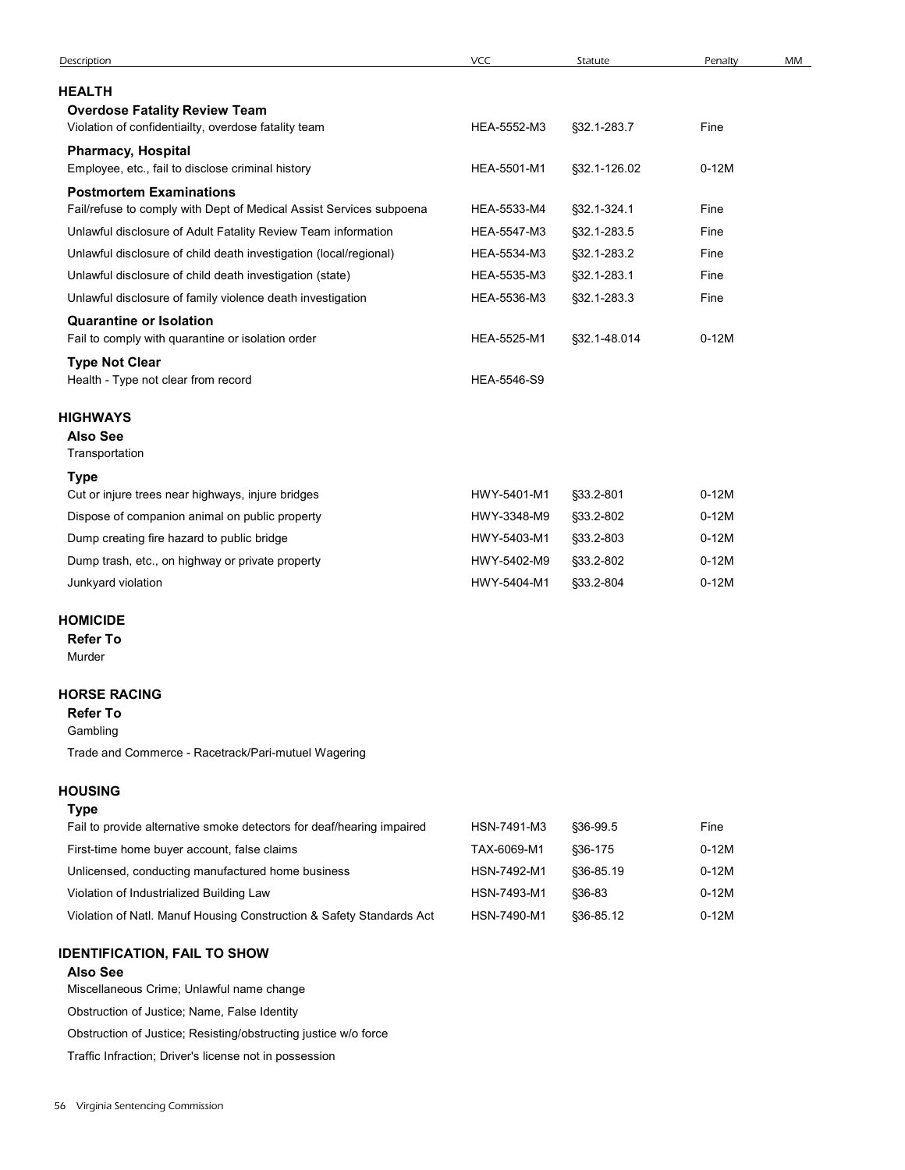| Description                                                                                           | VCC         | Statute      | Penalty | MM |
|-------------------------------------------------------------------------------------------------------|-------------|--------------|---------|----|
| <b>HEALTH</b>                                                                                         |             |              |         |    |
| <b>Overdose Fatality Review Team</b>                                                                  |             |              |         |    |
| Violation of confidentiailty, overdose fatality team                                                  | HEA-5552-M3 | §32.1-283.7  | Fine    |    |
| <b>Pharmacy, Hospital</b>                                                                             |             |              |         |    |
| Employee, etc., fail to disclose criminal history                                                     | HEA-5501-M1 | §32.1-126.02 | $0-12M$ |    |
| <b>Postmortem Examinations</b><br>Fail/refuse to comply with Dept of Medical Assist Services subpoena | HEA-5533-M4 | §32.1-324.1  | Fine    |    |
| Unlawful disclosure of Adult Fatality Review Team information                                         | HEA-5547-M3 | §32.1-283.5  | Fine    |    |
| Unlawful disclosure of child death investigation (local/regional)                                     | HEA-5534-M3 | §32.1-283.2  | Fine    |    |
| Unlawful disclosure of child death investigation (state)                                              | HEA-5535-M3 | §32.1-283.1  | Fine    |    |
| Unlawful disclosure of family violence death investigation                                            | HEA-5536-M3 | §32.1-283.3  | Fine    |    |
| <b>Quarantine or Isolation</b>                                                                        |             |              |         |    |
| Fail to comply with quarantine or isolation order                                                     | HEA-5525-M1 | §32.1-48.014 | $0-12M$ |    |
| <b>Type Not Clear</b><br>Health - Type not clear from record                                          | HEA-5546-S9 |              |         |    |
|                                                                                                       |             |              |         |    |
| HIGHWAYS<br><b>Also See</b>                                                                           |             |              |         |    |
| Transportation                                                                                        |             |              |         |    |
| <b>Type</b>                                                                                           |             |              |         |    |
| Cut or injure trees near highways, injure bridges                                                     | HWY-5401-M1 | §33.2-801    | $0-12M$ |    |
| Dispose of companion animal on public property                                                        | HWY-3348-M9 | §33.2-802    | $0-12M$ |    |
| Dump creating fire hazard to public bridge                                                            | HWY-5403-M1 | §33.2-803    | $0-12M$ |    |
| Dump trash, etc., on highway or private property                                                      | HWY-5402-M9 | §33.2-802    | $0-12M$ |    |
| Junkyard violation                                                                                    | HWY-5404-M1 | §33.2-804    | $0-12M$ |    |
|                                                                                                       |             |              |         |    |
| <b>HOMICIDE</b><br><b>Refer To</b>                                                                    |             |              |         |    |
| Murder                                                                                                |             |              |         |    |
| <b>HORSE RACING</b>                                                                                   |             |              |         |    |
| <b>Refer To</b>                                                                                       |             |              |         |    |
| Gambling                                                                                              |             |              |         |    |
| Trade and Commerce - Racetrack/Pari-mutuel Wagering                                                   |             |              |         |    |
| <b>HOUSING</b>                                                                                        |             |              |         |    |
| <b>Type</b>                                                                                           |             |              |         |    |
| Fail to provide alternative smoke detectors for deaf/hearing impaired                                 | HSN-7491-M3 | §36-99.5     | Fine    |    |
| First-time home buyer account, false claims                                                           | TAX-6069-M1 | §36-175      | $0-12M$ |    |
| Unlicensed, conducting manufactured home business                                                     | HSN-7492-M1 | §36-85.19    | $0-12M$ |    |
| Violation of Industrialized Building Law                                                              | HSN-7493-M1 | §36-83       | $0-12M$ |    |
| Violation of Natl. Manuf Housing Construction & Safety Standards Act                                  | HSN-7490-M1 | §36-85.12    | $0-12M$ |    |
|                                                                                                       |             |              |         |    |
| <b>IDENTIFICATION, FAIL TO SHOW</b><br><b>Also See</b>                                                |             |              |         |    |
| Miscellaneous Crime; Unlawful name change                                                             |             |              |         |    |
| Obstanting of locations blogger Felge Islandia                                                        |             |              |         |    |

## Refer To

# HOUSING

## Type

| Fail to provide alternative smoke detectors for deaf/hearing impaired | HSN-7491-M3 | \$36-99.5     | Fine    |
|-----------------------------------------------------------------------|-------------|---------------|---------|
| First-time home buyer account, false claims                           | TAX-6069-M1 | \$36-175      | $0-12M$ |
| Unlicensed, conducting manufactured home business                     | HSN-7492-M1 | \$36-85.19    | $0-12M$ |
| Violation of Industrialized Building Law                              | HSN-7493-M1 | <b>§36-83</b> | $0-12M$ |
| Violation of Natl. Manuf Housing Construction & Safety Standards Act  | HSN-7490-M1 | \$36-85.12    | $0-12M$ |

# IDENTIFICATION, FAIL TO SHOW

## Also See

Obstruction of Justice; Name, False Identity

Obstruction of Justice; Resisting/obstructing justice w/o force

Traffic Infraction; Driver's license not in possession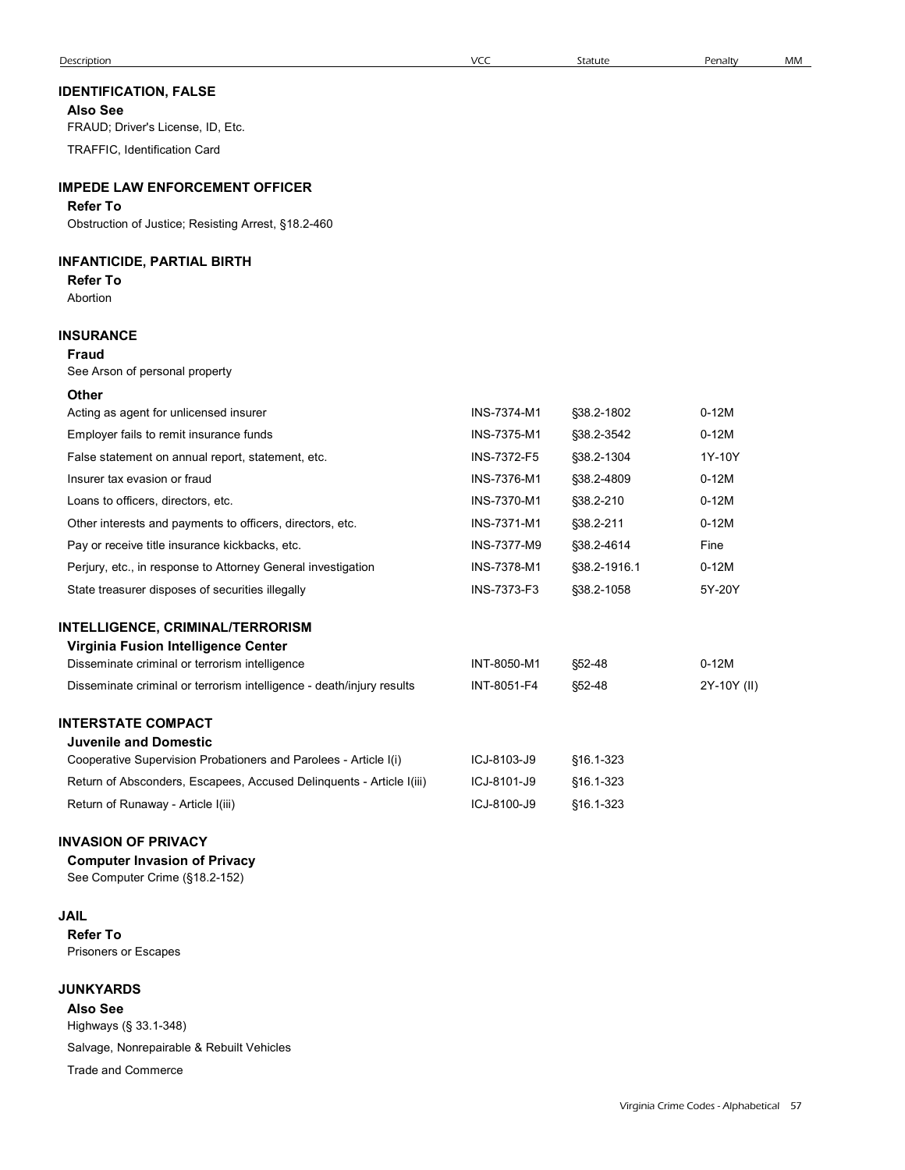## IDENTIFICATION, FALSE

### IMPEDE LAW ENFORCEMENT OFFICER

### Refer To

## INFANTICIDE, PARTIAL BIRTH

#### Refer To Abortion

#### INSURANCE

#### Fraud

### **Other**

| <b>Description</b>                                                    | <b>VCC</b>  | Statute      | Penalty     | MM |
|-----------------------------------------------------------------------|-------------|--------------|-------------|----|
| <b>IDENTIFICATION, FALSE</b>                                          |             |              |             |    |
| <b>Also See</b>                                                       |             |              |             |    |
| FRAUD; Driver's License, ID, Etc.                                     |             |              |             |    |
| TRAFFIC, Identification Card                                          |             |              |             |    |
| <b>IMPEDE LAW ENFORCEMENT OFFICER</b>                                 |             |              |             |    |
| <b>Refer To</b>                                                       |             |              |             |    |
| Obstruction of Justice; Resisting Arrest, §18.2-460                   |             |              |             |    |
| <b>INFANTICIDE, PARTIAL BIRTH</b>                                     |             |              |             |    |
| <b>Refer To</b>                                                       |             |              |             |    |
| Abortion                                                              |             |              |             |    |
| INSURANCE                                                             |             |              |             |    |
| <b>Fraud</b>                                                          |             |              |             |    |
| See Arson of personal property                                        |             |              |             |    |
| Other                                                                 |             |              |             |    |
| Acting as agent for unlicensed insurer                                | INS-7374-M1 | §38.2-1802   | $0-12M$     |    |
| Employer fails to remit insurance funds                               | INS-7375-M1 | §38.2-3542   | $0-12M$     |    |
| False statement on annual report, statement, etc.                     | INS-7372-F5 | §38.2-1304   | 1Y-10Y      |    |
| Insurer tax evasion or fraud                                          | INS-7376-M1 | §38.2-4809   | $0-12M$     |    |
| Loans to officers, directors, etc.                                    | INS-7370-M1 | §38.2-210    | $0-12M$     |    |
| Other interests and payments to officers, directors, etc.             | INS-7371-M1 | §38.2-211    | $0-12M$     |    |
| Pay or receive title insurance kickbacks, etc.                        | INS-7377-M9 | §38.2-4614   | Fine        |    |
| Perjury, etc., in response to Attorney General investigation          | INS-7378-M1 | §38.2-1916.1 | $0-12M$     |    |
| State treasurer disposes of securities illegally                      | INS-7373-F3 | §38.2-1058   | 5Y-20Y      |    |
| <b>INTELLIGENCE, CRIMINAL/TERRORISM</b>                               |             |              |             |    |
| Virginia Fusion Intelligence Center                                   |             |              |             |    |
| Disseminate criminal or terrorism intelligence                        | INT-8050-M1 | §52-48       | $0-12M$     |    |
| Disseminate criminal or terrorism intelligence - death/injury results | INT-8051-F4 | §52-48       | 2Y-10Y (II) |    |
| <b>INTERSTATE COMPACT</b>                                             |             |              |             |    |
| <b>Juvenile and Domestic</b>                                          |             |              |             |    |
| Cooperative Supervision Probationers and Parolees - Article I(i)      | ICJ-8103-J9 | §16.1-323    |             |    |
| Return of Absconders, Escapees, Accused Delinquents - Article I(iii)  | ICJ-8101-J9 | §16.1-323    |             |    |
| Return of Runaway - Article I(iii)                                    | ICJ-8100-J9 | §16.1-323    |             |    |
| <b>INVASION OF PRIVACY</b>                                            |             |              |             |    |
| <b>Computer Invasion of Privacy</b>                                   |             |              |             |    |
| See Computer Crime (§18.2-152)                                        |             |              |             |    |

| Cooperative Capervision in repationers and rancices in the it is     | 1 UU U IUU UU |  |
|----------------------------------------------------------------------|---------------|--|
| Return of Absconders, Escapees, Accused Delinguents - Article I(iii) | ICJ-8101-J9   |  |
| Return of Runaway - Article I(iii)                                   | ICJ-8100-J9   |  |

## INVASION OF PRIVACY

# Computer Invasion of Privacy

### JAIL

Refer To Prisoners or Escapes

### **JUNKYARDS**

Also See

Highways (§ 33.1-348)

Salvage, Nonrepairable & Rebuilt Vehicles

Trade and Commerce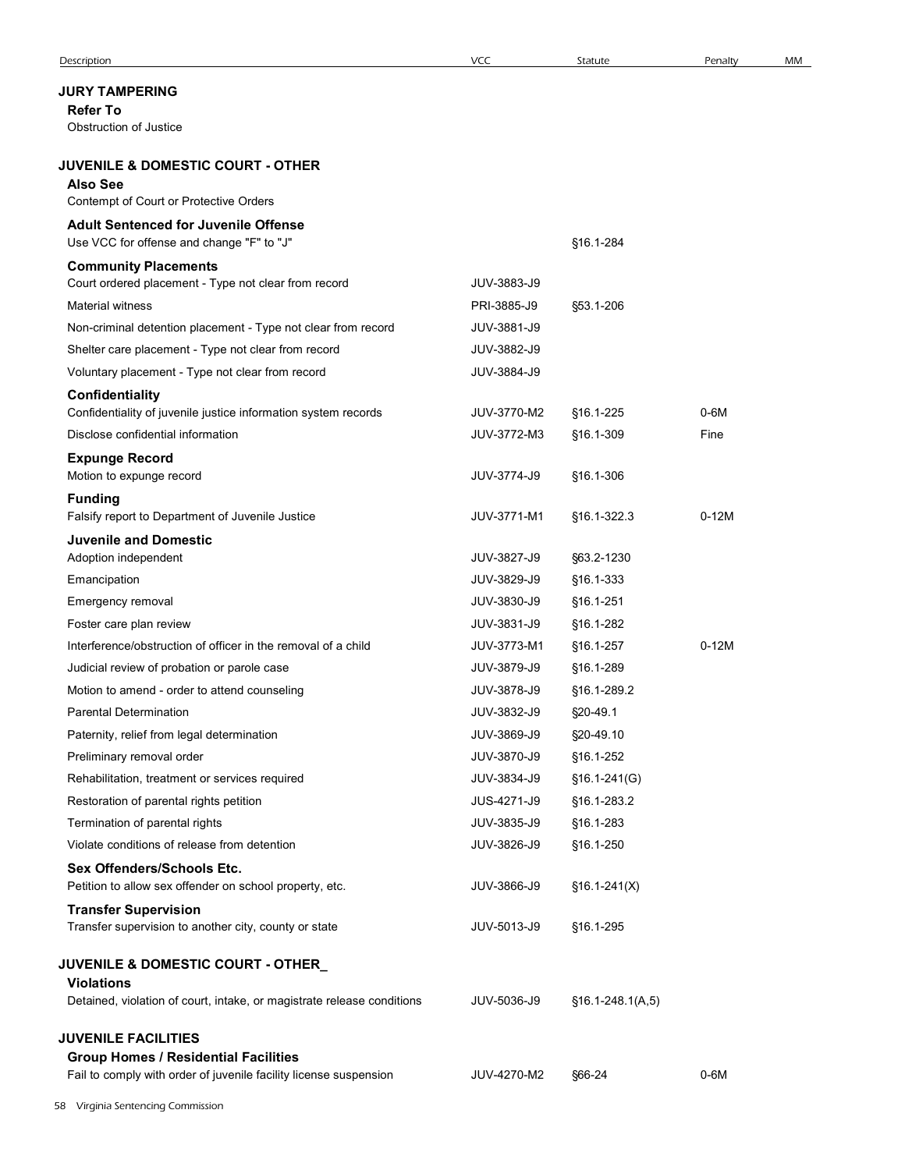## JURY TAMPERING

|                                                                                                                  | <b>VCC</b>  | Statute            | Penalty | MM |
|------------------------------------------------------------------------------------------------------------------|-------------|--------------------|---------|----|
| <b>JURY TAMPERING</b>                                                                                            |             |                    |         |    |
| <b>Refer To</b><br>Obstruction of Justice                                                                        |             |                    |         |    |
| <b>JUVENILE &amp; DOMESTIC COURT - OTHER</b>                                                                     |             |                    |         |    |
| <b>Also See</b>                                                                                                  |             |                    |         |    |
| Contempt of Court or Protective Orders                                                                           |             |                    |         |    |
| <b>Adult Sentenced for Juvenile Offense</b><br>Use VCC for offense and change "F" to "J"                         |             | §16.1-284          |         |    |
| <b>Community Placements</b><br>Court ordered placement - Type not clear from record                              | JUV-3883-J9 |                    |         |    |
| <b>Material witness</b>                                                                                          | PRI-3885-J9 | §53.1-206          |         |    |
| Non-criminal detention placement - Type not clear from record                                                    | JUV-3881-J9 |                    |         |    |
| Shelter care placement - Type not clear from record                                                              | JUV-3882-J9 |                    |         |    |
| Voluntary placement - Type not clear from record                                                                 | JUV-3884-J9 |                    |         |    |
| Confidentiality<br>Confidentiality of juvenile justice information system records                                | JUV-3770-M2 | §16.1-225          | $0-6M$  |    |
| Disclose confidential information                                                                                | JUV-3772-M3 | §16.1-309          | Fine    |    |
| <b>Expunge Record</b><br>Motion to expunge record                                                                | JUV-3774-J9 | §16.1-306          |         |    |
| <b>Funding</b>                                                                                                   |             |                    |         |    |
| Falsify report to Department of Juvenile Justice                                                                 | JUV-3771-M1 | §16.1-322.3        | $0-12M$ |    |
| <b>Juvenile and Domestic</b><br>Adoption independent                                                             | JUV-3827-J9 | §63.2-1230         |         |    |
| Emancipation                                                                                                     | JUV-3829-J9 | §16.1-333          |         |    |
| Emergency removal                                                                                                | JUV-3830-J9 | §16.1-251          |         |    |
| Foster care plan review                                                                                          | JUV-3831-J9 | §16.1-282          |         |    |
| Interference/obstruction of officer in the removal of a child                                                    | JUV-3773-M1 | §16.1-257          | $0-12M$ |    |
| Judicial review of probation or parole case                                                                      | JUV-3879-J9 | §16.1-289          |         |    |
| Motion to amend - order to attend counseling                                                                     | JUV-3878-J9 | §16.1-289.2        |         |    |
| <b>Parental Determination</b>                                                                                    | JUV-3832-J9 | §20-49.1           |         |    |
| Paternity, relief from legal determination                                                                       | JUV-3869-J9 | §20-49.10          |         |    |
| Preliminary removal order                                                                                        | JUV-3870-J9 | §16.1-252          |         |    |
| Rehabilitation, treatment or services required                                                                   | JUV-3834-J9 | $$16.1-241(G)$     |         |    |
| Restoration of parental rights petition                                                                          | JUS-4271-J9 | §16.1-283.2        |         |    |
| Termination of parental rights                                                                                   | JUV-3835-J9 | §16.1-283          |         |    |
| Violate conditions of release from detention<br>Sex Offenders/Schools Etc.                                       | JUV-3826-J9 | §16.1-250          |         |    |
| Petition to allow sex offender on school property, etc.                                                          | JUV-3866-J9 | $$16.1-241(X)$     |         |    |
| <b>Transfer Supervision</b><br>Transfer supervision to another city, county or state                             | JUV-5013-J9 | §16.1-295          |         |    |
| <b>JUVENILE &amp; DOMESTIC COURT - OTHER_</b>                                                                    |             |                    |         |    |
| <b>Violations</b><br>Detained, violation of court, intake, or magistrate release conditions                      | JUV-5036-J9 | $$16.1-248.1(A,5)$ |         |    |
| <b>JUVENILE FACILITIES</b>                                                                                       |             |                    |         |    |
| <b>Group Homes / Residential Facilities</b><br>Fail to comply with order of juvenile facility license suspension | JUV-4270-M2 | §66-24             | $0-6M$  |    |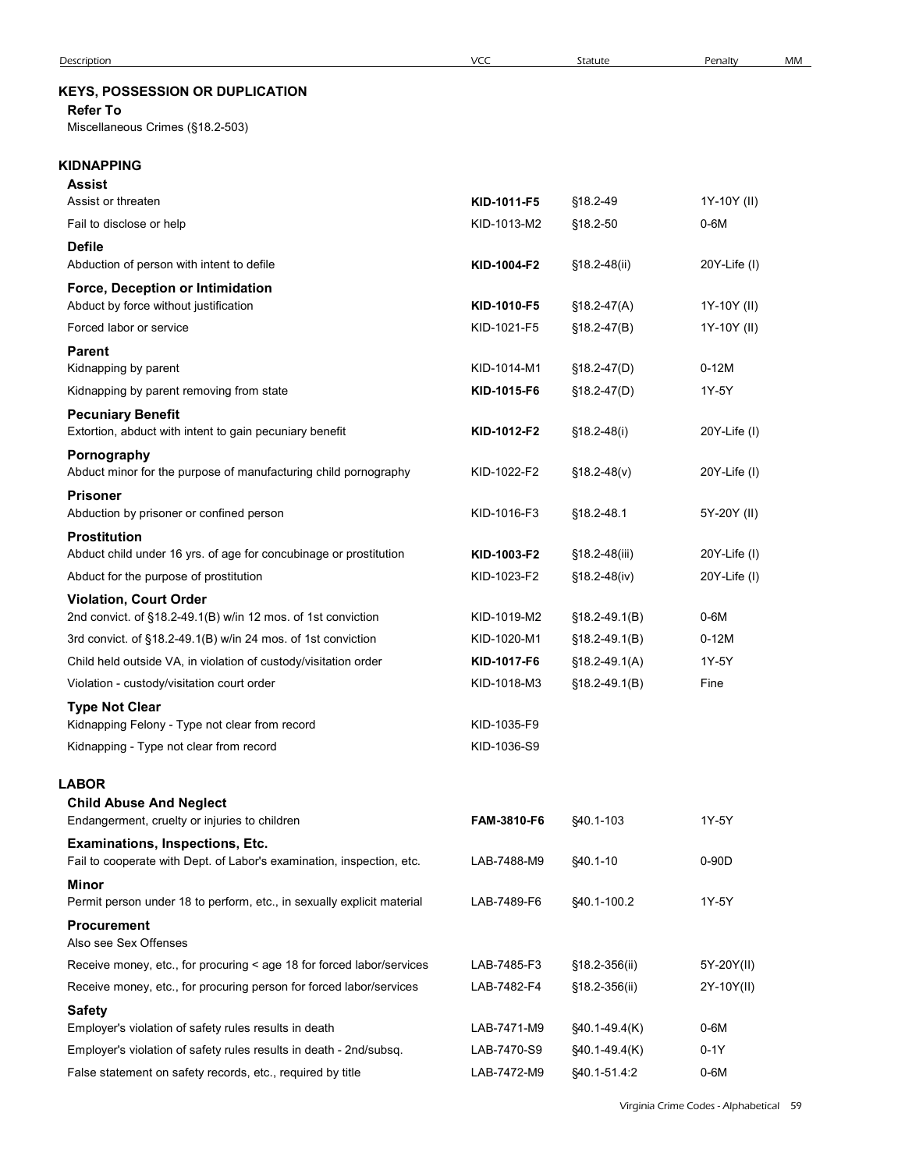# KEYS, POSSESSION OR DUPLICATION

| <b>Description</b>                                                                                                          | <b>VCC</b>                 | Statute                       | MM<br>Penalty     |
|-----------------------------------------------------------------------------------------------------------------------------|----------------------------|-------------------------------|-------------------|
| <b>KEYS, POSSESSION OR DUPLICATION</b>                                                                                      |                            |                               |                   |
| <b>Refer To</b>                                                                                                             |                            |                               |                   |
| Miscellaneous Crimes (§18.2-503)                                                                                            |                            |                               |                   |
| KIDNAPPING                                                                                                                  |                            |                               |                   |
| <b>Assist</b>                                                                                                               |                            |                               |                   |
| Assist or threaten                                                                                                          | KID-1011-F5                | §18.2-49                      | 1Y-10Y (II)       |
| Fail to disclose or help                                                                                                    | KID-1013-M2                | §18.2-50                      | $0-6M$            |
| <b>Defile</b><br>Abduction of person with intent to defile                                                                  | KID-1004-F2                | §18.2-48(ii)                  | 20Y-Life (I)      |
| Force, Deception or Intimidation                                                                                            |                            |                               |                   |
| Abduct by force without justification                                                                                       | KID-1010-F5                | $$18.2-47(A)$                 | 1Y-10Y (II)       |
| Forced labor or service                                                                                                     | KID-1021-F5                | $$18.2-47(B)$                 | 1Y-10Y (II)       |
| <b>Parent</b><br>Kidnapping by parent                                                                                       | KID-1014-M1                | $$18.2-47(D)$                 | $0-12M$           |
| Kidnapping by parent removing from state                                                                                    | KID-1015-F6                | $$18.2-47(D)$                 | 1Y-5Y             |
| <b>Pecuniary Benefit</b>                                                                                                    |                            |                               |                   |
| Extortion, abduct with intent to gain pecuniary benefit                                                                     | KID-1012-F2                | $$18.2 - 48(i)$               | 20Y-Life (I)      |
| Pornography                                                                                                                 |                            |                               |                   |
| Abduct minor for the purpose of manufacturing child pornography<br><b>Prisoner</b>                                          | KID-1022-F2                | $$18.2-48(v)$                 | 20Y-Life (I)      |
| Abduction by prisoner or confined person                                                                                    | KID-1016-F3                | §18.2-48.1                    | 5Y-20Y (II)       |
| <b>Prostitution</b>                                                                                                         |                            |                               |                   |
| Abduct child under 16 yrs. of age for concubinage or prostitution                                                           | KID-1003-F2                | $$18.2-48(iii)$               | $20Y$ -Life $(I)$ |
| Abduct for the purpose of prostitution                                                                                      | KID-1023-F2                | $$18.2-48(iv)$                | $20Y$ -Life $(1)$ |
| <b>Violation, Court Order</b><br>2nd convict. of §18.2-49.1(B) w/in 12 mos. of 1st conviction                               | KID-1019-M2                | $$18.2-49.1(B)$               | 0-6M              |
| 3rd convict. of §18.2-49.1(B) w/in 24 mos. of 1st conviction                                                                | KID-1020-M1                | $$18.2-49.1(B)$               | $0-12M$           |
| Child held outside VA, in violation of custody/visitation order                                                             | KID-1017-F6                | $$18.2-49.1(A)$               | 1Y-5Y             |
| Violation - custody/visitation court order                                                                                  | KID-1018-M3                | $$18.2-49.1(B)$               | Fine              |
| <b>Type Not Clear</b>                                                                                                       |                            |                               |                   |
| Kidnapping Felony - Type not clear from record<br>Kidnapping - Type not clear from record                                   | KID-1035-F9<br>KID-1036-S9 |                               |                   |
|                                                                                                                             |                            |                               |                   |
| LABOR                                                                                                                       |                            |                               |                   |
| <b>Child Abuse And Neglect</b><br>Endangerment, cruelty or injuries to children                                             | FAM-3810-F6                | §40.1-103                     | 1Y-5Y             |
| Examinations, Inspections, Etc.                                                                                             |                            |                               |                   |
| Fail to cooperate with Dept. of Labor's examination, inspection, etc.                                                       | LAB-7488-M9                | §40.1-10                      | 0-90D             |
| Minor                                                                                                                       |                            |                               |                   |
| Permit person under 18 to perform, etc., in sexually explicit material<br><b>Procurement</b>                                | LAB-7489-F6                | \$40.1-100.2                  | 1Y-5Y             |
| Also see Sex Offenses                                                                                                       |                            |                               |                   |
| Receive money, etc., for procuring < age 18 for forced labor/services                                                       | LAB-7485-F3                | §18.2-356(ii)                 | 5Y-20Y(II)        |
| Receive money, etc., for procuring person for forced labor/services                                                         | LAB-7482-F4                | §18.2-356(ii)                 | 2Y-10Y(II)        |
| <b>Safety</b>                                                                                                               |                            |                               |                   |
| Employer's violation of safety rules results in death<br>Employer's violation of safety rules results in death - 2nd/subsq. | LAB-7471-M9                | §40.1-49.4(K)                 | $0-6M$<br>$0-1Y$  |
| False statement on safety records, etc., required by title                                                                  | LAB-7470-S9<br>LAB-7472-M9 | §40.1-49.4(K)<br>§40.1-51.4:2 | $0-6M$            |
|                                                                                                                             |                            |                               |                   |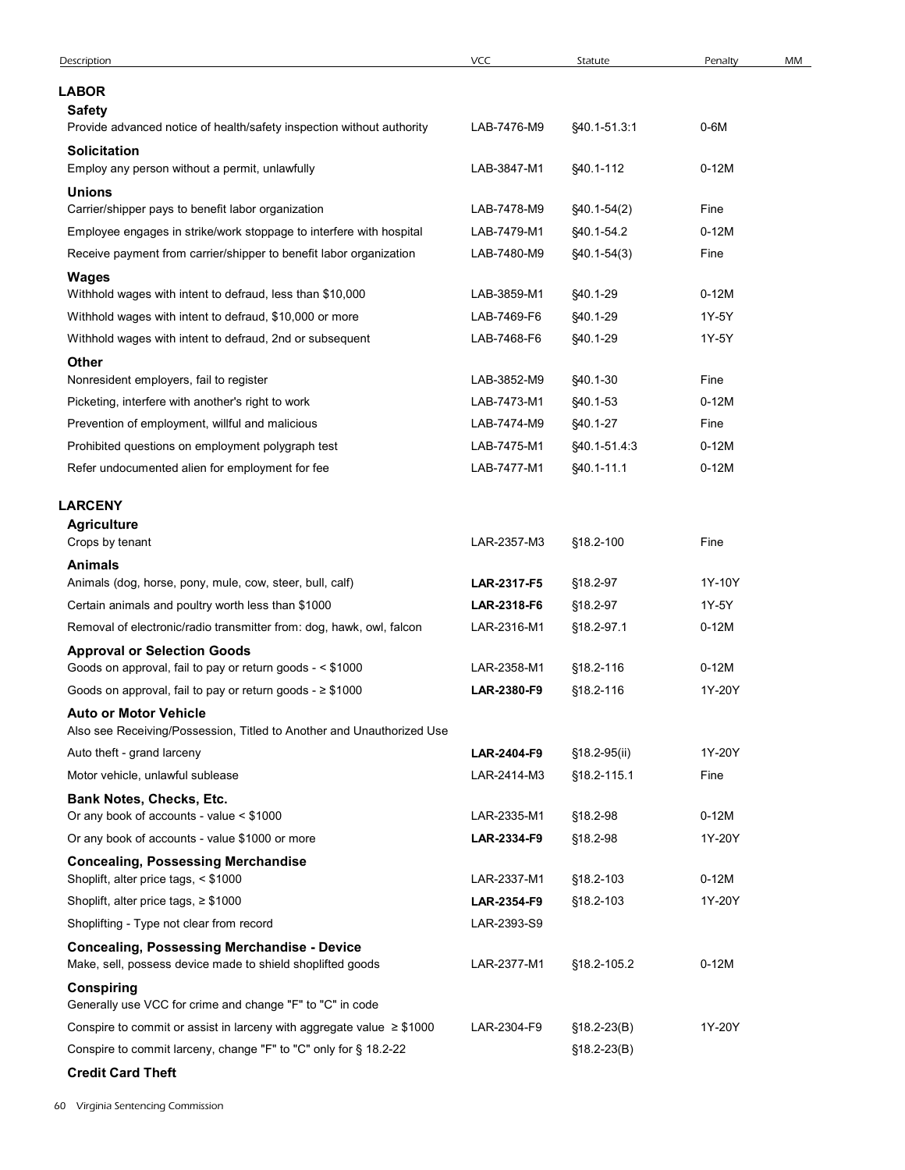| Description                                                                                                                               | <b>VCC</b>                 | Statute                     | Penalty<br>MM   |
|-------------------------------------------------------------------------------------------------------------------------------------------|----------------------------|-----------------------------|-----------------|
| <b>LABOR</b>                                                                                                                              |                            |                             |                 |
| <b>Safety</b>                                                                                                                             |                            |                             |                 |
| Provide advanced notice of health/safety inspection without authority<br>Solicitation                                                     | LAB-7476-M9                | §40.1-51.3:1                | $0-6M$          |
| Employ any person without a permit, unlawfully                                                                                            | LAB-3847-M1                | §40.1-112                   | $0-12M$         |
| <b>Unions</b>                                                                                                                             |                            |                             |                 |
| Carrier/shipper pays to benefit labor organization                                                                                        | LAB-7478-M9                | $$40.1-54(2)$               | Fine            |
| Employee engages in strike/work stoppage to interfere with hospital<br>Receive payment from carrier/shipper to benefit labor organization | LAB-7479-M1<br>LAB-7480-M9 | §40.1-54.2<br>$$40.1-54(3)$ | $0-12M$<br>Fine |
| <b>Wages</b>                                                                                                                              |                            |                             |                 |
| Withhold wages with intent to defraud, less than \$10,000                                                                                 | LAB-3859-M1                | §40.1-29                    | $0-12M$         |
| Withhold wages with intent to defraud, \$10,000 or more                                                                                   | LAB-7469-F6                | §40.1-29                    | 1Y-5Y           |
| Withhold wages with intent to defraud, 2nd or subsequent                                                                                  | LAB-7468-F6                | §40.1-29                    | 1Y-5Y           |
| Other<br>Nonresident employers, fail to register                                                                                          | LAB-3852-M9                | §40.1-30                    | Fine            |
| Picketing, interfere with another's right to work                                                                                         | LAB-7473-M1                | §40.1-53                    | $0-12M$         |
| Prevention of employment, willful and malicious                                                                                           | LAB-7474-M9                | §40.1-27                    | Fine            |
| Prohibited questions on employment polygraph test                                                                                         | LAB-7475-M1                | §40.1-51.4:3                | $0-12M$         |
| Refer undocumented alien for employment for fee                                                                                           | LAB-7477-M1                | §40.1-11.1                  | $0-12M$         |
| <b>LARCENY</b>                                                                                                                            |                            |                             |                 |
| <b>Agriculture</b>                                                                                                                        |                            |                             |                 |
| Crops by tenant                                                                                                                           | LAR-2357-M3                | §18.2-100                   | Fine            |
| <b>Animals</b><br>Animals (dog, horse, pony, mule, cow, steer, bull, calf)                                                                | LAR-2317-F5                | §18.2-97                    | 1Y-10Y          |
| Certain animals and poultry worth less than \$1000                                                                                        | LAR-2318-F6                | §18.2-97                    | 1Y-5Y           |
| Removal of electronic/radio transmitter from: dog, hawk, owl, falcon                                                                      | LAR-2316-M1                | §18.2-97.1                  | $0-12M$         |
| <b>Approval or Selection Goods</b>                                                                                                        |                            |                             |                 |
| Goods on approval, fail to pay or return goods - < \$1000                                                                                 | LAR-2358-M1                | §18.2-116                   | $0-12M$         |
| Goods on approval, fail to pay or return goods - $\geq$ \$1000                                                                            | LAR-2380-F9                | §18.2-116                   | 1Y-20Y          |
| <b>Auto or Motor Vehicle</b><br>Also see Receiving/Possession, Titled to Another and Unauthorized Use                                     |                            |                             |                 |
| Auto theft - grand larceny                                                                                                                | LAR-2404-F9                | §18.2-95(ii)                | 1Y-20Y          |
| Motor vehicle, unlawful sublease                                                                                                          | LAR-2414-M3                | §18.2-115.1                 | Fine            |
| Bank Notes, Checks, Etc.                                                                                                                  |                            |                             |                 |
| Or any book of accounts - value < \$1000                                                                                                  | LAR-2335-M1                | §18.2-98                    | $0-12M$         |
| Or any book of accounts - value \$1000 or more                                                                                            | LAR-2334-F9                | §18.2-98                    | 1Y-20Y          |
| <b>Concealing, Possessing Merchandise</b><br>Shoplift, alter price tags, < \$1000                                                         | LAR-2337-M1                | §18.2-103                   | $0-12M$         |
| Shoplift, alter price tags, $\geq$ \$1000                                                                                                 | LAR-2354-F9                | §18.2-103                   | 1Y-20Y          |
| Shoplifting - Type not clear from record                                                                                                  | LAR-2393-S9                |                             |                 |
| <b>Concealing, Possessing Merchandise - Device</b><br>Make, sell, possess device made to shield shoplifted goods                          | LAR-2377-M1                | §18.2-105.2                 | $0-12M$         |
| <b>Conspiring</b><br>Generally use VCC for crime and change "F" to "C" in code                                                            |                            |                             |                 |
| Conspire to commit or assist in larceny with aggregate value $\geq$ \$1000                                                                | LAR-2304-F9                | $$18.2 - 23(B)$             | 1Y-20Y          |
| Conspire to commit larceny, change "F" to "C" only for § 18.2-22                                                                          |                            | $$18.2-23(B)$               |                 |
| <b>Credit Card Theft</b>                                                                                                                  |                            |                             |                 |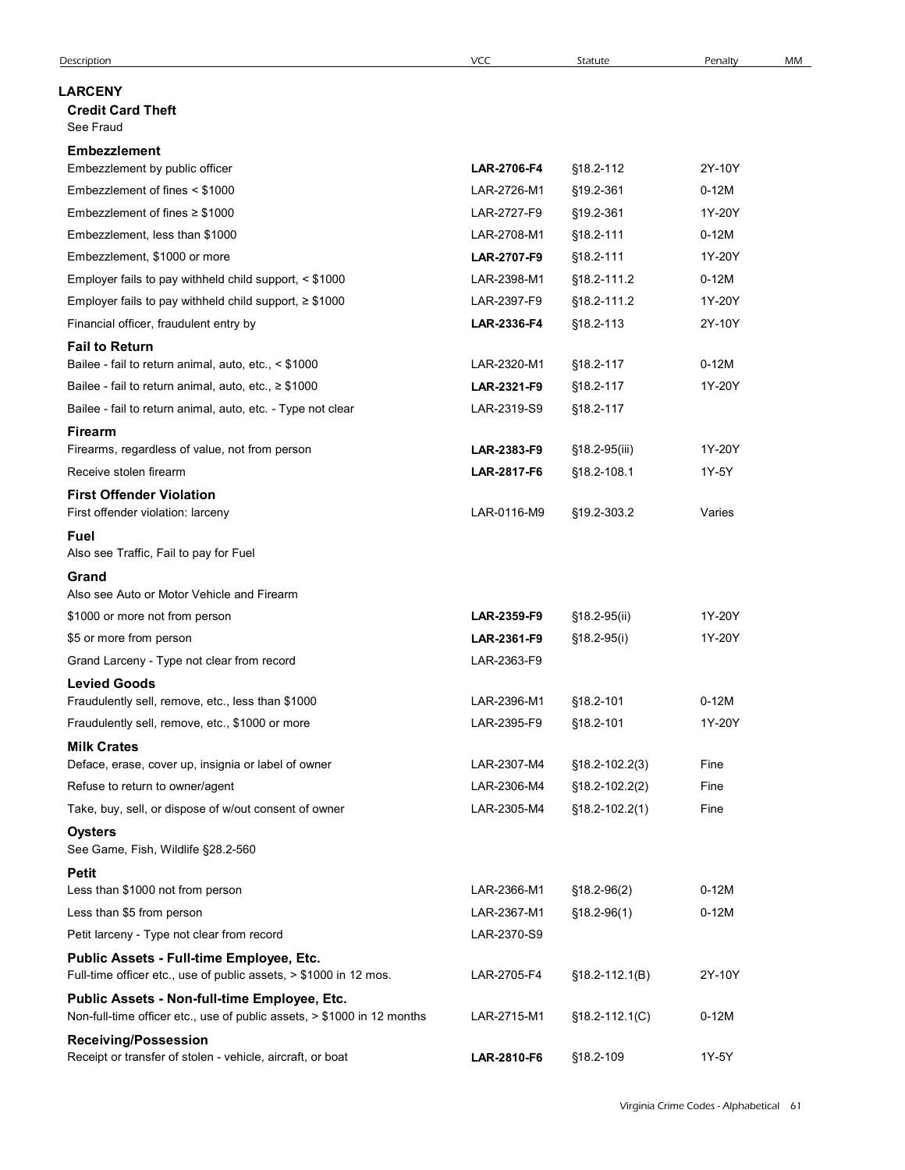| <b>VCC</b><br>Statute<br>MM<br>Description<br>Penalty<br><b>LARCENY</b><br><b>Credit Card Theft</b><br>See Fraud<br><b>Embezzlement</b><br>LAR-2706-F4<br>§18.2-112<br>2Y-10Y<br>Embezzlement by public officer<br>Embezzlement of fines < \$1000<br>LAR-2726-M1<br>§19.2-361<br>$0-12M$<br>Embezzlement of fines $\geq$ \$1000<br>LAR-2727-F9<br>§19.2-361<br>1Y-20Y<br>LAR-2708-M1<br>§18.2-111<br>$0-12M$<br>Embezzlement, less than \$1000<br>1Y-20Y<br>Embezzlement, \$1000 or more<br>§18.2-111<br><b>LAR-2707-F9</b><br>LAR-2398-M1<br>§18.2-111.2<br>$0-12M$<br>Employer fails to pay withheld child support, < \$1000<br>1Y-20Y<br>Employer fails to pay withheld child support, $\geq$ \$1000<br>LAR-2397-F9<br>§18.2-111.2<br>Financial officer, fraudulent entry by<br>§18.2-113<br>2Y-10Y<br>LAR-2336-F4<br><b>Fail to Return</b><br>Bailee - fail to return animal, auto, etc., < \$1000<br>LAR-2320-M1<br>§18.2-117<br>$0-12M$<br>Bailee - fail to return animal, auto, etc., ≥ \$1000<br>1Y-20Y<br>LAR-2321-F9<br>§18.2-117<br>Bailee - fail to return animal, auto, etc. - Type not clear<br>LAR-2319-S9<br>§18.2-117<br><b>Firearm</b><br>Firearms, regardless of value, not from person<br>LAR-2383-F9<br>§18.2-95(iii)<br>1Y-20Y<br>1Y-5Y<br>Receive stolen firearm<br>§18.2-108.1<br>LAR-2817-F6<br><b>First Offender Violation</b><br>First offender violation: larceny<br>LAR-0116-M9<br>§19.2-303.2<br>Varies<br>Fuel<br>Also see Traffic, Fail to pay for Fuel<br>Grand<br>Also see Auto or Motor Vehicle and Firearm<br>LAR-2359-F9<br>§18.2-95(ii)<br>1Y-20Y<br>\$1000 or more not from person<br>1Y-20Y<br>\$5 or more from person<br>LAR-2361-F9<br>$$18.2-95(i)$<br>LAR-2363-F9<br>Grand Larceny - Type not clear from record<br><b>Levied Goods</b><br>$0-12M$<br>Fraudulently sell, remove, etc., less than \$1000<br>LAR-2396-M1<br>§18.2-101<br>1Y-20Y<br>Fraudulently sell, remove, etc., \$1000 or more<br>LAR-2395-F9<br>§18.2-101<br><b>Milk Crates</b><br>Deface, erase, cover up, insignia or label of owner<br>LAR-2307-M4<br>Fine<br>§18.2-102.2(3)<br>Refuse to return to owner/agent<br>LAR-2306-M4<br>Fine<br>$$18.2 - 102.2(2)$<br>Take, buy, sell, or dispose of w/out consent of owner<br>LAR-2305-M4<br>Fine<br>$$18.2 - 102.2(1)$<br><b>Oysters</b><br>See Game, Fish, Wildlife §28.2-560 |
|---------------------------------------------------------------------------------------------------------------------------------------------------------------------------------------------------------------------------------------------------------------------------------------------------------------------------------------------------------------------------------------------------------------------------------------------------------------------------------------------------------------------------------------------------------------------------------------------------------------------------------------------------------------------------------------------------------------------------------------------------------------------------------------------------------------------------------------------------------------------------------------------------------------------------------------------------------------------------------------------------------------------------------------------------------------------------------------------------------------------------------------------------------------------------------------------------------------------------------------------------------------------------------------------------------------------------------------------------------------------------------------------------------------------------------------------------------------------------------------------------------------------------------------------------------------------------------------------------------------------------------------------------------------------------------------------------------------------------------------------------------------------------------------------------------------------------------------------------------------------------------------------------------------------------------------------------------------------------------------------------------------------------------------------------------------------------------------------------------------------------------------------------------------------------------------------------------------------------------------------------------------------------------------------------------------------------------------------|
|                                                                                                                                                                                                                                                                                                                                                                                                                                                                                                                                                                                                                                                                                                                                                                                                                                                                                                                                                                                                                                                                                                                                                                                                                                                                                                                                                                                                                                                                                                                                                                                                                                                                                                                                                                                                                                                                                                                                                                                                                                                                                                                                                                                                                                                                                                                                             |
|                                                                                                                                                                                                                                                                                                                                                                                                                                                                                                                                                                                                                                                                                                                                                                                                                                                                                                                                                                                                                                                                                                                                                                                                                                                                                                                                                                                                                                                                                                                                                                                                                                                                                                                                                                                                                                                                                                                                                                                                                                                                                                                                                                                                                                                                                                                                             |
|                                                                                                                                                                                                                                                                                                                                                                                                                                                                                                                                                                                                                                                                                                                                                                                                                                                                                                                                                                                                                                                                                                                                                                                                                                                                                                                                                                                                                                                                                                                                                                                                                                                                                                                                                                                                                                                                                                                                                                                                                                                                                                                                                                                                                                                                                                                                             |
|                                                                                                                                                                                                                                                                                                                                                                                                                                                                                                                                                                                                                                                                                                                                                                                                                                                                                                                                                                                                                                                                                                                                                                                                                                                                                                                                                                                                                                                                                                                                                                                                                                                                                                                                                                                                                                                                                                                                                                                                                                                                                                                                                                                                                                                                                                                                             |
|                                                                                                                                                                                                                                                                                                                                                                                                                                                                                                                                                                                                                                                                                                                                                                                                                                                                                                                                                                                                                                                                                                                                                                                                                                                                                                                                                                                                                                                                                                                                                                                                                                                                                                                                                                                                                                                                                                                                                                                                                                                                                                                                                                                                                                                                                                                                             |
|                                                                                                                                                                                                                                                                                                                                                                                                                                                                                                                                                                                                                                                                                                                                                                                                                                                                                                                                                                                                                                                                                                                                                                                                                                                                                                                                                                                                                                                                                                                                                                                                                                                                                                                                                                                                                                                                                                                                                                                                                                                                                                                                                                                                                                                                                                                                             |
|                                                                                                                                                                                                                                                                                                                                                                                                                                                                                                                                                                                                                                                                                                                                                                                                                                                                                                                                                                                                                                                                                                                                                                                                                                                                                                                                                                                                                                                                                                                                                                                                                                                                                                                                                                                                                                                                                                                                                                                                                                                                                                                                                                                                                                                                                                                                             |
|                                                                                                                                                                                                                                                                                                                                                                                                                                                                                                                                                                                                                                                                                                                                                                                                                                                                                                                                                                                                                                                                                                                                                                                                                                                                                                                                                                                                                                                                                                                                                                                                                                                                                                                                                                                                                                                                                                                                                                                                                                                                                                                                                                                                                                                                                                                                             |
|                                                                                                                                                                                                                                                                                                                                                                                                                                                                                                                                                                                                                                                                                                                                                                                                                                                                                                                                                                                                                                                                                                                                                                                                                                                                                                                                                                                                                                                                                                                                                                                                                                                                                                                                                                                                                                                                                                                                                                                                                                                                                                                                                                                                                                                                                                                                             |
|                                                                                                                                                                                                                                                                                                                                                                                                                                                                                                                                                                                                                                                                                                                                                                                                                                                                                                                                                                                                                                                                                                                                                                                                                                                                                                                                                                                                                                                                                                                                                                                                                                                                                                                                                                                                                                                                                                                                                                                                                                                                                                                                                                                                                                                                                                                                             |
|                                                                                                                                                                                                                                                                                                                                                                                                                                                                                                                                                                                                                                                                                                                                                                                                                                                                                                                                                                                                                                                                                                                                                                                                                                                                                                                                                                                                                                                                                                                                                                                                                                                                                                                                                                                                                                                                                                                                                                                                                                                                                                                                                                                                                                                                                                                                             |
|                                                                                                                                                                                                                                                                                                                                                                                                                                                                                                                                                                                                                                                                                                                                                                                                                                                                                                                                                                                                                                                                                                                                                                                                                                                                                                                                                                                                                                                                                                                                                                                                                                                                                                                                                                                                                                                                                                                                                                                                                                                                                                                                                                                                                                                                                                                                             |
|                                                                                                                                                                                                                                                                                                                                                                                                                                                                                                                                                                                                                                                                                                                                                                                                                                                                                                                                                                                                                                                                                                                                                                                                                                                                                                                                                                                                                                                                                                                                                                                                                                                                                                                                                                                                                                                                                                                                                                                                                                                                                                                                                                                                                                                                                                                                             |
|                                                                                                                                                                                                                                                                                                                                                                                                                                                                                                                                                                                                                                                                                                                                                                                                                                                                                                                                                                                                                                                                                                                                                                                                                                                                                                                                                                                                                                                                                                                                                                                                                                                                                                                                                                                                                                                                                                                                                                                                                                                                                                                                                                                                                                                                                                                                             |
|                                                                                                                                                                                                                                                                                                                                                                                                                                                                                                                                                                                                                                                                                                                                                                                                                                                                                                                                                                                                                                                                                                                                                                                                                                                                                                                                                                                                                                                                                                                                                                                                                                                                                                                                                                                                                                                                                                                                                                                                                                                                                                                                                                                                                                                                                                                                             |
|                                                                                                                                                                                                                                                                                                                                                                                                                                                                                                                                                                                                                                                                                                                                                                                                                                                                                                                                                                                                                                                                                                                                                                                                                                                                                                                                                                                                                                                                                                                                                                                                                                                                                                                                                                                                                                                                                                                                                                                                                                                                                                                                                                                                                                                                                                                                             |
|                                                                                                                                                                                                                                                                                                                                                                                                                                                                                                                                                                                                                                                                                                                                                                                                                                                                                                                                                                                                                                                                                                                                                                                                                                                                                                                                                                                                                                                                                                                                                                                                                                                                                                                                                                                                                                                                                                                                                                                                                                                                                                                                                                                                                                                                                                                                             |
|                                                                                                                                                                                                                                                                                                                                                                                                                                                                                                                                                                                                                                                                                                                                                                                                                                                                                                                                                                                                                                                                                                                                                                                                                                                                                                                                                                                                                                                                                                                                                                                                                                                                                                                                                                                                                                                                                                                                                                                                                                                                                                                                                                                                                                                                                                                                             |
|                                                                                                                                                                                                                                                                                                                                                                                                                                                                                                                                                                                                                                                                                                                                                                                                                                                                                                                                                                                                                                                                                                                                                                                                                                                                                                                                                                                                                                                                                                                                                                                                                                                                                                                                                                                                                                                                                                                                                                                                                                                                                                                                                                                                                                                                                                                                             |
|                                                                                                                                                                                                                                                                                                                                                                                                                                                                                                                                                                                                                                                                                                                                                                                                                                                                                                                                                                                                                                                                                                                                                                                                                                                                                                                                                                                                                                                                                                                                                                                                                                                                                                                                                                                                                                                                                                                                                                                                                                                                                                                                                                                                                                                                                                                                             |
|                                                                                                                                                                                                                                                                                                                                                                                                                                                                                                                                                                                                                                                                                                                                                                                                                                                                                                                                                                                                                                                                                                                                                                                                                                                                                                                                                                                                                                                                                                                                                                                                                                                                                                                                                                                                                                                                                                                                                                                                                                                                                                                                                                                                                                                                                                                                             |
|                                                                                                                                                                                                                                                                                                                                                                                                                                                                                                                                                                                                                                                                                                                                                                                                                                                                                                                                                                                                                                                                                                                                                                                                                                                                                                                                                                                                                                                                                                                                                                                                                                                                                                                                                                                                                                                                                                                                                                                                                                                                                                                                                                                                                                                                                                                                             |
|                                                                                                                                                                                                                                                                                                                                                                                                                                                                                                                                                                                                                                                                                                                                                                                                                                                                                                                                                                                                                                                                                                                                                                                                                                                                                                                                                                                                                                                                                                                                                                                                                                                                                                                                                                                                                                                                                                                                                                                                                                                                                                                                                                                                                                                                                                                                             |
|                                                                                                                                                                                                                                                                                                                                                                                                                                                                                                                                                                                                                                                                                                                                                                                                                                                                                                                                                                                                                                                                                                                                                                                                                                                                                                                                                                                                                                                                                                                                                                                                                                                                                                                                                                                                                                                                                                                                                                                                                                                                                                                                                                                                                                                                                                                                             |
|                                                                                                                                                                                                                                                                                                                                                                                                                                                                                                                                                                                                                                                                                                                                                                                                                                                                                                                                                                                                                                                                                                                                                                                                                                                                                                                                                                                                                                                                                                                                                                                                                                                                                                                                                                                                                                                                                                                                                                                                                                                                                                                                                                                                                                                                                                                                             |
|                                                                                                                                                                                                                                                                                                                                                                                                                                                                                                                                                                                                                                                                                                                                                                                                                                                                                                                                                                                                                                                                                                                                                                                                                                                                                                                                                                                                                                                                                                                                                                                                                                                                                                                                                                                                                                                                                                                                                                                                                                                                                                                                                                                                                                                                                                                                             |
|                                                                                                                                                                                                                                                                                                                                                                                                                                                                                                                                                                                                                                                                                                                                                                                                                                                                                                                                                                                                                                                                                                                                                                                                                                                                                                                                                                                                                                                                                                                                                                                                                                                                                                                                                                                                                                                                                                                                                                                                                                                                                                                                                                                                                                                                                                                                             |
|                                                                                                                                                                                                                                                                                                                                                                                                                                                                                                                                                                                                                                                                                                                                                                                                                                                                                                                                                                                                                                                                                                                                                                                                                                                                                                                                                                                                                                                                                                                                                                                                                                                                                                                                                                                                                                                                                                                                                                                                                                                                                                                                                                                                                                                                                                                                             |
|                                                                                                                                                                                                                                                                                                                                                                                                                                                                                                                                                                                                                                                                                                                                                                                                                                                                                                                                                                                                                                                                                                                                                                                                                                                                                                                                                                                                                                                                                                                                                                                                                                                                                                                                                                                                                                                                                                                                                                                                                                                                                                                                                                                                                                                                                                                                             |
|                                                                                                                                                                                                                                                                                                                                                                                                                                                                                                                                                                                                                                                                                                                                                                                                                                                                                                                                                                                                                                                                                                                                                                                                                                                                                                                                                                                                                                                                                                                                                                                                                                                                                                                                                                                                                                                                                                                                                                                                                                                                                                                                                                                                                                                                                                                                             |
|                                                                                                                                                                                                                                                                                                                                                                                                                                                                                                                                                                                                                                                                                                                                                                                                                                                                                                                                                                                                                                                                                                                                                                                                                                                                                                                                                                                                                                                                                                                                                                                                                                                                                                                                                                                                                                                                                                                                                                                                                                                                                                                                                                                                                                                                                                                                             |
|                                                                                                                                                                                                                                                                                                                                                                                                                                                                                                                                                                                                                                                                                                                                                                                                                                                                                                                                                                                                                                                                                                                                                                                                                                                                                                                                                                                                                                                                                                                                                                                                                                                                                                                                                                                                                                                                                                                                                                                                                                                                                                                                                                                                                                                                                                                                             |
|                                                                                                                                                                                                                                                                                                                                                                                                                                                                                                                                                                                                                                                                                                                                                                                                                                                                                                                                                                                                                                                                                                                                                                                                                                                                                                                                                                                                                                                                                                                                                                                                                                                                                                                                                                                                                                                                                                                                                                                                                                                                                                                                                                                                                                                                                                                                             |
|                                                                                                                                                                                                                                                                                                                                                                                                                                                                                                                                                                                                                                                                                                                                                                                                                                                                                                                                                                                                                                                                                                                                                                                                                                                                                                                                                                                                                                                                                                                                                                                                                                                                                                                                                                                                                                                                                                                                                                                                                                                                                                                                                                                                                                                                                                                                             |
| <b>Petit</b><br>$0-12M$<br>Less than \$1000 not from person<br>LAR-2366-M1<br>$$18.2-96(2)$                                                                                                                                                                                                                                                                                                                                                                                                                                                                                                                                                                                                                                                                                                                                                                                                                                                                                                                                                                                                                                                                                                                                                                                                                                                                                                                                                                                                                                                                                                                                                                                                                                                                                                                                                                                                                                                                                                                                                                                                                                                                                                                                                                                                                                                 |
| Less than \$5 from person<br>$0-12M$<br>LAR-2367-M1<br>$$18.2-96(1)$                                                                                                                                                                                                                                                                                                                                                                                                                                                                                                                                                                                                                                                                                                                                                                                                                                                                                                                                                                                                                                                                                                                                                                                                                                                                                                                                                                                                                                                                                                                                                                                                                                                                                                                                                                                                                                                                                                                                                                                                                                                                                                                                                                                                                                                                        |
| LAR-2370-S9<br>Petit larceny - Type not clear from record                                                                                                                                                                                                                                                                                                                                                                                                                                                                                                                                                                                                                                                                                                                                                                                                                                                                                                                                                                                                                                                                                                                                                                                                                                                                                                                                                                                                                                                                                                                                                                                                                                                                                                                                                                                                                                                                                                                                                                                                                                                                                                                                                                                                                                                                                   |
| Public Assets - Full-time Employee, Etc.<br>2Y-10Y<br>Full-time officer etc., use of public assets, > \$1000 in 12 mos.<br>LAR-2705-F4<br>$$18.2 - 112.1(B)$                                                                                                                                                                                                                                                                                                                                                                                                                                                                                                                                                                                                                                                                                                                                                                                                                                                                                                                                                                                                                                                                                                                                                                                                                                                                                                                                                                                                                                                                                                                                                                                                                                                                                                                                                                                                                                                                                                                                                                                                                                                                                                                                                                                |
| Public Assets - Non-full-time Employee, Etc.<br>Non-full-time officer etc., use of public assets, > \$1000 in 12 months<br>$0-12M$<br>LAR-2715-M1<br>$$18.2-112.1(C)$                                                                                                                                                                                                                                                                                                                                                                                                                                                                                                                                                                                                                                                                                                                                                                                                                                                                                                                                                                                                                                                                                                                                                                                                                                                                                                                                                                                                                                                                                                                                                                                                                                                                                                                                                                                                                                                                                                                                                                                                                                                                                                                                                                       |
| <b>Receiving/Possession</b><br>Receipt or transfer of stolen - vehicle, aircraft, or boat<br>1Y-5Y<br>LAR-2810-F6<br>§18.2-109                                                                                                                                                                                                                                                                                                                                                                                                                                                                                                                                                                                                                                                                                                                                                                                                                                                                                                                                                                                                                                                                                                                                                                                                                                                                                                                                                                                                                                                                                                                                                                                                                                                                                                                                                                                                                                                                                                                                                                                                                                                                                                                                                                                                              |
| Virginia Crime Codes - Alphabetical 61                                                                                                                                                                                                                                                                                                                                                                                                                                                                                                                                                                                                                                                                                                                                                                                                                                                                                                                                                                                                                                                                                                                                                                                                                                                                                                                                                                                                                                                                                                                                                                                                                                                                                                                                                                                                                                                                                                                                                                                                                                                                                                                                                                                                                                                                                                      |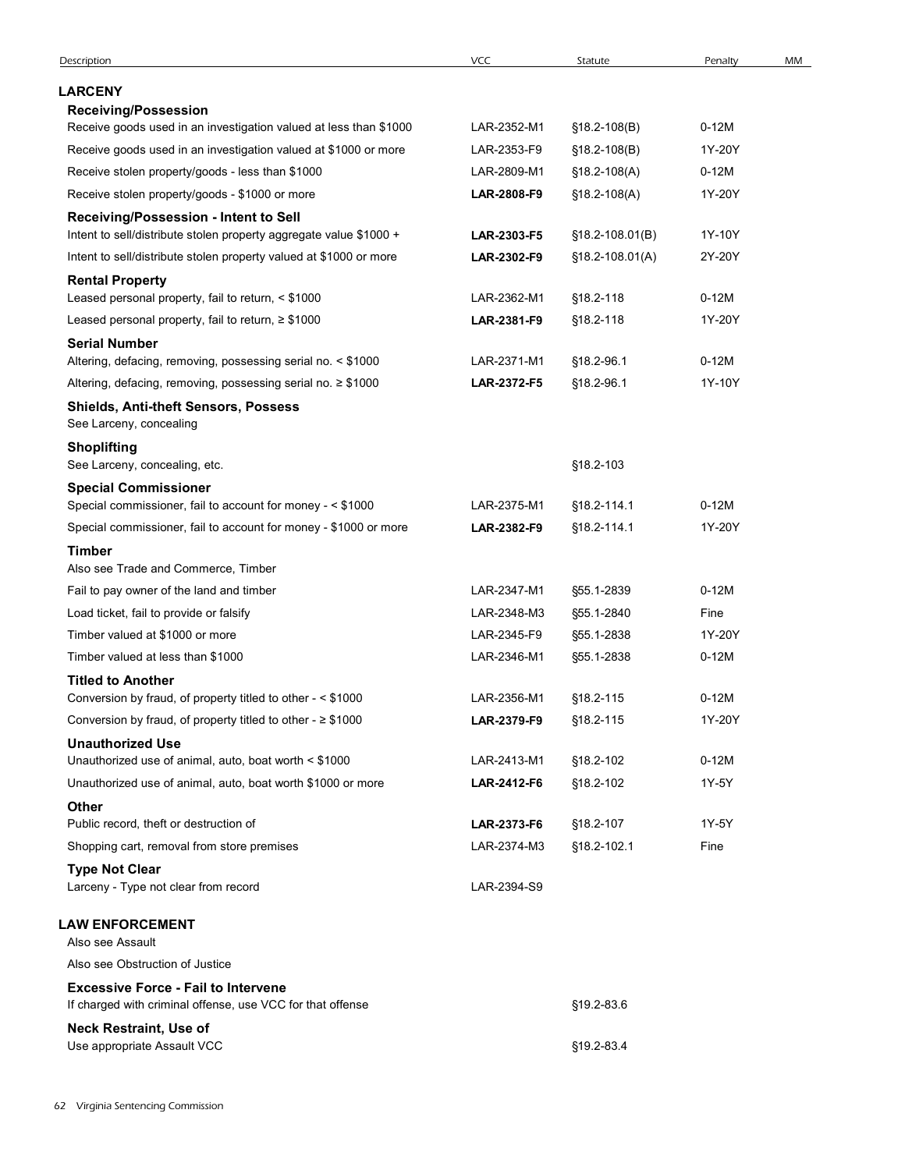| Description<br><b>LARCENY</b>                                                                            | <b>VCC</b>                 |                  |                   |    |
|----------------------------------------------------------------------------------------------------------|----------------------------|------------------|-------------------|----|
|                                                                                                          |                            | Statute          | Penalty           | MM |
|                                                                                                          |                            |                  |                   |    |
| <b>Receiving/Possession</b><br>Receive goods used in an investigation valued at less than \$1000         | LAR-2352-M1                | $$18.2 - 108(B)$ | $0-12M$           |    |
| Receive goods used in an investigation valued at \$1000 or more                                          | LAR-2353-F9                | $$18.2 - 108(B)$ | 1Y-20Y            |    |
| Receive stolen property/goods - less than \$1000                                                         | LAR-2809-M1                | §18.2-108(A)     | $0-12M$           |    |
| Receive stolen property/goods - \$1000 or more                                                           | LAR-2808-F9                | $$18.2 - 108(A)$ | 1Y-20Y            |    |
| Receiving/Possession - Intent to Sell                                                                    |                            |                  |                   |    |
| Intent to sell/distribute stolen property aggregate value \$1000 +                                       | LAR-2303-F5                | §18.2-108.01(B)  | 1Y-10Y            |    |
| Intent to sell/distribute stolen property valued at \$1000 or more                                       | LAR-2302-F9                | §18.2-108.01(A)  | 2Y-20Y            |    |
| <b>Rental Property</b><br>Leased personal property, fail to return, < \$1000                             | LAR-2362-M1                | §18.2-118        | $0-12M$           |    |
| Leased personal property, fail to return, ≥ \$1000                                                       | LAR-2381-F9                | §18.2-118        | 1Y-20Y            |    |
| <b>Serial Number</b>                                                                                     |                            |                  |                   |    |
| Altering, defacing, removing, possessing serial no. < \$1000                                             | LAR-2371-M1                | §18.2-96.1       | $0-12M$           |    |
| Altering, defacing, removing, possessing serial no. ≥ \$1000                                             | LAR-2372-F5                | §18.2-96.1       | 1Y-10Y            |    |
| Shields, Anti-theft Sensors, Possess<br>See Larceny, concealing                                          |                            |                  |                   |    |
| <b>Shoplifting</b><br>See Larceny, concealing, etc.                                                      |                            | §18.2-103        |                   |    |
| <b>Special Commissioner</b>                                                                              |                            |                  |                   |    |
| Special commissioner, fail to account for money - < \$1000                                               | LAR-2375-M1                | §18.2-114.1      | $0-12M$           |    |
| Special commissioner, fail to account for money - \$1000 or more                                         | LAR-2382-F9                | §18.2-114.1      | 1Y-20Y            |    |
| <b>Timber</b><br>Also see Trade and Commerce, Timber                                                     |                            |                  |                   |    |
| Fail to pay owner of the land and timber                                                                 | LAR-2347-M1                | §55.1-2839       | $0-12M$           |    |
| Load ticket, fail to provide or falsify                                                                  | LAR-2348-M3                | §55.1-2840       | Fine              |    |
| Timber valued at \$1000 or more                                                                          | LAR-2345-F9                | §55.1-2838       | 1Y-20Y            |    |
| Timber valued at less than \$1000                                                                        | LAR-2346-M1                | §55.1-2838       | $0-12M$           |    |
| <b>Titled to Another</b>                                                                                 |                            |                  |                   |    |
| Conversion by fraud, of property titled to other - < \$1000                                              | LAR-2356-M1<br>LAR-2379-F9 | §18.2-115        | $0-12M$<br>1Y-20Y |    |
| Conversion by fraud, of property titled to other - $\geq$ \$1000<br><b>Unauthorized Use</b>              |                            | §18.2-115        |                   |    |
| Unauthorized use of animal, auto, boat worth < \$1000                                                    | LAR-2413-M1                | §18.2-102        | $0-12M$           |    |
| Unauthorized use of animal, auto, boat worth \$1000 or more                                              | LAR-2412-F6                | §18.2-102        | 1Y-5Y             |    |
| <b>Other</b>                                                                                             |                            |                  |                   |    |
| Public record, theft or destruction of                                                                   | LAR-2373-F6                | §18.2-107        | 1Y-5Y             |    |
| Shopping cart, removal from store premises                                                               | LAR-2374-M3                | §18.2-102.1      | Fine              |    |
| <b>Type Not Clear</b><br>Larceny - Type not clear from record                                            | LAR-2394-S9                |                  |                   |    |
| <b>LAW ENFORCEMENT</b>                                                                                   |                            |                  |                   |    |
| Also see Assault                                                                                         |                            |                  |                   |    |
| Also see Obstruction of Justice                                                                          |                            |                  |                   |    |
| <b>Excessive Force - Fail to Intervene</b><br>If charged with criminal offense, use VCC for that offense |                            | §19.2-83.6       |                   |    |
| <b>Neck Restraint, Use of</b>                                                                            |                            |                  |                   |    |
| Use appropriate Assault VCC                                                                              |                            | §19.2-83.4       |                   |    |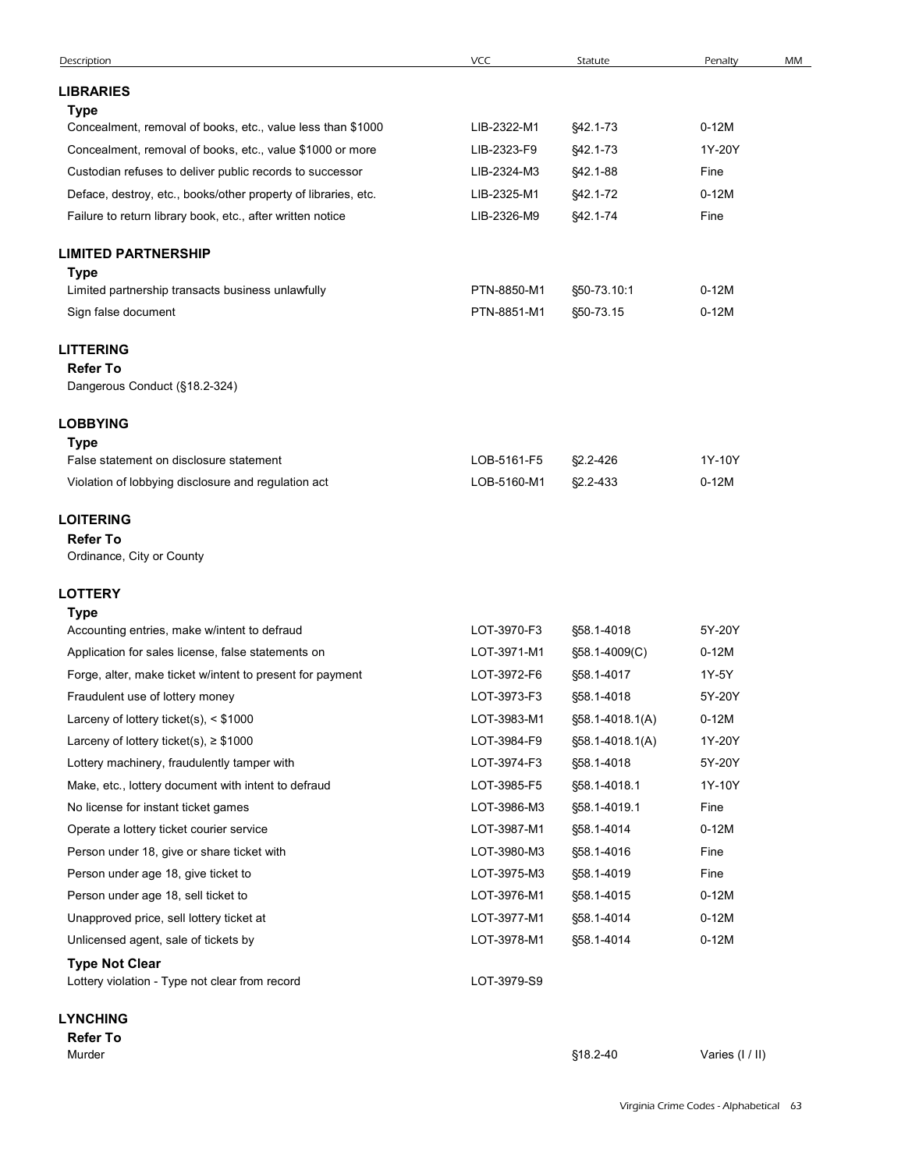| $0-12M$<br>Application for sales license, false statements on<br>LOT-3971-M1<br>§58.1-4009(C)<br>LOT-3972-F6<br>1Y-5Y<br>Forge, alter, make ticket w/intent to present for payment<br>§58.1-4017<br>Fraudulent use of lottery money<br>LOT-3973-F3<br>5Y-20Y<br>§58.1-4018<br>Larceny of lottery ticket(s), < \$1000<br>LOT-3983-M1<br>$0-12M$<br>§58.1-4018.1(A)<br>Larceny of lottery ticket(s), $\geq$ \$1000<br>LOT-3984-F9<br>1Y-20Y<br>§58.1-4018.1(A)<br>LOT-3974-F3<br>5Y-20Y<br>Lottery machinery, fraudulently tamper with<br>§58.1-4018<br>1Y-10Y<br>Make, etc., lottery document with intent to defraud<br>LOT-3985-F5<br>§58.1-4018.1<br>LOT-3986-M3<br>Fine<br>No license for instant ticket games<br>§58.1-4019.1<br>LOT-3987-M1<br>$0-12M$<br>Operate a lottery ticket courier service<br>§58.1-4014<br>LOT-3980-M3<br>Fine<br>Person under 18, give or share ticket with<br>§58.1-4016<br>LOT-3975-M3<br>Fine<br>Person under age 18, give ticket to<br>§58.1-4019<br>Person under age 18, sell ticket to<br>LOT-3976-M1<br>§58.1-4015<br>$0-12M$<br>LOT-3977-M1<br>§58.1-4014<br>$0-12M$<br>Unapproved price, sell lottery ticket at<br>LOT-3978-M1<br>$0-12M$<br>Unlicensed agent, sale of tickets by<br>§58.1-4014<br><b>Type Not Clear</b><br>Lottery violation - Type not clear from record<br>LOT-3979-S9<br><b>LYNCHING</b> |
|-----------------------------------------------------------------------------------------------------------------------------------------------------------------------------------------------------------------------------------------------------------------------------------------------------------------------------------------------------------------------------------------------------------------------------------------------------------------------------------------------------------------------------------------------------------------------------------------------------------------------------------------------------------------------------------------------------------------------------------------------------------------------------------------------------------------------------------------------------------------------------------------------------------------------------------------------------------------------------------------------------------------------------------------------------------------------------------------------------------------------------------------------------------------------------------------------------------------------------------------------------------------------------------------------------------------------------------------------------|
|                                                                                                                                                                                                                                                                                                                                                                                                                                                                                                                                                                                                                                                                                                                                                                                                                                                                                                                                                                                                                                                                                                                                                                                                                                                                                                                                                     |
|                                                                                                                                                                                                                                                                                                                                                                                                                                                                                                                                                                                                                                                                                                                                                                                                                                                                                                                                                                                                                                                                                                                                                                                                                                                                                                                                                     |
|                                                                                                                                                                                                                                                                                                                                                                                                                                                                                                                                                                                                                                                                                                                                                                                                                                                                                                                                                                                                                                                                                                                                                                                                                                                                                                                                                     |
|                                                                                                                                                                                                                                                                                                                                                                                                                                                                                                                                                                                                                                                                                                                                                                                                                                                                                                                                                                                                                                                                                                                                                                                                                                                                                                                                                     |
|                                                                                                                                                                                                                                                                                                                                                                                                                                                                                                                                                                                                                                                                                                                                                                                                                                                                                                                                                                                                                                                                                                                                                                                                                                                                                                                                                     |
|                                                                                                                                                                                                                                                                                                                                                                                                                                                                                                                                                                                                                                                                                                                                                                                                                                                                                                                                                                                                                                                                                                                                                                                                                                                                                                                                                     |
|                                                                                                                                                                                                                                                                                                                                                                                                                                                                                                                                                                                                                                                                                                                                                                                                                                                                                                                                                                                                                                                                                                                                                                                                                                                                                                                                                     |
|                                                                                                                                                                                                                                                                                                                                                                                                                                                                                                                                                                                                                                                                                                                                                                                                                                                                                                                                                                                                                                                                                                                                                                                                                                                                                                                                                     |
|                                                                                                                                                                                                                                                                                                                                                                                                                                                                                                                                                                                                                                                                                                                                                                                                                                                                                                                                                                                                                                                                                                                                                                                                                                                                                                                                                     |
|                                                                                                                                                                                                                                                                                                                                                                                                                                                                                                                                                                                                                                                                                                                                                                                                                                                                                                                                                                                                                                                                                                                                                                                                                                                                                                                                                     |
|                                                                                                                                                                                                                                                                                                                                                                                                                                                                                                                                                                                                                                                                                                                                                                                                                                                                                                                                                                                                                                                                                                                                                                                                                                                                                                                                                     |
|                                                                                                                                                                                                                                                                                                                                                                                                                                                                                                                                                                                                                                                                                                                                                                                                                                                                                                                                                                                                                                                                                                                                                                                                                                                                                                                                                     |
|                                                                                                                                                                                                                                                                                                                                                                                                                                                                                                                                                                                                                                                                                                                                                                                                                                                                                                                                                                                                                                                                                                                                                                                                                                                                                                                                                     |
|                                                                                                                                                                                                                                                                                                                                                                                                                                                                                                                                                                                                                                                                                                                                                                                                                                                                                                                                                                                                                                                                                                                                                                                                                                                                                                                                                     |
| LOT-3970-F3<br>5Y-20Y<br>Accounting entries, make w/intent to defraud<br>§58.1-4018                                                                                                                                                                                                                                                                                                                                                                                                                                                                                                                                                                                                                                                                                                                                                                                                                                                                                                                                                                                                                                                                                                                                                                                                                                                                 |
| LOTTERY<br><b>Type</b>                                                                                                                                                                                                                                                                                                                                                                                                                                                                                                                                                                                                                                                                                                                                                                                                                                                                                                                                                                                                                                                                                                                                                                                                                                                                                                                              |
| <b>Refer To</b><br>Ordinance, City or County                                                                                                                                                                                                                                                                                                                                                                                                                                                                                                                                                                                                                                                                                                                                                                                                                                                                                                                                                                                                                                                                                                                                                                                                                                                                                                        |
| <b>LOITERING</b>                                                                                                                                                                                                                                                                                                                                                                                                                                                                                                                                                                                                                                                                                                                                                                                                                                                                                                                                                                                                                                                                                                                                                                                                                                                                                                                                    |
| LOB-5161-F5<br>1Y-10Y<br>False statement on disclosure statement<br>§2.2-426<br>$0-12M$<br>Violation of lobbying disclosure and regulation act<br>LOB-5160-M1<br>§2.2-433                                                                                                                                                                                                                                                                                                                                                                                                                                                                                                                                                                                                                                                                                                                                                                                                                                                                                                                                                                                                                                                                                                                                                                           |
| <b>Type</b>                                                                                                                                                                                                                                                                                                                                                                                                                                                                                                                                                                                                                                                                                                                                                                                                                                                                                                                                                                                                                                                                                                                                                                                                                                                                                                                                         |
| Dangerous Conduct (§18.2-324)<br><b>LOBBYING</b>                                                                                                                                                                                                                                                                                                                                                                                                                                                                                                                                                                                                                                                                                                                                                                                                                                                                                                                                                                                                                                                                                                                                                                                                                                                                                                    |
| <b>LITTERING</b><br><b>Refer To</b>                                                                                                                                                                                                                                                                                                                                                                                                                                                                                                                                                                                                                                                                                                                                                                                                                                                                                                                                                                                                                                                                                                                                                                                                                                                                                                                 |
| Sign false document<br>PTN-8851-M1<br>§50-73.15<br>$0-12M$                                                                                                                                                                                                                                                                                                                                                                                                                                                                                                                                                                                                                                                                                                                                                                                                                                                                                                                                                                                                                                                                                                                                                                                                                                                                                          |
| Type<br>Limited partnership transacts business unlawfully<br>PTN-8850-M1<br>§50-73.10:1<br>$0-12M$                                                                                                                                                                                                                                                                                                                                                                                                                                                                                                                                                                                                                                                                                                                                                                                                                                                                                                                                                                                                                                                                                                                                                                                                                                                  |
| <b>LIMITED PARTNERSHIP</b>                                                                                                                                                                                                                                                                                                                                                                                                                                                                                                                                                                                                                                                                                                                                                                                                                                                                                                                                                                                                                                                                                                                                                                                                                                                                                                                          |
| LIB-2326-M9<br>Failure to return library book, etc., after written notice<br>§42.1-74<br>Fine                                                                                                                                                                                                                                                                                                                                                                                                                                                                                                                                                                                                                                                                                                                                                                                                                                                                                                                                                                                                                                                                                                                                                                                                                                                       |
| $0-12M$<br>Deface, destroy, etc., books/other property of libraries, etc.<br>LIB-2325-M1<br>§42.1-72                                                                                                                                                                                                                                                                                                                                                                                                                                                                                                                                                                                                                                                                                                                                                                                                                                                                                                                                                                                                                                                                                                                                                                                                                                                |
| Concealment, removal of books, etc., value \$1000 or more<br>LIB-2323-F9<br>§42.1-73<br>1Y-20Y<br>Custodian refuses to deliver public records to successor<br>LIB-2324-M3<br>§42.1-88<br>Fine                                                                                                                                                                                                                                                                                                                                                                                                                                                                                                                                                                                                                                                                                                                                                                                                                                                                                                                                                                                                                                                                                                                                                       |
| LIB-2322-M1<br>$0-12M$<br>Concealment, removal of books, etc., value less than \$1000<br>§42.1-73                                                                                                                                                                                                                                                                                                                                                                                                                                                                                                                                                                                                                                                                                                                                                                                                                                                                                                                                                                                                                                                                                                                                                                                                                                                   |
| <b>Type</b>                                                                                                                                                                                                                                                                                                                                                                                                                                                                                                                                                                                                                                                                                                                                                                                                                                                                                                                                                                                                                                                                                                                                                                                                                                                                                                                                         |
| <b>LIBRARIES</b>                                                                                                                                                                                                                                                                                                                                                                                                                                                                                                                                                                                                                                                                                                                                                                                                                                                                                                                                                                                                                                                                                                                                                                                                                                                                                                                                    |
| VCC<br>Description<br>Statute<br>Penalty<br>MM                                                                                                                                                                                                                                                                                                                                                                                                                                                                                                                                                                                                                                                                                                                                                                                                                                                                                                                                                                                                                                                                                                                                                                                                                                                                                                      |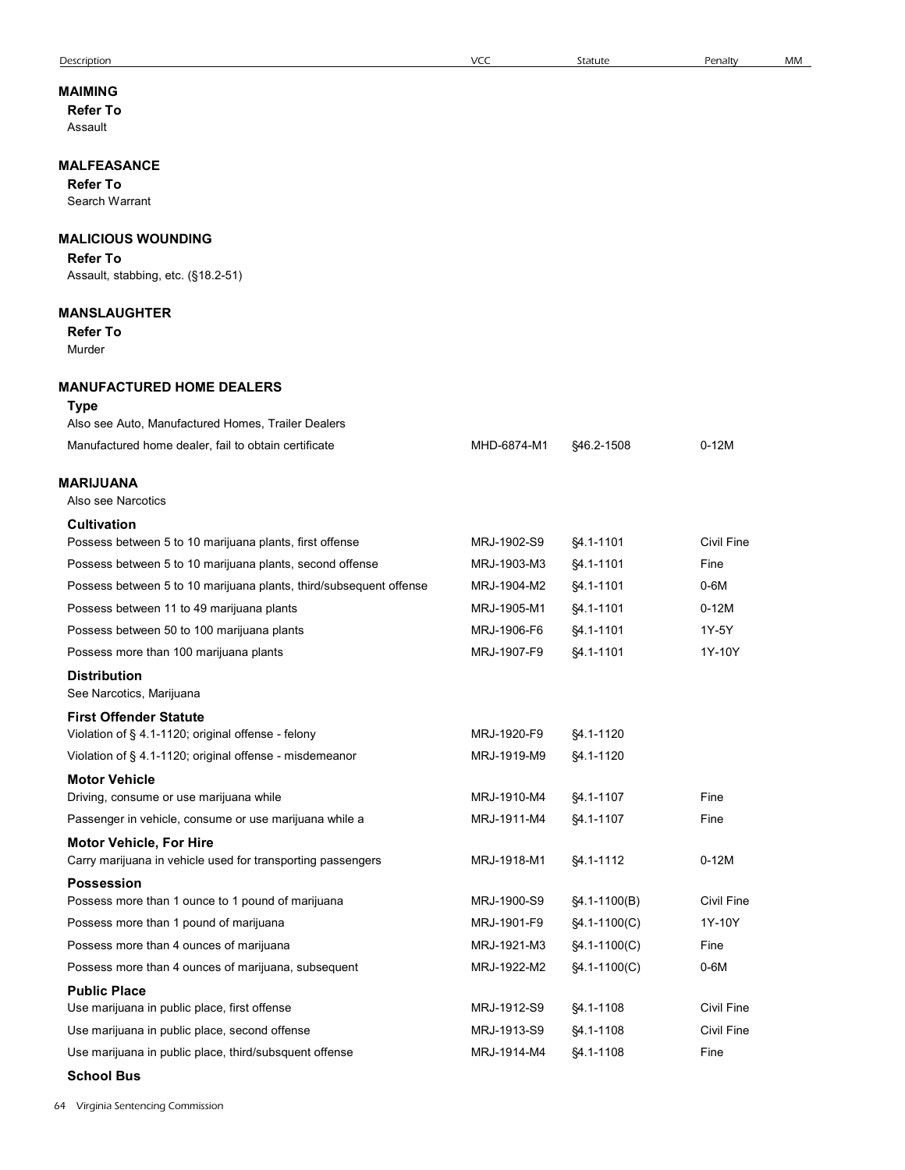| <b>Description</b>                                                            | <b>VCC</b>  | Statute        | Penalty           | MМ |
|-------------------------------------------------------------------------------|-------------|----------------|-------------------|----|
| MAIMING                                                                       |             |                |                   |    |
| <b>Refer To</b>                                                               |             |                |                   |    |
| Assault                                                                       |             |                |                   |    |
|                                                                               |             |                |                   |    |
| <b>MALFEASANCE</b><br><b>Refer To</b>                                         |             |                |                   |    |
| Search Warrant                                                                |             |                |                   |    |
|                                                                               |             |                |                   |    |
| <b>MALICIOUS WOUNDING</b>                                                     |             |                |                   |    |
| <b>Refer To</b>                                                               |             |                |                   |    |
| Assault, stabbing, etc. (§18.2-51)                                            |             |                |                   |    |
| <b>MANSLAUGHTER</b>                                                           |             |                |                   |    |
| <b>Refer To</b>                                                               |             |                |                   |    |
| Murder                                                                        |             |                |                   |    |
| <b>MANUFACTURED HOME DEALERS</b>                                              |             |                |                   |    |
| <b>Type</b>                                                                   |             |                |                   |    |
| Also see Auto, Manufactured Homes, Trailer Dealers                            |             |                |                   |    |
| Manufactured home dealer, fail to obtain certificate                          | MHD-6874-M1 | \$46.2-1508    | $0-12M$           |    |
|                                                                               |             |                |                   |    |
| <b>MARIJUANA</b>                                                              |             |                |                   |    |
| Also see Narcotics                                                            |             |                |                   |    |
| <b>Cultivation</b><br>Possess between 5 to 10 marijuana plants, first offense | MRJ-1902-S9 | §4.1-1101      | <b>Civil Fine</b> |    |
|                                                                               | MRJ-1903-M3 |                | Fine              |    |
| Possess between 5 to 10 marijuana plants, second offense                      | MRJ-1904-M2 | §4.1-1101      | $0-6M$            |    |
| Possess between 5 to 10 marijuana plants, third/subsequent offense            |             | §4.1-1101      |                   |    |
| Possess between 11 to 49 marijuana plants                                     | MRJ-1905-M1 | §4.1-1101      | $0-12M$           |    |
| Possess between 50 to 100 marijuana plants                                    | MRJ-1906-F6 | §4.1-1101      | 1Y-5Y             |    |
| Possess more than 100 marijuana plants                                        | MRJ-1907-F9 | §4.1-1101      | 1Y-10Y            |    |
| <b>Distribution</b><br>See Narcotics, Marijuana                               |             |                |                   |    |
| <b>First Offender Statute</b>                                                 |             |                |                   |    |
| Violation of § 4.1-1120; original offense - felony                            | MRJ-1920-F9 | §4.1-1120      |                   |    |
| Violation of § 4.1-1120; original offense - misdemeanor                       | MRJ-1919-M9 | §4.1-1120      |                   |    |
| <b>Motor Vehicle</b>                                                          |             |                |                   |    |
| Driving, consume or use marijuana while                                       | MRJ-1910-M4 | §4.1-1107      | Fine              |    |
| Passenger in vehicle, consume or use marijuana while a                        | MRJ-1911-M4 | §4.1-1107      | Fine              |    |
| <b>Motor Vehicle, For Hire</b>                                                |             |                |                   |    |
| Carry marijuana in vehicle used for transporting passengers                   | MRJ-1918-M1 | §4.1-1112      | $0-12M$           |    |
| <b>Possession</b>                                                             |             |                |                   |    |
| Possess more than 1 ounce to 1 pound of marijuana                             | MRJ-1900-S9 | §4.1-1100(B)   | Civil Fine        |    |
| Possess more than 1 pound of marijuana                                        | MRJ-1901-F9 | $$4.1-1100(C)$ | 1Y-10Y            |    |
| Possess more than 4 ounces of marijuana                                       | MRJ-1921-M3 | §4.1-1100(C)   | Fine              |    |
| Possess more than 4 ounces of marijuana, subsequent                           | MRJ-1922-M2 | $$4.1-1100(C)$ | $0-6M$            |    |
| <b>Public Place</b><br>Use marijuana in public place, first offense           | MRJ-1912-S9 | §4.1-1108      | Civil Fine        |    |
| Use marijuana in public place, second offense                                 | MRJ-1913-S9 | §4.1-1108      | Civil Fine        |    |
| Use marijuana in public place, third/subsquent offense                        | MRJ-1914-M4 | §4.1-1108      | Fine              |    |
| <b>School Bus</b>                                                             |             |                |                   |    |
|                                                                               |             |                |                   |    |
| 4 Virginia Sentencing Commission                                              |             |                |                   |    |
|                                                                               |             |                |                   |    |
|                                                                               |             |                |                   |    |

64 Virginia Sentencing Commission

#### Description VCC Statute Penalty MM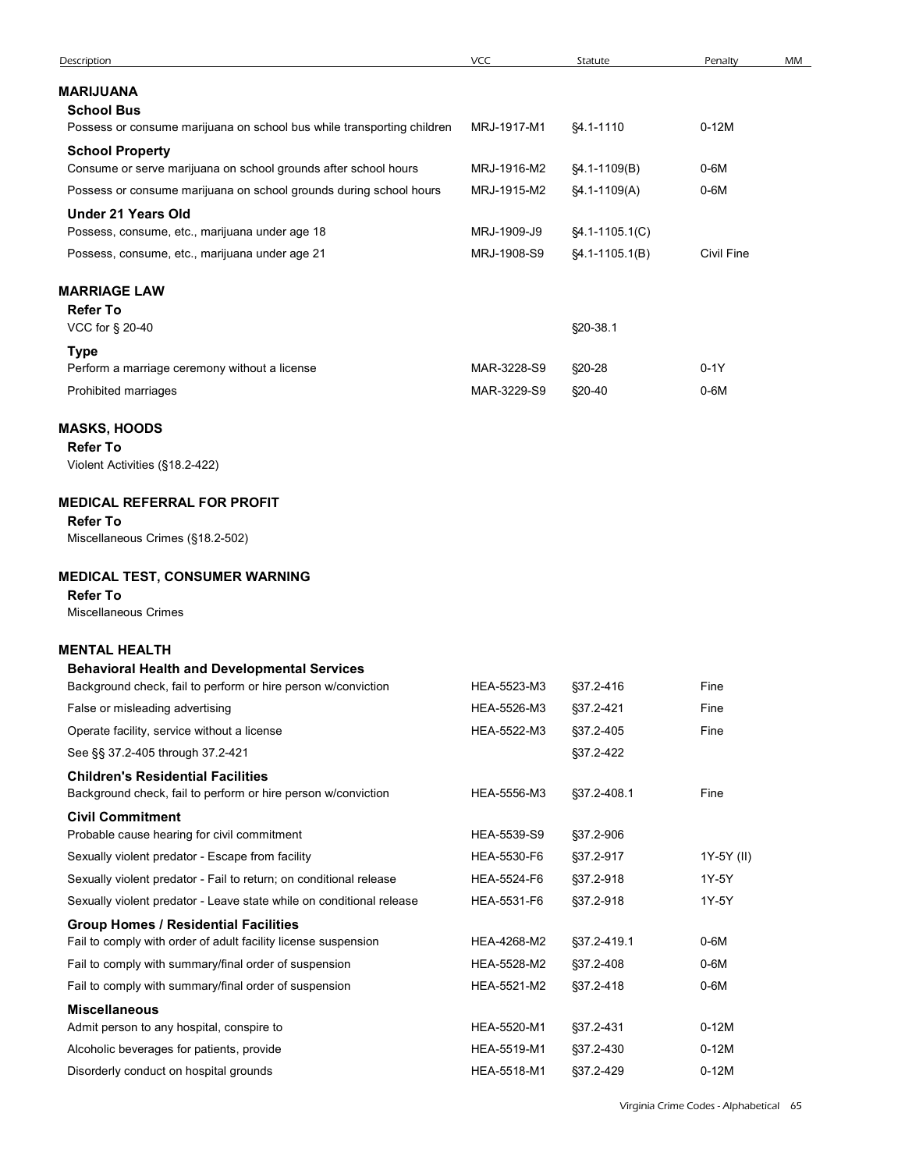| Description                                                                                                         | VCC                        | Statute                | Penalty            | MM |
|---------------------------------------------------------------------------------------------------------------------|----------------------------|------------------------|--------------------|----|
| MARIJUANA                                                                                                           |                            |                        |                    |    |
| <b>School Bus</b><br>Possess or consume marijuana on school bus while transporting children                         | MRJ-1917-M1                | §4.1-1110              | $0-12M$            |    |
| <b>School Property</b>                                                                                              |                            |                        |                    |    |
| Consume or serve marijuana on school grounds after school hours                                                     | MRJ-1916-M2                | §4.1-1109(B)           | $0-6M$             |    |
| Possess or consume marijuana on school grounds during school hours                                                  | MRJ-1915-M2                | §4.1-1109(A)           | $0-6M$             |    |
| <b>Under 21 Years Old</b><br>Possess, consume, etc., marijuana under age 18                                         | MRJ-1909-J9                | §4.1-1105.1(C)         |                    |    |
| Possess, consume, etc., marijuana under age 21                                                                      | MRJ-1908-S9                | $§4.1 - 1105.1(B)$     | <b>Civil Fine</b>  |    |
|                                                                                                                     |                            |                        |                    |    |
| <b>MARRIAGE LAW</b><br><b>Refer To</b>                                                                              |                            |                        |                    |    |
| VCC for § 20-40                                                                                                     |                            | §20-38.1               |                    |    |
| <b>Type</b>                                                                                                         |                            |                        |                    |    |
| Perform a marriage ceremony without a license                                                                       | MAR-3228-S9                | §20-28                 | $0-1Y$             |    |
| Prohibited marriages                                                                                                | MAR-3229-S9                | §20-40                 | $0-6M$             |    |
| <b>MASKS, HOODS</b>                                                                                                 |                            |                        |                    |    |
| <b>Refer To</b><br>Violent Activities (§18.2-422)                                                                   |                            |                        |                    |    |
|                                                                                                                     |                            |                        |                    |    |
| <b>MEDICAL REFERRAL FOR PROFIT</b>                                                                                  |                            |                        |                    |    |
| <b>Refer To</b><br>Miscellaneous Crimes (§18.2-502)                                                                 |                            |                        |                    |    |
|                                                                                                                     |                            |                        |                    |    |
| MEDICAL TEST, CONSUMER WARNING<br><b>Refer To</b>                                                                   |                            |                        |                    |    |
|                                                                                                                     |                            |                        |                    |    |
| Miscellaneous Crimes                                                                                                |                            |                        |                    |    |
|                                                                                                                     |                            |                        |                    |    |
| <b>MENTAL HEALTH</b><br><b>Behavioral Health and Developmental Services</b>                                         |                            |                        |                    |    |
| Background check, fail to perform or hire person w/conviction                                                       | HEA-5523-M3                | §37.2-416              | Fine               |    |
| False or misleading advertising                                                                                     | HEA-5526-M3                | §37.2-421              | Fine               |    |
| Operate facility, service without a license                                                                         | HEA-5522-M3                | §37.2-405              | Fine               |    |
| See §§ 37.2-405 through 37.2-421                                                                                    |                            | §37.2-422              |                    |    |
| <b>Children's Residential Facilities</b><br>Background check, fail to perform or hire person w/conviction           | HEA-5556-M3                | §37.2-408.1            | Fine               |    |
| <b>Civil Commitment</b>                                                                                             |                            |                        |                    |    |
| Probable cause hearing for civil commitment                                                                         | HEA-5539-S9                | §37.2-906              |                    |    |
| Sexually violent predator - Escape from facility                                                                    | HEA-5530-F6                | §37.2-917              | 1Y-5Y (II)         |    |
| Sexually violent predator - Fail to return; on conditional release                                                  | HEA-5524-F6                | §37.2-918              | 1Y-5Y              |    |
| Sexually violent predator - Leave state while on conditional release<br><b>Group Homes / Residential Facilities</b> | HEA-5531-F6                | §37.2-918              | 1Y-5Y              |    |
| Fail to comply with order of adult facility license suspension                                                      | HEA-4268-M2                | §37.2-419.1            | $0-6M$             |    |
| Fail to comply with summary/final order of suspension                                                               | HEA-5528-M2                | §37.2-408              | $0-6M$             |    |
| Fail to comply with summary/final order of suspension                                                               | HEA-5521-M2                | §37.2-418              | $0-6M$             |    |
| <b>Miscellaneous</b>                                                                                                |                            |                        |                    |    |
| Admit person to any hospital, conspire to<br>Alcoholic beverages for patients, provide                              | HEA-5520-M1<br>HEA-5519-M1 | §37.2-431<br>§37.2-430 | $0-12M$<br>$0-12M$ |    |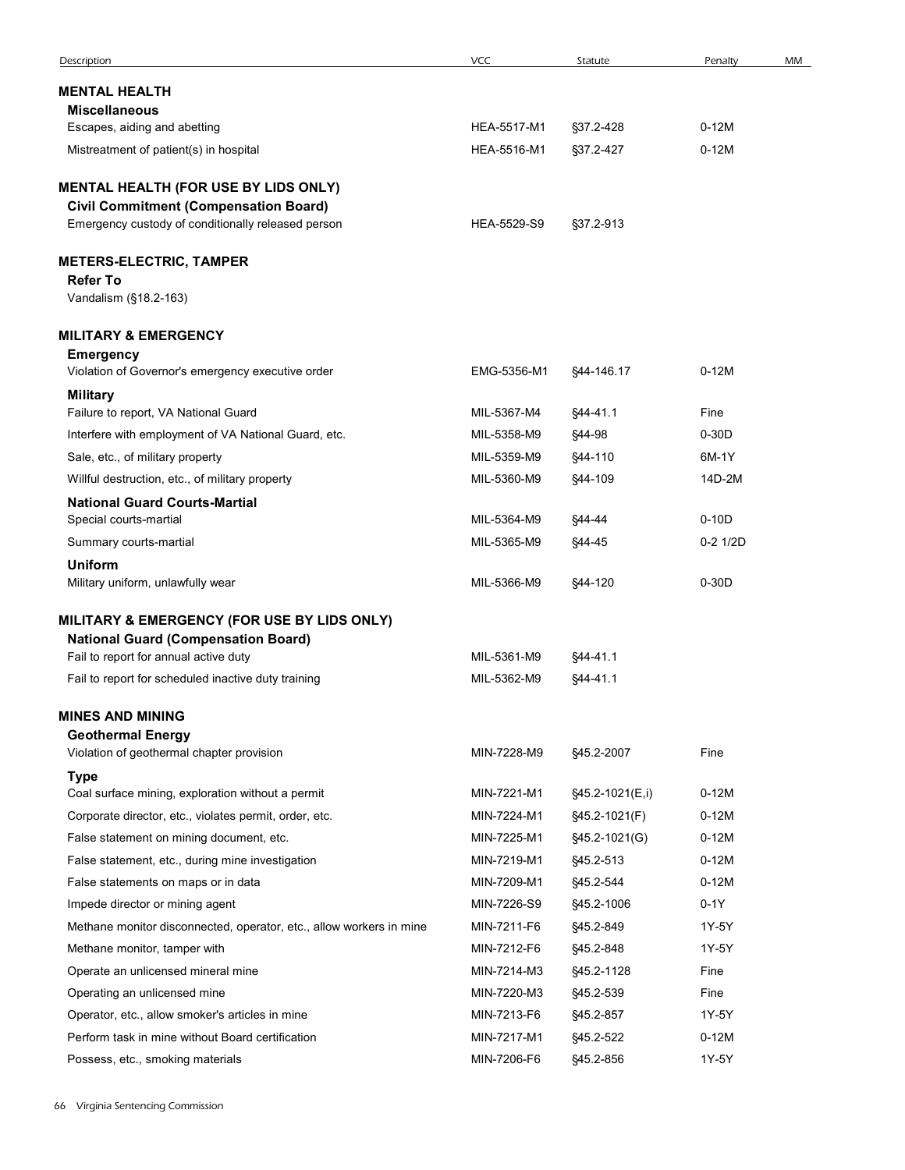| Description                                                                                         | <b>VCC</b>                 | Statute                | Penalty          | MM |
|-----------------------------------------------------------------------------------------------------|----------------------------|------------------------|------------------|----|
| <b>MENTAL HEALTH</b>                                                                                |                            |                        |                  |    |
| <b>Miscellaneous</b><br>Escapes, aiding and abetting                                                | HEA-5517-M1                | §37.2-428              | $0-12M$          |    |
| Mistreatment of patient(s) in hospital                                                              | HEA-5516-M1                | §37.2-427              | $0-12M$          |    |
|                                                                                                     |                            |                        |                  |    |
| MENTAL HEALTH (FOR USE BY LIDS ONLY)                                                                |                            |                        |                  |    |
| <b>Civil Commitment (Compensation Board)</b><br>Emergency custody of conditionally released person  | HEA-5529-S9                | §37.2-913              |                  |    |
|                                                                                                     |                            |                        |                  |    |
| <b>METERS-ELECTRIC, TAMPER</b><br><b>Refer To</b>                                                   |                            |                        |                  |    |
| Vandalism (§18.2-163)                                                                               |                            |                        |                  |    |
| <b>MILITARY &amp; EMERGENCY</b>                                                                     |                            |                        |                  |    |
| <b>Emergency</b>                                                                                    |                            |                        |                  |    |
| Violation of Governor's emergency executive order                                                   | EMG-5356-M1                | §44-146.17             | $0-12M$          |    |
| <b>Military</b><br>Failure to report, VA National Guard                                             | MIL-5367-M4                | §44-41.1               | Fine             |    |
| Interfere with employment of VA National Guard, etc.                                                | MIL-5358-M9                | §44-98                 | $0-30D$          |    |
| Sale, etc., of military property                                                                    | MIL-5359-M9                | §44-110                | 6M-1Y            |    |
| Willful destruction, etc., of military property                                                     | MIL-5360-M9                | §44-109                | 14D-2M           |    |
| <b>National Guard Courts-Martial</b>                                                                |                            |                        |                  |    |
| Special courts-martial                                                                              | MIL-5364-M9                | §44-44                 | $0-10D$          |    |
| Summary courts-martial                                                                              | MIL-5365-M9                | <b>§44-45</b>          | $0-2$ 1/2D       |    |
| <b>Uniform</b>                                                                                      |                            |                        |                  |    |
| Military uniform, unlawfully wear                                                                   | MIL-5366-M9                | §44-120                | $0-30D$          |    |
| MILITARY & EMERGENCY (FOR USE BY LIDS ONLY)                                                         |                            |                        |                  |    |
| <b>National Guard (Compensation Board)</b>                                                          |                            |                        |                  |    |
| Fail to report for annual active duty<br>Fail to report for scheduled inactive duty training        | MIL-5361-M9<br>MIL-5362-M9 | §44-41.1<br>§44-41.1   |                  |    |
|                                                                                                     |                            |                        |                  |    |
| <b>MINES AND MINING</b>                                                                             |                            |                        |                  |    |
| <b>Geothermal Energy</b><br>Violation of geothermal chapter provision                               | MIN-7228-M9                | §45.2-2007             | Fine             |    |
| <b>Type</b>                                                                                         |                            |                        |                  |    |
| Coal surface mining, exploration without a permit                                                   | MIN-7221-M1                | §45.2-1021(E,i)        | $0-12M$          |    |
| Corporate director, etc., violates permit, order, etc.                                              | MIN-7224-M1                | §45.2-1021(F)          | $0-12M$          |    |
| False statement on mining document, etc.                                                            | MIN-7225-M1                | §45.2-1021(G)          | $0-12M$          |    |
| False statement, etc., during mine investigation                                                    | MIN-7219-M1                | §45.2-513              | $0-12M$          |    |
| False statements on maps or in data                                                                 | MIN-7209-M1                | §45.2-544              | $0-12M$          |    |
| Impede director or mining agent                                                                     | MIN-7226-S9                | §45.2-1006             | $0-1Y$           |    |
| Methane monitor disconnected, operator, etc., allow workers in mine                                 | MIN-7211-F6                | §45.2-849              | 1Y-5Y            |    |
| Methane monitor, tamper with                                                                        | MIN-7212-F6                | §45.2-848              | 1Y-5Y            |    |
| Operate an unlicensed mineral mine                                                                  | MIN-7214-M3                | §45.2-1128             | Fine             |    |
| Operating an unlicensed mine                                                                        | MIN-7220-M3                | §45.2-539              | Fine             |    |
| Operator, etc., allow smoker's articles in mine<br>Perform task in mine without Board certification | MIN-7213-F6<br>MIN-7217-M1 | §45.2-857<br>§45.2-522 | 1Y-5Y<br>$0-12M$ |    |
|                                                                                                     | MIN-7206-F6                | §45.2-856              | 1Y-5Y            |    |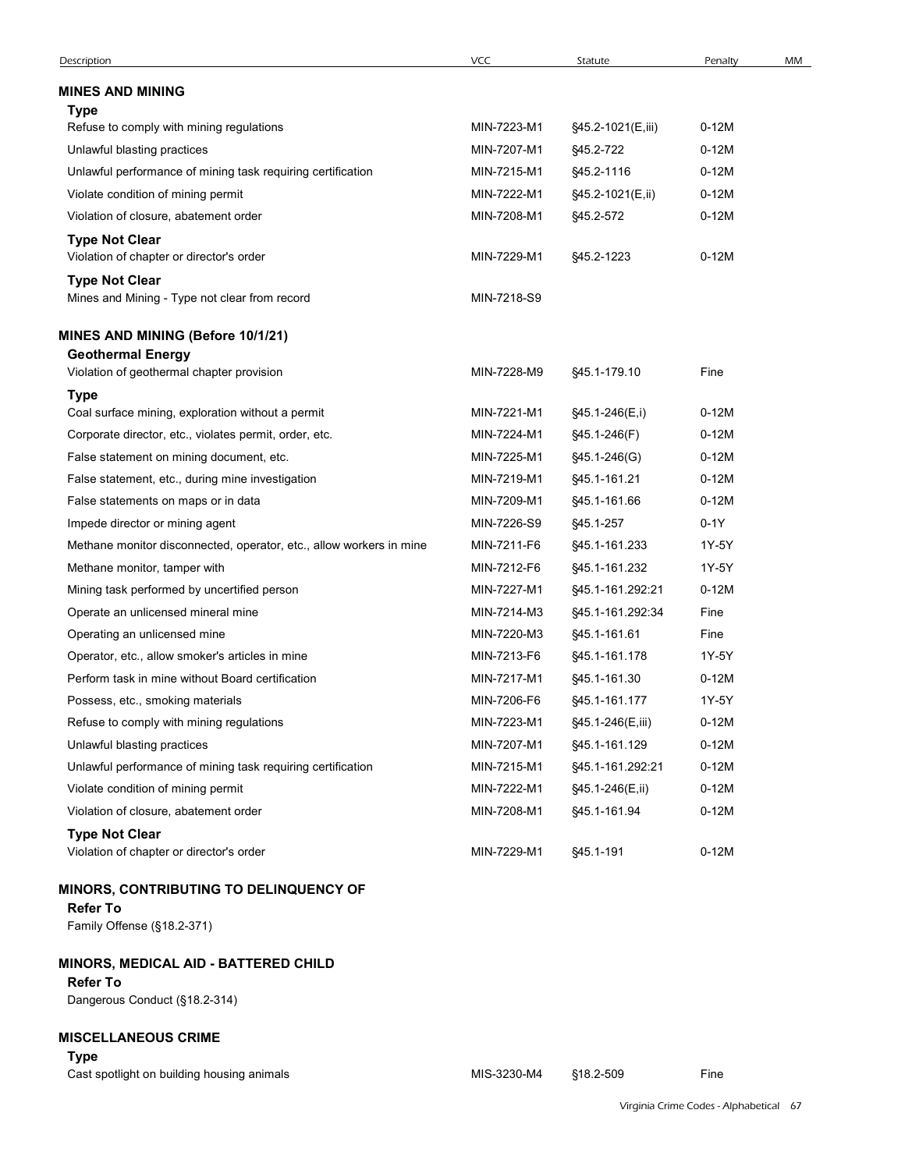| Description                                                            | <b>VCC</b>  | Statute           | Penalty | MM |
|------------------------------------------------------------------------|-------------|-------------------|---------|----|
| <b>MINES AND MINING</b>                                                |             |                   |         |    |
| Type                                                                   |             |                   |         |    |
| Refuse to comply with mining regulations                               | MIN-7223-M1 | §45.2-1021(E,iii) | $0-12M$ |    |
| Unlawful blasting practices                                            | MIN-7207-M1 | §45.2-722         | $0-12M$ |    |
| Unlawful performance of mining task requiring certification            | MIN-7215-M1 | §45.2-1116        | $0-12M$ |    |
| Violate condition of mining permit                                     | MIN-7222-M1 | §45.2-1021(E,ii)  | $0-12M$ |    |
| Violation of closure, abatement order                                  | MIN-7208-M1 | §45.2-572         | $0-12M$ |    |
| <b>Type Not Clear</b>                                                  |             |                   |         |    |
| Violation of chapter or director's order                               | MIN-7229-M1 | §45.2-1223        | $0-12M$ |    |
| <b>Type Not Clear</b><br>Mines and Mining - Type not clear from record | MIN-7218-S9 |                   |         |    |
| <b>MINES AND MINING (Before 10/1/21)</b>                               |             |                   |         |    |
| <b>Geothermal Energy</b>                                               |             |                   |         |    |
| Violation of geothermal chapter provision                              | MIN-7228-M9 | §45.1-179.10      | Fine    |    |
| <b>Type</b>                                                            |             |                   |         |    |
| Coal surface mining, exploration without a permit                      | MIN-7221-M1 | §45.1-246(E,i)    | $0-12M$ |    |
| Corporate director, etc., violates permit, order, etc.                 | MIN-7224-M1 | §45.1-246(F)      | $0-12M$ |    |
| False statement on mining document, etc.                               | MIN-7225-M1 | §45.1-246(G)      | $0-12M$ |    |
| False statement, etc., during mine investigation                       | MIN-7219-M1 | §45.1-161.21      | $0-12M$ |    |
| False statements on maps or in data                                    | MIN-7209-M1 | §45.1-161.66      | $0-12M$ |    |
| Impede director or mining agent                                        | MIN-7226-S9 | §45.1-257         | $0-1Y$  |    |
| Methane monitor disconnected, operator, etc., allow workers in mine    | MIN-7211-F6 | §45.1-161.233     | 1Y-5Y   |    |
| Methane monitor, tamper with                                           | MIN-7212-F6 | §45.1-161.232     | 1Y-5Y   |    |
| Mining task performed by uncertified person                            | MIN-7227-M1 | §45.1-161.292.21  | $0-12M$ |    |
| Operate an unlicensed mineral mine                                     | MIN-7214-M3 | §45.1-161.292:34  | Fine    |    |
| Operating an unlicensed mine                                           | MIN-7220-M3 | §45.1-161.61      | Fine    |    |
| Operator, etc., allow smoker's articles in mine                        | MIN-7213-F6 | §45.1-161.178     | 1Y-5Y   |    |
| Perform task in mine without Board certification                       | MIN-7217-M1 | §45.1-161.30      | $0-12M$ |    |
| Possess, etc., smoking materials                                       | MIN-7206-F6 | §45.1-161.177     | 1Y-5Y   |    |
| Refuse to comply with mining regulations                               | MIN-7223-M1 | §45.1-246(E,iii)  | $0-12M$ |    |
| Unlawful blasting practices                                            | MIN-7207-M1 | §45.1-161.129     | $0-12M$ |    |
| Unlawful performance of mining task requiring certification            | MIN-7215-M1 | §45.1-161.292.21  | $0-12M$ |    |
| Violate condition of mining permit                                     | MIN-7222-M1 | §45.1-246(E,ii)   | $0-12M$ |    |
| Violation of closure, abatement order                                  | MIN-7208-M1 | §45.1-161.94      | $0-12M$ |    |
| <b>Type Not Clear</b><br>Violation of chapter or director's order      | MIN-7229-M1 | §45.1-191         | $0-12M$ |    |
| <b>MINORS, CONTRIBUTING TO DELINQUENCY OF</b>                          |             |                   |         |    |
| <b>Refer To</b><br>Family Offense (§18.2-371)                          |             |                   |         |    |
| <b>MINORS, MEDICAL AID - BATTERED CHILD</b><br><b>Refer To</b>         |             |                   |         |    |
| Dangerous Conduct (§18.2-314)                                          |             |                   |         |    |
| <b>MISCELLANEOUS CRIME</b><br><b>Type</b>                              |             |                   |         |    |
| Cast spotlight on building housing animals                             | MIS-3230-M4 | §18.2-509         | Fine    |    |
|                                                                        |             |                   |         |    |

# MINORS, CONTRIBUTING TO DELINQUENCY OF

## MINORS, MEDICAL AID - BATTERED CHILD

## Refer To

## MISCELLANEOUS CRIME

# Type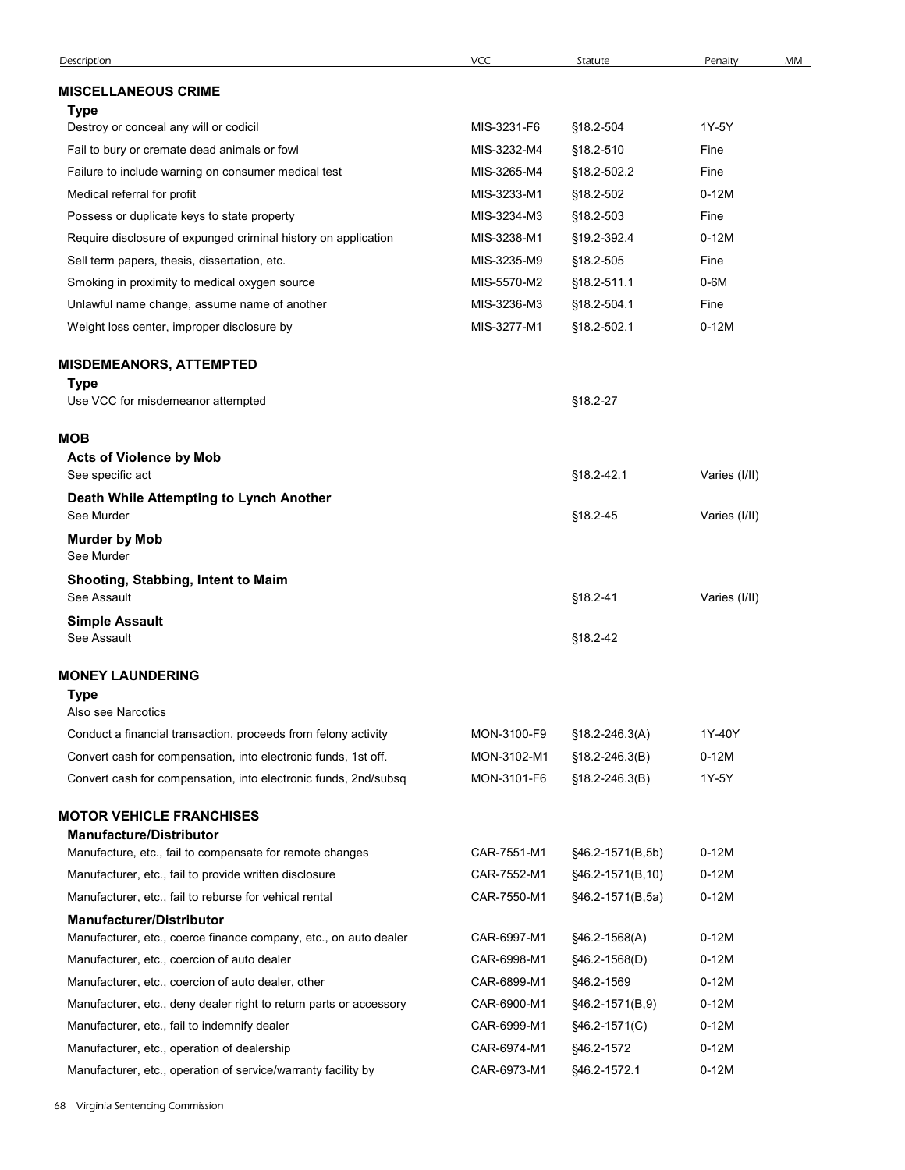|                                                                                                                                  | VCC                        |                                  | Penalty           | MM |
|----------------------------------------------------------------------------------------------------------------------------------|----------------------------|----------------------------------|-------------------|----|
| Description                                                                                                                      |                            | Statute                          |                   |    |
| <b>MISCELLANEOUS CRIME</b>                                                                                                       |                            |                                  |                   |    |
| Type<br>Destroy or conceal any will or codicil                                                                                   | MIS-3231-F6                | §18.2-504                        | 1Y-5Y             |    |
| Fail to bury or cremate dead animals or fowl                                                                                     | MIS-3232-M4                | §18.2-510                        | Fine              |    |
| Failure to include warning on consumer medical test                                                                              | MIS-3265-M4                | §18.2-502.2                      | Fine              |    |
| Medical referral for profit                                                                                                      | MIS-3233-M1                | §18.2-502                        | $0-12M$           |    |
| Possess or duplicate keys to state property                                                                                      | MIS-3234-M3                | §18.2-503                        | Fine              |    |
| Require disclosure of expunged criminal history on application                                                                   | MIS-3238-M1                | §19.2-392.4                      | $0-12M$           |    |
| Sell term papers, thesis, dissertation, etc.                                                                                     | MIS-3235-M9                | §18.2-505                        | Fine              |    |
| Smoking in proximity to medical oxygen source                                                                                    | MIS-5570-M2                | §18.2-511.1                      | $0-6M$            |    |
| Unlawful name change, assume name of another                                                                                     | MIS-3236-M3                | §18.2-504.1                      | Fine              |    |
| Weight loss center, improper disclosure by                                                                                       | MIS-3277-M1                | §18.2-502.1                      | $0-12M$           |    |
| <b>MISDEMEANORS, ATTEMPTED</b><br>Type                                                                                           |                            |                                  |                   |    |
| Use VCC for misdemeanor attempted                                                                                                |                            | §18.2-27                         |                   |    |
| <b>MOB</b>                                                                                                                       |                            |                                  |                   |    |
| <b>Acts of Violence by Mob</b><br>See specific act                                                                               |                            | §18.2-42.1                       | Varies (I/II)     |    |
| Death While Attempting to Lynch Another<br>See Murder                                                                            |                            | §18.2-45                         | Varies (I/II)     |    |
| <b>Murder by Mob</b><br>See Murder                                                                                               |                            |                                  |                   |    |
| Shooting, Stabbing, Intent to Maim<br>See Assault                                                                                |                            | §18.2-41                         | Varies (I/II)     |    |
| <b>Simple Assault</b><br>See Assault                                                                                             |                            | §18.2-42                         |                   |    |
| <b>MONEY LAUNDERING</b>                                                                                                          |                            |                                  |                   |    |
| Type                                                                                                                             |                            |                                  |                   |    |
| Also see Narcotics                                                                                                               |                            |                                  |                   |    |
| Conduct a financial transaction, proceeds from felony activity<br>Convert cash for compensation, into electronic funds, 1st off. | MON-3100-F9<br>MON-3102-M1 | §18.2-246.3(A)<br>§18.2-246.3(B) | 1Y-40Y<br>$0-12M$ |    |
| Convert cash for compensation, into electronic funds, 2nd/subsq                                                                  | MON-3101-F6                | §18.2-246.3(B)                   | 1Y-5Y             |    |
|                                                                                                                                  |                            |                                  |                   |    |
| <b>MOTOR VEHICLE FRANCHISES</b>                                                                                                  |                            |                                  |                   |    |
| <b>Manufacture/Distributor</b><br>Manufacture, etc., fail to compensate for remote changes                                       | CAR-7551-M1                | §46.2-1571(B,5b)                 | $0-12M$           |    |
| Manufacturer, etc., fail to provide written disclosure                                                                           | CAR-7552-M1                | §46.2-1571(B,10)                 | $0-12M$           |    |
| Manufacturer, etc., fail to reburse for vehical rental                                                                           | CAR-7550-M1                | §46.2-1571(B,5a)                 | $0-12M$           |    |
| <b>Manufacturer/Distributor</b>                                                                                                  |                            |                                  |                   |    |
| Manufacturer, etc., coerce finance company, etc., on auto dealer                                                                 | CAR-6997-M1                | §46.2-1568(A)                    | $0-12M$           |    |
| Manufacturer, etc., coercion of auto dealer                                                                                      | CAR-6998-M1                | §46.2-1568(D)                    | $0-12M$           |    |
| Manufacturer, etc., coercion of auto dealer, other                                                                               | CAR-6899-M1                | §46.2-1569                       | $0-12M$           |    |
| Manufacturer, etc., deny dealer right to return parts or accessory                                                               | CAR-6900-M1                | §46.2-1571(B,9)                  | $0-12M$           |    |
| Manufacturer, etc., fail to indemnify dealer                                                                                     | CAR-6999-M1                | §46.2-1571(C)                    | $0-12M$           |    |
| Manufacturer, etc., operation of dealership                                                                                      | CAR-6974-M1                | §46.2-1572                       | $0-12M$           |    |
| Manufacturer, etc., operation of service/warranty facility by                                                                    | CAR-6973-M1 §46.2-1572.1   |                                  | $0-12M$           |    |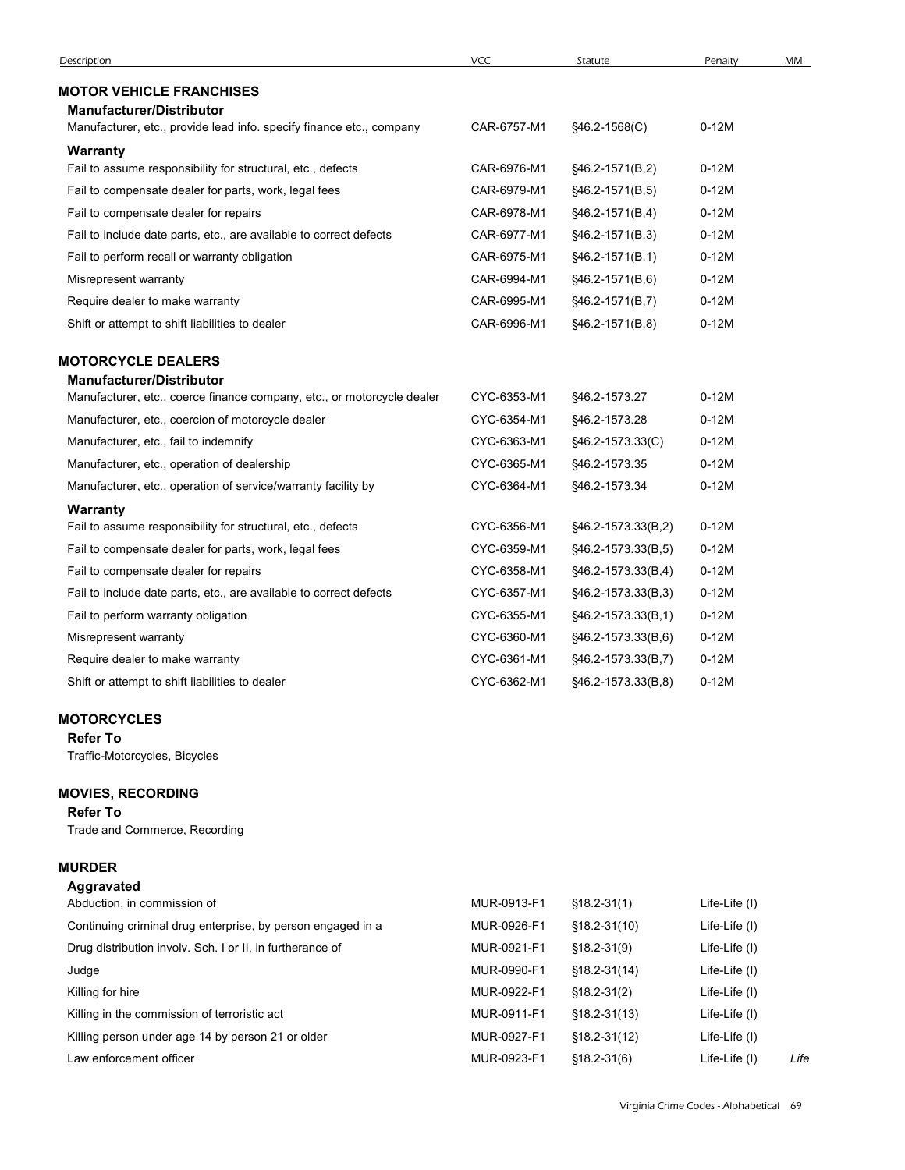| Description                                                                    | <b>VCC</b>  | Statute              | Penalty       | MM |
|--------------------------------------------------------------------------------|-------------|----------------------|---------------|----|
| <b>MOTOR VEHICLE FRANCHISES</b>                                                |             |                      |               |    |
| <b>Manufacturer/Distributor</b>                                                | CAR-6757-M1 |                      | $0-12M$       |    |
| Manufacturer, etc., provide lead info. specify finance etc., company           |             | §46.2-1568(C)        |               |    |
| <b>Warranty</b><br>Fail to assume responsibility for structural, etc., defects | CAR-6976-M1 | $$46.2-1571(B,2)$    | $0-12M$       |    |
| Fail to compensate dealer for parts, work, legal fees                          | CAR-6979-M1 | §46.2-1571(B,5)      | $0-12M$       |    |
| Fail to compensate dealer for repairs                                          | CAR-6978-M1 | $$46.2 - 1571(B, 4)$ | $0-12M$       |    |
| Fail to include date parts, etc., are available to correct defects             | CAR-6977-M1 | $§$ 46.2-1571(B,3)   | $0-12M$       |    |
| Fail to perform recall or warranty obligation                                  | CAR-6975-M1 | §46.2-1571(B,1)      | $0-12M$       |    |
| Misrepresent warranty                                                          | CAR-6994-M1 | §46.2-1571(B,6)      | $0-12M$       |    |
| Require dealer to make warranty                                                | CAR-6995-M1 | §46.2-1571(B,7)      | $0-12M$       |    |
| Shift or attempt to shift liabilities to dealer                                | CAR-6996-M1 | $§$ 46.2-1571(B,8)   | $0-12M$       |    |
| <b>MOTORCYCLE DEALERS</b>                                                      |             |                      |               |    |
| <b>Manufacturer/Distributor</b>                                                |             |                      |               |    |
| Manufacturer, etc., coerce finance company, etc., or motorcycle dealer         | CYC-6353-M1 | §46.2-1573.27        | $0-12M$       |    |
| Manufacturer, etc., coercion of motorcycle dealer                              | CYC-6354-M1 | §46.2-1573.28        | $0-12M$       |    |
| Manufacturer, etc., fail to indemnify                                          | CYC-6363-M1 | §46.2-1573.33(C)     | $0-12M$       |    |
| Manufacturer, etc., operation of dealership                                    | CYC-6365-M1 | §46.2-1573.35        | $0-12M$       |    |
| Manufacturer, etc., operation of service/warranty facility by                  | CYC-6364-M1 | §46.2-1573.34        | $0-12M$       |    |
| Warranty<br>Fail to assume responsibility for structural, etc., defects        | CYC-6356-M1 | §46.2-1573.33(B,2)   | $0-12M$       |    |
| Fail to compensate dealer for parts, work, legal fees                          | CYC-6359-M1 | §46.2-1573.33(B,5)   | $0-12M$       |    |
| Fail to compensate dealer for repairs                                          | CYC-6358-M1 | §46.2-1573.33(B,4)   | $0-12M$       |    |
| Fail to include date parts, etc., are available to correct defects             | CYC-6357-M1 | §46.2-1573.33(B,3)   | $0-12M$       |    |
| Fail to perform warranty obligation                                            | CYC-6355-M1 | §46.2-1573.33(B,1)   | $0-12M$       |    |
| Misrepresent warranty                                                          | CYC-6360-M1 | §46.2-1573.33(B,6)   | $0-12M$       |    |
| Require dealer to make warranty                                                | CYC-6361-M1 | §46.2-1573.33(B,7)   | $0-12M$       |    |
| Shift or attempt to shift liabilities to dealer                                | CYC-6362-M1 | §46.2-1573.33(B,8)   | $0-12M$       |    |
| <b>MOTORCYCLES</b>                                                             |             |                      |               |    |
| <b>Refer To</b>                                                                |             |                      |               |    |
| Traffic-Motorcycles, Bicycles                                                  |             |                      |               |    |
| <b>MOVIES, RECORDING</b>                                                       |             |                      |               |    |
| <b>Refer To</b><br>Trade and Commerce, Recording                               |             |                      |               |    |
| <b>MURDER</b>                                                                  |             |                      |               |    |
| <b>Aggravated</b>                                                              |             |                      |               |    |
| Abduction, in commission of                                                    | MUR-0913-F1 | $$18.2 - 31(1)$      | Life-Life (I) |    |
| Continuing criminal drug enterprise, by person engaged in a                    | MUR-0926-F1 | $$18.2 - 31(10)$     | Life-Life (I) |    |
| Drug distribution involv. Sch. I or II, in furtherance of                      | MUR-0921-F1 | $$18.2 - 31(9)$      | Life-Life (I) |    |
| Judge                                                                          | MUR-0990-F1 | $$18.2 - 31(14)$     | Life-Life (I) |    |
| Killing for hire                                                               | MUR-0922-F1 | $$18.2 - 31(2)$      | Life-Life (I) |    |
| Killing in the commission of terroristic act                                   | MUR-0911-F1 | $$18.2-31(13)$       | Life-Life (I) |    |

## MOTORCYCLES

# MOVIES, RECORDING

## Refer To

# MURDER

| Fail to compensate dealer for repairs                              | CYC-6358-M1 | §46.2-1573.33(B,4) | $0-12M$                                |      |
|--------------------------------------------------------------------|-------------|--------------------|----------------------------------------|------|
| Fail to include date parts, etc., are available to correct defects | CYC-6357-M1 | §46.2-1573.33(B,3) | $0-12M$                                |      |
| Fail to perform warranty obligation                                | CYC-6355-M1 | §46.2-1573.33(B,1) | $0-12M$                                |      |
| Misrepresent warranty                                              | CYC-6360-M1 | §46.2-1573.33(B,6) | $0-12M$                                |      |
| Require dealer to make warranty                                    | CYC-6361-M1 | §46.2-1573.33(B,7) | $0-12M$                                |      |
| Shift or attempt to shift liabilities to dealer                    | CYC-6362-M1 | §46.2-1573.33(B,8) | $0-12M$                                |      |
| <b>MOTORCYCLES</b>                                                 |             |                    |                                        |      |
| <b>Refer To</b>                                                    |             |                    |                                        |      |
| Traffic-Motorcycles, Bicycles                                      |             |                    |                                        |      |
| <b>MOVIES, RECORDING</b>                                           |             |                    |                                        |      |
| <b>Refer To</b>                                                    |             |                    |                                        |      |
| Trade and Commerce, Recording                                      |             |                    |                                        |      |
| <b>MURDER</b>                                                      |             |                    |                                        |      |
| Aggravated                                                         |             |                    |                                        |      |
| Abduction, in commission of                                        | MUR-0913-F1 | $$18.2-31(1)$      | Life-Life (I)                          |      |
| Continuing criminal drug enterprise, by person engaged in a        | MUR-0926-F1 | $$18.2 - 31(10)$   | Life-Life (I)                          |      |
| Drug distribution involv. Sch. I or II, in furtherance of          | MUR-0921-F1 | $$18.2 - 31(9)$    | Life-Life (I)                          |      |
| Judge                                                              | MUR-0990-F1 | $$18.2 - 31(14)$   | Life-Life (I)                          |      |
| Killing for hire                                                   | MUR-0922-F1 | $$18.2 - 31(2)$    | Life-Life (I)                          |      |
| Killing in the commission of terroristic act                       | MUR-0911-F1 | $$18.2 - 31(13)$   | Life-Life (I)                          |      |
| Killing person under age 14 by person 21 or older                  | MUR-0927-F1 | $$18.2 - 31(12)$   | Life-Life (I)                          |      |
| Law enforcement officer                                            | MUR-0923-F1 | $$18.2 - 31(6)$    | Life-Life (I)                          | Life |
|                                                                    |             |                    | Virginia Crime Codes - Alphabetical 69 |      |
|                                                                    |             |                    |                                        |      |
|                                                                    |             |                    |                                        |      |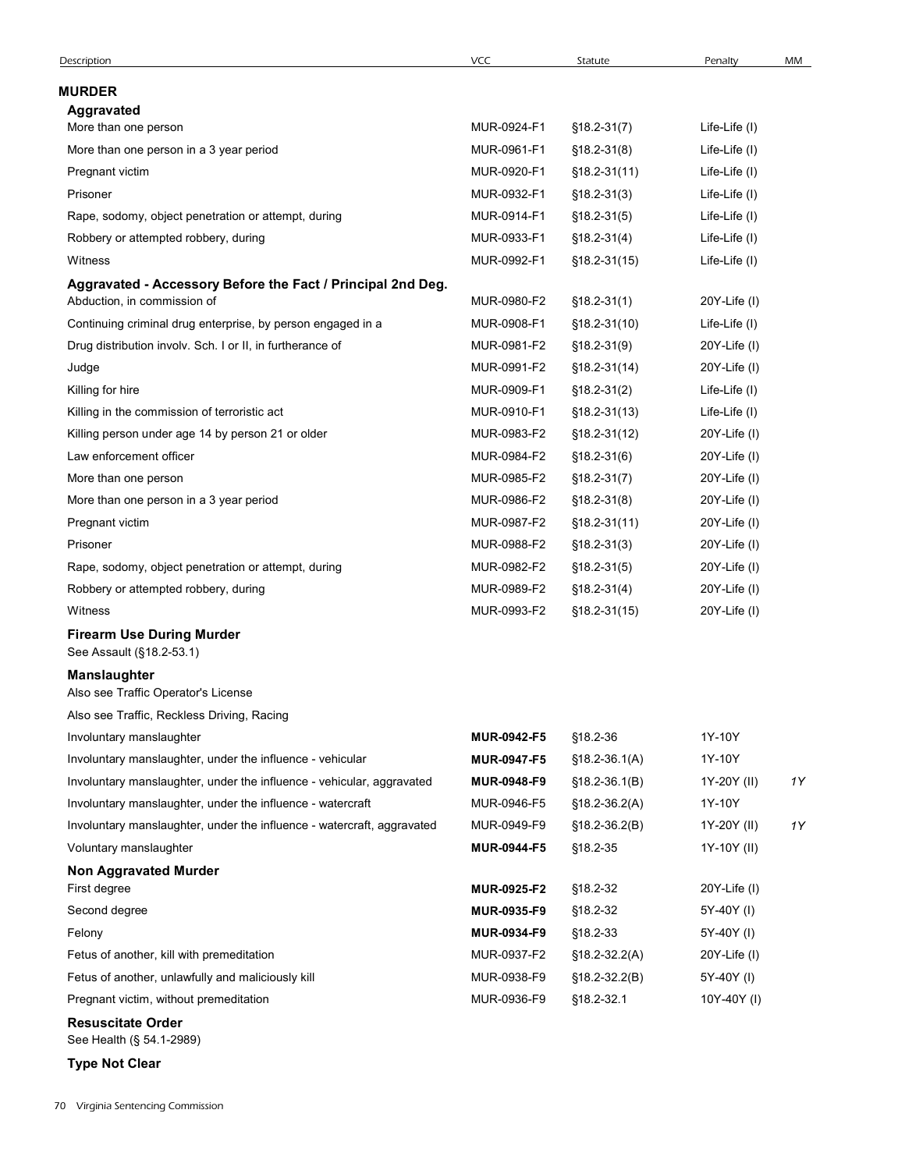| Description                                                                                | VCC                        | Statute                                | Penalty                    | MM |
|--------------------------------------------------------------------------------------------|----------------------------|----------------------------------------|----------------------------|----|
| <b>MURDER</b>                                                                              |                            |                                        |                            |    |
| Aggravated                                                                                 |                            |                                        |                            |    |
| More than one person                                                                       | MUR-0924-F1                | $$18.2 - 31(7)$                        | Life-Life (I)              |    |
| More than one person in a 3 year period                                                    | MUR-0961-F1                | $$18.2 - 31(8)$                        | Life-Life (I)              |    |
| Pregnant victim                                                                            | MUR-0920-F1                | $$18.2 - 31(11)$                       | Life-Life (I)              |    |
| Prisoner                                                                                   | MUR-0932-F1                | $$18.2 - 31(3)$                        | Life-Life (I)              |    |
| Rape, sodomy, object penetration or attempt, during                                        | MUR-0914-F1                | $$18.2 - 31(5)$                        | Life-Life (I)              |    |
| Robbery or attempted robbery, during                                                       | MUR-0933-F1                | $$18.2 - 31(4)$                        | Life-Life (I)              |    |
| Witness                                                                                    | MUR-0992-F1                | $$18.2 - 31(15)$                       | Life-Life (I)              |    |
| Aggravated - Accessory Before the Fact / Principal 2nd Deg.<br>Abduction, in commission of | MUR-0980-F2                | $$18.2 - 31(1)$                        | 20Y-Life (I)               |    |
| Continuing criminal drug enterprise, by person engaged in a                                | MUR-0908-F1                | $$18.2 - 31(10)$                       | Life-Life (I)              |    |
| Drug distribution involv. Sch. I or II, in furtherance of                                  | MUR-0981-F2                | $$18.2 - 31(9)$                        | 20Y-Life (I)               |    |
| Judge                                                                                      | MUR-0991-F2                | $$18.2 - 31(14)$                       | 20Y-Life (I)               |    |
| Killing for hire                                                                           | MUR-0909-F1                | $$18.2 - 31(2)$                        | Life-Life (I)              |    |
| Killing in the commission of terroristic act                                               | MUR-0910-F1                | $$18.2 - 31(13)$                       | Life-Life (I)              |    |
| Killing person under age 14 by person 21 or older                                          | MUR-0983-F2                | $$18.2-31(12)$                         | 20Y-Life (I)               |    |
| Law enforcement officer                                                                    | MUR-0984-F2                | $$18.2 - 31(6)$                        | 20Y-Life (I)               |    |
| More than one person                                                                       | MUR-0985-F2                | $$18.2 - 31(7)$                        | 20Y-Life (I)               |    |
| More than one person in a 3 year period                                                    | MUR-0986-F2                | $$18.2 - 31(8)$                        | $20Y$ -Life $(I)$          |    |
| Pregnant victim                                                                            | MUR-0987-F2                | $$18.2 - 31(11)$                       | $20Y$ -Life $(1)$          |    |
| Prisoner                                                                                   | MUR-0988-F2                | $$18.2 - 31(3)$                        | 20Y-Life (I)               |    |
| Rape, sodomy, object penetration or attempt, during                                        | MUR-0982-F2                | $$18.2 - 31(5)$                        | $20Y$ -Life $(I)$          |    |
| Robbery or attempted robbery, during                                                       | MUR-0989-F2                | $$18.2 - 31(4)$                        | 20Y-Life (I)               |    |
| Witness                                                                                    | MUR-0993-F2                | $$18.2 - 31(15)$                       | 20Y-Life (I)               |    |
| <b>Firearm Use During Murder</b><br>See Assault (§18.2-53.1)                               |                            |                                        |                            |    |
| <b>Manslaughter</b><br>Also see Traffic Operator's License                                 |                            |                                        |                            |    |
| Also see Traffic, Reckless Driving, Racing                                                 |                            |                                        |                            |    |
| Involuntary manslaughter                                                                   | MUR-0942-F5                | §18.2-36                               | 1Y-10Y                     |    |
| Involuntary manslaughter, under the influence - vehicular                                  | <b>MUR-0947-F5</b>         | $$18.2 - 36.1(A)$                      | 1Y-10Y                     |    |
| Involuntary manslaughter, under the influence - vehicular, aggravated                      | MUR-0948-F9                | $$18.2-36.1(B)$                        | 1Y-20Y (II)                | 1Y |
| Involuntary manslaughter, under the influence - watercraft                                 | MUR-0946-F5                | $$18.2 - 36.2(A)$                      | 1Y-10Y                     |    |
| Involuntary manslaughter, under the influence - watercraft, aggravated                     | MUR-0949-F9                | $$18.2 - 36.2(B)$                      | 1Y-20Y (II)                | 1Y |
| Voluntary manslaughter                                                                     | <b>MUR-0944-F5</b>         | §18.2-35                               | 1Y-10Y (II)                |    |
| <b>Non Aggravated Murder</b>                                                               |                            |                                        |                            |    |
| First degree                                                                               | MUR-0925-F2                | §18.2-32                               | $20Y$ -Life $(I)$          |    |
| Second degree                                                                              | MUR-0935-F9<br>MUR-0934-F9 | §18.2-32<br>§18.2-33                   | 5Y-40Y (I)                 |    |
| Felony<br>Fetus of another, kill with premeditation                                        | MUR-0937-F2                |                                        | 5Y-40Y (I)                 |    |
| Fetus of another, unlawfully and maliciously kill                                          | MUR-0938-F9                | $$18.2 - 32.2(A)$<br>$$18.2 - 32.2(B)$ | 20Y-Life (I)<br>5Y-40Y (I) |    |
| Pregnant victim, without premeditation                                                     | MUR-0936-F9                | §18.2-32.1                             | 10Y-40Y (I)                |    |
| <b>Resuscitate Order</b>                                                                   |                            |                                        |                            |    |
| See Health (§ 54.1-2989)                                                                   |                            |                                        |                            |    |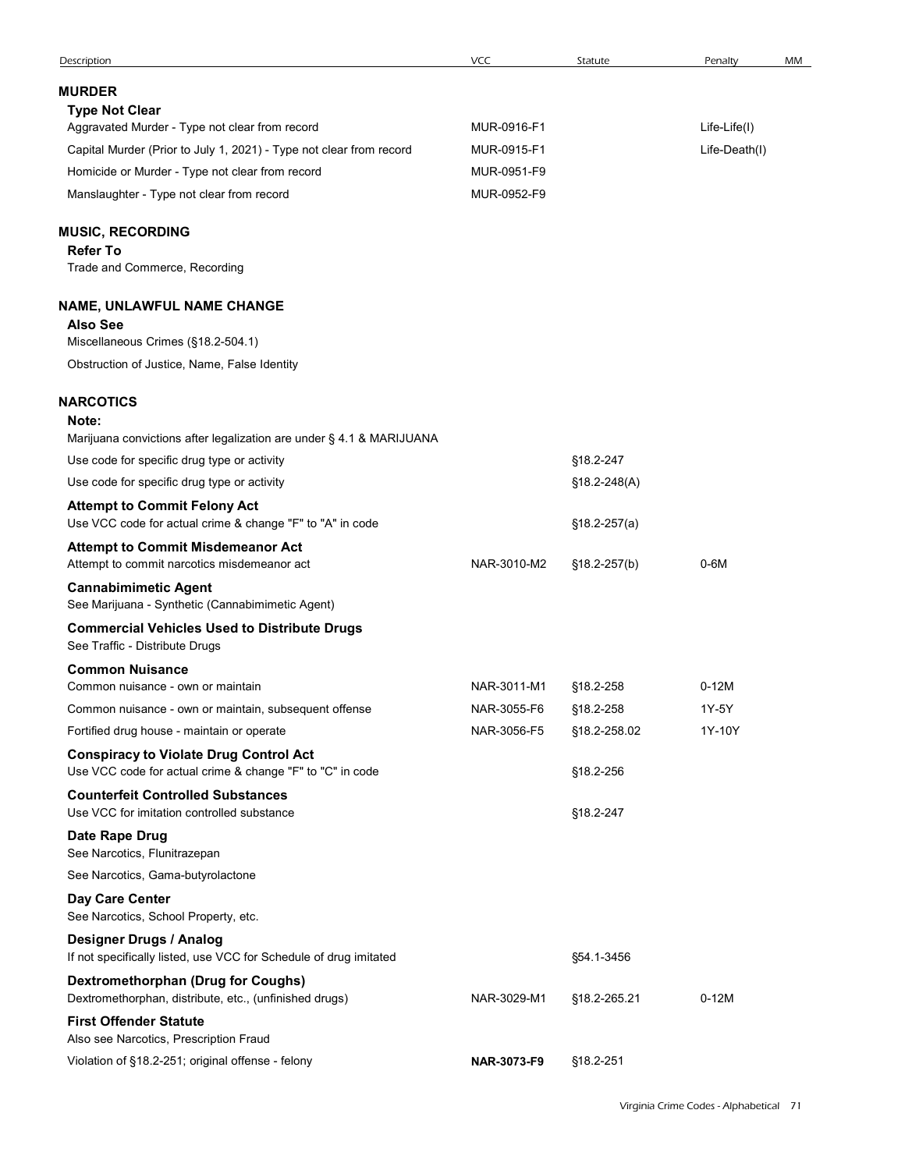|                                                                                                            | VCC         | Statute                | Penalty       | MM |
|------------------------------------------------------------------------------------------------------------|-------------|------------------------|---------------|----|
| <b>MURDER</b>                                                                                              |             |                        |               |    |
| <b>Type Not Clear</b>                                                                                      |             |                        |               |    |
| Aggravated Murder - Type not clear from record                                                             | MUR-0916-F1 |                        | Life-Life(I)  |    |
| Capital Murder (Prior to July 1, 2021) - Type not clear from record                                        | MUR-0915-F1 |                        | Life-Death(I) |    |
| Homicide or Murder - Type not clear from record                                                            | MUR-0951-F9 |                        |               |    |
| Manslaughter - Type not clear from record                                                                  | MUR-0952-F9 |                        |               |    |
| <b>MUSIC, RECORDING</b>                                                                                    |             |                        |               |    |
| <b>Refer To</b><br>Trade and Commerce, Recording                                                           |             |                        |               |    |
|                                                                                                            |             |                        |               |    |
| <b>NAME, UNLAWFUL NAME CHANGE</b>                                                                          |             |                        |               |    |
| <b>Also See</b><br>Miscellaneous Crimes (§18.2-504.1)                                                      |             |                        |               |    |
| Obstruction of Justice, Name, False Identity                                                               |             |                        |               |    |
|                                                                                                            |             |                        |               |    |
| <b>NARCOTICS</b>                                                                                           |             |                        |               |    |
| Note:<br>Marijuana convictions after legalization are under § 4.1 & MARIJUANA                              |             |                        |               |    |
| Use code for specific drug type or activity                                                                |             | §18.2-247              |               |    |
| Use code for specific drug type or activity                                                                |             | $$18.2 - 248(A)$       |               |    |
| <b>Attempt to Commit Felony Act</b><br>Use VCC code for actual crime & change "F" to "A" in code           |             | $$18.2-257(a)$         |               |    |
| <b>Attempt to Commit Misdemeanor Act</b><br>Attempt to commit narcotics misdemeanor act                    | NAR-3010-M2 | §18.2-257(b)           | $0-6M$        |    |
| <b>Cannabimimetic Agent</b><br>See Marijuana - Synthetic (Cannabimimetic Agent)                            |             |                        |               |    |
| <b>Commercial Vehicles Used to Distribute Drugs</b><br>See Traffic - Distribute Drugs                      |             |                        |               |    |
| <b>Common Nuisance</b><br>Common nuisance - own or maintain                                                | NAR-3011-M1 |                        | $0-12M$       |    |
| Common nuisance - own or maintain, subsequent offense                                                      | NAR-3055-F6 | §18.2-258<br>§18.2-258 | 1Y-5Y         |    |
| Fortified drug house - maintain or operate                                                                 | NAR-3056-F5 | §18.2-258.02           | 1Y-10Y        |    |
| <b>Conspiracy to Violate Drug Control Act</b><br>Use VCC code for actual crime & change "F" to "C" in code |             | §18.2-256              |               |    |
| <b>Counterfeit Controlled Substances</b><br>Use VCC for imitation controlled substance                     |             | §18.2-247              |               |    |
| Date Rape Drug<br>See Narcotics, Flunitrazepan                                                             |             |                        |               |    |
| See Narcotics, Gama-butyrolactone                                                                          |             |                        |               |    |
| Day Care Center<br>See Narcotics, School Property, etc.                                                    |             |                        |               |    |
| Designer Drugs / Analog<br>If not specifically listed, use VCC for Schedule of drug imitated               |             | §54.1-3456             |               |    |
| <b>Dextromethorphan (Drug for Coughs)</b><br>Dextromethorphan, distribute, etc., (unfinished drugs)        | NAR-3029-M1 | §18.2-265.21           | $0-12M$       |    |
|                                                                                                            |             |                        |               |    |
| <b>First Offender Statute</b><br>Also see Narcotics, Prescription Fraud                                    |             |                        |               |    |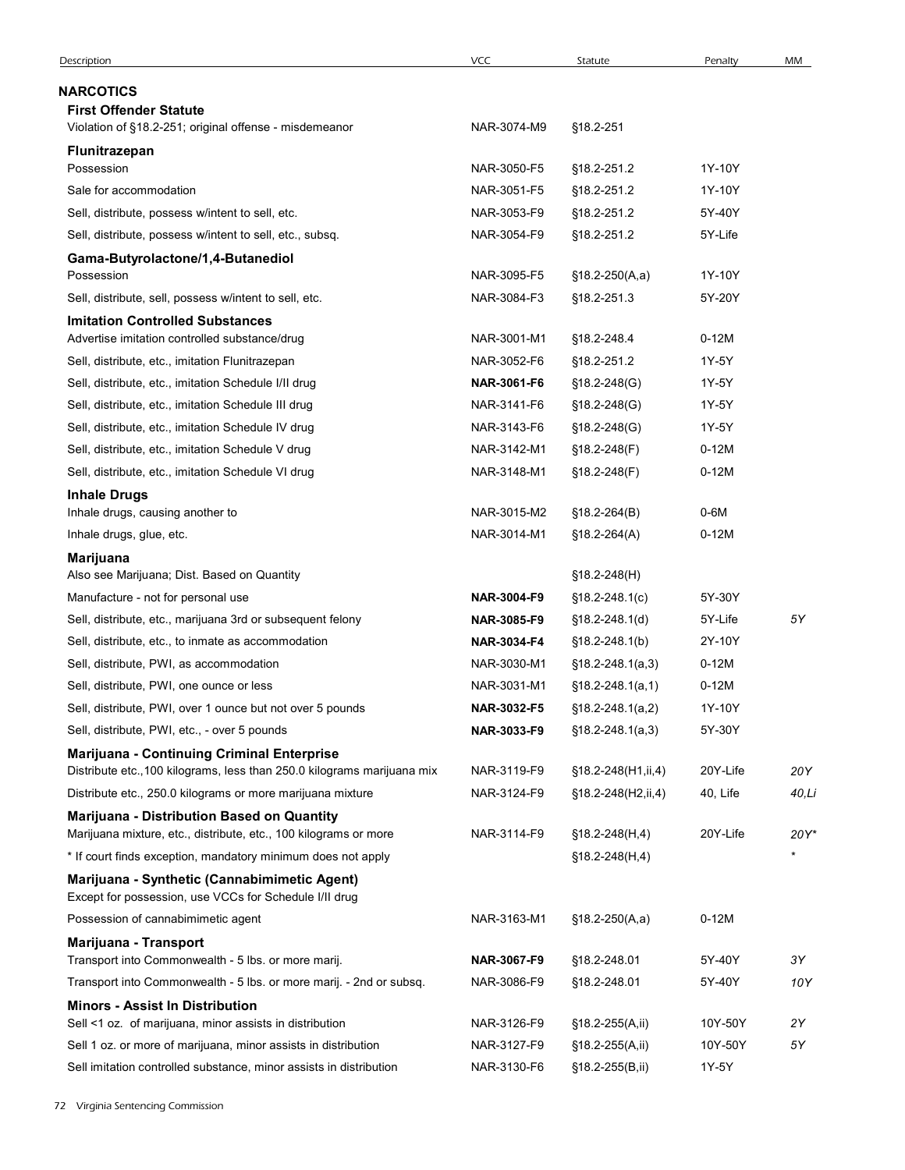| NARCOTICS<br><b>First Offender Statute</b><br>Violation of §18.2-251; original offense - misdemeanor<br>NAR-3074-M9<br>§18.2-251<br>Flunitrazepan<br>NAR-3050-F5<br>1Y-10Y<br>Possession<br>§18.2-251.2<br>Sale for accommodation<br>NAR-3051-F5<br>§18.2-251.2<br>1Y-10Y<br>5Y-40Y<br>Sell, distribute, possess w/intent to sell, etc.<br>NAR-3053-F9<br>§18.2-251.2<br>5Y-Life<br>Sell, distribute, possess w/intent to sell, etc., subsq.<br>NAR-3054-F9<br>§18.2-251.2<br>Gama-Butyrolactone/1,4-Butanediol<br>NAR-3095-F5<br>1Y-10Y<br>Possession<br>$$18.2-250(A,a)$<br>Sell, distribute, sell, possess w/intent to sell, etc.<br>5Y-20Y<br>NAR-3084-F3<br>§18.2-251.3<br><b>Imitation Controlled Substances</b><br>Advertise imitation controlled substance/drug<br>$0-12M$<br>NAR-3001-M1<br>§18.2-248.4<br>Sell, distribute, etc., imitation Flunitrazepan<br>NAR-3052-F6<br>§18.2-251.2<br>1Y-5Y<br>Sell, distribute, etc., imitation Schedule I/II drug<br>NAR-3061-F6<br>$$18.2 - 248$ (G)<br>1Y-5Y<br>1Y-5Y<br>Sell, distribute, etc., imitation Schedule III drug<br>NAR-3141-F6<br>§18.2-248(G)<br>Sell, distribute, etc., imitation Schedule IV drug<br>NAR-3143-F6<br>$$18.2 - 248$ (G)<br>1Y-5Y<br>Sell, distribute, etc., imitation Schedule V drug<br>NAR-3142-M1<br>§18.2-248(F)<br>$0-12M$<br>Sell, distribute, etc., imitation Schedule VI drug<br>NAR-3148-M1<br>$0-12M$<br>$$18.2 - 248(F)$<br><b>Inhale Drugs</b><br>NAR-3015-M2<br>$$18.2 - 264(B)$<br>$0-6M$<br>Inhale drugs, causing another to<br>Inhale drugs, glue, etc.<br>NAR-3014-M1<br>$0-12M$<br>$$18.2 - 264(A)$<br>Marijuana<br>Also see Marijuana; Dist. Based on Quantity<br>$$18.2 - 248(H)$<br>Manufacture - not for personal use<br>5Y-30Y<br>NAR-3004-F9<br>$$18.2 - 248.1(c)$<br>5Υ<br>NAR-3085-F9<br>5Y-Life<br>Sell, distribute, etc., marijuana 3rd or subsequent felony<br>$$18.2 - 248.1(d)$<br>Sell, distribute, etc., to inmate as accommodation<br>NAR-3034-F4<br>2Y-10Y<br>$$18.2 - 248.1(b)$<br>$0-12M$<br>Sell, distribute, PWI, as accommodation<br>NAR-3030-M1<br>$$18.2 - 248.1(a,3)$<br>Sell, distribute, PWI, one ounce or less<br>NAR-3031-M1<br>$0-12M$<br>$$18.2 - 248.1(a,1)$<br>Sell, distribute, PWI, over 1 ounce but not over 5 pounds<br>NAR-3032-F5<br>1Y-10Y<br>$$18.2 - 248.1(a,2)$<br>5Y-30Y<br>Sell, distribute, PWI, etc., - over 5 pounds<br>NAR-3033-F9<br>$$18.2 - 248.1(a, 3)$<br>Marijuana - Continuing Criminal Enterprise<br>Distribute etc., 100 kilograms, less than 250.0 kilograms marijuana mix<br>NAR-3119-F9<br>20Y-Life<br>20Y<br>$$18.2 - 248(H1, ii, 4)$<br>Distribute etc., 250.0 kilograms or more marijuana mixture<br>NAR-3124-F9<br>40, Life<br>§18.2-248(H2,ii,4)<br>40,Li<br>Marijuana - Distribution Based on Quantity<br>NAR-3114-F9<br>20Y-Life<br>Marijuana mixture, etc., distribute, etc., 100 kilograms or more<br>§18.2-248(H,4)<br>20Y*<br>* If court finds exception, mandatory minimum does not apply<br>§18.2-248(H,4)<br>Marijuana - Synthetic (Cannabimimetic Agent)<br>Except for possession, use VCCs for Schedule I/II drug<br>Possession of cannabimimetic agent<br>NAR-3163-M1<br>$$18.2-250(A,a)$<br>$0-12M$<br>Marijuana - Transport<br>Transport into Commonwealth - 5 lbs. or more marij.<br>NAR-3067-F9<br>3Y<br>§18.2-248.01<br>5Y-40Y<br>Transport into Commonwealth - 5 lbs. or more marij. - 2nd or subsq.<br>10Y<br>NAR-3086-F9<br>§18.2-248.01<br>5Y-40Y<br><b>Minors - Assist In Distribution</b><br>Sell <1 oz. of marijuana, minor assists in distribution<br>NAR-3126-F9<br>10Y-50Y<br>§18.2-255(A,ii)<br>2Y<br>Sell 1 oz. or more of marijuana, minor assists in distribution<br>NAR-3127-F9<br>§18.2-255(A,ii)<br>10Y-50Y<br>5Υ | Description | <b>VCC</b> | Statute | Penalty | MM |
|--------------------------------------------------------------------------------------------------------------------------------------------------------------------------------------------------------------------------------------------------------------------------------------------------------------------------------------------------------------------------------------------------------------------------------------------------------------------------------------------------------------------------------------------------------------------------------------------------------------------------------------------------------------------------------------------------------------------------------------------------------------------------------------------------------------------------------------------------------------------------------------------------------------------------------------------------------------------------------------------------------------------------------------------------------------------------------------------------------------------------------------------------------------------------------------------------------------------------------------------------------------------------------------------------------------------------------------------------------------------------------------------------------------------------------------------------------------------------------------------------------------------------------------------------------------------------------------------------------------------------------------------------------------------------------------------------------------------------------------------------------------------------------------------------------------------------------------------------------------------------------------------------------------------------------------------------------------------------------------------------------------------------------------------------------------------------------------------------------------------------------------------------------------------------------------------------------------------------------------------------------------------------------------------------------------------------------------------------------------------------------------------------------------------------------------------------------------------------------------------------------------------------------------------------------------------------------------------------------------------------------------------------------------------------------------------------------------------------------------------------------------------------------------------------------------------------------------------------------------------------------------------------------------------------------------------------------------------------------------------------------------------------------------------------------------------------------------------------------------------------------------------------------------------------------------------------------------------------------------------------------------------------------------------------------------------------------------------------------------------------------------------------------------------------------------------------------------------------------------------------------------------------------------------------------------------------------------------------------------------------------------------------------------------------------------------------------------------------|-------------|------------|---------|---------|----|
|                                                                                                                                                                                                                                                                                                                                                                                                                                                                                                                                                                                                                                                                                                                                                                                                                                                                                                                                                                                                                                                                                                                                                                                                                                                                                                                                                                                                                                                                                                                                                                                                                                                                                                                                                                                                                                                                                                                                                                                                                                                                                                                                                                                                                                                                                                                                                                                                                                                                                                                                                                                                                                                                                                                                                                                                                                                                                                                                                                                                                                                                                                                                                                                                                                                                                                                                                                                                                                                                                                                                                                                                                                                                                                                          |             |            |         |         |    |
|                                                                                                                                                                                                                                                                                                                                                                                                                                                                                                                                                                                                                                                                                                                                                                                                                                                                                                                                                                                                                                                                                                                                                                                                                                                                                                                                                                                                                                                                                                                                                                                                                                                                                                                                                                                                                                                                                                                                                                                                                                                                                                                                                                                                                                                                                                                                                                                                                                                                                                                                                                                                                                                                                                                                                                                                                                                                                                                                                                                                                                                                                                                                                                                                                                                                                                                                                                                                                                                                                                                                                                                                                                                                                                                          |             |            |         |         |    |
|                                                                                                                                                                                                                                                                                                                                                                                                                                                                                                                                                                                                                                                                                                                                                                                                                                                                                                                                                                                                                                                                                                                                                                                                                                                                                                                                                                                                                                                                                                                                                                                                                                                                                                                                                                                                                                                                                                                                                                                                                                                                                                                                                                                                                                                                                                                                                                                                                                                                                                                                                                                                                                                                                                                                                                                                                                                                                                                                                                                                                                                                                                                                                                                                                                                                                                                                                                                                                                                                                                                                                                                                                                                                                                                          |             |            |         |         |    |
|                                                                                                                                                                                                                                                                                                                                                                                                                                                                                                                                                                                                                                                                                                                                                                                                                                                                                                                                                                                                                                                                                                                                                                                                                                                                                                                                                                                                                                                                                                                                                                                                                                                                                                                                                                                                                                                                                                                                                                                                                                                                                                                                                                                                                                                                                                                                                                                                                                                                                                                                                                                                                                                                                                                                                                                                                                                                                                                                                                                                                                                                                                                                                                                                                                                                                                                                                                                                                                                                                                                                                                                                                                                                                                                          |             |            |         |         |    |
|                                                                                                                                                                                                                                                                                                                                                                                                                                                                                                                                                                                                                                                                                                                                                                                                                                                                                                                                                                                                                                                                                                                                                                                                                                                                                                                                                                                                                                                                                                                                                                                                                                                                                                                                                                                                                                                                                                                                                                                                                                                                                                                                                                                                                                                                                                                                                                                                                                                                                                                                                                                                                                                                                                                                                                                                                                                                                                                                                                                                                                                                                                                                                                                                                                                                                                                                                                                                                                                                                                                                                                                                                                                                                                                          |             |            |         |         |    |
|                                                                                                                                                                                                                                                                                                                                                                                                                                                                                                                                                                                                                                                                                                                                                                                                                                                                                                                                                                                                                                                                                                                                                                                                                                                                                                                                                                                                                                                                                                                                                                                                                                                                                                                                                                                                                                                                                                                                                                                                                                                                                                                                                                                                                                                                                                                                                                                                                                                                                                                                                                                                                                                                                                                                                                                                                                                                                                                                                                                                                                                                                                                                                                                                                                                                                                                                                                                                                                                                                                                                                                                                                                                                                                                          |             |            |         |         |    |
|                                                                                                                                                                                                                                                                                                                                                                                                                                                                                                                                                                                                                                                                                                                                                                                                                                                                                                                                                                                                                                                                                                                                                                                                                                                                                                                                                                                                                                                                                                                                                                                                                                                                                                                                                                                                                                                                                                                                                                                                                                                                                                                                                                                                                                                                                                                                                                                                                                                                                                                                                                                                                                                                                                                                                                                                                                                                                                                                                                                                                                                                                                                                                                                                                                                                                                                                                                                                                                                                                                                                                                                                                                                                                                                          |             |            |         |         |    |
|                                                                                                                                                                                                                                                                                                                                                                                                                                                                                                                                                                                                                                                                                                                                                                                                                                                                                                                                                                                                                                                                                                                                                                                                                                                                                                                                                                                                                                                                                                                                                                                                                                                                                                                                                                                                                                                                                                                                                                                                                                                                                                                                                                                                                                                                                                                                                                                                                                                                                                                                                                                                                                                                                                                                                                                                                                                                                                                                                                                                                                                                                                                                                                                                                                                                                                                                                                                                                                                                                                                                                                                                                                                                                                                          |             |            |         |         |    |
|                                                                                                                                                                                                                                                                                                                                                                                                                                                                                                                                                                                                                                                                                                                                                                                                                                                                                                                                                                                                                                                                                                                                                                                                                                                                                                                                                                                                                                                                                                                                                                                                                                                                                                                                                                                                                                                                                                                                                                                                                                                                                                                                                                                                                                                                                                                                                                                                                                                                                                                                                                                                                                                                                                                                                                                                                                                                                                                                                                                                                                                                                                                                                                                                                                                                                                                                                                                                                                                                                                                                                                                                                                                                                                                          |             |            |         |         |    |
|                                                                                                                                                                                                                                                                                                                                                                                                                                                                                                                                                                                                                                                                                                                                                                                                                                                                                                                                                                                                                                                                                                                                                                                                                                                                                                                                                                                                                                                                                                                                                                                                                                                                                                                                                                                                                                                                                                                                                                                                                                                                                                                                                                                                                                                                                                                                                                                                                                                                                                                                                                                                                                                                                                                                                                                                                                                                                                                                                                                                                                                                                                                                                                                                                                                                                                                                                                                                                                                                                                                                                                                                                                                                                                                          |             |            |         |         |    |
|                                                                                                                                                                                                                                                                                                                                                                                                                                                                                                                                                                                                                                                                                                                                                                                                                                                                                                                                                                                                                                                                                                                                                                                                                                                                                                                                                                                                                                                                                                                                                                                                                                                                                                                                                                                                                                                                                                                                                                                                                                                                                                                                                                                                                                                                                                                                                                                                                                                                                                                                                                                                                                                                                                                                                                                                                                                                                                                                                                                                                                                                                                                                                                                                                                                                                                                                                                                                                                                                                                                                                                                                                                                                                                                          |             |            |         |         |    |
|                                                                                                                                                                                                                                                                                                                                                                                                                                                                                                                                                                                                                                                                                                                                                                                                                                                                                                                                                                                                                                                                                                                                                                                                                                                                                                                                                                                                                                                                                                                                                                                                                                                                                                                                                                                                                                                                                                                                                                                                                                                                                                                                                                                                                                                                                                                                                                                                                                                                                                                                                                                                                                                                                                                                                                                                                                                                                                                                                                                                                                                                                                                                                                                                                                                                                                                                                                                                                                                                                                                                                                                                                                                                                                                          |             |            |         |         |    |
|                                                                                                                                                                                                                                                                                                                                                                                                                                                                                                                                                                                                                                                                                                                                                                                                                                                                                                                                                                                                                                                                                                                                                                                                                                                                                                                                                                                                                                                                                                                                                                                                                                                                                                                                                                                                                                                                                                                                                                                                                                                                                                                                                                                                                                                                                                                                                                                                                                                                                                                                                                                                                                                                                                                                                                                                                                                                                                                                                                                                                                                                                                                                                                                                                                                                                                                                                                                                                                                                                                                                                                                                                                                                                                                          |             |            |         |         |    |
|                                                                                                                                                                                                                                                                                                                                                                                                                                                                                                                                                                                                                                                                                                                                                                                                                                                                                                                                                                                                                                                                                                                                                                                                                                                                                                                                                                                                                                                                                                                                                                                                                                                                                                                                                                                                                                                                                                                                                                                                                                                                                                                                                                                                                                                                                                                                                                                                                                                                                                                                                                                                                                                                                                                                                                                                                                                                                                                                                                                                                                                                                                                                                                                                                                                                                                                                                                                                                                                                                                                                                                                                                                                                                                                          |             |            |         |         |    |
|                                                                                                                                                                                                                                                                                                                                                                                                                                                                                                                                                                                                                                                                                                                                                                                                                                                                                                                                                                                                                                                                                                                                                                                                                                                                                                                                                                                                                                                                                                                                                                                                                                                                                                                                                                                                                                                                                                                                                                                                                                                                                                                                                                                                                                                                                                                                                                                                                                                                                                                                                                                                                                                                                                                                                                                                                                                                                                                                                                                                                                                                                                                                                                                                                                                                                                                                                                                                                                                                                                                                                                                                                                                                                                                          |             |            |         |         |    |
|                                                                                                                                                                                                                                                                                                                                                                                                                                                                                                                                                                                                                                                                                                                                                                                                                                                                                                                                                                                                                                                                                                                                                                                                                                                                                                                                                                                                                                                                                                                                                                                                                                                                                                                                                                                                                                                                                                                                                                                                                                                                                                                                                                                                                                                                                                                                                                                                                                                                                                                                                                                                                                                                                                                                                                                                                                                                                                                                                                                                                                                                                                                                                                                                                                                                                                                                                                                                                                                                                                                                                                                                                                                                                                                          |             |            |         |         |    |
|                                                                                                                                                                                                                                                                                                                                                                                                                                                                                                                                                                                                                                                                                                                                                                                                                                                                                                                                                                                                                                                                                                                                                                                                                                                                                                                                                                                                                                                                                                                                                                                                                                                                                                                                                                                                                                                                                                                                                                                                                                                                                                                                                                                                                                                                                                                                                                                                                                                                                                                                                                                                                                                                                                                                                                                                                                                                                                                                                                                                                                                                                                                                                                                                                                                                                                                                                                                                                                                                                                                                                                                                                                                                                                                          |             |            |         |         |    |
|                                                                                                                                                                                                                                                                                                                                                                                                                                                                                                                                                                                                                                                                                                                                                                                                                                                                                                                                                                                                                                                                                                                                                                                                                                                                                                                                                                                                                                                                                                                                                                                                                                                                                                                                                                                                                                                                                                                                                                                                                                                                                                                                                                                                                                                                                                                                                                                                                                                                                                                                                                                                                                                                                                                                                                                                                                                                                                                                                                                                                                                                                                                                                                                                                                                                                                                                                                                                                                                                                                                                                                                                                                                                                                                          |             |            |         |         |    |
|                                                                                                                                                                                                                                                                                                                                                                                                                                                                                                                                                                                                                                                                                                                                                                                                                                                                                                                                                                                                                                                                                                                                                                                                                                                                                                                                                                                                                                                                                                                                                                                                                                                                                                                                                                                                                                                                                                                                                                                                                                                                                                                                                                                                                                                                                                                                                                                                                                                                                                                                                                                                                                                                                                                                                                                                                                                                                                                                                                                                                                                                                                                                                                                                                                                                                                                                                                                                                                                                                                                                                                                                                                                                                                                          |             |            |         |         |    |
|                                                                                                                                                                                                                                                                                                                                                                                                                                                                                                                                                                                                                                                                                                                                                                                                                                                                                                                                                                                                                                                                                                                                                                                                                                                                                                                                                                                                                                                                                                                                                                                                                                                                                                                                                                                                                                                                                                                                                                                                                                                                                                                                                                                                                                                                                                                                                                                                                                                                                                                                                                                                                                                                                                                                                                                                                                                                                                                                                                                                                                                                                                                                                                                                                                                                                                                                                                                                                                                                                                                                                                                                                                                                                                                          |             |            |         |         |    |
|                                                                                                                                                                                                                                                                                                                                                                                                                                                                                                                                                                                                                                                                                                                                                                                                                                                                                                                                                                                                                                                                                                                                                                                                                                                                                                                                                                                                                                                                                                                                                                                                                                                                                                                                                                                                                                                                                                                                                                                                                                                                                                                                                                                                                                                                                                                                                                                                                                                                                                                                                                                                                                                                                                                                                                                                                                                                                                                                                                                                                                                                                                                                                                                                                                                                                                                                                                                                                                                                                                                                                                                                                                                                                                                          |             |            |         |         |    |
|                                                                                                                                                                                                                                                                                                                                                                                                                                                                                                                                                                                                                                                                                                                                                                                                                                                                                                                                                                                                                                                                                                                                                                                                                                                                                                                                                                                                                                                                                                                                                                                                                                                                                                                                                                                                                                                                                                                                                                                                                                                                                                                                                                                                                                                                                                                                                                                                                                                                                                                                                                                                                                                                                                                                                                                                                                                                                                                                                                                                                                                                                                                                                                                                                                                                                                                                                                                                                                                                                                                                                                                                                                                                                                                          |             |            |         |         |    |
|                                                                                                                                                                                                                                                                                                                                                                                                                                                                                                                                                                                                                                                                                                                                                                                                                                                                                                                                                                                                                                                                                                                                                                                                                                                                                                                                                                                                                                                                                                                                                                                                                                                                                                                                                                                                                                                                                                                                                                                                                                                                                                                                                                                                                                                                                                                                                                                                                                                                                                                                                                                                                                                                                                                                                                                                                                                                                                                                                                                                                                                                                                                                                                                                                                                                                                                                                                                                                                                                                                                                                                                                                                                                                                                          |             |            |         |         |    |
|                                                                                                                                                                                                                                                                                                                                                                                                                                                                                                                                                                                                                                                                                                                                                                                                                                                                                                                                                                                                                                                                                                                                                                                                                                                                                                                                                                                                                                                                                                                                                                                                                                                                                                                                                                                                                                                                                                                                                                                                                                                                                                                                                                                                                                                                                                                                                                                                                                                                                                                                                                                                                                                                                                                                                                                                                                                                                                                                                                                                                                                                                                                                                                                                                                                                                                                                                                                                                                                                                                                                                                                                                                                                                                                          |             |            |         |         |    |
|                                                                                                                                                                                                                                                                                                                                                                                                                                                                                                                                                                                                                                                                                                                                                                                                                                                                                                                                                                                                                                                                                                                                                                                                                                                                                                                                                                                                                                                                                                                                                                                                                                                                                                                                                                                                                                                                                                                                                                                                                                                                                                                                                                                                                                                                                                                                                                                                                                                                                                                                                                                                                                                                                                                                                                                                                                                                                                                                                                                                                                                                                                                                                                                                                                                                                                                                                                                                                                                                                                                                                                                                                                                                                                                          |             |            |         |         |    |
|                                                                                                                                                                                                                                                                                                                                                                                                                                                                                                                                                                                                                                                                                                                                                                                                                                                                                                                                                                                                                                                                                                                                                                                                                                                                                                                                                                                                                                                                                                                                                                                                                                                                                                                                                                                                                                                                                                                                                                                                                                                                                                                                                                                                                                                                                                                                                                                                                                                                                                                                                                                                                                                                                                                                                                                                                                                                                                                                                                                                                                                                                                                                                                                                                                                                                                                                                                                                                                                                                                                                                                                                                                                                                                                          |             |            |         |         |    |
|                                                                                                                                                                                                                                                                                                                                                                                                                                                                                                                                                                                                                                                                                                                                                                                                                                                                                                                                                                                                                                                                                                                                                                                                                                                                                                                                                                                                                                                                                                                                                                                                                                                                                                                                                                                                                                                                                                                                                                                                                                                                                                                                                                                                                                                                                                                                                                                                                                                                                                                                                                                                                                                                                                                                                                                                                                                                                                                                                                                                                                                                                                                                                                                                                                                                                                                                                                                                                                                                                                                                                                                                                                                                                                                          |             |            |         |         |    |
|                                                                                                                                                                                                                                                                                                                                                                                                                                                                                                                                                                                                                                                                                                                                                                                                                                                                                                                                                                                                                                                                                                                                                                                                                                                                                                                                                                                                                                                                                                                                                                                                                                                                                                                                                                                                                                                                                                                                                                                                                                                                                                                                                                                                                                                                                                                                                                                                                                                                                                                                                                                                                                                                                                                                                                                                                                                                                                                                                                                                                                                                                                                                                                                                                                                                                                                                                                                                                                                                                                                                                                                                                                                                                                                          |             |            |         |         |    |
|                                                                                                                                                                                                                                                                                                                                                                                                                                                                                                                                                                                                                                                                                                                                                                                                                                                                                                                                                                                                                                                                                                                                                                                                                                                                                                                                                                                                                                                                                                                                                                                                                                                                                                                                                                                                                                                                                                                                                                                                                                                                                                                                                                                                                                                                                                                                                                                                                                                                                                                                                                                                                                                                                                                                                                                                                                                                                                                                                                                                                                                                                                                                                                                                                                                                                                                                                                                                                                                                                                                                                                                                                                                                                                                          |             |            |         |         |    |
|                                                                                                                                                                                                                                                                                                                                                                                                                                                                                                                                                                                                                                                                                                                                                                                                                                                                                                                                                                                                                                                                                                                                                                                                                                                                                                                                                                                                                                                                                                                                                                                                                                                                                                                                                                                                                                                                                                                                                                                                                                                                                                                                                                                                                                                                                                                                                                                                                                                                                                                                                                                                                                                                                                                                                                                                                                                                                                                                                                                                                                                                                                                                                                                                                                                                                                                                                                                                                                                                                                                                                                                                                                                                                                                          |             |            |         |         |    |
|                                                                                                                                                                                                                                                                                                                                                                                                                                                                                                                                                                                                                                                                                                                                                                                                                                                                                                                                                                                                                                                                                                                                                                                                                                                                                                                                                                                                                                                                                                                                                                                                                                                                                                                                                                                                                                                                                                                                                                                                                                                                                                                                                                                                                                                                                                                                                                                                                                                                                                                                                                                                                                                                                                                                                                                                                                                                                                                                                                                                                                                                                                                                                                                                                                                                                                                                                                                                                                                                                                                                                                                                                                                                                                                          |             |            |         |         |    |
|                                                                                                                                                                                                                                                                                                                                                                                                                                                                                                                                                                                                                                                                                                                                                                                                                                                                                                                                                                                                                                                                                                                                                                                                                                                                                                                                                                                                                                                                                                                                                                                                                                                                                                                                                                                                                                                                                                                                                                                                                                                                                                                                                                                                                                                                                                                                                                                                                                                                                                                                                                                                                                                                                                                                                                                                                                                                                                                                                                                                                                                                                                                                                                                                                                                                                                                                                                                                                                                                                                                                                                                                                                                                                                                          |             |            |         |         |    |
|                                                                                                                                                                                                                                                                                                                                                                                                                                                                                                                                                                                                                                                                                                                                                                                                                                                                                                                                                                                                                                                                                                                                                                                                                                                                                                                                                                                                                                                                                                                                                                                                                                                                                                                                                                                                                                                                                                                                                                                                                                                                                                                                                                                                                                                                                                                                                                                                                                                                                                                                                                                                                                                                                                                                                                                                                                                                                                                                                                                                                                                                                                                                                                                                                                                                                                                                                                                                                                                                                                                                                                                                                                                                                                                          |             |            |         |         |    |
|                                                                                                                                                                                                                                                                                                                                                                                                                                                                                                                                                                                                                                                                                                                                                                                                                                                                                                                                                                                                                                                                                                                                                                                                                                                                                                                                                                                                                                                                                                                                                                                                                                                                                                                                                                                                                                                                                                                                                                                                                                                                                                                                                                                                                                                                                                                                                                                                                                                                                                                                                                                                                                                                                                                                                                                                                                                                                                                                                                                                                                                                                                                                                                                                                                                                                                                                                                                                                                                                                                                                                                                                                                                                                                                          |             |            |         |         |    |
|                                                                                                                                                                                                                                                                                                                                                                                                                                                                                                                                                                                                                                                                                                                                                                                                                                                                                                                                                                                                                                                                                                                                                                                                                                                                                                                                                                                                                                                                                                                                                                                                                                                                                                                                                                                                                                                                                                                                                                                                                                                                                                                                                                                                                                                                                                                                                                                                                                                                                                                                                                                                                                                                                                                                                                                                                                                                                                                                                                                                                                                                                                                                                                                                                                                                                                                                                                                                                                                                                                                                                                                                                                                                                                                          |             |            |         |         |    |
|                                                                                                                                                                                                                                                                                                                                                                                                                                                                                                                                                                                                                                                                                                                                                                                                                                                                                                                                                                                                                                                                                                                                                                                                                                                                                                                                                                                                                                                                                                                                                                                                                                                                                                                                                                                                                                                                                                                                                                                                                                                                                                                                                                                                                                                                                                                                                                                                                                                                                                                                                                                                                                                                                                                                                                                                                                                                                                                                                                                                                                                                                                                                                                                                                                                                                                                                                                                                                                                                                                                                                                                                                                                                                                                          |             |            |         |         |    |
|                                                                                                                                                                                                                                                                                                                                                                                                                                                                                                                                                                                                                                                                                                                                                                                                                                                                                                                                                                                                                                                                                                                                                                                                                                                                                                                                                                                                                                                                                                                                                                                                                                                                                                                                                                                                                                                                                                                                                                                                                                                                                                                                                                                                                                                                                                                                                                                                                                                                                                                                                                                                                                                                                                                                                                                                                                                                                                                                                                                                                                                                                                                                                                                                                                                                                                                                                                                                                                                                                                                                                                                                                                                                                                                          |             |            |         |         |    |
|                                                                                                                                                                                                                                                                                                                                                                                                                                                                                                                                                                                                                                                                                                                                                                                                                                                                                                                                                                                                                                                                                                                                                                                                                                                                                                                                                                                                                                                                                                                                                                                                                                                                                                                                                                                                                                                                                                                                                                                                                                                                                                                                                                                                                                                                                                                                                                                                                                                                                                                                                                                                                                                                                                                                                                                                                                                                                                                                                                                                                                                                                                                                                                                                                                                                                                                                                                                                                                                                                                                                                                                                                                                                                                                          |             |            |         |         |    |
|                                                                                                                                                                                                                                                                                                                                                                                                                                                                                                                                                                                                                                                                                                                                                                                                                                                                                                                                                                                                                                                                                                                                                                                                                                                                                                                                                                                                                                                                                                                                                                                                                                                                                                                                                                                                                                                                                                                                                                                                                                                                                                                                                                                                                                                                                                                                                                                                                                                                                                                                                                                                                                                                                                                                                                                                                                                                                                                                                                                                                                                                                                                                                                                                                                                                                                                                                                                                                                                                                                                                                                                                                                                                                                                          |             |            |         |         |    |
| 1Y-5Y<br>Sell imitation controlled substance, minor assists in distribution<br>NAR-3130-F6   §18.2-255(B,ii)                                                                                                                                                                                                                                                                                                                                                                                                                                                                                                                                                                                                                                                                                                                                                                                                                                                                                                                                                                                                                                                                                                                                                                                                                                                                                                                                                                                                                                                                                                                                                                                                                                                                                                                                                                                                                                                                                                                                                                                                                                                                                                                                                                                                                                                                                                                                                                                                                                                                                                                                                                                                                                                                                                                                                                                                                                                                                                                                                                                                                                                                                                                                                                                                                                                                                                                                                                                                                                                                                                                                                                                                             |             |            |         |         |    |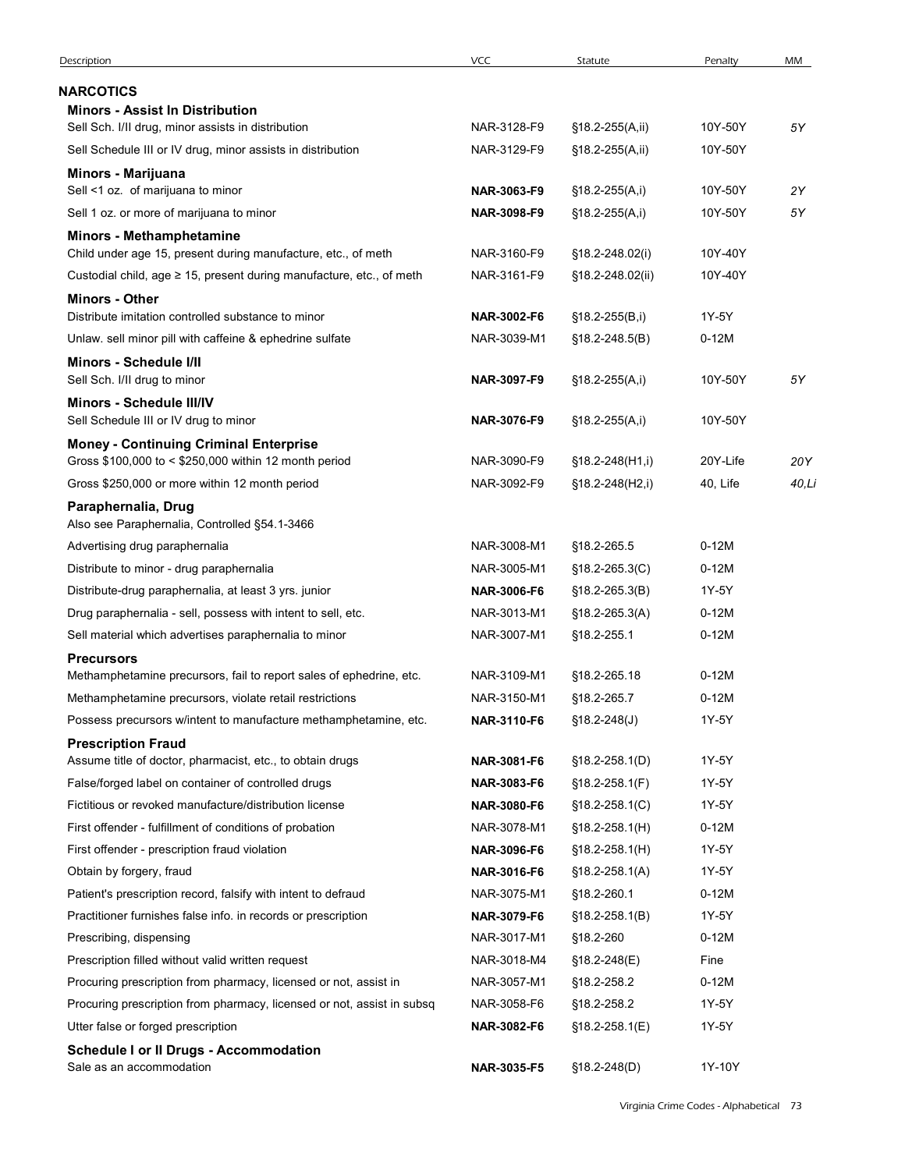| NARCOTICS<br><b>Minors - Assist In Distribution</b><br>NAR-3128-F9<br>5Υ<br>Sell Sch. I/II drug, minor assists in distribution<br>§18.2-255(A,ii)<br>10Y-50Y<br>NAR-3129-F9<br>Sell Schedule III or IV drug, minor assists in distribution<br>§18.2-255(A,ii)<br>10Y-50Y<br>Minors - Marijuana<br>Sell <1 oz. of marijuana to minor<br>NAR-3063-F9<br>2Y<br>§18.2-255(A,i)<br>10Y-50Y<br>Sell 1 oz. or more of marijuana to minor<br>NAR-3098-F9<br>5Υ<br>$$18.2-255(A,i)$<br>10Y-50Y<br>Minors - Methamphetamine<br>Child under age 15, present during manufacture, etc., of meth<br>NAR-3160-F9<br>10Y-40Y<br>§18.2-248.02(i)<br>Custodial child, age $\geq$ 15, present during manufacture, etc., of meth<br>NAR-3161-F9<br>10Y-40Y<br>§18.2-248.02(ii)<br>Minors - Other<br>Distribute imitation controlled substance to minor<br>1Y-5Y<br>NAR-3002-F6<br>§18.2-255(B,i)<br>Unlaw. sell minor pill with caffeine & ephedrine sulfate<br>NAR-3039-M1<br>$0-12M$<br>$$18.2 - 248.5(B)$<br>Minors - Schedule I/II<br>5Υ<br>Sell Sch. I/II drug to minor<br>NAR-3097-F9<br>$$18.2 - 255(A,i)$<br>10Y-50Y<br>Minors - Schedule III/IV<br>Sell Schedule III or IV drug to minor<br>10Y-50Y<br>NAR-3076-F9<br>§18.2-255(A,i)<br><b>Money - Continuing Criminal Enterprise</b><br>Gross \$100,000 to < \$250,000 within 12 month period<br>NAR-3090-F9<br>20Y-Life<br>20Y<br>$$18.2 - 248(H1, i)$<br>Gross \$250,000 or more within 12 month period<br>NAR-3092-F9<br>40, Life<br>§18.2-248(H2,i)<br>40,Li<br>Paraphernalia, Drug<br>Also see Paraphernalia, Controlled §54.1-3466<br>$0-12M$<br>Advertising drug paraphernalia<br>NAR-3008-M1<br>§18.2-265.5<br>$0-12M$<br>Distribute to minor - drug paraphernalia<br>NAR-3005-M1<br>$$18.2 - 265.3(C)$<br>1Y-5Y<br>Distribute-drug paraphernalia, at least 3 yrs. junior<br>NAR-3006-F6<br>$$18.2 - 265.3(B)$<br>Drug paraphernalia - sell, possess with intent to sell, etc.<br>$0-12M$<br>NAR-3013-M1<br>§18.2-265.3(A)<br>$0-12M$<br>Sell material which advertises paraphernalia to minor<br>NAR-3007-M1<br>§18.2-255.1<br><b>Precursors</b><br>Methamphetamine precursors, fail to report sales of ephedrine, etc.<br>NAR-3109-M1<br>$0-12M$<br>§18.2-265.18<br>Methamphetamine precursors, violate retail restrictions<br>NAR-3150-M1<br>$0-12M$<br>§18.2-265.7<br>Possess precursors w/intent to manufacture methamphetamine, etc.<br>NAR-3110-F6<br>1Y-5Y<br>$$18.2 - 248(J)$<br><b>Prescription Fraud</b><br>1Y-5Y<br>Assume title of doctor, pharmacist, etc., to obtain drugs<br>NAR-3081-F6<br>$$18.2 - 258.1(D)$<br>False/forged label on container of controlled drugs<br>1Y-5Y<br>NAR-3083-F6<br>$$18.2 - 258.1(F)$<br>Fictitious or revoked manufacture/distribution license<br>1Y-5Y<br>NAR-3080-F6<br>$$18.2 - 258.1(C)$<br>First offender - fulfillment of conditions of probation<br>NAR-3078-M1<br>$0-12M$<br>$$18.2 - 258.1(H)$<br>First offender - prescription fraud violation<br>1Y-5Y<br>NAR-3096-F6<br>$$18.2 - 258.1(H)$<br>Obtain by forgery, fraud<br>NAR-3016-F6<br>1Y-5Y<br>$$18.2 - 258.1(A)$<br>Patient's prescription record, falsify with intent to defraud<br>$0-12M$<br>NAR-3075-M1<br>§18.2-260.1<br>Practitioner furnishes false info. in records or prescription<br>NAR-3079-F6<br>1Y-5Y<br>$$18.2 - 258.1(B)$<br>NAR-3017-M1<br>$0-12M$<br>Prescribing, dispensing<br>§18.2-260<br>Prescription filled without valid written request<br>NAR-3018-M4<br>Fine<br>$$18.2 - 248(E)$ | Description                                                      | <b>VCC</b>  | Statute     | Penalty | MM |
|--------------------------------------------------------------------------------------------------------------------------------------------------------------------------------------------------------------------------------------------------------------------------------------------------------------------------------------------------------------------------------------------------------------------------------------------------------------------------------------------------------------------------------------------------------------------------------------------------------------------------------------------------------------------------------------------------------------------------------------------------------------------------------------------------------------------------------------------------------------------------------------------------------------------------------------------------------------------------------------------------------------------------------------------------------------------------------------------------------------------------------------------------------------------------------------------------------------------------------------------------------------------------------------------------------------------------------------------------------------------------------------------------------------------------------------------------------------------------------------------------------------------------------------------------------------------------------------------------------------------------------------------------------------------------------------------------------------------------------------------------------------------------------------------------------------------------------------------------------------------------------------------------------------------------------------------------------------------------------------------------------------------------------------------------------------------------------------------------------------------------------------------------------------------------------------------------------------------------------------------------------------------------------------------------------------------------------------------------------------------------------------------------------------------------------------------------------------------------------------------------------------------------------------------------------------------------------------------------------------------------------------------------------------------------------------------------------------------------------------------------------------------------------------------------------------------------------------------------------------------------------------------------------------------------------------------------------------------------------------------------------------------------------------------------------------------------------------------------------------------------------------------------------------------------------------------------------------------------------------------------------------------------------------------------------------------------------------------------------------------------------------------------------------------------------------------------------------------------|------------------------------------------------------------------|-------------|-------------|---------|----|
|                                                                                                                                                                                                                                                                                                                                                                                                                                                                                                                                                                                                                                                                                                                                                                                                                                                                                                                                                                                                                                                                                                                                                                                                                                                                                                                                                                                                                                                                                                                                                                                                                                                                                                                                                                                                                                                                                                                                                                                                                                                                                                                                                                                                                                                                                                                                                                                                                                                                                                                                                                                                                                                                                                                                                                                                                                                                                                                                                                                                                                                                                                                                                                                                                                                                                                                                                                                                                                                                          |                                                                  |             |             |         |    |
|                                                                                                                                                                                                                                                                                                                                                                                                                                                                                                                                                                                                                                                                                                                                                                                                                                                                                                                                                                                                                                                                                                                                                                                                                                                                                                                                                                                                                                                                                                                                                                                                                                                                                                                                                                                                                                                                                                                                                                                                                                                                                                                                                                                                                                                                                                                                                                                                                                                                                                                                                                                                                                                                                                                                                                                                                                                                                                                                                                                                                                                                                                                                                                                                                                                                                                                                                                                                                                                                          |                                                                  |             |             |         |    |
|                                                                                                                                                                                                                                                                                                                                                                                                                                                                                                                                                                                                                                                                                                                                                                                                                                                                                                                                                                                                                                                                                                                                                                                                                                                                                                                                                                                                                                                                                                                                                                                                                                                                                                                                                                                                                                                                                                                                                                                                                                                                                                                                                                                                                                                                                                                                                                                                                                                                                                                                                                                                                                                                                                                                                                                                                                                                                                                                                                                                                                                                                                                                                                                                                                                                                                                                                                                                                                                                          |                                                                  |             |             |         |    |
|                                                                                                                                                                                                                                                                                                                                                                                                                                                                                                                                                                                                                                                                                                                                                                                                                                                                                                                                                                                                                                                                                                                                                                                                                                                                                                                                                                                                                                                                                                                                                                                                                                                                                                                                                                                                                                                                                                                                                                                                                                                                                                                                                                                                                                                                                                                                                                                                                                                                                                                                                                                                                                                                                                                                                                                                                                                                                                                                                                                                                                                                                                                                                                                                                                                                                                                                                                                                                                                                          |                                                                  |             |             |         |    |
|                                                                                                                                                                                                                                                                                                                                                                                                                                                                                                                                                                                                                                                                                                                                                                                                                                                                                                                                                                                                                                                                                                                                                                                                                                                                                                                                                                                                                                                                                                                                                                                                                                                                                                                                                                                                                                                                                                                                                                                                                                                                                                                                                                                                                                                                                                                                                                                                                                                                                                                                                                                                                                                                                                                                                                                                                                                                                                                                                                                                                                                                                                                                                                                                                                                                                                                                                                                                                                                                          |                                                                  |             |             |         |    |
|                                                                                                                                                                                                                                                                                                                                                                                                                                                                                                                                                                                                                                                                                                                                                                                                                                                                                                                                                                                                                                                                                                                                                                                                                                                                                                                                                                                                                                                                                                                                                                                                                                                                                                                                                                                                                                                                                                                                                                                                                                                                                                                                                                                                                                                                                                                                                                                                                                                                                                                                                                                                                                                                                                                                                                                                                                                                                                                                                                                                                                                                                                                                                                                                                                                                                                                                                                                                                                                                          |                                                                  |             |             |         |    |
|                                                                                                                                                                                                                                                                                                                                                                                                                                                                                                                                                                                                                                                                                                                                                                                                                                                                                                                                                                                                                                                                                                                                                                                                                                                                                                                                                                                                                                                                                                                                                                                                                                                                                                                                                                                                                                                                                                                                                                                                                                                                                                                                                                                                                                                                                                                                                                                                                                                                                                                                                                                                                                                                                                                                                                                                                                                                                                                                                                                                                                                                                                                                                                                                                                                                                                                                                                                                                                                                          |                                                                  |             |             |         |    |
|                                                                                                                                                                                                                                                                                                                                                                                                                                                                                                                                                                                                                                                                                                                                                                                                                                                                                                                                                                                                                                                                                                                                                                                                                                                                                                                                                                                                                                                                                                                                                                                                                                                                                                                                                                                                                                                                                                                                                                                                                                                                                                                                                                                                                                                                                                                                                                                                                                                                                                                                                                                                                                                                                                                                                                                                                                                                                                                                                                                                                                                                                                                                                                                                                                                                                                                                                                                                                                                                          |                                                                  |             |             |         |    |
|                                                                                                                                                                                                                                                                                                                                                                                                                                                                                                                                                                                                                                                                                                                                                                                                                                                                                                                                                                                                                                                                                                                                                                                                                                                                                                                                                                                                                                                                                                                                                                                                                                                                                                                                                                                                                                                                                                                                                                                                                                                                                                                                                                                                                                                                                                                                                                                                                                                                                                                                                                                                                                                                                                                                                                                                                                                                                                                                                                                                                                                                                                                                                                                                                                                                                                                                                                                                                                                                          |                                                                  |             |             |         |    |
|                                                                                                                                                                                                                                                                                                                                                                                                                                                                                                                                                                                                                                                                                                                                                                                                                                                                                                                                                                                                                                                                                                                                                                                                                                                                                                                                                                                                                                                                                                                                                                                                                                                                                                                                                                                                                                                                                                                                                                                                                                                                                                                                                                                                                                                                                                                                                                                                                                                                                                                                                                                                                                                                                                                                                                                                                                                                                                                                                                                                                                                                                                                                                                                                                                                                                                                                                                                                                                                                          |                                                                  |             |             |         |    |
|                                                                                                                                                                                                                                                                                                                                                                                                                                                                                                                                                                                                                                                                                                                                                                                                                                                                                                                                                                                                                                                                                                                                                                                                                                                                                                                                                                                                                                                                                                                                                                                                                                                                                                                                                                                                                                                                                                                                                                                                                                                                                                                                                                                                                                                                                                                                                                                                                                                                                                                                                                                                                                                                                                                                                                                                                                                                                                                                                                                                                                                                                                                                                                                                                                                                                                                                                                                                                                                                          |                                                                  |             |             |         |    |
|                                                                                                                                                                                                                                                                                                                                                                                                                                                                                                                                                                                                                                                                                                                                                                                                                                                                                                                                                                                                                                                                                                                                                                                                                                                                                                                                                                                                                                                                                                                                                                                                                                                                                                                                                                                                                                                                                                                                                                                                                                                                                                                                                                                                                                                                                                                                                                                                                                                                                                                                                                                                                                                                                                                                                                                                                                                                                                                                                                                                                                                                                                                                                                                                                                                                                                                                                                                                                                                                          |                                                                  |             |             |         |    |
|                                                                                                                                                                                                                                                                                                                                                                                                                                                                                                                                                                                                                                                                                                                                                                                                                                                                                                                                                                                                                                                                                                                                                                                                                                                                                                                                                                                                                                                                                                                                                                                                                                                                                                                                                                                                                                                                                                                                                                                                                                                                                                                                                                                                                                                                                                                                                                                                                                                                                                                                                                                                                                                                                                                                                                                                                                                                                                                                                                                                                                                                                                                                                                                                                                                                                                                                                                                                                                                                          |                                                                  |             |             |         |    |
|                                                                                                                                                                                                                                                                                                                                                                                                                                                                                                                                                                                                                                                                                                                                                                                                                                                                                                                                                                                                                                                                                                                                                                                                                                                                                                                                                                                                                                                                                                                                                                                                                                                                                                                                                                                                                                                                                                                                                                                                                                                                                                                                                                                                                                                                                                                                                                                                                                                                                                                                                                                                                                                                                                                                                                                                                                                                                                                                                                                                                                                                                                                                                                                                                                                                                                                                                                                                                                                                          |                                                                  |             |             |         |    |
|                                                                                                                                                                                                                                                                                                                                                                                                                                                                                                                                                                                                                                                                                                                                                                                                                                                                                                                                                                                                                                                                                                                                                                                                                                                                                                                                                                                                                                                                                                                                                                                                                                                                                                                                                                                                                                                                                                                                                                                                                                                                                                                                                                                                                                                                                                                                                                                                                                                                                                                                                                                                                                                                                                                                                                                                                                                                                                                                                                                                                                                                                                                                                                                                                                                                                                                                                                                                                                                                          |                                                                  |             |             |         |    |
|                                                                                                                                                                                                                                                                                                                                                                                                                                                                                                                                                                                                                                                                                                                                                                                                                                                                                                                                                                                                                                                                                                                                                                                                                                                                                                                                                                                                                                                                                                                                                                                                                                                                                                                                                                                                                                                                                                                                                                                                                                                                                                                                                                                                                                                                                                                                                                                                                                                                                                                                                                                                                                                                                                                                                                                                                                                                                                                                                                                                                                                                                                                                                                                                                                                                                                                                                                                                                                                                          |                                                                  |             |             |         |    |
|                                                                                                                                                                                                                                                                                                                                                                                                                                                                                                                                                                                                                                                                                                                                                                                                                                                                                                                                                                                                                                                                                                                                                                                                                                                                                                                                                                                                                                                                                                                                                                                                                                                                                                                                                                                                                                                                                                                                                                                                                                                                                                                                                                                                                                                                                                                                                                                                                                                                                                                                                                                                                                                                                                                                                                                                                                                                                                                                                                                                                                                                                                                                                                                                                                                                                                                                                                                                                                                                          |                                                                  |             |             |         |    |
|                                                                                                                                                                                                                                                                                                                                                                                                                                                                                                                                                                                                                                                                                                                                                                                                                                                                                                                                                                                                                                                                                                                                                                                                                                                                                                                                                                                                                                                                                                                                                                                                                                                                                                                                                                                                                                                                                                                                                                                                                                                                                                                                                                                                                                                                                                                                                                                                                                                                                                                                                                                                                                                                                                                                                                                                                                                                                                                                                                                                                                                                                                                                                                                                                                                                                                                                                                                                                                                                          |                                                                  |             |             |         |    |
|                                                                                                                                                                                                                                                                                                                                                                                                                                                                                                                                                                                                                                                                                                                                                                                                                                                                                                                                                                                                                                                                                                                                                                                                                                                                                                                                                                                                                                                                                                                                                                                                                                                                                                                                                                                                                                                                                                                                                                                                                                                                                                                                                                                                                                                                                                                                                                                                                                                                                                                                                                                                                                                                                                                                                                                                                                                                                                                                                                                                                                                                                                                                                                                                                                                                                                                                                                                                                                                                          |                                                                  |             |             |         |    |
|                                                                                                                                                                                                                                                                                                                                                                                                                                                                                                                                                                                                                                                                                                                                                                                                                                                                                                                                                                                                                                                                                                                                                                                                                                                                                                                                                                                                                                                                                                                                                                                                                                                                                                                                                                                                                                                                                                                                                                                                                                                                                                                                                                                                                                                                                                                                                                                                                                                                                                                                                                                                                                                                                                                                                                                                                                                                                                                                                                                                                                                                                                                                                                                                                                                                                                                                                                                                                                                                          |                                                                  |             |             |         |    |
|                                                                                                                                                                                                                                                                                                                                                                                                                                                                                                                                                                                                                                                                                                                                                                                                                                                                                                                                                                                                                                                                                                                                                                                                                                                                                                                                                                                                                                                                                                                                                                                                                                                                                                                                                                                                                                                                                                                                                                                                                                                                                                                                                                                                                                                                                                                                                                                                                                                                                                                                                                                                                                                                                                                                                                                                                                                                                                                                                                                                                                                                                                                                                                                                                                                                                                                                                                                                                                                                          |                                                                  |             |             |         |    |
|                                                                                                                                                                                                                                                                                                                                                                                                                                                                                                                                                                                                                                                                                                                                                                                                                                                                                                                                                                                                                                                                                                                                                                                                                                                                                                                                                                                                                                                                                                                                                                                                                                                                                                                                                                                                                                                                                                                                                                                                                                                                                                                                                                                                                                                                                                                                                                                                                                                                                                                                                                                                                                                                                                                                                                                                                                                                                                                                                                                                                                                                                                                                                                                                                                                                                                                                                                                                                                                                          |                                                                  |             |             |         |    |
|                                                                                                                                                                                                                                                                                                                                                                                                                                                                                                                                                                                                                                                                                                                                                                                                                                                                                                                                                                                                                                                                                                                                                                                                                                                                                                                                                                                                                                                                                                                                                                                                                                                                                                                                                                                                                                                                                                                                                                                                                                                                                                                                                                                                                                                                                                                                                                                                                                                                                                                                                                                                                                                                                                                                                                                                                                                                                                                                                                                                                                                                                                                                                                                                                                                                                                                                                                                                                                                                          |                                                                  |             |             |         |    |
|                                                                                                                                                                                                                                                                                                                                                                                                                                                                                                                                                                                                                                                                                                                                                                                                                                                                                                                                                                                                                                                                                                                                                                                                                                                                                                                                                                                                                                                                                                                                                                                                                                                                                                                                                                                                                                                                                                                                                                                                                                                                                                                                                                                                                                                                                                                                                                                                                                                                                                                                                                                                                                                                                                                                                                                                                                                                                                                                                                                                                                                                                                                                                                                                                                                                                                                                                                                                                                                                          |                                                                  |             |             |         |    |
|                                                                                                                                                                                                                                                                                                                                                                                                                                                                                                                                                                                                                                                                                                                                                                                                                                                                                                                                                                                                                                                                                                                                                                                                                                                                                                                                                                                                                                                                                                                                                                                                                                                                                                                                                                                                                                                                                                                                                                                                                                                                                                                                                                                                                                                                                                                                                                                                                                                                                                                                                                                                                                                                                                                                                                                                                                                                                                                                                                                                                                                                                                                                                                                                                                                                                                                                                                                                                                                                          |                                                                  |             |             |         |    |
|                                                                                                                                                                                                                                                                                                                                                                                                                                                                                                                                                                                                                                                                                                                                                                                                                                                                                                                                                                                                                                                                                                                                                                                                                                                                                                                                                                                                                                                                                                                                                                                                                                                                                                                                                                                                                                                                                                                                                                                                                                                                                                                                                                                                                                                                                                                                                                                                                                                                                                                                                                                                                                                                                                                                                                                                                                                                                                                                                                                                                                                                                                                                                                                                                                                                                                                                                                                                                                                                          |                                                                  |             |             |         |    |
|                                                                                                                                                                                                                                                                                                                                                                                                                                                                                                                                                                                                                                                                                                                                                                                                                                                                                                                                                                                                                                                                                                                                                                                                                                                                                                                                                                                                                                                                                                                                                                                                                                                                                                                                                                                                                                                                                                                                                                                                                                                                                                                                                                                                                                                                                                                                                                                                                                                                                                                                                                                                                                                                                                                                                                                                                                                                                                                                                                                                                                                                                                                                                                                                                                                                                                                                                                                                                                                                          |                                                                  |             |             |         |    |
|                                                                                                                                                                                                                                                                                                                                                                                                                                                                                                                                                                                                                                                                                                                                                                                                                                                                                                                                                                                                                                                                                                                                                                                                                                                                                                                                                                                                                                                                                                                                                                                                                                                                                                                                                                                                                                                                                                                                                                                                                                                                                                                                                                                                                                                                                                                                                                                                                                                                                                                                                                                                                                                                                                                                                                                                                                                                                                                                                                                                                                                                                                                                                                                                                                                                                                                                                                                                                                                                          |                                                                  |             |             |         |    |
|                                                                                                                                                                                                                                                                                                                                                                                                                                                                                                                                                                                                                                                                                                                                                                                                                                                                                                                                                                                                                                                                                                                                                                                                                                                                                                                                                                                                                                                                                                                                                                                                                                                                                                                                                                                                                                                                                                                                                                                                                                                                                                                                                                                                                                                                                                                                                                                                                                                                                                                                                                                                                                                                                                                                                                                                                                                                                                                                                                                                                                                                                                                                                                                                                                                                                                                                                                                                                                                                          |                                                                  |             |             |         |    |
|                                                                                                                                                                                                                                                                                                                                                                                                                                                                                                                                                                                                                                                                                                                                                                                                                                                                                                                                                                                                                                                                                                                                                                                                                                                                                                                                                                                                                                                                                                                                                                                                                                                                                                                                                                                                                                                                                                                                                                                                                                                                                                                                                                                                                                                                                                                                                                                                                                                                                                                                                                                                                                                                                                                                                                                                                                                                                                                                                                                                                                                                                                                                                                                                                                                                                                                                                                                                                                                                          |                                                                  |             |             |         |    |
|                                                                                                                                                                                                                                                                                                                                                                                                                                                                                                                                                                                                                                                                                                                                                                                                                                                                                                                                                                                                                                                                                                                                                                                                                                                                                                                                                                                                                                                                                                                                                                                                                                                                                                                                                                                                                                                                                                                                                                                                                                                                                                                                                                                                                                                                                                                                                                                                                                                                                                                                                                                                                                                                                                                                                                                                                                                                                                                                                                                                                                                                                                                                                                                                                                                                                                                                                                                                                                                                          |                                                                  |             |             |         |    |
|                                                                                                                                                                                                                                                                                                                                                                                                                                                                                                                                                                                                                                                                                                                                                                                                                                                                                                                                                                                                                                                                                                                                                                                                                                                                                                                                                                                                                                                                                                                                                                                                                                                                                                                                                                                                                                                                                                                                                                                                                                                                                                                                                                                                                                                                                                                                                                                                                                                                                                                                                                                                                                                                                                                                                                                                                                                                                                                                                                                                                                                                                                                                                                                                                                                                                                                                                                                                                                                                          |                                                                  |             |             |         |    |
|                                                                                                                                                                                                                                                                                                                                                                                                                                                                                                                                                                                                                                                                                                                                                                                                                                                                                                                                                                                                                                                                                                                                                                                                                                                                                                                                                                                                                                                                                                                                                                                                                                                                                                                                                                                                                                                                                                                                                                                                                                                                                                                                                                                                                                                                                                                                                                                                                                                                                                                                                                                                                                                                                                                                                                                                                                                                                                                                                                                                                                                                                                                                                                                                                                                                                                                                                                                                                                                                          |                                                                  |             |             |         |    |
|                                                                                                                                                                                                                                                                                                                                                                                                                                                                                                                                                                                                                                                                                                                                                                                                                                                                                                                                                                                                                                                                                                                                                                                                                                                                                                                                                                                                                                                                                                                                                                                                                                                                                                                                                                                                                                                                                                                                                                                                                                                                                                                                                                                                                                                                                                                                                                                                                                                                                                                                                                                                                                                                                                                                                                                                                                                                                                                                                                                                                                                                                                                                                                                                                                                                                                                                                                                                                                                                          |                                                                  |             |             |         |    |
|                                                                                                                                                                                                                                                                                                                                                                                                                                                                                                                                                                                                                                                                                                                                                                                                                                                                                                                                                                                                                                                                                                                                                                                                                                                                                                                                                                                                                                                                                                                                                                                                                                                                                                                                                                                                                                                                                                                                                                                                                                                                                                                                                                                                                                                                                                                                                                                                                                                                                                                                                                                                                                                                                                                                                                                                                                                                                                                                                                                                                                                                                                                                                                                                                                                                                                                                                                                                                                                                          |                                                                  |             |             |         |    |
|                                                                                                                                                                                                                                                                                                                                                                                                                                                                                                                                                                                                                                                                                                                                                                                                                                                                                                                                                                                                                                                                                                                                                                                                                                                                                                                                                                                                                                                                                                                                                                                                                                                                                                                                                                                                                                                                                                                                                                                                                                                                                                                                                                                                                                                                                                                                                                                                                                                                                                                                                                                                                                                                                                                                                                                                                                                                                                                                                                                                                                                                                                                                                                                                                                                                                                                                                                                                                                                                          |                                                                  |             |             |         |    |
|                                                                                                                                                                                                                                                                                                                                                                                                                                                                                                                                                                                                                                                                                                                                                                                                                                                                                                                                                                                                                                                                                                                                                                                                                                                                                                                                                                                                                                                                                                                                                                                                                                                                                                                                                                                                                                                                                                                                                                                                                                                                                                                                                                                                                                                                                                                                                                                                                                                                                                                                                                                                                                                                                                                                                                                                                                                                                                                                                                                                                                                                                                                                                                                                                                                                                                                                                                                                                                                                          |                                                                  |             |             |         |    |
|                                                                                                                                                                                                                                                                                                                                                                                                                                                                                                                                                                                                                                                                                                                                                                                                                                                                                                                                                                                                                                                                                                                                                                                                                                                                                                                                                                                                                                                                                                                                                                                                                                                                                                                                                                                                                                                                                                                                                                                                                                                                                                                                                                                                                                                                                                                                                                                                                                                                                                                                                                                                                                                                                                                                                                                                                                                                                                                                                                                                                                                                                                                                                                                                                                                                                                                                                                                                                                                                          |                                                                  |             |             |         |    |
|                                                                                                                                                                                                                                                                                                                                                                                                                                                                                                                                                                                                                                                                                                                                                                                                                                                                                                                                                                                                                                                                                                                                                                                                                                                                                                                                                                                                                                                                                                                                                                                                                                                                                                                                                                                                                                                                                                                                                                                                                                                                                                                                                                                                                                                                                                                                                                                                                                                                                                                                                                                                                                                                                                                                                                                                                                                                                                                                                                                                                                                                                                                                                                                                                                                                                                                                                                                                                                                                          |                                                                  |             |             |         |    |
|                                                                                                                                                                                                                                                                                                                                                                                                                                                                                                                                                                                                                                                                                                                                                                                                                                                                                                                                                                                                                                                                                                                                                                                                                                                                                                                                                                                                                                                                                                                                                                                                                                                                                                                                                                                                                                                                                                                                                                                                                                                                                                                                                                                                                                                                                                                                                                                                                                                                                                                                                                                                                                                                                                                                                                                                                                                                                                                                                                                                                                                                                                                                                                                                                                                                                                                                                                                                                                                                          |                                                                  |             |             |         |    |
|                                                                                                                                                                                                                                                                                                                                                                                                                                                                                                                                                                                                                                                                                                                                                                                                                                                                                                                                                                                                                                                                                                                                                                                                                                                                                                                                                                                                                                                                                                                                                                                                                                                                                                                                                                                                                                                                                                                                                                                                                                                                                                                                                                                                                                                                                                                                                                                                                                                                                                                                                                                                                                                                                                                                                                                                                                                                                                                                                                                                                                                                                                                                                                                                                                                                                                                                                                                                                                                                          | Procuring prescription from pharmacy, licensed or not, assist in | NAR-3057-M1 | §18.2-258.2 | $0-12M$ |    |
| Procuring prescription from pharmacy, licensed or not, assist in subsq<br>NAR-3058-F6<br>1Y-5Y<br>§18.2-258.2                                                                                                                                                                                                                                                                                                                                                                                                                                                                                                                                                                                                                                                                                                                                                                                                                                                                                                                                                                                                                                                                                                                                                                                                                                                                                                                                                                                                                                                                                                                                                                                                                                                                                                                                                                                                                                                                                                                                                                                                                                                                                                                                                                                                                                                                                                                                                                                                                                                                                                                                                                                                                                                                                                                                                                                                                                                                                                                                                                                                                                                                                                                                                                                                                                                                                                                                                            |                                                                  |             |             |         |    |
| NAR-3082-F6<br>1Y-5Y<br>Utter false or forged prescription<br>$$18.2 - 258.1(E)$                                                                                                                                                                                                                                                                                                                                                                                                                                                                                                                                                                                                                                                                                                                                                                                                                                                                                                                                                                                                                                                                                                                                                                                                                                                                                                                                                                                                                                                                                                                                                                                                                                                                                                                                                                                                                                                                                                                                                                                                                                                                                                                                                                                                                                                                                                                                                                                                                                                                                                                                                                                                                                                                                                                                                                                                                                                                                                                                                                                                                                                                                                                                                                                                                                                                                                                                                                                         |                                                                  |             |             |         |    |
| <b>Schedule I or II Drugs - Accommodation</b><br>1Y-10Y<br>Sale as an accommodation                                                                                                                                                                                                                                                                                                                                                                                                                                                                                                                                                                                                                                                                                                                                                                                                                                                                                                                                                                                                                                                                                                                                                                                                                                                                                                                                                                                                                                                                                                                                                                                                                                                                                                                                                                                                                                                                                                                                                                                                                                                                                                                                                                                                                                                                                                                                                                                                                                                                                                                                                                                                                                                                                                                                                                                                                                                                                                                                                                                                                                                                                                                                                                                                                                                                                                                                                                                      |                                                                  |             |             |         |    |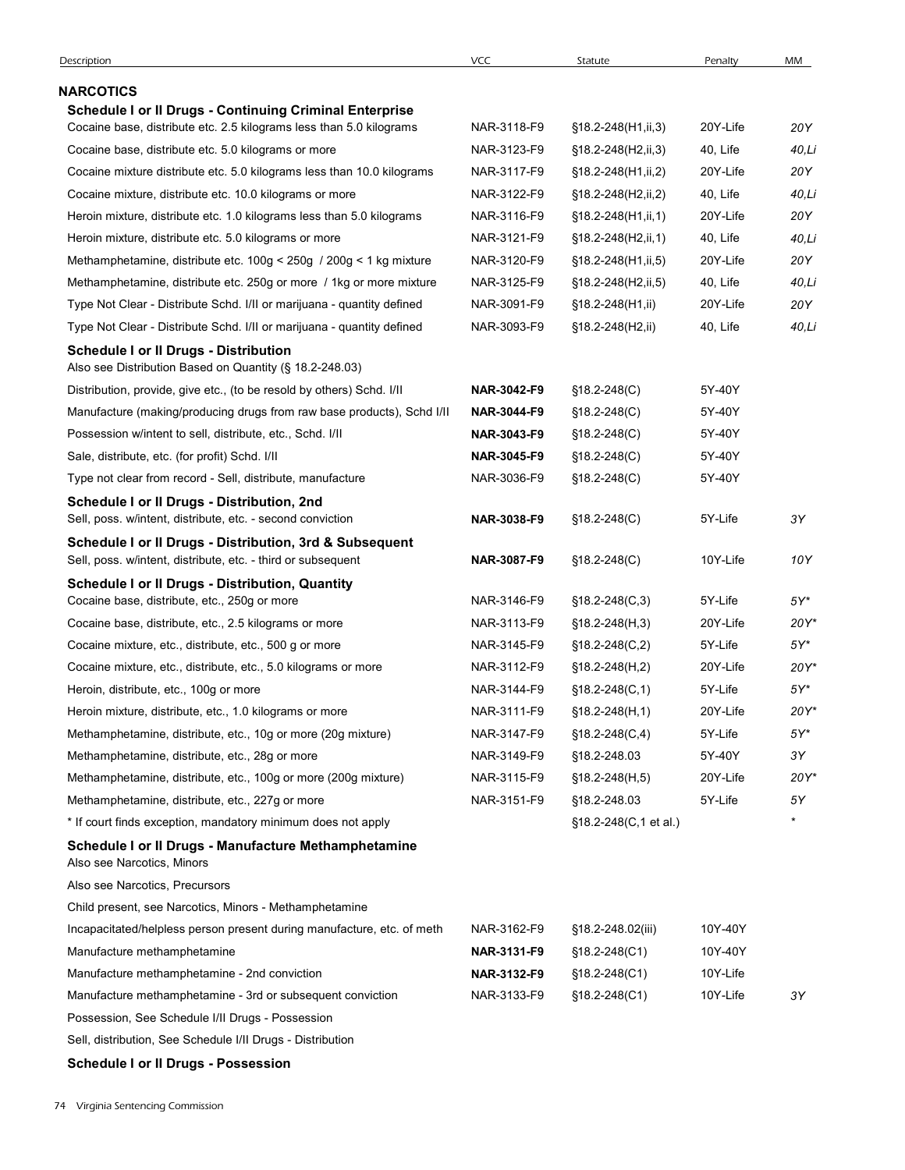| Description                                                                                                                 | <b>VCC</b>                 | Statute                                    | Penalty              | MM             |
|-----------------------------------------------------------------------------------------------------------------------------|----------------------------|--------------------------------------------|----------------------|----------------|
| NARCOTICS                                                                                                                   |                            |                                            |                      |                |
| <b>Schedule I or II Drugs - Continuing Criminal Enterprise</b>                                                              |                            |                                            |                      |                |
| Cocaine base, distribute etc. 2.5 kilograms less than 5.0 kilograms                                                         | NAR-3118-F9                | §18.2-248(H1,ii,3)                         | 20Y-Life             | 20Y            |
| Cocaine base, distribute etc. 5.0 kilograms or more                                                                         | NAR-3123-F9                | §18.2-248(H2,ii,3)                         | 40, Life             | 40,Li          |
| Cocaine mixture distribute etc. 5.0 kilograms less than 10.0 kilograms                                                      | NAR-3117-F9                | §18.2-248(H1,ii,2)                         | 20Y-Life             | 20Y            |
| Cocaine mixture, distribute etc. 10.0 kilograms or more                                                                     | NAR-3122-F9                | §18.2-248(H2,ii,2)                         | 40, Life             | 40,Li          |
| Heroin mixture, distribute etc. 1.0 kilograms less than 5.0 kilograms                                                       | NAR-3116-F9                | $$18.2 - 248(H1, ii, 1)$                   | 20Y-Life             | 20Y            |
| Heroin mixture, distribute etc. 5.0 kilograms or more<br>Methamphetamine, distribute etc. 100g < 250g / 200g < 1 kg mixture | NAR-3121-F9<br>NAR-3120-F9 | §18.2-248(H2,ii,1)<br>§18.2-248(H1,ii,5)   | 40, Life<br>20Y-Life | 40,Li<br>20Y   |
| Methamphetamine, distribute etc. 250g or more / 1kg or more mixture                                                         | NAR-3125-F9                | §18.2-248(H2,ii,5)                         | 40, Life             | 40,Li          |
| Type Not Clear - Distribute Schd. I/II or marijuana - quantity defined                                                      | NAR-3091-F9                | $$18.2 - 248(H1, ii)$                      | 20Y-Life             | 20Y            |
| Type Not Clear - Distribute Schd. I/II or marijuana - quantity defined                                                      | NAR-3093-F9                | §18.2-248(H2,ii)                           | 40, Life             | 40,Li          |
| <b>Schedule I or II Drugs - Distribution</b><br>Also see Distribution Based on Quantity (§ 18.2-248.03)                     |                            |                                            |                      |                |
| Distribution, provide, give etc., (to be resold by others) Schd. I/II                                                       | NAR-3042-F9                | $$18.2 - 248(C)$                           | 5Y-40Y               |                |
| Manufacture (making/producing drugs from raw base products), Schd I/II                                                      | NAR-3044-F9                | $$18.2 - 248(C)$                           | 5Y-40Y               |                |
| Possession w/intent to sell, distribute, etc., Schd. I/II                                                                   | NAR-3043-F9                | $$18.2 - 248(C)$                           | 5Y-40Y               |                |
| Sale, distribute, etc. (for profit) Schd. I/II                                                                              | NAR-3045-F9                | $$18.2 - 248(C)$                           | 5Y-40Y               |                |
| Type not clear from record - Sell, distribute, manufacture                                                                  | NAR-3036-F9                | $$18.2 - 248(C)$                           | 5Y-40Y               |                |
| Schedule I or II Drugs - Distribution, 2nd<br>Sell, poss. w/intent, distribute, etc. - second conviction                    | NAR-3038-F9                | $$18.2 - 248(C)$                           | 5Y-Life              | 3Y             |
| Schedule I or II Drugs - Distribution, 3rd & Subsequent<br>Sell, poss. w/intent, distribute, etc. - third or subsequent     | NAR-3087-F9                | $$18.2 - 248(C)$                           | 10Y-Life             | 10Y            |
| <b>Schedule I or II Drugs - Distribution, Quantity</b>                                                                      |                            |                                            |                      |                |
| Cocaine base, distribute, etc., 250g or more                                                                                | NAR-3146-F9                | $$18.2 - 248(C, 3)$                        | 5Y-Life              | $5Y^*$         |
| Cocaine base, distribute, etc., 2.5 kilograms or more                                                                       | NAR-3113-F9                | $$18.2 - 248(H, 3)$                        | 20Y-Life             | 20Y*           |
| Cocaine mixture, etc., distribute, etc., 500 g or more                                                                      | NAR-3145-F9                | $$18.2 - 248(C, 2)$                        | 5Y-Life              | $5Y^*$         |
| Cocaine mixture, etc., distribute, etc., 5.0 kilograms or more                                                              | NAR-3112-F9                | $$18.2 - 248(H,2)$                         | 20Y-Life             | 20Y*           |
| Heroin, distribute, etc., 100g or more<br>Heroin mixture, distribute, etc., 1.0 kilograms or more                           | NAR-3144-F9<br>NAR-3111-F9 | $$18.2 - 248(C, 1)$<br>$$18.2 - 248(H, 1)$ | 5Y-Life<br>20Y-Life  | $5Y^*$<br>20Y* |
| Methamphetamine, distribute, etc., 10g or more (20g mixture)                                                                | NAR-3147-F9                | $$18.2 - 248(C, 4)$                        | 5Y-Life              | $5Y^*$         |
| Methamphetamine, distribute, etc., 28g or more                                                                              | NAR-3149-F9                | §18.2-248.03                               | 5Y-40Y               | 3Y             |
| Methamphetamine, distribute, etc., 100g or more (200g mixture)                                                              | NAR-3115-F9                | $$18.2 - 248(H, 5)$                        | 20Y-Life             | 20Y*           |
| Methamphetamine, distribute, etc., 227g or more                                                                             | NAR-3151-F9                | §18.2-248.03                               | 5Y-Life              | 5Υ             |
| * If court finds exception, mandatory minimum does not apply                                                                |                            | §18.2-248(C,1 et al.)                      |                      |                |
| Schedule I or II Drugs - Manufacture Methamphetamine<br>Also see Narcotics, Minors                                          |                            |                                            |                      |                |
| Also see Narcotics, Precursors                                                                                              |                            |                                            |                      |                |
| Child present, see Narcotics, Minors - Methamphetamine                                                                      |                            |                                            |                      |                |
| Incapacitated/helpless person present during manufacture, etc. of meth                                                      | NAR-3162-F9                | §18.2-248.02(iii)                          | 10Y-40Y              |                |
| Manufacture methamphetamine                                                                                                 | NAR-3131-F9                | $$18.2 - 248(C1)$                          | 10Y-40Y              |                |
| Manufacture methamphetamine - 2nd conviction                                                                                | NAR-3132-F9                | $$18.2 - 248(C1)$                          | 10Y-Life             |                |
| Manufacture methamphetamine - 3rd or subsequent conviction                                                                  | NAR-3133-F9                | $$18.2 - 248(C1)$                          | 10Y-Life             | 3Y             |
| Possession, See Schedule I/II Drugs - Possession                                                                            |                            |                                            |                      |                |
| Sell, distribution, See Schedule I/II Drugs - Distribution                                                                  |                            |                                            |                      |                |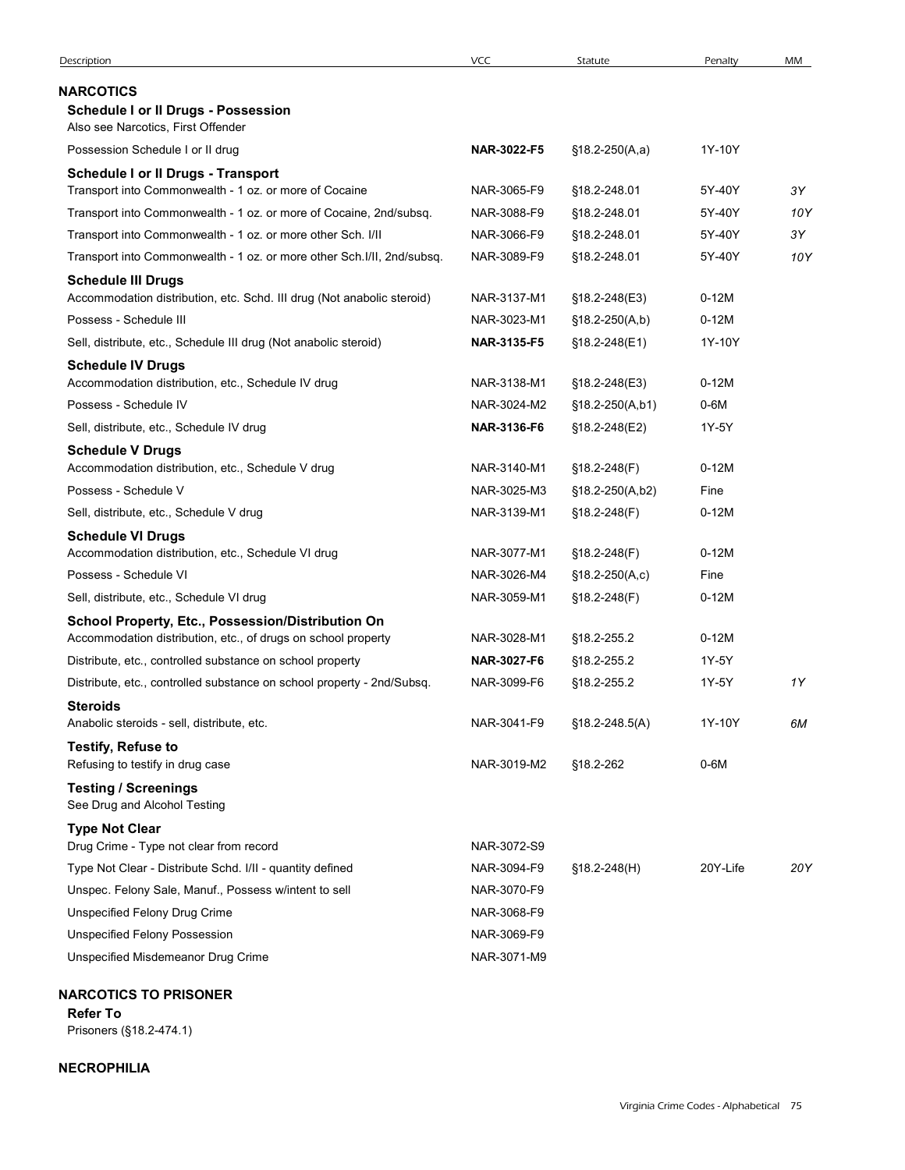|                                                                                                                    | <b>VCC</b>                 | Statute                         | Penalty         | MM  |
|--------------------------------------------------------------------------------------------------------------------|----------------------------|---------------------------------|-----------------|-----|
| <b>NARCOTICS</b>                                                                                                   |                            |                                 |                 |     |
| <b>Schedule I or II Drugs - Possession</b><br>Also see Narcotics, First Offender                                   |                            |                                 |                 |     |
| Possession Schedule I or II drug                                                                                   | NAR-3022-F5                | $$18.2-250(A,a)$                | 1Y-10Y          |     |
| <b>Schedule I or II Drugs - Transport</b>                                                                          |                            |                                 |                 |     |
| Transport into Commonwealth - 1 oz. or more of Cocaine                                                             | NAR-3065-F9                | §18.2-248.01                    | 5Y-40Y          | 3Υ  |
| Transport into Commonwealth - 1 oz. or more of Cocaine, 2nd/subsq.                                                 | NAR-3088-F9                | §18.2-248.01                    | 5Y-40Y          | 10Y |
| Transport into Commonwealth - 1 oz. or more other Sch. I/II                                                        | NAR-3066-F9                | §18.2-248.01                    | 5Y-40Y          | 3Υ  |
| Transport into Commonwealth - 1 oz. or more other Sch. I/II, 2nd/subsq.                                            | NAR-3089-F9                | §18.2-248.01                    | 5Y-40Y          | 10Y |
| <b>Schedule III Drugs</b>                                                                                          | NAR-3137-M1                |                                 | $0-12M$         |     |
| Accommodation distribution, etc. Schd. III drug (Not anabolic steroid)<br>Possess - Schedule III                   | NAR-3023-M1                | §18.2-248(E3)<br>§18.2-250(A,b) | $0-12M$         |     |
| Sell, distribute, etc., Schedule III drug (Not anabolic steroid)                                                   | NAR-3135-F5                | §18.2-248(E1)                   | 1Y-10Y          |     |
| <b>Schedule IV Drugs</b>                                                                                           |                            |                                 |                 |     |
| Accommodation distribution, etc., Schedule IV drug                                                                 | NAR-3138-M1                | §18.2-248(E3)                   | $0-12M$         |     |
| Possess - Schedule IV                                                                                              | NAR-3024-M2                | §18.2-250(A,b1)                 | 0-6M            |     |
| Sell, distribute, etc., Schedule IV drug                                                                           | NAR-3136-F6                | §18.2-248(E2)                   | 1Y-5Y           |     |
| <b>Schedule V Drugs</b>                                                                                            |                            |                                 |                 |     |
| Accommodation distribution, etc., Schedule V drug                                                                  | NAR-3140-M1                | §18.2-248(F)                    | $0-12M$         |     |
| Possess - Schedule V                                                                                               | NAR-3025-M3                | §18.2-250(A,b2)                 | Fine            |     |
| Sell, distribute, etc., Schedule V drug                                                                            | NAR-3139-M1                | §18.2-248(F)                    | $0-12M$         |     |
| <b>Schedule VI Drugs</b>                                                                                           |                            |                                 |                 |     |
| Accommodation distribution, etc., Schedule VI drug<br>Possess - Schedule VI                                        | NAR-3077-M1<br>NAR-3026-M4 | §18.2-248(F)                    | $0-12M$<br>Fine |     |
| Sell, distribute, etc., Schedule VI drug                                                                           | NAR-3059-M1                | §18.2-250(A,c)<br>§18.2-248(F)  | $0-12M$         |     |
|                                                                                                                    |                            |                                 |                 |     |
| School Property, Etc., Possession/Distribution On<br>Accommodation distribution, etc., of drugs on school property | NAR-3028-M1                | §18.2-255.2                     | $0-12M$         |     |
| Distribute, etc., controlled substance on school property                                                          | NAR-3027-F6                | §18.2-255.2                     | 1Y-5Y           |     |
| Distribute, etc., controlled substance on school property - 2nd/Subsq.                                             | NAR-3099-F6                | §18.2-255.2                     | 1Y-5Y           | 1Y  |
| <b>Steroids</b>                                                                                                    |                            |                                 |                 |     |
| Anabolic steroids - sell, distribute, etc.                                                                         | NAR-3041-F9                | $$18.2 - 248.5(A)$              | 1Y-10Y          | 6M  |
| <b>Testify, Refuse to</b>                                                                                          |                            |                                 |                 |     |
| Refusing to testify in drug case                                                                                   | NAR-3019-M2                | §18.2-262                       | $0-6M$          |     |
| <b>Testing / Screenings</b><br>See Drug and Alcohol Testing                                                        |                            |                                 |                 |     |
| <b>Type Not Clear</b>                                                                                              |                            |                                 |                 |     |
| Drug Crime - Type not clear from record                                                                            | NAR-3072-S9                |                                 |                 |     |
| Type Not Clear - Distribute Schd. I/II - quantity defined                                                          | NAR-3094-F9                | §18.2-248(H)                    | 20Y-Life        | 20Y |
| Unspec. Felony Sale, Manuf., Possess w/intent to sell                                                              | NAR-3070-F9                |                                 |                 |     |
| Unspecified Felony Drug Crime                                                                                      | NAR-3068-F9                |                                 |                 |     |
| <b>Unspecified Felony Possession</b>                                                                               | NAR-3069-F9<br>NAR-3071-M9 |                                 |                 |     |
| Unspecified Misdemeanor Drug Crime                                                                                 |                            |                                 |                 |     |

### NECROPHILIA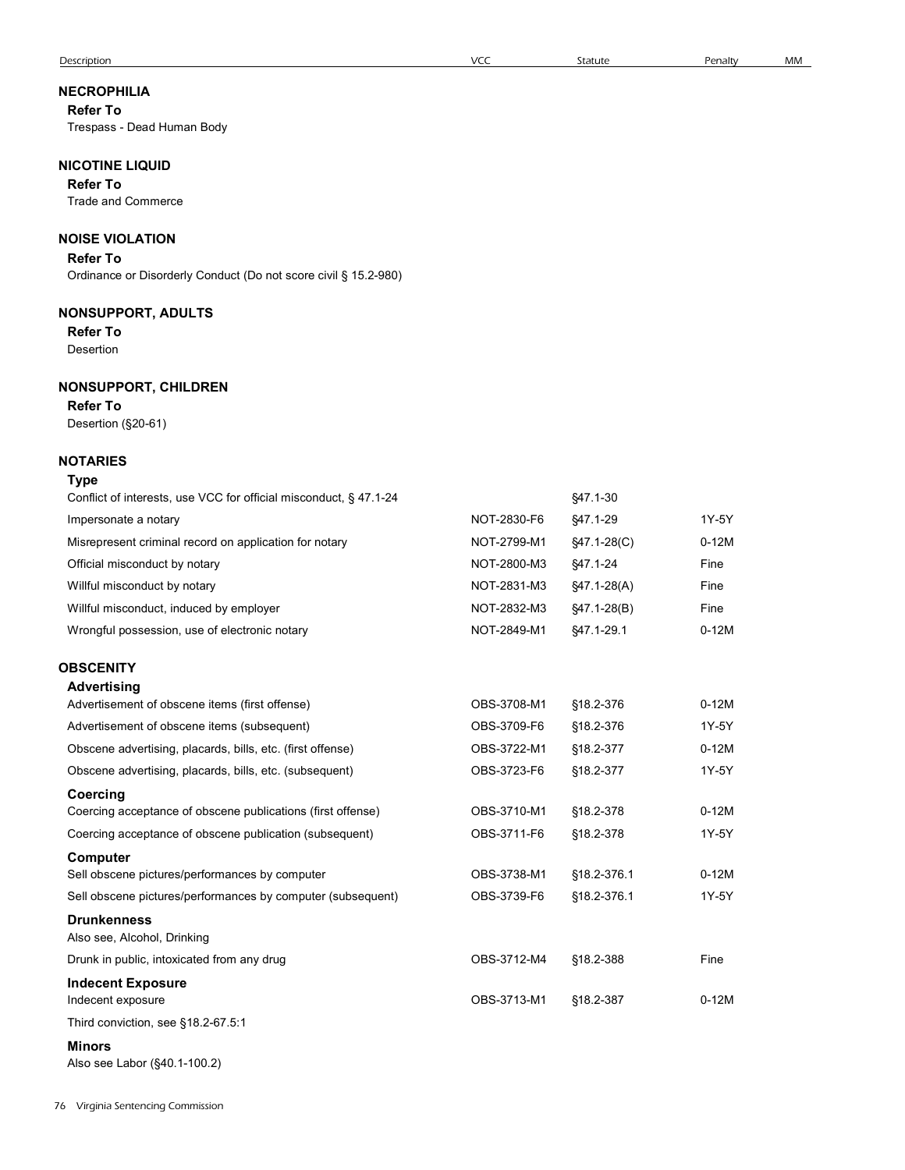| Reier To                                                                  |                            |                            |                  |  |
|---------------------------------------------------------------------------|----------------------------|----------------------------|------------------|--|
| Trespass - Dead Human Body                                                |                            |                            |                  |  |
| <b>NICOTINE LIQUID</b>                                                    |                            |                            |                  |  |
| <b>Refer To</b>                                                           |                            |                            |                  |  |
| <b>Trade and Commerce</b>                                                 |                            |                            |                  |  |
| <b>NOISE VIOLATION</b>                                                    |                            |                            |                  |  |
| <b>Refer To</b>                                                           |                            |                            |                  |  |
| Ordinance or Disorderly Conduct (Do not score civil § 15.2-980)           |                            |                            |                  |  |
| <b>NONSUPPORT, ADULTS</b>                                                 |                            |                            |                  |  |
| <b>Refer To</b>                                                           |                            |                            |                  |  |
| Desertion                                                                 |                            |                            |                  |  |
| <b>NONSUPPORT, CHILDREN</b>                                               |                            |                            |                  |  |
| <b>Refer To</b>                                                           |                            |                            |                  |  |
| Desertion (§20-61)                                                        |                            |                            |                  |  |
| <b>NOTARIES</b>                                                           |                            |                            |                  |  |
| Type<br>Conflict of interests, use VCC for official misconduct, § 47.1-24 |                            | §47.1-30                   |                  |  |
| Impersonate a notary                                                      | NOT-2830-F6                | §47.1-29                   | 1Y-5Y            |  |
| Misrepresent criminal record on application for notary                    | NOT-2799-M1                | §47.1-28(C)                | $0-12M$          |  |
| Official misconduct by notary                                             | NOT-2800-M3                | §47.1-24                   | Fine             |  |
| Willful misconduct by notary                                              | NOT-2831-M3                | §47.1-28(A)                | Fine             |  |
| Willful misconduct, induced by employer                                   | NOT-2832-M3                | $§47.1-28(B)$              | Fine             |  |
| Wrongful possession, use of electronic notary                             | NOT-2849-M1                | §47.1-29.1                 | $0-12M$          |  |
|                                                                           |                            |                            |                  |  |
| <b>OBSCENITY</b><br><b>Advertising</b>                                    |                            |                            |                  |  |
| Advertisement of obscene items (first offense)                            | OBS-3708-M1                | §18.2-376                  | $0-12M$          |  |
| Advertisement of obscene items (subsequent)                               | OBS-3709-F6                | §18.2-376                  | 1Y-5Y            |  |
| Obscene advertising, placards, bills, etc. (first offense)                | OBS-3722-M1                | §18.2-377                  | $0-12M$          |  |
| Obscene advertising, placards, bills, etc. (subsequent)                   | OBS-3723-F6                | §18.2-377                  | 1Y-5Y            |  |
| Coercing                                                                  |                            |                            |                  |  |
| Coercing acceptance of obscene publications (first offense)               | OBS-3710-M1                | §18.2-378                  | $0-12M$          |  |
| Coercing acceptance of obscene publication (subsequent)                   | OBS-3711-F6                | §18.2-378                  | 1Y-5Y            |  |
| Computer<br>Sell obscene pictures/performances by computer                |                            |                            |                  |  |
| Sell obscene pictures/performances by computer (subsequent)               | OBS-3738-M1<br>OBS-3739-F6 | §18.2-376.1<br>§18.2-376.1 | $0-12M$<br>1Y-5Y |  |
| <b>Drunkenness</b>                                                        |                            |                            |                  |  |
| Also see, Alcohol, Drinking                                               |                            |                            |                  |  |
| Drunk in public, intoxicated from any drug                                | OBS-3712-M4                | §18.2-388                  | Fine             |  |
| <b>Indecent Exposure</b>                                                  |                            |                            |                  |  |
| Indecent exposure                                                         | OBS-3713-M1                | §18.2-387                  | $0-12M$          |  |
| Third conviction, see §18.2-67.5:1                                        |                            |                            |                  |  |
| <b>Minors</b><br>Also see Labor (§40.1-100.2)                             |                            |                            |                  |  |
|                                                                           |                            |                            |                  |  |
|                                                                           |                            |                            |                  |  |

# NECROPHILIA

Refer To Trespass - Dead Human Body

| Conflict of interests, use VCC for official misconduct, § 47.1-24 |                                          | \$47.1-30     |  |
|-------------------------------------------------------------------|------------------------------------------|---------------|--|
| Impersonate a notary                                              | NOT-2830-F6                              | \$47.1-29     |  |
| Misrepresent criminal record on application for notary            | NOT-2799-M1                              | $$47.1-28(C)$ |  |
| Official misconduct by notary                                     | NOT-2800-M3                              | \$47.1-24     |  |
| Willful misconduct by notary                                      | NOT-2831-M3                              | $$47.1-28(A)$ |  |
| Willful misconduct, induced by employer                           | NOT-2832-M3                              | $$47.1-28(B)$ |  |
| Wrongful possession, use of electronic notary                     | NOT-2849-M1                              | \$47.1-29.1   |  |
| <b>OBSCENITY</b>                                                  |                                          |               |  |
| Advertising                                                       |                                          |               |  |
| Advertisement of obscene items (first offense)                    | OBS-3708-M1                              | \$18.2-376    |  |
| Advertisement of obscene items (subsequent)                       | OBS-3709-F6                              | \$18.2-376    |  |
| Obscope advortising placards bills ats (first offense)            | $\bigcap$ <sub>2722</sub> M <sub>1</sub> | 819227        |  |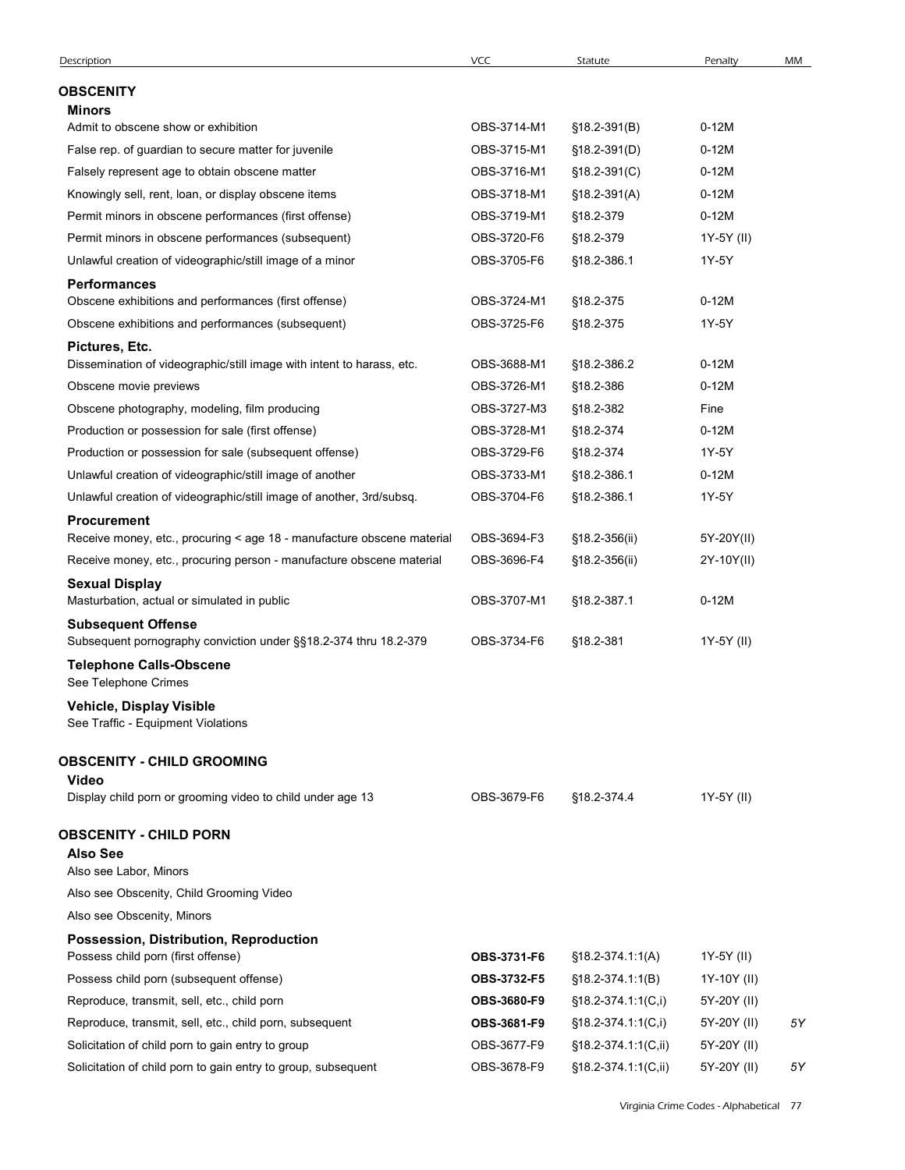| Description                                                                           | <b>VCC</b>                 | Statute              | Penalty             | MM |
|---------------------------------------------------------------------------------------|----------------------------|----------------------|---------------------|----|
| <b>OBSCENITY</b>                                                                      |                            |                      |                     |    |
| <b>Minors</b>                                                                         |                            |                      |                     |    |
| Admit to obscene show or exhibition                                                   | OBS-3714-M1                | $$18.2-391(B)$       | $0-12M$             |    |
| False rep. of guardian to secure matter for juvenile                                  | OBS-3715-M1                | $$18.2-391(D)$       | $0-12M$             |    |
| Falsely represent age to obtain obscene matter                                        | OBS-3716-M1                | $$18.2-391(C)$       | $0-12M$             |    |
| Knowingly sell, rent, loan, or display obscene items                                  | OBS-3718-M1                | $$18.2 - 391(A)$     | $0-12M$             |    |
| Permit minors in obscene performances (first offense)                                 | OBS-3719-M1                | §18.2-379            | $0-12M$             |    |
| Permit minors in obscene performances (subsequent)                                    | OBS-3720-F6<br>OBS-3705-F6 | §18.2-379            | 1Y-5Y (II)<br>1Y-5Y |    |
| Unlawful creation of videographic/still image of a minor<br><b>Performances</b>       |                            | §18.2-386.1          |                     |    |
| Obscene exhibitions and performances (first offense)                                  | OBS-3724-M1                | §18.2-375            | $0-12M$             |    |
| Obscene exhibitions and performances (subsequent)                                     | OBS-3725-F6                | §18.2-375            | 1Y-5Y               |    |
| Pictures, Etc.                                                                        |                            |                      |                     |    |
| Dissemination of videographic/still image with intent to harass, etc.                 | OBS-3688-M1                | §18.2-386.2          | $0-12M$             |    |
| Obscene movie previews                                                                | OBS-3726-M1                | §18.2-386            | $0-12M$             |    |
| Obscene photography, modeling, film producing                                         | OBS-3727-M3                | §18.2-382            | Fine                |    |
| Production or possession for sale (first offense)                                     | OBS-3728-M1                | §18.2-374            | $0-12M$             |    |
| Production or possession for sale (subsequent offense)                                | OBS-3729-F6                | §18.2-374            | 1Y-5Y               |    |
| Unlawful creation of videographic/still image of another                              | OBS-3733-M1                | §18.2-386.1          | $0-12M$             |    |
| Unlawful creation of videographic/still image of another, 3rd/subsq.                  | OBS-3704-F6                | §18.2-386.1          | 1Y-5Y               |    |
| Procurement<br>Receive money, etc., procuring < age 18 - manufacture obscene material | OBS-3694-F3                | §18.2-356(ii)        | 5Y-20Y(II)          |    |
| Receive money, etc., procuring person - manufacture obscene material                  | OBS-3696-F4                | §18.2-356(ii)        | 2Y-10Y(II)          |    |
| <b>Sexual Display</b>                                                                 |                            |                      |                     |    |
| Masturbation, actual or simulated in public                                           | OBS-3707-M1                | §18.2-387.1          | $0-12M$             |    |
| <b>Subsequent Offense</b>                                                             |                            |                      |                     |    |
| Subsequent pornography conviction under §§18.2-374 thru 18.2-379                      | OBS-3734-F6                | §18.2-381            | 1Y-5Y (II)          |    |
| <b>Telephone Calls-Obscene</b>                                                        |                            |                      |                     |    |
| See Telephone Crimes                                                                  |                            |                      |                     |    |
| Vehicle, Display Visible<br>See Traffic - Equipment Violations                        |                            |                      |                     |    |
|                                                                                       |                            |                      |                     |    |
| <b>OBSCENITY - CHILD GROOMING</b><br>Video                                            |                            |                      |                     |    |
| Display child porn or grooming video to child under age 13                            | OBS-3679-F6                | §18.2-374.4          | 1Y-5Y (II)          |    |
|                                                                                       |                            |                      |                     |    |
| <b>OBSCENITY - CHILD PORN</b><br><b>Also See</b>                                      |                            |                      |                     |    |
| Also see Labor, Minors                                                                |                            |                      |                     |    |
| Also see Obscenity, Child Grooming Video                                              |                            |                      |                     |    |
| Also see Obscenity, Minors                                                            |                            |                      |                     |    |
| Possession, Distribution, Reproduction                                                |                            |                      |                     |    |
| Possess child porn (first offense)                                                    | OBS-3731-F6                | $$18.2-374.1:1(A)$   | 1Y-5Y (II)          |    |
| Possess child porn (subsequent offense)                                               | OBS-3732-F5                | $$18.2 - 374.1:1(B)$ | 1Y-10Y (II)         |    |
| Reproduce, transmit, sell, etc., child porn                                           | OBS-3680-F9                | $$18.2-374.1:1(C,i)$ | 5Y-20Y (II)         |    |
| Reproduce, transmit, sell, etc., child porn, subsequent                               | OBS-3681-F9                | §18.2-374.1:1(C,i)   | 5Y-20Y (II)         | 5Υ |
| Solicitation of child porn to gain entry to group                                     | OBS-3677-F9                | §18.2-374.1:1(C,ii)  | 5Y-20Y (II)         |    |
| Solicitation of child porn to gain entry to group, subsequent                         |                            |                      |                     |    |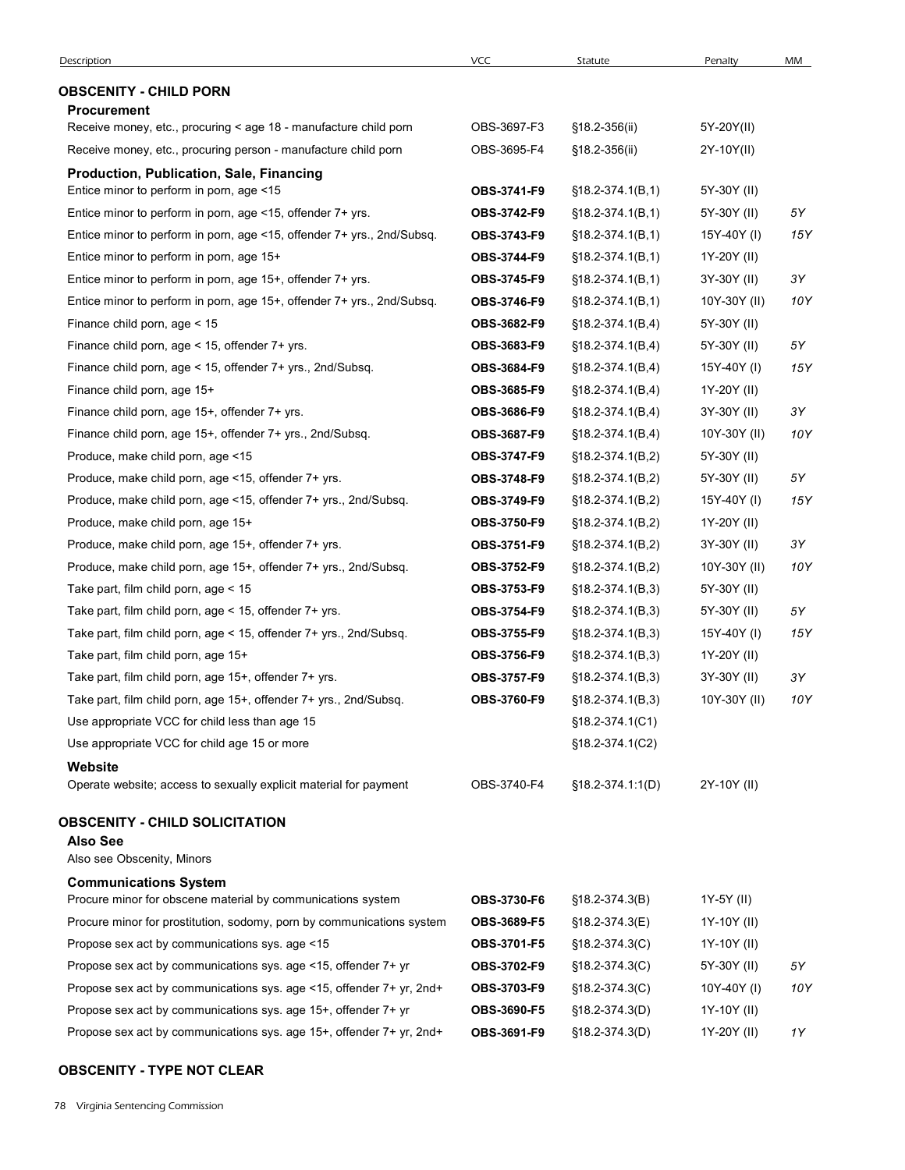| Description                                                                                            | <b>VCC</b>  | Statute                                    | Penalty                    | MM  |
|--------------------------------------------------------------------------------------------------------|-------------|--------------------------------------------|----------------------------|-----|
| <b>OBSCENITY - CHILD PORN</b>                                                                          |             |                                            |                            |     |
| <b>Procurement</b>                                                                                     |             |                                            |                            |     |
| Receive money, etc., procuring < age 18 - manufacture child porn                                       | OBS-3697-F3 | §18.2-356(ii)                              | 5Y-20Y(II)                 |     |
| Receive money, etc., procuring person - manufacture child porn                                         | OBS-3695-F4 | §18.2-356(ii)                              | 2Y-10Y(II)                 |     |
| Production, Publication, Sale, Financing                                                               | OBS-3741-F9 |                                            |                            |     |
| Entice minor to perform in porn, age <15<br>Entice minor to perform in porn, age <15, offender 7+ yrs. | OBS-3742-F9 | $$18.2-374.1(B,1)$<br>$$18.2 - 374.1(B,1)$ | 5Y-30Y (II)<br>5Y-30Y (II) | 5Υ  |
| Entice minor to perform in porn, age <15, offender 7+ yrs., 2nd/Subsq.                                 | OBS-3743-F9 | $$18.2-374.1(B,1)$                         | 15Y-40Y (I)                | 15Y |
| Entice minor to perform in porn, age 15+                                                               | OBS-3744-F9 | $$18.2-374.1(B,1)$                         | 1Y-20Y (II)                |     |
| Entice minor to perform in porn, age 15+, offender 7+ yrs.                                             | OBS-3745-F9 | $$18.2-374.1(B,1)$                         | 3Y-30Y (II)                | 3Υ  |
| Entice minor to perform in porn, age 15+, offender 7+ yrs., 2nd/Subsq.                                 | OBS-3746-F9 | $$18.2-374.1(B,1)$                         | 10Y-30Y (II)               | 10Y |
| Finance child porn, age < 15                                                                           | OBS-3682-F9 | $$18.2-374.1(B,4)$                         | 5Y-30Y (II)                |     |
| Finance child porn, age < 15, offender 7+ yrs.                                                         | OBS-3683-F9 | $$18.2-374.1(B,4)$                         | 5Y-30Y (II)                | 5Υ  |
| Finance child porn, age < 15, offender 7+ yrs., 2nd/Subsq.                                             | OBS-3684-F9 | $$18.2-374.1(B,4)$                         | 15Y-40Y (I)                | 15Y |
| Finance child porn, age 15+                                                                            | OBS-3685-F9 | $§18.2-374.1(B,4)$                         | 1Y-20Y (II)                |     |
| Finance child porn, age 15+, offender 7+ yrs.                                                          | OBS-3686-F9 | $$18.2-374.1(B,4)$                         | 3Y-30Y (II)                | 3Y  |
| Finance child porn, age 15+, offender 7+ yrs., 2nd/Subsq.                                              | OBS-3687-F9 | $$18.2-374.1(B,4)$                         | 10Y-30Y (II)               | 10Y |
| Produce, make child porn, age <15                                                                      | OBS-3747-F9 | $$18.2-374.1(B,2)$                         | 5Y-30Y (II)                |     |
| Produce, make child porn, age <15, offender 7+ yrs.                                                    | OBS-3748-F9 | $$18.2-374.1(B,2)$                         | 5Y-30Y (II)                | 5Υ  |
| Produce, make child porn, age <15, offender 7+ yrs., 2nd/Subsq.                                        | OBS-3749-F9 | $$18.2-374.1(B,2)$                         | 15Y-40Y (I)                | 15Y |
| Produce, make child porn, age 15+                                                                      | OBS-3750-F9 | $$18.2-374.1(B,2)$                         | 1Y-20Y (II)                |     |
| Produce, make child porn, age 15+, offender 7+ yrs.                                                    | OBS-3751-F9 | $$18.2-374.1(B,2)$                         | 3Y-30Y (II)                | 3Y  |
| Produce, make child porn, age 15+, offender 7+ yrs., 2nd/Subsq.                                        | OBS-3752-F9 | $§18.2-374.1(B,2)$                         | 10Y-30Y (II)               | 10Y |
| Take part, film child porn, age < 15                                                                   | OBS-3753-F9 | $$18.2-374.1(B,3)$                         | 5Y-30Y (II)                |     |
| Take part, film child porn, age < 15, offender 7+ yrs.                                                 | OBS-3754-F9 | $$18.2-374.1(B,3)$                         | 5Y-30Y (II)                | 5Υ  |
| Take part, film child porn, age < 15, offender 7+ yrs., 2nd/Subsq.                                     | OBS-3755-F9 | $$18.2-374.1(B,3)$                         | 15Y-40Y (I)                | 15Y |
| Take part, film child porn, age 15+                                                                    | OBS-3756-F9 | $§18.2-374.1(B,3)$                         | 1Y-20Y (II)                |     |
| Take part, film child porn, age 15+, offender 7+ yrs.                                                  | OBS-3757-F9 | $$18.2-374.1(B,3)$                         | 3Y-30Y (II)                | 3Y  |
| Take part, film child porn, age 15+, offender 7+ yrs., 2nd/Subsq.                                      | OBS-3760-F9 | $§18.2-374.1(B,3)$                         | 10Y-30Y (II)               | 10Y |
| Use appropriate VCC for child less than age 15                                                         |             | $$18.2 - 374.1(C1)$                        |                            |     |
| Use appropriate VCC for child age 15 or more                                                           |             | §18.2-374.1(C2)                            |                            |     |
| Website<br>Operate website; access to sexually explicit material for payment                           | OBS-3740-F4 | $$18.2 - 374.1:1(D)$                       | 2Y-10Y (II)                |     |
| <b>OBSCENITY - CHILD SOLICITATION</b>                                                                  |             |                                            |                            |     |
| <b>Also See</b><br>Also see Obscenity, Minors                                                          |             |                                            |                            |     |
| <b>Communications System</b>                                                                           |             |                                            |                            |     |
| Procure minor for obscene material by communications system                                            | OBS-3730-F6 | $$18.2-374.3(B)$                           | 1Y-5Y (II)                 |     |
| Procure minor for prostitution, sodomy, porn by communications system                                  | OBS-3689-F5 | $$18.2 - 374.3(E)$                         | 1Y-10Y (II)                |     |
| Propose sex act by communications sys. age <15                                                         | OBS-3701-F5 | $$18.2-374.3(C)$                           | 1Y-10Y (II)                |     |
| Propose sex act by communications sys. age <15, offender 7+ yr                                         | OBS-3702-F9 | $$18.2-374.3(C)$                           | 5Y-30Y (II)                | 5Υ  |
| Propose sex act by communications sys. age <15, offender 7+ yr, 2nd+                                   | OBS-3703-F9 | $$18.2-374.3(C)$                           | 10Y-40Y (I)                | 10Y |
| Propose sex act by communications sys. age 15+, offender 7+ yr                                         | OBS-3690-F5 | $$18.2-374.3(D)$                           | 1Y-10Y (II)                |     |
| Propose sex act by communications sys. age 15+, offender 7+ yr, 2nd+                                   | OBS-3691-F9 | $$18.2-374.3(D)$                           | 1Y-20Y (II)                | 1Y  |

### OBSCENITY - TYPE NOT CLEAR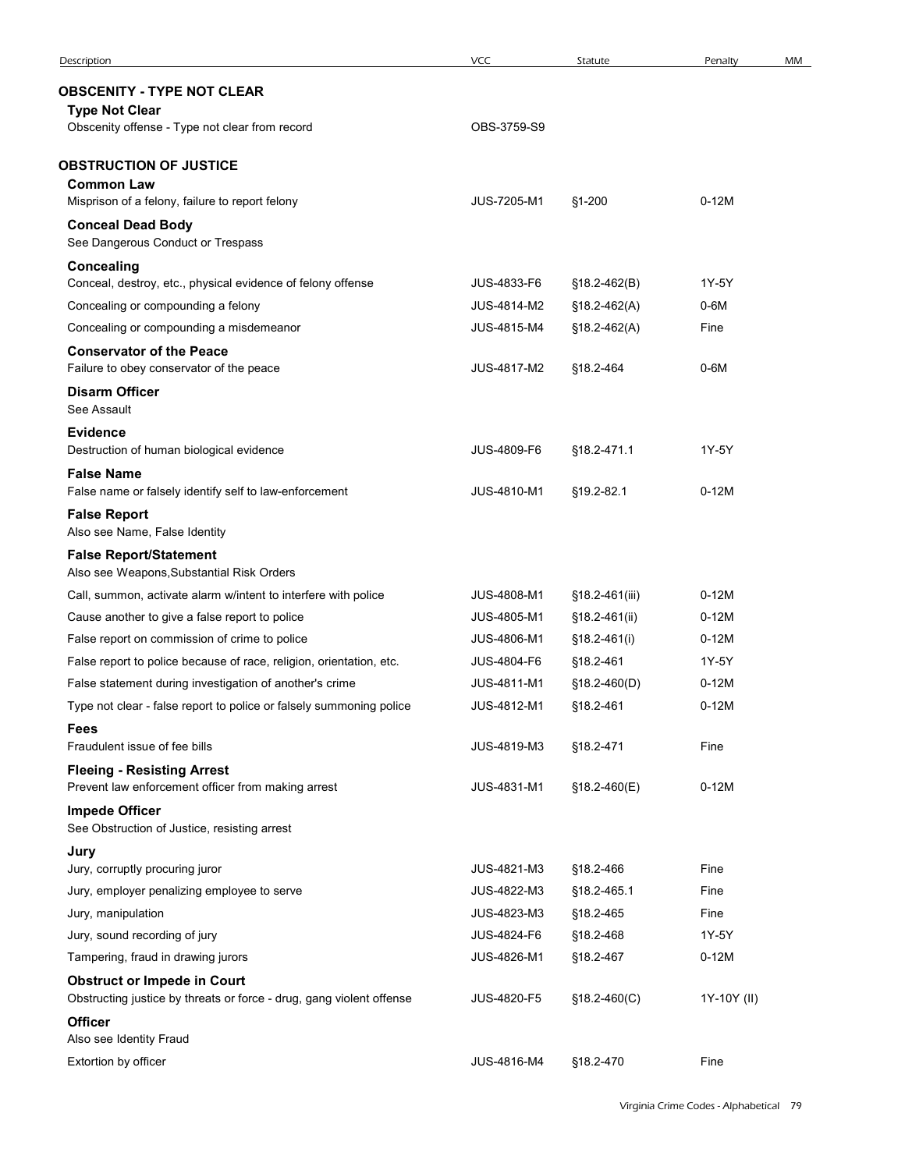| Description<br><b>OBSCENITY - TYPE NOT CLEAR</b>                                                                               |                            |                             |                  |    |
|--------------------------------------------------------------------------------------------------------------------------------|----------------------------|-----------------------------|------------------|----|
|                                                                                                                                |                            |                             |                  |    |
|                                                                                                                                | <b>VCC</b>                 | Statute                     | Penalty          | MM |
|                                                                                                                                |                            |                             |                  |    |
| <b>Type Not Clear</b>                                                                                                          |                            |                             |                  |    |
| Obscenity offense - Type not clear from record                                                                                 | OBS-3759-S9                |                             |                  |    |
| <b>OBSTRUCTION OF JUSTICE</b>                                                                                                  |                            |                             |                  |    |
| <b>Common Law</b><br>Misprison of a felony, failure to report felony                                                           | JUS-7205-M1                | §1-200                      | $0-12M$          |    |
| <b>Conceal Dead Body</b>                                                                                                       |                            |                             |                  |    |
| See Dangerous Conduct or Trespass                                                                                              |                            |                             |                  |    |
| <b>Concealing</b><br>Conceal, destroy, etc., physical evidence of felony offense                                               | JUS-4833-F6                | $$18.2-462(B)$              | 1Y-5Y            |    |
| Concealing or compounding a felony                                                                                             | JUS-4814-M2                | $$18.2-462(A)$              | 0-6M             |    |
| Concealing or compounding a misdemeanor                                                                                        | JUS-4815-M4                | $$18.2-462(A)$              | Fine             |    |
| <b>Conservator of the Peace</b>                                                                                                |                            |                             |                  |    |
| Failure to obey conservator of the peace<br><b>Disarm Officer</b>                                                              | JUS-4817-M2                | §18.2-464                   | $0-6M$           |    |
| See Assault                                                                                                                    |                            |                             |                  |    |
| <b>Evidence</b>                                                                                                                |                            |                             |                  |    |
| Destruction of human biological evidence<br><b>False Name</b>                                                                  | JUS-4809-F6                | §18.2-471.1                 | 1Y-5Y            |    |
| False name or falsely identify self to law-enforcement                                                                         | JUS-4810-M1                | §19.2-82.1                  | $0-12M$          |    |
| <b>False Report</b><br>Also see Name, False Identity                                                                           |                            |                             |                  |    |
| <b>False Report/Statement</b>                                                                                                  |                            |                             |                  |    |
| Also see Weapons, Substantial Risk Orders                                                                                      |                            |                             |                  |    |
| Call, summon, activate alarm w/intent to interfere with police                                                                 | JUS-4808-M1                | §18.2-461(iii)              | $0-12M$          |    |
| Cause another to give a false report to police                                                                                 | JUS-4805-M1                | §18.2-461(ii)               | $0-12M$          |    |
| False report on commission of crime to police                                                                                  | JUS-4806-M1<br>JUS-4804-F6 | §18.2-461(i)                | $0-12M$<br>1Y-5Y |    |
| False report to police because of race, religion, orientation, etc.<br>False statement during investigation of another's crime | JUS-4811-M1                | §18.2-461<br>$$18.2-460(D)$ | $0-12M$          |    |
| Type not clear - false report to police or falsely summoning police                                                            | JUS-4812-M1                | §18.2-461                   | $0-12M$          |    |
| <b>Fees</b>                                                                                                                    |                            |                             |                  |    |
| Fraudulent issue of fee bills                                                                                                  | JUS-4819-M3                | §18.2-471                   | Fine             |    |
| <b>Fleeing - Resisting Arrest</b><br>Prevent law enforcement officer from making arrest                                        | JUS-4831-M1                | §18.2-460(E)                | $0-12M$          |    |
| <b>Impede Officer</b><br>See Obstruction of Justice, resisting arrest                                                          |                            |                             |                  |    |
| Jury                                                                                                                           |                            |                             |                  |    |
| Jury, corruptly procuring juror                                                                                                | JUS-4821-M3                | §18.2-466                   | Fine             |    |
| Jury, employer penalizing employee to serve                                                                                    | JUS-4822-M3                | §18.2-465.1                 | Fine             |    |
| Jury, manipulation                                                                                                             | JUS-4823-M3                | §18.2-465                   | Fine             |    |
| Jury, sound recording of jury<br>Tampering, fraud in drawing jurors                                                            | JUS-4824-F6<br>JUS-4826-M1 | §18.2-468<br>§18.2-467      | 1Y-5Y<br>$0-12M$ |    |
| <b>Obstruct or Impede in Court</b><br>Obstructing justice by threats or force - drug, gang violent offense                     | JUS-4820-F5                | $$18.2-460(C)$              | 1Y-10Y (II)      |    |
| <b>Officer</b>                                                                                                                 |                            |                             |                  |    |
| Also see Identity Fraud                                                                                                        |                            | §18.2-470                   |                  |    |
| Extortion by officer                                                                                                           | JUS-4816-M4                |                             | Fine             |    |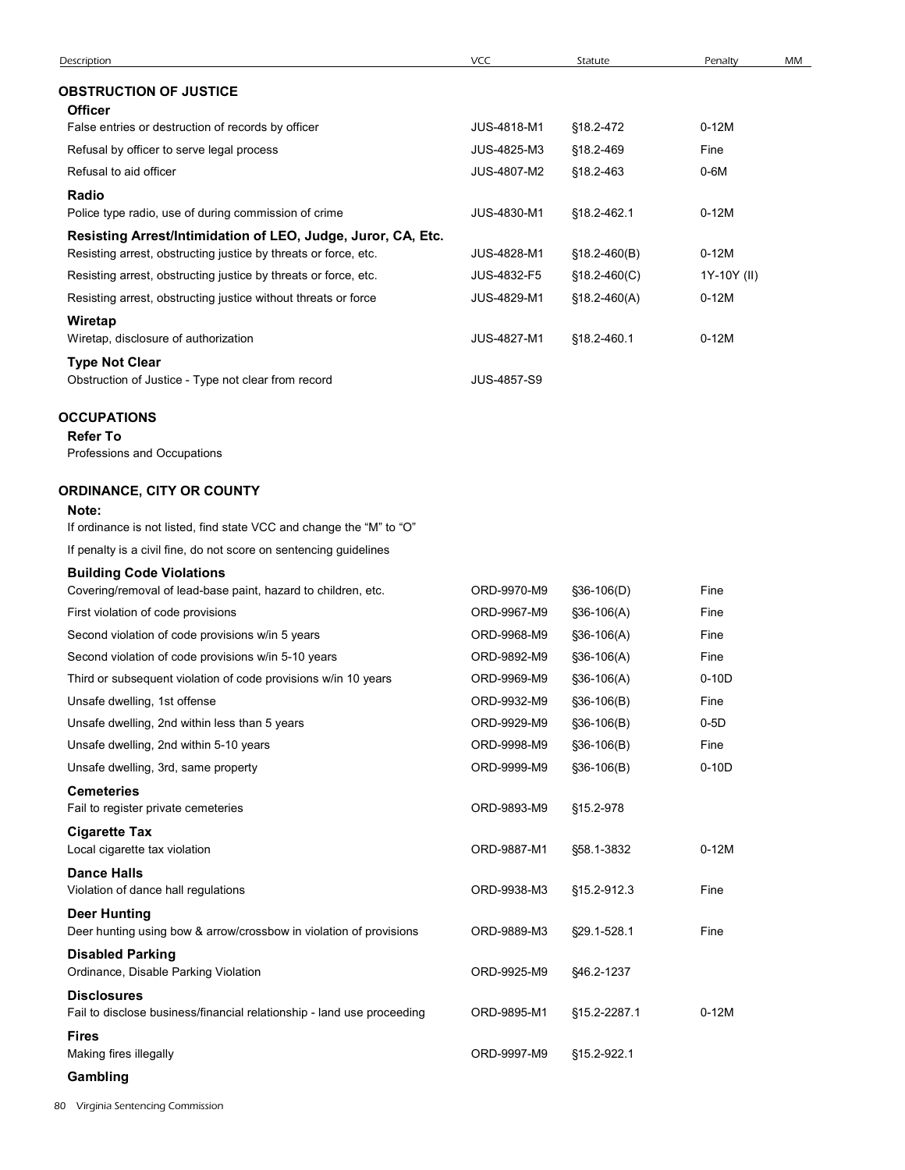| <b>OBSTRUCTION OF JUSTICE</b><br><b>Officer</b><br>$0-12M$<br>False entries or destruction of records by officer<br>JUS-4818-M1<br>§18.2-472<br>Refusal by officer to serve legal process<br>JUS-4825-M3<br>§18.2-469<br>Fine<br>Refusal to aid officer<br>JUS-4807-M2<br>§18.2-463<br>$0-6M$<br>Radio<br>Police type radio, use of during commission of crime<br>JUS-4830-M1<br>§18.2-462.1<br>$0-12M$<br>Resisting Arrest/Intimidation of LEO, Judge, Juror, CA, Etc.<br>$0-12M$<br>Resisting arrest, obstructing justice by threats or force, etc.<br>JUS-4828-M1<br>$$18.2-460(B)$<br>Resisting arrest, obstructing justice by threats or force, etc.<br>JUS-4832-F5<br>1Y-10Y (II)<br>$$18.2-460(C)$<br>Resisting arrest, obstructing justice without threats or force<br>JUS-4829-M1<br>$0-12M$<br>$$18.2-460(A)$<br>Wiretap<br>Wiretap, disclosure of authorization<br>JUS-4827-M1<br>§18.2-460.1<br>$0-12M$<br><b>Type Not Clear</b><br>Obstruction of Justice - Type not clear from record<br>JUS-4857-S9<br><b>OCCUPATIONS</b><br><b>Refer To</b><br>Professions and Occupations<br><b>ORDINANCE, CITY OR COUNTY</b><br>Note:<br>If ordinance is not listed, find state VCC and change the "M" to "O"<br>If penalty is a civil fine, do not score on sentencing guidelines<br><b>Building Code Violations</b><br>Covering/removal of lead-base paint, hazard to children, etc.<br>ORD-9970-M9<br>Fine<br>§36-106(D)<br>ORD-9967-M9<br>First violation of code provisions<br>Fine<br>§36-106(A)<br>Second violation of code provisions w/in 5 years<br>ORD-9968-M9<br>Fine<br>§36-106(A)<br>Second violation of code provisions w/in 5-10 years<br>ORD-9892-M9<br>Fine<br>§36-106(A)<br>Third or subsequent violation of code provisions w/in 10 years<br>ORD-9969-M9<br>$0-10D$<br>§36-106(A)<br>ORD-9932-M9<br>Unsafe dwelling, 1st offense<br>Fine<br>§36-106(B)<br>$0-5D$<br>Unsafe dwelling, 2nd within less than 5 years<br>ORD-9929-M9<br>§36-106(B)<br>ORD-9998-M9<br>Fine<br>Unsafe dwelling, 2nd within 5-10 years<br>§36-106(B)<br>$0-10D$<br>ORD-9999-M9<br>Unsafe dwelling, 3rd, same property<br>§36-106(B)<br><b>Cemeteries</b><br>Fail to register private cemeteries<br>ORD-9893-M9<br>§15.2-978<br><b>Cigarette Tax</b><br>Local cigarette tax violation<br>ORD-9887-M1<br>$0-12M$<br>§58.1-3832<br><b>Dance Halls</b><br>Violation of dance hall regulations<br>ORD-9938-M3<br>Fine<br>§15.2-912.3<br><b>Deer Hunting</b><br>Deer hunting using bow & arrow/crossbow in violation of provisions<br>ORD-9889-M3<br>§29.1-528.1<br>Fine<br><b>Disabled Parking</b><br>Ordinance, Disable Parking Violation<br>ORD-9925-M9<br>§46.2-1237<br><b>Disclosures</b><br>ORD-9895-M1<br>$0-12M$<br>Fail to disclose business/financial relationship - land use proceeding<br>§15.2-2287.1<br><b>Fires</b><br>Making fires illegally<br>ORD-9997-M9<br>§15.2-922.1<br>Gambling |             |     |         |         |    |
|-------------------------------------------------------------------------------------------------------------------------------------------------------------------------------------------------------------------------------------------------------------------------------------------------------------------------------------------------------------------------------------------------------------------------------------------------------------------------------------------------------------------------------------------------------------------------------------------------------------------------------------------------------------------------------------------------------------------------------------------------------------------------------------------------------------------------------------------------------------------------------------------------------------------------------------------------------------------------------------------------------------------------------------------------------------------------------------------------------------------------------------------------------------------------------------------------------------------------------------------------------------------------------------------------------------------------------------------------------------------------------------------------------------------------------------------------------------------------------------------------------------------------------------------------------------------------------------------------------------------------------------------------------------------------------------------------------------------------------------------------------------------------------------------------------------------------------------------------------------------------------------------------------------------------------------------------------------------------------------------------------------------------------------------------------------------------------------------------------------------------------------------------------------------------------------------------------------------------------------------------------------------------------------------------------------------------------------------------------------------------------------------------------------------------------------------------------------------------------------------------------------------------------------------------------------------------------------------------------------------------------------------------------------------------------------------------------------------------------------------------------------------------------------------------------------------------------------------------------------------------------------------------|-------------|-----|---------|---------|----|
|                                                                                                                                                                                                                                                                                                                                                                                                                                                                                                                                                                                                                                                                                                                                                                                                                                                                                                                                                                                                                                                                                                                                                                                                                                                                                                                                                                                                                                                                                                                                                                                                                                                                                                                                                                                                                                                                                                                                                                                                                                                                                                                                                                                                                                                                                                                                                                                                                                                                                                                                                                                                                                                                                                                                                                                                                                                                                                 | Description | VCC | Statute | Penalty | MM |
|                                                                                                                                                                                                                                                                                                                                                                                                                                                                                                                                                                                                                                                                                                                                                                                                                                                                                                                                                                                                                                                                                                                                                                                                                                                                                                                                                                                                                                                                                                                                                                                                                                                                                                                                                                                                                                                                                                                                                                                                                                                                                                                                                                                                                                                                                                                                                                                                                                                                                                                                                                                                                                                                                                                                                                                                                                                                                                 |             |     |         |         |    |
|                                                                                                                                                                                                                                                                                                                                                                                                                                                                                                                                                                                                                                                                                                                                                                                                                                                                                                                                                                                                                                                                                                                                                                                                                                                                                                                                                                                                                                                                                                                                                                                                                                                                                                                                                                                                                                                                                                                                                                                                                                                                                                                                                                                                                                                                                                                                                                                                                                                                                                                                                                                                                                                                                                                                                                                                                                                                                                 |             |     |         |         |    |
|                                                                                                                                                                                                                                                                                                                                                                                                                                                                                                                                                                                                                                                                                                                                                                                                                                                                                                                                                                                                                                                                                                                                                                                                                                                                                                                                                                                                                                                                                                                                                                                                                                                                                                                                                                                                                                                                                                                                                                                                                                                                                                                                                                                                                                                                                                                                                                                                                                                                                                                                                                                                                                                                                                                                                                                                                                                                                                 |             |     |         |         |    |
|                                                                                                                                                                                                                                                                                                                                                                                                                                                                                                                                                                                                                                                                                                                                                                                                                                                                                                                                                                                                                                                                                                                                                                                                                                                                                                                                                                                                                                                                                                                                                                                                                                                                                                                                                                                                                                                                                                                                                                                                                                                                                                                                                                                                                                                                                                                                                                                                                                                                                                                                                                                                                                                                                                                                                                                                                                                                                                 |             |     |         |         |    |
|                                                                                                                                                                                                                                                                                                                                                                                                                                                                                                                                                                                                                                                                                                                                                                                                                                                                                                                                                                                                                                                                                                                                                                                                                                                                                                                                                                                                                                                                                                                                                                                                                                                                                                                                                                                                                                                                                                                                                                                                                                                                                                                                                                                                                                                                                                                                                                                                                                                                                                                                                                                                                                                                                                                                                                                                                                                                                                 |             |     |         |         |    |
|                                                                                                                                                                                                                                                                                                                                                                                                                                                                                                                                                                                                                                                                                                                                                                                                                                                                                                                                                                                                                                                                                                                                                                                                                                                                                                                                                                                                                                                                                                                                                                                                                                                                                                                                                                                                                                                                                                                                                                                                                                                                                                                                                                                                                                                                                                                                                                                                                                                                                                                                                                                                                                                                                                                                                                                                                                                                                                 |             |     |         |         |    |
|                                                                                                                                                                                                                                                                                                                                                                                                                                                                                                                                                                                                                                                                                                                                                                                                                                                                                                                                                                                                                                                                                                                                                                                                                                                                                                                                                                                                                                                                                                                                                                                                                                                                                                                                                                                                                                                                                                                                                                                                                                                                                                                                                                                                                                                                                                                                                                                                                                                                                                                                                                                                                                                                                                                                                                                                                                                                                                 |             |     |         |         |    |
|                                                                                                                                                                                                                                                                                                                                                                                                                                                                                                                                                                                                                                                                                                                                                                                                                                                                                                                                                                                                                                                                                                                                                                                                                                                                                                                                                                                                                                                                                                                                                                                                                                                                                                                                                                                                                                                                                                                                                                                                                                                                                                                                                                                                                                                                                                                                                                                                                                                                                                                                                                                                                                                                                                                                                                                                                                                                                                 |             |     |         |         |    |
|                                                                                                                                                                                                                                                                                                                                                                                                                                                                                                                                                                                                                                                                                                                                                                                                                                                                                                                                                                                                                                                                                                                                                                                                                                                                                                                                                                                                                                                                                                                                                                                                                                                                                                                                                                                                                                                                                                                                                                                                                                                                                                                                                                                                                                                                                                                                                                                                                                                                                                                                                                                                                                                                                                                                                                                                                                                                                                 |             |     |         |         |    |
|                                                                                                                                                                                                                                                                                                                                                                                                                                                                                                                                                                                                                                                                                                                                                                                                                                                                                                                                                                                                                                                                                                                                                                                                                                                                                                                                                                                                                                                                                                                                                                                                                                                                                                                                                                                                                                                                                                                                                                                                                                                                                                                                                                                                                                                                                                                                                                                                                                                                                                                                                                                                                                                                                                                                                                                                                                                                                                 |             |     |         |         |    |
|                                                                                                                                                                                                                                                                                                                                                                                                                                                                                                                                                                                                                                                                                                                                                                                                                                                                                                                                                                                                                                                                                                                                                                                                                                                                                                                                                                                                                                                                                                                                                                                                                                                                                                                                                                                                                                                                                                                                                                                                                                                                                                                                                                                                                                                                                                                                                                                                                                                                                                                                                                                                                                                                                                                                                                                                                                                                                                 |             |     |         |         |    |
|                                                                                                                                                                                                                                                                                                                                                                                                                                                                                                                                                                                                                                                                                                                                                                                                                                                                                                                                                                                                                                                                                                                                                                                                                                                                                                                                                                                                                                                                                                                                                                                                                                                                                                                                                                                                                                                                                                                                                                                                                                                                                                                                                                                                                                                                                                                                                                                                                                                                                                                                                                                                                                                                                                                                                                                                                                                                                                 |             |     |         |         |    |
|                                                                                                                                                                                                                                                                                                                                                                                                                                                                                                                                                                                                                                                                                                                                                                                                                                                                                                                                                                                                                                                                                                                                                                                                                                                                                                                                                                                                                                                                                                                                                                                                                                                                                                                                                                                                                                                                                                                                                                                                                                                                                                                                                                                                                                                                                                                                                                                                                                                                                                                                                                                                                                                                                                                                                                                                                                                                                                 |             |     |         |         |    |
|                                                                                                                                                                                                                                                                                                                                                                                                                                                                                                                                                                                                                                                                                                                                                                                                                                                                                                                                                                                                                                                                                                                                                                                                                                                                                                                                                                                                                                                                                                                                                                                                                                                                                                                                                                                                                                                                                                                                                                                                                                                                                                                                                                                                                                                                                                                                                                                                                                                                                                                                                                                                                                                                                                                                                                                                                                                                                                 |             |     |         |         |    |
|                                                                                                                                                                                                                                                                                                                                                                                                                                                                                                                                                                                                                                                                                                                                                                                                                                                                                                                                                                                                                                                                                                                                                                                                                                                                                                                                                                                                                                                                                                                                                                                                                                                                                                                                                                                                                                                                                                                                                                                                                                                                                                                                                                                                                                                                                                                                                                                                                                                                                                                                                                                                                                                                                                                                                                                                                                                                                                 |             |     |         |         |    |
|                                                                                                                                                                                                                                                                                                                                                                                                                                                                                                                                                                                                                                                                                                                                                                                                                                                                                                                                                                                                                                                                                                                                                                                                                                                                                                                                                                                                                                                                                                                                                                                                                                                                                                                                                                                                                                                                                                                                                                                                                                                                                                                                                                                                                                                                                                                                                                                                                                                                                                                                                                                                                                                                                                                                                                                                                                                                                                 |             |     |         |         |    |
|                                                                                                                                                                                                                                                                                                                                                                                                                                                                                                                                                                                                                                                                                                                                                                                                                                                                                                                                                                                                                                                                                                                                                                                                                                                                                                                                                                                                                                                                                                                                                                                                                                                                                                                                                                                                                                                                                                                                                                                                                                                                                                                                                                                                                                                                                                                                                                                                                                                                                                                                                                                                                                                                                                                                                                                                                                                                                                 |             |     |         |         |    |
|                                                                                                                                                                                                                                                                                                                                                                                                                                                                                                                                                                                                                                                                                                                                                                                                                                                                                                                                                                                                                                                                                                                                                                                                                                                                                                                                                                                                                                                                                                                                                                                                                                                                                                                                                                                                                                                                                                                                                                                                                                                                                                                                                                                                                                                                                                                                                                                                                                                                                                                                                                                                                                                                                                                                                                                                                                                                                                 |             |     |         |         |    |
|                                                                                                                                                                                                                                                                                                                                                                                                                                                                                                                                                                                                                                                                                                                                                                                                                                                                                                                                                                                                                                                                                                                                                                                                                                                                                                                                                                                                                                                                                                                                                                                                                                                                                                                                                                                                                                                                                                                                                                                                                                                                                                                                                                                                                                                                                                                                                                                                                                                                                                                                                                                                                                                                                                                                                                                                                                                                                                 |             |     |         |         |    |
|                                                                                                                                                                                                                                                                                                                                                                                                                                                                                                                                                                                                                                                                                                                                                                                                                                                                                                                                                                                                                                                                                                                                                                                                                                                                                                                                                                                                                                                                                                                                                                                                                                                                                                                                                                                                                                                                                                                                                                                                                                                                                                                                                                                                                                                                                                                                                                                                                                                                                                                                                                                                                                                                                                                                                                                                                                                                                                 |             |     |         |         |    |
|                                                                                                                                                                                                                                                                                                                                                                                                                                                                                                                                                                                                                                                                                                                                                                                                                                                                                                                                                                                                                                                                                                                                                                                                                                                                                                                                                                                                                                                                                                                                                                                                                                                                                                                                                                                                                                                                                                                                                                                                                                                                                                                                                                                                                                                                                                                                                                                                                                                                                                                                                                                                                                                                                                                                                                                                                                                                                                 |             |     |         |         |    |
|                                                                                                                                                                                                                                                                                                                                                                                                                                                                                                                                                                                                                                                                                                                                                                                                                                                                                                                                                                                                                                                                                                                                                                                                                                                                                                                                                                                                                                                                                                                                                                                                                                                                                                                                                                                                                                                                                                                                                                                                                                                                                                                                                                                                                                                                                                                                                                                                                                                                                                                                                                                                                                                                                                                                                                                                                                                                                                 |             |     |         |         |    |
|                                                                                                                                                                                                                                                                                                                                                                                                                                                                                                                                                                                                                                                                                                                                                                                                                                                                                                                                                                                                                                                                                                                                                                                                                                                                                                                                                                                                                                                                                                                                                                                                                                                                                                                                                                                                                                                                                                                                                                                                                                                                                                                                                                                                                                                                                                                                                                                                                                                                                                                                                                                                                                                                                                                                                                                                                                                                                                 |             |     |         |         |    |
|                                                                                                                                                                                                                                                                                                                                                                                                                                                                                                                                                                                                                                                                                                                                                                                                                                                                                                                                                                                                                                                                                                                                                                                                                                                                                                                                                                                                                                                                                                                                                                                                                                                                                                                                                                                                                                                                                                                                                                                                                                                                                                                                                                                                                                                                                                                                                                                                                                                                                                                                                                                                                                                                                                                                                                                                                                                                                                 |             |     |         |         |    |
|                                                                                                                                                                                                                                                                                                                                                                                                                                                                                                                                                                                                                                                                                                                                                                                                                                                                                                                                                                                                                                                                                                                                                                                                                                                                                                                                                                                                                                                                                                                                                                                                                                                                                                                                                                                                                                                                                                                                                                                                                                                                                                                                                                                                                                                                                                                                                                                                                                                                                                                                                                                                                                                                                                                                                                                                                                                                                                 |             |     |         |         |    |
|                                                                                                                                                                                                                                                                                                                                                                                                                                                                                                                                                                                                                                                                                                                                                                                                                                                                                                                                                                                                                                                                                                                                                                                                                                                                                                                                                                                                                                                                                                                                                                                                                                                                                                                                                                                                                                                                                                                                                                                                                                                                                                                                                                                                                                                                                                                                                                                                                                                                                                                                                                                                                                                                                                                                                                                                                                                                                                 |             |     |         |         |    |
|                                                                                                                                                                                                                                                                                                                                                                                                                                                                                                                                                                                                                                                                                                                                                                                                                                                                                                                                                                                                                                                                                                                                                                                                                                                                                                                                                                                                                                                                                                                                                                                                                                                                                                                                                                                                                                                                                                                                                                                                                                                                                                                                                                                                                                                                                                                                                                                                                                                                                                                                                                                                                                                                                                                                                                                                                                                                                                 |             |     |         |         |    |
|                                                                                                                                                                                                                                                                                                                                                                                                                                                                                                                                                                                                                                                                                                                                                                                                                                                                                                                                                                                                                                                                                                                                                                                                                                                                                                                                                                                                                                                                                                                                                                                                                                                                                                                                                                                                                                                                                                                                                                                                                                                                                                                                                                                                                                                                                                                                                                                                                                                                                                                                                                                                                                                                                                                                                                                                                                                                                                 |             |     |         |         |    |
|                                                                                                                                                                                                                                                                                                                                                                                                                                                                                                                                                                                                                                                                                                                                                                                                                                                                                                                                                                                                                                                                                                                                                                                                                                                                                                                                                                                                                                                                                                                                                                                                                                                                                                                                                                                                                                                                                                                                                                                                                                                                                                                                                                                                                                                                                                                                                                                                                                                                                                                                                                                                                                                                                                                                                                                                                                                                                                 |             |     |         |         |    |
|                                                                                                                                                                                                                                                                                                                                                                                                                                                                                                                                                                                                                                                                                                                                                                                                                                                                                                                                                                                                                                                                                                                                                                                                                                                                                                                                                                                                                                                                                                                                                                                                                                                                                                                                                                                                                                                                                                                                                                                                                                                                                                                                                                                                                                                                                                                                                                                                                                                                                                                                                                                                                                                                                                                                                                                                                                                                                                 |             |     |         |         |    |
|                                                                                                                                                                                                                                                                                                                                                                                                                                                                                                                                                                                                                                                                                                                                                                                                                                                                                                                                                                                                                                                                                                                                                                                                                                                                                                                                                                                                                                                                                                                                                                                                                                                                                                                                                                                                                                                                                                                                                                                                                                                                                                                                                                                                                                                                                                                                                                                                                                                                                                                                                                                                                                                                                                                                                                                                                                                                                                 |             |     |         |         |    |
|                                                                                                                                                                                                                                                                                                                                                                                                                                                                                                                                                                                                                                                                                                                                                                                                                                                                                                                                                                                                                                                                                                                                                                                                                                                                                                                                                                                                                                                                                                                                                                                                                                                                                                                                                                                                                                                                                                                                                                                                                                                                                                                                                                                                                                                                                                                                                                                                                                                                                                                                                                                                                                                                                                                                                                                                                                                                                                 |             |     |         |         |    |
|                                                                                                                                                                                                                                                                                                                                                                                                                                                                                                                                                                                                                                                                                                                                                                                                                                                                                                                                                                                                                                                                                                                                                                                                                                                                                                                                                                                                                                                                                                                                                                                                                                                                                                                                                                                                                                                                                                                                                                                                                                                                                                                                                                                                                                                                                                                                                                                                                                                                                                                                                                                                                                                                                                                                                                                                                                                                                                 |             |     |         |         |    |
|                                                                                                                                                                                                                                                                                                                                                                                                                                                                                                                                                                                                                                                                                                                                                                                                                                                                                                                                                                                                                                                                                                                                                                                                                                                                                                                                                                                                                                                                                                                                                                                                                                                                                                                                                                                                                                                                                                                                                                                                                                                                                                                                                                                                                                                                                                                                                                                                                                                                                                                                                                                                                                                                                                                                                                                                                                                                                                 |             |     |         |         |    |
|                                                                                                                                                                                                                                                                                                                                                                                                                                                                                                                                                                                                                                                                                                                                                                                                                                                                                                                                                                                                                                                                                                                                                                                                                                                                                                                                                                                                                                                                                                                                                                                                                                                                                                                                                                                                                                                                                                                                                                                                                                                                                                                                                                                                                                                                                                                                                                                                                                                                                                                                                                                                                                                                                                                                                                                                                                                                                                 |             |     |         |         |    |
|                                                                                                                                                                                                                                                                                                                                                                                                                                                                                                                                                                                                                                                                                                                                                                                                                                                                                                                                                                                                                                                                                                                                                                                                                                                                                                                                                                                                                                                                                                                                                                                                                                                                                                                                                                                                                                                                                                                                                                                                                                                                                                                                                                                                                                                                                                                                                                                                                                                                                                                                                                                                                                                                                                                                                                                                                                                                                                 |             |     |         |         |    |
|                                                                                                                                                                                                                                                                                                                                                                                                                                                                                                                                                                                                                                                                                                                                                                                                                                                                                                                                                                                                                                                                                                                                                                                                                                                                                                                                                                                                                                                                                                                                                                                                                                                                                                                                                                                                                                                                                                                                                                                                                                                                                                                                                                                                                                                                                                                                                                                                                                                                                                                                                                                                                                                                                                                                                                                                                                                                                                 |             |     |         |         |    |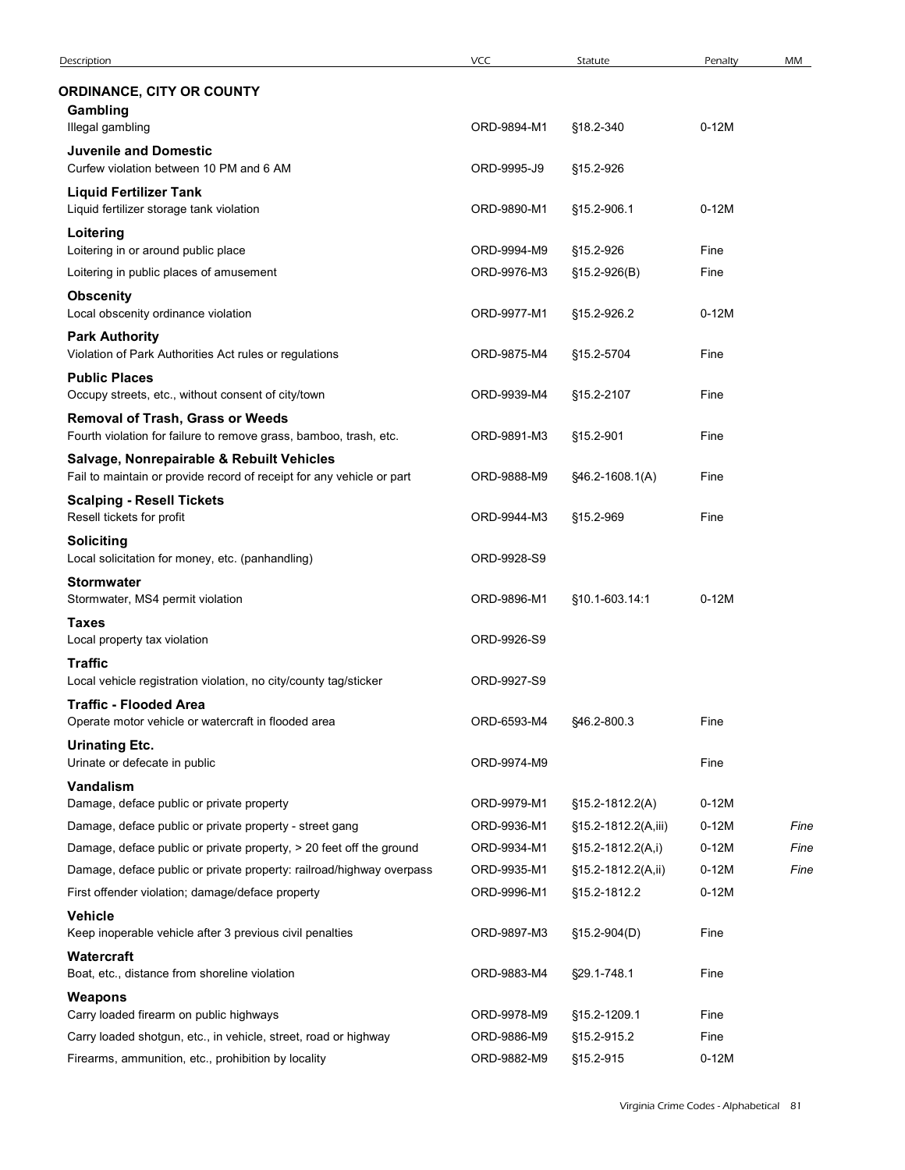| Description                                                                                                  |             |                     |         |      |
|--------------------------------------------------------------------------------------------------------------|-------------|---------------------|---------|------|
|                                                                                                              |             |                     |         |      |
|                                                                                                              |             |                     |         |      |
|                                                                                                              | VCC         | Statute             | Penalty | MM   |
| <b>ORDINANCE, CITY OR COUNTY</b>                                                                             |             |                     |         |      |
| Gambling                                                                                                     |             |                     |         |      |
| Illegal gambling                                                                                             | ORD-9894-M1 | §18.2-340           | $0-12M$ |      |
| <b>Juvenile and Domestic</b><br>Curfew violation between 10 PM and 6 AM                                      | ORD-9995-J9 | §15.2-926           |         |      |
| <b>Liquid Fertilizer Tank</b>                                                                                |             |                     |         |      |
| Liquid fertilizer storage tank violation                                                                     | ORD-9890-M1 | §15.2-906.1         | $0-12M$ |      |
| Loitering<br>Loitering in or around public place                                                             | ORD-9994-M9 | §15.2-926           | Fine    |      |
| Loitering in public places of amusement                                                                      | ORD-9976-M3 | $$15.2 - 926(B)$    | Fine    |      |
| <b>Obscenity</b>                                                                                             |             |                     |         |      |
| Local obscenity ordinance violation                                                                          | ORD-9977-M1 | §15.2-926.2         | $0-12M$ |      |
| <b>Park Authority</b><br>Violation of Park Authorities Act rules or regulations                              | ORD-9875-M4 | §15.2-5704          | Fine    |      |
| <b>Public Places</b>                                                                                         |             |                     |         |      |
| Occupy streets, etc., without consent of city/town                                                           | ORD-9939-M4 | §15.2-2107          | Fine    |      |
| <b>Removal of Trash, Grass or Weeds</b><br>Fourth violation for failure to remove grass, bamboo, trash, etc. | ORD-9891-M3 | §15.2-901           | Fine    |      |
| Salvage, Nonrepairable & Rebuilt Vehicles                                                                    |             |                     |         |      |
| Fail to maintain or provide record of receipt for any vehicle or part                                        | ORD-9888-M9 | §46.2-1608.1(A)     | Fine    |      |
| <b>Scalping - Resell Tickets</b><br>Resell tickets for profit                                                | ORD-9944-M3 | §15.2-969           | Fine    |      |
| <b>Soliciting</b>                                                                                            |             |                     |         |      |
| Local solicitation for money, etc. (panhandling)                                                             | ORD-9928-S9 |                     |         |      |
| <b>Stormwater</b><br>Stormwater, MS4 permit violation                                                        | ORD-9896-M1 | §10.1-603.14:1      | $0-12M$ |      |
| <b>Taxes</b>                                                                                                 |             |                     |         |      |
| Local property tax violation                                                                                 | ORD-9926-S9 |                     |         |      |
| <b>Traffic</b>                                                                                               |             |                     |         |      |
| Local vehicle registration violation, no city/county tag/sticker<br><b>Traffic - Flooded Area</b>            | ORD-9927-S9 |                     |         |      |
| Operate motor vehicle or watercraft in flooded area                                                          | ORD-6593-M4 | §46.2-800.3         | Fine    |      |
| <b>Urinating Etc.</b>                                                                                        |             |                     |         |      |
| Urinate or defecate in public                                                                                | ORD-9974-M9 |                     | Fine    |      |
| Vandalism<br>Damage, deface public or private property                                                       | ORD-9979-M1 | §15.2-1812.2(A)     | $0-12M$ |      |
| Damage, deface public or private property - street gang                                                      | ORD-9936-M1 | §15.2-1812.2(A,iii) | $0-12M$ | Fine |
| Damage, deface public or private property, > 20 feet off the ground                                          | ORD-9934-M1 | §15.2-1812.2(A,i)   | $0-12M$ | Fine |
| Damage, deface public or private property: railroad/highway overpass                                         | ORD-9935-M1 | §15.2-1812.2(A,ii)  | $0-12M$ | Fine |
| First offender violation; damage/deface property                                                             | ORD-9996-M1 | §15.2-1812.2        | $0-12M$ |      |
| Vehicle<br>Keep inoperable vehicle after 3 previous civil penalties                                          | ORD-9897-M3 | §15.2-904(D)        | Fine    |      |
| Watercraft                                                                                                   |             |                     |         |      |
| Boat, etc., distance from shoreline violation                                                                | ORD-9883-M4 | §29.1-748.1         | Fine    |      |
| Weapons<br>Carry loaded firearm on public highways                                                           | ORD-9978-M9 | §15.2-1209.1        | Fine    |      |
| Carry loaded shotgun, etc., in vehicle, street, road or highway                                              | ORD-9886-M9 | §15.2-915.2         | Fine    |      |
|                                                                                                              |             |                     |         |      |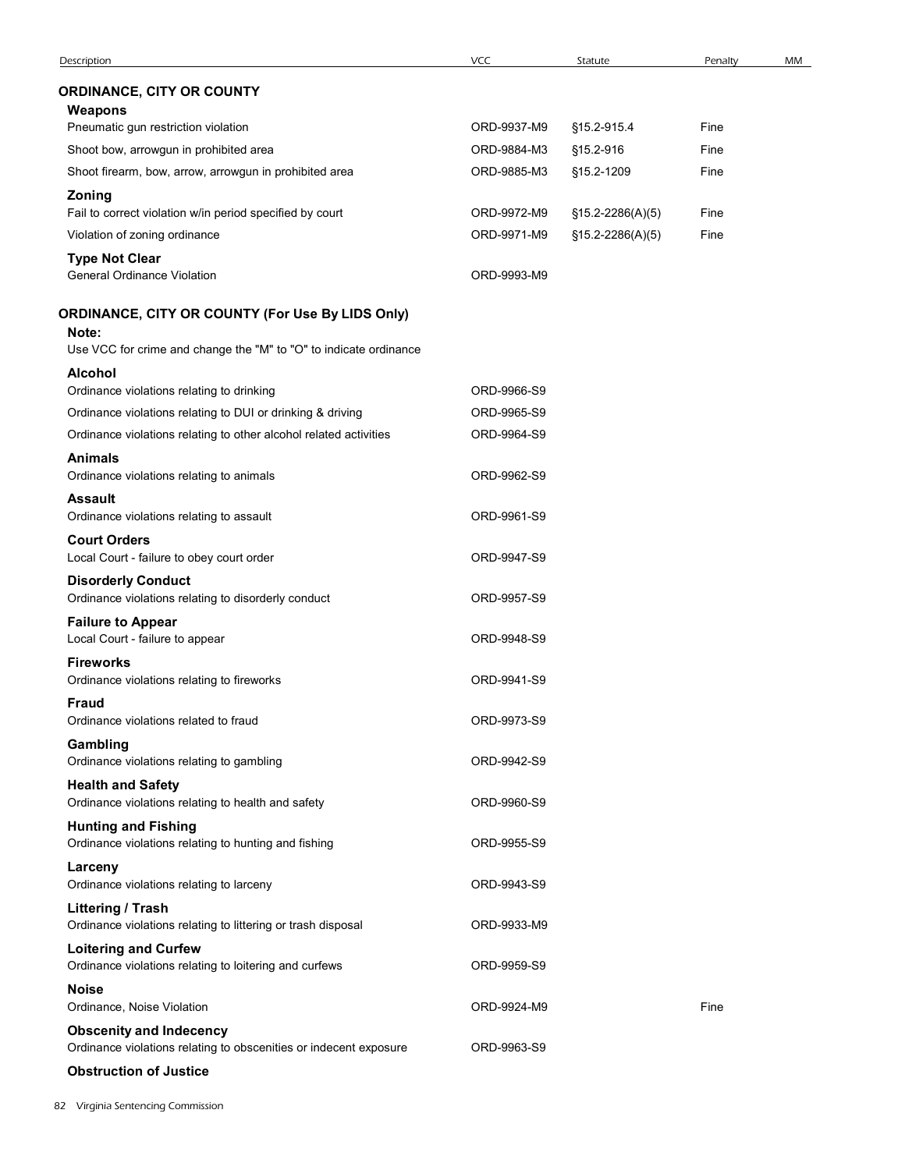| Description                                                                                                                    | VCC                        | Statute                  | Penalty      | MM |
|--------------------------------------------------------------------------------------------------------------------------------|----------------------------|--------------------------|--------------|----|
| <b>ORDINANCE, CITY OR COUNTY</b>                                                                                               |                            |                          |              |    |
| Weapons                                                                                                                        |                            |                          |              |    |
| Pneumatic gun restriction violation<br>Shoot bow, arrowgun in prohibited area                                                  | ORD-9937-M9<br>ORD-9884-M3 | §15.2-915.4<br>§15.2-916 | Fine<br>Fine |    |
| Shoot firearm, bow, arrow, arrowgun in prohibited area                                                                         | ORD-9885-M3                | §15.2-1209               | Fine         |    |
| Zoning                                                                                                                         |                            |                          |              |    |
| Fail to correct violation w/in period specified by court                                                                       | ORD-9972-M9                | $$15.2-2286(A)(5)$       | Fine         |    |
| Violation of zoning ordinance                                                                                                  | ORD-9971-M9                | $$15.2-2286(A)(5)$       | Fine         |    |
| <b>Type Not Clear</b><br><b>General Ordinance Violation</b>                                                                    | ORD-9993-M9                |                          |              |    |
| ORDINANCE, CITY OR COUNTY (For Use By LIDS Only)<br>Note:<br>Use VCC for crime and change the "M" to "O" to indicate ordinance |                            |                          |              |    |
| <b>Alcohol</b>                                                                                                                 |                            |                          |              |    |
| Ordinance violations relating to drinking                                                                                      | ORD-9966-S9                |                          |              |    |
| Ordinance violations relating to DUI or drinking & driving                                                                     | ORD-9965-S9                |                          |              |    |
| Ordinance violations relating to other alcohol related activities                                                              | ORD-9964-S9                |                          |              |    |
| <b>Animals</b><br>Ordinance violations relating to animals                                                                     | ORD-9962-S9                |                          |              |    |
| <b>Assault</b><br>Ordinance violations relating to assault                                                                     | ORD-9961-S9                |                          |              |    |
| <b>Court Orders</b><br>Local Court - failure to obey court order                                                               | ORD-9947-S9                |                          |              |    |
| <b>Disorderly Conduct</b><br>Ordinance violations relating to disorderly conduct                                               | ORD-9957-S9                |                          |              |    |
| <b>Failure to Appear</b><br>Local Court - failure to appear                                                                    | ORD-9948-S9                |                          |              |    |
| <b>Fireworks</b><br>Ordinance violations relating to fireworks                                                                 | ORD-9941-S9                |                          |              |    |
| <b>Fraud</b><br>Ordinance violations related to fraud                                                                          | ORD-9973-S9                |                          |              |    |
| Gambling<br>Ordinance violations relating to gambling                                                                          | ORD-9942-S9                |                          |              |    |
| <b>Health and Safety</b><br>Ordinance violations relating to health and safety                                                 | ORD-9960-S9                |                          |              |    |
| <b>Hunting and Fishing</b><br>Ordinance violations relating to hunting and fishing                                             | ORD-9955-S9                |                          |              |    |
| Larceny<br>Ordinance violations relating to larceny                                                                            | ORD-9943-S9                |                          |              |    |
| Littering / Trash<br>Ordinance violations relating to littering or trash disposal                                              | ORD-9933-M9                |                          |              |    |
| <b>Loitering and Curfew</b><br>Ordinance violations relating to loitering and curfews                                          | ORD-9959-S9                |                          |              |    |
| <b>Noise</b><br>Ordinance, Noise Violation                                                                                     | ORD-9924-M9                |                          | Fine         |    |
| <b>Obscenity and Indecency</b><br>Ordinance violations relating to obscenities or indecent exposure                            | ORD-9963-S9                |                          |              |    |
| <b>Obstruction of Justice</b>                                                                                                  |                            |                          |              |    |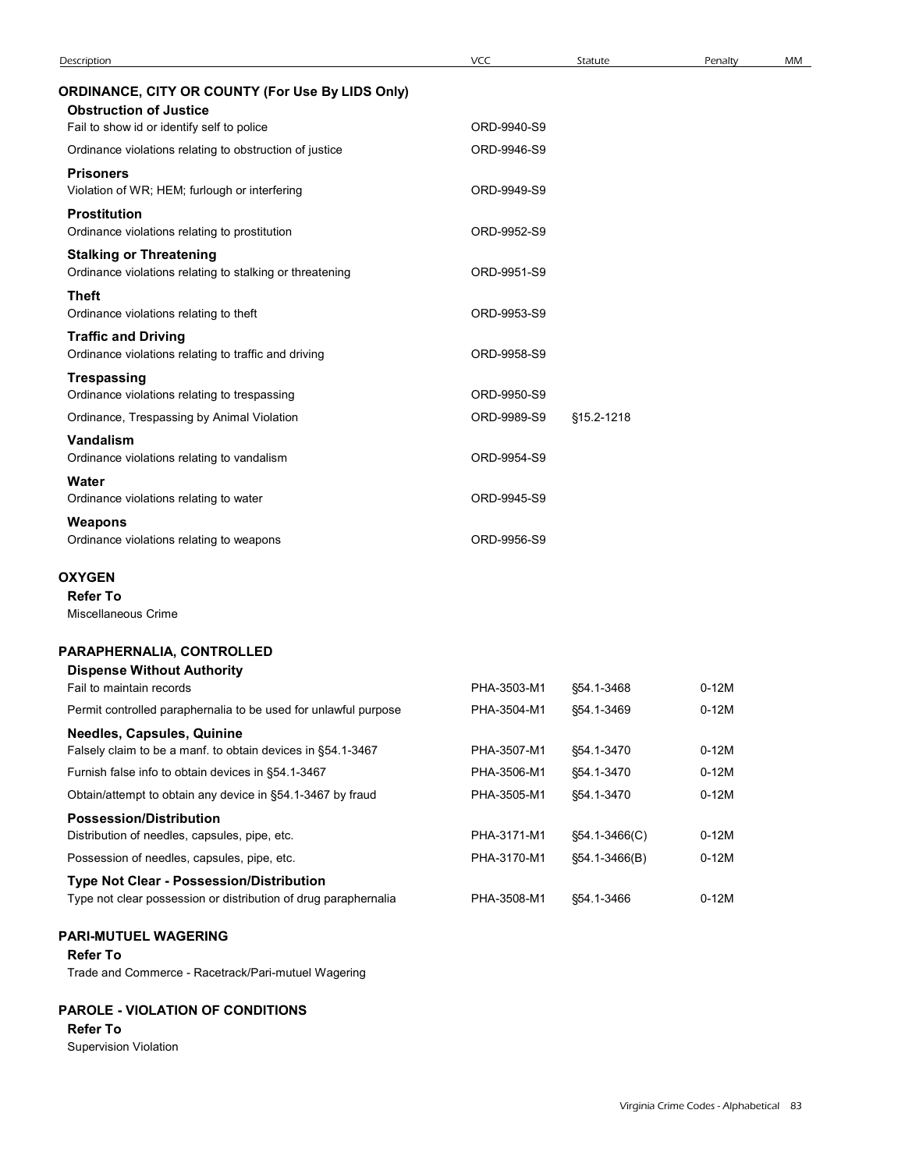| ORDINANCE, CITY OR COUNTY (For Use By LIDS Only)<br><b>Obstruction of Justice</b><br>Fail to show id or identify self to police<br>ORD-9940-S9<br>Ordinance violations relating to obstruction of justice<br>ORD-9946-S9 |         |  |
|--------------------------------------------------------------------------------------------------------------------------------------------------------------------------------------------------------------------------|---------|--|
|                                                                                                                                                                                                                          |         |  |
|                                                                                                                                                                                                                          |         |  |
|                                                                                                                                                                                                                          |         |  |
|                                                                                                                                                                                                                          |         |  |
| <b>Prisoners</b><br>ORD-9949-S9                                                                                                                                                                                          |         |  |
| Violation of WR; HEM; furlough or interfering<br><b>Prostitution</b>                                                                                                                                                     |         |  |
| Ordinance violations relating to prostitution<br>ORD-9952-S9                                                                                                                                                             |         |  |
| <b>Stalking or Threatening</b>                                                                                                                                                                                           |         |  |
| Ordinance violations relating to stalking or threatening<br>ORD-9951-S9                                                                                                                                                  |         |  |
| <b>Theft</b><br>Ordinance violations relating to theft<br>ORD-9953-S9                                                                                                                                                    |         |  |
| <b>Traffic and Driving</b>                                                                                                                                                                                               |         |  |
| Ordinance violations relating to traffic and driving<br>ORD-9958-S9                                                                                                                                                      |         |  |
| Trespassing                                                                                                                                                                                                              |         |  |
| ORD-9950-S9<br>Ordinance violations relating to trespassing<br>Ordinance, Trespassing by Animal Violation<br>ORD-9989-S9<br>§15.2-1218                                                                                   |         |  |
| Vandalism                                                                                                                                                                                                                |         |  |
| Ordinance violations relating to vandalism<br>ORD-9954-S9                                                                                                                                                                |         |  |
| Water                                                                                                                                                                                                                    |         |  |
| Ordinance violations relating to water<br>ORD-9945-S9                                                                                                                                                                    |         |  |
| Weapons<br>Ordinance violations relating to weapons<br>ORD-9956-S9                                                                                                                                                       |         |  |
|                                                                                                                                                                                                                          |         |  |
| <b>OXYGEN</b><br><b>Refer To</b>                                                                                                                                                                                         |         |  |
| Miscellaneous Crime                                                                                                                                                                                                      |         |  |
| PARAPHERNALIA, CONTROLLED                                                                                                                                                                                                |         |  |
| <b>Dispense Without Authority</b>                                                                                                                                                                                        |         |  |
| Fail to maintain records<br>PHA-3503-M1<br>§54.1-3468                                                                                                                                                                    | $0-12M$ |  |
| Permit controlled paraphernalia to be used for unlawful purpose<br>PHA-3504-M1<br>§54.1-3469                                                                                                                             | $0-12M$ |  |
| Needles, Capsules, Quinine<br>Falsely claim to be a manf. to obtain devices in §54.1-3467<br>PHA-3507-M1<br>§54.1-3470                                                                                                   | $0-12M$ |  |
| Furnish false info to obtain devices in §54.1-3467<br>PHA-3506-M1<br>§54.1-3470                                                                                                                                          | $0-12M$ |  |
| Obtain/attempt to obtain any device in §54.1-3467 by fraud<br>PHA-3505-M1<br>§54.1-3470                                                                                                                                  | $0-12M$ |  |
| <b>Possession/Distribution</b>                                                                                                                                                                                           |         |  |
| Distribution of needles, capsules, pipe, etc.<br>PHA-3171-M1<br>§54.1-3466(C)                                                                                                                                            | $0-12M$ |  |
| Possession of needles, capsules, pipe, etc.<br>PHA-3170-M1<br>§54.1-3466(B)                                                                                                                                              | $0-12M$ |  |
| Type Not Clear - Possession/Distribution                                                                                                                                                                                 |         |  |
| Type not clear possession or distribution of drug paraphernalia<br>PHA-3508-M1<br>§54.1-3466                                                                                                                             | $0-12M$ |  |

## PAROLE - VIOLATION OF CONDITIONS

### Refer To

Supervision Violation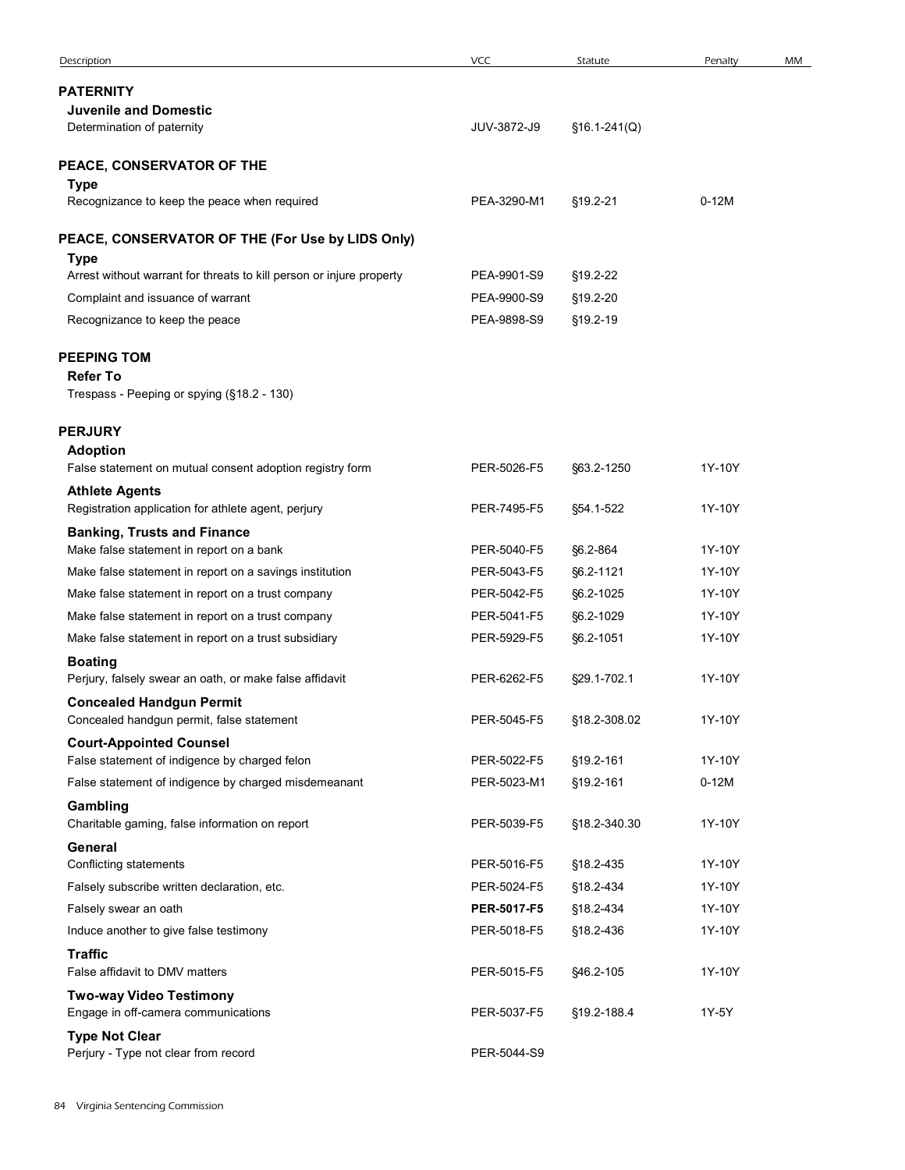| Description                                                                                               | VCC                        | Statute                | Penalty           | MM |
|-----------------------------------------------------------------------------------------------------------|----------------------------|------------------------|-------------------|----|
| <b>PATERNITY</b>                                                                                          |                            |                        |                   |    |
| <b>Juvenile and Domestic</b><br>Determination of paternity                                                | JUV-3872-J9                | $$16.1-241(Q)$         |                   |    |
|                                                                                                           |                            |                        |                   |    |
| <b>PEACE, CONSERVATOR OF THE</b><br><b>Type</b>                                                           |                            |                        |                   |    |
| Recognizance to keep the peace when required                                                              | PEA-3290-M1                | §19.2-21               | $0-12M$           |    |
| PEACE, CONSERVATOR OF THE (For Use by LIDS Only)                                                          |                            |                        |                   |    |
| <b>Type</b>                                                                                               |                            |                        |                   |    |
| Arrest without warrant for threats to kill person or injure property<br>Complaint and issuance of warrant | PEA-9901-S9<br>PEA-9900-S9 | §19.2-22<br>§19.2-20   |                   |    |
| Recognizance to keep the peace                                                                            | PEA-9898-S9                | §19.2-19               |                   |    |
|                                                                                                           |                            |                        |                   |    |
| <b>PEEPING TOM</b><br><b>Refer To</b>                                                                     |                            |                        |                   |    |
| Trespass - Peeping or spying (§18.2 - 130)                                                                |                            |                        |                   |    |
| <b>PERJURY</b>                                                                                            |                            |                        |                   |    |
| <b>Adoption</b>                                                                                           |                            |                        |                   |    |
| False statement on mutual consent adoption registry form<br><b>Athlete Agents</b>                         | PER-5026-F5                | §63.2-1250             | 1Y-10Y            |    |
| Registration application for athlete agent, perjury                                                       | PER-7495-F5                | §54.1-522              | 1Y-10Y            |    |
| <b>Banking, Trusts and Finance</b>                                                                        |                            |                        |                   |    |
| Make false statement in report on a bank<br>Make false statement in report on a savings institution       | PER-5040-F5<br>PER-5043-F5 | §6.2-864<br>§6.2-1121  | 1Y-10Y<br>1Y-10Y  |    |
| Make false statement in report on a trust company                                                         | PER-5042-F5                | §6.2-1025              | 1Y-10Y            |    |
| Make false statement in report on a trust company                                                         | PER-5041-F5                | §6.2-1029              | 1Y-10Y            |    |
| Make false statement in report on a trust subsidiary                                                      | PER-5929-F5                | §6.2-1051              | 1Y-10Y            |    |
| <b>Boating</b>                                                                                            |                            |                        |                   |    |
| Perjury, falsely swear an oath, or make false affidavit<br><b>Concealed Handgun Permit</b>                | PER-6262-F5                | §29.1-702.1            | 1Y-10Y            |    |
| Concealed handgun permit, false statement                                                                 | PER-5045-F5                | §18.2-308.02           | 1Y-10Y            |    |
| <b>Court-Appointed Counsel</b>                                                                            |                            |                        |                   |    |
| False statement of indigence by charged felon<br>False statement of indigence by charged misdemeanant     | PER-5022-F5<br>PER-5023-M1 | §19.2-161<br>§19.2-161 | 1Y-10Y<br>$0-12M$ |    |
| Gambling                                                                                                  |                            |                        |                   |    |
| Charitable gaming, false information on report                                                            | PER-5039-F5                | §18.2-340.30           | 1Y-10Y            |    |
| General<br>Conflicting statements                                                                         | PER-5016-F5                | §18.2-435              | 1Y-10Y            |    |
| Falsely subscribe written declaration, etc.                                                               | PER-5024-F5                | §18.2-434              | 1Y-10Y            |    |
| Falsely swear an oath                                                                                     | PER-5017-F5                | §18.2-434              | 1Y-10Y            |    |
| Induce another to give false testimony                                                                    | PER-5018-F5                | §18.2-436              | 1Y-10Y            |    |
| <b>Traffic</b><br>False affidavit to DMV matters                                                          | PER-5015-F5                | §46.2-105              | 1Y-10Y            |    |
| <b>Two-way Video Testimony</b><br>Engage in off-camera communications                                     | PER-5037-F5                | §19.2-188.4            | 1Y-5Y             |    |
| <b>Type Not Clear</b>                                                                                     |                            |                        |                   |    |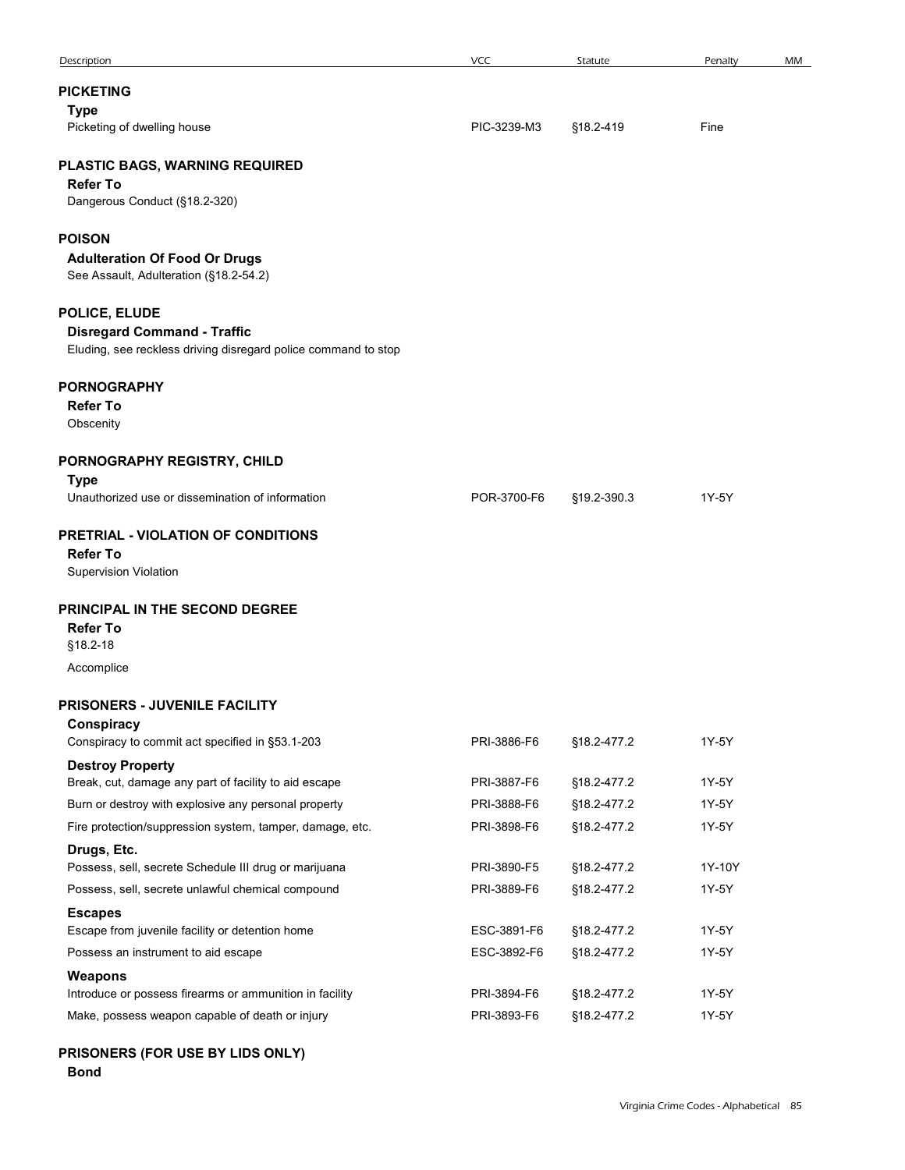| Description                                                                                                | VCC                        | Statute                    | Penalty                                | MM |
|------------------------------------------------------------------------------------------------------------|----------------------------|----------------------------|----------------------------------------|----|
| <b>PICKETING</b><br><b>Type</b>                                                                            |                            |                            |                                        |    |
| Picketing of dwelling house                                                                                | PIC-3239-M3                | §18.2-419                  | Fine                                   |    |
| PLASTIC BAGS, WARNING REQUIRED                                                                             |                            |                            |                                        |    |
| <b>Refer To</b><br>Dangerous Conduct (§18.2-320)                                                           |                            |                            |                                        |    |
|                                                                                                            |                            |                            |                                        |    |
| POISON<br><b>Adulteration Of Food Or Drugs</b>                                                             |                            |                            |                                        |    |
| See Assault, Adulteration (§18.2-54.2)                                                                     |                            |                            |                                        |    |
| <b>POLICE, ELUDE</b>                                                                                       |                            |                            |                                        |    |
| <b>Disregard Command - Traffic</b><br>Eluding, see reckless driving disregard police command to stop       |                            |                            |                                        |    |
|                                                                                                            |                            |                            |                                        |    |
| PORNOGRAPHY<br><b>Refer To</b>                                                                             |                            |                            |                                        |    |
| Obscenity                                                                                                  |                            |                            |                                        |    |
| PORNOGRAPHY REGISTRY, CHILD                                                                                |                            |                            |                                        |    |
| <b>Type</b><br>Unauthorized use or dissemination of information                                            | POR-3700-F6                | §19.2-390.3                | 1Y-5Y                                  |    |
|                                                                                                            |                            |                            |                                        |    |
| PRETRIAL - VIOLATION OF CONDITIONS<br><b>Refer To</b>                                                      |                            |                            |                                        |    |
| Supervision Violation                                                                                      |                            |                            |                                        |    |
| PRINCIPAL IN THE SECOND DEGREE                                                                             |                            |                            |                                        |    |
| <b>Refer To</b><br>§18.2-18                                                                                |                            |                            |                                        |    |
| Accomplice                                                                                                 |                            |                            |                                        |    |
|                                                                                                            |                            |                            |                                        |    |
| <b>PRISONERS - JUVENILE FACILITY</b><br>Conspiracy                                                         |                            |                            |                                        |    |
| Conspiracy to commit act specified in §53.1-203                                                            | PRI-3886-F6                | §18.2-477.2                | 1Y-5Y                                  |    |
| <b>Destroy Property</b><br>Break, cut, damage any part of facility to aid escape                           | PRI-3887-F6                | §18.2-477.2                | 1Y-5Y                                  |    |
| Burn or destroy with explosive any personal property                                                       | PRI-3888-F6                | §18.2-477.2                | 1Y-5Y                                  |    |
| Fire protection/suppression system, tamper, damage, etc.                                                   | PRI-3898-F6                | §18.2-477.2                | 1Y-5Y                                  |    |
| Drugs, Etc.<br>Possess, sell, secrete Schedule III drug or marijuana                                       | PRI-3890-F5                | §18.2-477.2                | 1Y-10Y                                 |    |
| Possess, sell, secrete unlawful chemical compound                                                          | PRI-3889-F6                | §18.2-477.2                | 1Y-5Y                                  |    |
| <b>Escapes</b>                                                                                             |                            |                            |                                        |    |
| Escape from juvenile facility or detention home<br>Possess an instrument to aid escape                     | ESC-3891-F6<br>ESC-3892-F6 | §18.2-477.2<br>§18.2-477.2 | 1Y-5Y<br>1Y-5Y                         |    |
| Weapons                                                                                                    |                            |                            |                                        |    |
| Introduce or possess firearms or ammunition in facility<br>Make, possess weapon capable of death or injury | PRI-3894-F6                | §18.2-477.2                | 1Y-5Y                                  |    |
|                                                                                                            | PRI-3893-F6                | §18.2-477.2                | 1Y-5Y                                  |    |
| <b>PRISONERS (FOR USE BY LIDS ONLY)</b><br><b>Bond</b>                                                     |                            |                            |                                        |    |
|                                                                                                            |                            |                            | Virginia Crime Codes - Alphabetical 85 |    |
|                                                                                                            |                            |                            |                                        |    |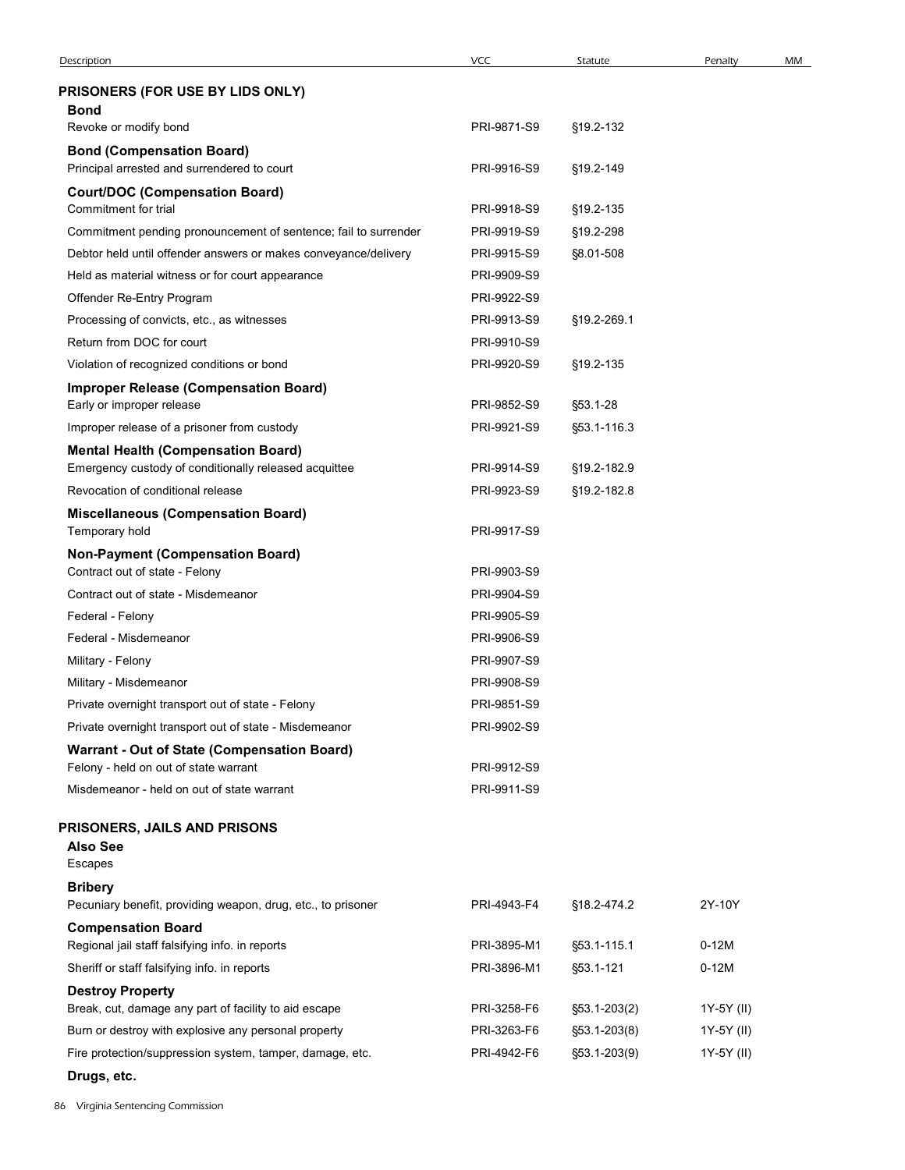| Description                                                                                        | VCC                        | Statute                  | Penalty    | MM |
|----------------------------------------------------------------------------------------------------|----------------------------|--------------------------|------------|----|
| PRISONERS (FOR USE BY LIDS ONLY)                                                                   |                            |                          |            |    |
| <b>Bond</b>                                                                                        |                            |                          |            |    |
| Revoke or modify bond                                                                              | PRI-9871-S9                | §19.2-132                |            |    |
| <b>Bond (Compensation Board)</b>                                                                   |                            |                          |            |    |
| Principal arrested and surrendered to court                                                        | PRI-9916-S9                | §19.2-149                |            |    |
| <b>Court/DOC (Compensation Board)</b><br>Commitment for trial                                      | PRI-9918-S9                | §19.2-135                |            |    |
| Commitment pending pronouncement of sentence; fail to surrender                                    | PRI-9919-S9                | §19.2-298                |            |    |
| Debtor held until offender answers or makes conveyance/delivery                                    | PRI-9915-S9                | §8.01-508                |            |    |
| Held as material witness or for court appearance                                                   | PRI-9909-S9                |                          |            |    |
| Offender Re-Entry Program                                                                          | PRI-9922-S9                |                          |            |    |
| Processing of convicts, etc., as witnesses                                                         | PRI-9913-S9                | §19.2-269.1              |            |    |
| Return from DOC for court                                                                          | PRI-9910-S9                |                          |            |    |
| Violation of recognized conditions or bond                                                         | PRI-9920-S9                | §19.2-135                |            |    |
| <b>Improper Release (Compensation Board)</b>                                                       |                            |                          |            |    |
| Early or improper release                                                                          | PRI-9852-S9                | §53.1-28                 |            |    |
| Improper release of a prisoner from custody                                                        | PRI-9921-S9                | §53.1-116.3              |            |    |
| <b>Mental Health (Compensation Board)</b><br>Emergency custody of conditionally released acquittee | PRI-9914-S9                | §19.2-182.9              |            |    |
| Revocation of conditional release                                                                  | PRI-9923-S9                | §19.2-182.8              |            |    |
| <b>Miscellaneous (Compensation Board)</b>                                                          |                            |                          |            |    |
| Temporary hold                                                                                     | PRI-9917-S9                |                          |            |    |
| <b>Non-Payment (Compensation Board)</b>                                                            |                            |                          |            |    |
| Contract out of state - Felony                                                                     | PRI-9903-S9                |                          |            |    |
| Contract out of state - Misdemeanor                                                                | PRI-9904-S9                |                          |            |    |
| Federal - Felony                                                                                   | PRI-9905-S9                |                          |            |    |
| Federal - Misdemeanor                                                                              | PRI-9906-S9                |                          |            |    |
| Military - Felony                                                                                  | PRI-9907-S9<br>PRI-9908-S9 |                          |            |    |
| Military - Misdemeanor<br>Private overnight transport out of state - Felony                        | PRI-9851-S9                |                          |            |    |
| Private overnight transport out of state - Misdemeanor                                             | PRI-9902-S9                |                          |            |    |
| Warrant - Out of State (Compensation Board)                                                        |                            |                          |            |    |
| Felony - held on out of state warrant                                                              | PRI-9912-S9                |                          |            |    |
| Misdemeanor - held on out of state warrant                                                         | PRI-9911-S9                |                          |            |    |
| PRISONERS, JAILS AND PRISONS                                                                       |                            |                          |            |    |
| <b>Also See</b>                                                                                    |                            |                          |            |    |
| Escapes                                                                                            |                            |                          |            |    |
| <b>Bribery</b>                                                                                     |                            |                          |            |    |
| Pecuniary benefit, providing weapon, drug, etc., to prisoner                                       | PRI-4943-F4                | §18.2-474.2              | 2Y-10Y     |    |
| <b>Compensation Board</b>                                                                          | PRI-3895-M1                |                          | $0-12M$    |    |
| Regional jail staff falsifying info. in reports<br>Sheriff or staff falsifying info. in reports    | PRI-3896-M1                | §53.1-115.1<br>§53.1-121 | $0-12M$    |    |
| <b>Destroy Property</b>                                                                            |                            |                          |            |    |
| Break, cut, damage any part of facility to aid escape                                              | PRI-3258-F6                | $\S53.1 - 203(2)$        | 1Y-5Y (II) |    |
| Burn or destroy with explosive any personal property                                               | PRI-3263-F6                | $$53.1 - 203(8)$         | 1Y-5Y (II) |    |
| Fire protection/suppression system, tamper, damage, etc.                                           | PRI-4942-F6                | §53.1-203(9)             | 1Y-5Y (II) |    |
|                                                                                                    |                            |                          |            |    |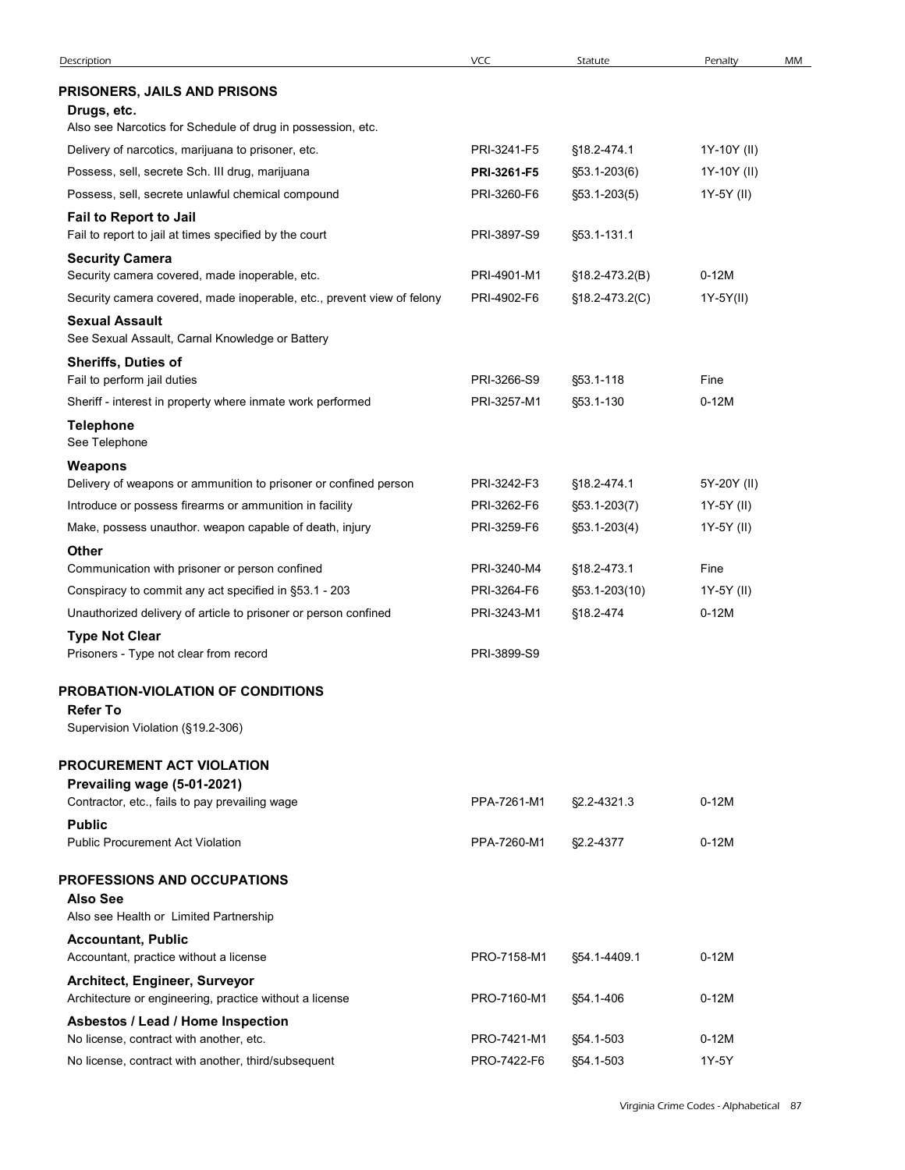| Description                                                                                                              | <b>VCC</b>                 | Statute                              | Penalty                    | MM |
|--------------------------------------------------------------------------------------------------------------------------|----------------------------|--------------------------------------|----------------------------|----|
| PRISONERS, JAILS AND PRISONS                                                                                             |                            |                                      |                            |    |
| Drugs, etc.                                                                                                              |                            |                                      |                            |    |
| Also see Narcotics for Schedule of drug in possession, etc.                                                              |                            |                                      |                            |    |
| Delivery of narcotics, marijuana to prisoner, etc.<br>Possess, sell, secrete Sch. III drug, marijuana                    | PRI-3241-F5<br>PRI-3261-F5 | §18.2-474.1<br>$$53.1 - 203(6)$      | 1Y-10Y (II)<br>1Y-10Y (II) |    |
| Possess, sell, secrete unlawful chemical compound                                                                        | PRI-3260-F6                | $\S53.1 - 203(5)$                    | 1Y-5Y (II)                 |    |
| Fail to Report to Jail                                                                                                   |                            |                                      |                            |    |
| Fail to report to jail at times specified by the court                                                                   | PRI-3897-S9                | §53.1-131.1                          |                            |    |
| <b>Security Camera</b>                                                                                                   |                            |                                      |                            |    |
| Security camera covered, made inoperable, etc.<br>Security camera covered, made inoperable, etc., prevent view of felony | PRI-4901-M1<br>PRI-4902-F6 | §18.2-473.2(B)<br>$$18.2 - 473.2(C)$ | $0-12M$<br>1Y-5Y(II)       |    |
| <b>Sexual Assault</b><br>See Sexual Assault, Carnal Knowledge or Battery                                                 |                            |                                      |                            |    |
| <b>Sheriffs, Duties of</b>                                                                                               |                            |                                      |                            |    |
| Fail to perform jail duties                                                                                              | PRI-3266-S9                | §53.1-118                            | Fine                       |    |
| Sheriff - interest in property where inmate work performed                                                               | PRI-3257-M1                | §53.1-130                            | $0-12M$                    |    |
| <b>Telephone</b><br>See Telephone                                                                                        |                            |                                      |                            |    |
| Weapons                                                                                                                  |                            |                                      |                            |    |
| Delivery of weapons or ammunition to prisoner or confined person                                                         | PRI-3242-F3                | §18.2-474.1                          | 5Y-20Y (II)                |    |
| Introduce or possess firearms or ammunition in facility                                                                  | PRI-3262-F6                | $$53.1 - 203(7)$                     | 1Y-5Y (II)                 |    |
| Make, possess unauthor. weapon capable of death, injury                                                                  | PRI-3259-F6                | $$53.1 - 203(4)$                     | 1Y-5Y (II)                 |    |
| <b>Other</b><br>Communication with prisoner or person confined                                                           | PRI-3240-M4                | §18.2-473.1                          | Fine                       |    |
| Conspiracy to commit any act specified in §53.1 - 203                                                                    | PRI-3264-F6                | §53.1-203(10)                        | 1Y-5Y (II)                 |    |
| Unauthorized delivery of article to prisoner or person confined                                                          | PRI-3243-M1                | §18.2-474                            | $0-12M$                    |    |
| <b>Type Not Clear</b>                                                                                                    |                            |                                      |                            |    |
| Prisoners - Type not clear from record                                                                                   | PRI-3899-S9                |                                      |                            |    |
| PROBATION-VIOLATION OF CONDITIONS                                                                                        |                            |                                      |                            |    |
| <b>Refer To</b>                                                                                                          |                            |                                      |                            |    |
| Supervision Violation (§19.2-306)                                                                                        |                            |                                      |                            |    |
| PROCUREMENT ACT VIOLATION                                                                                                |                            |                                      |                            |    |
| Prevailing wage (5-01-2021)<br>Contractor, etc., fails to pay prevailing wage                                            | PPA-7261-M1                | §2.2-4321.3                          | $0-12M$                    |    |
| <b>Public</b>                                                                                                            |                            |                                      |                            |    |
| Public Procurement Act Violation                                                                                         | PPA-7260-M1                | §2.2-4377                            | $0-12M$                    |    |
| <b>PROFESSIONS AND OCCUPATIONS</b>                                                                                       |                            |                                      |                            |    |
| <b>Also See</b>                                                                                                          |                            |                                      |                            |    |
| Also see Health or Limited Partnership                                                                                   |                            |                                      |                            |    |
| <b>Accountant, Public</b>                                                                                                |                            |                                      |                            |    |
| Accountant, practice without a license                                                                                   | PRO-7158-M1                | §54.1-4409.1                         | $0-12M$                    |    |
| Architect, Engineer, Surveyor<br>Architecture or engineering, practice without a license                                 | PRO-7160-M1                | §54.1-406                            | $0-12M$                    |    |
| Asbestos / Lead / Home Inspection                                                                                        |                            |                                      |                            |    |
| No license, contract with another, etc.                                                                                  | PRO-7421-M1                | §54.1-503                            | $0-12M$                    |    |
| No license, contract with another, third/subsequent                                                                      | PRO-7422-F6                | §54.1-503                            | 1Y-5Y                      |    |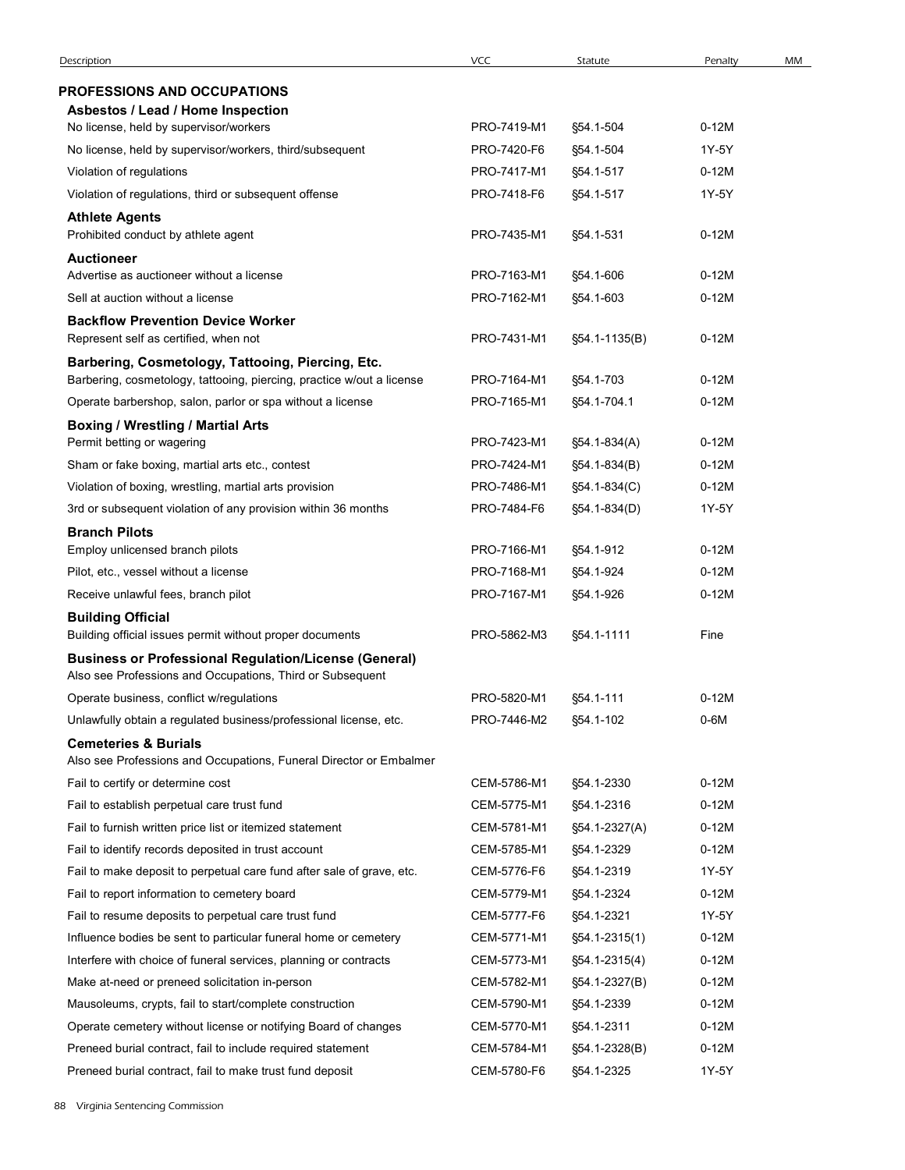| Description                                                                                                                | <b>VCC</b>                 | Statute                        | Penalty            | MM |
|----------------------------------------------------------------------------------------------------------------------------|----------------------------|--------------------------------|--------------------|----|
| <b>PROFESSIONS AND OCCUPATIONS</b>                                                                                         |                            |                                |                    |    |
| Asbestos / Lead / Home Inspection<br>No license, held by supervisor/workers                                                | PRO-7419-M1                | §54.1-504                      | $0-12M$            |    |
| No license, held by supervisor/workers, third/subsequent                                                                   | PRO-7420-F6                | §54.1-504                      | 1Y-5Y              |    |
| Violation of regulations                                                                                                   | PRO-7417-M1                | §54.1-517                      | $0-12M$            |    |
| Violation of regulations, third or subsequent offense                                                                      | PRO-7418-F6                | §54.1-517                      | 1Y-5Y              |    |
| <b>Athlete Agents</b><br>Prohibited conduct by athlete agent                                                               | PRO-7435-M1                | §54.1-531                      | $0-12M$            |    |
| <b>Auctioneer</b>                                                                                                          |                            |                                |                    |    |
| Advertise as auctioneer without a license                                                                                  | PRO-7163-M1                | §54.1-606                      | $0-12M$            |    |
| Sell at auction without a license                                                                                          | PRO-7162-M1                | §54.1-603                      | $0-12M$            |    |
| <b>Backflow Prevention Device Worker</b><br>Represent self as certified, when not                                          | PRO-7431-M1                | §54.1-1135(B)                  | $0-12M$            |    |
| Barbering, Cosmetology, Tattooing, Piercing, Etc.<br>Barbering, cosmetology, tattooing, piercing, practice w/out a license | PRO-7164-M1                | §54.1-703                      | $0-12M$            |    |
| Operate barbershop, salon, parlor or spa without a license                                                                 | PRO-7165-M1                | §54.1-704.1                    | $0-12M$            |    |
| <b>Boxing / Wrestling / Martial Arts</b>                                                                                   | PRO-7423-M1                | §54.1-834(A)                   | $0-12M$            |    |
| Permit betting or wagering<br>Sham or fake boxing, martial arts etc., contest                                              | PRO-7424-M1                | §54.1-834(B)                   | $0-12M$            |    |
| Violation of boxing, wrestling, martial arts provision                                                                     | PRO-7486-M1                | §54.1-834(C)                   | $0-12M$            |    |
| 3rd or subsequent violation of any provision within 36 months                                                              | PRO-7484-F6                | §54.1-834(D)                   | 1Y-5Y              |    |
| <b>Branch Pilots</b>                                                                                                       |                            |                                |                    |    |
| Employ unlicensed branch pilots                                                                                            | PRO-7166-M1                | §54.1-912                      | $0-12M$            |    |
| Pilot, etc., vessel without a license                                                                                      | PRO-7168-M1                | §54.1-924                      | $0-12M$            |    |
| Receive unlawful fees, branch pilot                                                                                        | PRO-7167-M1                | §54.1-926                      | $0-12M$            |    |
| <b>Building Official</b>                                                                                                   |                            |                                |                    |    |
| Building official issues permit without proper documents<br><b>Business or Professional Regulation/License (General)</b>   | PRO-5862-M3                | §54.1-1111                     | Fine               |    |
| Also see Professions and Occupations, Third or Subsequent<br>Operate business, conflict w/regulations                      | PRO-5820-M1                | §54.1-111                      | $0-12M$            |    |
| Unlawfully obtain a regulated business/professional license, etc.                                                          | PRO-7446-M2                | §54.1-102                      | $0-6M$             |    |
| <b>Cemeteries &amp; Burials</b>                                                                                            |                            |                                |                    |    |
| Also see Professions and Occupations, Funeral Director or Embalmer                                                         |                            |                                |                    |    |
| Fail to certify or determine cost                                                                                          | CEM-5786-M1                | §54.1-2330                     | $0-12M$            |    |
| Fail to establish perpetual care trust fund                                                                                | CEM-5775-M1                | §54.1-2316                     | $0-12M$            |    |
| Fail to furnish written price list or itemized statement                                                                   | CEM-5781-M1                | §54.1-2327(A)                  | $0-12M$            |    |
| Fail to identify records deposited in trust account                                                                        | CEM-5785-M1                | §54.1-2329                     | $0-12M$            |    |
| Fail to make deposit to perpetual care fund after sale of grave, etc.                                                      | CEM-5776-F6                | §54.1-2319                     | 1Y-5Y              |    |
| Fail to report information to cemetery board                                                                               | CEM-5779-M1                | §54.1-2324                     | $0-12M$            |    |
| Fail to resume deposits to perpetual care trust fund                                                                       | CEM-5777-F6                | §54.1-2321                     | 1Y-5Y              |    |
| Influence bodies be sent to particular funeral home or cemetery                                                            | CEM-5771-M1                | §54.1-2315(1)                  | $0-12M$            |    |
| Interfere with choice of funeral services, planning or contracts<br>Make at-need or preneed solicitation in-person         | CEM-5773-M1<br>CEM-5782-M1 | §54.1-2315(4)<br>§54.1-2327(B) | $0-12M$<br>$0-12M$ |    |
| Mausoleums, crypts, fail to start/complete construction                                                                    | CEM-5790-M1                | §54.1-2339                     | $0-12M$            |    |
| Operate cemetery without license or notifying Board of changes                                                             | CEM-5770-M1                | §54.1-2311                     | $0-12M$            |    |
| Preneed burial contract, fail to include required statement                                                                | CEM-5784-M1                | §54.1-2328(B)                  | $0-12M$            |    |
| Preneed burial contract, fail to make trust fund deposit                                                                   | CEM-5780-F6                | §54.1-2325                     | 1Y-5Y              |    |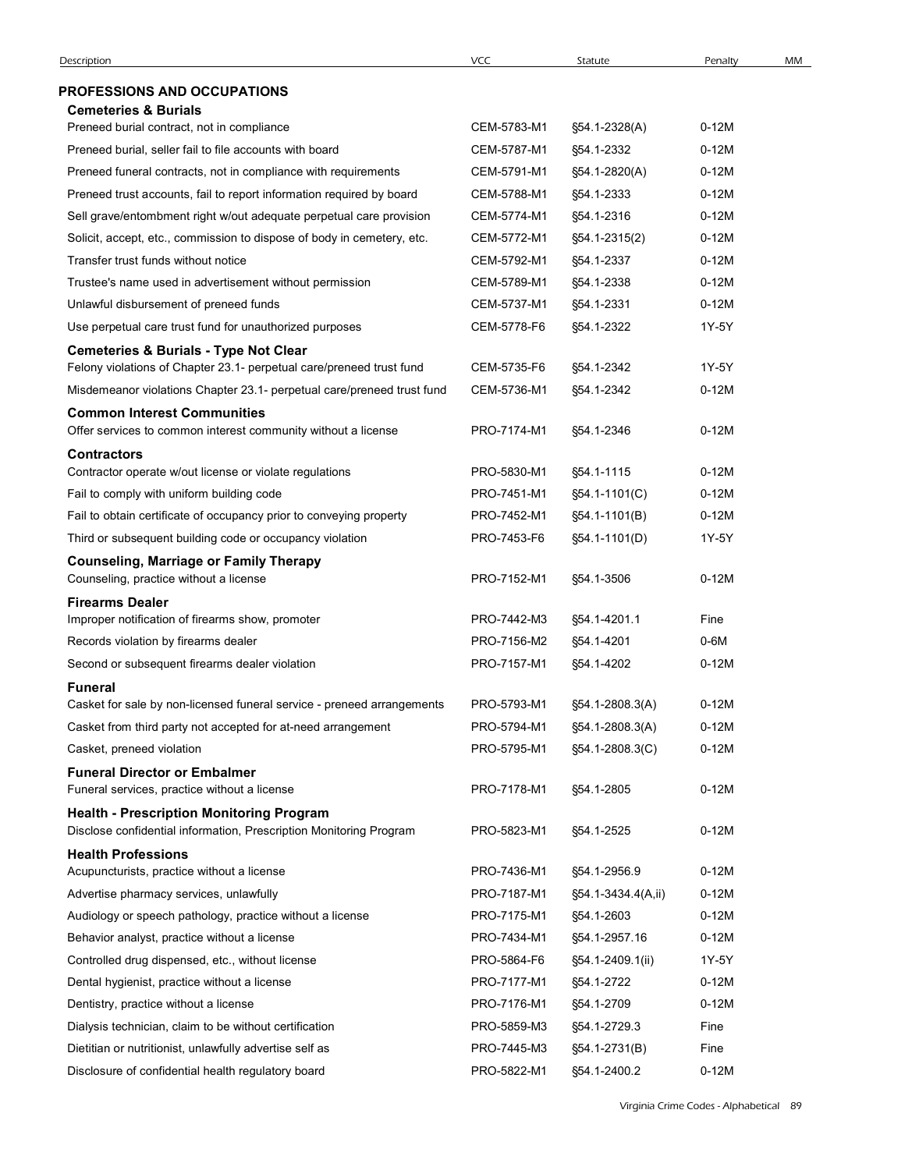| Description                                                                                          | <b>VCC</b>                 | Statute                        | Penalty            | MM |
|------------------------------------------------------------------------------------------------------|----------------------------|--------------------------------|--------------------|----|
| <b>PROFESSIONS AND OCCUPATIONS</b>                                                                   |                            |                                |                    |    |
| <b>Cemeteries &amp; Burials</b>                                                                      |                            |                                |                    |    |
| Preneed burial contract, not in compliance                                                           | CEM-5783-M1                | §54.1-2328(A)                  | $0-12M$            |    |
| Preneed burial, seller fail to file accounts with board                                              | CEM-5787-M1                | §54.1-2332                     | $0-12M$            |    |
| Preneed funeral contracts, not in compliance with requirements                                       | CEM-5791-M1                | §54.1-2820(A)                  | $0-12M$            |    |
| Preneed trust accounts, fail to report information required by board                                 | CEM-5788-M1                | §54.1-2333                     | $0-12M$            |    |
| Sell grave/entombment right w/out adequate perpetual care provision                                  | CEM-5774-M1                | §54.1-2316                     | $0-12M$            |    |
| Solicit, accept, etc., commission to dispose of body in cemetery, etc.                               | CEM-5772-M1                | §54.1-2315(2)                  | $0-12M$            |    |
| Transfer trust funds without notice                                                                  | CEM-5792-M1                | §54.1-2337                     | $0-12M$            |    |
| Trustee's name used in advertisement without permission                                              | CEM-5789-M1                | §54.1-2338                     | $0-12M$            |    |
| Unlawful disbursement of preneed funds<br>Use perpetual care trust fund for unauthorized purposes    | CEM-5737-M1<br>CEM-5778-F6 | §54.1-2331<br>§54.1-2322       | $0-12M$<br>1Y-5Y   |    |
| <b>Cemeteries &amp; Burials - Type Not Clear</b>                                                     |                            |                                |                    |    |
| Felony violations of Chapter 23.1- perpetual care/preneed trust fund                                 | CEM-5735-F6                | §54.1-2342                     | 1Y-5Y              |    |
| Misdemeanor violations Chapter 23.1- perpetual care/preneed trust fund                               | CEM-5736-M1                | §54.1-2342                     | $0-12M$            |    |
| <b>Common Interest Communities</b>                                                                   |                            |                                |                    |    |
| Offer services to common interest community without a license                                        | PRO-7174-M1                | §54.1-2346                     | $0-12M$            |    |
| <b>Contractors</b>                                                                                   |                            |                                |                    |    |
| Contractor operate w/out license or violate regulations<br>Fail to comply with uniform building code | PRO-5830-M1<br>PRO-7451-M1 | §54.1-1115                     | $0-12M$<br>$0-12M$ |    |
| Fail to obtain certificate of occupancy prior to conveying property                                  | PRO-7452-M1                | §54.1-1101(C)<br>§54.1-1101(B) | $0-12M$            |    |
| Third or subsequent building code or occupancy violation                                             | PRO-7453-F6                | §54.1-1101(D)                  | 1Y-5Y              |    |
| <b>Counseling, Marriage or Family Therapy</b>                                                        |                            |                                |                    |    |
| Counseling, practice without a license                                                               | PRO-7152-M1                | §54.1-3506                     | $0-12M$            |    |
| <b>Firearms Dealer</b>                                                                               |                            |                                |                    |    |
| Improper notification of firearms show, promoter                                                     | PRO-7442-M3                | §54.1-4201.1                   | Fine               |    |
| Records violation by firearms dealer                                                                 | PRO-7156-M2                | §54.1-4201                     | $0-6M$             |    |
| Second or subsequent firearms dealer violation                                                       | PRO-7157-M1                | §54.1-4202                     | $0-12M$            |    |
| <b>Funeral</b><br>Casket for sale by non-licensed funeral service - preneed arrangements             | PRO-5793-M1                | §54.1-2808.3(A)                | $0-12M$            |    |
| Casket from third party not accepted for at-need arrangement                                         | PRO-5794-M1                | §54.1-2808.3(A)                | $0-12M$            |    |
| Casket, preneed violation                                                                            | PRO-5795-M1                | §54.1-2808.3(C)                | $0-12M$            |    |
| <b>Funeral Director or Embalmer</b>                                                                  |                            |                                |                    |    |
| Funeral services, practice without a license                                                         | PRO-7178-M1                | §54.1-2805                     | $0-12M$            |    |
| <b>Health - Prescription Monitoring Program</b>                                                      |                            |                                |                    |    |
| Disclose confidential information, Prescription Monitoring Program                                   | PRO-5823-M1                | §54.1-2525                     | $0-12M$            |    |
| <b>Health Professions</b><br>Acupuncturists, practice without a license                              | PRO-7436-M1                | §54.1-2956.9                   | $0-12M$            |    |
| Advertise pharmacy services, unlawfully                                                              | PRO-7187-M1                | §54.1-3434.4(A,ii)             | $0-12M$            |    |
| Audiology or speech pathology, practice without a license                                            | PRO-7175-M1                | §54.1-2603                     | $0-12M$            |    |
| Behavior analyst, practice without a license                                                         | PRO-7434-M1                | §54.1-2957.16                  | $0-12M$            |    |
| Controlled drug dispensed, etc., without license                                                     | PRO-5864-F6                | §54.1-2409.1(ii)               | 1Y-5Y              |    |
| Dental hygienist, practice without a license                                                         | PRO-7177-M1                | §54.1-2722                     | $0-12M$            |    |
| Dentistry, practice without a license                                                                | PRO-7176-M1                | §54.1-2709                     | $0-12M$            |    |
| Dialysis technician, claim to be without certification                                               | PRO-5859-M3                | §54.1-2729.3                   | Fine               |    |
| Dietitian or nutritionist, unlawfully advertise self as                                              | PRO-7445-M3                | §54.1-2731(B)                  | Fine               |    |
| Disclosure of confidential health regulatory board                                                   | PRO-5822-M1                | §54.1-2400.2                   | $0-12M$            |    |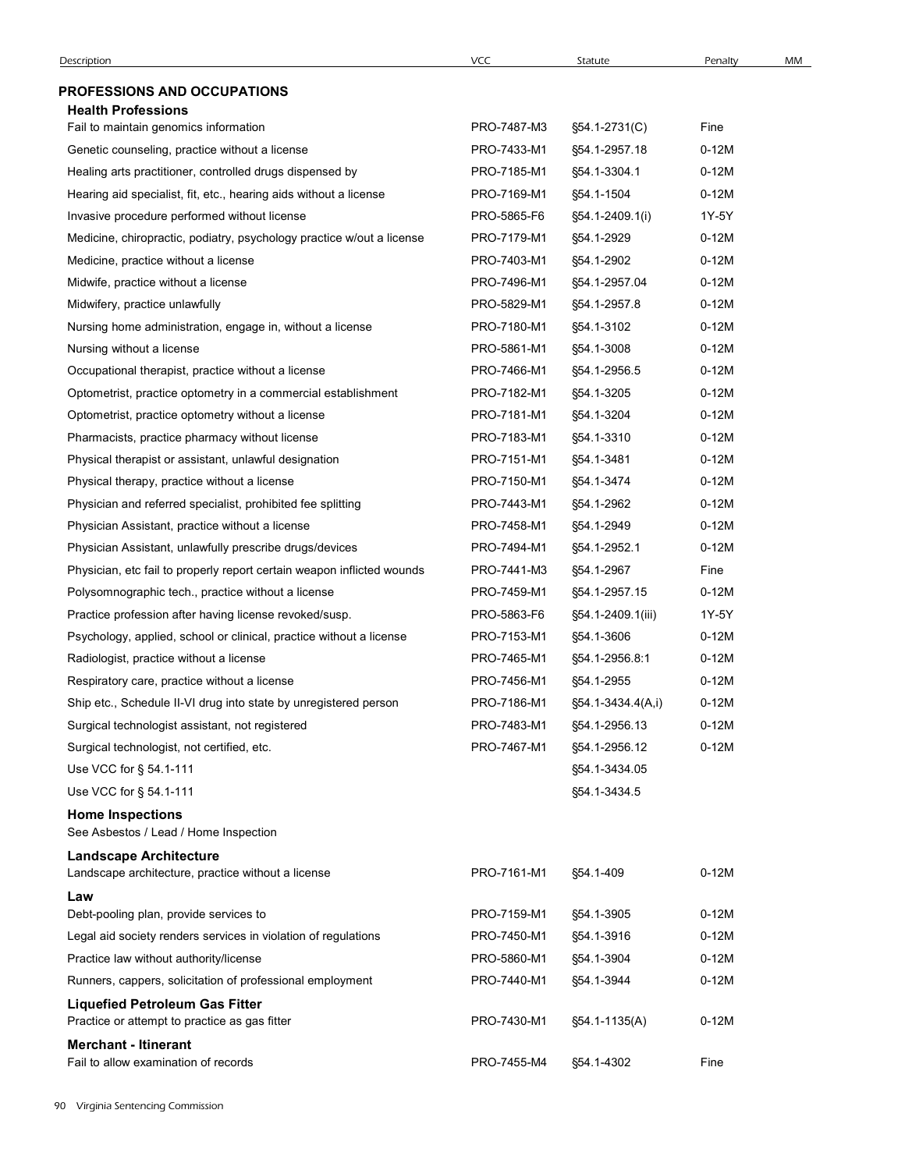| <b>Description</b>                                                                      | <b>VCC</b>                 | Statute                      | Penalty            | MM |
|-----------------------------------------------------------------------------------------|----------------------------|------------------------------|--------------------|----|
| <b>PROFESSIONS AND OCCUPATIONS</b>                                                      |                            |                              |                    |    |
| <b>Health Professions</b>                                                               |                            |                              |                    |    |
| Fail to maintain genomics information                                                   | PRO-7487-M3                | §54.1-2731(C)                | Fine               |    |
| Genetic counseling, practice without a license                                          | PRO-7433-M1                | §54.1-2957.18                | $0-12M$            |    |
| Healing arts practitioner, controlled drugs dispensed by                                | PRO-7185-M1                | §54.1-3304.1                 | $0-12M$            |    |
| Hearing aid specialist, fit, etc., hearing aids without a license                       | PRO-7169-M1                | §54.1-1504                   | $0-12M$            |    |
| Invasive procedure performed without license                                            | PRO-5865-F6                | §54.1-2409.1(i)              | 1Y-5Y              |    |
| Medicine, chiropractic, podiatry, psychology practice w/out a license                   | PRO-7179-M1                | §54.1-2929                   | $0-12M$            |    |
| Medicine, practice without a license                                                    | PRO-7403-M1                | §54.1-2902                   | $0-12M$            |    |
| Midwife, practice without a license                                                     | PRO-7496-M1                | §54.1-2957.04                | $0-12M$            |    |
| Midwifery, practice unlawfully                                                          | PRO-5829-M1<br>PRO-7180-M1 | §54.1-2957.8<br>§54.1-3102   | $0-12M$<br>$0-12M$ |    |
| Nursing home administration, engage in, without a license<br>Nursing without a license  | PRO-5861-M1                | §54.1-3008                   | $0-12M$            |    |
| Occupational therapist, practice without a license                                      | PRO-7466-M1                | §54.1-2956.5                 | $0-12M$            |    |
| Optometrist, practice optometry in a commercial establishment                           | PRO-7182-M1                | §54.1-3205                   | $0-12M$            |    |
| Optometrist, practice optometry without a license                                       | PRO-7181-M1                | §54.1-3204                   | $0-12M$            |    |
| Pharmacists, practice pharmacy without license                                          | PRO-7183-M1                | §54.1-3310                   | $0-12M$            |    |
| Physical therapist or assistant, unlawful designation                                   | PRO-7151-M1                | §54.1-3481                   | $0-12M$            |    |
| Physical therapy, practice without a license                                            | PRO-7150-M1                | §54.1-3474                   | $0-12M$            |    |
| Physician and referred specialist, prohibited fee splitting                             | PRO-7443-M1                | §54.1-2962                   | $0-12M$            |    |
| Physician Assistant, practice without a license                                         | PRO-7458-M1                | §54.1-2949                   | $0-12M$            |    |
| Physician Assistant, unlawfully prescribe drugs/devices                                 | PRO-7494-M1                | §54.1-2952.1                 | $0-12M$            |    |
| Physician, etc fail to properly report certain weapon inflicted wounds                  | PRO-7441-M3                | §54.1-2967                   | Fine               |    |
| Polysomnographic tech., practice without a license                                      | PRO-7459-M1                | §54.1-2957.15                | $0-12M$            |    |
| Practice profession after having license revoked/susp.                                  | PRO-5863-F6                | §54.1-2409.1(iii)            | 1Y-5Y              |    |
| Psychology, applied, school or clinical, practice without a license                     | PRO-7153-M1                | §54.1-3606                   | $0-12M$            |    |
| Radiologist, practice without a license<br>Respiratory care, practice without a license | PRO-7465-M1<br>PRO-7456-M1 | §54.1-2956.8:1<br>§54.1-2955 | $0-12M$<br>$0-12M$ |    |
| Ship etc., Schedule II-VI drug into state by unregistered person                        | PRO-7186-M1                | §54.1-3434.4(A,i)            | $0-12M$            |    |
| Surgical technologist assistant, not registered                                         | PRO-7483-M1                | §54.1-2956.13                | $0-12M$            |    |
| Surgical technologist, not certified, etc.                                              | PRO-7467-M1                | §54.1-2956.12                | $0-12M$            |    |
| Use VCC for § 54.1-111                                                                  |                            | §54.1-3434.05                |                    |    |
| Use VCC for § 54.1-111                                                                  |                            | §54.1-3434.5                 |                    |    |
| <b>Home Inspections</b><br>See Asbestos / Lead / Home Inspection                        |                            |                              |                    |    |
| <b>Landscape Architecture</b>                                                           |                            |                              |                    |    |
| Landscape architecture, practice without a license<br>Law                               | PRO-7161-M1                | §54.1-409                    | $0-12M$            |    |
| Debt-pooling plan, provide services to                                                  | PRO-7159-M1                | §54.1-3905                   | $0-12M$            |    |
| Legal aid society renders services in violation of regulations                          | PRO-7450-M1                | §54.1-3916                   | $0-12M$            |    |
| Practice law without authority/license                                                  | PRO-5860-M1                | §54.1-3904                   | $0-12M$            |    |
| Runners, cappers, solicitation of professional employment                               | PRO-7440-M1                | §54.1-3944                   | $0-12M$            |    |
| <b>Liquefied Petroleum Gas Fitter</b><br>Practice or attempt to practice as gas fitter  | PRO-7430-M1                | §54.1-1135(A)                | $0-12M$            |    |
| <b>Merchant - Itinerant</b>                                                             | PRO-7455-M4                | §54.1-4302                   | Fine               |    |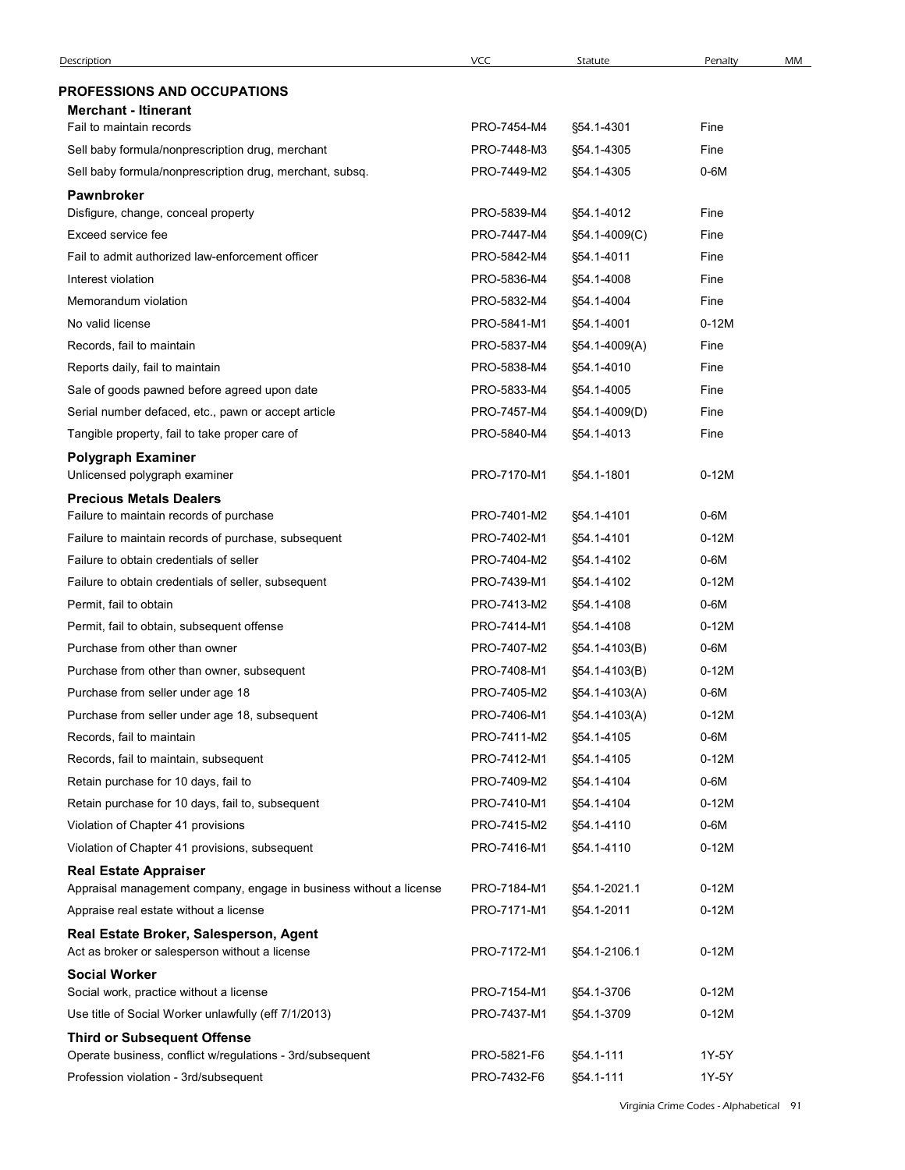| Description                                                                              | VCC         | Statute       | Penalty | MM |
|------------------------------------------------------------------------------------------|-------------|---------------|---------|----|
| <b>PROFESSIONS AND OCCUPATIONS</b>                                                       |             |               |         |    |
| <b>Merchant - Itinerant</b>                                                              |             |               |         |    |
| Fail to maintain records                                                                 | PRO-7454-M4 | §54.1-4301    | Fine    |    |
| Sell baby formula/nonprescription drug, merchant                                         | PRO-7448-M3 | §54.1-4305    | Fine    |    |
| Sell baby formula/nonprescription drug, merchant, subsq.                                 | PRO-7449-M2 | §54.1-4305    | 0-6M    |    |
| <b>Pawnbroker</b>                                                                        |             |               |         |    |
| Disfigure, change, conceal property                                                      | PRO-5839-M4 | §54.1-4012    | Fine    |    |
| Exceed service fee                                                                       | PRO-7447-M4 | §54.1-4009(C) | Fine    |    |
| Fail to admit authorized law-enforcement officer                                         | PRO-5842-M4 | §54.1-4011    | Fine    |    |
| Interest violation                                                                       | PRO-5836-M4 | §54.1-4008    | Fine    |    |
| Memorandum violation                                                                     | PRO-5832-M4 | §54.1-4004    | Fine    |    |
| No valid license                                                                         | PRO-5841-M1 | §54.1-4001    | $0-12M$ |    |
| Records, fail to maintain                                                                | PRO-5837-M4 | §54.1-4009(A) | Fine    |    |
| Reports daily, fail to maintain                                                          | PRO-5838-M4 | §54.1-4010    | Fine    |    |
| Sale of goods pawned before agreed upon date                                             | PRO-5833-M4 | §54.1-4005    | Fine    |    |
| Serial number defaced, etc., pawn or accept article                                      | PRO-7457-M4 | §54.1-4009(D) | Fine    |    |
| Tangible property, fail to take proper care of                                           | PRO-5840-M4 | §54.1-4013    | Fine    |    |
| <b>Polygraph Examiner</b><br>Unlicensed polygraph examiner                               | PRO-7170-M1 | §54.1-1801    | $0-12M$ |    |
| <b>Precious Metals Dealers</b>                                                           |             |               |         |    |
| Failure to maintain records of purchase                                                  | PRO-7401-M2 | §54.1-4101    | 0-6M    |    |
| Failure to maintain records of purchase, subsequent                                      | PRO-7402-M1 | §54.1-4101    | $0-12M$ |    |
| Failure to obtain credentials of seller                                                  | PRO-7404-M2 | §54.1-4102    | 0-6M    |    |
| Failure to obtain credentials of seller, subsequent                                      | PRO-7439-M1 | §54.1-4102    | $0-12M$ |    |
| Permit, fail to obtain                                                                   | PRO-7413-M2 | §54.1-4108    | $0-6M$  |    |
| Permit, fail to obtain, subsequent offense                                               | PRO-7414-M1 | §54.1-4108    | $0-12M$ |    |
| Purchase from other than owner                                                           | PRO-7407-M2 | §54.1-4103(B) | $0-6M$  |    |
| Purchase from other than owner, subsequent                                               | PRO-7408-M1 | §54.1-4103(B) | $0-12M$ |    |
| Purchase from seller under age 18                                                        | PRO-7405-M2 | §54.1-4103(A) | $0-6M$  |    |
| Purchase from seller under age 18, subsequent                                            | PRO-7406-M1 | §54.1-4103(A) | $0-12M$ |    |
| Records, fail to maintain                                                                | PRO-7411-M2 | §54.1-4105    | $0-6M$  |    |
| Records, fail to maintain, subsequent                                                    | PRO-7412-M1 | §54.1-4105    | $0-12M$ |    |
| Retain purchase for 10 days, fail to                                                     | PRO-7409-M2 | §54.1-4104    | $0-6M$  |    |
| Retain purchase for 10 days, fail to, subsequent                                         | PRO-7410-M1 | §54.1-4104    | $0-12M$ |    |
| Violation of Chapter 41 provisions                                                       | PRO-7415-M2 | §54.1-4110    | $0-6M$  |    |
| Violation of Chapter 41 provisions, subsequent                                           | PRO-7416-M1 | §54.1-4110    | $0-12M$ |    |
| <b>Real Estate Appraiser</b>                                                             |             |               |         |    |
| Appraisal management company, engage in business without a license                       | PRO-7184-M1 | §54.1-2021.1  | $0-12M$ |    |
| Appraise real estate without a license                                                   | PRO-7171-M1 | §54.1-2011    | $0-12M$ |    |
| Real Estate Broker, Salesperson, Agent<br>Act as broker or salesperson without a license | PRO-7172-M1 | §54.1-2106.1  | $0-12M$ |    |
| <b>Social Worker</b>                                                                     |             |               |         |    |
| Social work, practice without a license                                                  | PRO-7154-M1 | §54.1-3706    | $0-12M$ |    |
| Use title of Social Worker unlawfully (eff 7/1/2013)                                     | PRO-7437-M1 | §54.1-3709    | $0-12M$ |    |
| <b>Third or Subsequent Offense</b>                                                       |             |               |         |    |
| Operate business, conflict w/regulations - 3rd/subsequent                                | PRO-5821-F6 | §54.1-111     | 1Y-5Y   |    |
| Profession violation - 3rd/subsequent                                                    | PRO-7432-F6 | §54.1-111     | 1Y-5Y   |    |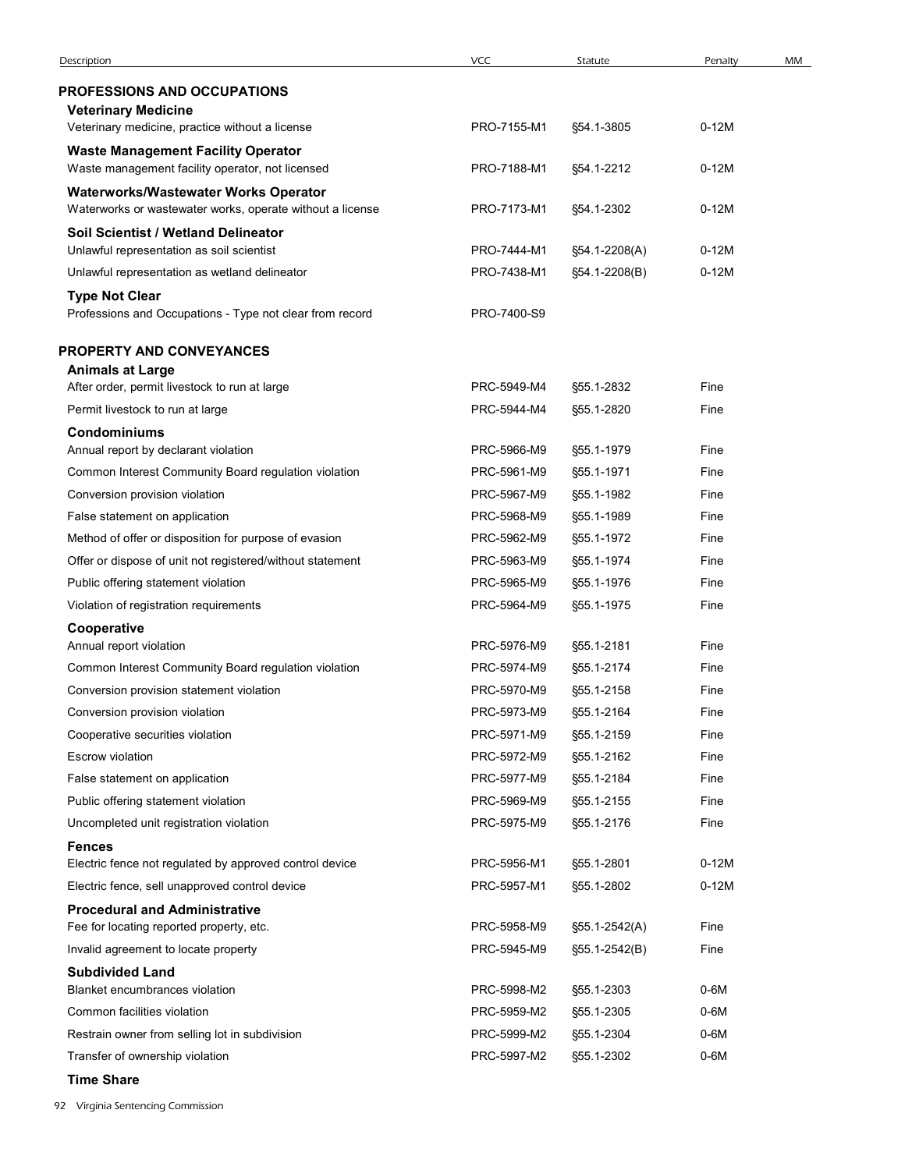| Description                                                                                   | <b>VCC</b>                 | Statute                  | Penalty      | MM |
|-----------------------------------------------------------------------------------------------|----------------------------|--------------------------|--------------|----|
| <b>PROFESSIONS AND OCCUPATIONS</b><br><b>Veterinary Medicine</b>                              |                            |                          |              |    |
| Veterinary medicine, practice without a license                                               | PRO-7155-M1                | §54.1-3805               | $0-12M$      |    |
| <b>Waste Management Facility Operator</b><br>Waste management facility operator, not licensed | PRO-7188-M1                | §54.1-2212               | $0-12M$      |    |
| Waterworks/Wastewater Works Operator                                                          |                            |                          |              |    |
| Waterworks or wastewater works, operate without a license                                     | PRO-7173-M1                | §54.1-2302               | $0-12M$      |    |
| Soil Scientist / Wetland Delineator<br>Unlawful representation as soil scientist              | PRO-7444-M1                | §54.1-2208(A)            | $0-12M$      |    |
| Unlawful representation as wetland delineator                                                 | PRO-7438-M1                | §54.1-2208(B)            | $0-12M$      |    |
| <b>Type Not Clear</b>                                                                         |                            |                          |              |    |
| Professions and Occupations - Type not clear from record                                      | PRO-7400-S9                |                          |              |    |
| <b>PROPERTY AND CONVEYANCES</b>                                                               |                            |                          |              |    |
| <b>Animals at Large</b>                                                                       |                            |                          |              |    |
| After order, permit livestock to run at large                                                 | PRC-5949-M4                | §55.1-2832               | Fine         |    |
| Permit livestock to run at large                                                              | PRC-5944-M4                | §55.1-2820               | Fine         |    |
| <b>Condominiums</b><br>Annual report by declarant violation                                   | PRC-5966-M9                | §55.1-1979               | Fine         |    |
| Common Interest Community Board regulation violation                                          | PRC-5961-M9                | §55.1-1971               | Fine         |    |
| Conversion provision violation                                                                | PRC-5967-M9                | §55.1-1982               | Fine         |    |
| False statement on application                                                                | PRC-5968-M9                | §55.1-1989               | Fine         |    |
| Method of offer or disposition for purpose of evasion                                         | PRC-5962-M9                | §55.1-1972               | Fine         |    |
| Offer or dispose of unit not registered/without statement                                     | PRC-5963-M9                | §55.1-1974               | Fine         |    |
| Public offering statement violation                                                           | PRC-5965-M9                | §55.1-1976               | Fine         |    |
| Violation of registration requirements                                                        | PRC-5964-M9                | §55.1-1975               | Fine         |    |
| Cooperative<br>Annual report violation                                                        | PRC-5976-M9                | §55.1-2181               | Fine         |    |
| Common Interest Community Board regulation violation                                          | PRC-5974-M9                | §55.1-2174               | Fine         |    |
| Conversion provision statement violation                                                      | PRC-5970-M9                | §55.1-2158               | Fine         |    |
| Conversion provision violation                                                                | PRC-5973-M9                | §55.1-2164               | Fine         |    |
| Cooperative securities violation                                                              | PRC-5971-M9                | §55.1-2159               | Fine         |    |
| Escrow violation                                                                              | PRC-5972-M9                | §55.1-2162               | Fine         |    |
| False statement on application                                                                | PRC-5977-M9                | §55.1-2184               | Fine<br>Fine |    |
| Public offering statement violation<br>Uncompleted unit registration violation                | PRC-5969-M9<br>PRC-5975-M9 | §55.1-2155<br>§55.1-2176 | Fine         |    |
| <b>Fences</b>                                                                                 |                            |                          |              |    |
| Electric fence not regulated by approved control device                                       | PRC-5956-M1                | §55.1-2801               | $0-12M$      |    |
| Electric fence, sell unapproved control device                                                | PRC-5957-M1                | §55.1-2802               | $0-12M$      |    |
| <b>Procedural and Administrative</b>                                                          |                            |                          |              |    |
| Fee for locating reported property, etc.                                                      | PRC-5958-M9                | §55.1-2542(A)            | Fine         |    |
| Invalid agreement to locate property                                                          | PRC-5945-M9                | §55.1-2542(B)            | Fine         |    |
| <b>Subdivided Land</b><br>Blanket encumbrances violation                                      | PRC-5998-M2                | §55.1-2303               | $0-6M$       |    |
| Common facilities violation                                                                   | PRC-5959-M2                | §55.1-2305               | $0-6M$       |    |
| Restrain owner from selling lot in subdivision                                                | PRC-5999-M2                | §55.1-2304               | $0-6M$       |    |
| Transfer of ownership violation                                                               | PRC-5997-M2                | §55.1-2302               | $0-6M$       |    |
|                                                                                               |                            |                          |              |    |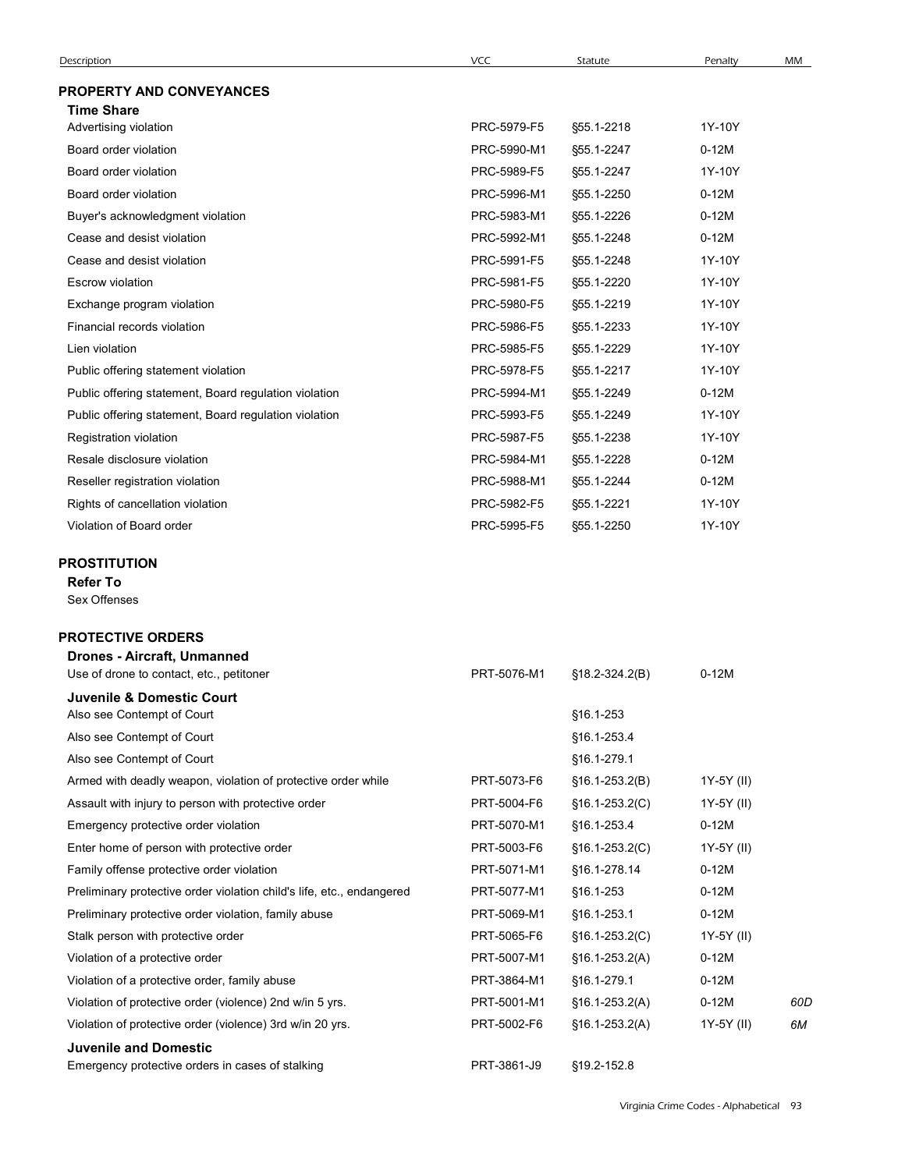| Description                                                                      | VCC         | Statute          | Penalty    | MM  |
|----------------------------------------------------------------------------------|-------------|------------------|------------|-----|
| <b>PROPERTY AND CONVEYANCES</b><br><b>Time Share</b>                             |             |                  |            |     |
| Advertising violation                                                            | PRC-5979-F5 | §55.1-2218       | 1Y-10Y     |     |
| Board order violation                                                            | PRC-5990-M1 | §55.1-2247       | $0-12M$    |     |
| Board order violation                                                            | PRC-5989-F5 | §55.1-2247       | 1Y-10Y     |     |
| Board order violation                                                            | PRC-5996-M1 | §55.1-2250       | $0-12M$    |     |
| Buyer's acknowledgment violation                                                 | PRC-5983-M1 | §55.1-2226       | $0-12M$    |     |
| Cease and desist violation                                                       | PRC-5992-M1 | §55.1-2248       | $0-12M$    |     |
| Cease and desist violation                                                       | PRC-5991-F5 | §55.1-2248       | 1Y-10Y     |     |
| Escrow violation                                                                 | PRC-5981-F5 | §55.1-2220       | 1Y-10Y     |     |
| Exchange program violation                                                       | PRC-5980-F5 | §55.1-2219       | 1Y-10Y     |     |
| Financial records violation                                                      | PRC-5986-F5 | §55.1-2233       | 1Y-10Y     |     |
| Lien violation                                                                   | PRC-5985-F5 | §55.1-2229       | 1Y-10Y     |     |
| Public offering statement violation                                              | PRC-5978-F5 | §55.1-2217       | 1Y-10Y     |     |
| Public offering statement, Board regulation violation                            | PRC-5994-M1 | §55.1-2249       | $0-12M$    |     |
| Public offering statement, Board regulation violation                            | PRC-5993-F5 | §55.1-2249       | 1Y-10Y     |     |
| Registration violation                                                           | PRC-5987-F5 | §55.1-2238       | 1Y-10Y     |     |
| Resale disclosure violation                                                      | PRC-5984-M1 | §55.1-2228       | $0-12M$    |     |
| Reseller registration violation                                                  | PRC-5988-M1 | §55.1-2244       | $0-12M$    |     |
| Rights of cancellation violation                                                 | PRC-5982-F5 | §55.1-2221       | 1Y-10Y     |     |
| Violation of Board order                                                         | PRC-5995-F5 | §55.1-2250       | 1Y-10Y     |     |
|                                                                                  |             |                  |            |     |
| PROSTITUTION<br><b>Refer To</b><br>Sex Offenses                                  |             |                  |            |     |
| <b>PROTECTIVE ORDERS</b>                                                         |             |                  |            |     |
| Drones - Aircraft, Unmanned<br>Use of drone to contact, etc., petitoner          | PRT-5076-M1 | §18.2-324.2(B)   | $0-12M$    |     |
| Juvenile & Domestic Court                                                        |             |                  |            |     |
| Also see Contempt of Court                                                       |             | §16.1-253        |            |     |
| Also see Contempt of Court                                                       |             | §16.1-253.4      |            |     |
| Also see Contempt of Court                                                       |             | §16.1-279.1      |            |     |
| Armed with deadly weapon, violation of protective order while                    | PRT-5073-F6 | §16.1-253.2(B)   | 1Y-5Y (II) |     |
| Assault with injury to person with protective order                              | PRT-5004-F6 | $$16.1-253.2(C)$ | 1Y-5Y (II) |     |
| Emergency protective order violation                                             | PRT-5070-M1 | §16.1-253.4      | $0-12M$    |     |
| Enter home of person with protective order                                       | PRT-5003-F6 | $$16.1-253.2(C)$ | 1Y-5Y (II) |     |
| Family offense protective order violation                                        | PRT-5071-M1 | §16.1-278.14     | $0-12M$    |     |
| Preliminary protective order violation child's life, etc., endangered            | PRT-5077-M1 | §16.1-253        | $0-12M$    |     |
| Preliminary protective order violation, family abuse                             | PRT-5069-M1 | §16.1-253.1      | $0-12M$    |     |
| Stalk person with protective order                                               | PRT-5065-F6 | $$16.1-253.2(C)$ | 1Y-5Y (II) |     |
| Violation of a protective order                                                  | PRT-5007-M1 | §16.1-253.2(A)   | $0-12M$    |     |
| Violation of a protective order, family abuse                                    | PRT-3864-M1 | §16.1-279.1      | $0-12M$    |     |
| Violation of protective order (violence) 2nd w/in 5 yrs.                         | PRT-5001-M1 | $$16.1-253.2(A)$ | $0-12M$    | 60D |
| Violation of protective order (violence) 3rd w/in 20 yrs.                        | PRT-5002-F6 | §16.1-253.2(A)   | 1Y-5Y (II) | 6M  |
| <b>Juvenile and Domestic</b><br>Emergency protective orders in cases of stalking | PRT-3861-J9 | §19.2-152.8      |            |     |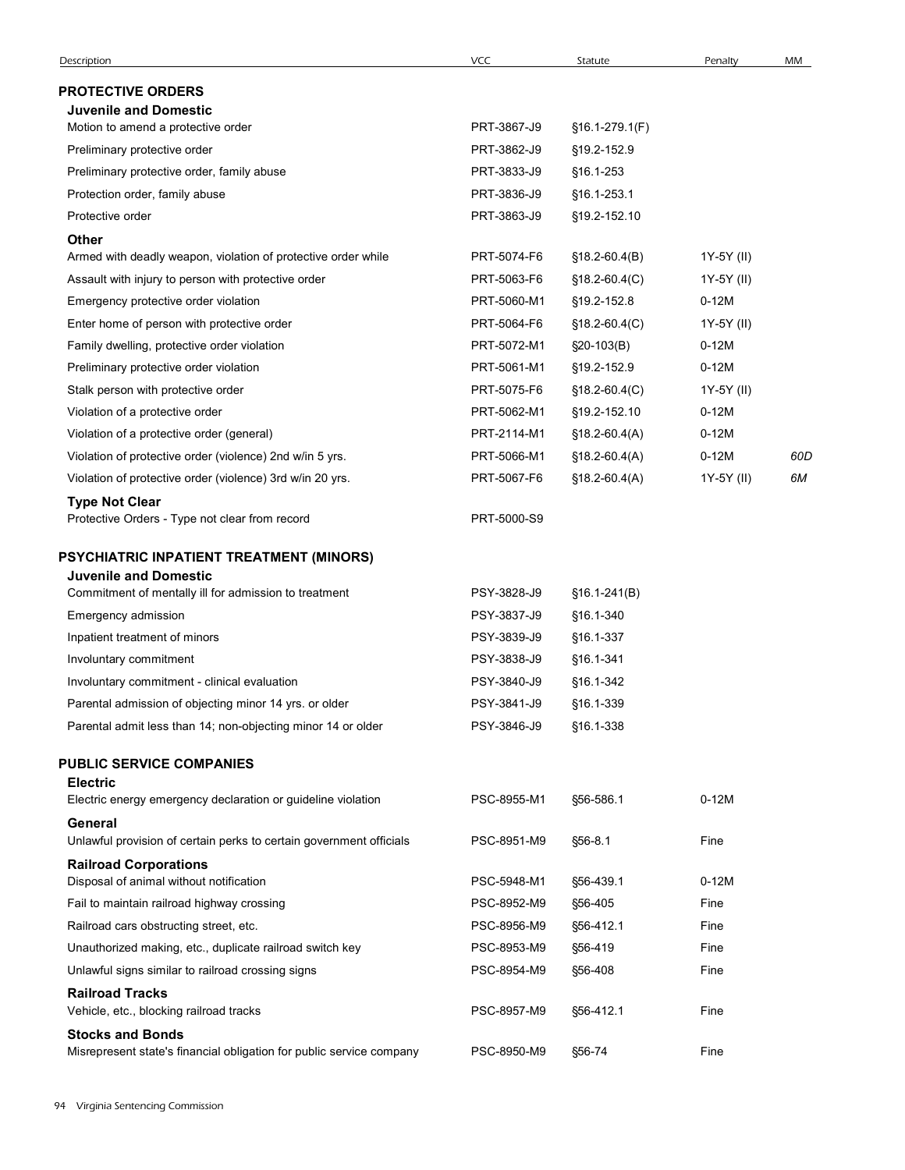| <b>Description</b>                                                                              | VCC                        | Statute                        | Penalty               | MM  |
|-------------------------------------------------------------------------------------------------|----------------------------|--------------------------------|-----------------------|-----|
| <b>PROTECTIVE ORDERS</b>                                                                        |                            |                                |                       |     |
| <b>Juvenile and Domestic</b>                                                                    |                            |                                |                       |     |
| Motion to amend a protective order                                                              | PRT-3867-J9                | $$16.1-279.1(F)$               |                       |     |
| Preliminary protective order                                                                    | PRT-3862-J9                | §19.2-152.9                    |                       |     |
| Preliminary protective order, family abuse                                                      | PRT-3833-J9                | §16.1-253                      |                       |     |
| Protection order, family abuse                                                                  | PRT-3836-J9                | §16.1-253.1                    |                       |     |
| Protective order                                                                                | PRT-3863-J9                | §19.2-152.10                   |                       |     |
| Other                                                                                           |                            |                                |                       |     |
| Armed with deadly weapon, violation of protective order while                                   | PRT-5074-F6                | $$18.2-60.4(B)$                | 1Y-5Y (II)            |     |
| Assault with injury to person with protective order                                             | PRT-5063-F6                | $$18.2-60.4(C)$                | 1Y-5Y (II)            |     |
| Emergency protective order violation                                                            | PRT-5060-M1<br>PRT-5064-F6 | §19.2-152.8                    | $0-12M$               |     |
| Enter home of person with protective order                                                      | PRT-5072-M1                | $$18.2-60.4(C)$                | 1Y-5Y (II)<br>$0-12M$ |     |
| Family dwelling, protective order violation<br>Preliminary protective order violation           | PRT-5061-M1                | $\S20-103(B)$                  | $0-12M$               |     |
| Stalk person with protective order                                                              | PRT-5075-F6                | §19.2-152.9<br>$$18.2-60.4(C)$ | 1Y-5Y (II)            |     |
| Violation of a protective order                                                                 | PRT-5062-M1                | §19.2-152.10                   | $0-12M$               |     |
| Violation of a protective order (general)                                                       | PRT-2114-M1                | $$18.2-60.4(A)$                | $0-12M$               |     |
| Violation of protective order (violence) 2nd w/in 5 yrs.                                        | PRT-5066-M1                | §18.2-60.4(A)                  | $0-12M$               | 60D |
| Violation of protective order (violence) 3rd w/in 20 yrs.                                       | PRT-5067-F6                | $$18.2-60.4(A)$                | 1Y-5Y (II)            | 6M  |
| <b>Type Not Clear</b>                                                                           |                            |                                |                       |     |
| Protective Orders - Type not clear from record                                                  | PRT-5000-S9                |                                |                       |     |
|                                                                                                 |                            |                                |                       |     |
| PSYCHIATRIC INPATIENT TREATMENT (MINORS)<br><b>Juvenile and Domestic</b>                        |                            |                                |                       |     |
| Commitment of mentally ill for admission to treatment                                           | PSY-3828-J9                | $$16.1-241(B)$                 |                       |     |
| Emergency admission                                                                             | PSY-3837-J9                | §16.1-340                      |                       |     |
| Inpatient treatment of minors                                                                   | PSY-3839-J9                | §16.1-337                      |                       |     |
| Involuntary commitment                                                                          | PSY-3838-J9                | §16.1-341                      |                       |     |
| Involuntary commitment - clinical evaluation                                                    | PSY-3840-J9                | §16.1-342                      |                       |     |
| Parental admission of objecting minor 14 yrs. or older                                          | PSY-3841-J9                | §16.1-339                      |                       |     |
| Parental admit less than 14; non-objecting minor 14 or older                                    | PSY-3846-J9                | §16.1-338                      |                       |     |
|                                                                                                 |                            |                                |                       |     |
| <b>PUBLIC SERVICE COMPANIES</b>                                                                 |                            |                                |                       |     |
| <b>Electric</b><br>Electric energy emergency declaration or guideline violation                 | PSC-8955-M1                | §56-586.1                      | $0-12M$               |     |
| General<br>Unlawful provision of certain perks to certain government officials                  | PSC-8951-M9                | §56-8.1                        | Fine                  |     |
| <b>Railroad Corporations</b><br>Disposal of animal without notification                         | PSC-5948-M1                | §56-439.1                      | $0-12M$               |     |
| Fail to maintain railroad highway crossing                                                      | PSC-8952-M9                | §56-405                        | Fine                  |     |
| Railroad cars obstructing street, etc.                                                          | PSC-8956-M9                | §56-412.1                      | Fine                  |     |
| Unauthorized making, etc., duplicate railroad switch key                                        | PSC-8953-M9                | §56-419                        | Fine                  |     |
| Unlawful signs similar to railroad crossing signs                                               | PSC-8954-M9                | §56-408                        | Fine                  |     |
| <b>Railroad Tracks</b><br>Vehicle, etc., blocking railroad tracks                               | PSC-8957-M9                | §56-412.1                      | Fine                  |     |
| <b>Stocks and Bonds</b><br>Misrepresent state's financial obligation for public service company | PSC-8950-M9                | §56-74                         | Fine                  |     |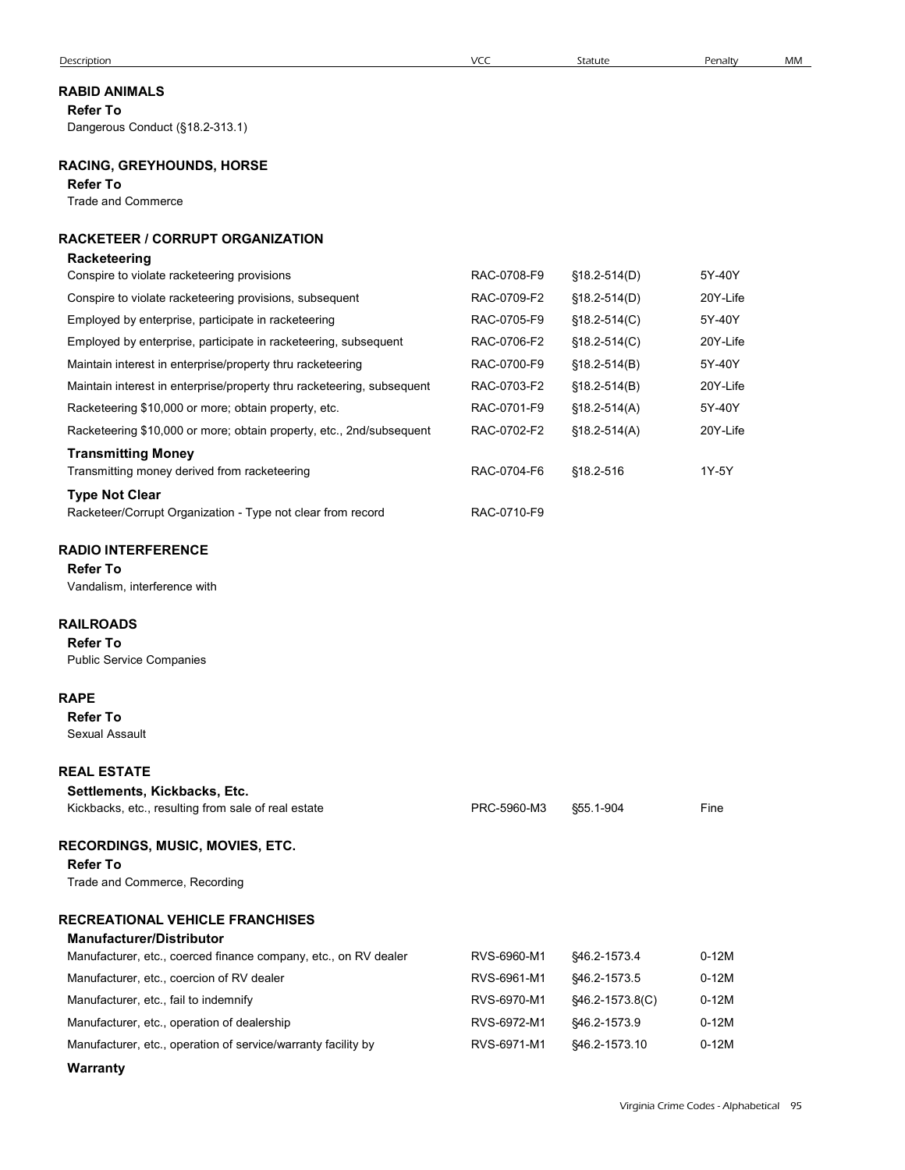| Description                                                                      | <b>VCC</b>  | Statute          | Penalty  | MM |
|----------------------------------------------------------------------------------|-------------|------------------|----------|----|
| <b>RABID ANIMALS</b>                                                             |             |                  |          |    |
| <b>Refer To</b>                                                                  |             |                  |          |    |
| Dangerous Conduct (§18.2-313.1)                                                  |             |                  |          |    |
| <b>RACING, GREYHOUNDS, HORSE</b><br><b>Refer To</b><br><b>Trade and Commerce</b> |             |                  |          |    |
|                                                                                  |             |                  |          |    |
| RACKETEER / CORRUPT ORGANIZATION                                                 |             |                  |          |    |
| <b>Racketeering</b><br>Conspire to violate racketeering provisions               | RAC-0708-F9 | $$18.2-514(D)$   | 5Y-40Y   |    |
| Conspire to violate racketeering provisions, subsequent                          | RAC-0709-F2 | $$18.2 - 514(D)$ | 20Y-Life |    |
| Employed by enterprise, participate in racketeering                              | RAC-0705-F9 | $$18.2 - 514(C)$ | 5Y-40Y   |    |
| Employed by enterprise, participate in racketeering, subsequent                  | RAC-0706-F2 | §18.2-514(C)     | 20Y-Life |    |
| Maintain interest in enterprise/property thru racketeering                       | RAC-0700-F9 | $$18.2-514(B)$   | 5Y-40Y   |    |
| Maintain interest in enterprise/property thru racketeering, subsequent           | RAC-0703-F2 | $$18.2 - 514(B)$ | 20Y-Life |    |
| Racketeering \$10,000 or more; obtain property, etc.                             | RAC-0701-F9 | $$18.2 - 514(A)$ | 5Y-40Y   |    |
| Racketeering \$10,000 or more; obtain property, etc., 2nd/subsequent             | RAC-0702-F2 | $$18.2-514(A)$   | 20Y-Life |    |
| <b>Transmitting Money</b>                                                        |             |                  |          |    |
| Transmitting money derived from racketeering                                     | RAC-0704-F6 | §18.2-516        | 1Y-5Y    |    |
| <b>Type Not Clear</b>                                                            |             |                  |          |    |
| Racketeer/Corrupt Organization - Type not clear from record                      | RAC-0710-F9 |                  |          |    |
| <b>RADIO INTERFERENCE</b>                                                        |             |                  |          |    |
| <b>Refer To</b>                                                                  |             |                  |          |    |
| Vandalism, interference with                                                     |             |                  |          |    |
|                                                                                  |             |                  |          |    |
| <b>RAILROADS</b><br><b>Refer To</b>                                              |             |                  |          |    |
| <b>Public Service Companies</b>                                                  |             |                  |          |    |
|                                                                                  |             |                  |          |    |
| <b>RAPE</b>                                                                      |             |                  |          |    |
| <b>Refer To</b><br>Sexual Assault                                                |             |                  |          |    |
|                                                                                  |             |                  |          |    |
| <b>REAL ESTATE</b>                                                               |             |                  |          |    |
| Settlements, Kickbacks, Etc.                                                     |             |                  |          |    |
| Kickbacks, etc., resulting from sale of real estate                              | PRC-5960-M3 | §55.1-904        | Fine     |    |
| RECORDINGS, MUSIC, MOVIES, ETC.                                                  |             |                  |          |    |
| <b>Refer To</b>                                                                  |             |                  |          |    |
| Trade and Commerce, Recording                                                    |             |                  |          |    |
|                                                                                  |             |                  |          |    |
| <b>RECREATIONAL VEHICLE FRANCHISES</b><br><b>Manufacturer/Distributor</b>        |             |                  |          |    |
| Manufacturer, etc., coerced finance company, etc., on RV dealer                  | RVS-6960-M1 | §46.2-1573.4     | $0-12M$  |    |
| Manufacturer, etc., coercion of RV dealer                                        | RVS-6961-M1 | §46.2-1573.5     | $0-12M$  |    |
| Manufacturer, etc., fail to indemnify                                            | RVS-6970-M1 | §46.2-1573.8(C)  | $0-12M$  |    |
| Manufacturer, etc., operation of dealership                                      | RVS-6972-M1 | §46.2-1573.9     | $0-12M$  |    |
| Manufacturer, etc., operation of service/warranty facility by                    | RVS-6971-M1 | §46.2-1573.10    | $0-12M$  |    |
|                                                                                  |             |                  |          |    |

### RABID ANIMALS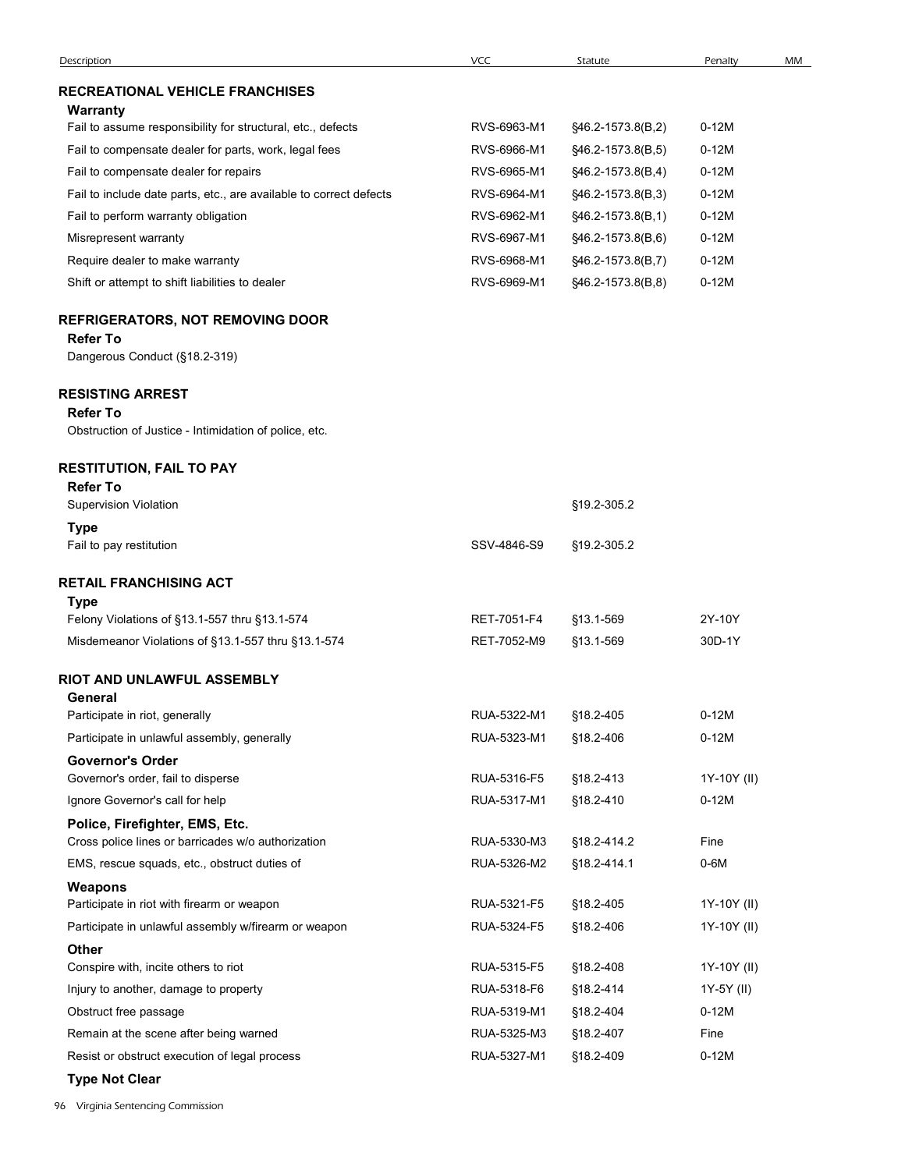| Description                                                                                         | VCC                        | Statute                | Penalty         | MM |
|-----------------------------------------------------------------------------------------------------|----------------------------|------------------------|-----------------|----|
| <b>RECREATIONAL VEHICLE FRANCHISES</b>                                                              |                            |                        |                 |    |
| Warranty<br>Fail to assume responsibility for structural, etc., defects                             | RVS-6963-M1                | §46.2-1573.8(B,2)      | $0-12M$         |    |
| Fail to compensate dealer for parts, work, legal fees                                               | RVS-6966-M1                | §46.2-1573.8(B,5)      | $0-12M$         |    |
| Fail to compensate dealer for repairs                                                               | RVS-6965-M1                | §46.2-1573.8(B,4)      | $0-12M$         |    |
| Fail to include date parts, etc., are available to correct defects                                  | RVS-6964-M1                | §46.2-1573.8(B,3)      | $0-12M$         |    |
| Fail to perform warranty obligation                                                                 | RVS-6962-M1                | §46.2-1573.8(B,1)      | $0-12M$         |    |
| Misrepresent warranty                                                                               | RVS-6967-M1                | §46.2-1573.8(B,6)      | $0-12M$         |    |
| Require dealer to make warranty                                                                     | RVS-6968-M1                | §46.2-1573.8(B,7)      | $0-12M$         |    |
| Shift or attempt to shift liabilities to dealer                                                     | RVS-6969-M1                | §46.2-1573.8(B,8)      | $0-12M$         |    |
| <b>REFRIGERATORS, NOT REMOVING DOOR</b><br><b>Refer To</b><br>Dangerous Conduct (§18.2-319)         |                            |                        |                 |    |
| <b>RESISTING ARREST</b><br><b>Refer To</b><br>Obstruction of Justice - Intimidation of police, etc. |                            |                        |                 |    |
|                                                                                                     |                            |                        |                 |    |
| <b>RESTITUTION, FAIL TO PAY</b><br><b>Refer To</b><br><b>Supervision Violation</b>                  |                            | §19.2-305.2            |                 |    |
| <b>Type</b>                                                                                         |                            |                        |                 |    |
| Fail to pay restitution                                                                             | SSV-4846-S9                | §19.2-305.2            |                 |    |
| <b>RETAIL FRANCHISING ACT</b>                                                                       |                            |                        |                 |    |
| Type                                                                                                |                            |                        |                 |    |
| Felony Violations of §13.1-557 thru §13.1-574                                                       | RET-7051-F4                | §13.1-569              | 2Y-10Y          |    |
| Misdemeanor Violations of §13.1-557 thru §13.1-574                                                  | RET-7052-M9                | §13.1-569              | 30D-1Y          |    |
| RIOT AND UNLAWFUL ASSEMBLY<br>General                                                               |                            |                        |                 |    |
| Participate in riot, generally                                                                      | RUA-5322-M1                | §18.2-405              | $0-12M$         |    |
| Participate in unlawful assembly, generally                                                         | RUA-5323-M1                | §18.2-406              | $0-12M$         |    |
| <b>Governor's Order</b>                                                                             |                            |                        |                 |    |
| Governor's order, fail to disperse                                                                  | RUA-5316-F5                | §18.2-413              | 1Y-10Y (II)     |    |
| Ignore Governor's call for help                                                                     | RUA-5317-M1                | §18.2-410              | $0-12M$         |    |
| Police, Firefighter, EMS, Etc.<br>Cross police lines or barricades w/o authorization                | RUA-5330-M3                | §18.2-414.2            | Fine            |    |
| EMS, rescue squads, etc., obstruct duties of                                                        | RUA-5326-M2                | §18.2-414.1            | $0-6M$          |    |
| Weapons                                                                                             |                            |                        |                 |    |
| Participate in riot with firearm or weapon                                                          | RUA-5321-F5                | §18.2-405              | 1Y-10Y (II)     |    |
| Participate in unlawful assembly w/firearm or weapon                                                | RUA-5324-F5                | §18.2-406              | 1Y-10Y (II)     |    |
| <b>Other</b>                                                                                        |                            |                        |                 |    |
| Conspire with, incite others to riot                                                                | RUA-5315-F5                | §18.2-408              | 1Y-10Y (II)     |    |
| Injury to another, damage to property                                                               | RUA-5318-F6                | §18.2-414              | 1Y-5Y (II)      |    |
| Obstruct free passage                                                                               | RUA-5319-M1                | §18.2-404              | $0-12M$<br>Fine |    |
| Remain at the scene after being warned<br>Resist or obstruct execution of legal process             | RUA-5325-M3<br>RUA-5327-M1 | §18.2-407<br>§18.2-409 | $0-12M$         |    |
|                                                                                                     |                            |                        |                 |    |
| <b>Type Not Clear</b>                                                                               |                            |                        |                 |    |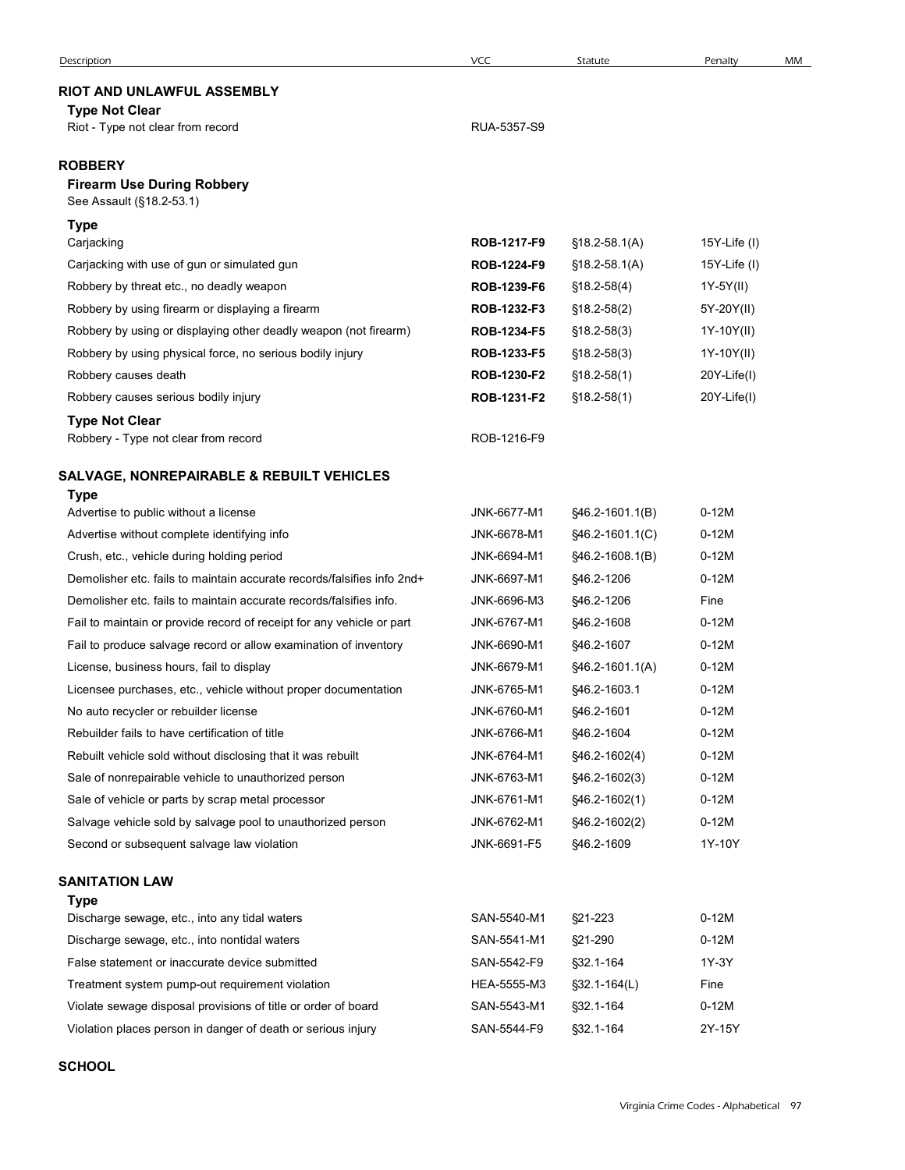| Description                                                                                                                                 | VCC                        | Statute                          | Penalty                  | MM |
|---------------------------------------------------------------------------------------------------------------------------------------------|----------------------------|----------------------------------|--------------------------|----|
| RIOT AND UNLAWFUL ASSEMBLY                                                                                                                  |                            |                                  |                          |    |
| <b>Type Not Clear</b><br>Riot - Type not clear from record                                                                                  | RUA-5357-S9                |                                  |                          |    |
|                                                                                                                                             |                            |                                  |                          |    |
| <b>ROBBERY</b>                                                                                                                              |                            |                                  |                          |    |
| <b>Firearm Use During Robbery</b><br>See Assault (§18.2-53.1)                                                                               |                            |                                  |                          |    |
| <b>Type</b>                                                                                                                                 |                            |                                  |                          |    |
| Carjacking                                                                                                                                  | ROB-1217-F9                | $$18.2 - 58.1(A)$                | 15Y-Life $(1)$           |    |
| Carjacking with use of gun or simulated gun                                                                                                 | ROB-1224-F9                | $$18.2 - 58.1(A)$                | 15Y-Life $(1)$           |    |
| Robbery by threat etc., no deadly weapon                                                                                                    | ROB-1239-F6                | $$18.2-58(4)$                    | 1Y-5Y(II)                |    |
| Robbery by using firearm or displaying a firearm                                                                                            | ROB-1232-F3                | $$18.2-58(2)$                    | 5Y-20Y(II)               |    |
| Robbery by using or displaying other deadly weapon (not firearm)<br>Robbery by using physical force, no serious bodily injury               | ROB-1234-F5<br>ROB-1233-F5 | $$18.2 - 58(3)$<br>$$18.2-58(3)$ | 1Y-10Y(II)<br>1Y-10Y(II) |    |
| Robbery causes death                                                                                                                        | ROB-1230-F2                | $$18.2 - 58(1)$                  | 20Y-Life(I)              |    |
| Robbery causes serious bodily injury                                                                                                        | ROB-1231-F2                | $$18.2-58(1)$                    | 20Y-Life(I)              |    |
| <b>Type Not Clear</b>                                                                                                                       |                            |                                  |                          |    |
| Robbery - Type not clear from record                                                                                                        | ROB-1216-F9                |                                  |                          |    |
| <b>SALVAGE, NONREPAIRABLE &amp; REBUILT VEHICLES</b>                                                                                        |                            |                                  |                          |    |
| Type                                                                                                                                        |                            |                                  |                          |    |
| Advertise to public without a license                                                                                                       | JNK-6677-M1                | §46.2-1601.1(B)                  | $0-12M$                  |    |
| Advertise without complete identifying info                                                                                                 | JNK-6678-M1                | §46.2-1601.1(C)                  | $0-12M$                  |    |
| Crush, etc., vehicle during holding period                                                                                                  | JNK-6694-M1                | §46.2-1608.1(B)                  | $0-12M$                  |    |
| Demolisher etc. fails to maintain accurate records/falsifies info 2nd+                                                                      | JNK-6697-M1                | §46.2-1206                       | $0-12M$                  |    |
| Demolisher etc. fails to maintain accurate records/falsifies info.<br>Fail to maintain or provide record of receipt for any vehicle or part | JNK-6696-M3<br>JNK-6767-M1 | §46.2-1206<br>§46.2-1608         | Fine<br>$0-12M$          |    |
| Fail to produce salvage record or allow examination of inventory                                                                            | JNK-6690-M1                | §46.2-1607                       | $0-12M$                  |    |
| License, business hours, fail to display                                                                                                    | JNK-6679-M1                | §46.2-1601.1(A)                  | $0-12M$                  |    |
| Licensee purchases, etc., vehicle without proper documentation                                                                              | JNK-6765-M1                | §46.2-1603.1                     | $0-12M$                  |    |
| No auto recycler or rebuilder license                                                                                                       | JNK-6760-M1                | §46.2-1601                       | $0-12M$                  |    |
| Rebuilder fails to have certification of title                                                                                              | JNK-6766-M1                | §46.2-1604                       | $0-12M$                  |    |
| Rebuilt vehicle sold without disclosing that it was rebuilt                                                                                 | JNK-6764-M1                | $$46.2 - 1602(4)$                | $0-12M$                  |    |
| Sale of nonrepairable vehicle to unauthorized person                                                                                        | JNK-6763-M1                | $$46.2 - 1602(3)$                | $0-12M$                  |    |
| Sale of vehicle or parts by scrap metal processor                                                                                           | JNK-6761-M1                | $$46.2 - 1602(1)$                | $0-12M$                  |    |
| Salvage vehicle sold by salvage pool to unauthorized person                                                                                 | JNK-6762-M1                | $$46.2-1602(2)$                  | $0-12M$                  |    |
| Second or subsequent salvage law violation                                                                                                  | JNK-6691-F5                | §46.2-1609                       | 1Y-10Y                   |    |
| <b>SANITATION LAW</b>                                                                                                                       |                            |                                  |                          |    |
| <b>Type</b>                                                                                                                                 |                            |                                  |                          |    |
| Discharge sewage, etc., into any tidal waters<br>Discharge sewage, etc., into nontidal waters                                               | SAN-5540-M1<br>SAN-5541-M1 | §21-223<br>§21-290               | $0-12M$<br>$0-12M$       |    |
| False statement or inaccurate device submitted                                                                                              | SAN-5542-F9                | §32.1-164                        | 1Y-3Y                    |    |
| Treatment system pump-out requirement violation                                                                                             | HEA-5555-M3                | $$32.1 - 164(L)$                 | Fine                     |    |
| Violate sewage disposal provisions of title or order of board                                                                               | SAN-5543-M1                | §32.1-164                        | $0-12M$                  |    |
| Violation places person in danger of death or serious injury                                                                                | SAN-5544-F9                | §32.1-164                        | 2Y-15Y                   |    |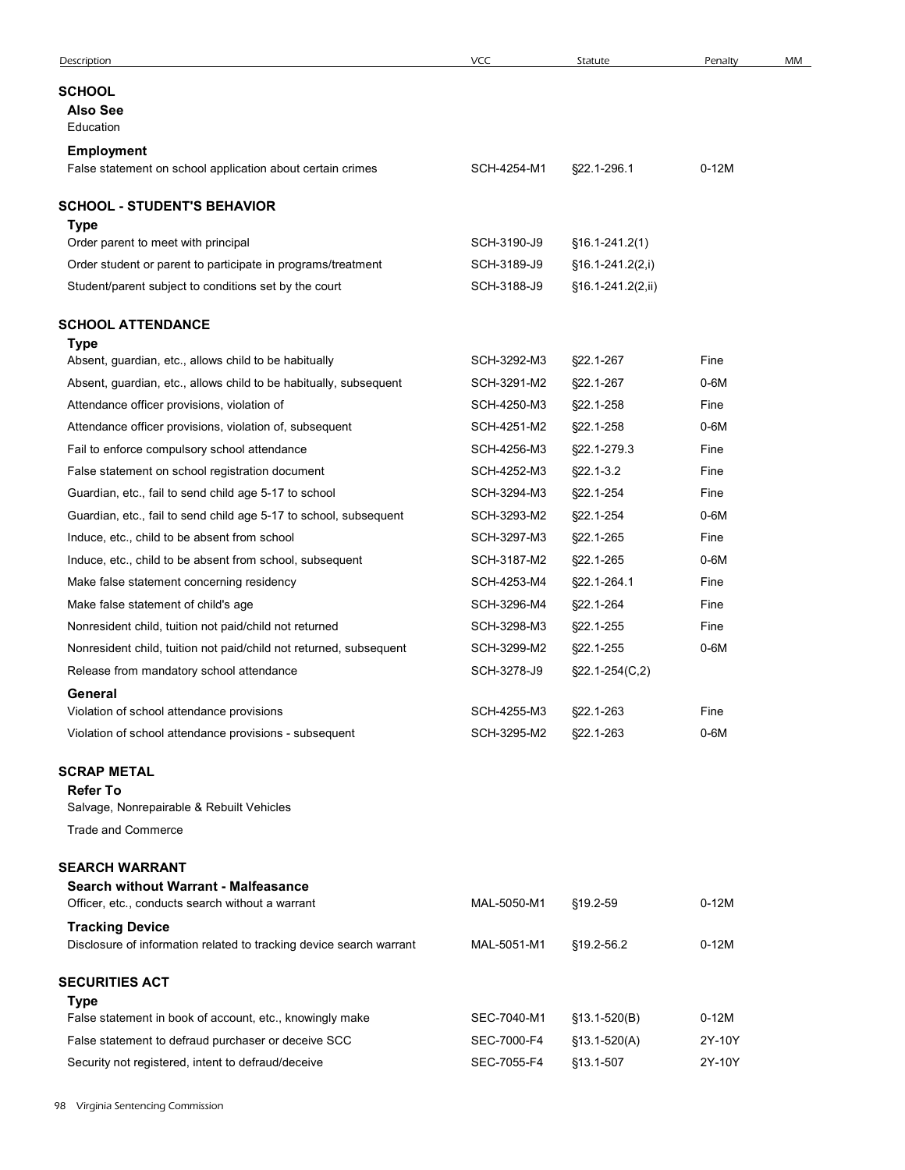| Description                                                                                   | <b>VCC</b>  | Statute              | Penalty | MM |
|-----------------------------------------------------------------------------------------------|-------------|----------------------|---------|----|
| SCHOOL                                                                                        |             |                      |         |    |
| <b>Also See</b>                                                                               |             |                      |         |    |
| Education                                                                                     |             |                      |         |    |
| Employment<br>False statement on school application about certain crimes                      | SCH-4254-M1 | §22.1-296.1          | $0-12M$ |    |
| <b>SCHOOL - STUDENT'S BEHAVIOR</b>                                                            |             |                      |         |    |
| Type                                                                                          |             |                      |         |    |
| Order parent to meet with principal                                                           | SCH-3190-J9 | $$16.1-241.2(1)$     |         |    |
| Order student or parent to participate in programs/treatment                                  | SCH-3189-J9 | $$16.1-241.2(2,i)$   |         |    |
| Student/parent subject to conditions set by the court                                         | SCH-3188-J9 | §16.1-241.2(2,ii)    |         |    |
| <b>SCHOOL ATTENDANCE</b>                                                                      |             |                      |         |    |
| Type<br>Absent, guardian, etc., allows child to be habitually                                 | SCH-3292-M3 | §22.1-267            | Fine    |    |
| Absent, guardian, etc., allows child to be habitually, subsequent                             | SCH-3291-M2 | §22.1-267            | $0-6M$  |    |
| Attendance officer provisions, violation of                                                   | SCH-4250-M3 | §22.1-258            | Fine    |    |
| Attendance officer provisions, violation of, subsequent                                       | SCH-4251-M2 | §22.1-258            | $0-6M$  |    |
| Fail to enforce compulsory school attendance                                                  | SCH-4256-M3 | §22.1-279.3          | Fine    |    |
| False statement on school registration document                                               | SCH-4252-M3 | §22.1-3.2            | Fine    |    |
| Guardian, etc., fail to send child age 5-17 to school                                         | SCH-3294-M3 | §22.1-254            | Fine    |    |
| Guardian, etc., fail to send child age 5-17 to school, subsequent                             | SCH-3293-M2 | §22.1-254            | $0-6M$  |    |
| Induce, etc., child to be absent from school                                                  | SCH-3297-M3 | §22.1-265            | Fine    |    |
| Induce, etc., child to be absent from school, subsequent                                      | SCH-3187-M2 | §22.1-265            | $0-6M$  |    |
| Make false statement concerning residency                                                     | SCH-4253-M4 | §22.1-264.1          | Fine    |    |
| Make false statement of child's age                                                           | SCH-3296-M4 | §22.1-264            | Fine    |    |
| Nonresident child, tuition not paid/child not returned                                        | SCH-3298-M3 | §22.1-255            | Fine    |    |
| Nonresident child, tuition not paid/child not returned, subsequent                            | SCH-3299-M2 | §22.1-255            | $0-6M$  |    |
| Release from mandatory school attendance                                                      | SCH-3278-J9 | $\S22.1 - 254(C, 2)$ |         |    |
| General                                                                                       |             |                      |         |    |
| Violation of school attendance provisions                                                     | SCH-4255-M3 | §22.1-263            | Fine    |    |
| Violation of school attendance provisions - subsequent                                        | SCH-3295-M2 | §22.1-263            | $0-6M$  |    |
| <b>SCRAP METAL</b>                                                                            |             |                      |         |    |
| <b>Refer To</b>                                                                               |             |                      |         |    |
| Salvage, Nonrepairable & Rebuilt Vehicles<br>Trade and Commerce                               |             |                      |         |    |
|                                                                                               |             |                      |         |    |
| <b>SEARCH WARRANT</b>                                                                         |             |                      |         |    |
| <b>Search without Warrant - Malfeasance</b>                                                   | MAL-5050-M1 |                      | $0-12M$ |    |
| Officer, etc., conducts search without a warrant                                              |             | §19.2-59             |         |    |
| <b>Tracking Device</b><br>Disclosure of information related to tracking device search warrant | MAL-5051-M1 | §19.2-56.2           | $0-12M$ |    |
|                                                                                               |             |                      |         |    |
| <b>SECURITIES ACT</b><br><b>Type</b>                                                          |             |                      |         |    |
| False statement in book of account, etc., knowingly make                                      | SEC-7040-M1 | $$13.1-520(B)$       | $0-12M$ |    |
| False statement to defraud purchaser or deceive SCC                                           | SEC-7000-F4 | $$13.1-520(A)$       | 2Y-10Y  |    |
| Security not registered, intent to defraud/deceive                                            | SEC-7055-F4 | §13.1-507            | 2Y-10Y  |    |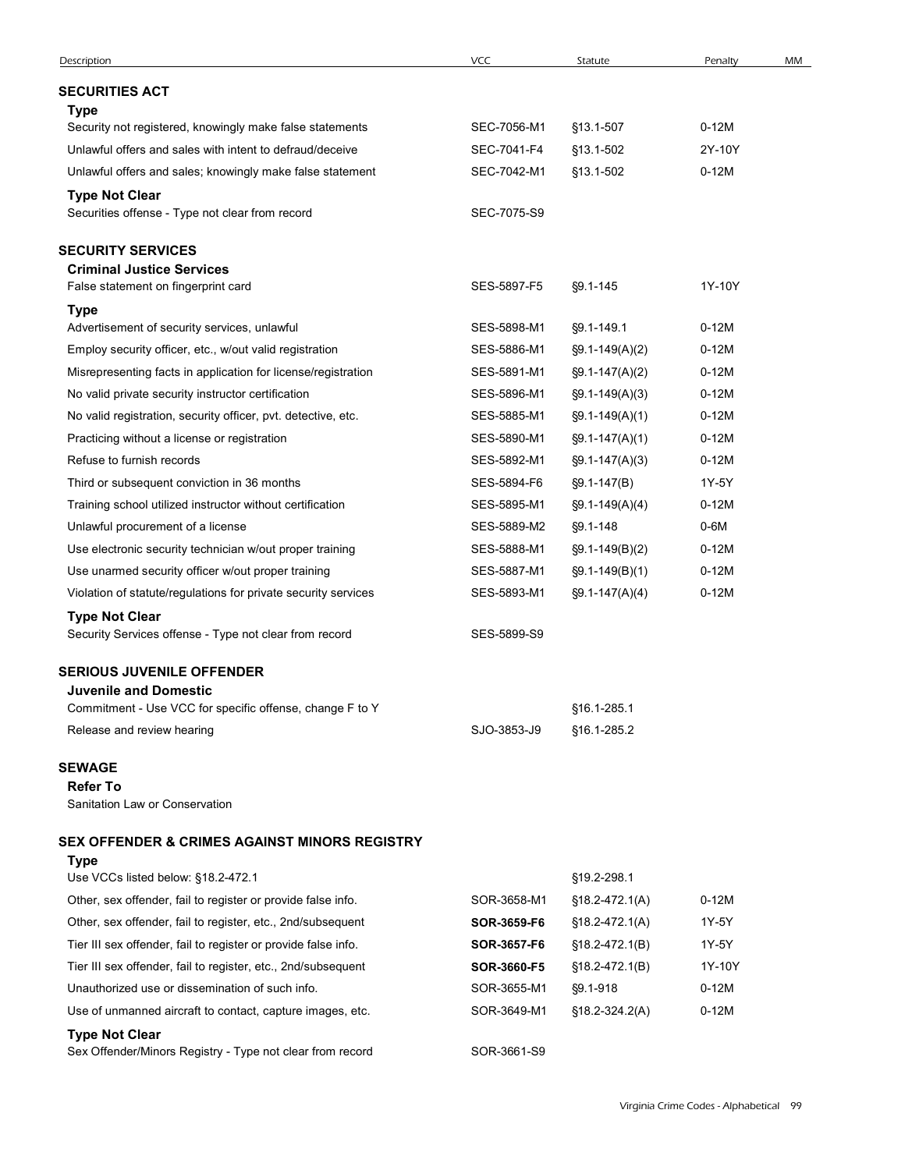| Description                                                                        | VCC         | Statute             | Penalty           | MM |
|------------------------------------------------------------------------------------|-------------|---------------------|-------------------|----|
| <b>SECURITIES ACT</b>                                                              |             |                     |                   |    |
| <b>Type</b>                                                                        |             |                     |                   |    |
| Security not registered, knowingly make false statements                           | SEC-7056-M1 | §13.1-507           | $0-12M$           |    |
| Unlawful offers and sales with intent to defraud/deceive                           | SEC-7041-F4 | §13.1-502           | 2Y-10Y<br>$0-12M$ |    |
| Unlawful offers and sales; knowingly make false statement<br><b>Type Not Clear</b> | SEC-7042-M1 | §13.1-502           |                   |    |
| Securities offense - Type not clear from record                                    | SEC-7075-S9 |                     |                   |    |
| <b>SECURITY SERVICES</b>                                                           |             |                     |                   |    |
| <b>Criminal Justice Services</b>                                                   | SES-5897-F5 |                     | 1Y-10Y            |    |
| False statement on fingerprint card<br><b>Type</b>                                 |             | §9.1-145            |                   |    |
| Advertisement of security services, unlawful                                       | SES-5898-M1 | §9.1-149.1          | $0-12M$           |    |
| Employ security officer, etc., w/out valid registration                            | SES-5886-M1 | $§9.1 - 149(A)(2)$  | $0-12M$           |    |
| Misrepresenting facts in application for license/registration                      | SES-5891-M1 | $\S9.1 - 147(A)(2)$ | $0-12M$           |    |
| No valid private security instructor certification                                 | SES-5896-M1 | $\S9.1 - 149(A)(3)$ | $0-12M$           |    |
| No valid registration, security officer, pvt. detective, etc.                      | SES-5885-M1 | $\S9.1 - 149(A)(1)$ | $0-12M$           |    |
| Practicing without a license or registration                                       | SES-5890-M1 | $\S9.1 - 147(A)(1)$ | $0-12M$           |    |
| Refuse to furnish records                                                          | SES-5892-M1 | $\S9.1 - 147(A)(3)$ | $0-12M$           |    |
| Third or subsequent conviction in 36 months                                        | SES-5894-F6 | $\S9.1 - 147(B)$    | 1Y-5Y             |    |
| Training school utilized instructor without certification                          | SES-5895-M1 | §9.1-149(A)(4)      | $0-12M$           |    |
| Unlawful procurement of a license                                                  | SES-5889-M2 | §9.1-148            | $0-6M$            |    |
| Use electronic security technician w/out proper training                           | SES-5888-M1 | $\S9.1 - 149(B)(2)$ | $0-12M$           |    |
| Use unarmed security officer w/out proper training                                 | SES-5887-M1 | §9.1-149(B)(1)      | $0-12M$           |    |
| Violation of statute/regulations for private security services                     | SES-5893-M1 | §9.1-147(A)(4)      | $0-12M$           |    |
| <b>Type Not Clear</b><br>Security Services offense - Type not clear from record    | SES-5899-S9 |                     |                   |    |
|                                                                                    |             |                     |                   |    |
| <b>SERIOUS JUVENILE OFFENDER</b><br><b>Juvenile and Domestic</b>                   |             |                     |                   |    |
| Commitment - Use VCC for specific offense, change F to Y                           |             | §16.1-285.1         |                   |    |
| Release and review hearing                                                         | SJO-3853-J9 | §16.1-285.2         |                   |    |
|                                                                                    |             |                     |                   |    |
| <b>SEWAGE</b><br><b>Refer To</b>                                                   |             |                     |                   |    |
| Sanitation Law or Conservation                                                     |             |                     |                   |    |
| SEX OFFENDER & CRIMES AGAINST MINORS REGISTRY                                      |             |                     |                   |    |
| <b>Type</b>                                                                        |             |                     |                   |    |
| Use VCCs listed below: §18.2-472.1                                                 |             | §19.2-298.1         |                   |    |
| Other, sex offender, fail to register or provide false info.                       | SOR-3658-M1 | $$18.2-472.1(A)$    | $0-12M$           |    |
| Other, sex offender, fail to register, etc., 2nd/subsequent                        | SOR-3659-F6 | §18.2-472.1(A)      | 1Y-5Y             |    |
| Tier III sex offender, fail to register or provide false info.                     | SOR-3657-F6 | $$18.2-472.1(B)$    | 1Y-5Y             |    |
| Tier III sex offender, fail to register, etc., 2nd/subsequent                      | SOR-3660-F5 | §18.2-472.1(B)      | 1Y-10Y            |    |
| Unauthorized use or dissemination of such info.                                    | SOR-3655-M1 | §9.1-918            | $0-12M$           |    |
| Use of unmanned aircraft to contact, capture images, etc.<br><b>Type Not Clear</b> | SOR-3649-M1 | §18.2-324.2(A)      | $0-12M$           |    |
| Sex Offender/Minors Registry - Type not clear from record                          | SOR-3661-S9 |                     |                   |    |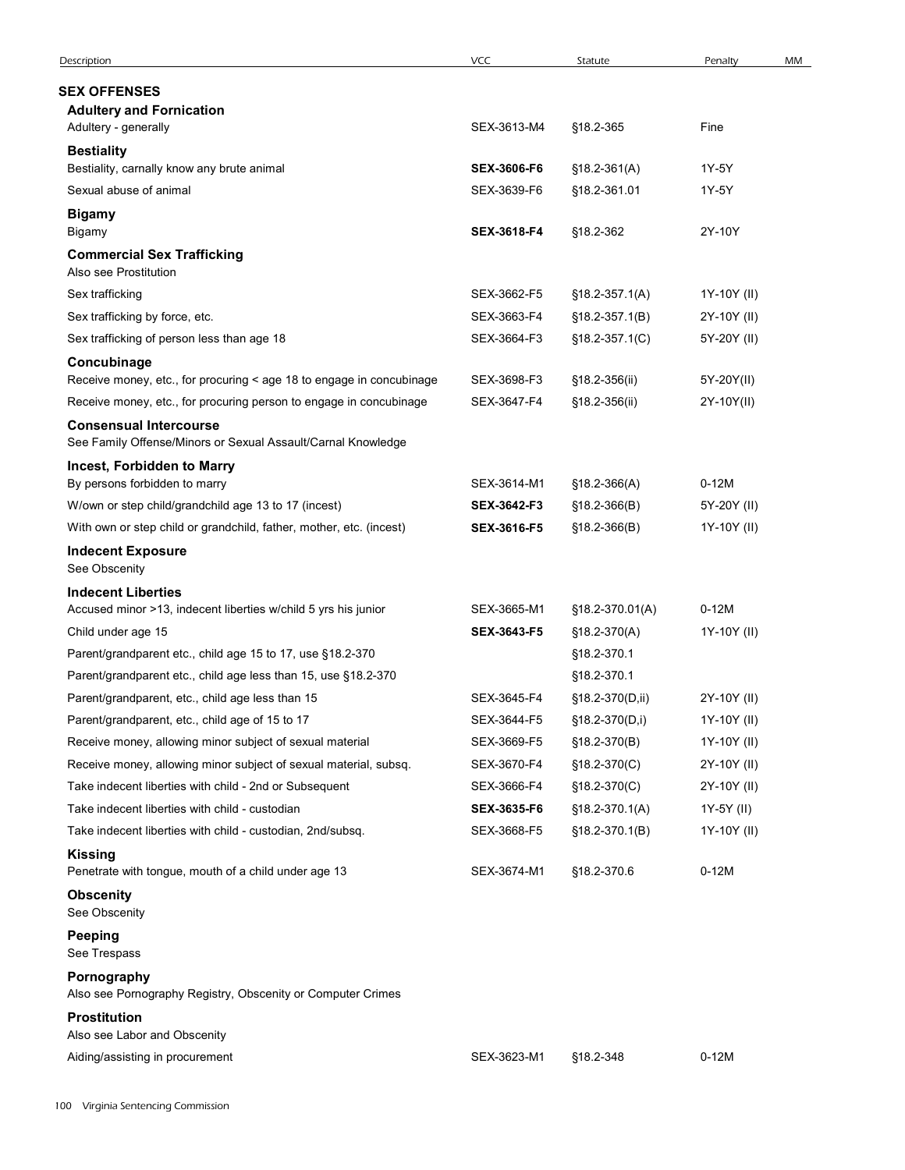| Description                                                          | VCC                | Statute            | Penalty     | MM |
|----------------------------------------------------------------------|--------------------|--------------------|-------------|----|
| <b>SEX OFFENSES</b>                                                  |                    |                    |             |    |
| <b>Adultery and Fornication</b>                                      |                    |                    |             |    |
| Adultery - generally                                                 | SEX-3613-M4        | §18.2-365          | Fine        |    |
| <b>Bestiality</b>                                                    |                    |                    |             |    |
| Bestiality, carnally know any brute animal                           | <b>SEX-3606-F6</b> | $$18.2-361(A)$     | 1Y-5Y       |    |
| Sexual abuse of animal                                               | SEX-3639-F6        | §18.2-361.01       | 1Y-5Y       |    |
| <b>Bigamy</b>                                                        |                    |                    |             |    |
| Bigamy                                                               | SEX-3618-F4        | §18.2-362          | 2Y-10Y      |    |
| <b>Commercial Sex Trafficking</b><br>Also see Prostitution           |                    |                    |             |    |
| Sex trafficking                                                      | SEX-3662-F5        | $$18.2 - 357.1(A)$ | 1Y-10Y (II) |    |
| Sex trafficking by force, etc.                                       | SEX-3663-F4        | $$18.2 - 357.1(B)$ | 2Y-10Y (II) |    |
| Sex trafficking of person less than age 18                           | SEX-3664-F3        | $$18.2-357.1(C)$   | 5Y-20Y (II) |    |
| Concubinage                                                          |                    |                    |             |    |
| Receive money, etc., for procuring < age 18 to engage in concubinage | SEX-3698-F3        | §18.2-356(ii)      | 5Y-20Y(II)  |    |
| Receive money, etc., for procuring person to engage in concubinage   | SEX-3647-F4        | §18.2-356(ii)      | 2Y-10Y(II)  |    |
| <b>Consensual Intercourse</b>                                        |                    |                    |             |    |
| See Family Offense/Minors or Sexual Assault/Carnal Knowledge         |                    |                    |             |    |
| Incest, Forbidden to Marry                                           |                    |                    |             |    |
| By persons forbidden to marry                                        | SEX-3614-M1        | $$18.2-366(A)$     | $0-12M$     |    |
| W/own or step child/grandchild age 13 to 17 (incest)                 | SEX-3642-F3        | $$18.2-366(B)$     | 5Y-20Y (II) |    |
| With own or step child or grandchild, father, mother, etc. (incest)  | SEX-3616-F5        | $$18.2-366(B)$     | 1Y-10Y (II) |    |
| <b>Indecent Exposure</b>                                             |                    |                    |             |    |
| See Obscenity                                                        |                    |                    |             |    |
| <b>Indecent Liberties</b>                                            |                    |                    |             |    |
| Accused minor >13, indecent liberties w/child 5 yrs his junior       | SEX-3665-M1        | §18.2-370.01(A)    | $0-12M$     |    |
| Child under age 15                                                   | SEX-3643-F5        | $$18.2-370(A)$     | 1Y-10Y (II) |    |
| Parent/grandparent etc., child age 15 to 17, use §18.2-370           |                    | §18.2-370.1        |             |    |
| Parent/grandparent etc., child age less than 15, use §18.2-370       |                    | §18.2-370.1        |             |    |
| Parent/grandparent, etc., child age less than 15                     | SEX-3645-F4        | §18.2-370(D,ii)    | 2Y-10Y (II) |    |
| Parent/grandparent, etc., child age of 15 to 17                      | SEX-3644-F5        | §18.2-370(D,i)     | 1Y-10Y (II) |    |
| Receive money, allowing minor subject of sexual material             | SEX-3669-F5        | $$18.2-370(B)$     | 1Y-10Y (II) |    |
| Receive money, allowing minor subject of sexual material, subsq.     | SEX-3670-F4        | §18.2-370(C)       | 2Y-10Y (II) |    |
| Take indecent liberties with child - 2nd or Subsequent               | SEX-3666-F4        | $$18.2-370(C)$     | 2Y-10Y (II) |    |
| Take indecent liberties with child - custodian                       | SEX-3635-F6        | §18.2-370.1(A)     | 1Y-5Y (II)  |    |
| Take indecent liberties with child - custodian, 2nd/subsq.           | SEX-3668-F5        | $$18.2 - 370.1(B)$ | 1Y-10Y (II) |    |
| <b>Kissing</b>                                                       |                    |                    |             |    |
| Penetrate with tongue, mouth of a child under age 13                 | SEX-3674-M1        | §18.2-370.6        | $0-12M$     |    |
| <b>Obscenity</b><br>See Obscenity                                    |                    |                    |             |    |
| <b>Peeping</b>                                                       |                    |                    |             |    |
| See Trespass                                                         |                    |                    |             |    |
| Pornography                                                          |                    |                    |             |    |
| Also see Pornography Registry, Obscenity or Computer Crimes          |                    |                    |             |    |
| <b>Prostitution</b>                                                  |                    |                    |             |    |
| Also see Labor and Obscenity                                         | SEX-3623-M1        | §18.2-348          | $0-12M$     |    |
| Aiding/assisting in procurement                                      |                    |                    |             |    |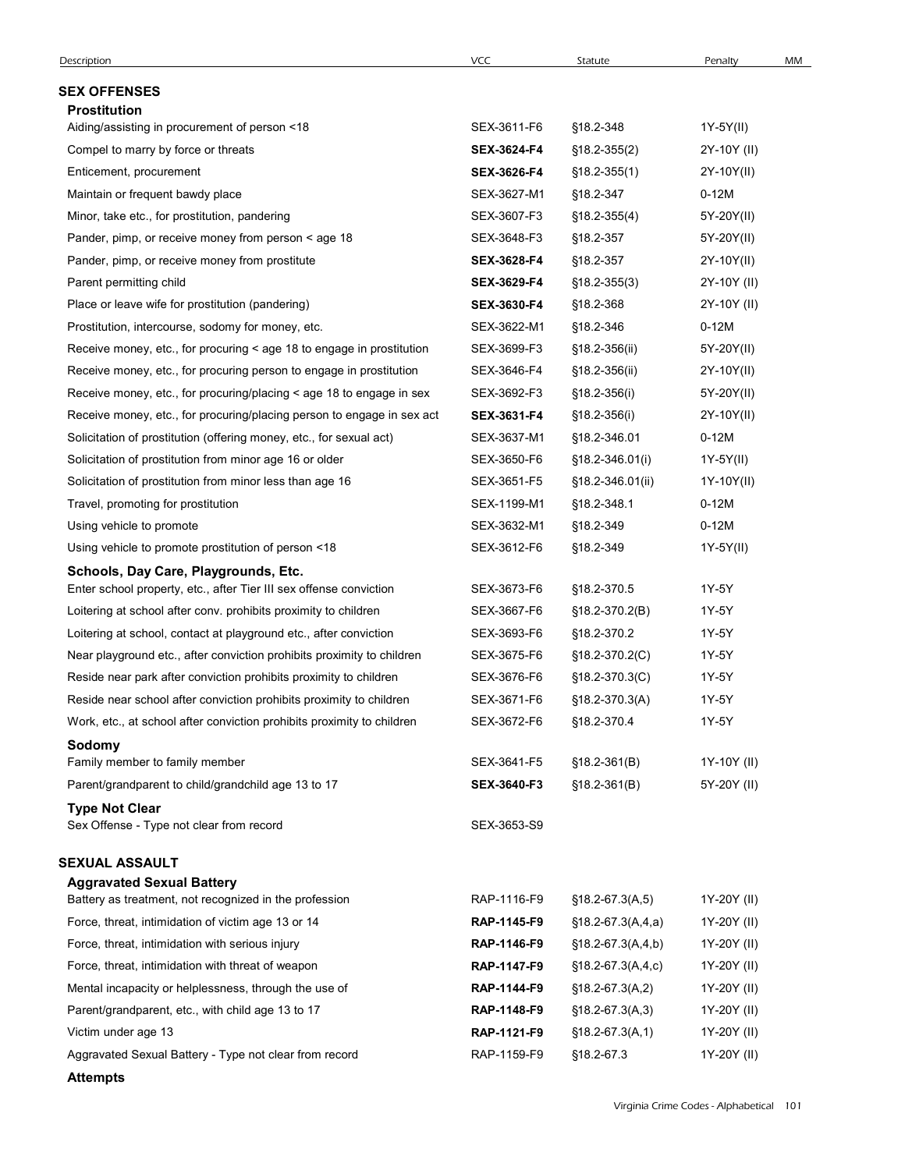| Description                                                                          |                    |                       |                          |    |
|--------------------------------------------------------------------------------------|--------------------|-----------------------|--------------------------|----|
|                                                                                      | VCC                | Statute               | Penalty                  | MM |
| <b>SEX OFFENSES</b>                                                                  |                    |                       |                          |    |
| <b>Prostitution</b>                                                                  | SEX-3611-F6        | §18.2-348             |                          |    |
| Aiding/assisting in procurement of person <18<br>Compel to marry by force or threats | <b>SEX-3624-F4</b> | $$18.2-355(2)$        | 1Y-5Y(II)<br>2Y-10Y (II) |    |
| Enticement, procurement                                                              | SEX-3626-F4        | $$18.2 - 355(1)$      | 2Y-10Y(II)               |    |
| Maintain or frequent bawdy place                                                     | SEX-3627-M1        | §18.2-347             | $0-12M$                  |    |
| Minor, take etc., for prostitution, pandering                                        | SEX-3607-F3        | $$18.2 - 355(4)$      | 5Y-20Y(II)               |    |
| Pander, pimp, or receive money from person < age 18                                  | SEX-3648-F3        | §18.2-357             | 5Y-20Y(II)               |    |
| Pander, pimp, or receive money from prostitute                                       | SEX-3628-F4        | §18.2-357             | 2Y-10Y(II)               |    |
| Parent permitting child                                                              | SEX-3629-F4        | $$18.2 - 355(3)$      | 2Y-10Y (II)              |    |
| Place or leave wife for prostitution (pandering)                                     | <b>SEX-3630-F4</b> | §18.2-368             | 2Y-10Y (II)              |    |
| Prostitution, intercourse, sodomy for money, etc.                                    | SEX-3622-M1        | §18.2-346             | $0-12M$                  |    |
| Receive money, etc., for procuring < age 18 to engage in prostitution                | SEX-3699-F3        | §18.2-356(ii)         | 5Y-20Y(II)               |    |
| Receive money, etc., for procuring person to engage in prostitution                  | SEX-3646-F4        | $$18.2 - 356$ (ii)    | 2Y-10Y(II)               |    |
| Receive money, etc., for procuring/placing < age 18 to engage in sex                 | SEX-3692-F3        | $$18.2 - 356(i)$      | 5Y-20Y(II)               |    |
| Receive money, etc., for procuring/placing person to engage in sex act               | SEX-3631-F4        | $$18.2 - 356(i)$      | 2Y-10Y(II)               |    |
| Solicitation of prostitution (offering money, etc., for sexual act)                  | SEX-3637-M1        | §18.2-346.01          | $0-12M$                  |    |
| Solicitation of prostitution from minor age 16 or older                              | SEX-3650-F6        | $$18.2 - 346.01(i)$   | 1Y-5Y(II)                |    |
| Solicitation of prostitution from minor less than age 16                             | SEX-3651-F5        | §18.2-346.01(ii)      | 1Y-10Y(II)               |    |
| Travel, promoting for prostitution                                                   | SEX-1199-M1        | §18.2-348.1           | $0-12M$                  |    |
| Using vehicle to promote                                                             | SEX-3632-M1        | §18.2-349             | $0-12M$                  |    |
| Using vehicle to promote prostitution of person <18                                  | SEX-3612-F6        | §18.2-349             | 1Y-5Y(II)                |    |
| Schools, Day Care, Playgrounds, Etc.                                                 |                    |                       |                          |    |
| Enter school property, etc., after Tier III sex offense conviction                   | SEX-3673-F6        | §18.2-370.5           | 1Y-5Y                    |    |
| Loitering at school after conv. prohibits proximity to children                      | SEX-3667-F6        | §18.2-370.2(B)        | 1Y-5Y                    |    |
| Loitering at school, contact at playground etc., after conviction                    | SEX-3693-F6        | §18.2-370.2           | 1Y-5Y                    |    |
| Near playground etc., after conviction prohibits proximity to children               | SEX-3675-F6        | $$18.2 - 370.2(C)$    | 1Y-5Y                    |    |
| Reside near park after conviction prohibits proximity to children                    | SEX-3676-F6        | $$18.2-370.3(C)$      | 1Y-5Y                    |    |
| Reside near school after conviction prohibits proximity to children                  | SEX-3671-F6        | $$18.2 - 370.3(A)$    | 1Y-5Y                    |    |
| Work, etc., at school after conviction prohibits proximity to children               | SEX-3672-F6        | §18.2-370.4           | 1Y-5Y                    |    |
| Sodomy<br>Family member to family member                                             | SEX-3641-F5        | $$18.2-361(B)$        | 1Y-10Y (II)              |    |
| Parent/grandparent to child/grandchild age 13 to 17                                  | SEX-3640-F3        | $$18.2 - 361(B)$      | 5Y-20Y (II)              |    |
| <b>Type Not Clear</b>                                                                |                    |                       |                          |    |
| Sex Offense - Type not clear from record                                             | SEX-3653-S9        |                       |                          |    |
| SEXUAL ASSAULT                                                                       |                    |                       |                          |    |
| <b>Aggravated Sexual Battery</b>                                                     |                    |                       |                          |    |
| Battery as treatment, not recognized in the profession                               | RAP-1116-F9        | $$18.2-67.3(A,5)$     | 1Y-20Y (II)              |    |
| Force, threat, intimidation of victim age 13 or 14                                   | RAP-1145-F9        | $$18.2-67.3(A, 4, a)$ | 1Y-20Y (II)              |    |
| Force, threat, intimidation with serious injury                                      | RAP-1146-F9        | $$18.2-67.3(A,4,b)$   | 1Y-20Y (II)              |    |
| Force, threat, intimidation with threat of weapon                                    | RAP-1147-F9        | $$18.2-67.3(A,4,c)$   | 1Y-20Y (II)              |    |
| Mental incapacity or helplessness, through the use of                                | RAP-1144-F9        | $$18.2-67.3(A,2)$     | 1Y-20Y (II)              |    |
| Parent/grandparent, etc., with child age 13 to 17                                    | RAP-1148-F9        | $$18.2-67.3(A,3)$     | 1Y-20Y (II)              |    |
| Victim under age 13                                                                  | RAP-1121-F9        | $$18.2-67.3(A,1)$     | 1Y-20Y (II)              |    |
| Aggravated Sexual Battery - Type not clear from record                               | RAP-1159-F9        | §18.2-67.3            | 1Y-20Y (II)              |    |
|                                                                                      |                    |                       |                          |    |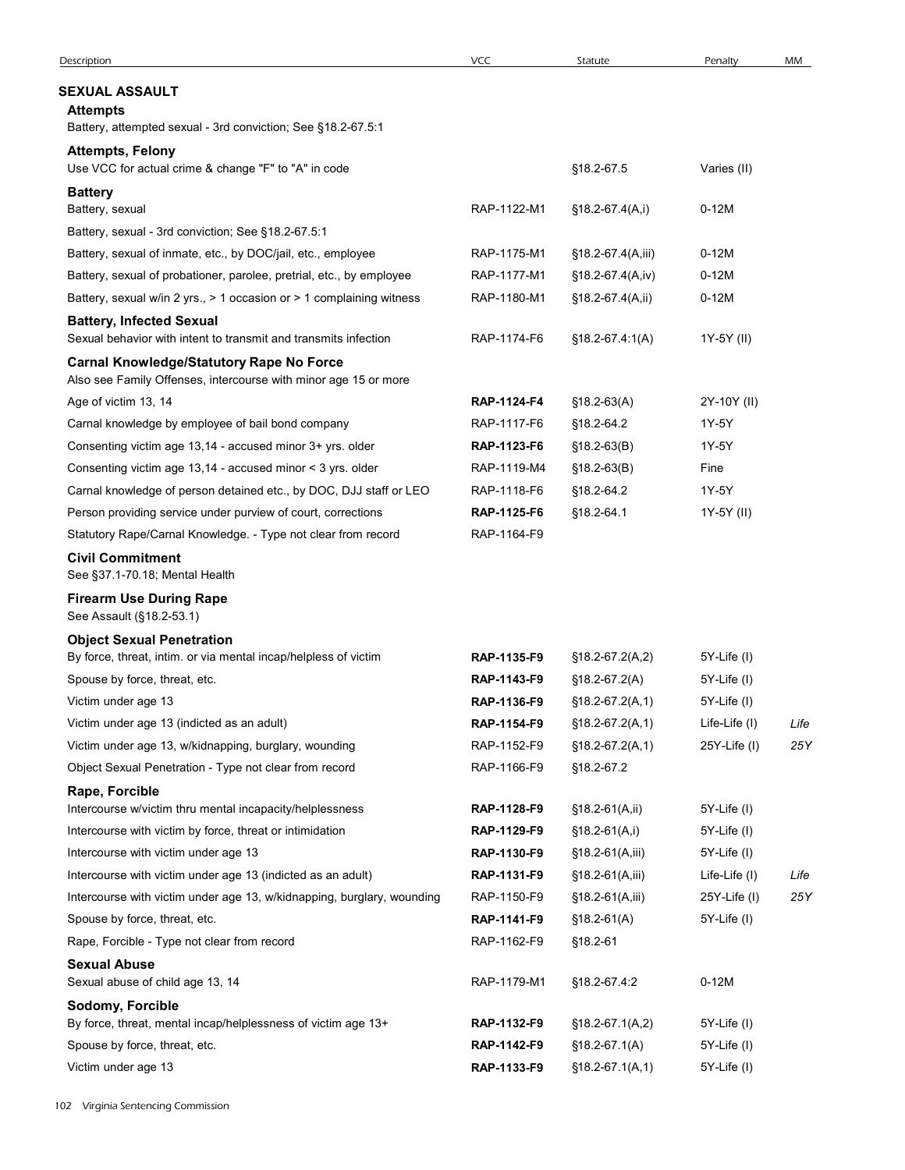| Description                                                                                                        | <b>VCC</b>                 | Statute                         | Penalty           | MM   |
|--------------------------------------------------------------------------------------------------------------------|----------------------------|---------------------------------|-------------------|------|
| SEXUAL ASSAULT                                                                                                     |                            |                                 |                   |      |
| <b>Attempts</b><br>Battery, attempted sexual - 3rd conviction; See §18.2-67.5:1                                    |                            |                                 |                   |      |
| <b>Attempts, Felony</b><br>Use VCC for actual crime & change "F" to "A" in code                                    |                            | §18.2-67.5                      | Varies (II)       |      |
| <b>Battery</b>                                                                                                     |                            |                                 |                   |      |
| Battery, sexual                                                                                                    | RAP-1122-M1                | §18.2-67.4(A,i)                 | $0-12M$           |      |
| Battery, sexual - 3rd conviction; See §18.2-67.5:1                                                                 |                            |                                 |                   |      |
| Battery, sexual of inmate, etc., by DOC/jail, etc., employee                                                       | RAP-1175-M1                | $$18.2-67.4(A,iii)$             | $0-12M$           |      |
| Battery, sexual of probationer, parolee, pretrial, etc., by employee                                               | RAP-1177-M1                | §18.2-67.4(A,iv)                | $0-12M$           |      |
| Battery, sexual w/in 2 yrs., > 1 occasion or > 1 complaining witness                                               | RAP-1180-M1                | §18.2-67.4(A,ii)                | $0-12M$           |      |
| <b>Battery, Infected Sexual</b><br>Sexual behavior with intent to transmit and transmits infection                 | RAP-1174-F6                | $$18.2-67.4.1(A)$               | 1Y-5Y (II)        |      |
| <b>Carnal Knowledge/Statutory Rape No Force</b><br>Also see Family Offenses, intercourse with minor age 15 or more |                            |                                 |                   |      |
| Age of victim 13, 14                                                                                               | RAP-1124-F4                | $$18.2-63(A)$                   | 2Y-10Y (II)       |      |
| Carnal knowledge by employee of bail bond company                                                                  | RAP-1117-F6                | §18.2-64.2                      | 1Y-5Y             |      |
| Consenting victim age 13,14 - accused minor 3+ yrs. older                                                          | RAP-1123-F6                | $$18.2-63(B)$                   | 1Y-5Y             |      |
| Consenting victim age 13,14 - accused minor < 3 yrs. older                                                         | RAP-1119-M4                | $$18.2-63(B)$                   | Fine              |      |
| Carnal knowledge of person detained etc., by DOC, DJJ staff or LEO                                                 | RAP-1118-F6                | §18.2-64.2                      | 1Y-5Y             |      |
| Person providing service under purview of court, corrections                                                       | RAP-1125-F6                | §18.2-64.1                      | 1Y-5Y (II)        |      |
| Statutory Rape/Carnal Knowledge. - Type not clear from record                                                      | RAP-1164-F9                |                                 |                   |      |
| <b>Civil Commitment</b><br>See §37.1-70.18; Mental Health                                                          |                            |                                 |                   |      |
| <b>Firearm Use During Rape</b><br>See Assault (§18.2-53.1)                                                         |                            |                                 |                   |      |
| <b>Object Sexual Penetration</b>                                                                                   |                            |                                 |                   |      |
| By force, threat, intim. or via mental incap/helpless of victim                                                    | RAP-1135-F9                | $$18.2-67.2(A,2)$               | 5Y-Life (I)       |      |
| Spouse by force, threat, etc.                                                                                      | RAP-1143-F9                | $$18.2-67.2(A)$                 | 5Y-Life (I)       |      |
| Victim under age 13                                                                                                | RAP-1136-F9                | $$18.2-67.2(A,1)$               | 5Y-Life (I)       |      |
| Victim under age 13 (indicted as an adult)                                                                         | RAP-1154-F9                | $$18.2-67.2(A,1)$               | Life-Life (I)     | Life |
| Victim under age 13, w/kidnapping, burglary, wounding<br>Object Sexual Penetration - Type not clear from record    | RAP-1152-F9<br>RAP-1166-F9 | $$18.2-67.2(A,1)$<br>§18.2-67.2 | $25Y$ -Life (I)   | 25Y  |
| Rape, Forcible                                                                                                     |                            |                                 |                   |      |
| Intercourse w/victim thru mental incapacity/helplessness                                                           | RAP-1128-F9                | §18.2-61(A,ii)                  | 5Y-Life (I)       |      |
| Intercourse with victim by force, threat or intimidation                                                           | RAP-1129-F9                | §18.2-61(A,i)                   | 5Y-Life (I)       |      |
| Intercourse with victim under age 13                                                                               | RAP-1130-F9                | §18.2-61(A,iii)                 | 5Y-Life (I)       |      |
| Intercourse with victim under age 13 (indicted as an adult)                                                        | RAP-1131-F9                | $$18.2-61(A,iii)$               | Life-Life (I)     | Life |
| Intercourse with victim under age 13, w/kidnapping, burglary, wounding                                             | RAP-1150-F9                | $$18.2-61(A,iii)$               | $25Y$ -Life $(1)$ | 25Y  |
| Spouse by force, threat, etc.                                                                                      | RAP-1141-F9                | $$18.2-61(A)$                   | 5Y-Life (I)       |      |
| Rape, Forcible - Type not clear from record                                                                        | RAP-1162-F9                | §18.2-61                        |                   |      |
| <b>Sexual Abuse</b><br>Sexual abuse of child age 13, 14                                                            | RAP-1179-M1                | §18.2-67.4:2                    | $0-12M$           |      |
| Sodomy, Forcible                                                                                                   |                            |                                 |                   |      |
| By force, threat, mental incap/helplessness of victim age 13+                                                      | RAP-1132-F9                | $$18.2-67.1(A,2)$               | 5Y-Life (I)       |      |
| Spouse by force, threat, etc.                                                                                      | RAP-1142-F9                | $$18.2-67.1(A)$                 | 5Y-Life (I)       |      |
| Victim under age 13                                                                                                | RAP-1133-F9                | $$18.2-67.1(A,1)$               | 5Y-Life (I)       |      |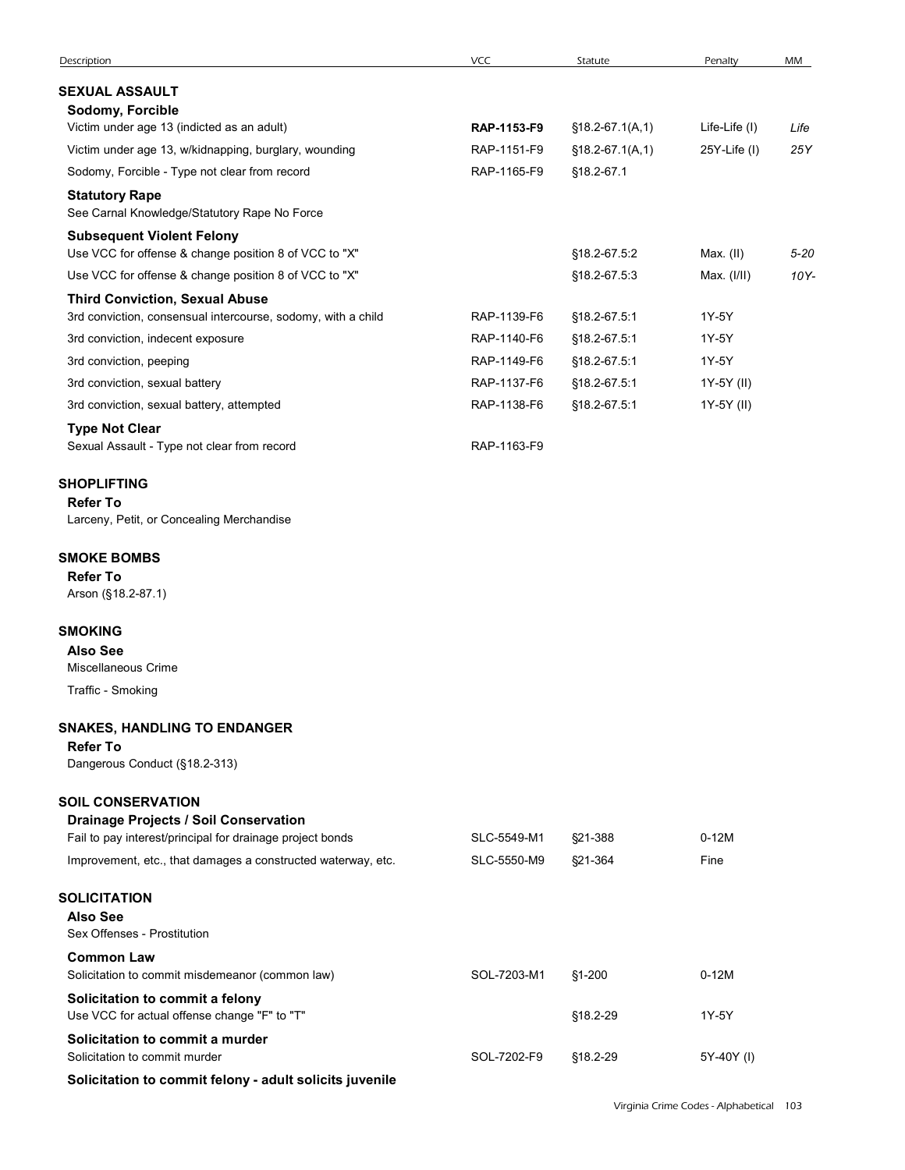| Description                                                                                                               | VCC         | Statute            | Penalty       | MM       |
|---------------------------------------------------------------------------------------------------------------------------|-------------|--------------------|---------------|----------|
| <b>SEXUAL ASSAULT</b>                                                                                                     |             |                    |               |          |
| Sodomy, Forcible                                                                                                          |             |                    |               |          |
| Victim under age 13 (indicted as an adult)                                                                                | RAP-1153-F9 | $$18.2-67.1(A,1)$  | Life-Life (I) | Life     |
| Victim under age 13, w/kidnapping, burglary, wounding                                                                     | RAP-1151-F9 | $$18.2-67.1(A,1)$  | 25Y-Life (I)  | 25Y      |
| Sodomy, Forcible - Type not clear from record                                                                             | RAP-1165-F9 | §18.2-67.1         |               |          |
| <b>Statutory Rape</b><br>See Carnal Knowledge/Statutory Rape No Force                                                     |             |                    |               |          |
| <b>Subsequent Violent Felony</b><br>Use VCC for offense & change position 8 of VCC to "X"                                 |             | §18.2-67.5:2       | Max. (II)     | $5 - 20$ |
| Use VCC for offense & change position 8 of VCC to "X"                                                                     |             | §18.2-67.5:3       | Max. (I/II)   | 10Y-     |
| <b>Third Conviction, Sexual Abuse</b><br>3rd conviction, consensual intercourse, sodomy, with a child                     | RAP-1139-F6 | §18.2-67.5:1       | 1Y-5Y         |          |
| 3rd conviction, indecent exposure                                                                                         | RAP-1140-F6 | §18.2-67.5:1       | 1Y-5Y         |          |
| 3rd conviction, peeping                                                                                                   | RAP-1149-F6 | §18.2-67.5:1       | 1Y-5Y         |          |
| 3rd conviction, sexual battery                                                                                            | RAP-1137-F6 | §18.2-67.5:1       | 1Y-5Y (II)    |          |
| 3rd conviction, sexual battery, attempted                                                                                 | RAP-1138-F6 | §18.2-67.5:1       | 1Y-5Y (II)    |          |
| <b>Type Not Clear</b><br>Sexual Assault - Type not clear from record                                                      | RAP-1163-F9 |                    |               |          |
| <b>SHOPLIFTING</b>                                                                                                        |             |                    |               |          |
| <b>Refer To</b><br>Larceny, Petit, or Concealing Merchandise                                                              |             |                    |               |          |
| <b>SMOKE BOMBS</b>                                                                                                        |             |                    |               |          |
| <b>Refer To</b>                                                                                                           |             |                    |               |          |
| Arson (§18.2-87.1)                                                                                                        |             |                    |               |          |
| SMOKING                                                                                                                   |             |                    |               |          |
| <b>Also See</b><br>Miscellaneous Crime                                                                                    |             |                    |               |          |
| Traffic - Smoking                                                                                                         |             |                    |               |          |
| <b>SNAKES, HANDLING TO ENDANGER</b>                                                                                       |             |                    |               |          |
| <b>Refer To</b><br>Dangerous Conduct (§18.2-313)                                                                          |             |                    |               |          |
| <b>SOIL CONSERVATION</b>                                                                                                  |             |                    |               |          |
| <b>Drainage Projects / Soil Conservation</b>                                                                              | SLC-5549-M1 |                    | $0-12M$       |          |
| Fail to pay interest/principal for drainage project bonds<br>Improvement, etc., that damages a constructed waterway, etc. | SLC-5550-M9 | §21-388<br>§21-364 | Fine          |          |
| <b>SOLICITATION</b>                                                                                                       |             |                    |               |          |
| <b>Also See</b><br>Sex Offenses - Prostitution                                                                            |             |                    |               |          |
| <b>Common Law</b><br>Solicitation to commit misdemeanor (common law)                                                      | SOL-7203-M1 | §1-200             | $0-12M$       |          |
| Solicitation to commit a felony<br>Use VCC for actual offense change "F" to "T"                                           |             | §18.2-29           | 1Y-5Y         |          |
| Solicitation to commit a murder<br>Solicitation to commit murder                                                          | SOL-7202-F9 | §18.2-29           | 5Y-40Y (I)    |          |
| Solicitation to commit felony - adult solicits juvenile                                                                   |             |                    |               |          |
|                                                                                                                           |             |                    |               |          |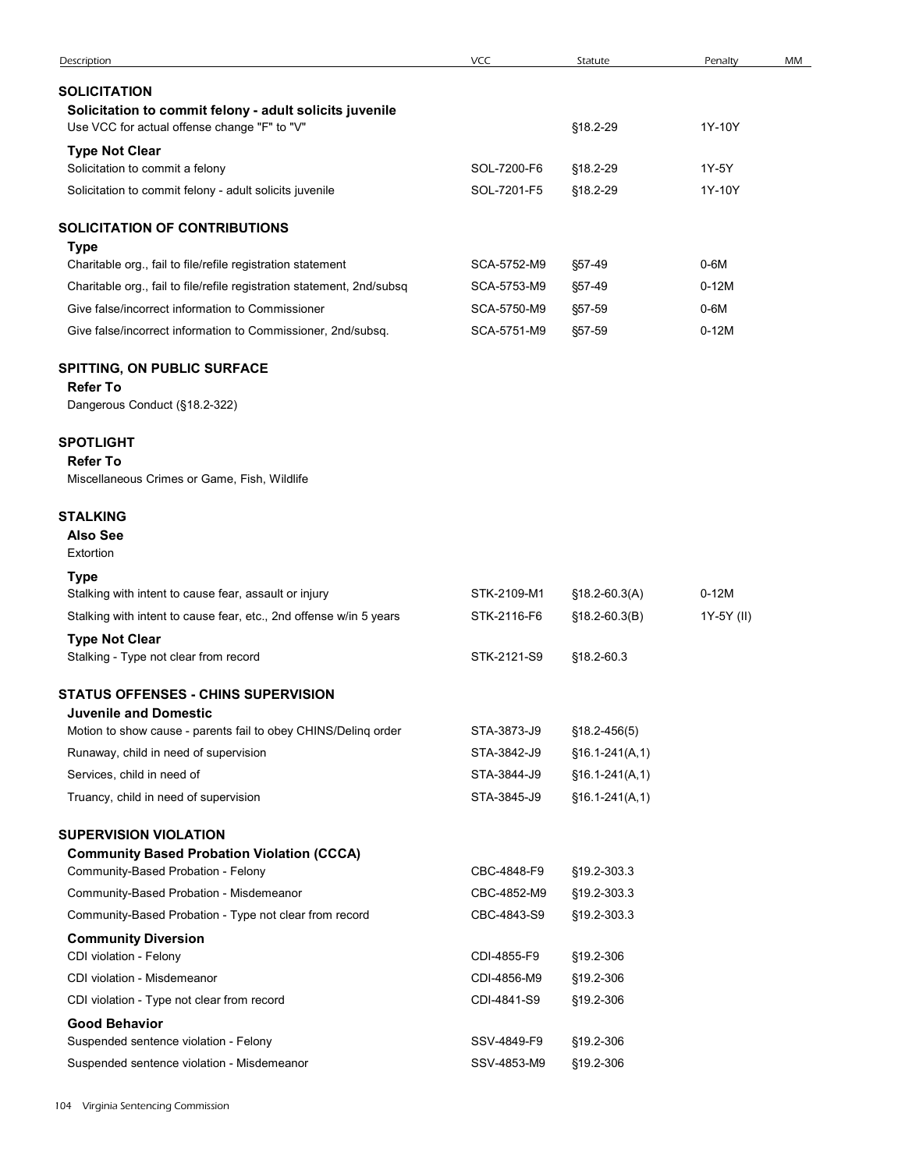| Description                                                                                                                    | <b>VCC</b>                 | Statute                              | Penalty           | MM |
|--------------------------------------------------------------------------------------------------------------------------------|----------------------------|--------------------------------------|-------------------|----|
| <b>SOLICITATION</b><br>Solicitation to commit felony - adult solicits juvenile<br>Use VCC for actual offense change "F" to "V" |                            | §18.2-29                             | 1Y-10Y            |    |
| <b>Type Not Clear</b>                                                                                                          |                            |                                      |                   |    |
| Solicitation to commit a felony                                                                                                | SOL-7200-F6                | §18.2-29                             | 1Y-5Y             |    |
| Solicitation to commit felony - adult solicits juvenile                                                                        | SOL-7201-F5                | §18.2-29                             | 1Y-10Y            |    |
| SOLICITATION OF CONTRIBUTIONS<br><b>Type</b>                                                                                   |                            |                                      |                   |    |
| Charitable org., fail to file/refile registration statement                                                                    | SCA-5752-M9                | §57-49                               | $0-6M$            |    |
| Charitable org., fail to file/refile registration statement, 2nd/subsq                                                         | SCA-5753-M9                | §57-49                               | $0-12M$           |    |
| Give false/incorrect information to Commissioner<br>Give false/incorrect information to Commissioner, 2nd/subsq.               | SCA-5750-M9<br>SCA-5751-M9 | §57-59<br>§57-59                     | $0-6M$<br>$0-12M$ |    |
| SPITTING, ON PUBLIC SURFACE<br><b>Refer To</b><br>Dangerous Conduct (§18.2-322)                                                |                            |                                      |                   |    |
| <b>SPOTLIGHT</b><br><b>Refer To</b><br>Miscellaneous Crimes or Game, Fish, Wildlife                                            |                            |                                      |                   |    |
| <b>STALKING</b><br><b>Also See</b><br>Extortion                                                                                |                            |                                      |                   |    |
| <b>Type</b>                                                                                                                    |                            |                                      |                   |    |
| Stalking with intent to cause fear, assault or injury                                                                          | STK-2109-M1                | $$18.2-60.3(A)$                      | $0-12M$           |    |
| Stalking with intent to cause fear, etc., 2nd offense w/in 5 years                                                             | STK-2116-F6                | $$18.2-60.3(B)$                      | 1Y-5Y (II)        |    |
| <b>Type Not Clear</b><br>Stalking - Type not clear from record                                                                 | STK-2121-S9                | §18.2-60.3                           |                   |    |
| <b>STATUS OFFENSES - CHINS SUPERVISION</b><br><b>Juvenile and Domestic</b>                                                     |                            |                                      |                   |    |
| Motion to show cause - parents fail to obey CHINS/Delinq order                                                                 | STA-3873-J9                | $$18.2 - 456(5)$                     |                   |    |
| Runaway, child in need of supervision<br>Services, child in need of                                                            | STA-3842-J9<br>STA-3844-J9 | $$16.1-241(A,1)$<br>$$16.1-241(A,1)$ |                   |    |
| Truancy, child in need of supervision                                                                                          | STA-3845-J9                | $$16.1-241(A,1)$                     |                   |    |
| <b>SUPERVISION VIOLATION</b>                                                                                                   |                            |                                      |                   |    |
| <b>Community Based Probation Violation (CCCA)</b><br>Community-Based Probation - Felony                                        | CBC-4848-F9                |                                      |                   |    |
| Community-Based Probation - Misdemeanor                                                                                        | CBC-4852-M9                | §19.2-303.3<br>§19.2-303.3           |                   |    |
| Community-Based Probation - Type not clear from record                                                                         | CBC-4843-S9                | §19.2-303.3                          |                   |    |
| <b>Community Diversion</b>                                                                                                     |                            |                                      |                   |    |
| CDI violation - Felony                                                                                                         | CDI-4855-F9                | §19.2-306                            |                   |    |
| CDI violation - Misdemeanor                                                                                                    | CDI-4856-M9                | §19.2-306                            |                   |    |
| CDI violation - Type not clear from record                                                                                     | CDI-4841-S9                | §19.2-306                            |                   |    |
| <b>Good Behavior</b><br>Suspended sentence violation - Felony                                                                  | SSV-4849-F9                | §19.2-306                            |                   |    |
| Suspended sentence violation - Misdemeanor                                                                                     | SSV-4853-M9                | §19.2-306                            |                   |    |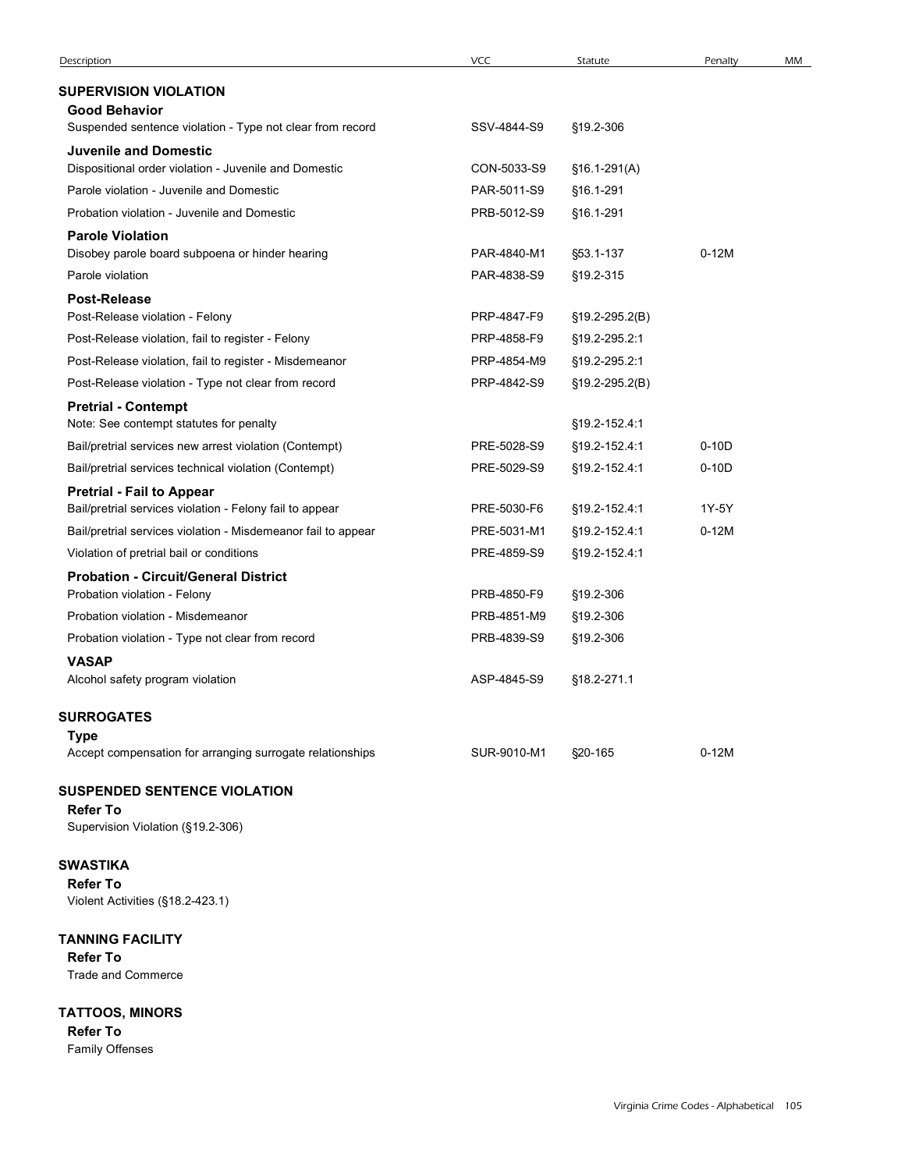| Description                                                                                                               | VCC                        | Statute                        | Penalty          | MM |
|---------------------------------------------------------------------------------------------------------------------------|----------------------------|--------------------------------|------------------|----|
| <b>SUPERVISION VIOLATION</b>                                                                                              |                            |                                |                  |    |
| <b>Good Behavior</b>                                                                                                      |                            |                                |                  |    |
| Suspended sentence violation - Type not clear from record                                                                 | SSV-4844-S9                | §19.2-306                      |                  |    |
| <b>Juvenile and Domestic</b>                                                                                              |                            |                                |                  |    |
| Dispositional order violation - Juvenile and Domestic                                                                     | CON-5033-S9                | $$16.1-291(A)$                 |                  |    |
| Parole violation - Juvenile and Domestic<br>Probation violation - Juvenile and Domestic                                   | PAR-5011-S9<br>PRB-5012-S9 | §16.1-291                      |                  |    |
| <b>Parole Violation</b>                                                                                                   |                            | §16.1-291                      |                  |    |
| Disobey parole board subpoena or hinder hearing                                                                           | PAR-4840-M1                | §53.1-137                      | $0-12M$          |    |
| Parole violation                                                                                                          | PAR-4838-S9                | §19.2-315                      |                  |    |
| <b>Post-Release</b>                                                                                                       |                            |                                |                  |    |
| Post-Release violation - Felony                                                                                           | PRP-4847-F9                | §19.2-295.2(B)                 |                  |    |
| Post-Release violation, fail to register - Felony                                                                         | PRP-4858-F9                | §19.2-295.2:1                  |                  |    |
| Post-Release violation, fail to register - Misdemeanor                                                                    | PRP-4854-M9                | §19.2-295.2:1                  |                  |    |
| Post-Release violation - Type not clear from record                                                                       | PRP-4842-S9                | $$19.2 - 295.2(B)$             |                  |    |
| <b>Pretrial - Contempt</b>                                                                                                |                            |                                |                  |    |
| Note: See contempt statutes for penalty                                                                                   |                            | §19.2-152.4:1                  |                  |    |
| Bail/pretrial services new arrest violation (Contempt)                                                                    | PRE-5028-S9                | §19.2-152.4:1                  | $0-10D$          |    |
| Bail/pretrial services technical violation (Contempt)                                                                     | PRE-5029-S9                | §19.2-152.4:1                  | $0-10D$          |    |
| <b>Pretrial - Fail to Appear</b>                                                                                          |                            |                                |                  |    |
| Bail/pretrial services violation - Felony fail to appear<br>Bail/pretrial services violation - Misdemeanor fail to appear | PRE-5030-F6                | §19.2-152.4:1                  | 1Y-5Y<br>$0-12M$ |    |
| Violation of pretrial bail or conditions                                                                                  | PRE-5031-M1<br>PRE-4859-S9 | §19.2-152.4:1<br>§19.2-152.4:1 |                  |    |
| <b>Probation - Circuit/General District</b>                                                                               |                            |                                |                  |    |
| Probation violation - Felony                                                                                              | PRB-4850-F9                | §19.2-306                      |                  |    |
| Probation violation - Misdemeanor                                                                                         | PRB-4851-M9                | §19.2-306                      |                  |    |
| Probation violation - Type not clear from record                                                                          | PRB-4839-S9                | §19.2-306                      |                  |    |
| <b>VASAP</b>                                                                                                              |                            |                                |                  |    |
| Alcohol safety program violation                                                                                          | ASP-4845-S9                | §18.2-271.1                    |                  |    |
| <b>SURROGATES</b>                                                                                                         |                            |                                |                  |    |
|                                                                                                                           |                            |                                |                  |    |
| <b>Type</b>                                                                                                               |                            |                                | $0-12M$          |    |

## SUSPENDED SENTENCE VIOLATION

# Refer To

## SWASTIKA

Refer To Violent Activities (§18.2-423.1)

## TANNING FACILITY

Refer To Trade and Commerce

TATTOOS, MINORS Refer To Family Offenses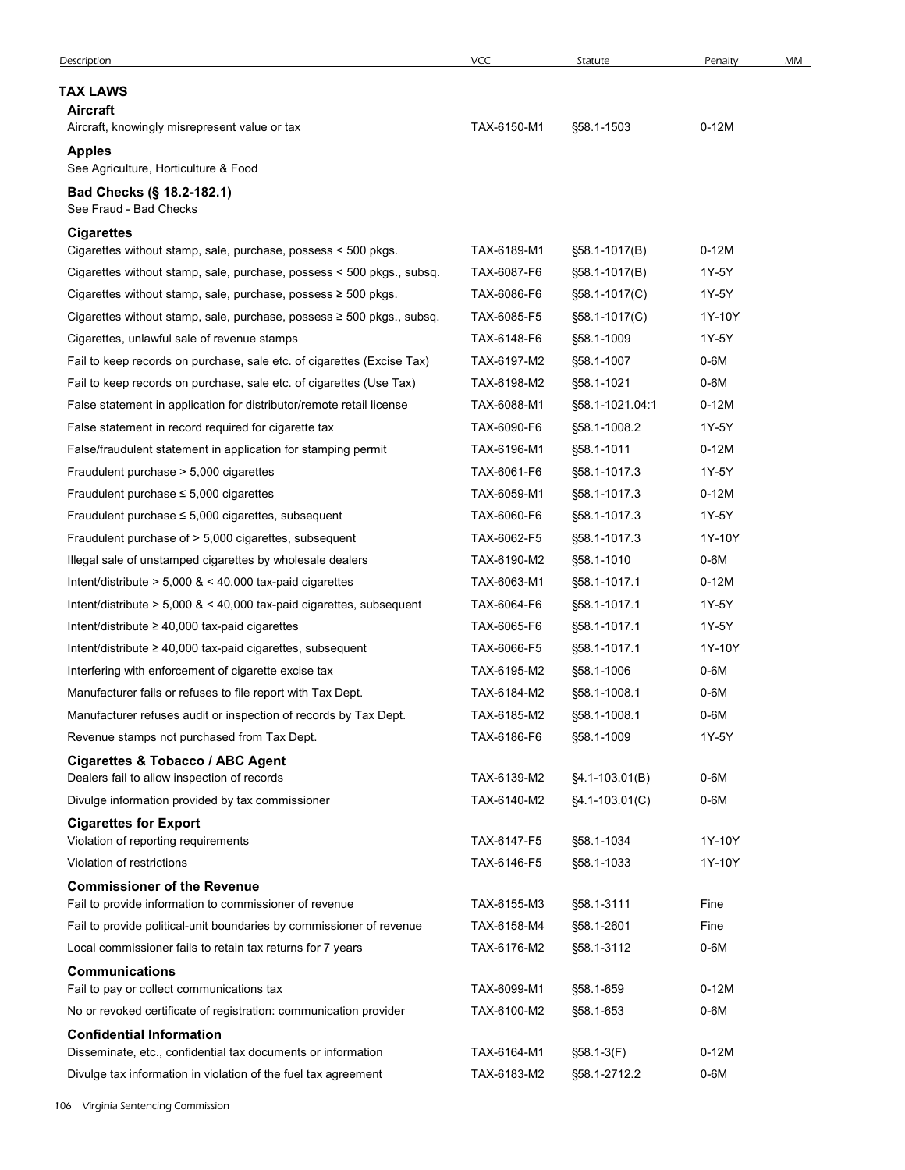| Description                                                                | <b>VCC</b>  | Statute            | Penalty | MM |
|----------------------------------------------------------------------------|-------------|--------------------|---------|----|
| <b>TAX LAWS</b>                                                            |             |                    |         |    |
| Aircraft                                                                   |             |                    |         |    |
| Aircraft, knowingly misrepresent value or tax                              | TAX-6150-M1 | §58.1-1503         | $0-12M$ |    |
| <b>Apples</b><br>See Agriculture, Horticulture & Food                      |             |                    |         |    |
|                                                                            |             |                    |         |    |
| Bad Checks (§ 18.2-182.1)<br>See Fraud - Bad Checks                        |             |                    |         |    |
| <b>Cigarettes</b>                                                          |             |                    |         |    |
| Cigarettes without stamp, sale, purchase, possess < 500 pkgs.              | TAX-6189-M1 | §58.1-1017(B)      | $0-12M$ |    |
| Cigarettes without stamp, sale, purchase, possess < 500 pkgs., subsq.      | TAX-6087-F6 | §58.1-1017(B)      | 1Y-5Y   |    |
| Cigarettes without stamp, sale, purchase, possess ≥ 500 pkgs.              | TAX-6086-F6 | §58.1-1017(C)      | 1Y-5Y   |    |
| Cigarettes without stamp, sale, purchase, possess $\geq 500$ pkgs., subsq. | TAX-6085-F5 | §58.1-1017(C)      | 1Y-10Y  |    |
| Cigarettes, unlawful sale of revenue stamps                                | TAX-6148-F6 | §58.1-1009         | 1Y-5Y   |    |
| Fail to keep records on purchase, sale etc. of cigarettes (Excise Tax)     | TAX-6197-M2 | §58.1-1007         | $0-6M$  |    |
| Fail to keep records on purchase, sale etc. of cigarettes (Use Tax)        | TAX-6198-M2 | §58.1-1021         | 0-6M    |    |
| False statement in application for distributor/remote retail license       | TAX-6088-M1 | §58.1-1021.04:1    | $0-12M$ |    |
| False statement in record required for cigarette tax                       | TAX-6090-F6 | \$58.1-1008.2      | 1Y-5Y   |    |
| False/fraudulent statement in application for stamping permit              | TAX-6196-M1 | §58.1-1011         | $0-12M$ |    |
| Fraudulent purchase > 5,000 cigarettes                                     | TAX-6061-F6 | §58.1-1017.3       | 1Y-5Y   |    |
| Fraudulent purchase $\leq$ 5,000 cigarettes                                | TAX-6059-M1 | §58.1-1017.3       | $0-12M$ |    |
| Fraudulent purchase $\leq 5,000$ cigarettes, subsequent                    | TAX-6060-F6 | §58.1-1017.3       | 1Y-5Y   |    |
| Fraudulent purchase of > 5,000 cigarettes, subsequent                      | TAX-6062-F5 | §58.1-1017.3       | 1Y-10Y  |    |
| Illegal sale of unstamped cigarettes by wholesale dealers                  | TAX-6190-M2 | §58.1-1010         | $0-6M$  |    |
|                                                                            |             |                    |         |    |
| Intent/distribute $> 5,000$ & $< 40,000$ tax-paid cigarettes               | TAX-6063-M1 | §58.1-1017.1       | $0-12M$ |    |
| Intent/distribute $> 5,000$ & $< 40,000$ tax-paid cigarettes, subsequent   | TAX-6064-F6 | §58.1-1017.1       | 1Y-5Y   |    |
| Intent/distribute $\geq 40,000$ tax-paid cigarettes                        | TAX-6065-F6 | §58.1-1017.1       | 1Y-5Y   |    |
| Intent/distribute ≥ 40,000 tax-paid cigarettes, subsequent                 | TAX-6066-F5 | §58.1-1017.1       | 1Y-10Y  |    |
| Interfering with enforcement of cigarette excise tax                       | TAX-6195-M2 | §58.1-1006         | $0-6M$  |    |
| Manufacturer fails or refuses to file report with Tax Dept.                | TAX-6184-M2 | §58.1-1008.1       | $0-6M$  |    |
| Manufacturer refuses audit or inspection of records by Tax Dept.           | TAX-6185-M2 | §58.1-1008.1       | $0-6M$  |    |
| Revenue stamps not purchased from Tax Dept.                                | TAX-6186-F6 | §58.1-1009         | 1Y-5Y   |    |
| Cigarettes & Tobacco / ABC Agent                                           |             |                    |         |    |
| Dealers fail to allow inspection of records                                | TAX-6139-M2 | §4.1-103.01(B)     | $0-6M$  |    |
| Divulge information provided by tax commissioner                           | TAX-6140-M2 | $§4.1 - 103.01(C)$ | $0-6M$  |    |
| <b>Cigarettes for Export</b>                                               |             |                    |         |    |
| Violation of reporting requirements                                        | TAX-6147-F5 | §58.1-1034         | 1Y-10Y  |    |
| Violation of restrictions                                                  | TAX-6146-F5 | §58.1-1033         | 1Y-10Y  |    |
| <b>Commissioner of the Revenue</b>                                         |             |                    |         |    |
| Fail to provide information to commissioner of revenue                     | TAX-6155-M3 | §58.1-3111         | Fine    |    |
| Fail to provide political-unit boundaries by commissioner of revenue       | TAX-6158-M4 | §58.1-2601         | Fine    |    |
| Local commissioner fails to retain tax returns for 7 years                 | TAX-6176-M2 | §58.1-3112         | $0-6M$  |    |
| <b>Communications</b>                                                      |             |                    |         |    |
| Fail to pay or collect communications tax                                  | TAX-6099-M1 | §58.1-659          | $0-12M$ |    |
| No or revoked certificate of registration: communication provider          | TAX-6100-M2 | §58.1-653          | $0-6M$  |    |
| <b>Confidential Information</b>                                            |             |                    |         |    |
| Disseminate, etc., confidential tax documents or information               | TAX-6164-M1 | §58.1-3(F)         | $0-12M$ |    |
| Divulge tax information in violation of the fuel tax agreement             | TAX-6183-M2 | §58.1-2712.2       | $0-6M$  |    |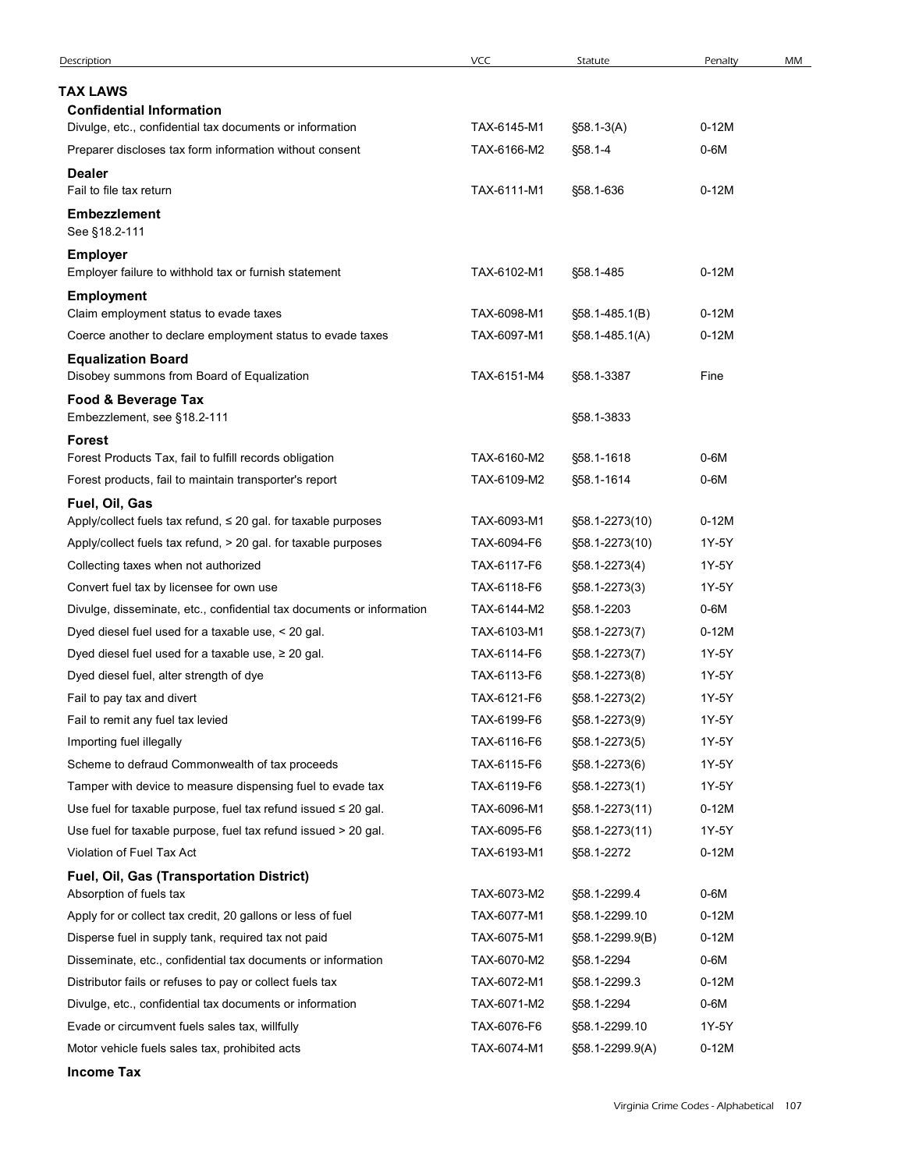| Description                                                                      | <b>VCC</b>  | Statute            | Penalty | MM |
|----------------------------------------------------------------------------------|-------------|--------------------|---------|----|
| <b>TAX LAWS</b>                                                                  |             |                    |         |    |
| <b>Confidential Information</b>                                                  |             |                    |         |    |
| Divulge, etc., confidential tax documents or information                         | TAX-6145-M1 | §58.1-3(A)         | $0-12M$ |    |
| Preparer discloses tax form information without consent                          | TAX-6166-M2 | §58.1-4            | $0-6M$  |    |
| <b>Dealer</b>                                                                    |             |                    |         |    |
| Fail to file tax return                                                          | TAX-6111-M1 | §58.1-636          | $0-12M$ |    |
| <b>Embezzlement</b><br>See §18.2-111                                             |             |                    |         |    |
| <b>Employer</b>                                                                  |             |                    |         |    |
| Employer failure to withhold tax or furnish statement                            | TAX-6102-M1 | §58.1-485          | $0-12M$ |    |
| <b>Employment</b>                                                                |             |                    |         |    |
| Claim employment status to evade taxes                                           | TAX-6098-M1 | §58.1-485.1(B)     | $0-12M$ |    |
| Coerce another to declare employment status to evade taxes                       | TAX-6097-M1 | $$58.1 - 485.1(A)$ | $0-12M$ |    |
| <b>Equalization Board</b><br>Disobey summons from Board of Equalization          | TAX-6151-M4 | §58.1-3387         | Fine    |    |
| Food & Beverage Tax                                                              |             |                    |         |    |
| Embezzlement, see §18.2-111                                                      |             | §58.1-3833         |         |    |
| <b>Forest</b>                                                                    |             |                    |         |    |
| Forest Products Tax, fail to fulfill records obligation                          | TAX-6160-M2 | §58.1-1618         | $0-6M$  |    |
| Forest products, fail to maintain transporter's report                           | TAX-6109-M2 | §58.1-1614         | $0-6M$  |    |
| Fuel, Oil, Gas<br>Apply/collect fuels tax refund, ≤ 20 gal. for taxable purposes | TAX-6093-M1 | §58.1-2273(10)     | $0-12M$ |    |
| Apply/collect fuels tax refund, > 20 gal. for taxable purposes                   | TAX-6094-F6 | §58.1-2273(10)     | 1Y-5Y   |    |
| Collecting taxes when not authorized                                             | TAX-6117-F6 | §58.1-2273(4)      | 1Y-5Y   |    |
| Convert fuel tax by licensee for own use                                         | TAX-6118-F6 | §58.1-2273(3)      | 1Y-5Y   |    |
| Divulge, disseminate, etc., confidential tax documents or information            | TAX-6144-M2 | §58.1-2203         | $0-6M$  |    |
| Dyed diesel fuel used for a taxable use, < 20 gal.                               | TAX-6103-M1 | §58.1-2273(7)      | $0-12M$ |    |
| Dyed diesel fuel used for a taxable use, $\geq 20$ gal.                          | TAX-6114-F6 | §58.1-2273(7)      | 1Y-5Y   |    |
| Dyed diesel fuel, alter strength of dye                                          | TAX-6113-F6 | §58.1-2273(8)      | 1Y-5Y   |    |
| Fail to pay tax and divert                                                       | TAX-6121-F6 | §58.1-2273(2)      | 1Y-5Y   |    |
| Fail to remit any fuel tax levied                                                | TAX-6199-F6 | §58.1-2273(9)      | 1Y-5Y   |    |
| Importing fuel illegally                                                         | TAX-6116-F6 | §58.1-2273(5)      | 1Y-5Y   |    |
| Scheme to defraud Commonwealth of tax proceeds                                   | TAX-6115-F6 | §58.1-2273(6)      | 1Y-5Y   |    |
| Tamper with device to measure dispensing fuel to evade tax                       | TAX-6119-F6 | §58.1-2273(1)      | 1Y-5Y   |    |
| Use fuel for taxable purpose, fuel tax refund issued $\leq 20$ gal.              | TAX-6096-M1 | §58.1-2273(11)     | $0-12M$ |    |
| Use fuel for taxable purpose, fuel tax refund issued > 20 gal.                   | TAX-6095-F6 | §58.1-2273(11)     | 1Y-5Y   |    |
| Violation of Fuel Tax Act                                                        | TAX-6193-M1 | §58.1-2272         | $0-12M$ |    |
| Fuel, Oil, Gas (Transportation District)<br>Absorption of fuels tax              | TAX-6073-M2 | §58.1-2299.4       | $0-6M$  |    |
| Apply for or collect tax credit, 20 gallons or less of fuel                      | TAX-6077-M1 | §58.1-2299.10      | $0-12M$ |    |
| Disperse fuel in supply tank, required tax not paid                              | TAX-6075-M1 | §58.1-2299.9(B)    | $0-12M$ |    |
| Disseminate, etc., confidential tax documents or information                     | TAX-6070-M2 | §58.1-2294         | $0-6M$  |    |
| Distributor fails or refuses to pay or collect fuels tax                         | TAX-6072-M1 | §58.1-2299.3       | $0-12M$ |    |
| Divulge, etc., confidential tax documents or information                         | TAX-6071-M2 | §58.1-2294         | $0-6M$  |    |
| Evade or circumvent fuels sales tax, willfully                                   | TAX-6076-F6 | §58.1-2299.10      | 1Y-5Y   |    |
| Motor vehicle fuels sales tax, prohibited acts                                   | TAX-6074-M1 | §58.1-2299.9(A)    | $0-12M$ |    |
|                                                                                  |             |                    |         |    |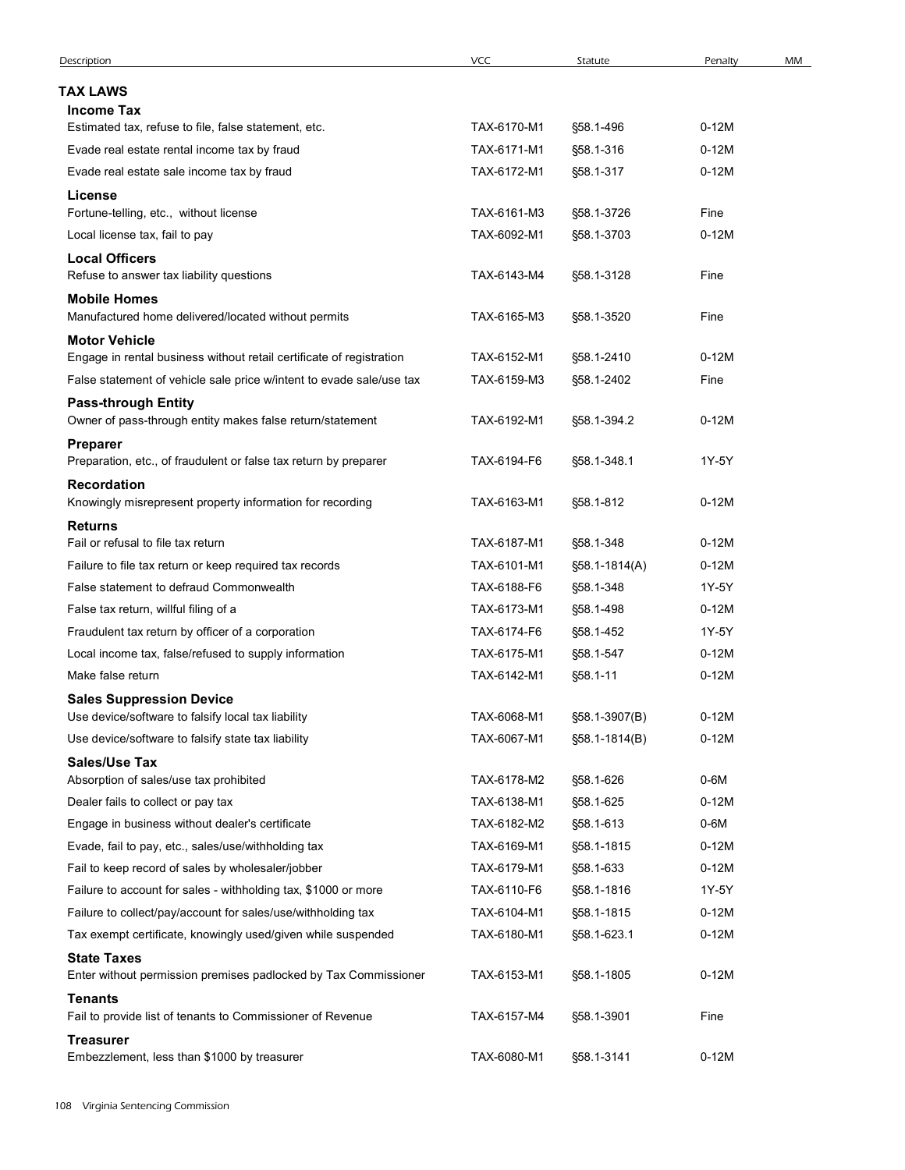| <b>TAX LAWS</b><br><b>Income Tax</b><br>Estimated tax, refuse to file, false statement, etc.<br>TAX-6170-M1<br>$0-12M$<br>§58.1-496<br>TAX-6171-M1<br>$0-12M$<br>Evade real estate rental income tax by fraud<br>§58.1-316<br>Evade real estate sale income tax by fraud<br>TAX-6172-M1<br>$0-12M$<br>§58.1-317<br>License<br>Fortune-telling, etc., without license<br>TAX-6161-M3<br>Fine<br>§58.1-3726<br>TAX-6092-M1<br>$0-12M$<br>Local license tax, fail to pay<br>§58.1-3703<br><b>Local Officers</b><br>Refuse to answer tax liability questions<br>TAX-6143-M4<br>§58.1-3128<br>Fine<br><b>Mobile Homes</b><br>Manufactured home delivered/located without permits<br>Fine<br>TAX-6165-M3<br>§58.1-3520<br><b>Motor Vehicle</b><br>Engage in rental business without retail certificate of registration<br>TAX-6152-M1<br>$0-12M$<br>§58.1-2410<br>False statement of vehicle sale price w/intent to evade sale/use tax<br>TAX-6159-M3<br>§58.1-2402<br>Fine<br><b>Pass-through Entity</b><br>$0-12M$<br>TAX-6192-M1<br>§58.1-394.2<br>Owner of pass-through entity makes false return/statement<br><b>Preparer</b><br>1Y-5Y<br>Preparation, etc., of fraudulent or false tax return by preparer<br>TAX-6194-F6<br>§58.1-348.1<br><b>Recordation</b><br>Knowingly misrepresent property information for recording<br>TAX-6163-M1<br>$0-12M$<br>§58.1-812<br><b>Returns</b><br>Fail or refusal to file tax return<br>TAX-6187-M1<br>$0-12M$<br>§58.1-348<br>Failure to file tax return or keep required tax records<br>TAX-6101-M1<br>$0-12M$<br>$$58.1-1814(A)$<br>False statement to defraud Commonwealth<br>TAX-6188-F6<br>§58.1-348<br>1Y-5Y<br>False tax return, willful filing of a<br>TAX-6173-M1<br>§58.1-498<br>$0-12M$<br>Fraudulent tax return by officer of a corporation<br>TAX-6174-F6<br>§58.1-452<br>1Y-5Y<br>Local income tax, false/refused to supply information<br>TAX-6175-M1<br>§58.1-547<br>$0-12M$<br>$0-12M$<br>Make false return<br>TAX-6142-M1<br>§58.1-11<br><b>Sales Suppression Device</b><br>Use device/software to falsify local tax liability<br>TAX-6068-M1<br>§58.1-3907(B)<br>$0-12M$<br>Use device/software to falsify state tax liability<br>TAX-6067-M1<br>$0-12M$<br>$$58.1 - 1814(B)$<br><b>Sales/Use Tax</b><br>$0-6M$<br>Absorption of sales/use tax prohibited<br>TAX-6178-M2<br>§58.1-626<br>Dealer fails to collect or pay tax<br>TAX-6138-M1<br>§58.1-625<br>$0-12M$<br>$0-6M$<br>Engage in business without dealer's certificate<br>TAX-6182-M2<br>§58.1-613<br>Evade, fail to pay, etc., sales/use/withholding tax<br>TAX-6169-M1<br>§58.1-1815<br>$0-12M$<br>Fail to keep record of sales by wholesaler/jobber<br>TAX-6179-M1<br>§58.1-633<br>$0-12M$<br>Failure to account for sales - withholding tax, \$1000 or more<br>TAX-6110-F6<br>§58.1-1816<br>1Y-5Y<br>$0-12M$<br>Failure to collect/pay/account for sales/use/withholding tax<br>TAX-6104-M1<br>§58.1-1815<br>Tax exempt certificate, knowingly used/given while suspended<br>TAX-6180-M1<br>$0-12M$<br>§58.1-623.1<br><b>State Taxes</b><br>Enter without permission premises padlocked by Tax Commissioner<br>TAX-6153-M1<br>$0-12M$<br>§58.1-1805<br><b>Tenants</b><br>Fail to provide list of tenants to Commissioner of Revenue<br>TAX-6157-M4<br>Fine<br>§58.1-3901<br><b>Treasurer</b> | Description | <b>VCC</b> | Statute | Penalty | MM |
|--------------------------------------------------------------------------------------------------------------------------------------------------------------------------------------------------------------------------------------------------------------------------------------------------------------------------------------------------------------------------------------------------------------------------------------------------------------------------------------------------------------------------------------------------------------------------------------------------------------------------------------------------------------------------------------------------------------------------------------------------------------------------------------------------------------------------------------------------------------------------------------------------------------------------------------------------------------------------------------------------------------------------------------------------------------------------------------------------------------------------------------------------------------------------------------------------------------------------------------------------------------------------------------------------------------------------------------------------------------------------------------------------------------------------------------------------------------------------------------------------------------------------------------------------------------------------------------------------------------------------------------------------------------------------------------------------------------------------------------------------------------------------------------------------------------------------------------------------------------------------------------------------------------------------------------------------------------------------------------------------------------------------------------------------------------------------------------------------------------------------------------------------------------------------------------------------------------------------------------------------------------------------------------------------------------------------------------------------------------------------------------------------------------------------------------------------------------------------------------------------------------------------------------------------------------------------------------------------------------------------------------------------------------------------------------------------------------------------------------------------------------------------------------------------------------------------------------------------------------------------------------------------------------------------------------------------------------------------------------------------------------------------------------------------------------------------------------------------------------------------------------------------------------------------------------------------------------------------------------------------------------------------------------------------------------------|-------------|------------|---------|---------|----|
|                                                                                                                                                                                                                                                                                                                                                                                                                                                                                                                                                                                                                                                                                                                                                                                                                                                                                                                                                                                                                                                                                                                                                                                                                                                                                                                                                                                                                                                                                                                                                                                                                                                                                                                                                                                                                                                                                                                                                                                                                                                                                                                                                                                                                                                                                                                                                                                                                                                                                                                                                                                                                                                                                                                                                                                                                                                                                                                                                                                                                                                                                                                                                                                                                                                                                                                    |             |            |         |         |    |
|                                                                                                                                                                                                                                                                                                                                                                                                                                                                                                                                                                                                                                                                                                                                                                                                                                                                                                                                                                                                                                                                                                                                                                                                                                                                                                                                                                                                                                                                                                                                                                                                                                                                                                                                                                                                                                                                                                                                                                                                                                                                                                                                                                                                                                                                                                                                                                                                                                                                                                                                                                                                                                                                                                                                                                                                                                                                                                                                                                                                                                                                                                                                                                                                                                                                                                                    |             |            |         |         |    |
|                                                                                                                                                                                                                                                                                                                                                                                                                                                                                                                                                                                                                                                                                                                                                                                                                                                                                                                                                                                                                                                                                                                                                                                                                                                                                                                                                                                                                                                                                                                                                                                                                                                                                                                                                                                                                                                                                                                                                                                                                                                                                                                                                                                                                                                                                                                                                                                                                                                                                                                                                                                                                                                                                                                                                                                                                                                                                                                                                                                                                                                                                                                                                                                                                                                                                                                    |             |            |         |         |    |
|                                                                                                                                                                                                                                                                                                                                                                                                                                                                                                                                                                                                                                                                                                                                                                                                                                                                                                                                                                                                                                                                                                                                                                                                                                                                                                                                                                                                                                                                                                                                                                                                                                                                                                                                                                                                                                                                                                                                                                                                                                                                                                                                                                                                                                                                                                                                                                                                                                                                                                                                                                                                                                                                                                                                                                                                                                                                                                                                                                                                                                                                                                                                                                                                                                                                                                                    |             |            |         |         |    |
|                                                                                                                                                                                                                                                                                                                                                                                                                                                                                                                                                                                                                                                                                                                                                                                                                                                                                                                                                                                                                                                                                                                                                                                                                                                                                                                                                                                                                                                                                                                                                                                                                                                                                                                                                                                                                                                                                                                                                                                                                                                                                                                                                                                                                                                                                                                                                                                                                                                                                                                                                                                                                                                                                                                                                                                                                                                                                                                                                                                                                                                                                                                                                                                                                                                                                                                    |             |            |         |         |    |
|                                                                                                                                                                                                                                                                                                                                                                                                                                                                                                                                                                                                                                                                                                                                                                                                                                                                                                                                                                                                                                                                                                                                                                                                                                                                                                                                                                                                                                                                                                                                                                                                                                                                                                                                                                                                                                                                                                                                                                                                                                                                                                                                                                                                                                                                                                                                                                                                                                                                                                                                                                                                                                                                                                                                                                                                                                                                                                                                                                                                                                                                                                                                                                                                                                                                                                                    |             |            |         |         |    |
|                                                                                                                                                                                                                                                                                                                                                                                                                                                                                                                                                                                                                                                                                                                                                                                                                                                                                                                                                                                                                                                                                                                                                                                                                                                                                                                                                                                                                                                                                                                                                                                                                                                                                                                                                                                                                                                                                                                                                                                                                                                                                                                                                                                                                                                                                                                                                                                                                                                                                                                                                                                                                                                                                                                                                                                                                                                                                                                                                                                                                                                                                                                                                                                                                                                                                                                    |             |            |         |         |    |
|                                                                                                                                                                                                                                                                                                                                                                                                                                                                                                                                                                                                                                                                                                                                                                                                                                                                                                                                                                                                                                                                                                                                                                                                                                                                                                                                                                                                                                                                                                                                                                                                                                                                                                                                                                                                                                                                                                                                                                                                                                                                                                                                                                                                                                                                                                                                                                                                                                                                                                                                                                                                                                                                                                                                                                                                                                                                                                                                                                                                                                                                                                                                                                                                                                                                                                                    |             |            |         |         |    |
|                                                                                                                                                                                                                                                                                                                                                                                                                                                                                                                                                                                                                                                                                                                                                                                                                                                                                                                                                                                                                                                                                                                                                                                                                                                                                                                                                                                                                                                                                                                                                                                                                                                                                                                                                                                                                                                                                                                                                                                                                                                                                                                                                                                                                                                                                                                                                                                                                                                                                                                                                                                                                                                                                                                                                                                                                                                                                                                                                                                                                                                                                                                                                                                                                                                                                                                    |             |            |         |         |    |
|                                                                                                                                                                                                                                                                                                                                                                                                                                                                                                                                                                                                                                                                                                                                                                                                                                                                                                                                                                                                                                                                                                                                                                                                                                                                                                                                                                                                                                                                                                                                                                                                                                                                                                                                                                                                                                                                                                                                                                                                                                                                                                                                                                                                                                                                                                                                                                                                                                                                                                                                                                                                                                                                                                                                                                                                                                                                                                                                                                                                                                                                                                                                                                                                                                                                                                                    |             |            |         |         |    |
|                                                                                                                                                                                                                                                                                                                                                                                                                                                                                                                                                                                                                                                                                                                                                                                                                                                                                                                                                                                                                                                                                                                                                                                                                                                                                                                                                                                                                                                                                                                                                                                                                                                                                                                                                                                                                                                                                                                                                                                                                                                                                                                                                                                                                                                                                                                                                                                                                                                                                                                                                                                                                                                                                                                                                                                                                                                                                                                                                                                                                                                                                                                                                                                                                                                                                                                    |             |            |         |         |    |
|                                                                                                                                                                                                                                                                                                                                                                                                                                                                                                                                                                                                                                                                                                                                                                                                                                                                                                                                                                                                                                                                                                                                                                                                                                                                                                                                                                                                                                                                                                                                                                                                                                                                                                                                                                                                                                                                                                                                                                                                                                                                                                                                                                                                                                                                                                                                                                                                                                                                                                                                                                                                                                                                                                                                                                                                                                                                                                                                                                                                                                                                                                                                                                                                                                                                                                                    |             |            |         |         |    |
|                                                                                                                                                                                                                                                                                                                                                                                                                                                                                                                                                                                                                                                                                                                                                                                                                                                                                                                                                                                                                                                                                                                                                                                                                                                                                                                                                                                                                                                                                                                                                                                                                                                                                                                                                                                                                                                                                                                                                                                                                                                                                                                                                                                                                                                                                                                                                                                                                                                                                                                                                                                                                                                                                                                                                                                                                                                                                                                                                                                                                                                                                                                                                                                                                                                                                                                    |             |            |         |         |    |
|                                                                                                                                                                                                                                                                                                                                                                                                                                                                                                                                                                                                                                                                                                                                                                                                                                                                                                                                                                                                                                                                                                                                                                                                                                                                                                                                                                                                                                                                                                                                                                                                                                                                                                                                                                                                                                                                                                                                                                                                                                                                                                                                                                                                                                                                                                                                                                                                                                                                                                                                                                                                                                                                                                                                                                                                                                                                                                                                                                                                                                                                                                                                                                                                                                                                                                                    |             |            |         |         |    |
|                                                                                                                                                                                                                                                                                                                                                                                                                                                                                                                                                                                                                                                                                                                                                                                                                                                                                                                                                                                                                                                                                                                                                                                                                                                                                                                                                                                                                                                                                                                                                                                                                                                                                                                                                                                                                                                                                                                                                                                                                                                                                                                                                                                                                                                                                                                                                                                                                                                                                                                                                                                                                                                                                                                                                                                                                                                                                                                                                                                                                                                                                                                                                                                                                                                                                                                    |             |            |         |         |    |
|                                                                                                                                                                                                                                                                                                                                                                                                                                                                                                                                                                                                                                                                                                                                                                                                                                                                                                                                                                                                                                                                                                                                                                                                                                                                                                                                                                                                                                                                                                                                                                                                                                                                                                                                                                                                                                                                                                                                                                                                                                                                                                                                                                                                                                                                                                                                                                                                                                                                                                                                                                                                                                                                                                                                                                                                                                                                                                                                                                                                                                                                                                                                                                                                                                                                                                                    |             |            |         |         |    |
|                                                                                                                                                                                                                                                                                                                                                                                                                                                                                                                                                                                                                                                                                                                                                                                                                                                                                                                                                                                                                                                                                                                                                                                                                                                                                                                                                                                                                                                                                                                                                                                                                                                                                                                                                                                                                                                                                                                                                                                                                                                                                                                                                                                                                                                                                                                                                                                                                                                                                                                                                                                                                                                                                                                                                                                                                                                                                                                                                                                                                                                                                                                                                                                                                                                                                                                    |             |            |         |         |    |
|                                                                                                                                                                                                                                                                                                                                                                                                                                                                                                                                                                                                                                                                                                                                                                                                                                                                                                                                                                                                                                                                                                                                                                                                                                                                                                                                                                                                                                                                                                                                                                                                                                                                                                                                                                                                                                                                                                                                                                                                                                                                                                                                                                                                                                                                                                                                                                                                                                                                                                                                                                                                                                                                                                                                                                                                                                                                                                                                                                                                                                                                                                                                                                                                                                                                                                                    |             |            |         |         |    |
|                                                                                                                                                                                                                                                                                                                                                                                                                                                                                                                                                                                                                                                                                                                                                                                                                                                                                                                                                                                                                                                                                                                                                                                                                                                                                                                                                                                                                                                                                                                                                                                                                                                                                                                                                                                                                                                                                                                                                                                                                                                                                                                                                                                                                                                                                                                                                                                                                                                                                                                                                                                                                                                                                                                                                                                                                                                                                                                                                                                                                                                                                                                                                                                                                                                                                                                    |             |            |         |         |    |
|                                                                                                                                                                                                                                                                                                                                                                                                                                                                                                                                                                                                                                                                                                                                                                                                                                                                                                                                                                                                                                                                                                                                                                                                                                                                                                                                                                                                                                                                                                                                                                                                                                                                                                                                                                                                                                                                                                                                                                                                                                                                                                                                                                                                                                                                                                                                                                                                                                                                                                                                                                                                                                                                                                                                                                                                                                                                                                                                                                                                                                                                                                                                                                                                                                                                                                                    |             |            |         |         |    |
|                                                                                                                                                                                                                                                                                                                                                                                                                                                                                                                                                                                                                                                                                                                                                                                                                                                                                                                                                                                                                                                                                                                                                                                                                                                                                                                                                                                                                                                                                                                                                                                                                                                                                                                                                                                                                                                                                                                                                                                                                                                                                                                                                                                                                                                                                                                                                                                                                                                                                                                                                                                                                                                                                                                                                                                                                                                                                                                                                                                                                                                                                                                                                                                                                                                                                                                    |             |            |         |         |    |
|                                                                                                                                                                                                                                                                                                                                                                                                                                                                                                                                                                                                                                                                                                                                                                                                                                                                                                                                                                                                                                                                                                                                                                                                                                                                                                                                                                                                                                                                                                                                                                                                                                                                                                                                                                                                                                                                                                                                                                                                                                                                                                                                                                                                                                                                                                                                                                                                                                                                                                                                                                                                                                                                                                                                                                                                                                                                                                                                                                                                                                                                                                                                                                                                                                                                                                                    |             |            |         |         |    |
|                                                                                                                                                                                                                                                                                                                                                                                                                                                                                                                                                                                                                                                                                                                                                                                                                                                                                                                                                                                                                                                                                                                                                                                                                                                                                                                                                                                                                                                                                                                                                                                                                                                                                                                                                                                                                                                                                                                                                                                                                                                                                                                                                                                                                                                                                                                                                                                                                                                                                                                                                                                                                                                                                                                                                                                                                                                                                                                                                                                                                                                                                                                                                                                                                                                                                                                    |             |            |         |         |    |
|                                                                                                                                                                                                                                                                                                                                                                                                                                                                                                                                                                                                                                                                                                                                                                                                                                                                                                                                                                                                                                                                                                                                                                                                                                                                                                                                                                                                                                                                                                                                                                                                                                                                                                                                                                                                                                                                                                                                                                                                                                                                                                                                                                                                                                                                                                                                                                                                                                                                                                                                                                                                                                                                                                                                                                                                                                                                                                                                                                                                                                                                                                                                                                                                                                                                                                                    |             |            |         |         |    |
|                                                                                                                                                                                                                                                                                                                                                                                                                                                                                                                                                                                                                                                                                                                                                                                                                                                                                                                                                                                                                                                                                                                                                                                                                                                                                                                                                                                                                                                                                                                                                                                                                                                                                                                                                                                                                                                                                                                                                                                                                                                                                                                                                                                                                                                                                                                                                                                                                                                                                                                                                                                                                                                                                                                                                                                                                                                                                                                                                                                                                                                                                                                                                                                                                                                                                                                    |             |            |         |         |    |
|                                                                                                                                                                                                                                                                                                                                                                                                                                                                                                                                                                                                                                                                                                                                                                                                                                                                                                                                                                                                                                                                                                                                                                                                                                                                                                                                                                                                                                                                                                                                                                                                                                                                                                                                                                                                                                                                                                                                                                                                                                                                                                                                                                                                                                                                                                                                                                                                                                                                                                                                                                                                                                                                                                                                                                                                                                                                                                                                                                                                                                                                                                                                                                                                                                                                                                                    |             |            |         |         |    |
|                                                                                                                                                                                                                                                                                                                                                                                                                                                                                                                                                                                                                                                                                                                                                                                                                                                                                                                                                                                                                                                                                                                                                                                                                                                                                                                                                                                                                                                                                                                                                                                                                                                                                                                                                                                                                                                                                                                                                                                                                                                                                                                                                                                                                                                                                                                                                                                                                                                                                                                                                                                                                                                                                                                                                                                                                                                                                                                                                                                                                                                                                                                                                                                                                                                                                                                    |             |            |         |         |    |
|                                                                                                                                                                                                                                                                                                                                                                                                                                                                                                                                                                                                                                                                                                                                                                                                                                                                                                                                                                                                                                                                                                                                                                                                                                                                                                                                                                                                                                                                                                                                                                                                                                                                                                                                                                                                                                                                                                                                                                                                                                                                                                                                                                                                                                                                                                                                                                                                                                                                                                                                                                                                                                                                                                                                                                                                                                                                                                                                                                                                                                                                                                                                                                                                                                                                                                                    |             |            |         |         |    |
|                                                                                                                                                                                                                                                                                                                                                                                                                                                                                                                                                                                                                                                                                                                                                                                                                                                                                                                                                                                                                                                                                                                                                                                                                                                                                                                                                                                                                                                                                                                                                                                                                                                                                                                                                                                                                                                                                                                                                                                                                                                                                                                                                                                                                                                                                                                                                                                                                                                                                                                                                                                                                                                                                                                                                                                                                                                                                                                                                                                                                                                                                                                                                                                                                                                                                                                    |             |            |         |         |    |
|                                                                                                                                                                                                                                                                                                                                                                                                                                                                                                                                                                                                                                                                                                                                                                                                                                                                                                                                                                                                                                                                                                                                                                                                                                                                                                                                                                                                                                                                                                                                                                                                                                                                                                                                                                                                                                                                                                                                                                                                                                                                                                                                                                                                                                                                                                                                                                                                                                                                                                                                                                                                                                                                                                                                                                                                                                                                                                                                                                                                                                                                                                                                                                                                                                                                                                                    |             |            |         |         |    |
|                                                                                                                                                                                                                                                                                                                                                                                                                                                                                                                                                                                                                                                                                                                                                                                                                                                                                                                                                                                                                                                                                                                                                                                                                                                                                                                                                                                                                                                                                                                                                                                                                                                                                                                                                                                                                                                                                                                                                                                                                                                                                                                                                                                                                                                                                                                                                                                                                                                                                                                                                                                                                                                                                                                                                                                                                                                                                                                                                                                                                                                                                                                                                                                                                                                                                                                    |             |            |         |         |    |
|                                                                                                                                                                                                                                                                                                                                                                                                                                                                                                                                                                                                                                                                                                                                                                                                                                                                                                                                                                                                                                                                                                                                                                                                                                                                                                                                                                                                                                                                                                                                                                                                                                                                                                                                                                                                                                                                                                                                                                                                                                                                                                                                                                                                                                                                                                                                                                                                                                                                                                                                                                                                                                                                                                                                                                                                                                                                                                                                                                                                                                                                                                                                                                                                                                                                                                                    |             |            |         |         |    |
|                                                                                                                                                                                                                                                                                                                                                                                                                                                                                                                                                                                                                                                                                                                                                                                                                                                                                                                                                                                                                                                                                                                                                                                                                                                                                                                                                                                                                                                                                                                                                                                                                                                                                                                                                                                                                                                                                                                                                                                                                                                                                                                                                                                                                                                                                                                                                                                                                                                                                                                                                                                                                                                                                                                                                                                                                                                                                                                                                                                                                                                                                                                                                                                                                                                                                                                    |             |            |         |         |    |
|                                                                                                                                                                                                                                                                                                                                                                                                                                                                                                                                                                                                                                                                                                                                                                                                                                                                                                                                                                                                                                                                                                                                                                                                                                                                                                                                                                                                                                                                                                                                                                                                                                                                                                                                                                                                                                                                                                                                                                                                                                                                                                                                                                                                                                                                                                                                                                                                                                                                                                                                                                                                                                                                                                                                                                                                                                                                                                                                                                                                                                                                                                                                                                                                                                                                                                                    |             |            |         |         |    |
|                                                                                                                                                                                                                                                                                                                                                                                                                                                                                                                                                                                                                                                                                                                                                                                                                                                                                                                                                                                                                                                                                                                                                                                                                                                                                                                                                                                                                                                                                                                                                                                                                                                                                                                                                                                                                                                                                                                                                                                                                                                                                                                                                                                                                                                                                                                                                                                                                                                                                                                                                                                                                                                                                                                                                                                                                                                                                                                                                                                                                                                                                                                                                                                                                                                                                                                    |             |            |         |         |    |
|                                                                                                                                                                                                                                                                                                                                                                                                                                                                                                                                                                                                                                                                                                                                                                                                                                                                                                                                                                                                                                                                                                                                                                                                                                                                                                                                                                                                                                                                                                                                                                                                                                                                                                                                                                                                                                                                                                                                                                                                                                                                                                                                                                                                                                                                                                                                                                                                                                                                                                                                                                                                                                                                                                                                                                                                                                                                                                                                                                                                                                                                                                                                                                                                                                                                                                                    |             |            |         |         |    |
|                                                                                                                                                                                                                                                                                                                                                                                                                                                                                                                                                                                                                                                                                                                                                                                                                                                                                                                                                                                                                                                                                                                                                                                                                                                                                                                                                                                                                                                                                                                                                                                                                                                                                                                                                                                                                                                                                                                                                                                                                                                                                                                                                                                                                                                                                                                                                                                                                                                                                                                                                                                                                                                                                                                                                                                                                                                                                                                                                                                                                                                                                                                                                                                                                                                                                                                    |             |            |         |         |    |
|                                                                                                                                                                                                                                                                                                                                                                                                                                                                                                                                                                                                                                                                                                                                                                                                                                                                                                                                                                                                                                                                                                                                                                                                                                                                                                                                                                                                                                                                                                                                                                                                                                                                                                                                                                                                                                                                                                                                                                                                                                                                                                                                                                                                                                                                                                                                                                                                                                                                                                                                                                                                                                                                                                                                                                                                                                                                                                                                                                                                                                                                                                                                                                                                                                                                                                                    |             |            |         |         |    |
| $0-12M$<br>Embezzlement, less than \$1000 by treasurer<br>TAX-6080-M1<br>§58.1-3141                                                                                                                                                                                                                                                                                                                                                                                                                                                                                                                                                                                                                                                                                                                                                                                                                                                                                                                                                                                                                                                                                                                                                                                                                                                                                                                                                                                                                                                                                                                                                                                                                                                                                                                                                                                                                                                                                                                                                                                                                                                                                                                                                                                                                                                                                                                                                                                                                                                                                                                                                                                                                                                                                                                                                                                                                                                                                                                                                                                                                                                                                                                                                                                                                                |             |            |         |         |    |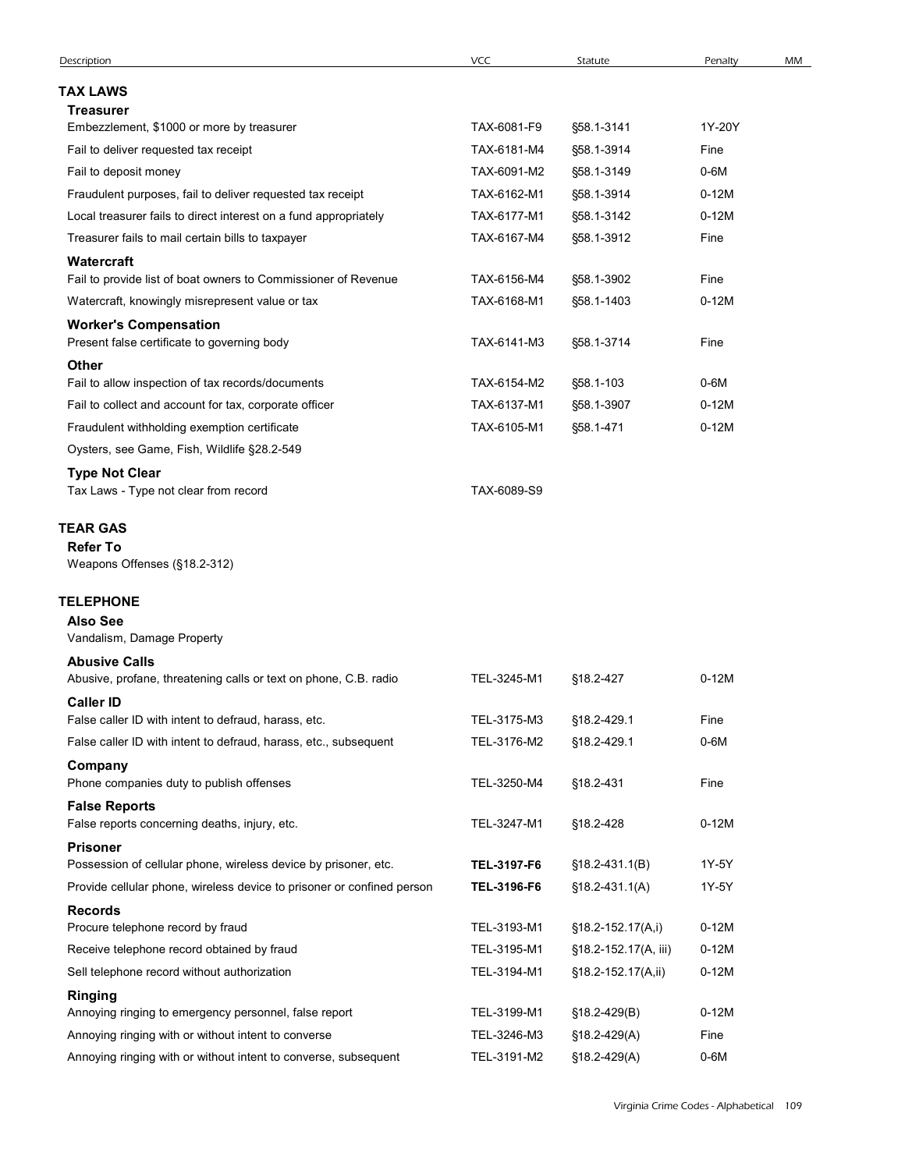| Description                                                                                                                               |                            |                          |                    |    |
|-------------------------------------------------------------------------------------------------------------------------------------------|----------------------------|--------------------------|--------------------|----|
|                                                                                                                                           | <b>VCC</b>                 | Statute                  | Penalty            | MM |
| <b>TAX LAWS</b>                                                                                                                           |                            |                          |                    |    |
| <b>Treasurer</b>                                                                                                                          |                            |                          |                    |    |
| Embezzlement, \$1000 or more by treasurer                                                                                                 | TAX-6081-F9                | §58.1-3141               | 1Y-20Y             |    |
| Fail to deliver requested tax receipt                                                                                                     | TAX-6181-M4                | §58.1-3914               | Fine               |    |
| Fail to deposit money                                                                                                                     | TAX-6091-M2                | §58.1-3149               | $0-6M$             |    |
| Fraudulent purposes, fail to deliver requested tax receipt                                                                                | TAX-6162-M1                | §58.1-3914               | $0-12M$<br>$0-12M$ |    |
| Local treasurer fails to direct interest on a fund appropriately<br>Treasurer fails to mail certain bills to taxpayer                     | TAX-6177-M1<br>TAX-6167-M4 | §58.1-3142<br>§58.1-3912 | Fine               |    |
| Watercraft                                                                                                                                |                            |                          |                    |    |
| Fail to provide list of boat owners to Commissioner of Revenue                                                                            | TAX-6156-M4                | §58.1-3902               | Fine               |    |
| Watercraft, knowingly misrepresent value or tax                                                                                           | TAX-6168-M1                | §58.1-1403               | $0-12M$            |    |
| <b>Worker's Compensation</b>                                                                                                              |                            |                          |                    |    |
| Present false certificate to governing body<br>Other                                                                                      | TAX-6141-M3                | §58.1-3714               | Fine               |    |
| Fail to allow inspection of tax records/documents                                                                                         | TAX-6154-M2                | §58.1-103                | 0-6M               |    |
| Fail to collect and account for tax, corporate officer                                                                                    | TAX-6137-M1                | §58.1-3907               | $0-12M$            |    |
| Fraudulent withholding exemption certificate                                                                                              | TAX-6105-M1                | §58.1-471                | $0-12M$            |    |
| Oysters, see Game, Fish, Wildlife §28.2-549                                                                                               |                            |                          |                    |    |
| <b>Type Not Clear</b><br>Tax Laws - Type not clear from record                                                                            | TAX-6089-S9                |                          |                    |    |
| <b>TEAR GAS</b>                                                                                                                           |                            |                          |                    |    |
| <b>Refer To</b><br>Weapons Offenses (§18.2-312)                                                                                           |                            |                          |                    |    |
| <b>TELEPHONE</b>                                                                                                                          |                            |                          |                    |    |
| <b>Also See</b>                                                                                                                           |                            |                          |                    |    |
| Vandalism, Damage Property                                                                                                                |                            |                          |                    |    |
| <b>Abusive Calls</b>                                                                                                                      |                            |                          |                    |    |
| Abusive, profane, threatening calls or text on phone, C.B. radio                                                                          | TEL-3245-M1                | §18.2-427                | $0-12M$            |    |
| <b>Caller ID</b><br>False caller ID with intent to defraud, harass, etc.                                                                  | TEL-3175-M3                | §18.2-429.1              | Fine               |    |
| False caller ID with intent to defraud, harass, etc., subsequent                                                                          | TEL-3176-M2                | §18.2-429.1              | $0-6M$             |    |
| Company                                                                                                                                   |                            |                          |                    |    |
| Phone companies duty to publish offenses                                                                                                  | TEL-3250-M4                | §18.2-431                | Fine               |    |
| <b>False Reports</b>                                                                                                                      |                            |                          |                    |    |
| False reports concerning deaths, injury, etc.                                                                                             | TEL-3247-M1                | §18.2-428                | $0-12M$            |    |
| <b>Prisoner</b>                                                                                                                           |                            |                          |                    |    |
| Possession of cellular phone, wireless device by prisoner, etc.<br>Provide cellular phone, wireless device to prisoner or confined person | TEL-3197-F6                | $$18.2-431.1(B)$         | 1Y-5Y<br>1Y-5Y     |    |
|                                                                                                                                           | TEL-3196-F6                | $$18.2-431.1(A)$         |                    |    |
| <b>Records</b><br>Procure telephone record by fraud                                                                                       | TEL-3193-M1                | §18.2-152.17(A,i)        | $0-12M$            |    |
| Receive telephone record obtained by fraud                                                                                                | TEL-3195-M1                | §18.2-152.17(A, iii)     | $0-12M$            |    |
| Sell telephone record without authorization                                                                                               | TEL-3194-M1                | §18.2-152.17(A,ii)       | $0-12M$            |    |
| Ringing                                                                                                                                   |                            |                          |                    |    |
| Annoying ringing to emergency personnel, false report                                                                                     | TEL-3199-M1                | §18.2-429(B)             | $0-12M$            |    |
| Annoying ringing with or without intent to converse                                                                                       | TEL-3246-M3                | §18.2-429(A)             | Fine               |    |
|                                                                                                                                           |                            |                          |                    |    |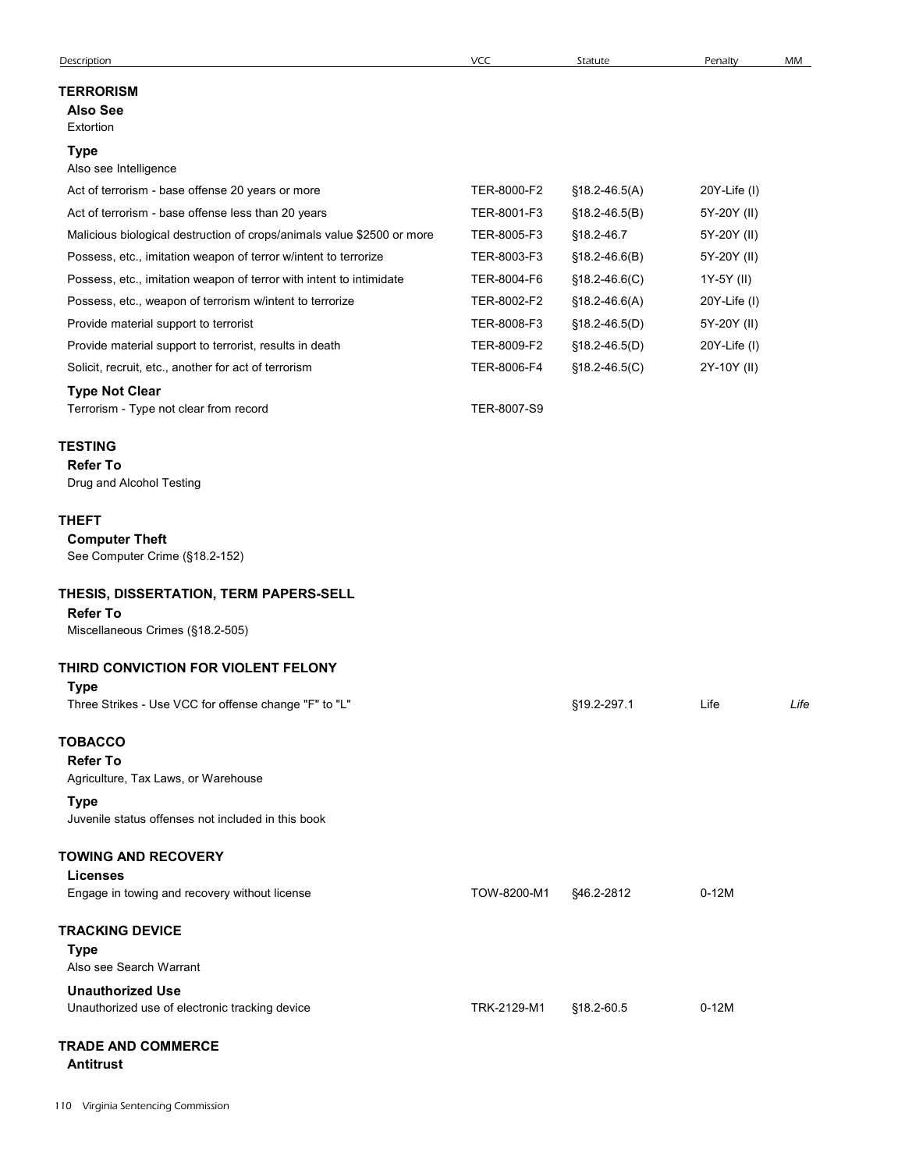| Description                                                                                   | VCC         | Statute           | Penalty      | MM   |
|-----------------------------------------------------------------------------------------------|-------------|-------------------|--------------|------|
| <b>TERRORISM</b><br><b>Also See</b><br>Extortion                                              |             |                   |              |      |
| <b>Type</b><br>Also see Intelligence                                                          |             |                   |              |      |
| Act of terrorism - base offense 20 years or more                                              | TER-8000-F2 | $$18.2-46.5(A)$   | 20Y-Life (I) |      |
| Act of terrorism - base offense less than 20 years                                            | TER-8001-F3 | $$18.2-46.5(B)$   | 5Y-20Y (II)  |      |
| Malicious biological destruction of crops/animals value \$2500 or more                        | TER-8005-F3 | §18.2-46.7        | 5Y-20Y (II)  |      |
| Possess, etc., imitation weapon of terror w/intent to terrorize                               | TER-8003-F3 | $$18.2 - 46.6(B)$ | 5Y-20Y (II)  |      |
| Possess, etc., imitation weapon of terror with intent to intimidate                           | TER-8004-F6 | $$18.2-46.6(C)$   | 1Y-5Y (II)   |      |
| Possess, etc., weapon of terrorism w/intent to terrorize                                      | TER-8002-F2 | $$18.2-46.6(A)$   | 20Y-Life (I) |      |
| Provide material support to terrorist                                                         | TER-8008-F3 | $$18.2-46.5(D)$   | 5Y-20Y (II)  |      |
| Provide material support to terrorist, results in death                                       | TER-8009-F2 | $$18.2-46.5(D)$   | 20Y-Life (I) |      |
| Solicit, recruit, etc., another for act of terrorism                                          | TER-8006-F4 | $$18.2-46.5(C)$   | 2Y-10Y (II)  |      |
| <b>Type Not Clear</b><br>Terrorism - Type not clear from record                               | TER-8007-S9 |                   |              |      |
| <b>TESTING</b><br><b>Refer To</b><br>Drug and Alcohol Testing                                 |             |                   |              |      |
| <b>THEFT</b><br><b>Computer Theft</b><br>See Computer Crime (§18.2-152)                       |             |                   |              |      |
| THESIS, DISSERTATION, TERM PAPERS-SELL<br><b>Refer To</b><br>Miscellaneous Crimes (§18.2-505) |             |                   |              |      |
|                                                                                               |             |                   |              |      |
| THIRD CONVICTION FOR VIOLENT FELONY<br>Type                                                   |             |                   |              |      |
| Three Strikes - Use VCC for offense change "F" to "L"                                         |             | §19.2-297.1       | Life         | Life |
| <b>TOBACCO</b><br><b>Refer To</b><br>Agriculture, Tax Laws, or Warehouse                      |             |                   |              |      |
| <b>Type</b><br>Juvenile status offenses not included in this book                             |             |                   |              |      |
| <b>TOWING AND RECOVERY</b>                                                                    |             |                   |              |      |
| <b>Licenses</b><br>Engage in towing and recovery without license                              | TOW-8200-M1 | §46.2-2812        | $0-12M$      |      |
| <b>TRACKING DEVICE</b><br>Type<br>Also see Search Warrant                                     |             |                   |              |      |
| <b>Unauthorized Use</b><br>Unauthorized use of electronic tracking device                     | TRK-2129-M1 | §18.2-60.5        | $0-12M$      |      |
| <b>TRADE AND COMMERCE</b><br><b>Antitrust</b>                                                 |             |                   |              |      |
|                                                                                               |             |                   |              |      |
|                                                                                               |             |                   |              |      |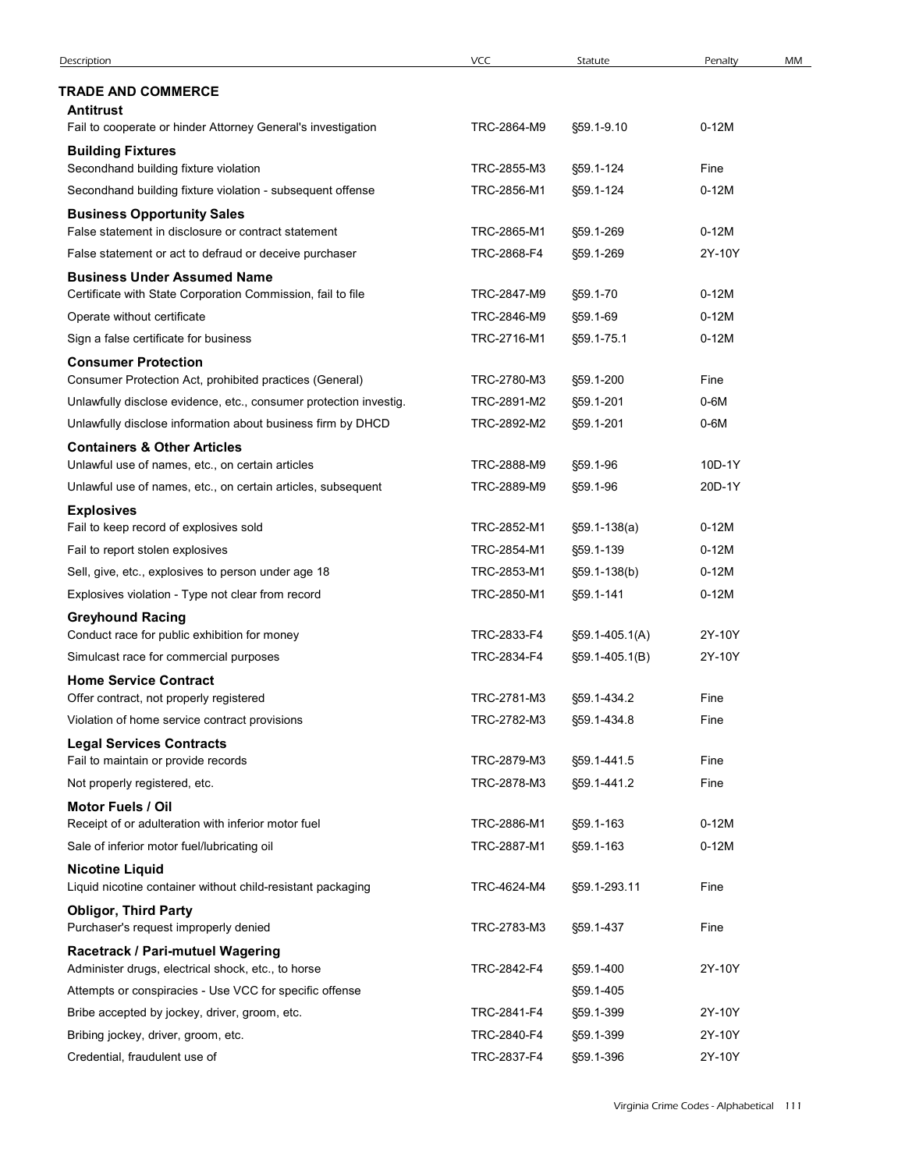| Description                                                                                                   | <b>VCC</b>                 | Statute                | Penalty           | MM |
|---------------------------------------------------------------------------------------------------------------|----------------------------|------------------------|-------------------|----|
| <b>TRADE AND COMMERCE</b>                                                                                     |                            |                        |                   |    |
| Antitrust                                                                                                     |                            |                        |                   |    |
| Fail to cooperate or hinder Attorney General's investigation                                                  | TRC-2864-M9                | §59.1-9.10             | $0-12M$           |    |
| <b>Building Fixtures</b>                                                                                      |                            |                        |                   |    |
| Secondhand building fixture violation                                                                         | TRC-2855-M3                | §59.1-124              | Fine              |    |
| Secondhand building fixture violation - subsequent offense                                                    | TRC-2856-M1                | §59.1-124              | $0-12M$           |    |
| <b>Business Opportunity Sales</b>                                                                             |                            |                        |                   |    |
| False statement in disclosure or contract statement<br>False statement or act to defraud or deceive purchaser | TRC-2865-M1<br>TRC-2868-F4 | §59.1-269<br>§59.1-269 | $0-12M$<br>2Y-10Y |    |
| <b>Business Under Assumed Name</b>                                                                            |                            |                        |                   |    |
| Certificate with State Corporation Commission, fail to file                                                   | TRC-2847-M9                | §59.1-70               | $0-12M$           |    |
| Operate without certificate                                                                                   | TRC-2846-M9                | §59.1-69               | $0-12M$           |    |
| Sign a false certificate for business                                                                         | TRC-2716-M1                | §59.1-75.1             | $0-12M$           |    |
| <b>Consumer Protection</b>                                                                                    |                            |                        |                   |    |
| Consumer Protection Act, prohibited practices (General)                                                       | TRC-2780-M3                | §59.1-200              | Fine              |    |
| Unlawfully disclose evidence, etc., consumer protection investig.                                             | TRC-2891-M2                | §59.1-201              | $0-6M$            |    |
| Unlawfully disclose information about business firm by DHCD                                                   | TRC-2892-M2                | §59.1-201              | $0-6M$            |    |
| <b>Containers &amp; Other Articles</b><br>Unlawful use of names, etc., on certain articles                    | TRC-2888-M9                | §59.1-96               | 10D-1Y            |    |
| Unlawful use of names, etc., on certain articles, subsequent                                                  | TRC-2889-M9                | §59.1-96               | 20D-1Y            |    |
| <b>Explosives</b>                                                                                             |                            |                        |                   |    |
| Fail to keep record of explosives sold                                                                        | TRC-2852-M1                | $$59.1-138(a)$         | $0-12M$           |    |
| Fail to report stolen explosives                                                                              | TRC-2854-M1                | §59.1-139              | $0-12M$           |    |
| Sell, give, etc., explosives to person under age 18                                                           | TRC-2853-M1                | §59.1-138(b)           | $0-12M$           |    |
| Explosives violation - Type not clear from record                                                             | TRC-2850-M1                | §59.1-141              | $0-12M$           |    |
| <b>Greyhound Racing</b>                                                                                       |                            |                        |                   |    |
| Conduct race for public exhibition for money                                                                  | TRC-2833-F4                | §59.1-405.1(A)         | 2Y-10Y            |    |
| Simulcast race for commercial purposes                                                                        | TRC-2834-F4                | $\S59.1 - 405.1(B)$    | 2Y-10Y            |    |
| <b>Home Service Contract</b><br>Offer contract, not properly registered                                       | TRC-2781-M3                | §59.1-434.2            | Fine              |    |
| Violation of home service contract provisions                                                                 | TRC-2782-M3                | §59.1-434.8            | Fine              |    |
| <b>Legal Services Contracts</b>                                                                               |                            |                        |                   |    |
| Fail to maintain or provide records                                                                           | TRC-2879-M3                | §59.1-441.5            | Fine              |    |
| Not properly registered, etc.                                                                                 | TRC-2878-M3                | §59.1-441.2            | Fine              |    |
| <b>Motor Fuels / Oil</b>                                                                                      |                            |                        |                   |    |
| Receipt of or adulteration with inferior motor fuel                                                           | TRC-2886-M1                | §59.1-163              | $0-12M$           |    |
| Sale of inferior motor fuel/lubricating oil                                                                   | TRC-2887-M1                | §59.1-163              | $0-12M$           |    |
| <b>Nicotine Liquid</b><br>Liquid nicotine container without child-resistant packaging                         | TRC-4624-M4                | §59.1-293.11           | Fine              |    |
| <b>Obligor, Third Party</b>                                                                                   |                            |                        |                   |    |
| Purchaser's request improperly denied                                                                         | TRC-2783-M3                | §59.1-437              | Fine              |    |
| Racetrack / Pari-mutuel Wagering                                                                              |                            |                        |                   |    |
| Administer drugs, electrical shock, etc., to horse                                                            | TRC-2842-F4                | §59.1-400              | 2Y-10Y            |    |
| Attempts or conspiracies - Use VCC for specific offense                                                       |                            | §59.1-405              |                   |    |
| Bribe accepted by jockey, driver, groom, etc.                                                                 | TRC-2841-F4                | §59.1-399              | 2Y-10Y            |    |
| Bribing jockey, driver, groom, etc.                                                                           | TRC-2840-F4                | §59.1-399              | 2Y-10Y            |    |
| Credential, fraudulent use of                                                                                 | TRC-2837-F4                | §59.1-396              | 2Y-10Y            |    |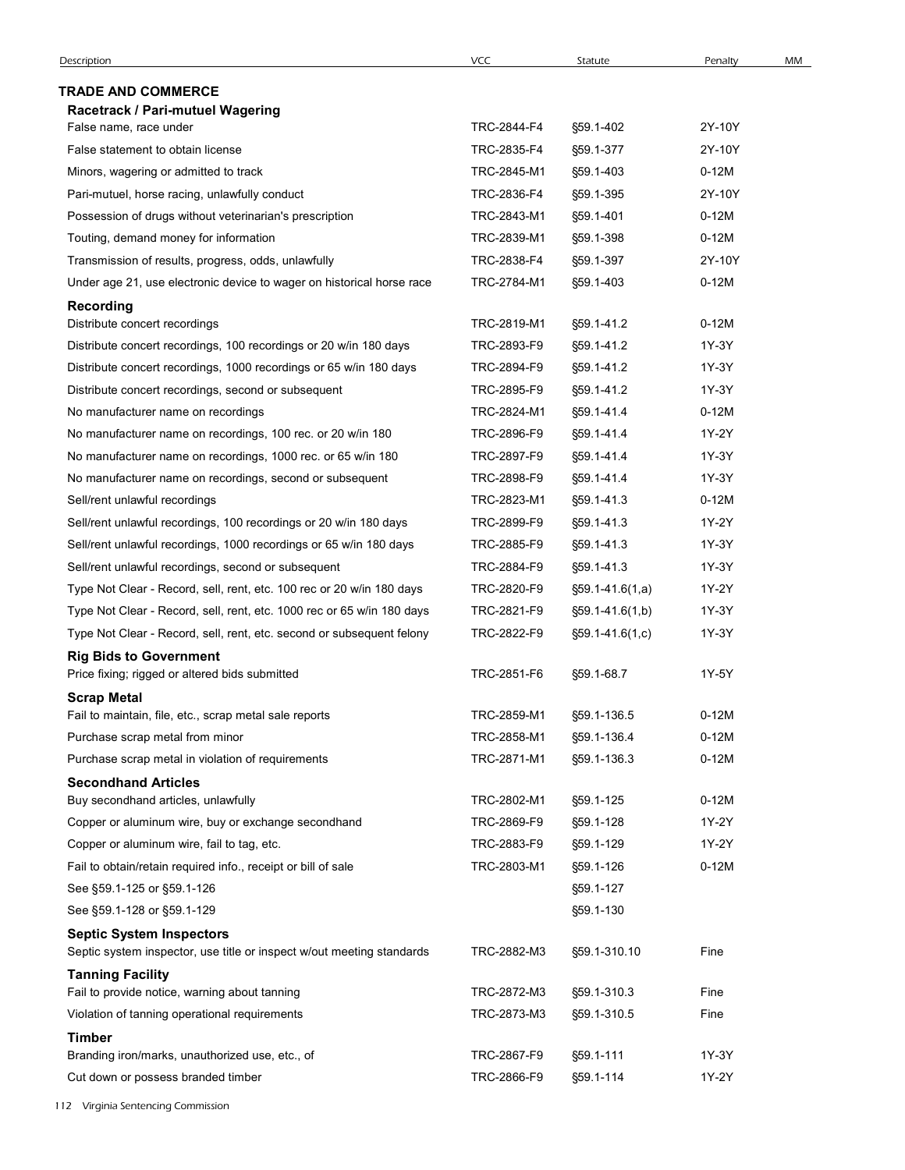| Description                                                                                              | <b>VCC</b>  | Statute               | Penalty | MM |
|----------------------------------------------------------------------------------------------------------|-------------|-----------------------|---------|----|
| <b>TRADE AND COMMERCE</b>                                                                                |             |                       |         |    |
| Racetrack / Pari-mutuel Wagering                                                                         |             |                       |         |    |
| False name, race under                                                                                   | TRC-2844-F4 | §59.1-402             | 2Y-10Y  |    |
| False statement to obtain license                                                                        | TRC-2835-F4 | §59.1-377             | 2Y-10Y  |    |
| Minors, wagering or admitted to track                                                                    | TRC-2845-M1 | §59.1-403             | $0-12M$ |    |
| Pari-mutuel, horse racing, unlawfully conduct                                                            | TRC-2836-F4 | §59.1-395             | 2Y-10Y  |    |
| Possession of drugs without veterinarian's prescription                                                  | TRC-2843-M1 | §59.1-401             | $0-12M$ |    |
| Touting, demand money for information                                                                    | TRC-2839-M1 | §59.1-398             | $0-12M$ |    |
| Transmission of results, progress, odds, unlawfully                                                      | TRC-2838-F4 | §59.1-397             | 2Y-10Y  |    |
| Under age 21, use electronic device to wager on historical horse race                                    | TRC-2784-M1 | §59.1-403             | $0-12M$ |    |
| <b>Recording</b><br>Distribute concert recordings                                                        | TRC-2819-M1 | §59.1-41.2            | $0-12M$ |    |
| Distribute concert recordings, 100 recordings or 20 w/in 180 days                                        | TRC-2893-F9 | §59.1-41.2            | 1Y-3Y   |    |
| Distribute concert recordings, 1000 recordings or 65 w/in 180 days                                       | TRC-2894-F9 | §59.1-41.2            | 1Y-3Y   |    |
| Distribute concert recordings, second or subsequent                                                      | TRC-2895-F9 | §59.1-41.2            | 1Y-3Y   |    |
| No manufacturer name on recordings                                                                       | TRC-2824-M1 | §59.1-41.4            | $0-12M$ |    |
| No manufacturer name on recordings, 100 rec. or 20 w/in 180                                              | TRC-2896-F9 | §59.1-41.4            | 1Y-2Y   |    |
| No manufacturer name on recordings, 1000 rec. or 65 w/in 180                                             | TRC-2897-F9 | §59.1-41.4            | 1Y-3Y   |    |
| No manufacturer name on recordings, second or subsequent                                                 | TRC-2898-F9 | §59.1-41.4            | 1Y-3Y   |    |
| Sell/rent unlawful recordings                                                                            | TRC-2823-M1 | §59.1-41.3            | $0-12M$ |    |
| Sell/rent unlawful recordings, 100 recordings or 20 w/in 180 days                                        | TRC-2899-F9 | §59.1-41.3            | 1Y-2Y   |    |
| Sell/rent unlawful recordings, 1000 recordings or 65 w/in 180 days                                       | TRC-2885-F9 | §59.1-41.3            | 1Y-3Y   |    |
| Sell/rent unlawful recordings, second or subsequent                                                      | TRC-2884-F9 | §59.1-41.3            | 1Y-3Y   |    |
| Type Not Clear - Record, sell, rent, etc. 100 rec or 20 w/in 180 days                                    | TRC-2820-F9 | $$59.1-41.6(1,a)$     | 1Y-2Y   |    |
| Type Not Clear - Record, sell, rent, etc. 1000 rec or 65 w/in 180 days                                   | TRC-2821-F9 | $\S59.1 - 41.6(1,b)$  | 1Y-3Y   |    |
| Type Not Clear - Record, sell, rent, etc. second or subsequent felony                                    | TRC-2822-F9 | $\S59.1 - 41.6(1, c)$ | 1Y-3Y   |    |
| <b>Rig Bids to Government</b><br>Price fixing; rigged or altered bids submitted                          | TRC-2851-F6 | §59.1-68.7            | 1Y-5Y   |    |
| <b>Scrap Metal</b><br>Fail to maintain, file, etc., scrap metal sale reports                             | TRC-2859-M1 | §59.1-136.5           | $0-12M$ |    |
| Purchase scrap metal from minor                                                                          | TRC-2858-M1 | §59.1-136.4           | $0-12M$ |    |
| Purchase scrap metal in violation of requirements                                                        | TRC-2871-M1 | §59.1-136.3           | $0-12M$ |    |
| <b>Secondhand Articles</b>                                                                               |             |                       |         |    |
| Buy secondhand articles, unlawfully                                                                      | TRC-2802-M1 | §59.1-125             | $0-12M$ |    |
| Copper or aluminum wire, buy or exchange secondhand                                                      | TRC-2869-F9 | §59.1-128             | 1Y-2Y   |    |
| Copper or aluminum wire, fail to tag, etc.                                                               | TRC-2883-F9 | §59.1-129             | 1Y-2Y   |    |
| Fail to obtain/retain required info., receipt or bill of sale                                            | TRC-2803-M1 | §59.1-126             | $0-12M$ |    |
| See §59.1-125 or §59.1-126                                                                               |             | §59.1-127             |         |    |
| See §59.1-128 or §59.1-129                                                                               |             | §59.1-130             |         |    |
| <b>Septic System Inspectors</b><br>Septic system inspector, use title or inspect w/out meeting standards | TRC-2882-M3 | §59.1-310.10          | Fine    |    |
| <b>Tanning Facility</b>                                                                                  |             |                       |         |    |
| Fail to provide notice, warning about tanning                                                            | TRC-2872-M3 | §59.1-310.3           | Fine    |    |
| Violation of tanning operational requirements                                                            | TRC-2873-M3 | §59.1-310.5           | Fine    |    |
| <b>Timber</b><br>Branding iron/marks, unauthorized use, etc., of                                         | TRC-2867-F9 | §59.1-111             | 1Y-3Y   |    |
| Cut down or possess branded timber                                                                       | TRC-2866-F9 | §59.1-114             | 1Y-2Y   |    |
|                                                                                                          |             |                       |         |    |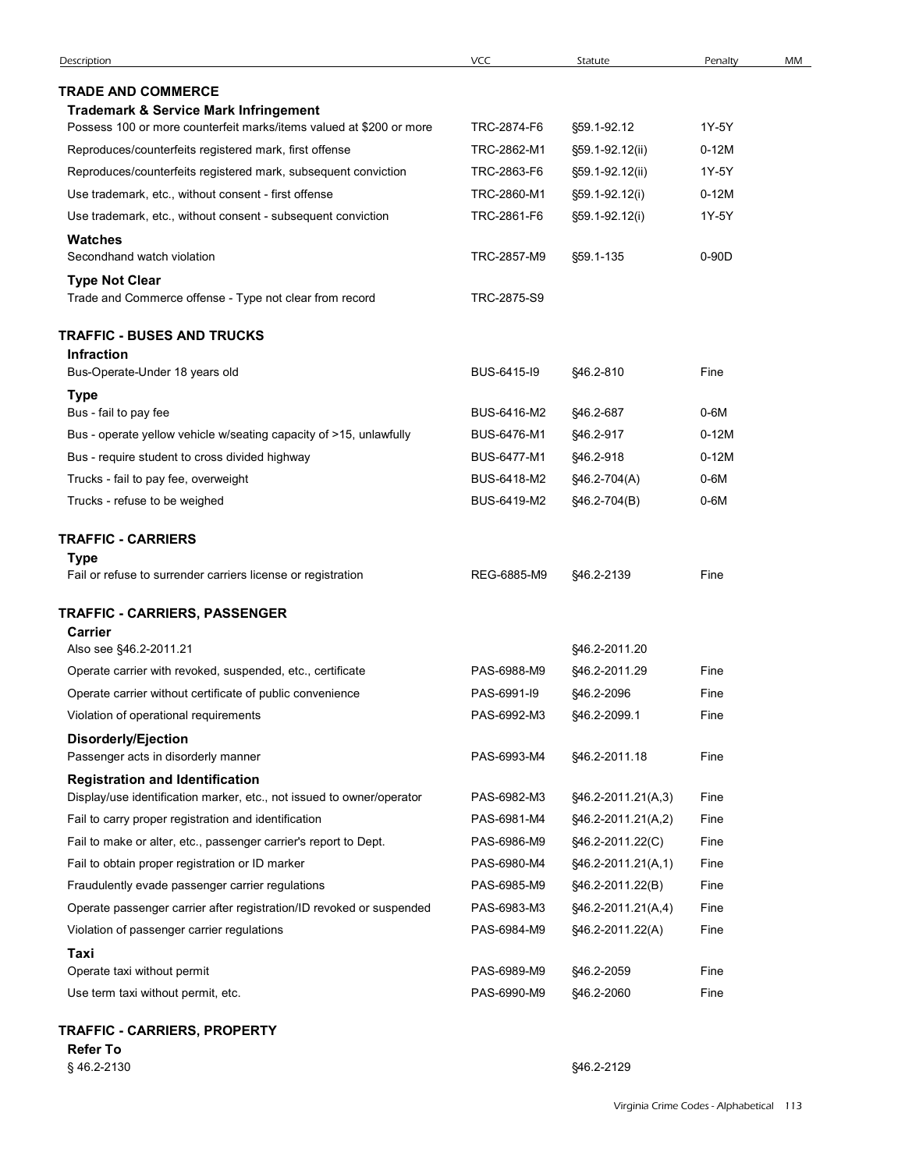| <b>TRADE AND COMMERCE</b><br><b>Trademark &amp; Service Mark Infringement</b><br>Possess 100 or more counterfeit marks/items valued at \$200 or more | TRC-2874-F6 | §59.1-92.12                 | 1Y-5Y   |  |
|------------------------------------------------------------------------------------------------------------------------------------------------------|-------------|-----------------------------|---------|--|
| Reproduces/counterfeits registered mark, first offense                                                                                               | TRC-2862-M1 | §59.1-92.12(ii)             | $0-12M$ |  |
| Reproduces/counterfeits registered mark, subsequent conviction                                                                                       | TRC-2863-F6 | §59.1-92.12(ii)             | 1Y-5Y   |  |
| Use trademark, etc., without consent - first offense                                                                                                 | TRC-2860-M1 | §59.1-92.12(i)              | $0-12M$ |  |
| Use trademark, etc., without consent - subsequent conviction                                                                                         | TRC-2861-F6 | §59.1-92.12(i)              | 1Y-5Y   |  |
| Watches<br>Secondhand watch violation                                                                                                                | TRC-2857-M9 | §59.1-135                   | $0-90D$ |  |
| <b>Type Not Clear</b><br>Trade and Commerce offense - Type not clear from record                                                                     | TRC-2875-S9 |                             |         |  |
| <b>TRAFFIC - BUSES AND TRUCKS</b>                                                                                                                    |             |                             |         |  |
| <b>Infraction</b>                                                                                                                                    |             |                             |         |  |
| Bus-Operate-Under 18 years old                                                                                                                       | BUS-6415-19 | §46.2-810                   | Fine    |  |
| <b>Type</b><br>Bus - fail to pay fee                                                                                                                 | BUS-6416-M2 | §46.2-687                   | $0-6M$  |  |
| Bus - operate yellow vehicle w/seating capacity of >15, unlawfully                                                                                   | BUS-6476-M1 | §46.2-917                   | $0-12M$ |  |
| Bus - require student to cross divided highway                                                                                                       | BUS-6477-M1 | §46.2-918                   | $0-12M$ |  |
| Trucks - fail to pay fee, overweight                                                                                                                 | BUS-6418-M2 | §46.2-704(A)                | $0-6M$  |  |
| Trucks - refuse to be weighed                                                                                                                        | BUS-6419-M2 | §46.2-704(B)                | $0-6M$  |  |
| <b>TRAFFIC - CARRIERS</b>                                                                                                                            |             |                             |         |  |
| Type                                                                                                                                                 |             |                             |         |  |
| Fail or refuse to surrender carriers license or registration                                                                                         | REG-6885-M9 | §46.2-2139                  | Fine    |  |
| <b>TRAFFIC - CARRIERS, PASSENGER</b>                                                                                                                 |             |                             |         |  |
| <b>Carrier</b><br>Also see §46.2-2011.21                                                                                                             |             |                             |         |  |
|                                                                                                                                                      | PAS-6988-M9 | §46.2-2011.20               | Fine    |  |
| Operate carrier with revoked, suspended, etc., certificate<br>Operate carrier without certificate of public convenience                              | PAS-6991-I9 | §46.2-2011.29<br>§46.2-2096 | Fine    |  |
| Violation of operational requirements                                                                                                                | PAS-6992-M3 |                             | Fine    |  |
|                                                                                                                                                      |             | §46.2-2099.1                |         |  |
| <b>Disorderly/Ejection</b><br>Passenger acts in disorderly manner                                                                                    | PAS-6993-M4 | §46.2-2011.18               | Fine    |  |
| <b>Registration and Identification</b>                                                                                                               |             |                             |         |  |
| Display/use identification marker, etc., not issued to owner/operator                                                                                | PAS-6982-M3 | §46.2-2011.21(A,3)          | Fine    |  |
| Fail to carry proper registration and identification                                                                                                 | PAS-6981-M4 | §46.2-2011.21(A,2)          | Fine    |  |
| Fail to make or alter, etc., passenger carrier's report to Dept.                                                                                     | PAS-6986-M9 | §46.2-2011.22(C)            | Fine    |  |
| Fail to obtain proper registration or ID marker                                                                                                      | PAS-6980-M4 | §46.2-2011.21(A,1)          | Fine    |  |
| Fraudulently evade passenger carrier regulations                                                                                                     | PAS-6985-M9 | §46.2-2011.22(B)            | Fine    |  |
| Operate passenger carrier after registration/ID revoked or suspended                                                                                 | PAS-6983-M3 | §46.2-2011.21(A,4)          | Fine    |  |
| Violation of passenger carrier regulations                                                                                                           | PAS-6984-M9 | §46.2-2011.22(A)            | Fine    |  |
| Taxi<br>Operate taxi without permit                                                                                                                  | PAS-6989-M9 | §46.2-2059                  | Fine    |  |
| Use term taxi without permit, etc.                                                                                                                   | PAS-6990-M9 | §46.2-2060                  | Fine    |  |
| TRAFFIC - CARRIERS, PROPERTY                                                                                                                         |             |                             |         |  |
| <b>Refer To</b><br>§46.2-2130                                                                                                                        |             |                             |         |  |
|                                                                                                                                                      |             | §46.2-2129                  |         |  |

# TRAFFIC - CARRIERS, PROPERTY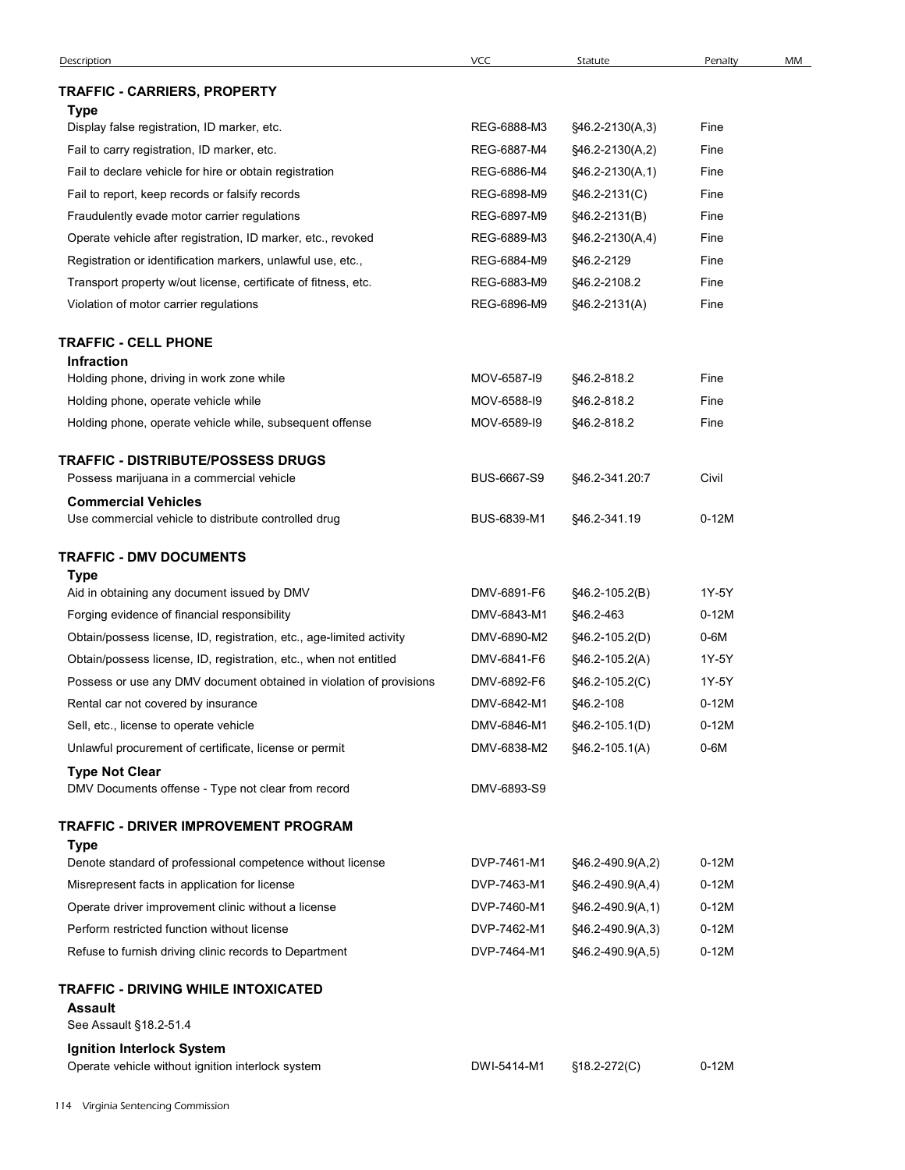|                                                                                                    | VCC                        | Statute                              | Penalty            | MM |
|----------------------------------------------------------------------------------------------------|----------------------------|--------------------------------------|--------------------|----|
| TRAFFIC - CARRIERS, PROPERTY                                                                       |                            |                                      |                    |    |
| Type                                                                                               |                            |                                      |                    |    |
| Display false registration, ID marker, etc.<br>Fail to carry registration, ID marker, etc.         | REG-6888-M3<br>REG-6887-M4 | §46.2-2130(A,3)<br>§46.2-2130(A,2)   | Fine<br>Fine       |    |
| Fail to declare vehicle for hire or obtain registration                                            | REG-6886-M4                | §46.2-2130(A,1)                      | Fine               |    |
| Fail to report, keep records or falsify records                                                    | REG-6898-M9                | §46.2-2131(C)                        | Fine               |    |
| Fraudulently evade motor carrier regulations                                                       | REG-6897-M9                | §46.2-2131(B)                        | Fine               |    |
| Operate vehicle after registration, ID marker, etc., revoked                                       | REG-6889-M3                | §46.2-2130(A,4)                      | Fine               |    |
| Registration or identification markers, unlawful use, etc.,                                        | REG-6884-M9                | §46.2-2129                           | Fine               |    |
| Transport property w/out license, certificate of fitness, etc.                                     | REG-6883-M9                | §46.2-2108.2                         | Fine               |    |
| Violation of motor carrier regulations                                                             | REG-6896-M9                | §46.2-2131(A)                        | Fine               |    |
| <b>TRAFFIC - CELL PHONE</b>                                                                        |                            |                                      |                    |    |
| <b>Infraction</b>                                                                                  |                            |                                      |                    |    |
| Holding phone, driving in work zone while                                                          | MOV-6587-19                | §46.2-818.2                          | Fine               |    |
| Holding phone, operate vehicle while<br>Holding phone, operate vehicle while, subsequent offense   | MOV-6588-I9<br>MOV-6589-I9 | §46.2-818.2<br>§46.2-818.2           | Fine<br>Fine       |    |
|                                                                                                    |                            |                                      |                    |    |
| <b>TRAFFIC - DISTRIBUTE/POSSESS DRUGS</b><br>Possess marijuana in a commercial vehicle             | BUS-6667-S9                | §46.2-341.20:7                       | Civil              |    |
| <b>Commercial Vehicles</b>                                                                         |                            |                                      |                    |    |
| Use commercial vehicle to distribute controlled drug                                               | BUS-6839-M1                | §46.2-341.19                         | $0-12M$            |    |
| <b>TRAFFIC - DMV DOCUMENTS</b>                                                                     |                            |                                      |                    |    |
| <b>Type</b>                                                                                        |                            |                                      |                    |    |
| Aid in obtaining any document issued by DMV                                                        | DMV-6891-F6                | $$46.2-105.2(B)$                     | 1Y-5Y              |    |
| Forging evidence of financial responsibility                                                       | DMV-6843-M1                | §46.2-463                            | $0-12M$            |    |
| Obtain/possess license, ID, registration, etc., age-limited activity                               | DMV-6890-M2                | §46.2-105.2(D)                       | $0-6M$             |    |
| Obtain/possess license, ID, registration, etc., when not entitled                                  | DMV-6841-F6                | §46.2-105.2(A)                       | 1Y-5Y              |    |
| Possess or use any DMV document obtained in violation of provisions                                | DMV-6892-F6                | §46.2-105.2(C)                       | 1Y-5Y              |    |
| Rental car not covered by insurance<br>Sell, etc., license to operate vehicle                      | DMV-6842-M1<br>DMV-6846-M1 | §46.2-108                            | $0-12M$<br>$0-12M$ |    |
| Unlawful procurement of certificate, license or permit                                             | DMV-6838-M2                | §46.2-105.1(D)<br>§46.2-105.1(A)     | $0-6M$             |    |
| <b>Type Not Clear</b>                                                                              |                            |                                      |                    |    |
| DMV Documents offense - Type not clear from record                                                 | DMV-6893-S9                |                                      |                    |    |
| TRAFFIC - DRIVER IMPROVEMENT PROGRAM                                                               |                            |                                      |                    |    |
| Type                                                                                               |                            |                                      |                    |    |
| Denote standard of professional competence without license                                         | DVP-7461-M1                | §46.2-490.9(A,2)                     | $0-12M$            |    |
| Misrepresent facts in application for license                                                      | DVP-7463-M1                | §46.2-490.9(A,4)                     | $0-12M$<br>$0-12M$ |    |
| Operate driver improvement clinic without a license<br>Perform restricted function without license | DVP-7460-M1<br>DVP-7462-M1 | §46.2-490.9(A,1)<br>§46.2-490.9(A,3) | $0-12M$            |    |
| Refuse to furnish driving clinic records to Department                                             | DVP-7464-M1                | §46.2-490.9(A,5)                     | $0-12M$            |    |
|                                                                                                    |                            |                                      |                    |    |
| TRAFFIC - DRIVING WHILE INTOXICATED<br><b>Assault</b>                                              |                            |                                      |                    |    |
| See Assault §18.2-51.4                                                                             |                            |                                      |                    |    |
| Ignition Interlock System                                                                          |                            |                                      |                    |    |
| Operate vehicle without ignition interlock system                                                  | DWI-5414-M1 §18.2-272(C)   |                                      | $0-12M$            |    |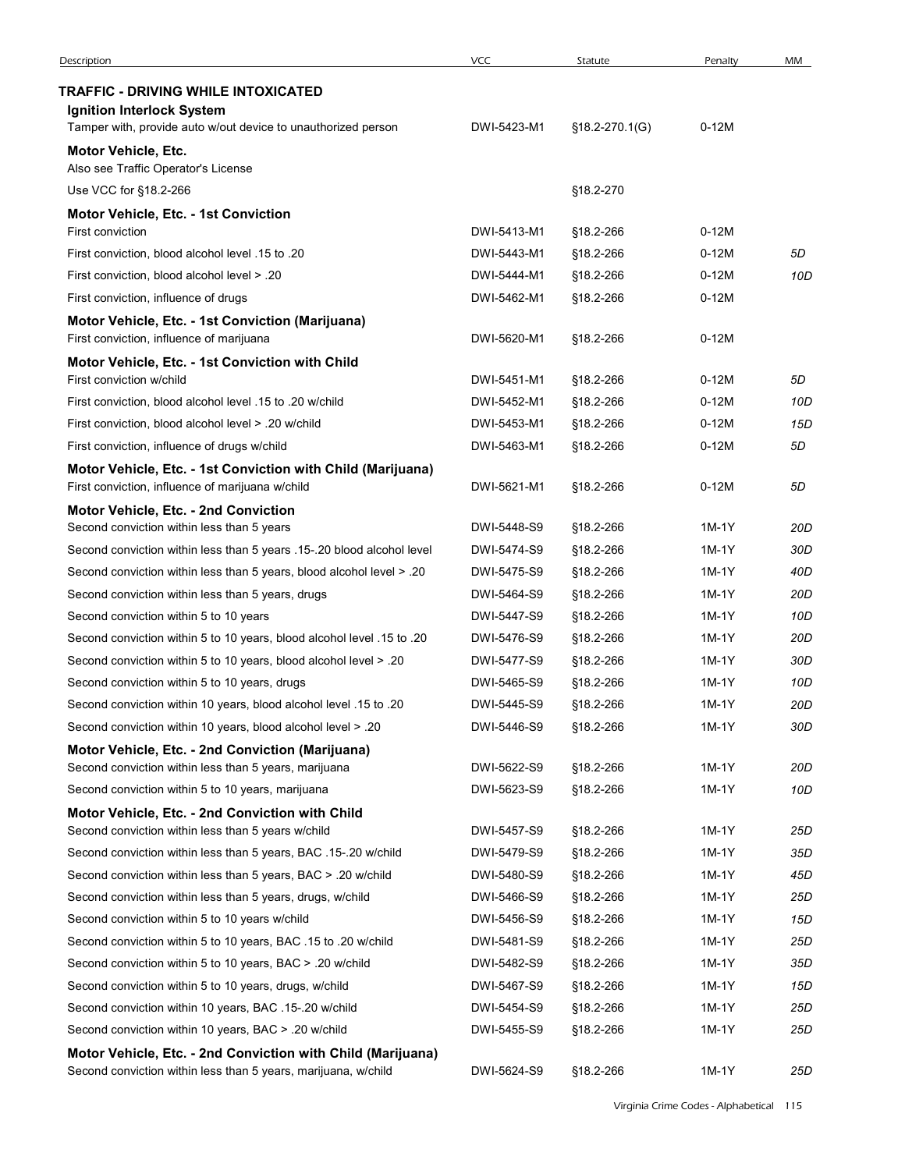| Description                                                                                                                                     | <b>VCC</b>                 | Statute                | Penalty          | MM         |
|-------------------------------------------------------------------------------------------------------------------------------------------------|----------------------------|------------------------|------------------|------------|
| TRAFFIC - DRIVING WHILE INTOXICATED<br>Ignition Interlock System                                                                                |                            |                        |                  |            |
| Tamper with, provide auto w/out device to unauthorized person                                                                                   | DWI-5423-M1                | $$18.2-270.1(G)$       | $0-12M$          |            |
| Motor Vehicle, Etc.<br>Also see Traffic Operator's License                                                                                      |                            |                        |                  |            |
| Use VCC for §18.2-266                                                                                                                           |                            | §18.2-270              |                  |            |
| Motor Vehicle, Etc. - 1st Conviction                                                                                                            |                            |                        |                  |            |
| First conviction                                                                                                                                | DWI-5413-M1                | §18.2-266              | 0-12M            |            |
| First conviction, blood alcohol level .15 to .20<br>First conviction, blood alcohol level > .20                                                 | DWI-5443-M1                | §18.2-266              | $0-12M$          | 5D         |
| First conviction, influence of drugs                                                                                                            | DWI-5444-M1<br>DWI-5462-M1 | §18.2-266<br>§18.2-266 | 0-12M<br>$0-12M$ | 10D        |
| Motor Vehicle, Etc. - 1st Conviction (Marijuana)                                                                                                |                            |                        |                  |            |
| First conviction, influence of marijuana                                                                                                        | DWI-5620-M1                | §18.2-266              | $0-12M$          |            |
| Motor Vehicle, Etc. - 1st Conviction with Child<br>First conviction w/child                                                                     | DWI-5451-M1                | §18.2-266              | 0-12M            | 5D         |
| First conviction, blood alcohol level .15 to .20 w/child                                                                                        | DWI-5452-M1                | §18.2-266              | $0-12M$          | 10D        |
| First conviction, blood alcohol level > .20 w/child                                                                                             | DWI-5453-M1                | \$18.2-266             | $0-12M$          | 15D        |
| First conviction, influence of drugs w/child                                                                                                    | DWI-5463-M1                | §18.2-266              | $0-12M$          | 5D         |
| Motor Vehicle, Etc. - 1st Conviction with Child (Marijuana)<br>First conviction, influence of marijuana w/child                                 | DWI-5621-M1                | §18.2-266              | $0-12M$          | 5D         |
| <b>Motor Vehicle, Etc. - 2nd Conviction</b>                                                                                                     |                            |                        |                  |            |
| Second conviction within less than 5 years                                                                                                      | DWI-5448-S9<br>DWI-5474-S9 | §18.2-266              | 1M-1Y<br>1M-1Y   | 20D<br>30D |
| Second conviction within less than 5 years .15-.20 blood alcohol level<br>Second conviction within less than 5 years, blood alcohol level > .20 | DWI-5475-S9                | §18.2-266<br>§18.2-266 | 1M-1Y            | 40D        |
| Second conviction within less than 5 years, drugs                                                                                               | DWI-5464-S9                | §18.2-266              | 1M-1Y            | 20D        |
| Second conviction within 5 to 10 years                                                                                                          | DWI-5447-S9                | §18.2-266              | 1M-1Y            | 10D        |
| Second conviction within 5 to 10 years, blood alcohol level .15 to .20                                                                          | DWI-5476-S9                | §18.2-266              | 1M-1Y            | 20D        |
| Second conviction within 5 to 10 years, blood alcohol level > .20                                                                               | DWI-5477-S9                | §18.2-266              | 1M-1Y            | 30D        |
| Second conviction within 5 to 10 years, drugs                                                                                                   | DWI-5465-S9                | §18.2-266              | 1M-1Y            | 10D        |
| Second conviction within 10 years, blood alcohol level .15 to .20                                                                               | DWI-5445-S9                | §18.2-266              | 1M-1Y            | 20D        |
| Second conviction within 10 years, blood alcohol level > .20                                                                                    | DWI-5446-S9                | §18.2-266              | 1M-1Y            | 30D        |
| Motor Vehicle, Etc. - 2nd Conviction (Marijuana)                                                                                                |                            |                        |                  |            |
| Second conviction within less than 5 years, marijuana                                                                                           | DWI-5622-S9                | §18.2-266              | 1M-1Y            | 20D        |
| Second conviction within 5 to 10 years, marijuana<br>Motor Vehicle, Etc. - 2nd Conviction with Child                                            | DWI-5623-S9                | §18.2-266              | 1M-1Y            | 10D        |
| Second conviction within less than 5 years w/child                                                                                              | DWI-5457-S9                | §18.2-266              | 1M-1Y            | 25D        |
| Second conviction within less than 5 years, BAC .15-.20 w/child                                                                                 | DWI-5479-S9                | §18.2-266              | 1M-1Y            | 35D        |
| Second conviction within less than 5 years, BAC > .20 w/child                                                                                   | DWI-5480-S9                | §18.2-266              | 1M-1Y            | 45D        |
| Second conviction within less than 5 years, drugs, w/child                                                                                      | DWI-5466-S9                | §18.2-266              | 1M-1Y            | 25D        |
| Second conviction within 5 to 10 years w/child                                                                                                  | DWI-5456-S9                | §18.2-266              | 1M-1Y            | 15D        |
| Second conviction within 5 to 10 years, BAC .15 to .20 w/child                                                                                  | DWI-5481-S9                | §18.2-266              | 1M-1Y            | 25D        |
| Second conviction within 5 to 10 years, BAC > .20 w/child                                                                                       | DWI-5482-S9                | §18.2-266              | 1M-1Y            | 35D        |
| Second conviction within 5 to 10 years, drugs, w/child                                                                                          | DWI-5467-S9                | §18.2-266              | 1M-1Y            | 15D        |
| Second conviction within 10 years, BAC .15-.20 w/child                                                                                          | DWI-5454-S9                | §18.2-266              | 1M-1Y            | 25D        |
| Second conviction within 10 years, BAC > .20 w/child                                                                                            | DWI-5455-S9                | §18.2-266              | 1M-1Y            | 25D        |
| Motor Vehicle, Etc. - 2nd Conviction with Child (Marijuana)<br>Second conviction within less than 5 years, marijuana, w/child                   | DWI-5624-S9                | §18.2-266              | $1M-1Y$          | 25D        |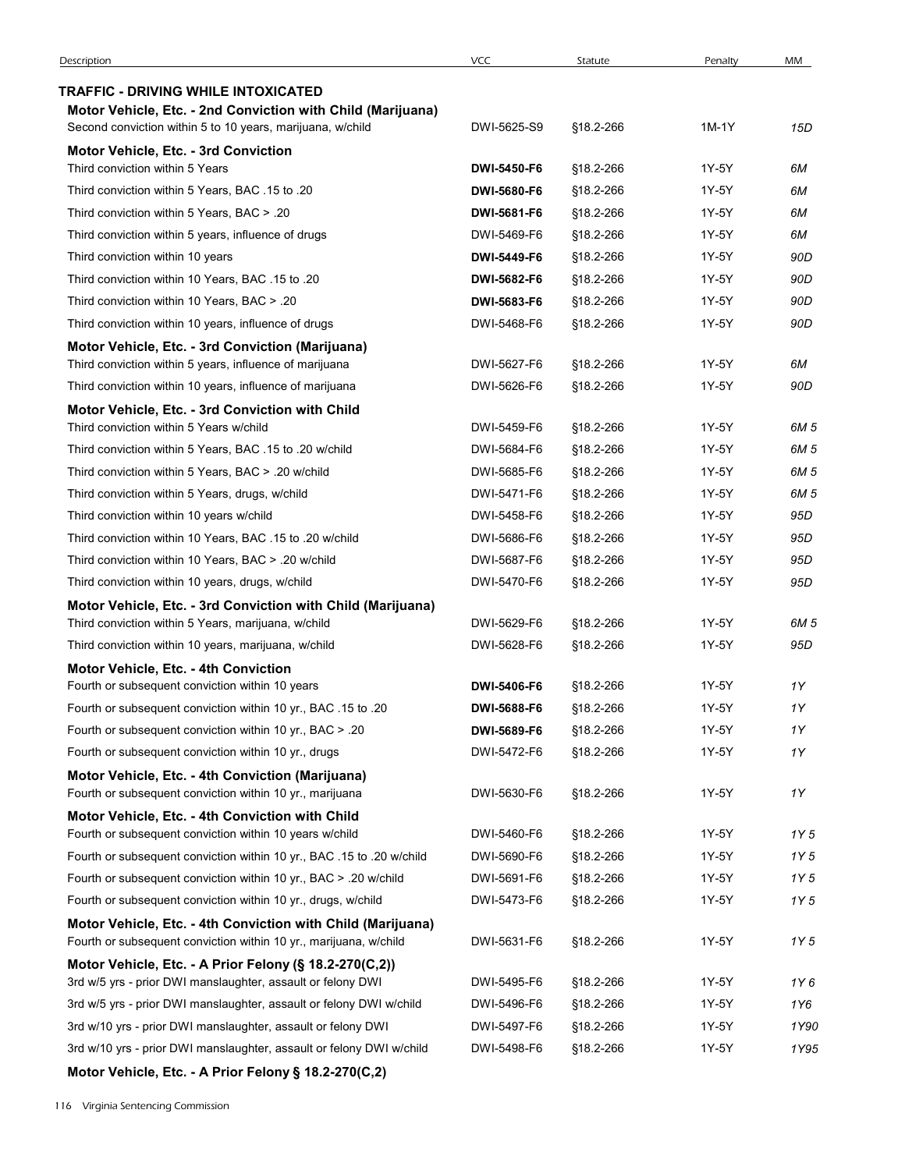| Description                                                                                                                      | <b>VCC</b>  | Statute   | Penalty | MM   |
|----------------------------------------------------------------------------------------------------------------------------------|-------------|-----------|---------|------|
| TRAFFIC - DRIVING WHILE INTOXICATED                                                                                              |             |           |         |      |
| Motor Vehicle, Etc. - 2nd Conviction with Child (Marijuana)                                                                      |             |           |         |      |
| Second conviction within 5 to 10 years, marijuana, w/child                                                                       | DWI-5625-S9 | §18.2-266 | $1M-1Y$ | 15D  |
| Motor Vehicle, Etc. - 3rd Conviction<br>Third conviction within 5 Years                                                          | DWI-5450-F6 | §18.2-266 | 1Y-5Y   | 6M   |
| Third conviction within 5 Years, BAC .15 to .20                                                                                  | DWI-5680-F6 | §18.2-266 | 1Y-5Y   | 6M   |
| Third conviction within 5 Years, BAC > .20                                                                                       | DWI-5681-F6 | §18.2-266 | 1Y-5Y   | 6M   |
| Third conviction within 5 years, influence of drugs                                                                              | DWI-5469-F6 | §18.2-266 | 1Y-5Y   | 6M   |
| Third conviction within 10 years                                                                                                 | DWI-5449-F6 | §18.2-266 | 1Y-5Y   | 90D  |
| Third conviction within 10 Years, BAC .15 to .20                                                                                 | DWI-5682-F6 | §18.2-266 | 1Y-5Y   | 90D  |
| Third conviction within 10 Years, BAC > .20                                                                                      | DWI-5683-F6 | §18.2-266 | 1Y-5Y   | 90D  |
| Third conviction within 10 years, influence of drugs                                                                             | DWI-5468-F6 | §18.2-266 | 1Y-5Y   | 90D  |
| Motor Vehicle, Etc. - 3rd Conviction (Marijuana)                                                                                 |             |           |         |      |
| Third conviction within 5 years, influence of marijuana                                                                          | DWI-5627-F6 | §18.2-266 | 1Y-5Y   | 6M   |
| Third conviction within 10 years, influence of marijuana                                                                         | DWI-5626-F6 | §18.2-266 | 1Y-5Y   | 90D  |
| Motor Vehicle, Etc. - 3rd Conviction with Child<br>Third conviction within 5 Years w/child                                       | DWI-5459-F6 | §18.2-266 | 1Y-5Y   | 6M 5 |
| Third conviction within 5 Years, BAC .15 to .20 w/child                                                                          | DWI-5684-F6 | §18.2-266 | 1Y-5Y   | 6M 5 |
| Third conviction within 5 Years, BAC > .20 w/child                                                                               | DWI-5685-F6 | §18.2-266 | 1Y-5Y   | 6M 5 |
| Third conviction within 5 Years, drugs, w/child                                                                                  | DWI-5471-F6 | §18.2-266 | 1Y-5Y   | 6M 5 |
| Third conviction within 10 years w/child                                                                                         | DWI-5458-F6 | §18.2-266 | 1Y-5Y   | 95D  |
| Third conviction within 10 Years, BAC .15 to .20 w/child                                                                         | DWI-5686-F6 | §18.2-266 | 1Y-5Y   | 95D  |
| Third conviction within 10 Years, BAC > .20 w/child                                                                              | DWI-5687-F6 | §18.2-266 | 1Y-5Y   | 95D  |
| Third conviction within 10 years, drugs, w/child                                                                                 | DWI-5470-F6 | §18.2-266 | 1Y-5Y   | 95D  |
| Motor Vehicle, Etc. - 3rd Conviction with Child (Marijuana)                                                                      |             |           |         |      |
| Third conviction within 5 Years, marijuana, w/child                                                                              | DWI-5629-F6 | §18.2-266 | 1Y-5Y   | 6M 5 |
| Third conviction within 10 years, marijuana, w/child                                                                             | DWI-5628-F6 | §18.2-266 | 1Y-5Y   | 95D  |
| <b>Motor Vehicle, Etc. - 4th Conviction</b><br>Fourth or subsequent conviction within 10 years                                   | DWI-5406-F6 | §18.2-266 | 1Y-5Y   | 1Y   |
| Fourth or subsequent conviction within 10 yr., BAC .15 to .20                                                                    | DWI-5688-F6 | §18.2-266 | 1Y-5Y   | 1Y   |
| Fourth or subsequent conviction within 10 yr., BAC > .20                                                                         | DWI-5689-F6 | §18.2-266 | 1Y-5Y   | 1Y   |
| Fourth or subsequent conviction within 10 yr., drugs                                                                             | DWI-5472-F6 | §18.2-266 | 1Y-5Y   | 1Y   |
| Motor Vehicle, Etc. - 4th Conviction (Marijuana)                                                                                 |             |           |         |      |
| Fourth or subsequent conviction within 10 yr., marijuana                                                                         | DWI-5630-F6 | §18.2-266 | 1Y-5Y   | 1Y   |
| Motor Vehicle, Etc. - 4th Conviction with Child                                                                                  |             |           |         |      |
| Fourth or subsequent conviction within 10 years w/child                                                                          | DWI-5460-F6 | §18.2-266 | 1Y-5Y   | 1Y 5 |
| Fourth or subsequent conviction within 10 yr., BAC .15 to .20 w/child                                                            | DWI-5690-F6 | §18.2-266 | 1Y-5Y   | 1Y 5 |
| Fourth or subsequent conviction within 10 yr., BAC > .20 w/child                                                                 | DWI-5691-F6 | §18.2-266 | 1Y-5Y   | 1Y 5 |
| Fourth or subsequent conviction within 10 yr., drugs, w/child                                                                    | DWI-5473-F6 | §18.2-266 | 1Y-5Y   | 1Y 5 |
| Motor Vehicle, Etc. - 4th Conviction with Child (Marijuana)<br>Fourth or subsequent conviction within 10 yr., marijuana, w/child | DWI-5631-F6 | §18.2-266 | 1Y-5Y   | 1Y 5 |
| Motor Vehicle, Etc. - A Prior Felony (§ 18.2-270(C,2))                                                                           |             |           |         |      |
| 3rd w/5 yrs - prior DWI manslaughter, assault or felony DWI                                                                      | DWI-5495-F6 | §18.2-266 | 1Y-5Y   | 1Y6  |
| 3rd w/5 yrs - prior DWI manslaughter, assault or felony DWI w/child                                                              | DWI-5496-F6 | §18.2-266 | 1Y-5Y   | 1Y6  |
| 3rd w/10 yrs - prior DWI manslaughter, assault or felony DWI                                                                     | DWI-5497-F6 | §18.2-266 | 1Y-5Y   | 1Y90 |
| 3rd w/10 yrs - prior DWI manslaughter, assault or felony DWI w/child                                                             | DWI-5498-F6 | §18.2-266 | 1Y-5Y   | 1Y95 |
| Motor Vehicle, Etc. - A Prior Felony § 18.2-270(C,2)                                                                             |             |           |         |      |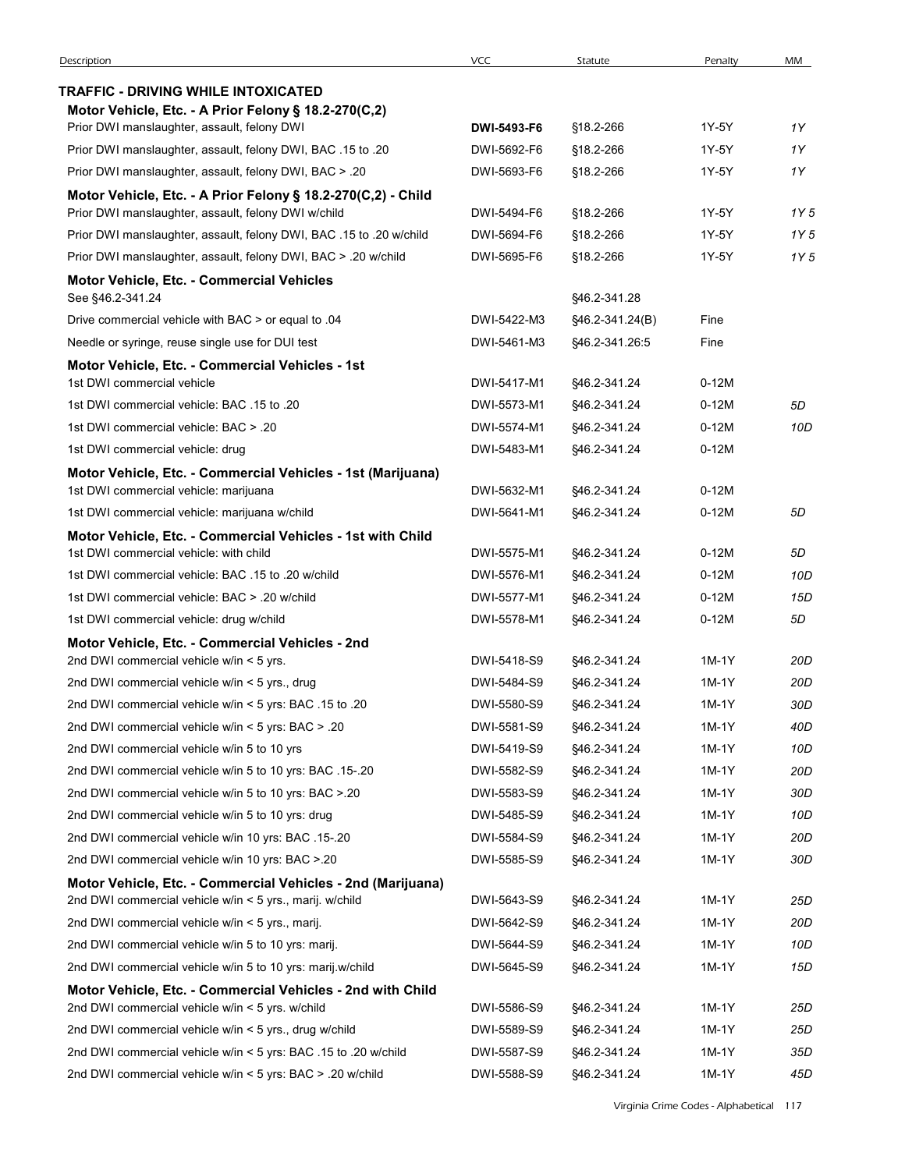| Description                                                                                                             | <b>VCC</b>  | Statute         | Penalty | MM   |
|-------------------------------------------------------------------------------------------------------------------------|-------------|-----------------|---------|------|
| TRAFFIC - DRIVING WHILE INTOXICATED                                                                                     |             |                 |         |      |
| Motor Vehicle, Etc. - A Prior Felony § 18.2-270(C,2)                                                                    |             |                 |         |      |
| Prior DWI manslaughter, assault, felony DWI                                                                             | DWI-5493-F6 | §18.2-266       | 1Y-5Y   | 1Y   |
| Prior DWI manslaughter, assault, felony DWI, BAC .15 to .20                                                             | DWI-5692-F6 | §18.2-266       | 1Y-5Y   | 1Y   |
| Prior DWI manslaughter, assault, felony DWI, BAC > .20                                                                  | DWI-5693-F6 | §18.2-266       | 1Y-5Y   | 1Y   |
| Motor Vehicle, Etc. - A Prior Felony § 18.2-270(C,2) - Child                                                            |             |                 |         |      |
| Prior DWI manslaughter, assault, felony DWI w/child                                                                     | DWI-5494-F6 | §18.2-266       | 1Y-5Y   | 1Y 5 |
| Prior DWI manslaughter, assault, felony DWI, BAC .15 to .20 w/child                                                     | DWI-5694-F6 | §18.2-266       | 1Y-5Y   | 1Y 5 |
| Prior DWI manslaughter, assault, felony DWI, BAC > .20 w/child                                                          | DWI-5695-F6 | §18.2-266       | 1Y-5Y   | 1Y 5 |
| <b>Motor Vehicle, Etc. - Commercial Vehicles</b><br>See §46.2-341.24                                                    |             | §46.2-341.28    |         |      |
| Drive commercial vehicle with BAC > or equal to .04                                                                     | DWI-5422-M3 | §46.2-341.24(B) | Fine    |      |
| Needle or syringe, reuse single use for DUI test                                                                        | DWI-5461-M3 | §46.2-341.26:5  | Fine    |      |
| Motor Vehicle, Etc. - Commercial Vehicles - 1st                                                                         |             |                 |         |      |
| 1st DWI commercial vehicle                                                                                              | DWI-5417-M1 | \$46.2-341.24   | 0-12M   |      |
| 1st DWI commercial vehicle: BAC .15 to .20                                                                              | DWI-5573-M1 | §46.2-341.24    | $0-12M$ | 5D   |
| 1st DWI commercial vehicle: BAC > .20                                                                                   | DWI-5574-M1 | \$46.2-341.24   | 0-12M   | 10D  |
| 1st DWI commercial vehicle: drug                                                                                        | DWI-5483-M1 | §46.2-341.24    | $0-12M$ |      |
| Motor Vehicle, Etc. - Commercial Vehicles - 1st (Marijuana)                                                             |             |                 |         |      |
| 1st DWI commercial vehicle: marijuana                                                                                   | DWI-5632-M1 | \$46.2-341.24   | $0-12M$ |      |
| 1st DWI commercial vehicle: marijuana w/child                                                                           | DWI-5641-M1 | §46.2-341.24    | $0-12M$ | 5D   |
| Motor Vehicle, Etc. - Commercial Vehicles - 1st with Child<br>1st DWI commercial vehicle: with child                    | DWI-5575-M1 | §46.2-341.24    | $0-12M$ | 5D   |
| 1st DWI commercial vehicle: BAC .15 to .20 w/child                                                                      | DWI-5576-M1 | §46.2-341.24    | $0-12M$ | 10D  |
| 1st DWI commercial vehicle: BAC > .20 w/child                                                                           | DWI-5577-M1 | §46.2-341.24    | $0-12M$ | 15D  |
| 1st DWI commercial vehicle: drug w/child                                                                                | DWI-5578-M1 | §46.2-341.24    | $0-12M$ | 5D   |
| Motor Vehicle, Etc. - Commercial Vehicles - 2nd                                                                         |             |                 |         |      |
| 2nd DWI commercial vehicle w/in < 5 yrs.                                                                                | DWI-5418-S9 | §46.2-341.24    | 1M-1Y   | 20D  |
| 2nd DWI commercial vehicle w/in < 5 yrs., drug                                                                          | DWI-5484-S9 | §46.2-341.24    | 1M-1Y   | 20D  |
| 20. 20 21. 215 2nd DWI commercial vehicle w/in < 5 yrs: BAC                                                             | DWI-5580-S9 | §46.2-341.24    | 1M-1Y   | 30D  |
| 20. <a>20. 2nd DWI commercial vehicle w/in<br/> &lt; 5 yrs: BAC<br/> <math display="inline">&gt; .20</math></a>         | DWI-5581-S9 | §46.2-341.24    | 1M-1Y   | 40D  |
| 2nd DWI commercial vehicle w/in 5 to 10 yrs                                                                             | DWI-5419-S9 | §46.2-341.24    | 1M-1Y   | 10D  |
| 20.-15. 20 2nd DWI commercial vehicle w/in 5 to 10 yrs: BAC                                                             | DWI-5582-S9 | §46.2-341.24    | 1M-1Y   | 20D  |
| 2nd DWI commercial vehicle w/in 5 to 10 yrs: BAC > 20                                                                   | DWI-5583-S9 | §46.2-341.24    | 1M-1Y   | 30D  |
| 2nd DWI commercial vehicle w/in 5 to 10 yrs: drug                                                                       | DWI-5485-S9 | §46.2-341.24    | 1M-1Y   | 10D  |
| 2nd DWI commercial vehicle w/in 10 yrs: BAC .15-.20                                                                     | DWI-5584-S9 | §46.2-341.24    | 1M-1Y   | 20D  |
| 2nd DWI commercial vehicle w/in 10 yrs: BAC > 20                                                                        | DWI-5585-S9 | §46.2-341.24    | 1M-1Y   | 30D  |
| Motor Vehicle, Etc. - Commercial Vehicles - 2nd (Marijuana)<br>2nd DWI commercial vehicle w/in < 5 yrs., marij. w/child | DWI-5643-S9 | §46.2-341.24    | 1M-1Y   | 25D  |
| 2nd DWI commercial vehicle w/in < 5 yrs., marij.                                                                        | DWI-5642-S9 | §46.2-341.24    | 1M-1Y   | 20D  |
| 2nd DWI commercial vehicle w/in 5 to 10 yrs: marij.                                                                     | DWI-5644-S9 | §46.2-341.24    | 1M-1Y   | 10D  |
| 2nd DWI commercial vehicle w/in 5 to 10 yrs: marij.w/child                                                              | DWI-5645-S9 | §46.2-341.24    | 1M-1Y   | 15D  |
| Motor Vehicle, Etc. - Commercial Vehicles - 2nd with Child                                                              |             |                 |         |      |
| 2nd DWI commercial vehicle w/in < 5 yrs. w/child                                                                        | DWI-5586-S9 | §46.2-341.24    | 1M-1Y   | 25D  |
| 2nd DWI commercial vehicle w/in < 5 yrs., drug w/child                                                                  | DWI-5589-S9 | §46.2-341.24    | 1M-1Y   | 25D  |
| 2nd DWI commercial vehicle w/in < 5 yrs: BAC .15 to .20 w/child                                                         | DWI-5587-S9 | §46.2-341.24    | 1M-1Y   | 35D  |
|                                                                                                                         | DWI-5588-S9 | §46.2-341.24    | 1M-1Y   | 45D  |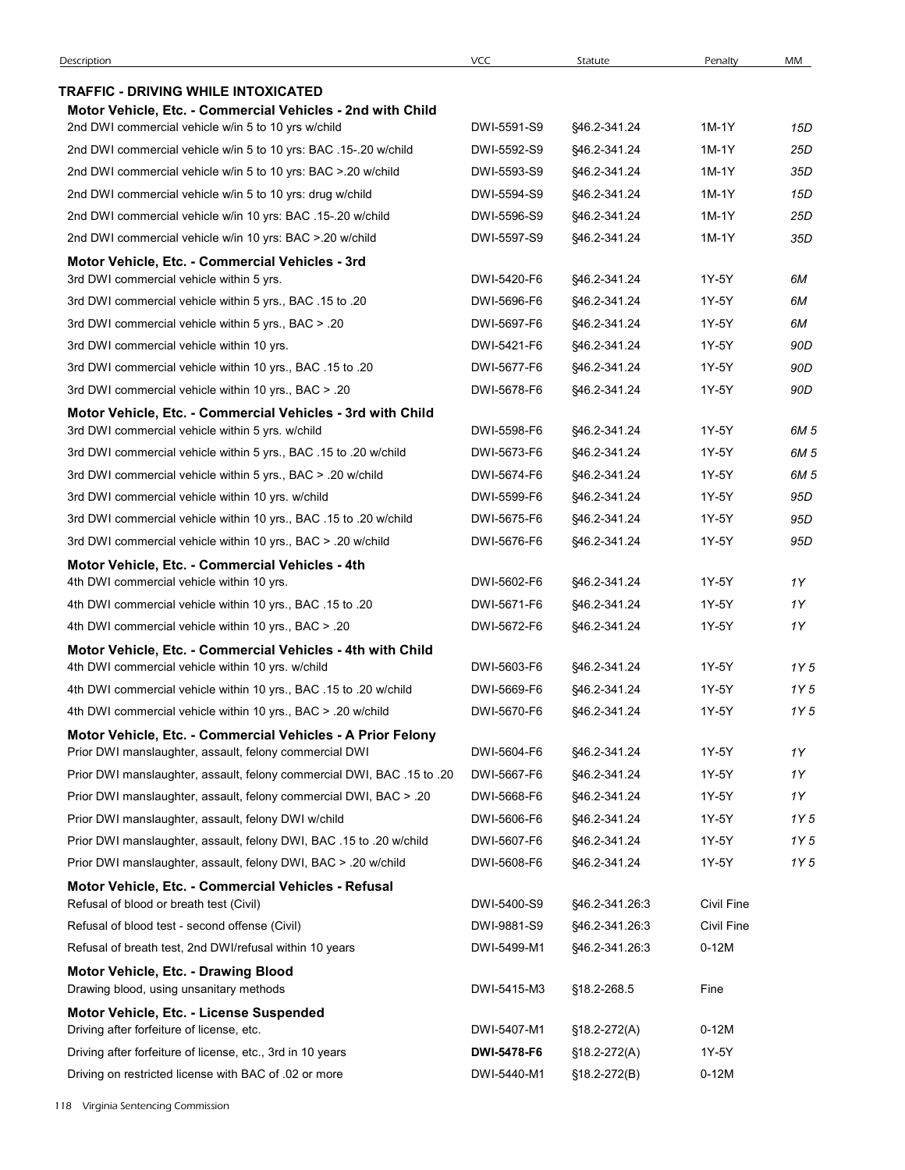| Description                                                                                                    | <b>VCC</b>                 | Statute                            | Penalty                  | MM   |
|----------------------------------------------------------------------------------------------------------------|----------------------------|------------------------------------|--------------------------|------|
| TRAFFIC - DRIVING WHILE INTOXICATED                                                                            |                            |                                    |                          |      |
| Motor Vehicle, Etc. - Commercial Vehicles - 2nd with Child                                                     |                            |                                    |                          |      |
| 2nd DWI commercial vehicle w/in 5 to 10 yrs w/child                                                            | DWI-5591-S9                | \$46.2-341.24                      | 1M-1Y                    | 15D  |
| 2nd DWI commercial vehicle w/in 5 to 10 yrs: BAC .15-.20 w/child                                               | DWI-5592-S9                | \$46.2-341.24                      | 1M-1Y                    | 25D  |
| 2nd DWI commercial vehicle w/in 5 to 10 yrs: BAC > 20 w/child                                                  | DWI-5593-S9                | \$46.2-341.24                      | 1M-1Y                    | 35D  |
| 2nd DWI commercial vehicle w/in 5 to 10 yrs: drug w/child                                                      | DWI-5594-S9                | \$46.2-341.24                      | 1M-1Y                    | 15D  |
| 2nd DWI commercial vehicle w/in 10 yrs: BAC .15-.20 w/child                                                    | DWI-5596-S9                | \$46.2-341.24                      | 1M-1Y                    | 25D  |
| 2nd DWI commercial vehicle w/in 10 yrs: BAC > 20 w/child                                                       | DWI-5597-S9                | §46.2-341.24                       | 1M-1Y                    | 35D  |
| Motor Vehicle, Etc. - Commercial Vehicles - 3rd                                                                |                            |                                    |                          |      |
| 3rd DWI commercial vehicle within 5 yrs.                                                                       | DWI-5420-F6                | §46.2-341.24                       | 1Y-5Y                    | 6M   |
| 3rd DWI commercial vehicle within 5 yrs., BAC .15 to .20                                                       | DWI-5696-F6                | §46.2-341.24                       | 1Y-5Y                    | 6M   |
| 3rd DWI commercial vehicle within 5 yrs., BAC > .20                                                            | DWI-5697-F6                | \$46.2-341.24                      | 1Y-5Y                    | 6M   |
| 3rd DWI commercial vehicle within 10 yrs.                                                                      | DWI-5421-F6                | §46.2-341.24                       | 1Y-5Y                    | 90D  |
| 3rd DWI commercial vehicle within 10 yrs., BAC .15 to .20                                                      | DWI-5677-F6                | \$46.2-341.24                      | 1Y-5Y                    | 90D  |
| 3rd DWI commercial vehicle within 10 yrs., BAC > .20                                                           | DWI-5678-F6                | §46.2-341.24                       | 1Y-5Y                    | 90D  |
| Motor Vehicle, Etc. - Commercial Vehicles - 3rd with Child<br>3rd DWI commercial vehicle within 5 yrs. w/child | DWI-5598-F6                | §46.2-341.24                       | 1Y-5Y                    | 6M 5 |
| 3rd DWI commercial vehicle within 5 yrs., BAC .15 to .20 w/child                                               | DWI-5673-F6                | §46.2-341.24                       | 1Y-5Y                    | 6M 5 |
| 3rd DWI commercial vehicle within 5 yrs., BAC > .20 w/child                                                    | DWI-5674-F6                | §46.2-341.24                       | 1Y-5Y                    | 6M 5 |
| 3rd DWI commercial vehicle within 10 yrs. w/child                                                              | DWI-5599-F6                | \$46.2-341.24                      | 1Y-5Y                    | 95D  |
| 3rd DWI commercial vehicle within 10 yrs., BAC .15 to .20 w/child                                              | DWI-5675-F6                | §46.2-341.24                       | 1Y-5Y                    | 95D  |
| 3rd DWI commercial vehicle within 10 yrs., BAC > .20 w/child                                                   | DWI-5676-F6                | §46.2-341.24                       | 1Y-5Y                    | 95D  |
| Motor Vehicle, Etc. - Commercial Vehicles - 4th                                                                |                            |                                    |                          |      |
| 4th DWI commercial vehicle within 10 yrs.                                                                      | DWI-5602-F6                | §46.2-341.24                       | 1Y-5Y                    | 1Y   |
| 4th DWI commercial vehicle within 10 yrs., BAC .15 to .20                                                      | DWI-5671-F6                | \$46.2-341.24                      | 1Y-5Y                    | 1Y   |
| 4th DWI commercial vehicle within 10 yrs., BAC > .20                                                           | DWI-5672-F6                | §46.2-341.24                       | 1Y-5Y                    | 1Y   |
| Motor Vehicle, Etc. - Commercial Vehicles - 4th with Child                                                     |                            |                                    |                          |      |
| 4th DWI commercial vehicle within 10 yrs. w/child                                                              | DWI-5603-F6                | \$46.2-341.24                      | 1Y-5Y                    | 1Y 5 |
| 4th DWI commercial vehicle within 10 yrs., BAC .15 to .20 w/child                                              | DWI-5669-F6                | §46.2-341.24                       | 1Y-5Y                    | 1Y 5 |
| 4th DWI commercial vehicle within 10 yrs., BAC > .20 w/child                                                   | DWI-5670-F6                | §46.2-341.24                       | 1Y-5Y                    | 1Y 5 |
| Motor Vehicle, Etc. - Commercial Vehicles - A Prior Felony                                                     |                            |                                    |                          |      |
| Prior DWI manslaughter, assault, felony commercial DWI                                                         | DWI-5604-F6                | §46.2-341.24                       | 1Y-5Y                    | 1Y   |
| Prior DWI manslaughter, assault, felony commercial DWI, BAC .15 to .20                                         | DWI-5667-F6                | \$46.2-341.24                      | 1Y-5Y                    | 1Y   |
| Prior DWI manslaughter, assault, felony commercial DWI, BAC > .20                                              | DWI-5668-F6                | §46.2-341.24                       | 1Y-5Y                    | 1Y   |
| Prior DWI manslaughter, assault, felony DWI w/child                                                            | DWI-5606-F6                | \$46.2-341.24                      | 1Y-5Y                    | 1Y 5 |
| Prior DWI manslaughter, assault, felony DWI, BAC .15 to .20 w/child                                            | DWI-5607-F6                | \$46.2-341.24                      | 1Y-5Y                    | 1Y 5 |
| Prior DWI manslaughter, assault, felony DWI, BAC > .20 w/child                                                 | DWI-5608-F6                | \$46.2-341.24                      | 1Y-5Y                    | 1Y 5 |
| Motor Vehicle, Etc. - Commercial Vehicles - Refusal                                                            |                            |                                    |                          |      |
| Refusal of blood or breath test (Civil)<br>Refusal of blood test - second offense (Civil)                      | DWI-5400-S9<br>DWI-9881-S9 | \$46.2-341.26:3<br>\$46.2-341.26:3 | Civil Fine<br>Civil Fine |      |
|                                                                                                                |                            |                                    |                          |      |
| Refusal of breath test, 2nd DWI/refusal within 10 years                                                        | DWI-5499-M1                | \$46.2-341.26:3                    | $0-12M$                  |      |
| Motor Vehicle, Etc. - Drawing Blood<br>Drawing blood, using unsanitary methods                                 | DWI-5415-M3                | §18.2-268.5                        | Fine                     |      |
| Motor Vehicle, Etc. - License Suspended                                                                        |                            |                                    |                          |      |
| Driving after forfeiture of license, etc.                                                                      | DWI-5407-M1                | $$18.2-272(A)$                     | $0-12M$                  |      |
| Driving after forfeiture of license, etc., 3rd in 10 years                                                     | DWI-5478-F6                | $$18.2-272(A)$                     | 1Y-5Y                    |      |
| Driving on restricted license with BAC of .02 or more                                                          | DWI-5440-M1                | $$18.2-272(B)$                     | $0-12M$                  |      |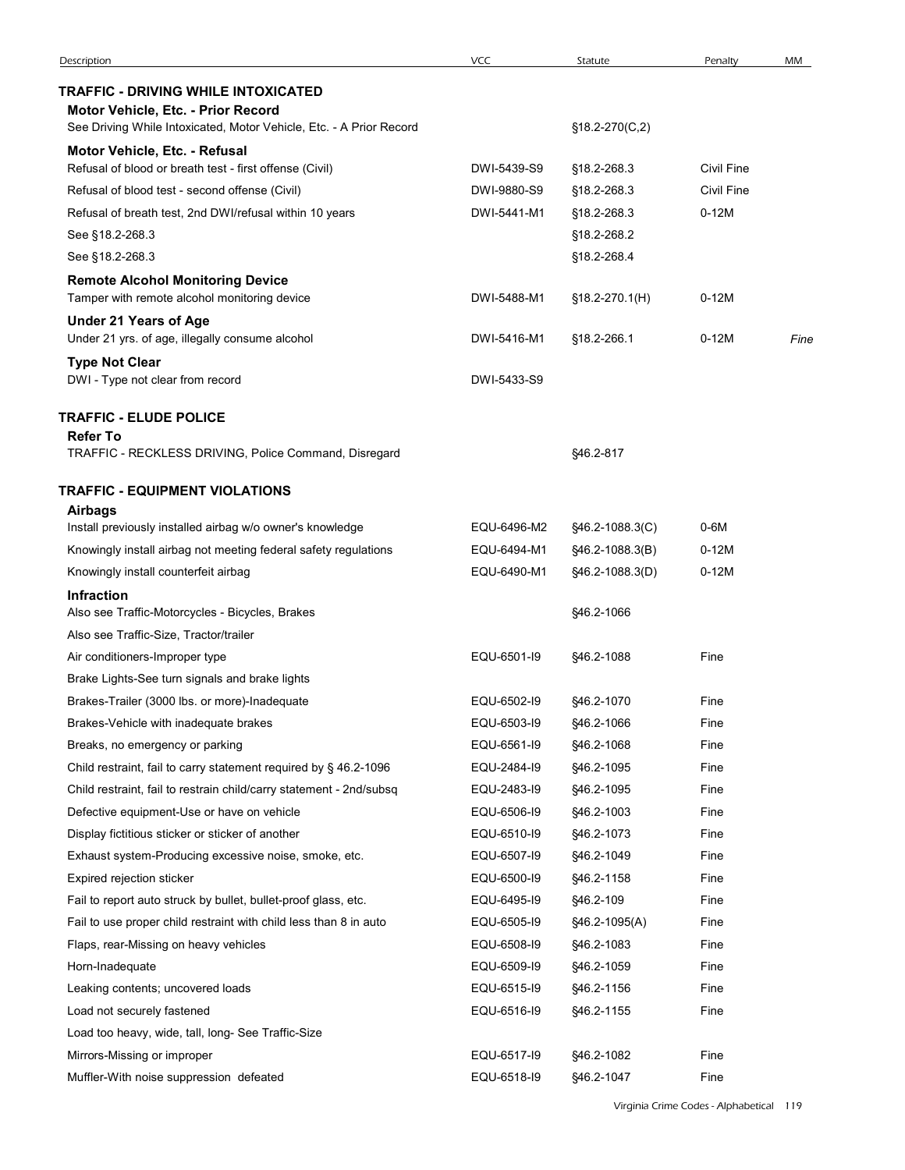| Description                                                                                                                                      | <b>VCC</b>                 | Statute                  | Penalty      | MM   |
|--------------------------------------------------------------------------------------------------------------------------------------------------|----------------------------|--------------------------|--------------|------|
|                                                                                                                                                  |                            |                          |              |      |
| TRAFFIC - DRIVING WHILE INTOXICATED<br>Motor Vehicle, Etc. - Prior Record<br>See Driving While Intoxicated, Motor Vehicle, Etc. - A Prior Record |                            | §18.2-270(C,2)           |              |      |
| Motor Vehicle, Etc. - Refusal                                                                                                                    |                            |                          |              |      |
| Refusal of blood or breath test - first offense (Civil)                                                                                          | DWI-5439-S9                | §18.2-268.3              | Civil Fine   |      |
| Refusal of blood test - second offense (Civil)                                                                                                   | DWI-9880-S9                | §18.2-268.3              | Civil Fine   |      |
| Refusal of breath test, 2nd DWI/refusal within 10 years                                                                                          | DWI-5441-M1                | §18.2-268.3              | $0-12M$      |      |
| See §18.2-268.3                                                                                                                                  |                            | §18.2-268.2              |              |      |
| See §18.2-268.3                                                                                                                                  |                            | §18.2-268.4              |              |      |
| <b>Remote Alcohol Monitoring Device</b><br>Tamper with remote alcohol monitoring device                                                          | DWI-5488-M1                | §18.2-270.1(H)           | $0-12M$      |      |
| <b>Under 21 Years of Age</b><br>Under 21 yrs. of age, illegally consume alcohol                                                                  | DWI-5416-M1                | §18.2-266.1              | $0-12M$      | Fine |
| <b>Type Not Clear</b><br>DWI - Type not clear from record                                                                                        | DWI-5433-S9                |                          |              |      |
| <b>TRAFFIC - ELUDE POLICE</b><br><b>Refer To</b>                                                                                                 |                            |                          |              |      |
| TRAFFIC - RECKLESS DRIVING, Police Command, Disregard                                                                                            |                            | §46.2-817                |              |      |
| <b>TRAFFIC - EQUIPMENT VIOLATIONS</b>                                                                                                            |                            |                          |              |      |
| <b>Airbags</b><br>Install previously installed airbag w/o owner's knowledge                                                                      | EQU-6496-M2                | §46.2-1088.3(C)          | $0-6M$       |      |
| Knowingly install airbag not meeting federal safety regulations                                                                                  | EQU-6494-M1                | §46.2-1088.3(B)          | $0-12M$      |      |
| Knowingly install counterfeit airbag                                                                                                             | EQU-6490-M1                | §46.2-1088.3(D)          | $0-12M$      |      |
| Infraction                                                                                                                                       |                            |                          |              |      |
| Also see Traffic-Motorcycles - Bicycles, Brakes<br>Also see Traffic-Size, Tractor/trailer                                                        |                            | §46.2-1066               |              |      |
| Air conditioners-Improper type                                                                                                                   | EQU-6501-I9                | §46.2-1088               | Fine         |      |
| Brake Lights-See turn signals and brake lights                                                                                                   |                            |                          |              |      |
| Brakes-Trailer (3000 lbs. or more)-Inadequate                                                                                                    | EQU-6502-I9                | §46.2-1070               | Fine         |      |
| Brakes-Vehicle with inadequate brakes                                                                                                            | EQU-6503-I9                | §46.2-1066               | Fine         |      |
| Breaks, no emergency or parking                                                                                                                  | EQU-6561-I9                | §46.2-1068               | Fine         |      |
| Child restraint, fail to carry statement required by § 46.2-1096                                                                                 | EQU-2484-I9                | §46.2-1095               | Fine         |      |
| Child restraint, fail to restrain child/carry statement - 2nd/subsq                                                                              | EQU-2483-I9<br>EQU-6506-I9 | §46.2-1095               | Fine<br>Fine |      |
| Defective equipment-Use or have on vehicle<br>Display fictitious sticker or sticker of another                                                   | EQU-6510-I9                | §46.2-1003<br>§46.2-1073 | Fine         |      |
| Exhaust system-Producing excessive noise, smoke, etc.                                                                                            | EQU-6507-I9                | §46.2-1049               | Fine         |      |
| Expired rejection sticker                                                                                                                        | EQU-6500-I9                | §46.2-1158               | Fine         |      |
| Fail to report auto struck by bullet, bullet-proof glass, etc.                                                                                   | EQU-6495-I9                | §46.2-109                | Fine         |      |
| Fail to use proper child restraint with child less than 8 in auto                                                                                | EQU-6505-I9                | §46.2-1095(A)            | Fine         |      |
| Flaps, rear-Missing on heavy vehicles                                                                                                            | EQU-6508-I9                | §46.2-1083               | Fine         |      |
| Horn-Inadequate                                                                                                                                  | EQU-6509-I9                | §46.2-1059               | Fine         |      |
| Leaking contents; uncovered loads                                                                                                                | EQU-6515-I9                | §46.2-1156               | Fine         |      |
| Load not securely fastened                                                                                                                       | EQU-6516-I9                | §46.2-1155               | Fine         |      |
| Load too heavy, wide, tall, long- See Traffic-Size                                                                                               |                            |                          |              |      |
| Mirrors-Missing or improper                                                                                                                      | EQU-6517-I9                | §46.2-1082               | Fine         |      |
|                                                                                                                                                  |                            |                          |              |      |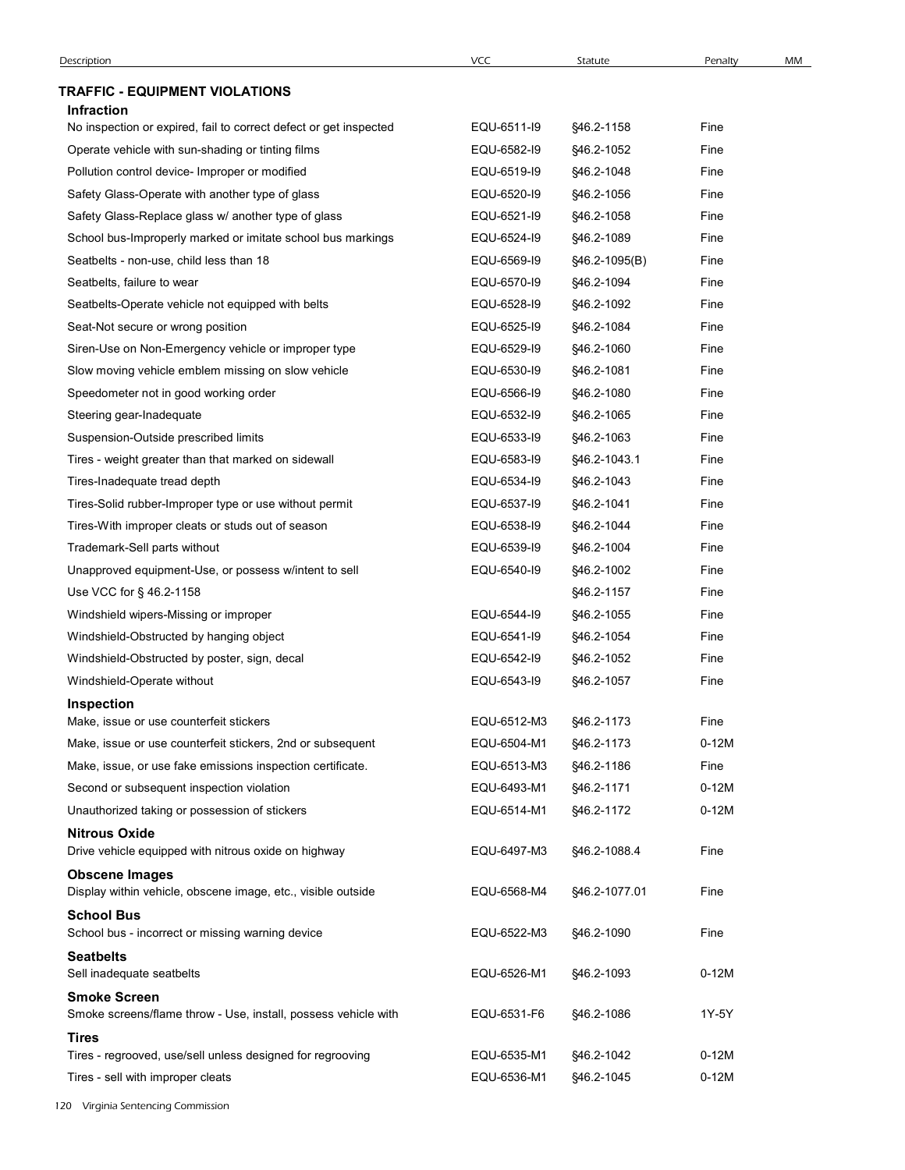| Description                                                                           |             |                 |         |    |
|---------------------------------------------------------------------------------------|-------------|-----------------|---------|----|
|                                                                                       | <b>VCC</b>  | Statute         | Penalty | MM |
| <b>TRAFFIC - EQUIPMENT VIOLATIONS</b><br><b>Infraction</b>                            |             |                 |         |    |
| No inspection or expired, fail to correct defect or get inspected                     | EQU-6511-I9 | §46.2-1158      | Fine    |    |
| Operate vehicle with sun-shading or tinting films                                     | EQU-6582-I9 | §46.2-1052      | Fine    |    |
| Pollution control device- Improper or modified                                        | EQU-6519-I9 | §46.2-1048      | Fine    |    |
| Safety Glass-Operate with another type of glass                                       | EQU-6520-I9 | \$46.2-1056     | Fine    |    |
| Safety Glass-Replace glass w/ another type of glass                                   | EQU-6521-I9 | \$46.2-1058     | Fine    |    |
| School bus-Improperly marked or imitate school bus markings                           | EQU-6524-I9 | §46.2-1089      | Fine    |    |
| Seatbelts - non-use, child less than 18                                               | EQU-6569-I9 | $§46.2-1095(B)$ | Fine    |    |
| Seatbelts, failure to wear                                                            | EQU-6570-I9 | §46.2-1094      | Fine    |    |
| Seatbelts-Operate vehicle not equipped with belts                                     | EQU-6528-I9 | \$46.2-1092     | Fine    |    |
| Seat-Not secure or wrong position                                                     | EQU-6525-I9 | §46.2-1084      | Fine    |    |
| Siren-Use on Non-Emergency vehicle or improper type                                   | EQU-6529-I9 | \$46.2-1060     | Fine    |    |
| Slow moving vehicle emblem missing on slow vehicle                                    | EQU-6530-I9 | §46.2-1081      | Fine    |    |
| Speedometer not in good working order                                                 | EQU-6566-I9 | §46.2-1080      | Fine    |    |
| Steering gear-Inadequate                                                              | EQU-6532-I9 | §46.2-1065      | Fine    |    |
| Suspension-Outside prescribed limits                                                  | EQU-6533-I9 | \$46.2-1063     | Fine    |    |
| Tires - weight greater than that marked on sidewall                                   | EQU-6583-I9 | §46.2-1043.1    | Fine    |    |
| Tires-Inadequate tread depth                                                          | EQU-6534-I9 | §46.2-1043      | Fine    |    |
| Tires-Solid rubber-Improper type or use without permit                                | EQU-6537-I9 | §46.2-1041      | Fine    |    |
| Tires-With improper cleats or studs out of season                                     | EQU-6538-I9 | §46.2-1044      | Fine    |    |
| Trademark-Sell parts without                                                          | EQU-6539-I9 | §46.2-1004      | Fine    |    |
| Unapproved equipment-Use, or possess w/intent to sell                                 | EQU-6540-I9 | §46.2-1002      | Fine    |    |
| Use VCC for § 46.2-1158                                                               |             | §46.2-1157      | Fine    |    |
| Windshield wipers-Missing or improper                                                 | EQU-6544-I9 | §46.2-1055      | Fine    |    |
| Windshield-Obstructed by hanging object                                               | EQU-6541-I9 | §46.2-1054      | Fine    |    |
| Windshield-Obstructed by poster, sign, decal                                          | EQU-6542-I9 | §46.2-1052      | Fine    |    |
| Windshield-Operate without                                                            | EQU-6543-I9 | §46.2-1057      | Fine    |    |
| Inspection                                                                            |             |                 |         |    |
| Make, issue or use counterfeit stickers                                               | EQU-6512-M3 | §46.2-1173      | Fine    |    |
| Make, issue or use counterfeit stickers, 2nd or subsequent                            | EQU-6504-M1 | §46.2-1173      | $0-12M$ |    |
| Make, issue, or use fake emissions inspection certificate.                            | EQU-6513-M3 | §46.2-1186      | Fine    |    |
| Second or subsequent inspection violation                                             | EQU-6493-M1 | §46.2-1171      | $0-12M$ |    |
| Unauthorized taking or possession of stickers                                         | EQU-6514-M1 | §46.2-1172      | $0-12M$ |    |
| <b>Nitrous Oxide</b><br>Drive vehicle equipped with nitrous oxide on highway          | EQU-6497-M3 | §46.2-1088.4    | Fine    |    |
|                                                                                       |             |                 |         |    |
| <b>Obscene Images</b><br>Display within vehicle, obscene image, etc., visible outside | EQU-6568-M4 | §46.2-1077.01   | Fine    |    |
| <b>School Bus</b>                                                                     |             |                 |         |    |
| School bus - incorrect or missing warning device                                      | EQU-6522-M3 | §46.2-1090      | Fine    |    |
| <b>Seatbelts</b>                                                                      |             |                 |         |    |
| Sell inadequate seatbelts                                                             | EQU-6526-M1 | §46.2-1093      | $0-12M$ |    |
| <b>Smoke Screen</b><br>Smoke screens/flame throw - Use, install, possess vehicle with | EQU-6531-F6 | §46.2-1086      | 1Y-5Y   |    |
| <b>Tires</b>                                                                          |             |                 |         |    |
| Tires - regrooved, use/sell unless designed for regrooving                            | EQU-6535-M1 | §46.2-1042      | $0-12M$ |    |
|                                                                                       | EQU-6536-M1 |                 |         |    |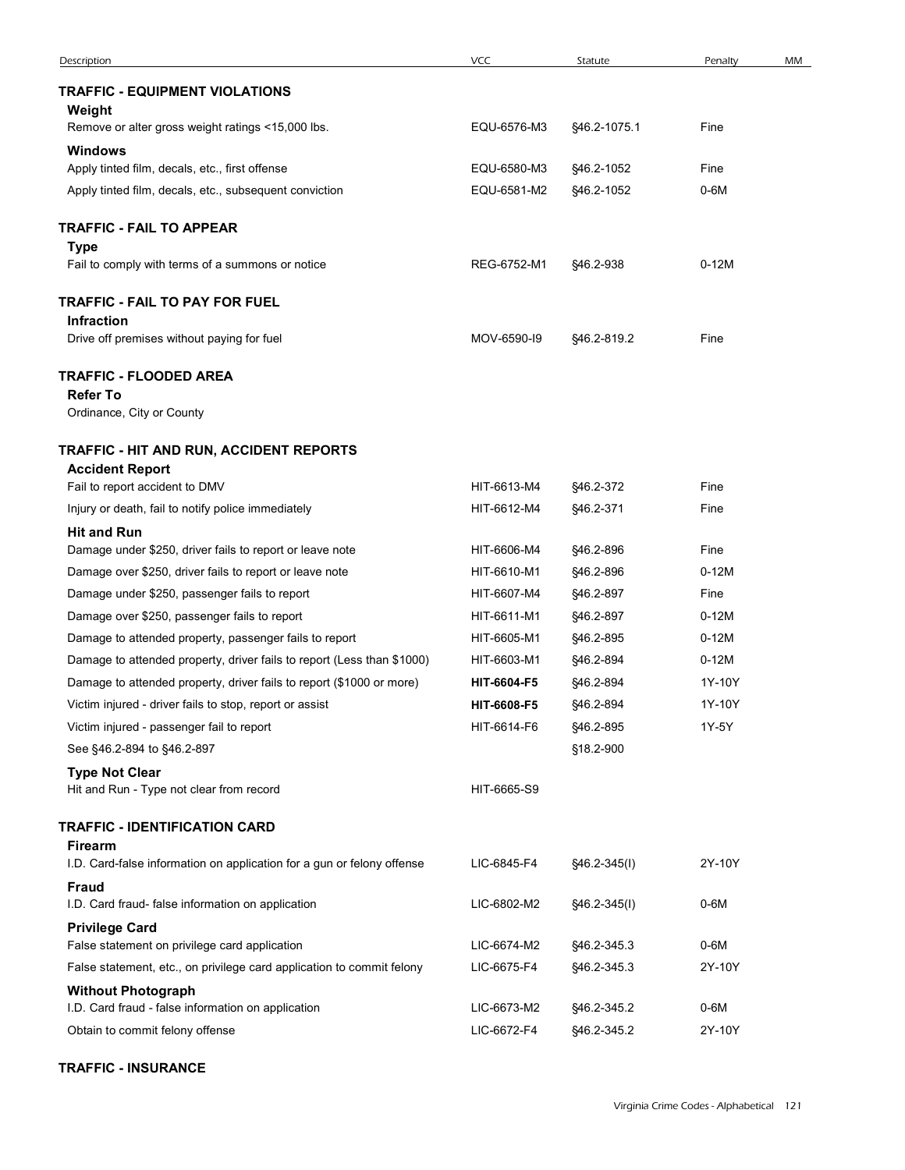| Description                                                                                              | <b>VCC</b>                 | Statute                | Penalty                                 | MM |
|----------------------------------------------------------------------------------------------------------|----------------------------|------------------------|-----------------------------------------|----|
| <b>TRAFFIC - EQUIPMENT VIOLATIONS</b>                                                                    |                            |                        |                                         |    |
| Weight                                                                                                   |                            |                        |                                         |    |
| Remove or alter gross weight ratings <15,000 lbs.                                                        | EQU-6576-M3                | §46.2-1075.1           | Fine                                    |    |
| <b>Windows</b><br>Apply tinted film, decals, etc., first offense                                         | EQU-6580-M3                | §46.2-1052             | Fine                                    |    |
| Apply tinted film, decals, etc., subsequent conviction                                                   | EQU-6581-M2                | §46.2-1052             | $0-6M$                                  |    |
|                                                                                                          |                            |                        |                                         |    |
| TRAFFIC - FAIL TO APPEAR<br><b>Type</b>                                                                  |                            |                        |                                         |    |
| Fail to comply with terms of a summons or notice                                                         | REG-6752-M1                | §46.2-938              | $0-12M$                                 |    |
| TRAFFIC - FAIL TO PAY FOR FUEL                                                                           |                            |                        |                                         |    |
| <b>Infraction</b>                                                                                        |                            |                        |                                         |    |
| Drive off premises without paying for fuel                                                               | MOV-6590-I9                | §46.2-819.2            | Fine                                    |    |
| TRAFFIC - FLOODED AREA                                                                                   |                            |                        |                                         |    |
| <b>Refer To</b>                                                                                          |                            |                        |                                         |    |
| Ordinance, City or County                                                                                |                            |                        |                                         |    |
| TRAFFIC - HIT AND RUN, ACCIDENT REPORTS                                                                  |                            |                        |                                         |    |
| <b>Accident Report</b><br>Fail to report accident to DMV                                                 | HIT-6613-M4                | §46.2-372              | Fine                                    |    |
| Injury or death, fail to notify police immediately                                                       | HIT-6612-M4                | §46.2-371              | Fine                                    |    |
| <b>Hit and Run</b>                                                                                       |                            |                        |                                         |    |
| Damage under \$250, driver fails to report or leave note                                                 | HIT-6606-M4                | §46.2-896              | Fine                                    |    |
| Damage over \$250, driver fails to report or leave note<br>Damage under \$250, passenger fails to report | HIT-6610-M1<br>HIT-6607-M4 | §46.2-896<br>§46.2-897 | $0-12M$<br>Fine                         |    |
| Damage over \$250, passenger fails to report                                                             | HIT-6611-M1                | §46.2-897              | $0-12M$                                 |    |
| Damage to attended property, passenger fails to report                                                   | HIT-6605-M1                | §46.2-895              | $0-12M$                                 |    |
| Damage to attended property, driver fails to report (Less than \$1000)                                   | HIT-6603-M1                | §46.2-894              | $0-12M$                                 |    |
| Damage to attended property, driver fails to report (\$1000 or more)                                     | HIT-6604-F5                | §46.2-894              | 1Y-10Y                                  |    |
| Victim injured - driver fails to stop, report or assist                                                  | HIT-6608-F5                | §46.2-894              | 1Y-10Y                                  |    |
| Victim injured - passenger fail to report<br>See §46.2-894 to §46.2-897                                  | HIT-6614-F6                | §46.2-895<br>§18.2-900 | 1Y-5Y                                   |    |
| <b>Type Not Clear</b>                                                                                    |                            |                        |                                         |    |
| Hit and Run - Type not clear from record                                                                 | HIT-6665-S9                |                        |                                         |    |
| TRAFFIC - IDENTIFICATION CARD                                                                            |                            |                        |                                         |    |
| <b>Firearm</b>                                                                                           |                            |                        |                                         |    |
| I.D. Card-false information on application for a gun or felony offense                                   | LIC-6845-F4                | $$46.2-345(l)$         | 2Y-10Y                                  |    |
| <b>Fraud</b><br>I.D. Card fraud- false information on application                                        | LIC-6802-M2                | §46.2-345(I)           | $0-6M$                                  |    |
| <b>Privilege Card</b>                                                                                    |                            |                        |                                         |    |
| False statement on privilege card application                                                            | LIC-6674-M2                | §46.2-345.3            | 0-6M                                    |    |
| False statement, etc., on privilege card application to commit felony<br><b>Without Photograph</b>       | LIC-6675-F4                | §46.2-345.3            | 2Y-10Y                                  |    |
| I.D. Card fraud - false information on application                                                       | LIC-6673-M2                | §46.2-345.2            | $0-6M$                                  |    |
| Obtain to commit felony offense                                                                          | LIC-6672-F4                | §46.2-345.2            | 2Y-10Y                                  |    |
| <b>TRAFFIC - INSURANCE</b>                                                                               |                            |                        |                                         |    |
|                                                                                                          |                            |                        |                                         |    |
|                                                                                                          |                            |                        | Virginia Crime Codes - Alphabetical 121 |    |
|                                                                                                          |                            |                        |                                         |    |

## TRAFFIC - INSURANCE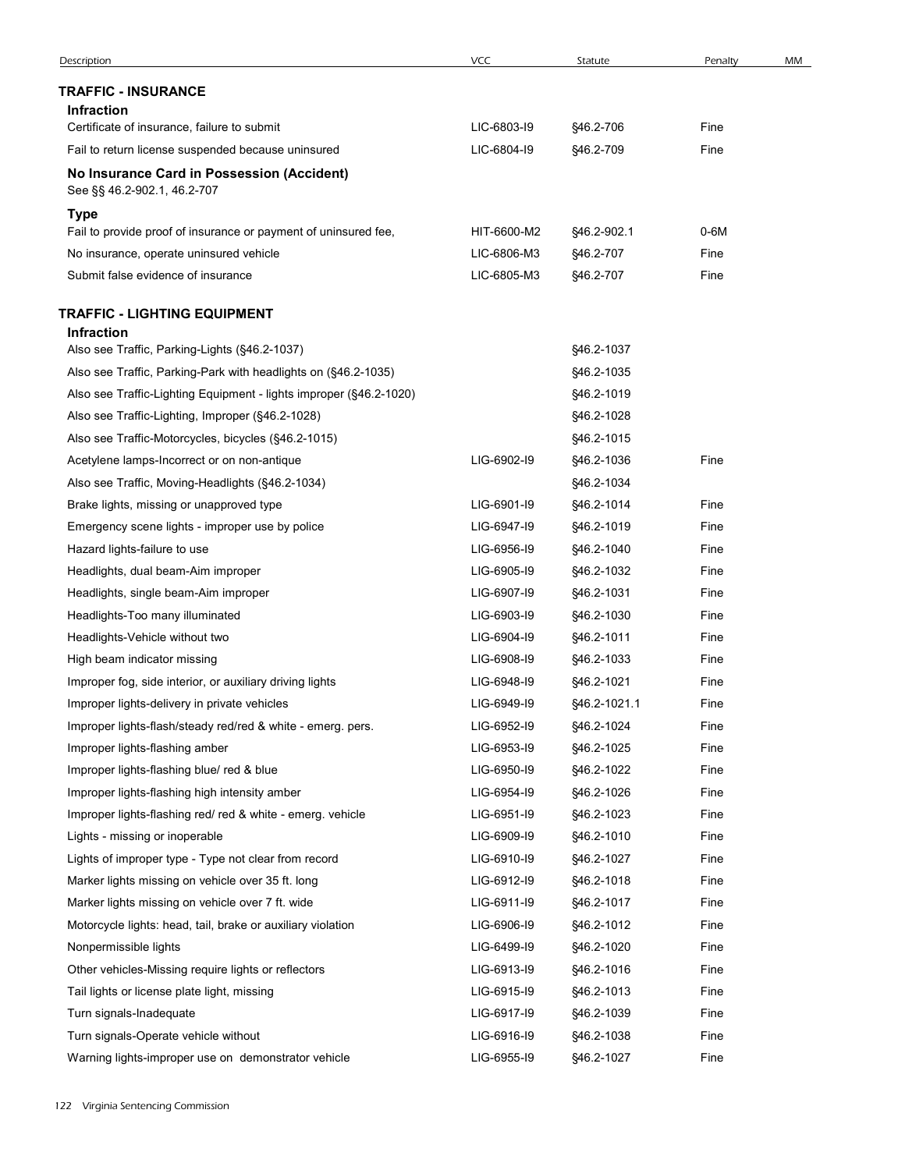| Description                                                                                                 | VCC                        | Statute                    | Penalty      | MM |
|-------------------------------------------------------------------------------------------------------------|----------------------------|----------------------------|--------------|----|
| <b>TRAFFIC - INSURANCE</b>                                                                                  |                            |                            |              |    |
| <b>Infraction</b>                                                                                           |                            |                            |              |    |
| Certificate of insurance, failure to submit                                                                 | LIC-6803-19                | §46.2-706                  | Fine         |    |
| Fail to return license suspended because uninsured                                                          | LIC-6804-19                | §46.2-709                  | Fine         |    |
| No Insurance Card in Possession (Accident)<br>See §§ 46.2-902.1, 46.2-707                                   |                            |                            |              |    |
| Type                                                                                                        |                            |                            |              |    |
| Fail to provide proof of insurance or payment of uninsured fee,                                             | HIT-6600-M2                | §46.2-902.1                | 0-6M         |    |
| No insurance, operate uninsured vehicle                                                                     | LIC-6806-M3                | §46.2-707                  | Fine         |    |
| Submit false evidence of insurance                                                                          | LIC-6805-M3                | §46.2-707                  | Fine         |    |
| <b>TRAFFIC - LIGHTING EQUIPMENT</b><br><b>Infraction</b>                                                    |                            |                            |              |    |
| Also see Traffic, Parking-Lights (§46.2-1037)                                                               |                            | §46.2-1037                 |              |    |
| Also see Traffic, Parking-Park with headlights on (§46.2-1035)                                              |                            | §46.2-1035                 |              |    |
| Also see Traffic-Lighting Equipment - lights improper (§46.2-1020)                                          |                            | §46.2-1019                 |              |    |
| Also see Traffic-Lighting, Improper (§46.2-1028)                                                            |                            | §46.2-1028                 |              |    |
| Also see Traffic-Motorcycles, bicycles (§46.2-1015)                                                         |                            | §46.2-1015                 |              |    |
| Acetylene lamps-Incorrect or on non-antique                                                                 | LIG-6902-I9                | §46.2-1036                 | Fine         |    |
| Also see Traffic, Moving-Headlights (§46.2-1034)                                                            |                            | §46.2-1034                 |              |    |
| Brake lights, missing or unapproved type                                                                    | LIG-6901-I9                | §46.2-1014                 | Fine         |    |
| Emergency scene lights - improper use by police                                                             | LIG-6947-19<br>LIG-6956-19 | §46.2-1019                 | Fine         |    |
| Hazard lights-failure to use                                                                                |                            | §46.2-1040                 | Fine         |    |
| Headlights, dual beam-Aim improper                                                                          | LIG-6905-19<br>LIG-6907-19 | §46.2-1032<br>§46.2-1031   | Fine<br>Fine |    |
| Headlights, single beam-Aim improper                                                                        | LIG-6903-19                |                            | Fine         |    |
| Headlights-Too many illuminated                                                                             | LIG-6904-19                | §46.2-1030                 | Fine         |    |
| Headlights-Vehicle without two                                                                              |                            | §46.2-1011                 |              |    |
| High beam indicator missing                                                                                 | LIG-6908-19                | §46.2-1033                 | Fine         |    |
| Improper fog, side interior, or auxiliary driving lights                                                    | LIG-6948-19<br>LIG-6949-19 | §46.2-1021                 | Fine<br>Fine |    |
| Improper lights-delivery in private vehicles<br>Improper lights-flash/steady red/red & white - emerg. pers. | LIG-6952-19                | §46.2-1021.1<br>§46.2-1024 | Fine         |    |
| Improper lights-flashing amber                                                                              | LIG-6953-19                | §46.2-1025                 | Fine         |    |
| Improper lights-flashing blue/ red & blue                                                                   | LIG-6950-I9                | §46.2-1022                 | Fine         |    |
| Improper lights-flashing high intensity amber                                                               | LIG-6954-19                | §46.2-1026                 | Fine         |    |
| Improper lights-flashing red/ red & white - emerg. vehicle                                                  | LIG-6951-I9                | §46.2-1023                 | Fine         |    |
| Lights - missing or inoperable                                                                              | LIG-6909-19                | §46.2-1010                 | Fine         |    |
| Lights of improper type - Type not clear from record                                                        | LIG-6910-I9                | §46.2-1027                 | Fine         |    |
| Marker lights missing on vehicle over 35 ft. long                                                           | LIG-6912-I9                | §46.2-1018                 | Fine         |    |
| Marker lights missing on vehicle over 7 ft. wide                                                            | LIG-6911-I9                | §46.2-1017                 | Fine         |    |
| Motorcycle lights: head, tail, brake or auxiliary violation                                                 | LIG-6906-19                | §46.2-1012                 | Fine         |    |
| Nonpermissible lights                                                                                       | LIG-6499-19                | §46.2-1020                 | Fine         |    |
| Other vehicles-Missing require lights or reflectors                                                         | LIG-6913-19                | §46.2-1016                 | Fine         |    |
| Tail lights or license plate light, missing                                                                 | LIG-6915-19                | §46.2-1013                 | Fine         |    |
| Turn signals-Inadequate                                                                                     | LIG-6917-19                | §46.2-1039                 | Fine         |    |
| Turn signals-Operate vehicle without                                                                        | LIG-6916-19                | §46.2-1038                 | Fine         |    |
|                                                                                                             | LIG-6955-19                | §46.2-1027                 | Fine         |    |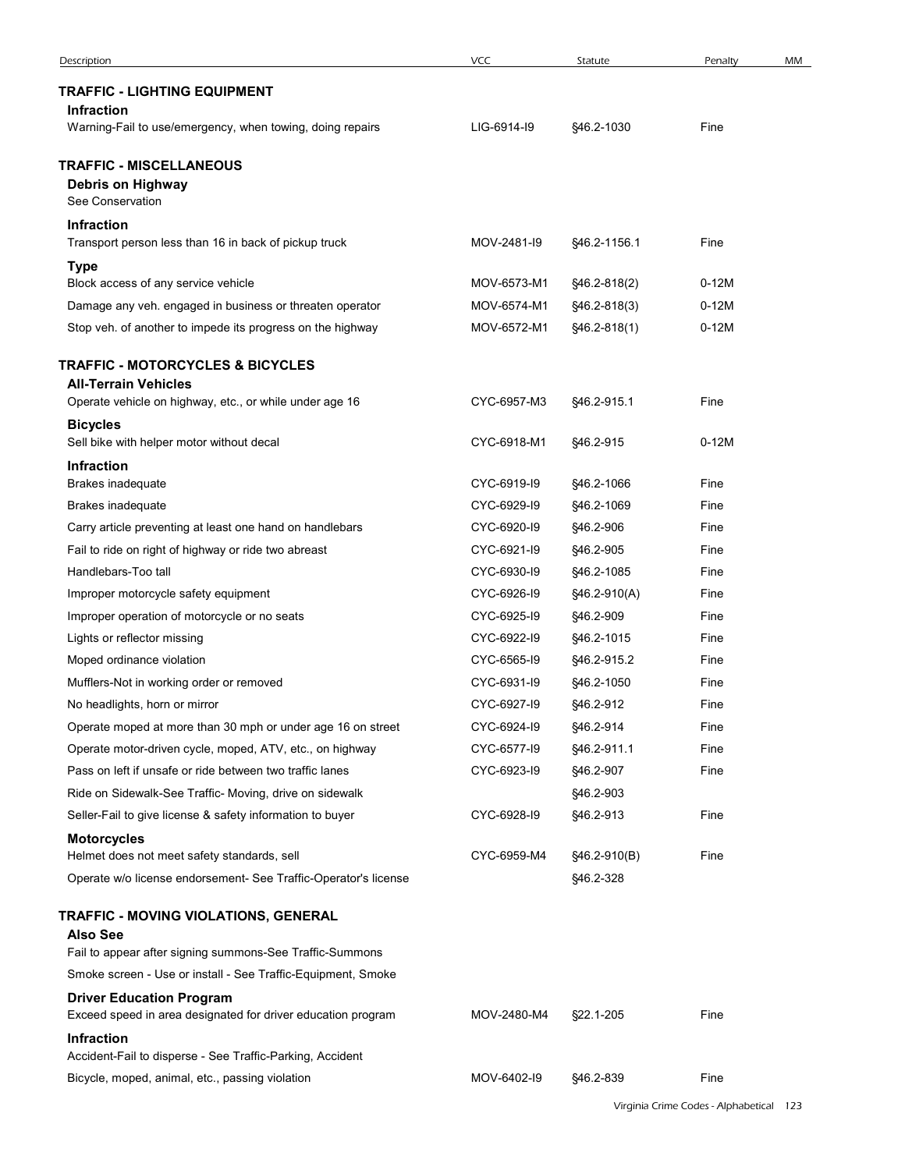| Description                                                                 | <b>VCC</b>                 | Statute                   | Penalty                                 | MM |
|-----------------------------------------------------------------------------|----------------------------|---------------------------|-----------------------------------------|----|
| <b>TRAFFIC - LIGHTING EQUIPMENT</b>                                         |                            |                           |                                         |    |
| <b>Infraction</b>                                                           |                            |                           |                                         |    |
| Warning-Fail to use/emergency, when towing, doing repairs                   | LIG-6914-19                | §46.2-1030                | Fine                                    |    |
| <b>TRAFFIC - MISCELLANEOUS</b>                                              |                            |                           |                                         |    |
| Debris on Highway                                                           |                            |                           |                                         |    |
| See Conservation                                                            |                            |                           |                                         |    |
| <b>Infraction</b><br>Transport person less than 16 in back of pickup truck  | MOV-2481-I9                | §46.2-1156.1              | Fine                                    |    |
| <b>Type</b>                                                                 |                            |                           |                                         |    |
| Block access of any service vehicle                                         | MOV-6573-M1                | §46.2-818(2)              | $0-12M$                                 |    |
| Damage any veh. engaged in business or threaten operator                    | MOV-6574-M1                | §46.2-818(3)              | $0-12M$                                 |    |
| Stop veh. of another to impede its progress on the highway                  | MOV-6572-M1                | §46.2-818(1)              | $0-12M$                                 |    |
| <b>TRAFFIC - MOTORCYCLES &amp; BICYCLES</b>                                 |                            |                           |                                         |    |
| <b>All-Terrain Vehicles</b>                                                 |                            |                           |                                         |    |
| Operate vehicle on highway, etc., or while under age 16                     | CYC-6957-M3                | §46.2-915.1               | Fine                                    |    |
| <b>Bicycles</b><br>Sell bike with helper motor without decal                | CYC-6918-M1                | §46.2-915                 | $0-12M$                                 |    |
| Infraction                                                                  |                            |                           |                                         |    |
| Brakes inadequate                                                           | CYC-6919-I9                | §46.2-1066                | Fine                                    |    |
| Brakes inadequate                                                           | CYC-6929-I9                | §46.2-1069                | Fine                                    |    |
| Carry article preventing at least one hand on handlebars                    | CYC-6920-I9                | §46.2-906                 | Fine                                    |    |
| Fail to ride on right of highway or ride two abreast                        | CYC-6921-I9                | §46.2-905                 | Fine                                    |    |
| Handlebars-Too tall                                                         | CYC-6930-I9                | §46.2-1085                | Fine                                    |    |
| Improper motorcycle safety equipment                                        | CYC-6926-I9                | §46.2-910(A)              | Fine                                    |    |
| Improper operation of motorcycle or no seats                                | CYC-6925-I9                | §46.2-909                 | Fine                                    |    |
| Lights or reflector missing<br>Moped ordinance violation                    | CYC-6922-I9<br>CYC-6565-I9 | §46.2-1015<br>§46.2-915.2 | Fine<br>Fine                            |    |
| Mufflers-Not in working order or removed                                    | CYC-6931-I9                | §46.2-1050                | Fine                                    |    |
| No headlights, horn or mirror                                               | CYC-6927-I9                | §46.2-912                 | Fine                                    |    |
| Operate moped at more than 30 mph or under age 16 on street                 | CYC-6924-I9                | §46.2-914                 | Fine                                    |    |
| Operate motor-driven cycle, moped, ATV, etc., on highway                    | CYC-6577-I9                | §46.2-911.1               | Fine                                    |    |
| Pass on left if unsafe or ride between two traffic lanes                    | CYC-6923-I9                | §46.2-907                 | Fine                                    |    |
| Ride on Sidewalk-See Traffic- Moving, drive on sidewalk                     |                            | §46.2-903                 |                                         |    |
| Seller-Fail to give license & safety information to buyer                   | CYC-6928-I9                | §46.2-913                 | Fine                                    |    |
| <b>Motorcycles</b>                                                          |                            |                           |                                         |    |
| Helmet does not meet safety standards, sell                                 | CYC-6959-M4                | §46.2-910(B)<br>§46.2-328 | Fine                                    |    |
| Operate w/o license endorsement- See Traffic-Operator's license             |                            |                           |                                         |    |
| TRAFFIC - MOVING VIOLATIONS, GENERAL                                        |                            |                           |                                         |    |
| <b>Also See</b><br>Fail to appear after signing summons-See Traffic-Summons |                            |                           |                                         |    |
| Smoke screen - Use or install - See Traffic-Equipment, Smoke                |                            |                           |                                         |    |
| <b>Driver Education Program</b>                                             |                            |                           |                                         |    |
| Exceed speed in area designated for driver education program                | MOV-2480-M4                | §22.1-205                 | Fine                                    |    |
| <b>Infraction</b>                                                           |                            |                           |                                         |    |
| Accident-Fail to disperse - See Traffic-Parking, Accident                   |                            |                           |                                         |    |
|                                                                             |                            |                           | Fine                                    |    |
| Bicycle, moped, animal, etc., passing violation                             | MOV-6402-I9                | §46.2-839                 |                                         |    |
|                                                                             |                            |                           | Virginia Crime Codes - Alphabetical 123 |    |
|                                                                             |                            |                           |                                         |    |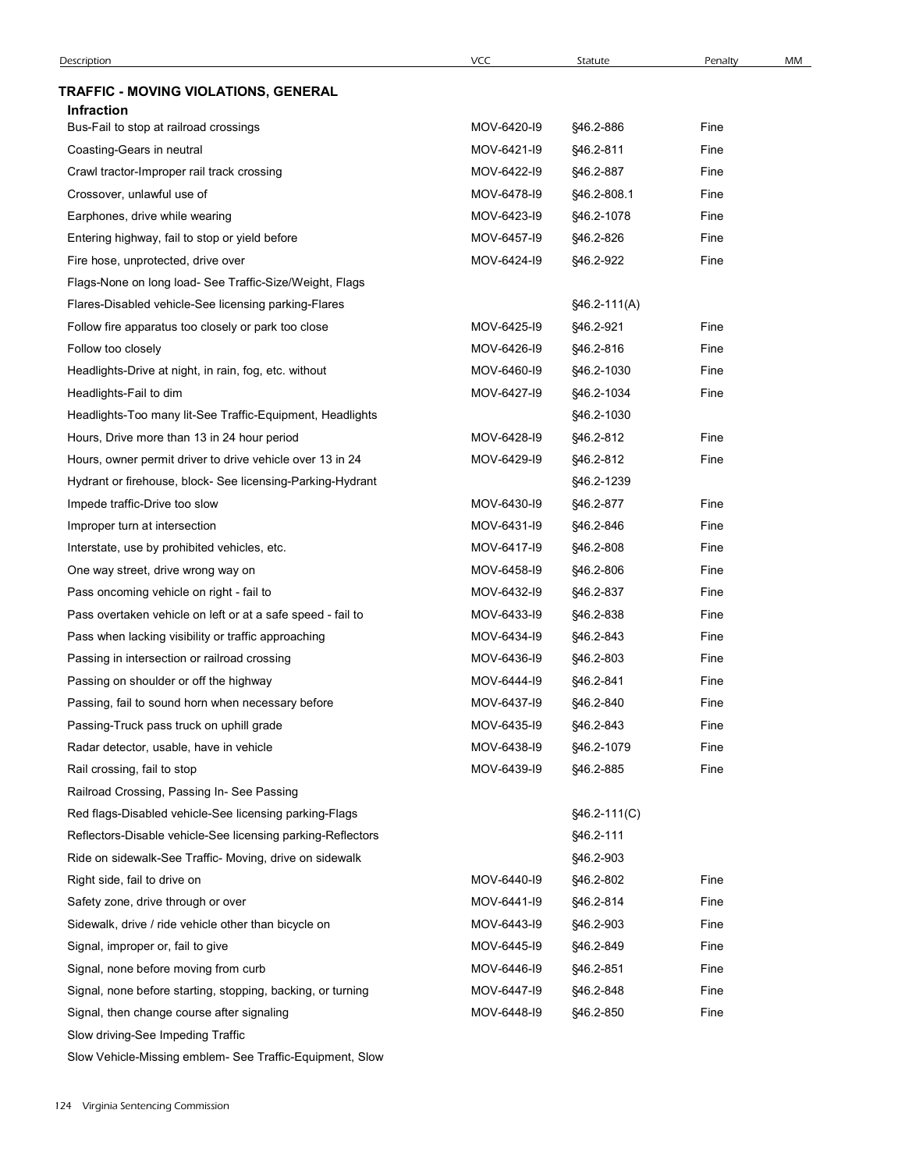| Description                                                 | <b>VCC</b>  | Statute      | Penalty | MM |
|-------------------------------------------------------------|-------------|--------------|---------|----|
| TRAFFIC - MOVING VIOLATIONS, GENERAL                        |             |              |         |    |
| <b>Infraction</b>                                           |             |              |         |    |
| Bus-Fail to stop at railroad crossings                      | MOV-6420-19 | §46.2-886    | Fine    |    |
| Coasting-Gears in neutral                                   | MOV-6421-I9 | §46.2-811    | Fine    |    |
| Crawl tractor-Improper rail track crossing                  | MOV-6422-19 | §46.2-887    | Fine    |    |
| Crossover, unlawful use of                                  | MOV-6478-19 | §46.2-808.1  | Fine    |    |
| Earphones, drive while wearing                              | MOV-6423-19 | §46.2-1078   | Fine    |    |
| Entering highway, fail to stop or yield before              | MOV-6457-19 | §46.2-826    | Fine    |    |
| Fire hose, unprotected, drive over                          | MOV-6424-19 | §46.2-922    | Fine    |    |
| Flags-None on long load- See Traffic-Size/Weight, Flags     |             |              |         |    |
| Flares-Disabled vehicle-See licensing parking-Flares        |             | §46.2-111(A) |         |    |
| Follow fire apparatus too closely or park too close         | MOV-6425-19 | §46.2-921    | Fine    |    |
| Follow too closely                                          | MOV-6426-I9 | §46.2-816    | Fine    |    |
| Headlights-Drive at night, in rain, fog, etc. without       | MOV-6460-19 | §46.2-1030   | Fine    |    |
| Headlights-Fail to dim                                      | MOV-6427-19 | §46.2-1034   | Fine    |    |
| Headlights-Too many lit-See Traffic-Equipment, Headlights   |             | §46.2-1030   |         |    |
| Hours, Drive more than 13 in 24 hour period                 | MOV-6428-I9 | §46.2-812    | Fine    |    |
| Hours, owner permit driver to drive vehicle over 13 in 24   | MOV-6429-19 | §46.2-812    | Fine    |    |
| Hydrant or firehouse, block- See licensing-Parking-Hydrant  |             | §46.2-1239   |         |    |
| Impede traffic-Drive too slow                               | MOV-6430-I9 | §46.2-877    | Fine    |    |
| Improper turn at intersection                               | MOV-6431-I9 | §46.2-846    | Fine    |    |
| Interstate, use by prohibited vehicles, etc.                | MOV-6417-19 | §46.2-808    | Fine    |    |
| One way street, drive wrong way on                          | MOV-6458-I9 | §46.2-806    | Fine    |    |
| Pass oncoming vehicle on right - fail to                    | MOV-6432-I9 | §46.2-837    | Fine    |    |
| Pass overtaken vehicle on left or at a safe speed - fail to | MOV-6433-19 | §46.2-838    | Fine    |    |
| Pass when lacking visibility or traffic approaching         | MOV-6434-19 | §46.2-843    | Fine    |    |
| Passing in intersection or railroad crossing                | MOV-6436-I9 | §46.2-803    | Fine    |    |
| Passing on shoulder or off the highway                      | MOV-6444-19 | §46.2-841    | Fine    |    |
| Passing, fail to sound horn when necessary before           | MOV-6437-19 | §46.2-840    | Fine    |    |
| Passing-Truck pass truck on uphill grade                    | MOV-6435-19 | §46.2-843    | Fine    |    |
| Radar detector, usable, have in vehicle                     | MOV-6438-I9 | §46.2-1079   | Fine    |    |
| Rail crossing, fail to stop                                 | MOV-6439-I9 | §46.2-885    | Fine    |    |
| Railroad Crossing, Passing In- See Passing                  |             |              |         |    |
| Red flags-Disabled vehicle-See licensing parking-Flags      |             | §46.2-111(C) |         |    |
| Reflectors-Disable vehicle-See licensing parking-Reflectors |             | §46.2-111    |         |    |
| Ride on sidewalk-See Traffic- Moving, drive on sidewalk     |             | §46.2-903    |         |    |
| Right side, fail to drive on                                | MOV-6440-I9 | §46.2-802    | Fine    |    |
| Safety zone, drive through or over                          | MOV-6441-I9 | §46.2-814    | Fine    |    |
| Sidewalk, drive / ride vehicle other than bicycle on        | MOV-6443-19 | §46.2-903    | Fine    |    |
| Signal, improper or, fail to give                           | MOV-6445-19 | §46.2-849    | Fine    |    |
| Signal, none before moving from curb                        | MOV-6446-I9 | §46.2-851    | Fine    |    |
| Signal, none before starting, stopping, backing, or turning | MOV-6447-19 | §46.2-848    | Fine    |    |
| Signal, then change course after signaling                  | MOV-6448-19 | §46.2-850    | Fine    |    |
|                                                             |             |              |         |    |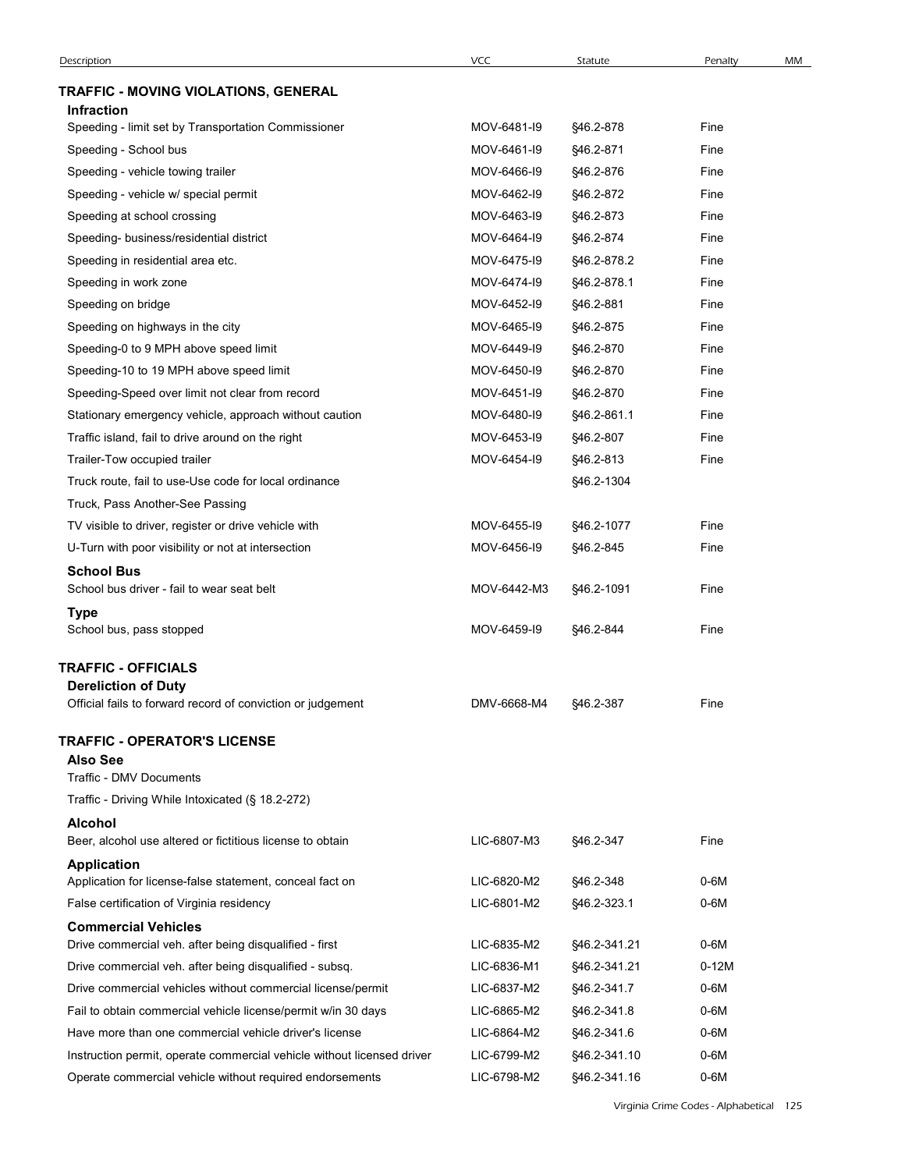|                                                                        | VCC         |              |         |    |
|------------------------------------------------------------------------|-------------|--------------|---------|----|
| <b>Description</b>                                                     |             | Statute      | Penalty | MM |
| TRAFFIC - MOVING VIOLATIONS, GENERAL<br>Infraction                     |             |              |         |    |
| Speeding - limit set by Transportation Commissioner                    | MOV-6481-I9 | §46.2-878    | Fine    |    |
| Speeding - School bus                                                  | MOV-6461-I9 | §46.2-871    | Fine    |    |
| Speeding - vehicle towing trailer                                      | MOV-6466-19 | §46.2-876    | Fine    |    |
| Speeding - vehicle w/ special permit                                   | MOV-6462-I9 | §46.2-872    | Fine    |    |
| Speeding at school crossing                                            | MOV-6463-19 | §46.2-873    | Fine    |    |
| Speeding- business/residential district                                | MOV-6464-19 | §46.2-874    | Fine    |    |
| Speeding in residential area etc.                                      | MOV-6475-19 | §46.2-878.2  | Fine    |    |
| Speeding in work zone                                                  | MOV-6474-19 | §46.2-878.1  | Fine    |    |
| Speeding on bridge                                                     | MOV-6452-I9 | §46.2-881    | Fine    |    |
| Speeding on highways in the city                                       | MOV-6465-19 | §46.2-875    | Fine    |    |
| Speeding-0 to 9 MPH above speed limit                                  | MOV-6449-19 | §46.2-870    | Fine    |    |
| Speeding-10 to 19 MPH above speed limit                                | MOV-6450-I9 | §46.2-870    | Fine    |    |
| Speeding-Speed over limit not clear from record                        | MOV-6451-I9 | §46.2-870    | Fine    |    |
| Stationary emergency vehicle, approach without caution                 | MOV-6480-I9 | §46.2-861.1  | Fine    |    |
| Traffic island, fail to drive around on the right                      | MOV-6453-I9 | §46.2-807    | Fine    |    |
| Trailer-Tow occupied trailer                                           | MOV-6454-I9 | §46.2-813    | Fine    |    |
| Truck route, fail to use-Use code for local ordinance                  |             | §46.2-1304   |         |    |
| Truck, Pass Another-See Passing                                        |             |              |         |    |
| TV visible to driver, register or drive vehicle with                   | MOV-6455-19 | §46.2-1077   | Fine    |    |
| U-Turn with poor visibility or not at intersection                     | MOV-6456-I9 | §46.2-845    | Fine    |    |
| <b>School Bus</b>                                                      |             |              |         |    |
| School bus driver - fail to wear seat belt                             | MOV-6442-M3 | §46.2-1091   | Fine    |    |
| <b>Type</b><br>School bus, pass stopped                                | MOV-6459-19 | §46.2-844    | Fine    |    |
| <b>TRAFFIC - OFFICIALS</b>                                             |             |              |         |    |
| <b>Dereliction of Duty</b>                                             |             |              |         |    |
| Official fails to forward record of conviction or judgement            | DMV-6668-M4 | §46.2-387    | Fine    |    |
|                                                                        |             |              |         |    |
| <b>TRAFFIC - OPERATOR'S LICENSE</b><br><b>Also See</b>                 |             |              |         |    |
| Traffic - DMV Documents                                                |             |              |         |    |
| Traffic - Driving While Intoxicated (§ 18.2-272)                       |             |              |         |    |
| <b>Alcohol</b>                                                         |             |              |         |    |
| Beer, alcohol use altered or fictitious license to obtain              | LIC-6807-M3 | §46.2-347    | Fine    |    |
| <b>Application</b>                                                     |             |              |         |    |
| Application for license-false statement, conceal fact on               | LIC-6820-M2 | §46.2-348    | 0-6M    |    |
| False certification of Virginia residency                              | LIC-6801-M2 | §46.2-323.1  | $0-6M$  |    |
| <b>Commercial Vehicles</b>                                             |             |              |         |    |
| Drive commercial veh. after being disqualified - first                 | LIC-6835-M2 | §46.2-341.21 | $0-6M$  |    |
| Drive commercial veh. after being disqualified - subsq.                | LIC-6836-M1 | §46.2-341.21 | $0-12M$ |    |
| Drive commercial vehicles without commercial license/permit            | LIC-6837-M2 | §46.2-341.7  | $0-6M$  |    |
| Fail to obtain commercial vehicle license/permit w/in 30 days          | LIC-6865-M2 | §46.2-341.8  | $0-6M$  |    |
| Have more than one commercial vehicle driver's license                 | LIC-6864-M2 | \$46.2-341.6 | $0-6M$  |    |
| Instruction permit, operate commercial vehicle without licensed driver | LIC-6799-M2 | §46.2-341.10 | $0-6M$  |    |
| Operate commercial vehicle without required endorsements               | LIC-6798-M2 | §46.2-341.16 | $0-6M$  |    |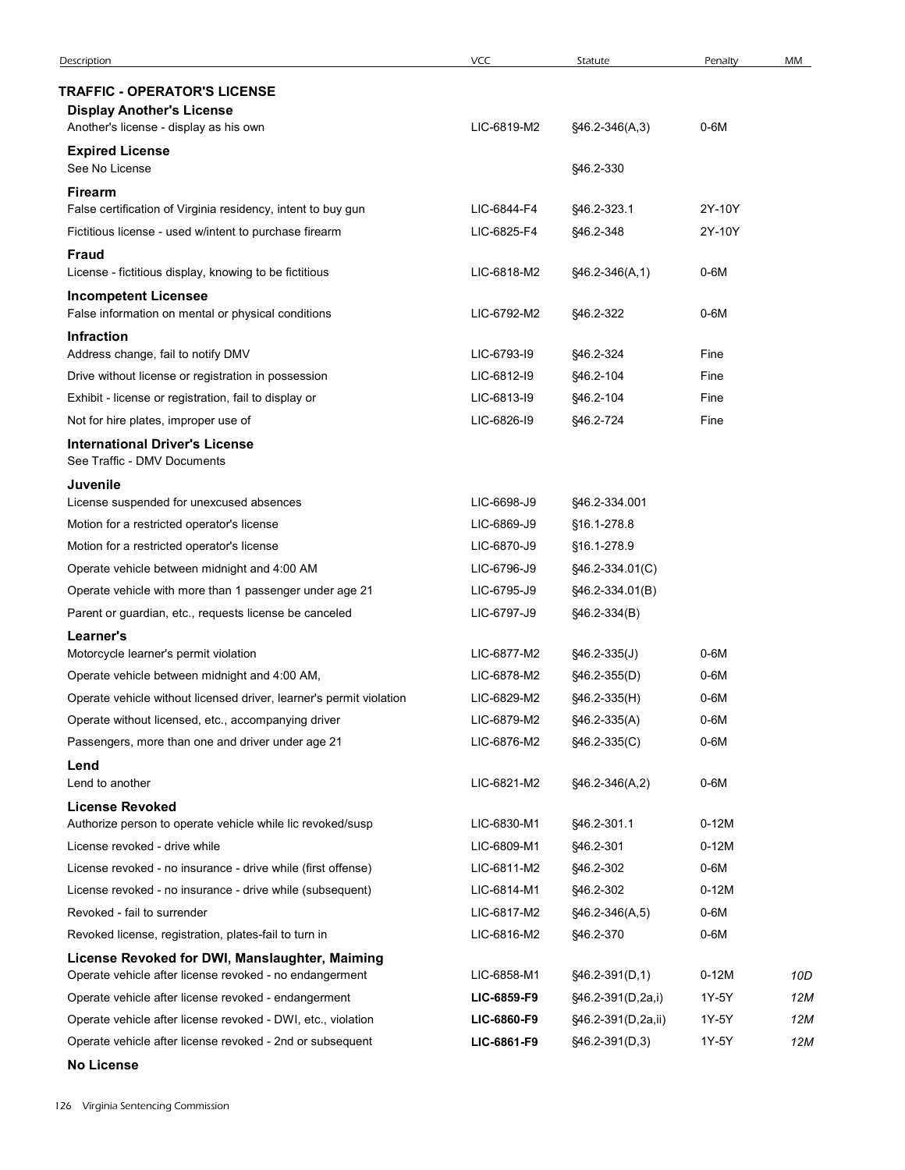| Description                                                                                                          | <b>VCC</b>                 | Statute                        | Penalty          | MM  |
|----------------------------------------------------------------------------------------------------------------------|----------------------------|--------------------------------|------------------|-----|
| <b>TRAFFIC - OPERATOR'S LICENSE</b>                                                                                  |                            |                                |                  |     |
| <b>Display Another's License</b>                                                                                     |                            |                                |                  |     |
| Another's license - display as his own                                                                               | LIC-6819-M2                | $$46.2-346(A,3)$               | 0-6M             |     |
| <b>Expired License</b><br>See No License                                                                             |                            | §46.2-330                      |                  |     |
| <b>Firearm</b>                                                                                                       |                            |                                |                  |     |
| False certification of Virginia residency, intent to buy gun                                                         | LIC-6844-F4                | §46.2-323.1                    | 2Y-10Y           |     |
| Fictitious license - used w/intent to purchase firearm                                                               | LIC-6825-F4                | §46.2-348                      | 2Y-10Y           |     |
| Fraud                                                                                                                |                            |                                |                  |     |
| License - fictitious display, knowing to be fictitious                                                               | LIC-6818-M2                | §46.2-346(A,1)                 | 0-6M             |     |
| <b>Incompetent Licensee</b><br>False information on mental or physical conditions                                    | LIC-6792-M2                | §46.2-322                      | $0-6M$           |     |
| <b>Infraction</b><br>Address change, fail to notify DMV                                                              | LIC-6793-19                | §46.2-324                      | Fine             |     |
| Drive without license or registration in possession                                                                  | LIC-6812-I9                | §46.2-104                      | Fine             |     |
| Exhibit - license or registration, fail to display or                                                                | LIC-6813-19                | §46.2-104                      | Fine             |     |
| Not for hire plates, improper use of                                                                                 | LIC-6826-19                | §46.2-724                      | Fine             |     |
| <b>International Driver's License</b><br>See Traffic - DMV Documents                                                 |                            |                                |                  |     |
| Juvenile                                                                                                             |                            |                                |                  |     |
| License suspended for unexcused absences                                                                             | LIC-6698-J9                | §46.2-334.001                  |                  |     |
| Motion for a restricted operator's license                                                                           | LIC-6869-J9                | §16.1-278.8                    |                  |     |
| Motion for a restricted operator's license                                                                           | LIC-6870-J9                | §16.1-278.9                    |                  |     |
| Operate vehicle between midnight and 4:00 AM                                                                         | LIC-6796-J9                | §46.2-334.01(C)                |                  |     |
| Operate vehicle with more than 1 passenger under age 21                                                              | LIC-6795-J9                | §46.2-334.01(B)                |                  |     |
| Parent or guardian, etc., requests license be canceled                                                               | LIC-6797-J9                | $$46.2-334(B)$                 |                  |     |
| Learner's                                                                                                            |                            |                                |                  |     |
| Motorcycle learner's permit violation                                                                                | LIC-6877-M2                | $$46.2-335(J)$                 | $0-6M$           |     |
| Operate vehicle between midnight and 4:00 AM,<br>Operate vehicle without licensed driver, learner's permit violation | LIC-6878-M2<br>LIC-6829-M2 | $$46.2-355(D)$<br>§46.2-335(H) | $0-6M$<br>$0-6M$ |     |
| Operate without licensed, etc., accompanying driver                                                                  | LIC-6879-M2                | §46.2-335(A)                   | $0-6M$           |     |
| Passengers, more than one and driver under age 21                                                                    | LIC-6876-M2                | $$46.2-335(C)$                 | $0-6M$           |     |
| Lend                                                                                                                 |                            |                                |                  |     |
| Lend to another                                                                                                      | LIC-6821-M2                | §46.2-346(A,2)                 | $0-6M$           |     |
| <b>License Revoked</b>                                                                                               |                            |                                |                  |     |
| Authorize person to operate vehicle while lic revoked/susp                                                           | LIC-6830-M1                | §46.2-301.1                    | $0-12M$          |     |
| License revoked - drive while                                                                                        | LIC-6809-M1                | §46.2-301                      | $0-12M$          |     |
| License revoked - no insurance - drive while (first offense)                                                         | LIC-6811-M2                | §46.2-302                      | $0-6M$           |     |
| License revoked - no insurance - drive while (subsequent)                                                            | LIC-6814-M1                | §46.2-302                      | $0-12M$          |     |
| Revoked - fail to surrender                                                                                          | LIC-6817-M2                | §46.2-346(A,5)                 | $0-6M$           |     |
| Revoked license, registration, plates-fail to turn in                                                                | LIC-6816-M2                | §46.2-370                      | $0-6M$           |     |
| License Revoked for DWI, Manslaughter, Maiming<br>Operate vehicle after license revoked - no endangerment            | LIC-6858-M1                | §46.2-391(D,1)                 | $0-12M$          | 10D |
| Operate vehicle after license revoked - endangerment                                                                 | LIC-6859-F9                | §46.2-391(D,2a,i)              | 1Y-5Y            | 12M |
| Operate vehicle after license revoked - DWI, etc., violation                                                         | LIC-6860-F9                | §46.2-391(D,2a,ii)             | 1Y-5Y            | 12M |
| Operate vehicle after license revoked - 2nd or subsequent                                                            | LIC-6861-F9                | §46.2-391(D,3)                 | 1Y-5Y            | 12M |
| <b>No License</b>                                                                                                    |                            |                                |                  |     |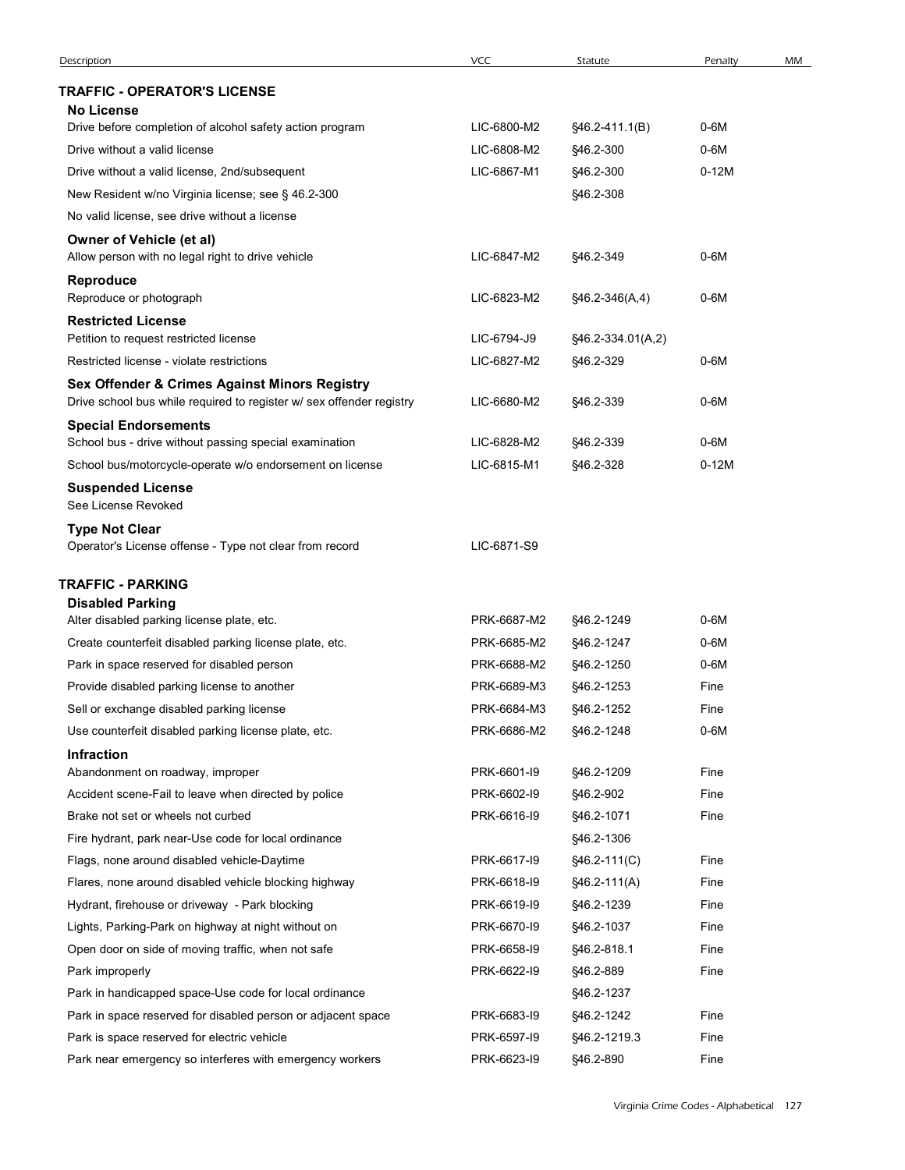| Description                                                                                                           | <b>VCC</b>  | Statute           | Penalty | MM |
|-----------------------------------------------------------------------------------------------------------------------|-------------|-------------------|---------|----|
| <b>TRAFFIC - OPERATOR'S LICENSE</b>                                                                                   |             |                   |         |    |
| No License<br>Drive before completion of alcohol safety action program                                                | LIC-6800-M2 | §46.2-411.1(B)    | 0-6M    |    |
| Drive without a valid license                                                                                         | LIC-6808-M2 | §46.2-300         | 0-6M    |    |
| Drive without a valid license, 2nd/subsequent                                                                         | LIC-6867-M1 | §46.2-300         | $0-12M$ |    |
| New Resident w/no Virginia license; see § 46.2-300                                                                    |             | §46.2-308         |         |    |
| No valid license, see drive without a license                                                                         |             |                   |         |    |
| Owner of Vehicle (et al)<br>Allow person with no legal right to drive vehicle                                         | LIC-6847-M2 | §46.2-349         | 0-6M    |    |
| Reproduce<br>Reproduce or photograph                                                                                  | LIC-6823-M2 | $$46.2-346(A,4)$  | $0-6M$  |    |
| <b>Restricted License</b>                                                                                             |             |                   |         |    |
| Petition to request restricted license                                                                                | LIC-6794-J9 | §46.2-334.01(A,2) |         |    |
| Restricted license - violate restrictions                                                                             | LIC-6827-M2 | §46.2-329         | 0-6M    |    |
| Sex Offender & Crimes Against Minors Registry<br>Drive school bus while required to register w/ sex offender registry | LIC-6680-M2 | §46.2-339         | $0-6M$  |    |
| <b>Special Endorsements</b><br>School bus - drive without passing special examination                                 | LIC-6828-M2 | §46.2-339         | $0-6M$  |    |
| School bus/motorcycle-operate w/o endorsement on license                                                              | LIC-6815-M1 | §46.2-328         | $0-12M$ |    |
| <b>Suspended License</b><br>See License Revoked                                                                       |             |                   |         |    |
| <b>Type Not Clear</b>                                                                                                 |             |                   |         |    |
| Operator's License offense - Type not clear from record                                                               | LIC-6871-S9 |                   |         |    |
| <b>TRAFFIC - PARKING</b>                                                                                              |             |                   |         |    |
| <b>Disabled Parking</b>                                                                                               |             |                   |         |    |
| Alter disabled parking license plate, etc.                                                                            | PRK-6687-M2 | §46.2-1249        | 0-6M    |    |
| Create counterfeit disabled parking license plate, etc.                                                               | PRK-6685-M2 | §46.2-1247        | 0-6M    |    |
| Park in space reserved for disabled person                                                                            | PRK-6688-M2 | §46.2-1250        | 0-6M    |    |
| Provide disabled parking license to another                                                                           | PRK-6689-M3 | §46.2-1253        | Fine    |    |
| Sell or exchange disabled parking license                                                                             | PRK-6684-M3 | §46.2-1252        | Fine    |    |
| Use counterfeit disabled parking license plate, etc.                                                                  | PRK-6686-M2 | §46.2-1248        | $0-6M$  |    |
| <b>Infraction</b><br>Abandonment on roadway, improper                                                                 | PRK-6601-I9 | §46.2-1209        | Fine    |    |
| Accident scene-Fail to leave when directed by police                                                                  | PRK-6602-I9 | §46.2-902         | Fine    |    |
| Brake not set or wheels not curbed                                                                                    | PRK-6616-I9 | §46.2-1071        | Fine    |    |
| Fire hydrant, park near-Use code for local ordinance                                                                  |             | §46.2-1306        |         |    |
| Flags, none around disabled vehicle-Daytime                                                                           | PRK-6617-19 | §46.2-111(C)      | Fine    |    |
| Flares, none around disabled vehicle blocking highway                                                                 | PRK-6618-I9 | $$46.2-111(A)$    | Fine    |    |
| Hydrant, firehouse or driveway - Park blocking                                                                        | PRK-6619-I9 | §46.2-1239        | Fine    |    |
| Lights, Parking-Park on highway at night without on                                                                   | PRK-6670-I9 | §46.2-1037        | Fine    |    |
| Open door on side of moving traffic, when not safe                                                                    | PRK-6658-I9 | §46.2-818.1       | Fine    |    |
| Park improperly                                                                                                       | PRK-6622-I9 | §46.2-889         | Fine    |    |
| Park in handicapped space-Use code for local ordinance                                                                |             | §46.2-1237        |         |    |
| Park in space reserved for disabled person or adjacent space                                                          | PRK-6683-I9 | §46.2-1242        | Fine    |    |
| Park is space reserved for electric vehicle                                                                           | PRK-6597-19 | §46.2-1219.3      | Fine    |    |
| Park near emergency so interferes with emergency workers                                                              | PRK-6623-I9 | §46.2-890         | Fine    |    |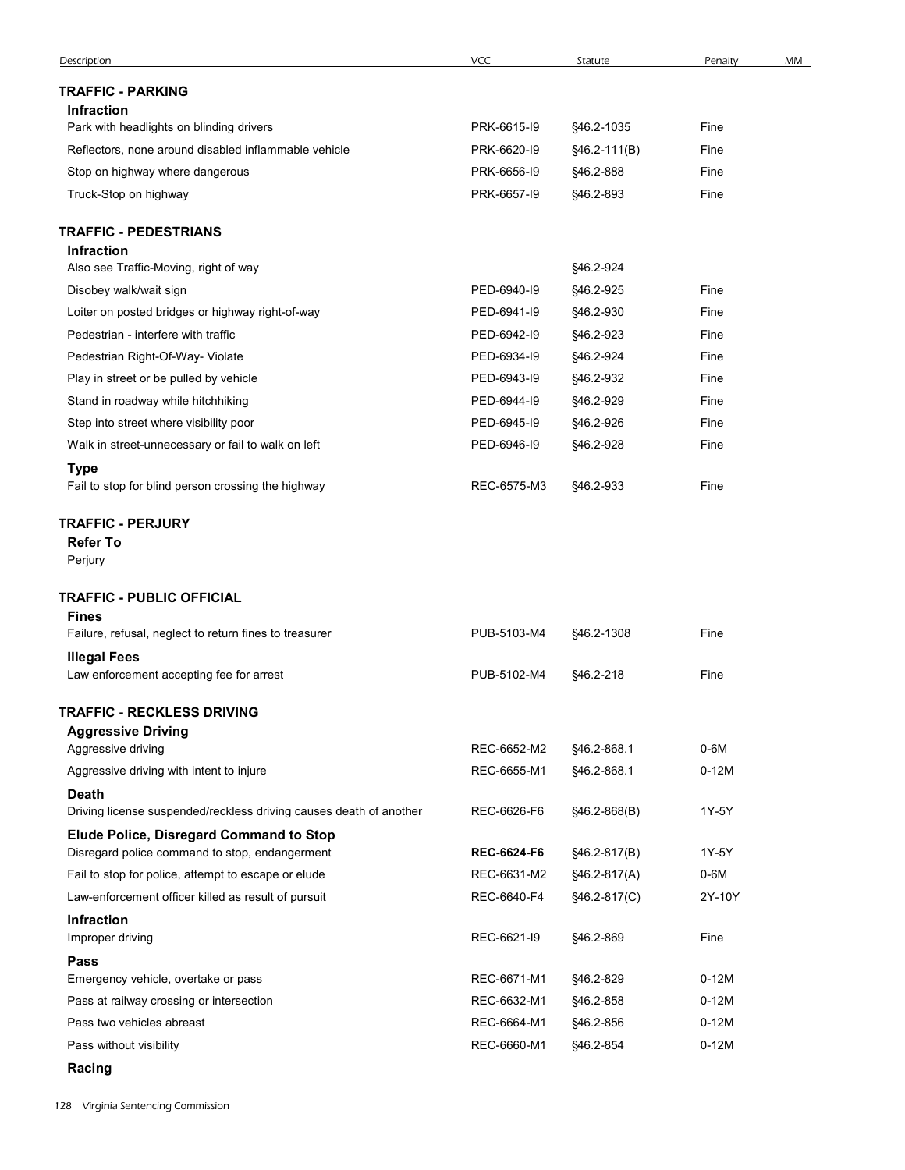| Description                                                                               | VCC                | Statute      | Penalty | MM |
|-------------------------------------------------------------------------------------------|--------------------|--------------|---------|----|
| <b>TRAFFIC - PARKING</b>                                                                  |                    |              |         |    |
| <b>Infraction</b>                                                                         |                    |              |         |    |
| Park with headlights on blinding drivers                                                  | PRK-6615-19        | §46.2-1035   | Fine    |    |
| Reflectors, none around disabled inflammable vehicle                                      | PRK-6620-I9        | §46.2-111(B) | Fine    |    |
| Stop on highway where dangerous                                                           | PRK-6656-I9        | §46.2-888    | Fine    |    |
| Truck-Stop on highway                                                                     | PRK-6657-19        | §46.2-893    | Fine    |    |
| <b>TRAFFIC - PEDESTRIANS</b>                                                              |                    |              |         |    |
| <b>Infraction</b><br>Also see Traffic-Moving, right of way                                |                    | §46.2-924    |         |    |
| Disobey walk/wait sign                                                                    | PED-6940-I9        | §46.2-925    | Fine    |    |
| Loiter on posted bridges or highway right-of-way                                          | PED-6941-I9        | §46.2-930    | Fine    |    |
| Pedestrian - interfere with traffic                                                       | PED-6942-I9        | §46.2-923    | Fine    |    |
| Pedestrian Right-Of-Way- Violate                                                          | PED-6934-19        | §46.2-924    | Fine    |    |
| Play in street or be pulled by vehicle                                                    | PED-6943-I9        | §46.2-932    | Fine    |    |
| Stand in roadway while hitchhiking                                                        | PED-6944-19        | §46.2-929    | Fine    |    |
| Step into street where visibility poor                                                    | PED-6945-19        | §46.2-926    | Fine    |    |
| Walk in street-unnecessary or fail to walk on left                                        | PED-6946-19        | §46.2-928    | Fine    |    |
| <b>Type</b><br>Fail to stop for blind person crossing the highway                         | REC-6575-M3        | §46.2-933    | Fine    |    |
| <b>TRAFFIC - PERJURY</b><br><b>Refer To</b><br>Perjury                                    |                    |              |         |    |
| <b>TRAFFIC - PUBLIC OFFICIAL</b>                                                          |                    |              |         |    |
| <b>Fines</b><br>Failure, refusal, neglect to return fines to treasurer                    | PUB-5103-M4        | §46.2-1308   | Fine    |    |
| <b>Illegal Fees</b>                                                                       |                    |              |         |    |
| Law enforcement accepting fee for arrest                                                  | PUB-5102-M4        | §46.2-218    | Fine    |    |
| <b>TRAFFIC - RECKLESS DRIVING</b>                                                         |                    |              |         |    |
| <b>Aggressive Driving</b>                                                                 |                    |              |         |    |
| Aggressive driving                                                                        | REC-6652-M2        | §46.2-868.1  | $0-6M$  |    |
| Aggressive driving with intent to injure                                                  | REC-6655-M1        | §46.2-868.1  | $0-12M$ |    |
| <b>Death</b>                                                                              |                    |              |         |    |
| Driving license suspended/reckless driving causes death of another                        | REC-6626-F6        | §46.2-868(B) | 1Y-5Y   |    |
| Elude Police, Disregard Command to Stop<br>Disregard police command to stop, endangerment | <b>REC-6624-F6</b> | §46.2-817(B) | 1Y-5Y   |    |
| Fail to stop for police, attempt to escape or elude                                       | REC-6631-M2        | §46.2-817(A) | $0-6M$  |    |
| Law-enforcement officer killed as result of pursuit                                       | REC-6640-F4        | §46.2-817(C) | 2Y-10Y  |    |
| Infraction                                                                                |                    |              |         |    |
| Improper driving                                                                          | REC-6621-I9        | §46.2-869    | Fine    |    |
| Pass                                                                                      |                    |              |         |    |
| Emergency vehicle, overtake or pass                                                       | REC-6671-M1        | §46.2-829    | $0-12M$ |    |
| Pass at railway crossing or intersection                                                  | REC-6632-M1        | §46.2-858    | $0-12M$ |    |
| Pass two vehicles abreast                                                                 | REC-6664-M1        | §46.2-856    | $0-12M$ |    |
| Pass without visibility                                                                   | REC-6660-M1        | §46.2-854    | $0-12M$ |    |
| Racing                                                                                    |                    |              |         |    |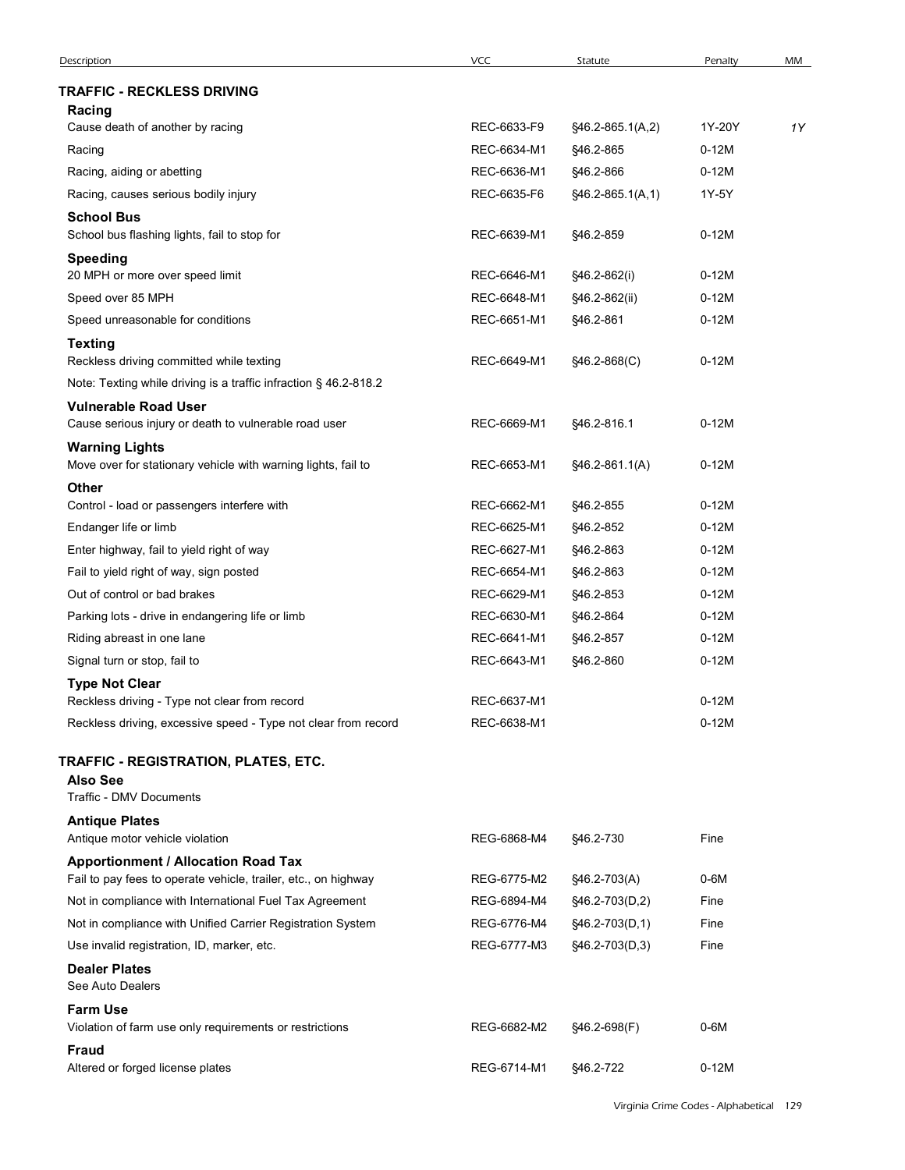| Description                                                                            | VCC                        | Statute                       | Penalty            | MM |
|----------------------------------------------------------------------------------------|----------------------------|-------------------------------|--------------------|----|
| <b>TRAFFIC - RECKLESS DRIVING</b><br>Racing                                            |                            |                               |                    |    |
| Cause death of another by racing                                                       | REC-6633-F9                | §46.2-865.1(A,2)              | 1Y-20Y             | 1Y |
| Racing                                                                                 | REC-6634-M1                | §46.2-865                     | $0-12M$            |    |
| Racing, aiding or abetting                                                             | REC-6636-M1                | §46.2-866                     | $0-12M$            |    |
| Racing, causes serious bodily injury                                                   | REC-6635-F6                | §46.2-865.1(A,1)              | 1Y-5Y              |    |
| <b>School Bus</b><br>School bus flashing lights, fail to stop for                      | REC-6639-M1                | §46.2-859                     | $0-12M$            |    |
| <b>Speeding</b>                                                                        |                            |                               |                    |    |
| 20 MPH or more over speed limit<br>Speed over 85 MPH                                   | REC-6646-M1<br>REC-6648-M1 | §46.2-862(i)<br>§46.2-862(ii) | $0-12M$<br>$0-12M$ |    |
| Speed unreasonable for conditions                                                      | REC-6651-M1                | §46.2-861                     | $0-12M$            |    |
| <b>Texting</b>                                                                         |                            |                               |                    |    |
| Reckless driving committed while texting                                               | REC-6649-M1                | §46.2-868(C)                  | $0-12M$            |    |
| Note: Texting while driving is a traffic infraction § 46.2-818.2                       |                            |                               |                    |    |
| <b>Vulnerable Road User</b>                                                            | REC-6669-M1                |                               | $0-12M$            |    |
| Cause serious injury or death to vulnerable road user                                  |                            | §46.2-816.1                   |                    |    |
| <b>Warning Lights</b><br>Move over for stationary vehicle with warning lights, fail to | REC-6653-M1                | §46.2-861.1(A)                | $0-12M$            |    |
| <b>Other</b>                                                                           |                            |                               |                    |    |
| Control - load or passengers interfere with                                            | REC-6662-M1                | §46.2-855                     | $0-12M$            |    |
| Endanger life or limb                                                                  | REC-6625-M1                | §46.2-852                     | $0-12M$            |    |
| Enter highway, fail to yield right of way                                              | REC-6627-M1                | §46.2-863                     | $0-12M$            |    |
| Fail to yield right of way, sign posted                                                | REC-6654-M1                | §46.2-863                     | $0-12M$            |    |
| Out of control or bad brakes                                                           | REC-6629-M1                | §46.2-853                     | $0-12M$            |    |
| Parking lots - drive in endangering life or limb                                       | REC-6630-M1                | §46.2-864                     | $0-12M$<br>$0-12M$ |    |
| Riding abreast in one lane<br>Signal turn or stop, fail to                             | REC-6641-M1<br>REC-6643-M1 | §46.2-857<br>§46.2-860        | $0-12M$            |    |
| <b>Type Not Clear</b>                                                                  |                            |                               |                    |    |
| Reckless driving - Type not clear from record                                          | REC-6637-M1                |                               | $0-12M$            |    |
| Reckless driving, excessive speed - Type not clear from record                         | REC-6638-M1                |                               | $0-12M$            |    |
| TRAFFIC - REGISTRATION, PLATES, ETC.                                                   |                            |                               |                    |    |
| <b>Also See</b><br>Traffic - DMV Documents                                             |                            |                               |                    |    |
| <b>Antique Plates</b>                                                                  |                            |                               |                    |    |
| Antique motor vehicle violation                                                        | REG-6868-M4                | §46.2-730                     | Fine               |    |
| <b>Apportionment / Allocation Road Tax</b>                                             |                            |                               |                    |    |
| Fail to pay fees to operate vehicle, trailer, etc., on highway                         | REG-6775-M2                | §46.2-703(A)                  | $0-6M$             |    |
| Not in compliance with International Fuel Tax Agreement                                | REG-6894-M4                | §46.2-703(D,2)                | Fine               |    |
| Not in compliance with Unified Carrier Registration System                             | REG-6776-M4                | §46.2-703(D,1)                | Fine               |    |
| Use invalid registration, ID, marker, etc.                                             | REG-6777-M3                | §46.2-703(D,3)                | Fine               |    |
| <b>Dealer Plates</b><br>See Auto Dealers                                               |                            |                               |                    |    |
| <b>Farm Use</b>                                                                        |                            |                               |                    |    |
| Violation of farm use only requirements or restrictions                                | REG-6682-M2                | §46.2-698(F)                  | $0-6M$             |    |
| Fraud                                                                                  |                            |                               |                    |    |
| Altered or forged license plates                                                       | REG-6714-M1    §46.2-722   |                               | $0-12M$            |    |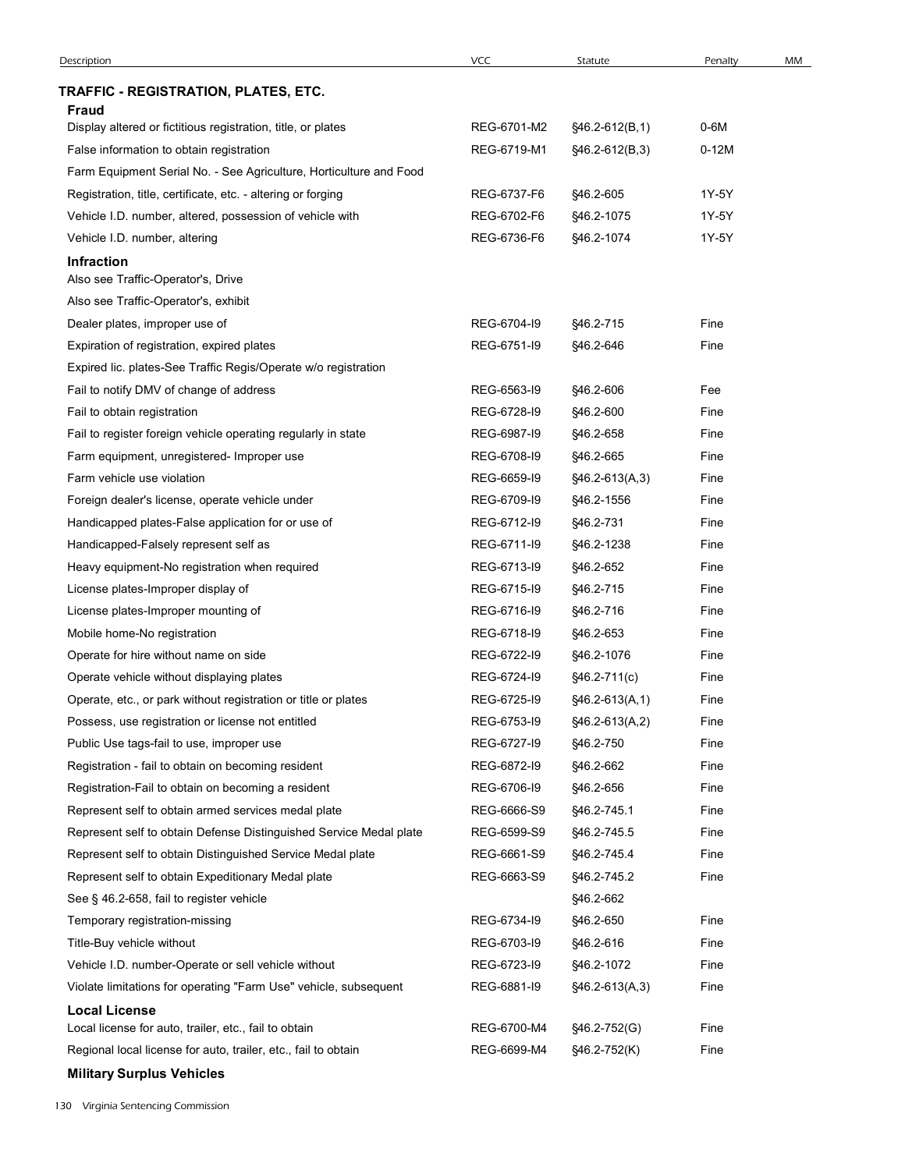| Description                                                                   | <b>VCC</b>  | Statute          | Penalty | MM |
|-------------------------------------------------------------------------------|-------------|------------------|---------|----|
| TRAFFIC - REGISTRATION, PLATES, ETC.                                          |             |                  |         |    |
| Fraud                                                                         |             |                  |         |    |
| Display altered or fictitious registration, title, or plates                  | REG-6701-M2 | §46.2-612(B,1)   | 0-6M    |    |
| False information to obtain registration                                      | REG-6719-M1 | $$46.2-612(B,3)$ | $0-12M$ |    |
| Farm Equipment Serial No. - See Agriculture, Horticulture and Food            |             |                  |         |    |
| Registration, title, certificate, etc. - altering or forging                  | REG-6737-F6 | §46.2-605        | 1Y-5Y   |    |
| Vehicle I.D. number, altered, possession of vehicle with                      | REG-6702-F6 | §46.2-1075       | 1Y-5Y   |    |
| Vehicle I.D. number, altering                                                 | REG-6736-F6 | §46.2-1074       | 1Y-5Y   |    |
| Infraction<br>Also see Traffic-Operator's, Drive                              |             |                  |         |    |
| Also see Traffic-Operator's, exhibit                                          |             |                  |         |    |
| Dealer plates, improper use of                                                | REG-6704-I9 | §46.2-715        | Fine    |    |
| Expiration of registration, expired plates                                    | REG-6751-I9 | §46.2-646        | Fine    |    |
| Expired lic. plates-See Traffic Regis/Operate w/o registration                |             |                  |         |    |
| Fail to notify DMV of change of address                                       | REG-6563-I9 | §46.2-606        | Fee     |    |
| Fail to obtain registration                                                   | REG-6728-I9 | §46.2-600        | Fine    |    |
| Fail to register foreign vehicle operating regularly in state                 | REG-6987-19 | §46.2-658        | Fine    |    |
| Farm equipment, unregistered- Improper use                                    | REG-6708-I9 | §46.2-665        | Fine    |    |
| Farm vehicle use violation                                                    | REG-6659-I9 | §46.2-613(A,3)   | Fine    |    |
| Foreign dealer's license, operate vehicle under                               | REG-6709-I9 | §46.2-1556       | Fine    |    |
| Handicapped plates-False application for or use of                            | REG-6712-I9 | §46.2-731        | Fine    |    |
| Handicapped-Falsely represent self as                                         | REG-6711-I9 | §46.2-1238       | Fine    |    |
| Heavy equipment-No registration when required                                 | REG-6713-I9 | §46.2-652        | Fine    |    |
| License plates-Improper display of                                            | REG-6715-19 | §46.2-715        | Fine    |    |
| License plates-Improper mounting of                                           | REG-6716-I9 | §46.2-716        | Fine    |    |
| Mobile home-No registration                                                   | REG-6718-I9 | §46.2-653        | Fine    |    |
| Operate for hire without name on side                                         | REG-6722-I9 | §46.2-1076       | Fine    |    |
| Operate vehicle without displaying plates                                     | REG-6724-I9 | $$46.2-711(c)$   | Fine    |    |
| Operate, etc., or park without registration or title or plates                | REG-6725-19 | $$46.2-613(A,1)$ | Fine    |    |
| Possess, use registration or license not entitled                             | REG-6753-I9 | $$46.2-613(A,2)$ | Fine    |    |
| Public Use tags-fail to use, improper use                                     | REG-6727-19 | §46.2-750        | Fine    |    |
| Registration - fail to obtain on becoming resident                            | REG-6872-I9 | §46.2-662        | Fine    |    |
| Registration-Fail to obtain on becoming a resident                            | REG-6706-I9 | §46.2-656        | Fine    |    |
| Represent self to obtain armed services medal plate                           | REG-6666-S9 | §46.2-745.1      | Fine    |    |
| Represent self to obtain Defense Distinguished Service Medal plate            | REG-6599-S9 | §46.2-745.5      | Fine    |    |
| Represent self to obtain Distinguished Service Medal plate                    | REG-6661-S9 | §46.2-745.4      | Fine    |    |
| Represent self to obtain Expeditionary Medal plate                            | REG-6663-S9 | §46.2-745.2      | Fine    |    |
| See § 46.2-658, fail to register vehicle                                      |             | §46.2-662        |         |    |
| Temporary registration-missing                                                | REG-6734-I9 | §46.2-650        | Fine    |    |
| Title-Buy vehicle without                                                     | REG-6703-I9 | §46.2-616        | Fine    |    |
| Vehicle I.D. number-Operate or sell vehicle without                           | REG-6723-I9 | §46.2-1072       | Fine    |    |
| Violate limitations for operating "Farm Use" vehicle, subsequent              | REG-6881-I9 | $$46.2-613(A,3)$ | Fine    |    |
| <b>Local License</b><br>Local license for auto, trailer, etc., fail to obtain | REG-6700-M4 | §46.2-752(G)     | Fine    |    |
| Regional local license for auto, trailer, etc., fail to obtain                | REG-6699-M4 | §46.2-752(K)     | Fine    |    |
|                                                                               |             |                  |         |    |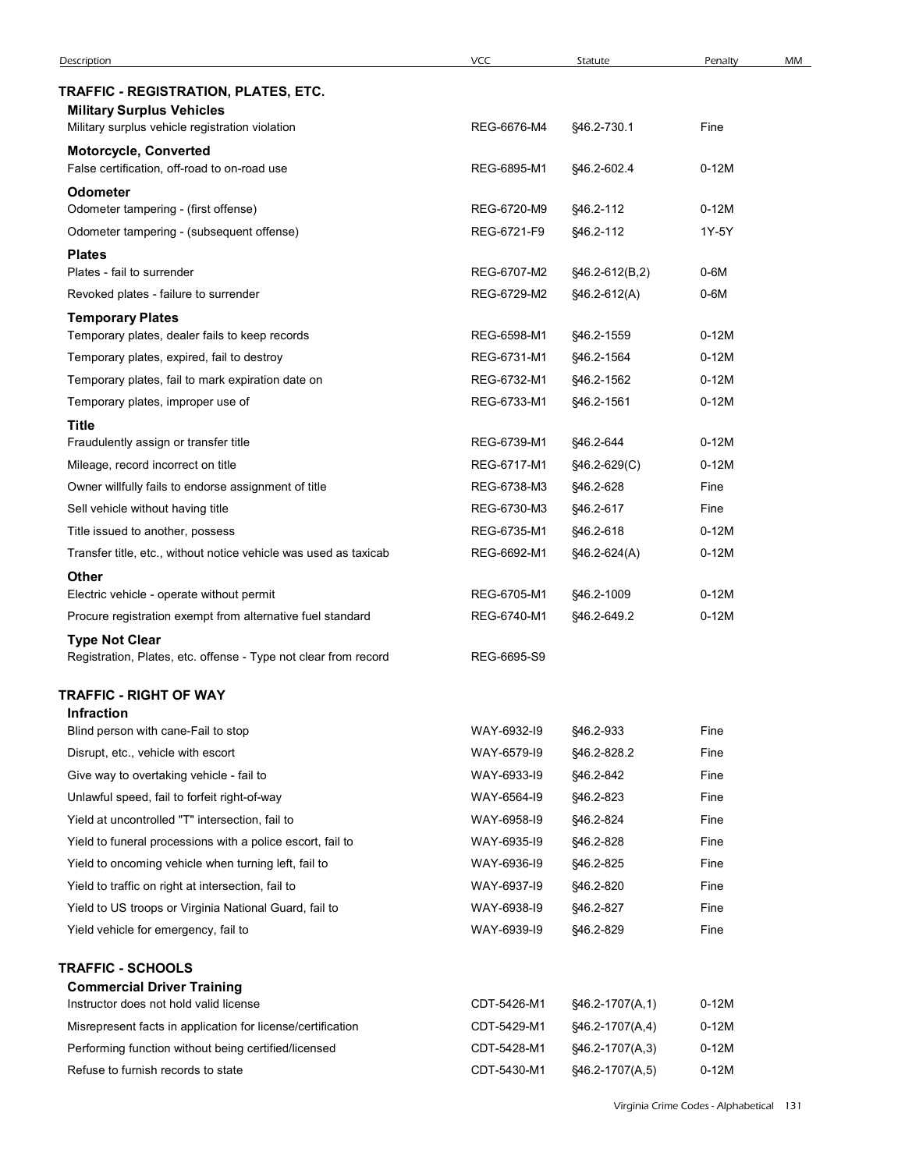| Description                                                                                                                 | <b>VCC</b>                 | Statute                | Penalty      | MM |
|-----------------------------------------------------------------------------------------------------------------------------|----------------------------|------------------------|--------------|----|
| TRAFFIC - REGISTRATION, PLATES, ETC.<br><b>Military Surplus Vehicles</b><br>Military surplus vehicle registration violation | REG-6676-M4                | §46.2-730.1            | Fine         |    |
| <b>Motorcycle, Converted</b>                                                                                                |                            |                        |              |    |
| False certification, off-road to on-road use<br><b>Odometer</b>                                                             | REG-6895-M1                | §46.2-602.4            | $0-12M$      |    |
| Odometer tampering - (first offense)                                                                                        | REG-6720-M9                | §46.2-112              | $0-12M$      |    |
| Odometer tampering - (subsequent offense)<br><b>Plates</b>                                                                  | REG-6721-F9                | §46.2-112              | 1Y-5Y        |    |
| Plates - fail to surrender                                                                                                  | REG-6707-M2                | §46.2-612(B,2)         | 0-6M         |    |
| Revoked plates - failure to surrender                                                                                       | REG-6729-M2                | §46.2-612(A)           | $0-6M$       |    |
| <b>Temporary Plates</b><br>Temporary plates, dealer fails to keep records                                                   | REG-6598-M1                | \$46.2-1559            | $0-12M$      |    |
| Temporary plates, expired, fail to destroy                                                                                  | REG-6731-M1                | §46.2-1564             | $0-12M$      |    |
| Temporary plates, fail to mark expiration date on                                                                           | REG-6732-M1                | §46.2-1562             | $0-12M$      |    |
| Temporary plates, improper use of                                                                                           | REG-6733-M1                | §46.2-1561             | $0-12M$      |    |
| Title<br>Fraudulently assign or transfer title                                                                              | REG-6739-M1                | §46.2-644              | $0-12M$      |    |
| Mileage, record incorrect on title                                                                                          | REG-6717-M1                | §46.2-629(C)           | $0-12M$      |    |
| Owner willfully fails to endorse assignment of title                                                                        | REG-6738-M3                | §46.2-628              | Fine         |    |
| Sell vehicle without having title                                                                                           | REG-6730-M3                | §46.2-617              | Fine         |    |
| Title issued to another, possess                                                                                            | REG-6735-M1                | §46.2-618              | $0-12M$      |    |
| Transfer title, etc., without notice vehicle was used as taxicab<br><b>Other</b>                                            | REG-6692-M1                | $$46.2-624(A)$         | $0-12M$      |    |
| Electric vehicle - operate without permit                                                                                   | REG-6705-M1                | §46.2-1009             | $0-12M$      |    |
| Procure registration exempt from alternative fuel standard                                                                  | REG-6740-M1                | §46.2-649.2            | $0-12M$      |    |
| <b>Type Not Clear</b><br>Registration, Plates, etc. offense - Type not clear from record                                    | REG-6695-S9                |                        |              |    |
| <b>TRAFFIC - RIGHT OF WAY</b>                                                                                               |                            |                        |              |    |
| <b>Infraction</b><br>Blind person with cane-Fail to stop                                                                    | WAY-6932-I9                | §46.2-933              | Fine         |    |
| Disrupt, etc., vehicle with escort                                                                                          | WAY-6579-19                | §46.2-828.2            | Fine         |    |
| Give way to overtaking vehicle - fail to                                                                                    | WAY-6933-I9                | §46.2-842              | Fine         |    |
| Unlawful speed, fail to forfeit right-of-way                                                                                | WAY-6564-I9                | §46.2-823              | Fine         |    |
| Yield at uncontrolled "T" intersection, fail to                                                                             | WAY-6958-I9                | §46.2-824              | Fine         |    |
| Yield to funeral processions with a police escort, fail to                                                                  | WAY-6935-19                | §46.2-828              | Fine<br>Fine |    |
| Yield to oncoming vehicle when turning left, fail to<br>Yield to traffic on right at intersection, fail to                  | WAY-6936-I9<br>WAY-6937-19 | §46.2-825<br>§46.2-820 | Fine         |    |
| Yield to US troops or Virginia National Guard, fail to                                                                      | WAY-6938-I9                | §46.2-827              | Fine         |    |
| Yield vehicle for emergency, fail to                                                                                        | WAY-6939-19                | §46.2-829              | Fine         |    |
| <b>TRAFFIC - SCHOOLS</b>                                                                                                    |                            |                        |              |    |
| <b>Commercial Driver Training</b><br>Instructor does not hold valid license                                                 | CDT-5426-M1                | §46.2-1707(A,1)        | $0-12M$      |    |
| Misrepresent facts in application for license/certification                                                                 | CDT-5429-M1                | §46.2-1707(A,4)        | $0-12M$      |    |
| Performing function without being certified/licensed                                                                        | CDT-5428-M1                | §46.2-1707(A,3)        | $0-12M$      |    |
| Refuse to furnish records to state                                                                                          | CDT-5430-M1                | §46.2-1707(A,5)        | $0-12M$      |    |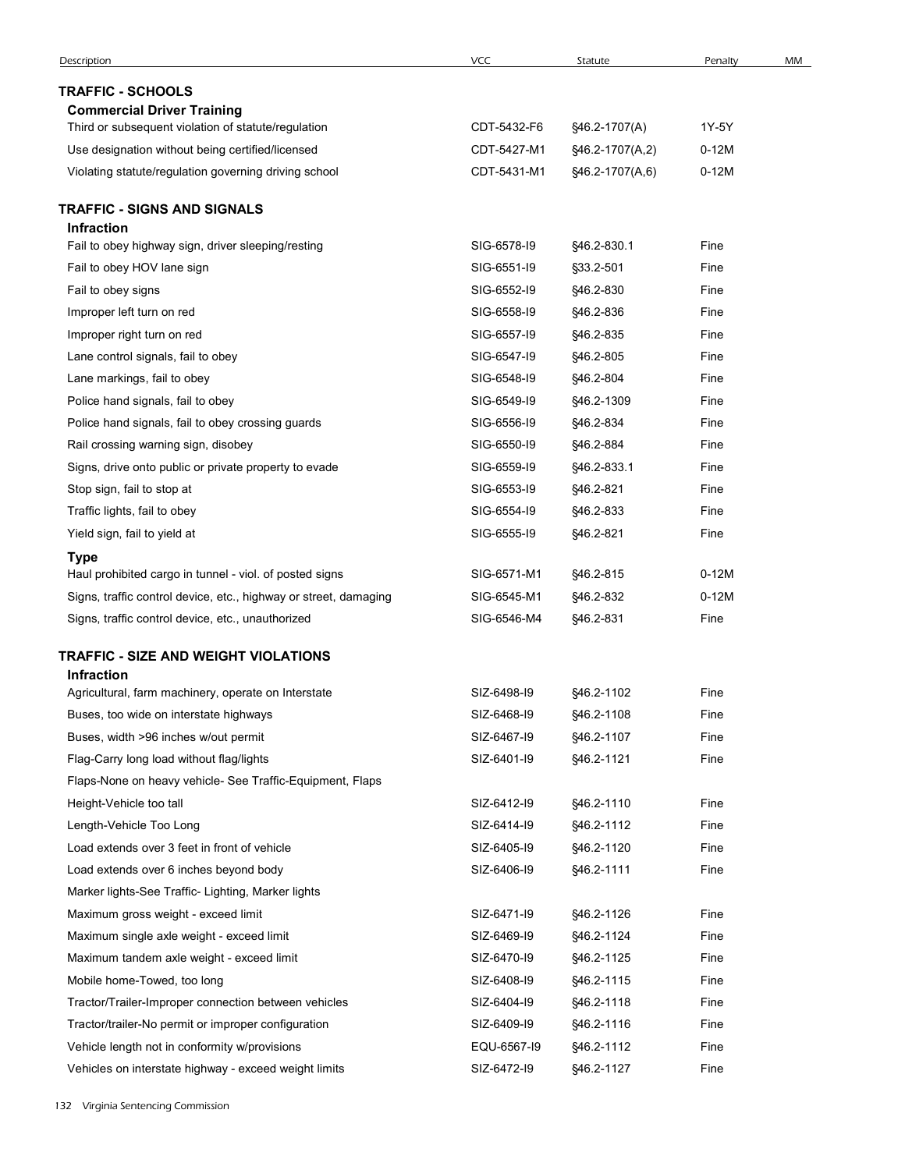| <b>TRAFFIC - SCHOOLS</b><br><b>Commercial Driver Training</b><br>Third or subsequent violation of statute/regulation<br>CDT-5432-F6<br>§46.2-1707(A)<br>1Y-5Y<br>Use designation without being certified/licensed<br>CDT-5427-M1<br>$0-12M$<br>§46.2-1707(A,2)<br>$0-12M$<br>CDT-5431-M1<br>Violating statute/regulation governing driving school<br>§46.2-1707(A,6)<br>TRAFFIC - SIGNS AND SIGNALS<br><b>Infraction</b><br>SIG-6578-19<br>§46.2-830.1<br>Fine<br>Fail to obey highway sign, driver sleeping/resting<br>Fail to obey HOV lane sign<br>SIG-6551-I9<br>§33.2-501<br>Fine<br>SIG-6552-I9<br>§46.2-830<br>Fine<br>Fail to obey signs<br>Improper left turn on red<br>SIG-6558-I9<br>§46.2-836<br>Fine<br>SIG-6557-19<br>§46.2-835<br>Fine<br>Improper right turn on red<br>SIG-6547-19<br>§46.2-805<br>Fine<br>Lane control signals, fail to obey<br>SIG-6548-I9<br>§46.2-804<br>Fine<br>Lane markings, fail to obey<br>SIG-6549-I9<br>§46.2-1309<br>Fine<br>Police hand signals, fail to obey<br>Police hand signals, fail to obey crossing guards<br>SIG-6556-19<br>§46.2-834<br>Fine<br>Rail crossing warning sign, disobey<br>SIG-6550-I9<br>§46.2-884<br>Fine<br>Signs, drive onto public or private property to evade<br>SIG-6559-19<br>§46.2-833.1<br>Fine<br>Stop sign, fail to stop at<br>SIG-6553-I9<br>§46.2-821<br>Fine<br>Traffic lights, fail to obey<br>SIG-6554-19<br>§46.2-833<br>Fine<br>Yield sign, fail to yield at<br>SIG-6555-19<br>§46.2-821<br>Fine<br><b>Type</b><br>Haul prohibited cargo in tunnel - viol. of posted signs<br>SIG-6571-M1<br>§46.2-815<br>$0-12M$<br>Signs, traffic control device, etc., highway or street, damaging<br>SIG-6545-M1<br>§46.2-832<br>$0-12M$<br>Signs, traffic control device, etc., unauthorized<br>SIG-6546-M4<br>§46.2-831<br>Fine<br>TRAFFIC - SIZE AND WEIGHT VIOLATIONS<br><b>Infraction</b><br>Agricultural, farm machinery, operate on Interstate<br>SIZ-6498-I9<br>§46.2-1102<br>Fine<br>Buses, too wide on interstate highways<br>SIZ-6468-I9<br>§46.2-1108<br>Fine<br>Buses, width >96 inches w/out permit<br>SIZ-6467-19<br>§46.2-1107<br>Fine<br>Flag-Carry long load without flag/lights<br>SIZ-6401-I9<br>§46.2-1121<br>Fine<br>Flaps-None on heavy vehicle- See Traffic-Equipment, Flaps<br>Height-Vehicle too tall<br>SIZ-6412-I9<br>§46.2-1110<br>Fine<br>Length-Vehicle Too Long<br>SIZ-6414-I9<br>§46.2-1112<br>Fine<br>Fine<br>Load extends over 3 feet in front of vehicle<br>SIZ-6405-19<br>§46.2-1120<br>Load extends over 6 inches beyond body<br>SIZ-6406-19<br>§46.2-1111<br>Fine<br>Marker lights-See Traffic- Lighting, Marker lights<br>Maximum gross weight - exceed limit<br>SIZ-6471-I9<br>§46.2-1126<br>Fine<br>SIZ-6469-19<br>Fine<br>Maximum single axle weight - exceed limit<br>§46.2-1124<br>Maximum tandem axle weight - exceed limit<br>SIZ-6470-I9<br>§46.2-1125<br>Fine<br>Mobile home-Towed, too long<br>SIZ-6408-I9<br>§46.2-1115<br>Fine<br>Tractor/Trailer-Improper connection between vehicles<br>SIZ-6404-I9<br>§46.2-1118<br>Fine<br>Tractor/trailer-No permit or improper configuration<br>Fine<br>SIZ-6409-I9<br>§46.2-1116<br>Vehicle length not in conformity w/provisions<br>EQU-6567-I9<br>§46.2-1112<br>Fine | Description | VCC | Statute | Penalty | MM |
|----------------------------------------------------------------------------------------------------------------------------------------------------------------------------------------------------------------------------------------------------------------------------------------------------------------------------------------------------------------------------------------------------------------------------------------------------------------------------------------------------------------------------------------------------------------------------------------------------------------------------------------------------------------------------------------------------------------------------------------------------------------------------------------------------------------------------------------------------------------------------------------------------------------------------------------------------------------------------------------------------------------------------------------------------------------------------------------------------------------------------------------------------------------------------------------------------------------------------------------------------------------------------------------------------------------------------------------------------------------------------------------------------------------------------------------------------------------------------------------------------------------------------------------------------------------------------------------------------------------------------------------------------------------------------------------------------------------------------------------------------------------------------------------------------------------------------------------------------------------------------------------------------------------------------------------------------------------------------------------------------------------------------------------------------------------------------------------------------------------------------------------------------------------------------------------------------------------------------------------------------------------------------------------------------------------------------------------------------------------------------------------------------------------------------------------------------------------------------------------------------------------------------------------------------------------------------------------------------------------------------------------------------------------------------------------------------------------------------------------------------------------------------------------------------------------------------------------------------------------------------------------------------------------------------------------------------------------------------------------------------------------------------------------------------------------------------------------------------------------------------------------------------------------------------------------------------------------------------------------------|-------------|-----|---------|---------|----|
|                                                                                                                                                                                                                                                                                                                                                                                                                                                                                                                                                                                                                                                                                                                                                                                                                                                                                                                                                                                                                                                                                                                                                                                                                                                                                                                                                                                                                                                                                                                                                                                                                                                                                                                                                                                                                                                                                                                                                                                                                                                                                                                                                                                                                                                                                                                                                                                                                                                                                                                                                                                                                                                                                                                                                                                                                                                                                                                                                                                                                                                                                                                                                                                                                                              |             |     |         |         |    |
|                                                                                                                                                                                                                                                                                                                                                                                                                                                                                                                                                                                                                                                                                                                                                                                                                                                                                                                                                                                                                                                                                                                                                                                                                                                                                                                                                                                                                                                                                                                                                                                                                                                                                                                                                                                                                                                                                                                                                                                                                                                                                                                                                                                                                                                                                                                                                                                                                                                                                                                                                                                                                                                                                                                                                                                                                                                                                                                                                                                                                                                                                                                                                                                                                                              |             |     |         |         |    |
|                                                                                                                                                                                                                                                                                                                                                                                                                                                                                                                                                                                                                                                                                                                                                                                                                                                                                                                                                                                                                                                                                                                                                                                                                                                                                                                                                                                                                                                                                                                                                                                                                                                                                                                                                                                                                                                                                                                                                                                                                                                                                                                                                                                                                                                                                                                                                                                                                                                                                                                                                                                                                                                                                                                                                                                                                                                                                                                                                                                                                                                                                                                                                                                                                                              |             |     |         |         |    |
|                                                                                                                                                                                                                                                                                                                                                                                                                                                                                                                                                                                                                                                                                                                                                                                                                                                                                                                                                                                                                                                                                                                                                                                                                                                                                                                                                                                                                                                                                                                                                                                                                                                                                                                                                                                                                                                                                                                                                                                                                                                                                                                                                                                                                                                                                                                                                                                                                                                                                                                                                                                                                                                                                                                                                                                                                                                                                                                                                                                                                                                                                                                                                                                                                                              |             |     |         |         |    |
|                                                                                                                                                                                                                                                                                                                                                                                                                                                                                                                                                                                                                                                                                                                                                                                                                                                                                                                                                                                                                                                                                                                                                                                                                                                                                                                                                                                                                                                                                                                                                                                                                                                                                                                                                                                                                                                                                                                                                                                                                                                                                                                                                                                                                                                                                                                                                                                                                                                                                                                                                                                                                                                                                                                                                                                                                                                                                                                                                                                                                                                                                                                                                                                                                                              |             |     |         |         |    |
|                                                                                                                                                                                                                                                                                                                                                                                                                                                                                                                                                                                                                                                                                                                                                                                                                                                                                                                                                                                                                                                                                                                                                                                                                                                                                                                                                                                                                                                                                                                                                                                                                                                                                                                                                                                                                                                                                                                                                                                                                                                                                                                                                                                                                                                                                                                                                                                                                                                                                                                                                                                                                                                                                                                                                                                                                                                                                                                                                                                                                                                                                                                                                                                                                                              |             |     |         |         |    |
|                                                                                                                                                                                                                                                                                                                                                                                                                                                                                                                                                                                                                                                                                                                                                                                                                                                                                                                                                                                                                                                                                                                                                                                                                                                                                                                                                                                                                                                                                                                                                                                                                                                                                                                                                                                                                                                                                                                                                                                                                                                                                                                                                                                                                                                                                                                                                                                                                                                                                                                                                                                                                                                                                                                                                                                                                                                                                                                                                                                                                                                                                                                                                                                                                                              |             |     |         |         |    |
|                                                                                                                                                                                                                                                                                                                                                                                                                                                                                                                                                                                                                                                                                                                                                                                                                                                                                                                                                                                                                                                                                                                                                                                                                                                                                                                                                                                                                                                                                                                                                                                                                                                                                                                                                                                                                                                                                                                                                                                                                                                                                                                                                                                                                                                                                                                                                                                                                                                                                                                                                                                                                                                                                                                                                                                                                                                                                                                                                                                                                                                                                                                                                                                                                                              |             |     |         |         |    |
|                                                                                                                                                                                                                                                                                                                                                                                                                                                                                                                                                                                                                                                                                                                                                                                                                                                                                                                                                                                                                                                                                                                                                                                                                                                                                                                                                                                                                                                                                                                                                                                                                                                                                                                                                                                                                                                                                                                                                                                                                                                                                                                                                                                                                                                                                                                                                                                                                                                                                                                                                                                                                                                                                                                                                                                                                                                                                                                                                                                                                                                                                                                                                                                                                                              |             |     |         |         |    |
|                                                                                                                                                                                                                                                                                                                                                                                                                                                                                                                                                                                                                                                                                                                                                                                                                                                                                                                                                                                                                                                                                                                                                                                                                                                                                                                                                                                                                                                                                                                                                                                                                                                                                                                                                                                                                                                                                                                                                                                                                                                                                                                                                                                                                                                                                                                                                                                                                                                                                                                                                                                                                                                                                                                                                                                                                                                                                                                                                                                                                                                                                                                                                                                                                                              |             |     |         |         |    |
|                                                                                                                                                                                                                                                                                                                                                                                                                                                                                                                                                                                                                                                                                                                                                                                                                                                                                                                                                                                                                                                                                                                                                                                                                                                                                                                                                                                                                                                                                                                                                                                                                                                                                                                                                                                                                                                                                                                                                                                                                                                                                                                                                                                                                                                                                                                                                                                                                                                                                                                                                                                                                                                                                                                                                                                                                                                                                                                                                                                                                                                                                                                                                                                                                                              |             |     |         |         |    |
|                                                                                                                                                                                                                                                                                                                                                                                                                                                                                                                                                                                                                                                                                                                                                                                                                                                                                                                                                                                                                                                                                                                                                                                                                                                                                                                                                                                                                                                                                                                                                                                                                                                                                                                                                                                                                                                                                                                                                                                                                                                                                                                                                                                                                                                                                                                                                                                                                                                                                                                                                                                                                                                                                                                                                                                                                                                                                                                                                                                                                                                                                                                                                                                                                                              |             |     |         |         |    |
|                                                                                                                                                                                                                                                                                                                                                                                                                                                                                                                                                                                                                                                                                                                                                                                                                                                                                                                                                                                                                                                                                                                                                                                                                                                                                                                                                                                                                                                                                                                                                                                                                                                                                                                                                                                                                                                                                                                                                                                                                                                                                                                                                                                                                                                                                                                                                                                                                                                                                                                                                                                                                                                                                                                                                                                                                                                                                                                                                                                                                                                                                                                                                                                                                                              |             |     |         |         |    |
|                                                                                                                                                                                                                                                                                                                                                                                                                                                                                                                                                                                                                                                                                                                                                                                                                                                                                                                                                                                                                                                                                                                                                                                                                                                                                                                                                                                                                                                                                                                                                                                                                                                                                                                                                                                                                                                                                                                                                                                                                                                                                                                                                                                                                                                                                                                                                                                                                                                                                                                                                                                                                                                                                                                                                                                                                                                                                                                                                                                                                                                                                                                                                                                                                                              |             |     |         |         |    |
|                                                                                                                                                                                                                                                                                                                                                                                                                                                                                                                                                                                                                                                                                                                                                                                                                                                                                                                                                                                                                                                                                                                                                                                                                                                                                                                                                                                                                                                                                                                                                                                                                                                                                                                                                                                                                                                                                                                                                                                                                                                                                                                                                                                                                                                                                                                                                                                                                                                                                                                                                                                                                                                                                                                                                                                                                                                                                                                                                                                                                                                                                                                                                                                                                                              |             |     |         |         |    |
|                                                                                                                                                                                                                                                                                                                                                                                                                                                                                                                                                                                                                                                                                                                                                                                                                                                                                                                                                                                                                                                                                                                                                                                                                                                                                                                                                                                                                                                                                                                                                                                                                                                                                                                                                                                                                                                                                                                                                                                                                                                                                                                                                                                                                                                                                                                                                                                                                                                                                                                                                                                                                                                                                                                                                                                                                                                                                                                                                                                                                                                                                                                                                                                                                                              |             |     |         |         |    |
|                                                                                                                                                                                                                                                                                                                                                                                                                                                                                                                                                                                                                                                                                                                                                                                                                                                                                                                                                                                                                                                                                                                                                                                                                                                                                                                                                                                                                                                                                                                                                                                                                                                                                                                                                                                                                                                                                                                                                                                                                                                                                                                                                                                                                                                                                                                                                                                                                                                                                                                                                                                                                                                                                                                                                                                                                                                                                                                                                                                                                                                                                                                                                                                                                                              |             |     |         |         |    |
|                                                                                                                                                                                                                                                                                                                                                                                                                                                                                                                                                                                                                                                                                                                                                                                                                                                                                                                                                                                                                                                                                                                                                                                                                                                                                                                                                                                                                                                                                                                                                                                                                                                                                                                                                                                                                                                                                                                                                                                                                                                                                                                                                                                                                                                                                                                                                                                                                                                                                                                                                                                                                                                                                                                                                                                                                                                                                                                                                                                                                                                                                                                                                                                                                                              |             |     |         |         |    |
|                                                                                                                                                                                                                                                                                                                                                                                                                                                                                                                                                                                                                                                                                                                                                                                                                                                                                                                                                                                                                                                                                                                                                                                                                                                                                                                                                                                                                                                                                                                                                                                                                                                                                                                                                                                                                                                                                                                                                                                                                                                                                                                                                                                                                                                                                                                                                                                                                                                                                                                                                                                                                                                                                                                                                                                                                                                                                                                                                                                                                                                                                                                                                                                                                                              |             |     |         |         |    |
|                                                                                                                                                                                                                                                                                                                                                                                                                                                                                                                                                                                                                                                                                                                                                                                                                                                                                                                                                                                                                                                                                                                                                                                                                                                                                                                                                                                                                                                                                                                                                                                                                                                                                                                                                                                                                                                                                                                                                                                                                                                                                                                                                                                                                                                                                                                                                                                                                                                                                                                                                                                                                                                                                                                                                                                                                                                                                                                                                                                                                                                                                                                                                                                                                                              |             |     |         |         |    |
|                                                                                                                                                                                                                                                                                                                                                                                                                                                                                                                                                                                                                                                                                                                                                                                                                                                                                                                                                                                                                                                                                                                                                                                                                                                                                                                                                                                                                                                                                                                                                                                                                                                                                                                                                                                                                                                                                                                                                                                                                                                                                                                                                                                                                                                                                                                                                                                                                                                                                                                                                                                                                                                                                                                                                                                                                                                                                                                                                                                                                                                                                                                                                                                                                                              |             |     |         |         |    |
|                                                                                                                                                                                                                                                                                                                                                                                                                                                                                                                                                                                                                                                                                                                                                                                                                                                                                                                                                                                                                                                                                                                                                                                                                                                                                                                                                                                                                                                                                                                                                                                                                                                                                                                                                                                                                                                                                                                                                                                                                                                                                                                                                                                                                                                                                                                                                                                                                                                                                                                                                                                                                                                                                                                                                                                                                                                                                                                                                                                                                                                                                                                                                                                                                                              |             |     |         |         |    |
|                                                                                                                                                                                                                                                                                                                                                                                                                                                                                                                                                                                                                                                                                                                                                                                                                                                                                                                                                                                                                                                                                                                                                                                                                                                                                                                                                                                                                                                                                                                                                                                                                                                                                                                                                                                                                                                                                                                                                                                                                                                                                                                                                                                                                                                                                                                                                                                                                                                                                                                                                                                                                                                                                                                                                                                                                                                                                                                                                                                                                                                                                                                                                                                                                                              |             |     |         |         |    |
|                                                                                                                                                                                                                                                                                                                                                                                                                                                                                                                                                                                                                                                                                                                                                                                                                                                                                                                                                                                                                                                                                                                                                                                                                                                                                                                                                                                                                                                                                                                                                                                                                                                                                                                                                                                                                                                                                                                                                                                                                                                                                                                                                                                                                                                                                                                                                                                                                                                                                                                                                                                                                                                                                                                                                                                                                                                                                                                                                                                                                                                                                                                                                                                                                                              |             |     |         |         |    |
|                                                                                                                                                                                                                                                                                                                                                                                                                                                                                                                                                                                                                                                                                                                                                                                                                                                                                                                                                                                                                                                                                                                                                                                                                                                                                                                                                                                                                                                                                                                                                                                                                                                                                                                                                                                                                                                                                                                                                                                                                                                                                                                                                                                                                                                                                                                                                                                                                                                                                                                                                                                                                                                                                                                                                                                                                                                                                                                                                                                                                                                                                                                                                                                                                                              |             |     |         |         |    |
|                                                                                                                                                                                                                                                                                                                                                                                                                                                                                                                                                                                                                                                                                                                                                                                                                                                                                                                                                                                                                                                                                                                                                                                                                                                                                                                                                                                                                                                                                                                                                                                                                                                                                                                                                                                                                                                                                                                                                                                                                                                                                                                                                                                                                                                                                                                                                                                                                                                                                                                                                                                                                                                                                                                                                                                                                                                                                                                                                                                                                                                                                                                                                                                                                                              |             |     |         |         |    |
|                                                                                                                                                                                                                                                                                                                                                                                                                                                                                                                                                                                                                                                                                                                                                                                                                                                                                                                                                                                                                                                                                                                                                                                                                                                                                                                                                                                                                                                                                                                                                                                                                                                                                                                                                                                                                                                                                                                                                                                                                                                                                                                                                                                                                                                                                                                                                                                                                                                                                                                                                                                                                                                                                                                                                                                                                                                                                                                                                                                                                                                                                                                                                                                                                                              |             |     |         |         |    |
|                                                                                                                                                                                                                                                                                                                                                                                                                                                                                                                                                                                                                                                                                                                                                                                                                                                                                                                                                                                                                                                                                                                                                                                                                                                                                                                                                                                                                                                                                                                                                                                                                                                                                                                                                                                                                                                                                                                                                                                                                                                                                                                                                                                                                                                                                                                                                                                                                                                                                                                                                                                                                                                                                                                                                                                                                                                                                                                                                                                                                                                                                                                                                                                                                                              |             |     |         |         |    |
|                                                                                                                                                                                                                                                                                                                                                                                                                                                                                                                                                                                                                                                                                                                                                                                                                                                                                                                                                                                                                                                                                                                                                                                                                                                                                                                                                                                                                                                                                                                                                                                                                                                                                                                                                                                                                                                                                                                                                                                                                                                                                                                                                                                                                                                                                                                                                                                                                                                                                                                                                                                                                                                                                                                                                                                                                                                                                                                                                                                                                                                                                                                                                                                                                                              |             |     |         |         |    |
|                                                                                                                                                                                                                                                                                                                                                                                                                                                                                                                                                                                                                                                                                                                                                                                                                                                                                                                                                                                                                                                                                                                                                                                                                                                                                                                                                                                                                                                                                                                                                                                                                                                                                                                                                                                                                                                                                                                                                                                                                                                                                                                                                                                                                                                                                                                                                                                                                                                                                                                                                                                                                                                                                                                                                                                                                                                                                                                                                                                                                                                                                                                                                                                                                                              |             |     |         |         |    |
|                                                                                                                                                                                                                                                                                                                                                                                                                                                                                                                                                                                                                                                                                                                                                                                                                                                                                                                                                                                                                                                                                                                                                                                                                                                                                                                                                                                                                                                                                                                                                                                                                                                                                                                                                                                                                                                                                                                                                                                                                                                                                                                                                                                                                                                                                                                                                                                                                                                                                                                                                                                                                                                                                                                                                                                                                                                                                                                                                                                                                                                                                                                                                                                                                                              |             |     |         |         |    |
|                                                                                                                                                                                                                                                                                                                                                                                                                                                                                                                                                                                                                                                                                                                                                                                                                                                                                                                                                                                                                                                                                                                                                                                                                                                                                                                                                                                                                                                                                                                                                                                                                                                                                                                                                                                                                                                                                                                                                                                                                                                                                                                                                                                                                                                                                                                                                                                                                                                                                                                                                                                                                                                                                                                                                                                                                                                                                                                                                                                                                                                                                                                                                                                                                                              |             |     |         |         |    |
|                                                                                                                                                                                                                                                                                                                                                                                                                                                                                                                                                                                                                                                                                                                                                                                                                                                                                                                                                                                                                                                                                                                                                                                                                                                                                                                                                                                                                                                                                                                                                                                                                                                                                                                                                                                                                                                                                                                                                                                                                                                                                                                                                                                                                                                                                                                                                                                                                                                                                                                                                                                                                                                                                                                                                                                                                                                                                                                                                                                                                                                                                                                                                                                                                                              |             |     |         |         |    |
|                                                                                                                                                                                                                                                                                                                                                                                                                                                                                                                                                                                                                                                                                                                                                                                                                                                                                                                                                                                                                                                                                                                                                                                                                                                                                                                                                                                                                                                                                                                                                                                                                                                                                                                                                                                                                                                                                                                                                                                                                                                                                                                                                                                                                                                                                                                                                                                                                                                                                                                                                                                                                                                                                                                                                                                                                                                                                                                                                                                                                                                                                                                                                                                                                                              |             |     |         |         |    |
|                                                                                                                                                                                                                                                                                                                                                                                                                                                                                                                                                                                                                                                                                                                                                                                                                                                                                                                                                                                                                                                                                                                                                                                                                                                                                                                                                                                                                                                                                                                                                                                                                                                                                                                                                                                                                                                                                                                                                                                                                                                                                                                                                                                                                                                                                                                                                                                                                                                                                                                                                                                                                                                                                                                                                                                                                                                                                                                                                                                                                                                                                                                                                                                                                                              |             |     |         |         |    |
|                                                                                                                                                                                                                                                                                                                                                                                                                                                                                                                                                                                                                                                                                                                                                                                                                                                                                                                                                                                                                                                                                                                                                                                                                                                                                                                                                                                                                                                                                                                                                                                                                                                                                                                                                                                                                                                                                                                                                                                                                                                                                                                                                                                                                                                                                                                                                                                                                                                                                                                                                                                                                                                                                                                                                                                                                                                                                                                                                                                                                                                                                                                                                                                                                                              |             |     |         |         |    |
|                                                                                                                                                                                                                                                                                                                                                                                                                                                                                                                                                                                                                                                                                                                                                                                                                                                                                                                                                                                                                                                                                                                                                                                                                                                                                                                                                                                                                                                                                                                                                                                                                                                                                                                                                                                                                                                                                                                                                                                                                                                                                                                                                                                                                                                                                                                                                                                                                                                                                                                                                                                                                                                                                                                                                                                                                                                                                                                                                                                                                                                                                                                                                                                                                                              |             |     |         |         |    |
|                                                                                                                                                                                                                                                                                                                                                                                                                                                                                                                                                                                                                                                                                                                                                                                                                                                                                                                                                                                                                                                                                                                                                                                                                                                                                                                                                                                                                                                                                                                                                                                                                                                                                                                                                                                                                                                                                                                                                                                                                                                                                                                                                                                                                                                                                                                                                                                                                                                                                                                                                                                                                                                                                                                                                                                                                                                                                                                                                                                                                                                                                                                                                                                                                                              |             |     |         |         |    |
|                                                                                                                                                                                                                                                                                                                                                                                                                                                                                                                                                                                                                                                                                                                                                                                                                                                                                                                                                                                                                                                                                                                                                                                                                                                                                                                                                                                                                                                                                                                                                                                                                                                                                                                                                                                                                                                                                                                                                                                                                                                                                                                                                                                                                                                                                                                                                                                                                                                                                                                                                                                                                                                                                                                                                                                                                                                                                                                                                                                                                                                                                                                                                                                                                                              |             |     |         |         |    |
|                                                                                                                                                                                                                                                                                                                                                                                                                                                                                                                                                                                                                                                                                                                                                                                                                                                                                                                                                                                                                                                                                                                                                                                                                                                                                                                                                                                                                                                                                                                                                                                                                                                                                                                                                                                                                                                                                                                                                                                                                                                                                                                                                                                                                                                                                                                                                                                                                                                                                                                                                                                                                                                                                                                                                                                                                                                                                                                                                                                                                                                                                                                                                                                                                                              |             |     |         |         |    |
|                                                                                                                                                                                                                                                                                                                                                                                                                                                                                                                                                                                                                                                                                                                                                                                                                                                                                                                                                                                                                                                                                                                                                                                                                                                                                                                                                                                                                                                                                                                                                                                                                                                                                                                                                                                                                                                                                                                                                                                                                                                                                                                                                                                                                                                                                                                                                                                                                                                                                                                                                                                                                                                                                                                                                                                                                                                                                                                                                                                                                                                                                                                                                                                                                                              |             |     |         |         |    |
|                                                                                                                                                                                                                                                                                                                                                                                                                                                                                                                                                                                                                                                                                                                                                                                                                                                                                                                                                                                                                                                                                                                                                                                                                                                                                                                                                                                                                                                                                                                                                                                                                                                                                                                                                                                                                                                                                                                                                                                                                                                                                                                                                                                                                                                                                                                                                                                                                                                                                                                                                                                                                                                                                                                                                                                                                                                                                                                                                                                                                                                                                                                                                                                                                                              |             |     |         |         |    |
|                                                                                                                                                                                                                                                                                                                                                                                                                                                                                                                                                                                                                                                                                                                                                                                                                                                                                                                                                                                                                                                                                                                                                                                                                                                                                                                                                                                                                                                                                                                                                                                                                                                                                                                                                                                                                                                                                                                                                                                                                                                                                                                                                                                                                                                                                                                                                                                                                                                                                                                                                                                                                                                                                                                                                                                                                                                                                                                                                                                                                                                                                                                                                                                                                                              |             |     |         |         |    |
|                                                                                                                                                                                                                                                                                                                                                                                                                                                                                                                                                                                                                                                                                                                                                                                                                                                                                                                                                                                                                                                                                                                                                                                                                                                                                                                                                                                                                                                                                                                                                                                                                                                                                                                                                                                                                                                                                                                                                                                                                                                                                                                                                                                                                                                                                                                                                                                                                                                                                                                                                                                                                                                                                                                                                                                                                                                                                                                                                                                                                                                                                                                                                                                                                                              |             |     |         |         |    |
| SIZ-6472-I9<br>§46.2-1127<br>Fine<br>Vehicles on interstate highway - exceed weight limits                                                                                                                                                                                                                                                                                                                                                                                                                                                                                                                                                                                                                                                                                                                                                                                                                                                                                                                                                                                                                                                                                                                                                                                                                                                                                                                                                                                                                                                                                                                                                                                                                                                                                                                                                                                                                                                                                                                                                                                                                                                                                                                                                                                                                                                                                                                                                                                                                                                                                                                                                                                                                                                                                                                                                                                                                                                                                                                                                                                                                                                                                                                                                   |             |     |         |         |    |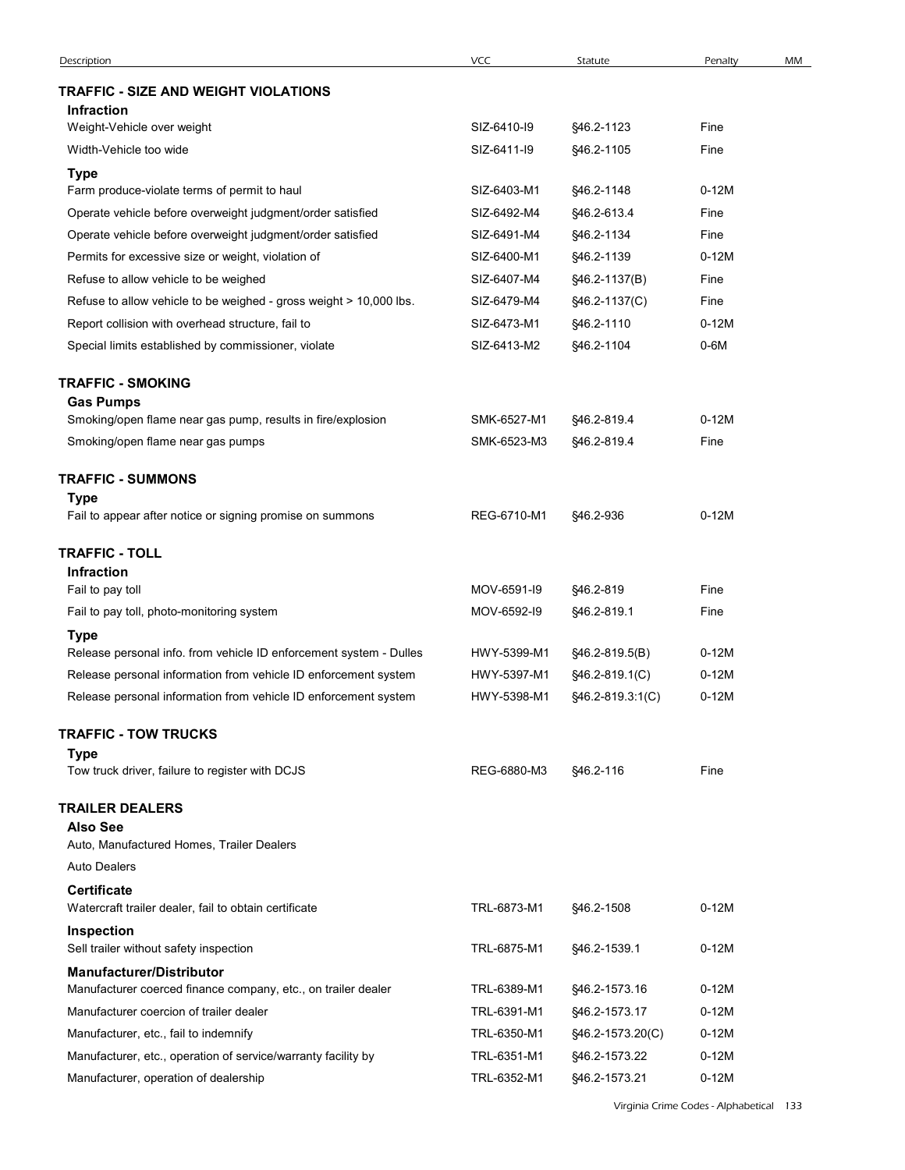| Description                                                                                            | VCC                        | Statute                            | Penalty            | MM |
|--------------------------------------------------------------------------------------------------------|----------------------------|------------------------------------|--------------------|----|
| <b>TRAFFIC - SIZE AND WEIGHT VIOLATIONS</b>                                                            |                            |                                    |                    |    |
| <b>Infraction</b><br>Weight-Vehicle over weight                                                        | SIZ-6410-I9                | §46.2-1123                         | Fine               |    |
| Width-Vehicle too wide                                                                                 | SIZ-6411-I9                | §46.2-1105                         | Fine               |    |
|                                                                                                        |                            |                                    |                    |    |
| <b>Type</b><br>Farm produce-violate terms of permit to haul                                            | SIZ-6403-M1                | §46.2-1148                         | $0-12M$            |    |
| Operate vehicle before overweight judgment/order satisfied                                             | SIZ-6492-M4                | §46.2-613.4                        | Fine               |    |
| Operate vehicle before overweight judgment/order satisfied                                             | SIZ-6491-M4                | §46.2-1134                         | Fine               |    |
| Permits for excessive size or weight, violation of                                                     | SIZ-6400-M1                | §46.2-1139                         | $0-12M$            |    |
| Refuse to allow vehicle to be weighed                                                                  | SIZ-6407-M4                | §46.2-1137(B)                      | Fine               |    |
| Refuse to allow vehicle to be weighed - gross weight > 10,000 lbs.                                     | SIZ-6479-M4                | §46.2-1137(C)                      | Fine               |    |
| Report collision with overhead structure, fail to                                                      | SIZ-6473-M1                | §46.2-1110                         | $0-12M$            |    |
| Special limits established by commissioner, violate                                                    | SIZ-6413-M2                | §46.2-1104                         | $0-6M$             |    |
| <b>TRAFFIC - SMOKING</b>                                                                               |                            |                                    |                    |    |
| <b>Gas Pumps</b>                                                                                       |                            |                                    |                    |    |
| Smoking/open flame near gas pump, results in fire/explosion                                            | SMK-6527-M1                | §46.2-819.4                        | $0-12M$            |    |
| Smoking/open flame near gas pumps                                                                      | SMK-6523-M3                | §46.2-819.4                        | Fine               |    |
| <b>TRAFFIC - SUMMONS</b>                                                                               |                            |                                    |                    |    |
| <b>Type</b>                                                                                            |                            |                                    |                    |    |
| Fail to appear after notice or signing promise on summons                                              | REG-6710-M1                | §46.2-936                          | $0-12M$            |    |
| <b>TRAFFIC - TOLL</b>                                                                                  |                            |                                    |                    |    |
| Infraction                                                                                             |                            |                                    |                    |    |
| Fail to pay toll                                                                                       | MOV-6591-I9                | §46.2-819                          | Fine               |    |
| Fail to pay toll, photo-monitoring system                                                              | MOV-6592-I9                | §46.2-819.1                        | Fine               |    |
| <b>Type</b><br>Release personal info. from vehicle ID enforcement system - Dulles                      | HWY-5399-M1                |                                    | $0-12M$            |    |
| Release personal information from vehicle ID enforcement system                                        | HWY-5397-M1                | §46.2-819.5(B)                     | $0-12M$            |    |
| Release personal information from vehicle ID enforcement system                                        | HWY-5398-M1                | §46.2-819.1(C)<br>§46.2-819.3:1(C) | $0-12M$            |    |
|                                                                                                        |                            |                                    |                    |    |
| <b>TRAFFIC - TOW TRUCKS</b>                                                                            |                            |                                    |                    |    |
| Type<br>Tow truck driver, failure to register with DCJS                                                | REG-6880-M3                | §46.2-116                          | Fine               |    |
| <b>TRAILER DEALERS</b>                                                                                 |                            |                                    |                    |    |
| <b>Also See</b>                                                                                        |                            |                                    |                    |    |
| Auto, Manufactured Homes, Trailer Dealers                                                              |                            |                                    |                    |    |
| <b>Auto Dealers</b>                                                                                    |                            |                                    |                    |    |
| Certificate                                                                                            |                            |                                    |                    |    |
| Watercraft trailer dealer, fail to obtain certificate                                                  | TRL-6873-M1                | §46.2-1508                         | $0-12M$            |    |
| Inspection                                                                                             |                            |                                    |                    |    |
| Sell trailer without safety inspection                                                                 | TRL-6875-M1                | §46.2-1539.1                       | $0-12M$            |    |
| <b>Manufacturer/Distributor</b>                                                                        |                            |                                    |                    |    |
| Manufacturer coerced finance company, etc., on trailer dealer                                          | TRL-6389-M1                | §46.2-1573.16                      | $0-12M$            |    |
| Manufacturer coercion of trailer dealer                                                                | TRL-6391-M1<br>TRL-6350-M1 | §46.2-1573.17                      | $0-12M$<br>$0-12M$ |    |
| Manufacturer, etc., fail to indemnify                                                                  |                            | §46.2-1573.20(C)                   | $0-12M$            |    |
| Manufacturer, etc., operation of service/warranty facility by<br>Manufacturer, operation of dealership | TRL-6351-M1<br>TRL-6352-M1 | §46.2-1573.22<br>§46.2-1573.21     | $0-12M$            |    |
|                                                                                                        |                            |                                    |                    |    |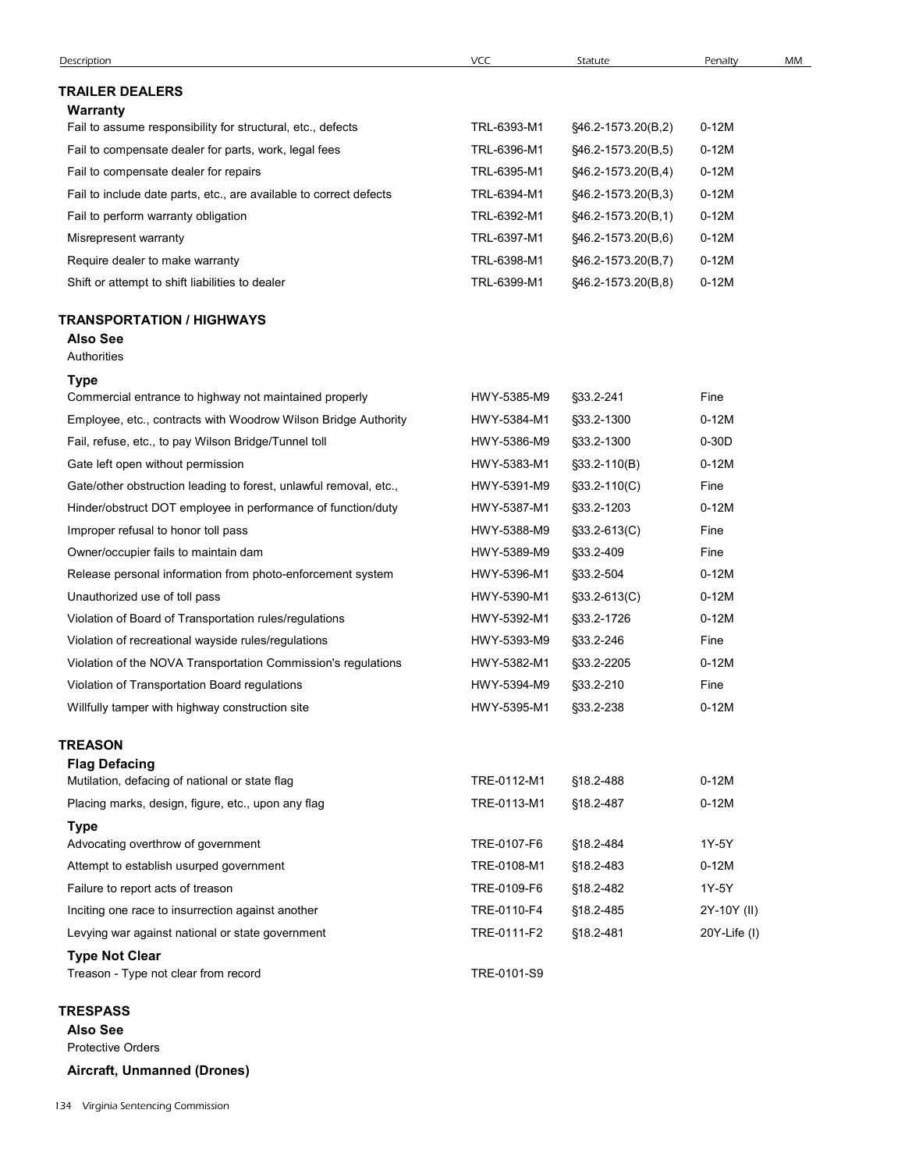| Description                                                        | <b>VCC</b>  | Statute             | Penalty           | MM |
|--------------------------------------------------------------------|-------------|---------------------|-------------------|----|
| <b>TRAILER DEALERS</b>                                             |             |                     |                   |    |
| Warranty                                                           |             |                     |                   |    |
| Fail to assume responsibility for structural, etc., defects        | TRL-6393-M1 | §46.2-1573.20(B,2)  | $0-12M$           |    |
| Fail to compensate dealer for parts, work, legal fees              | TRL-6396-M1 | §46.2-1573.20(B,5)  | $0-12M$           |    |
| Fail to compensate dealer for repairs                              | TRL-6395-M1 | §46.2-1573.20(B,4)  | $0-12M$           |    |
| Fail to include date parts, etc., are available to correct defects | TRL-6394-M1 | §46.2-1573.20(B,3)  | $0-12M$           |    |
| Fail to perform warranty obligation                                | TRL-6392-M1 | §46.2-1573.20(B,1)  | $0-12M$           |    |
| Misrepresent warranty                                              | TRL-6397-M1 | §46.2-1573.20(B,6)  | $0-12M$           |    |
| Require dealer to make warranty                                    | TRL-6398-M1 | \$46.2-1573.20(B,7) | $0-12M$           |    |
| Shift or attempt to shift liabilities to dealer                    | TRL-6399-M1 | §46.2-1573.20(B,8)  | $0-12M$           |    |
| <b>TRANSPORTATION / HIGHWAYS</b><br><b>Also See</b><br>Authorities |             |                     |                   |    |
| Type                                                               |             |                     |                   |    |
| Commercial entrance to highway not maintained properly             | HWY-5385-M9 | §33.2-241           | Fine              |    |
| Employee, etc., contracts with Woodrow Wilson Bridge Authority     | HWY-5384-M1 | §33.2-1300          | $0-12M$           |    |
| Fail, refuse, etc., to pay Wilson Bridge/Tunnel toll               | HWY-5386-M9 | §33.2-1300          | $0-30D$           |    |
| Gate left open without permission                                  | HWY-5383-M1 | $$33.2-110(B)$      | $0-12M$           |    |
| Gate/other obstruction leading to forest, unlawful removal, etc.,  | HWY-5391-M9 | §33.2-110(C)        | Fine              |    |
| Hinder/obstruct DOT employee in performance of function/duty       | HWY-5387-M1 | §33.2-1203          | $0-12M$           |    |
| Improper refusal to honor toll pass                                | HWY-5388-M9 | $$33.2-613(C)$      | Fine              |    |
| Owner/occupier fails to maintain dam                               | HWY-5389-M9 | §33.2-409           | Fine              |    |
| Release personal information from photo-enforcement system         | HWY-5396-M1 | §33.2-504           | $0-12M$           |    |
| Unauthorized use of toll pass                                      | HWY-5390-M1 | $$33.2-613(C)$      | $0-12M$           |    |
| Violation of Board of Transportation rules/regulations             | HWY-5392-M1 | §33.2-1726          | $0-12M$           |    |
| Violation of recreational wayside rules/regulations                | HWY-5393-M9 | §33.2-246           | Fine              |    |
| Violation of the NOVA Transportation Commission's regulations      | HWY-5382-M1 | §33.2-2205          | $0-12M$           |    |
| Violation of Transportation Board regulations                      | HWY-5394-M9 | §33.2-210           | Fine              |    |
| Willfully tamper with highway construction site                    | HWY-5395-M1 | §33.2-238           | $0-12M$           |    |
| <b>TREASON</b>                                                     |             |                     |                   |    |
| <b>Flag Defacing</b>                                               |             |                     |                   |    |
| Mutilation, defacing of national or state flag                     | TRE-0112-M1 | §18.2-488           | $0-12M$           |    |
| Placing marks, design, figure, etc., upon any flag                 | TRE-0113-M1 | §18.2-487           | $0-12M$           |    |
| <b>Type</b>                                                        |             |                     |                   |    |
| Advocating overthrow of government                                 | TRE-0107-F6 | §18.2-484           | 1Y-5Y             |    |
| Attempt to establish usurped government                            | TRE-0108-M1 | §18.2-483           | $0-12M$           |    |
| Failure to report acts of treason                                  | TRE-0109-F6 | §18.2-482           | 1Y-5Y             |    |
| Inciting one race to insurrection against another                  | TRE-0110-F4 | §18.2-485           | 2Y-10Y (II)       |    |
| Levying war against national or state government                   | TRE-0111-F2 | §18.2-481           | $20Y$ -Life $(I)$ |    |
| <b>Type Not Clear</b>                                              |             |                     |                   |    |
| Treason - Type not clear from record                               | TRE-0101-S9 |                     |                   |    |
| <b>TRESPASS</b>                                                    |             |                     |                   |    |
| <b>Also See</b>                                                    |             |                     |                   |    |
| Protective Orders                                                  |             |                     |                   |    |
|                                                                    |             |                     |                   |    |

Aircraft, Unmanned (Drones)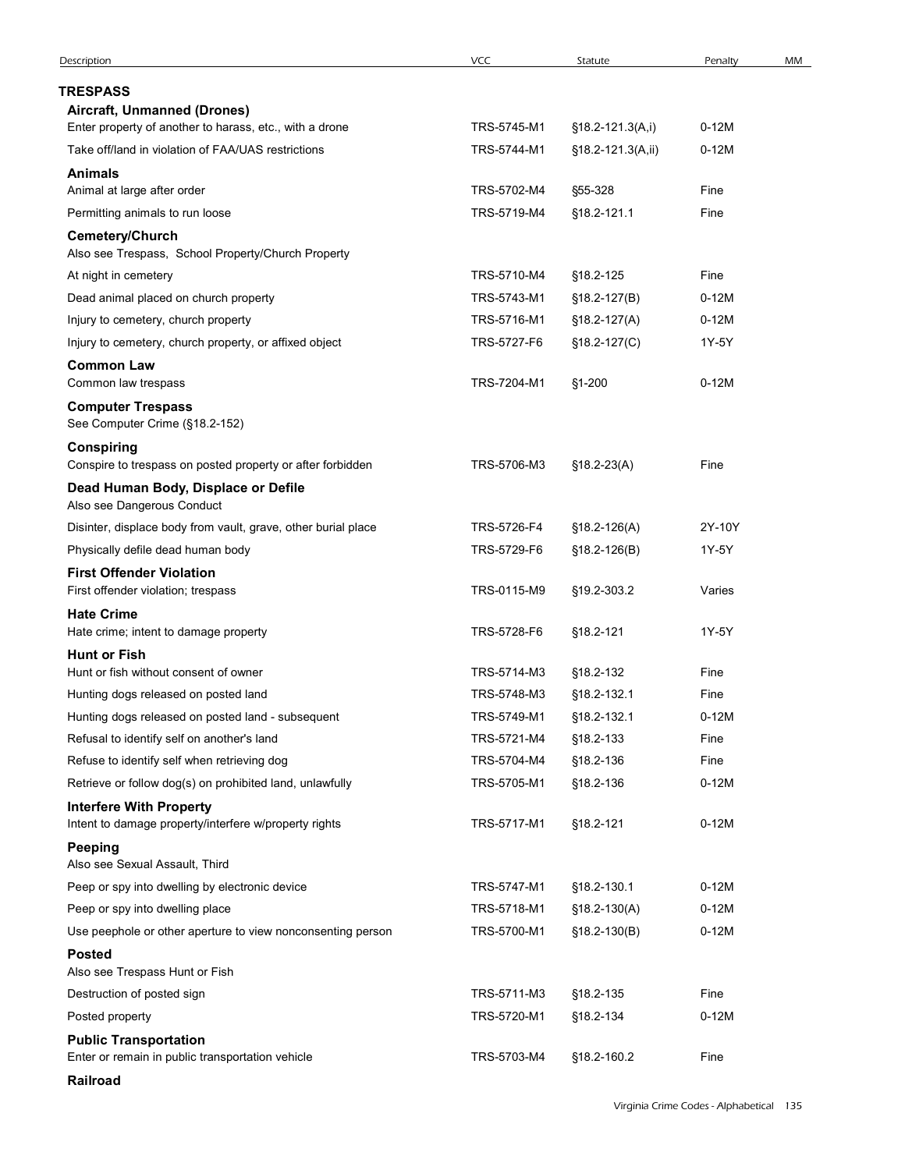| Description                                                                             |             |                   |         |    |
|-----------------------------------------------------------------------------------------|-------------|-------------------|---------|----|
|                                                                                         | VCC         | Statute           | Penalty | MM |
| <b>TRESPASS</b>                                                                         |             |                   |         |    |
| Aircraft, Unmanned (Drones)                                                             |             |                   |         |    |
| Enter property of another to harass, etc., with a drone                                 | TRS-5745-M1 | §18.2-121.3(A,i)  | $0-12M$ |    |
| Take off/land in violation of FAA/UAS restrictions                                      | TRS-5744-M1 | §18.2-121.3(A,ii) | $0-12M$ |    |
| <b>Animals</b>                                                                          |             |                   |         |    |
| Animal at large after order                                                             | TRS-5702-M4 | §55-328           | Fine    |    |
| Permitting animals to run loose                                                         | TRS-5719-M4 | §18.2-121.1       | Fine    |    |
| Cemetery/Church<br>Also see Trespass, School Property/Church Property                   |             |                   |         |    |
| At night in cemetery                                                                    | TRS-5710-M4 | §18.2-125         | Fine    |    |
| Dead animal placed on church property                                                   | TRS-5743-M1 | $$18.2-127(B)$    | $0-12M$ |    |
| Injury to cemetery, church property                                                     | TRS-5716-M1 | §18.2-127(A)      | $0-12M$ |    |
| Injury to cemetery, church property, or affixed object                                  | TRS-5727-F6 | §18.2-127(C)      | 1Y-5Y   |    |
| <b>Common Law</b><br>Common law trespass                                                | TRS-7204-M1 | §1-200            | $0-12M$ |    |
| <b>Computer Trespass</b><br>See Computer Crime (§18.2-152)                              |             |                   |         |    |
| <b>Conspiring</b>                                                                       |             |                   |         |    |
| Conspire to trespass on posted property or after forbidden                              | TRS-5706-M3 | $$18.2 - 23(A)$   | Fine    |    |
| Dead Human Body, Displace or Defile<br>Also see Dangerous Conduct                       |             |                   |         |    |
| Disinter, displace body from vault, grave, other burial place                           | TRS-5726-F4 | $$18.2-126(A)$    | 2Y-10Y  |    |
| Physically defile dead human body                                                       | TRS-5729-F6 | $$18.2 - 126(B)$  | 1Y-5Y   |    |
| <b>First Offender Violation</b>                                                         |             |                   |         |    |
| First offender violation; trespass                                                      | TRS-0115-M9 | §19.2-303.2       | Varies  |    |
| <b>Hate Crime</b>                                                                       |             |                   |         |    |
| Hate crime; intent to damage property                                                   | TRS-5728-F6 | §18.2-121         | 1Y-5Y   |    |
| <b>Hunt or Fish</b><br>Hunt or fish without consent of owner                            | TRS-5714-M3 | §18.2-132         | Fine    |    |
| Hunting dogs released on posted land                                                    | TRS-5748-M3 | §18.2-132.1       | Fine    |    |
| Hunting dogs released on posted land - subsequent                                       | TRS-5749-M1 | §18.2-132.1       | $0-12M$ |    |
| Refusal to identify self on another's land                                              | TRS-5721-M4 | §18.2-133         | Fine    |    |
| Refuse to identify self when retrieving dog                                             | TRS-5704-M4 | §18.2-136         | Fine    |    |
| Retrieve or follow dog(s) on prohibited land, unlawfully                                | TRS-5705-M1 | §18.2-136         | $0-12M$ |    |
| <b>Interfere With Property</b><br>Intent to damage property/interfere w/property rights | TRS-5717-M1 | §18.2-121         | $0-12M$ |    |
| <b>Peeping</b>                                                                          |             |                   |         |    |
| Also see Sexual Assault, Third                                                          |             |                   |         |    |
| Peep or spy into dwelling by electronic device                                          | TRS-5747-M1 | §18.2-130.1       | $0-12M$ |    |
| Peep or spy into dwelling place                                                         | TRS-5718-M1 | $$18.2-130(A)$    | $0-12M$ |    |
| Use peephole or other aperture to view nonconsenting person                             | TRS-5700-M1 | $$18.2-130(B)$    | $0-12M$ |    |
| <b>Posted</b><br>Also see Trespass Hunt or Fish                                         |             |                   |         |    |
| Destruction of posted sign                                                              | TRS-5711-M3 | §18.2-135         | Fine    |    |
| Posted property                                                                         | TRS-5720-M1 | §18.2-134         | $0-12M$ |    |
| <b>Public Transportation</b>                                                            |             |                   |         |    |
| Enter or remain in public transportation vehicle                                        | TRS-5703-M4 | §18.2-160.2       | Fine    |    |
|                                                                                         |             |                   |         |    |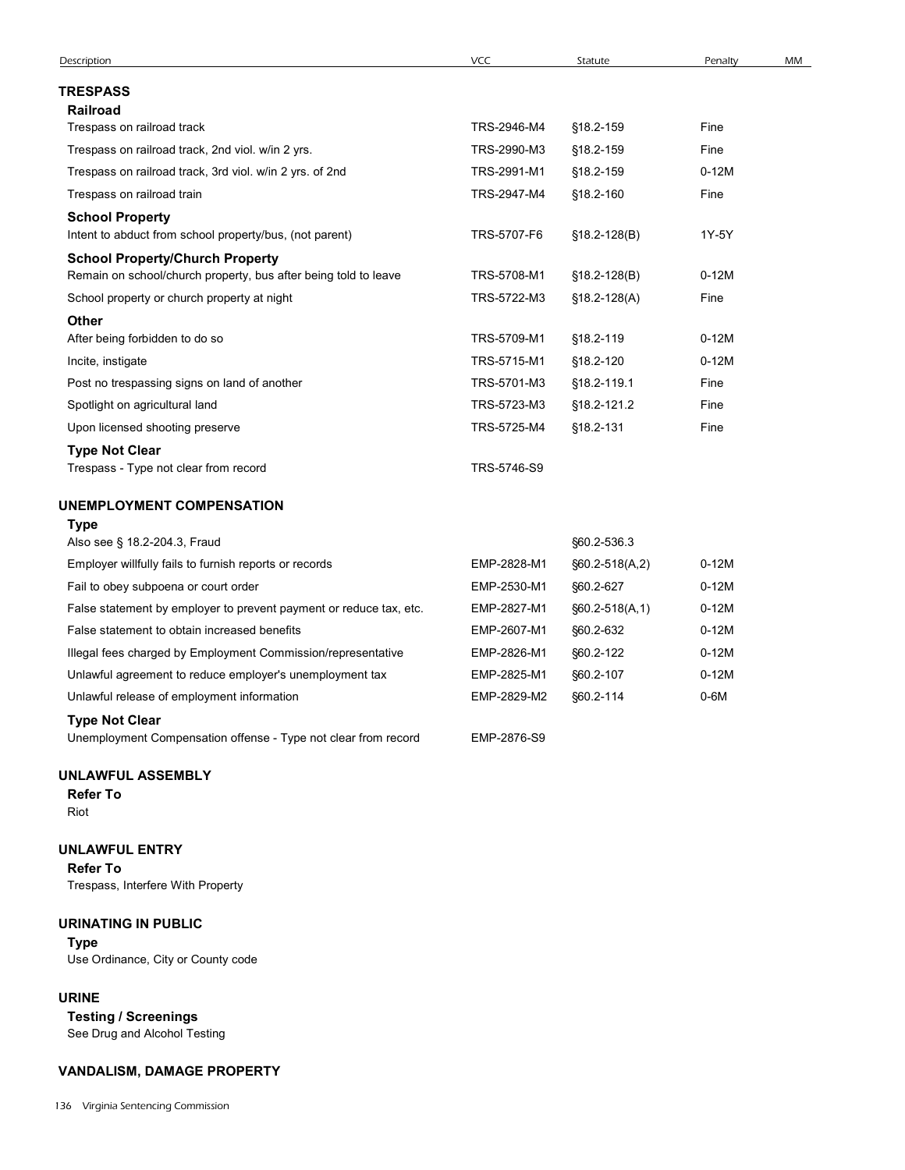| <b>TRESPASS</b><br>Railroad<br>Trespass on railroad track<br>TRS-2946-M4<br>§18.2-159<br>Fine<br>Trespass on railroad track, 2nd viol. w/in 2 yrs.<br>TRS-2990-M3<br>§18.2-159<br>Fine<br>$0-12M$<br>Trespass on railroad track, 3rd viol. w/in 2 yrs. of 2nd<br>TRS-2991-M1<br>§18.2-159<br>TRS-2947-M4<br>Trespass on railroad train<br>§18.2-160<br>Fine<br><b>School Property</b><br>1Y-5Y<br>Intent to abduct from school property/bus, (not parent)<br>TRS-5707-F6<br>$$18.2 - 128(B)$ |
|----------------------------------------------------------------------------------------------------------------------------------------------------------------------------------------------------------------------------------------------------------------------------------------------------------------------------------------------------------------------------------------------------------------------------------------------------------------------------------------------|
|                                                                                                                                                                                                                                                                                                                                                                                                                                                                                              |
|                                                                                                                                                                                                                                                                                                                                                                                                                                                                                              |
|                                                                                                                                                                                                                                                                                                                                                                                                                                                                                              |
|                                                                                                                                                                                                                                                                                                                                                                                                                                                                                              |
|                                                                                                                                                                                                                                                                                                                                                                                                                                                                                              |
|                                                                                                                                                                                                                                                                                                                                                                                                                                                                                              |
|                                                                                                                                                                                                                                                                                                                                                                                                                                                                                              |
| <b>School Property/Church Property</b><br>Remain on school/church property, bus after being told to leave<br>TRS-5708-M1<br>$0-12M$<br>§18.2-128(B)                                                                                                                                                                                                                                                                                                                                          |
| TRS-5722-M3<br>Fine<br>School property or church property at night<br>§18.2-128(A)                                                                                                                                                                                                                                                                                                                                                                                                           |
| Other                                                                                                                                                                                                                                                                                                                                                                                                                                                                                        |
| After being forbidden to do so<br>TRS-5709-M1<br>§18.2-119<br>$0-12M$                                                                                                                                                                                                                                                                                                                                                                                                                        |
| TRS-5715-M1<br>§18.2-120<br>$0-12M$<br>Incite, instigate                                                                                                                                                                                                                                                                                                                                                                                                                                     |
| Post no trespassing signs on land of another<br>TRS-5701-M3<br>§18.2-119.1<br>Fine                                                                                                                                                                                                                                                                                                                                                                                                           |
| TRS-5723-M3<br>Fine<br>Spotlight on agricultural land<br>§18.2-121.2                                                                                                                                                                                                                                                                                                                                                                                                                         |
| Upon licensed shooting preserve<br>TRS-5725-M4<br>§18.2-131<br>Fine                                                                                                                                                                                                                                                                                                                                                                                                                          |
| <b>Type Not Clear</b><br>Trespass - Type not clear from record<br>TRS-5746-S9                                                                                                                                                                                                                                                                                                                                                                                                                |
| UNEMPLOYMENT COMPENSATION                                                                                                                                                                                                                                                                                                                                                                                                                                                                    |
| <b>Type</b><br>Also see § 18.2-204.3, Fraud<br>§60.2-536.3                                                                                                                                                                                                                                                                                                                                                                                                                                   |
| Employer willfully fails to furnish reports or records<br>EMP-2828-M1<br>$§60.2-518(A,2)$<br>$0-12M$                                                                                                                                                                                                                                                                                                                                                                                         |
| $0-12M$<br>Fail to obey subpoena or court order<br>EMP-2530-M1<br>§60.2-627                                                                                                                                                                                                                                                                                                                                                                                                                  |
| False statement by employer to prevent payment or reduce tax, etc.<br>EMP-2827-M1<br>$0-12M$<br>§60.2-518(A,1)                                                                                                                                                                                                                                                                                                                                                                               |
| False statement to obtain increased benefits<br>EMP-2607-M1<br>§60.2-632<br>$0-12M$                                                                                                                                                                                                                                                                                                                                                                                                          |
| Illegal fees charged by Employment Commission/representative<br>EMP-2826-M1<br>§60.2-122<br>$0-12M$                                                                                                                                                                                                                                                                                                                                                                                          |
| Unlawful agreement to reduce employer's unemployment tax<br>EMP-2825-M1<br>§60.2-107<br>$0-12M$                                                                                                                                                                                                                                                                                                                                                                                              |
| $0-6M$<br>Unlawful release of employment information<br>EMP-2829-M2<br>§60.2-114                                                                                                                                                                                                                                                                                                                                                                                                             |
| <b>Type Not Clear</b><br>Unemployment Compensation offense - Type not clear from record<br>EMP-2876-S9                                                                                                                                                                                                                                                                                                                                                                                       |

#### UNLAWFUL ASSEMBLY

#### UNLAWFUL ENTRY

Refer To Trespass, Interfere With Property

#### URINATING IN PUBLIC

Type Use Ordinance, City or County code

#### URINE

Testing / Screenings See Drug and Alcohol Testing

### VANDALISM, DAMAGE PROPERTY

136 Virginia Sentencing Commission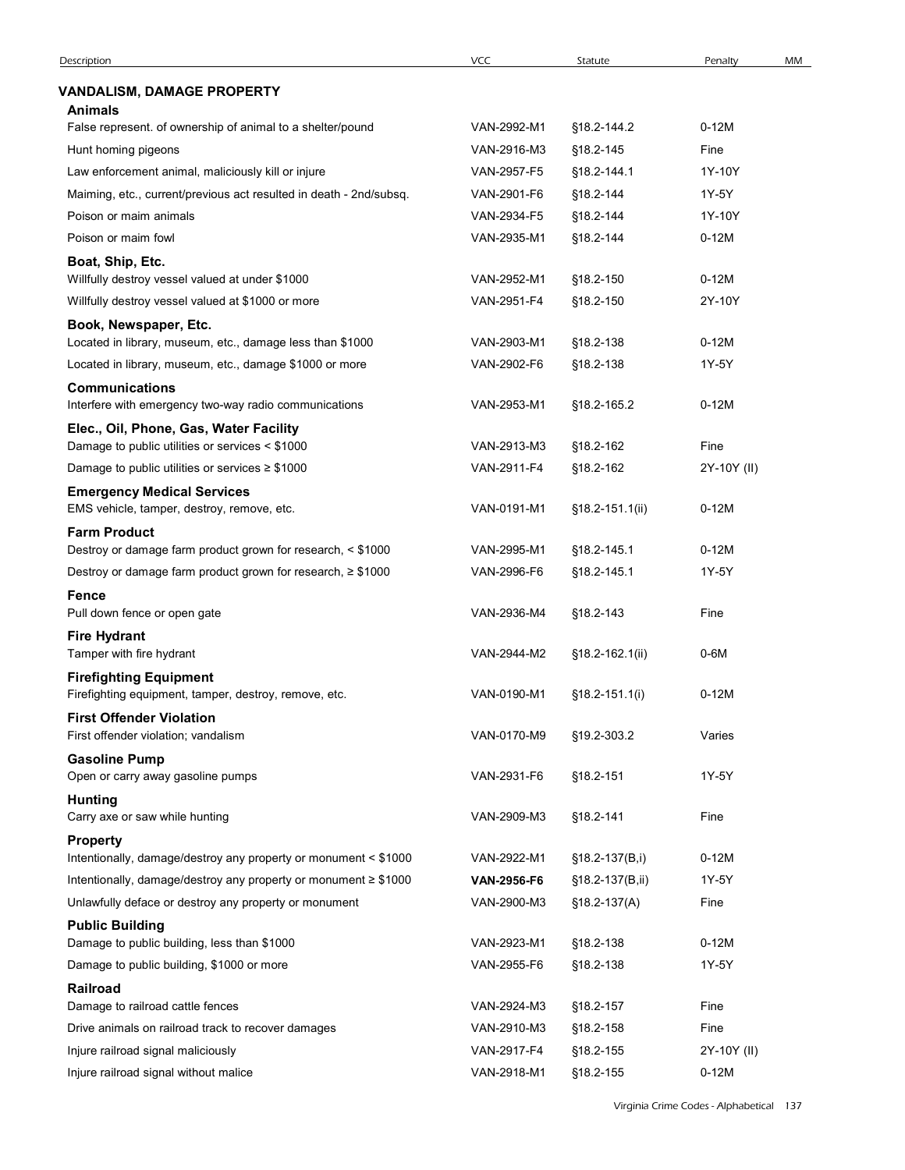| <b>Description</b>                                                                                                         | <b>VCC</b>                 | Statute            | Penalty          | MM |
|----------------------------------------------------------------------------------------------------------------------------|----------------------------|--------------------|------------------|----|
| VANDALISM, DAMAGE PROPERTY<br>Animals                                                                                      |                            |                    |                  |    |
| False represent. of ownership of animal to a shelter/pound                                                                 | VAN-2992-M1                | §18.2-144.2        | $0-12M$          |    |
| Hunt homing pigeons                                                                                                        | VAN-2916-M3                | §18.2-145          | Fine             |    |
| Law enforcement animal, maliciously kill or injure                                                                         | VAN-2957-F5                | §18.2-144.1        | 1Y-10Y           |    |
| Maiming, etc., current/previous act resulted in death - 2nd/subsq.                                                         | VAN-2901-F6                | §18.2-144          | 1Y-5Y            |    |
| Poison or maim animals                                                                                                     | VAN-2934-F5                | §18.2-144          | 1Y-10Y           |    |
| Poison or maim fowl                                                                                                        | VAN-2935-M1                | §18.2-144          | $0-12M$          |    |
| Boat, Ship, Etc.<br>Willfully destroy vessel valued at under \$1000                                                        | VAN-2952-M1                | §18.2-150          | $0-12M$          |    |
| Willfully destroy vessel valued at \$1000 or more                                                                          | VAN-2951-F4                | §18.2-150          | 2Y-10Y           |    |
| Book, Newspaper, Etc.                                                                                                      |                            |                    |                  |    |
| Located in library, museum, etc., damage less than \$1000                                                                  | VAN-2903-M1                | §18.2-138          | $0-12M$          |    |
| Located in library, museum, etc., damage \$1000 or more                                                                    | VAN-2902-F6                | §18.2-138          | 1Y-5Y            |    |
| <b>Communications</b>                                                                                                      |                            |                    |                  |    |
| Interfere with emergency two-way radio communications                                                                      | VAN-2953-M1                | §18.2-165.2        | $0-12M$          |    |
| Elec., Oil, Phone, Gas, Water Facility<br>Damage to public utilities or services < \$1000                                  | VAN-2913-M3                | §18.2-162          | Fine             |    |
| Damage to public utilities or services $\geq$ \$1000                                                                       | VAN-2911-F4                | §18.2-162          | 2Y-10Y (II)      |    |
| <b>Emergency Medical Services</b>                                                                                          |                            |                    |                  |    |
| EMS vehicle, tamper, destroy, remove, etc.                                                                                 | VAN-0191-M1                | §18.2-151.1(ii)    | $0-12M$          |    |
| <b>Farm Product</b>                                                                                                        |                            |                    |                  |    |
| Destroy or damage farm product grown for research, < \$1000<br>Destroy or damage farm product grown for research, ≥ \$1000 | VAN-2995-M1<br>VAN-2996-F6 | §18.2-145.1        | $0-12M$<br>1Y-5Y |    |
| Fence                                                                                                                      |                            | §18.2-145.1        |                  |    |
| Pull down fence or open gate                                                                                               | VAN-2936-M4                | §18.2-143          | Fine             |    |
| <b>Fire Hydrant</b>                                                                                                        |                            |                    |                  |    |
| Tamper with fire hydrant                                                                                                   | VAN-2944-M2                | §18.2-162.1(ii)    | $0-6M$           |    |
| <b>Firefighting Equipment</b>                                                                                              |                            |                    |                  |    |
| Firefighting equipment, tamper, destroy, remove, etc.                                                                      | VAN-0190-M1                | $$18.2 - 151.1(i)$ | $0-12M$          |    |
| <b>First Offender Violation</b><br>First offender violation; vandalism                                                     | VAN-0170-M9                | §19.2-303.2        | Varies           |    |
| <b>Gasoline Pump</b>                                                                                                       |                            |                    |                  |    |
| Open or carry away gasoline pumps                                                                                          | VAN-2931-F6                | §18.2-151          | 1Y-5Y            |    |
| <b>Hunting</b>                                                                                                             |                            |                    |                  |    |
| Carry axe or saw while hunting                                                                                             | VAN-2909-M3                | §18.2-141          | Fine             |    |
| <b>Property</b><br>Intentionally, damage/destroy any property or monument < \$1000                                         | VAN-2922-M1                | §18.2-137(B,i)     | $0-12M$          |    |
| Intentionally, damage/destroy any property or monument ≥ \$1000                                                            | VAN-2956-F6                | §18.2-137(B,ii)    | 1Y-5Y            |    |
| Unlawfully deface or destroy any property or monument                                                                      | VAN-2900-M3                | $$18.2-137(A)$     | Fine             |    |
| <b>Public Building</b>                                                                                                     |                            |                    |                  |    |
| Damage to public building, less than \$1000                                                                                | VAN-2923-M1                | §18.2-138          | $0-12M$          |    |
| Damage to public building, \$1000 or more                                                                                  | VAN-2955-F6                | §18.2-138          | 1Y-5Y            |    |
| Railroad<br>Damage to railroad cattle fences                                                                               | VAN-2924-M3                | §18.2-157          | Fine             |    |
| Drive animals on railroad track to recover damages                                                                         | VAN-2910-M3                | §18.2-158          | Fine             |    |
| Injure railroad signal maliciously                                                                                         | VAN-2917-F4                | §18.2-155          | 2Y-10Y (II)      |    |
|                                                                                                                            | VAN-2918-M1                | §18.2-155          |                  |    |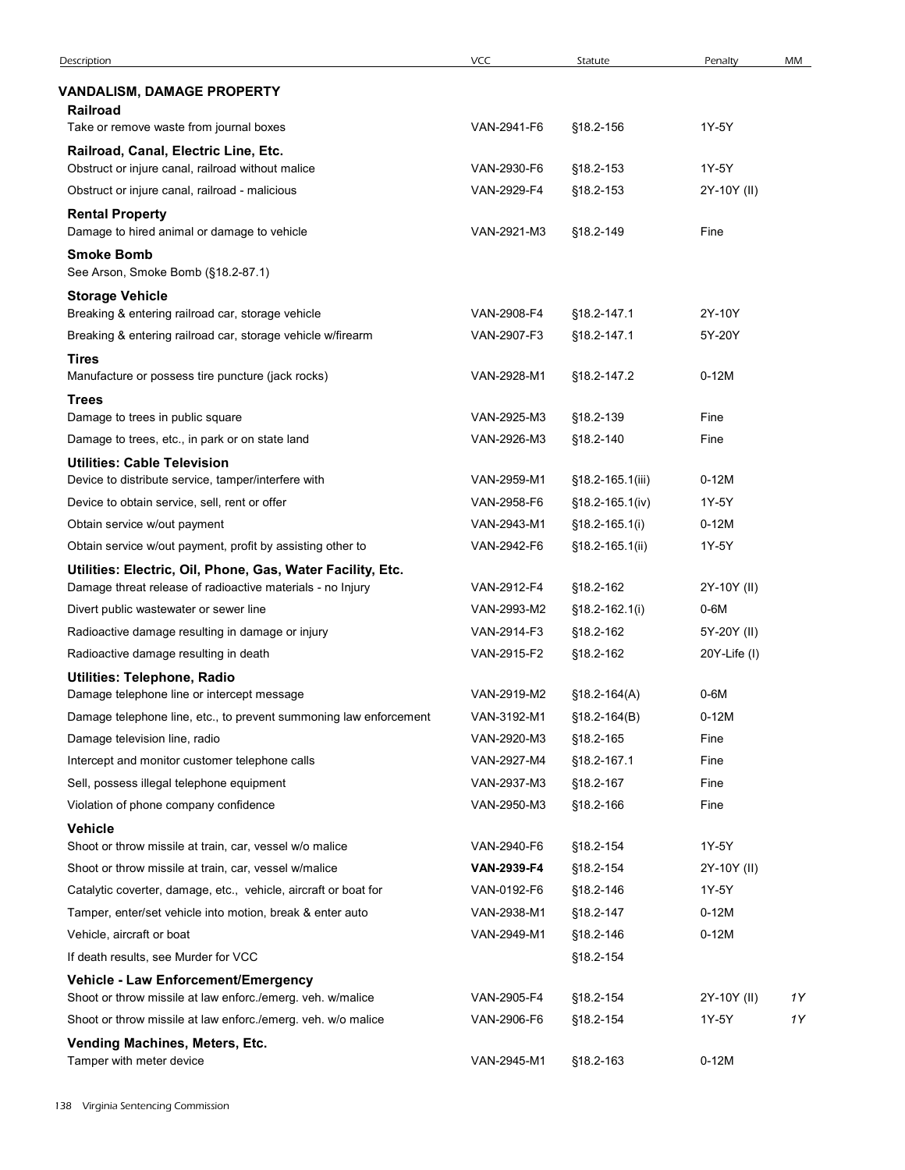| <b>VANDALISM, DAMAGE PROPERTY</b><br><b>Railroad</b><br>Take or remove waste from journal boxes<br>VAN-2941-F6<br>§18.2-156<br>1Y-5Y<br>Railroad, Canal, Electric Line, Etc.<br>Obstruct or injure canal, railroad without malice<br>VAN-2930-F6<br>§18.2-153<br>1Y-5Y<br>Obstruct or injure canal, railroad - malicious<br>VAN-2929-F4<br>§18.2-153<br>2Y-10Y (II)<br><b>Rental Property</b><br>Damage to hired animal or damage to vehicle<br>VAN-2921-M3<br>§18.2-149<br>Fine<br><b>Smoke Bomb</b><br>See Arson, Smoke Bomb (§18.2-87.1)<br><b>Storage Vehicle</b><br>Breaking & entering railroad car, storage vehicle<br>VAN-2908-F4<br>§18.2-147.1<br>2Y-10Y<br>Breaking & entering railroad car, storage vehicle w/firearm<br>VAN-2907-F3<br>§18.2-147.1<br>5Y-20Y<br>Tires<br>Manufacture or possess tire puncture (jack rocks)<br>VAN-2928-M1<br>§18.2-147.2<br>$0-12M$<br><b>Trees</b><br>VAN-2925-M3<br>§18.2-139<br>Fine<br>Damage to trees in public square<br>Damage to trees, etc., in park or on state land<br>VAN-2926-M3<br>§18.2-140<br>Fine<br><b>Utilities: Cable Television</b><br>Device to distribute service, tamper/interfere with<br>VAN-2959-M1<br>$0-12M$<br>$$18.2 - 165.1(iii)$<br>Device to obtain service, sell, rent or offer<br>VAN-2958-F6<br>1Y-5Y<br>$$18.2 - 165.1(iv)$<br>Obtain service w/out payment<br>VAN-2943-M1<br>$0-12M$<br>$$18.2 - 165.1(i)$<br>Obtain service w/out payment, profit by assisting other to<br>VAN-2942-F6<br>1Y-5Y<br>§18.2-165.1(ii)<br>Utilities: Electric, Oil, Phone, Gas, Water Facility, Etc.<br>Damage threat release of radioactive materials - no Injury<br>VAN-2912-F4<br>§18.2-162<br>2Y-10Y (II)<br>Divert public wastewater or sewer line<br>VAN-2993-M2<br>$0-6M$<br>$$18.2 - 162.1(i)$<br>Radioactive damage resulting in damage or injury<br>VAN-2914-F3<br>5Y-20Y (II)<br>§18.2-162<br>Radioactive damage resulting in death<br>VAN-2915-F2<br>§18.2-162<br>$20Y$ -Life $(I)$<br>Utilities: Telephone, Radio<br>$0-6M$<br>Damage telephone line or intercept message<br>VAN-2919-M2<br>$$18.2 - 164(A)$<br>$0-12M$<br>VAN-3192-M1<br>$$18.2 - 164(B)$<br>Damage telephone line, etc., to prevent summoning law enforcement<br>Damage television line, radio<br>VAN-2920-M3<br>Fine<br>§18.2-165<br>VAN-2927-M4<br>§18.2-167.1<br>Fine<br>Intercept and monitor customer telephone calls<br>Sell, possess illegal telephone equipment<br>VAN-2937-M3<br>§18.2-167<br>Fine<br>Violation of phone company confidence<br>VAN-2950-M3<br>§18.2-166<br>Fine<br>Vehicle<br>1Y-5Y<br>Shoot or throw missile at train, car, vessel w/o malice<br>VAN-2940-F6<br>§18.2-154<br>Shoot or throw missile at train, car, vessel w/malice<br>VAN-2939-F4<br>§18.2-154<br>2Y-10Y (II)<br>Catalytic coverter, damage, etc., vehicle, aircraft or boat for<br>VAN-0192-F6<br>§18.2-146<br>1Y-5Y<br>Tamper, enter/set vehicle into motion, break & enter auto<br>VAN-2938-M1<br>§18.2-147<br>$0-12M$<br>Vehicle, aircraft or boat<br>VAN-2949-M1<br>§18.2-146<br>$0-12M$<br>If death results, see Murder for VCC<br>§18.2-154<br>Vehicle - Law Enforcement/Emergency<br>Shoot or throw missile at law enforc./emerg. veh. w/malice<br>VAN-2905-F4<br>§18.2-154<br>2Y-10Y (II)<br>1Y<br>Shoot or throw missile at law enforc./emerg. veh. w/o malice<br>VAN-2906-F6<br>§18.2-154<br>1Y-5Y<br>1Y<br>Vending Machines, Meters, Etc. | Description | <b>VCC</b> | Statute | Penalty | MM |
|-------------------------------------------------------------------------------------------------------------------------------------------------------------------------------------------------------------------------------------------------------------------------------------------------------------------------------------------------------------------------------------------------------------------------------------------------------------------------------------------------------------------------------------------------------------------------------------------------------------------------------------------------------------------------------------------------------------------------------------------------------------------------------------------------------------------------------------------------------------------------------------------------------------------------------------------------------------------------------------------------------------------------------------------------------------------------------------------------------------------------------------------------------------------------------------------------------------------------------------------------------------------------------------------------------------------------------------------------------------------------------------------------------------------------------------------------------------------------------------------------------------------------------------------------------------------------------------------------------------------------------------------------------------------------------------------------------------------------------------------------------------------------------------------------------------------------------------------------------------------------------------------------------------------------------------------------------------------------------------------------------------------------------------------------------------------------------------------------------------------------------------------------------------------------------------------------------------------------------------------------------------------------------------------------------------------------------------------------------------------------------------------------------------------------------------------------------------------------------------------------------------------------------------------------------------------------------------------------------------------------------------------------------------------------------------------------------------------------------------------------------------------------------------------------------------------------------------------------------------------------------------------------------------------------------------------------------------------------------------------------------------------------------------------------------------------------------------------------------------------------------------------------------------------------------------------------------------------------------------------------------------------------------------------------------------------------------------------------------------------------------------------------|-------------|------------|---------|---------|----|
|                                                                                                                                                                                                                                                                                                                                                                                                                                                                                                                                                                                                                                                                                                                                                                                                                                                                                                                                                                                                                                                                                                                                                                                                                                                                                                                                                                                                                                                                                                                                                                                                                                                                                                                                                                                                                                                                                                                                                                                                                                                                                                                                                                                                                                                                                                                                                                                                                                                                                                                                                                                                                                                                                                                                                                                                                                                                                                                                                                                                                                                                                                                                                                                                                                                                                                                                                                                                 |             |            |         |         |    |
|                                                                                                                                                                                                                                                                                                                                                                                                                                                                                                                                                                                                                                                                                                                                                                                                                                                                                                                                                                                                                                                                                                                                                                                                                                                                                                                                                                                                                                                                                                                                                                                                                                                                                                                                                                                                                                                                                                                                                                                                                                                                                                                                                                                                                                                                                                                                                                                                                                                                                                                                                                                                                                                                                                                                                                                                                                                                                                                                                                                                                                                                                                                                                                                                                                                                                                                                                                                                 |             |            |         |         |    |
|                                                                                                                                                                                                                                                                                                                                                                                                                                                                                                                                                                                                                                                                                                                                                                                                                                                                                                                                                                                                                                                                                                                                                                                                                                                                                                                                                                                                                                                                                                                                                                                                                                                                                                                                                                                                                                                                                                                                                                                                                                                                                                                                                                                                                                                                                                                                                                                                                                                                                                                                                                                                                                                                                                                                                                                                                                                                                                                                                                                                                                                                                                                                                                                                                                                                                                                                                                                                 |             |            |         |         |    |
|                                                                                                                                                                                                                                                                                                                                                                                                                                                                                                                                                                                                                                                                                                                                                                                                                                                                                                                                                                                                                                                                                                                                                                                                                                                                                                                                                                                                                                                                                                                                                                                                                                                                                                                                                                                                                                                                                                                                                                                                                                                                                                                                                                                                                                                                                                                                                                                                                                                                                                                                                                                                                                                                                                                                                                                                                                                                                                                                                                                                                                                                                                                                                                                                                                                                                                                                                                                                 |             |            |         |         |    |
|                                                                                                                                                                                                                                                                                                                                                                                                                                                                                                                                                                                                                                                                                                                                                                                                                                                                                                                                                                                                                                                                                                                                                                                                                                                                                                                                                                                                                                                                                                                                                                                                                                                                                                                                                                                                                                                                                                                                                                                                                                                                                                                                                                                                                                                                                                                                                                                                                                                                                                                                                                                                                                                                                                                                                                                                                                                                                                                                                                                                                                                                                                                                                                                                                                                                                                                                                                                                 |             |            |         |         |    |
|                                                                                                                                                                                                                                                                                                                                                                                                                                                                                                                                                                                                                                                                                                                                                                                                                                                                                                                                                                                                                                                                                                                                                                                                                                                                                                                                                                                                                                                                                                                                                                                                                                                                                                                                                                                                                                                                                                                                                                                                                                                                                                                                                                                                                                                                                                                                                                                                                                                                                                                                                                                                                                                                                                                                                                                                                                                                                                                                                                                                                                                                                                                                                                                                                                                                                                                                                                                                 |             |            |         |         |    |
|                                                                                                                                                                                                                                                                                                                                                                                                                                                                                                                                                                                                                                                                                                                                                                                                                                                                                                                                                                                                                                                                                                                                                                                                                                                                                                                                                                                                                                                                                                                                                                                                                                                                                                                                                                                                                                                                                                                                                                                                                                                                                                                                                                                                                                                                                                                                                                                                                                                                                                                                                                                                                                                                                                                                                                                                                                                                                                                                                                                                                                                                                                                                                                                                                                                                                                                                                                                                 |             |            |         |         |    |
|                                                                                                                                                                                                                                                                                                                                                                                                                                                                                                                                                                                                                                                                                                                                                                                                                                                                                                                                                                                                                                                                                                                                                                                                                                                                                                                                                                                                                                                                                                                                                                                                                                                                                                                                                                                                                                                                                                                                                                                                                                                                                                                                                                                                                                                                                                                                                                                                                                                                                                                                                                                                                                                                                                                                                                                                                                                                                                                                                                                                                                                                                                                                                                                                                                                                                                                                                                                                 |             |            |         |         |    |
|                                                                                                                                                                                                                                                                                                                                                                                                                                                                                                                                                                                                                                                                                                                                                                                                                                                                                                                                                                                                                                                                                                                                                                                                                                                                                                                                                                                                                                                                                                                                                                                                                                                                                                                                                                                                                                                                                                                                                                                                                                                                                                                                                                                                                                                                                                                                                                                                                                                                                                                                                                                                                                                                                                                                                                                                                                                                                                                                                                                                                                                                                                                                                                                                                                                                                                                                                                                                 |             |            |         |         |    |
|                                                                                                                                                                                                                                                                                                                                                                                                                                                                                                                                                                                                                                                                                                                                                                                                                                                                                                                                                                                                                                                                                                                                                                                                                                                                                                                                                                                                                                                                                                                                                                                                                                                                                                                                                                                                                                                                                                                                                                                                                                                                                                                                                                                                                                                                                                                                                                                                                                                                                                                                                                                                                                                                                                                                                                                                                                                                                                                                                                                                                                                                                                                                                                                                                                                                                                                                                                                                 |             |            |         |         |    |
|                                                                                                                                                                                                                                                                                                                                                                                                                                                                                                                                                                                                                                                                                                                                                                                                                                                                                                                                                                                                                                                                                                                                                                                                                                                                                                                                                                                                                                                                                                                                                                                                                                                                                                                                                                                                                                                                                                                                                                                                                                                                                                                                                                                                                                                                                                                                                                                                                                                                                                                                                                                                                                                                                                                                                                                                                                                                                                                                                                                                                                                                                                                                                                                                                                                                                                                                                                                                 |             |            |         |         |    |
|                                                                                                                                                                                                                                                                                                                                                                                                                                                                                                                                                                                                                                                                                                                                                                                                                                                                                                                                                                                                                                                                                                                                                                                                                                                                                                                                                                                                                                                                                                                                                                                                                                                                                                                                                                                                                                                                                                                                                                                                                                                                                                                                                                                                                                                                                                                                                                                                                                                                                                                                                                                                                                                                                                                                                                                                                                                                                                                                                                                                                                                                                                                                                                                                                                                                                                                                                                                                 |             |            |         |         |    |
|                                                                                                                                                                                                                                                                                                                                                                                                                                                                                                                                                                                                                                                                                                                                                                                                                                                                                                                                                                                                                                                                                                                                                                                                                                                                                                                                                                                                                                                                                                                                                                                                                                                                                                                                                                                                                                                                                                                                                                                                                                                                                                                                                                                                                                                                                                                                                                                                                                                                                                                                                                                                                                                                                                                                                                                                                                                                                                                                                                                                                                                                                                                                                                                                                                                                                                                                                                                                 |             |            |         |         |    |
|                                                                                                                                                                                                                                                                                                                                                                                                                                                                                                                                                                                                                                                                                                                                                                                                                                                                                                                                                                                                                                                                                                                                                                                                                                                                                                                                                                                                                                                                                                                                                                                                                                                                                                                                                                                                                                                                                                                                                                                                                                                                                                                                                                                                                                                                                                                                                                                                                                                                                                                                                                                                                                                                                                                                                                                                                                                                                                                                                                                                                                                                                                                                                                                                                                                                                                                                                                                                 |             |            |         |         |    |
|                                                                                                                                                                                                                                                                                                                                                                                                                                                                                                                                                                                                                                                                                                                                                                                                                                                                                                                                                                                                                                                                                                                                                                                                                                                                                                                                                                                                                                                                                                                                                                                                                                                                                                                                                                                                                                                                                                                                                                                                                                                                                                                                                                                                                                                                                                                                                                                                                                                                                                                                                                                                                                                                                                                                                                                                                                                                                                                                                                                                                                                                                                                                                                                                                                                                                                                                                                                                 |             |            |         |         |    |
|                                                                                                                                                                                                                                                                                                                                                                                                                                                                                                                                                                                                                                                                                                                                                                                                                                                                                                                                                                                                                                                                                                                                                                                                                                                                                                                                                                                                                                                                                                                                                                                                                                                                                                                                                                                                                                                                                                                                                                                                                                                                                                                                                                                                                                                                                                                                                                                                                                                                                                                                                                                                                                                                                                                                                                                                                                                                                                                                                                                                                                                                                                                                                                                                                                                                                                                                                                                                 |             |            |         |         |    |
|                                                                                                                                                                                                                                                                                                                                                                                                                                                                                                                                                                                                                                                                                                                                                                                                                                                                                                                                                                                                                                                                                                                                                                                                                                                                                                                                                                                                                                                                                                                                                                                                                                                                                                                                                                                                                                                                                                                                                                                                                                                                                                                                                                                                                                                                                                                                                                                                                                                                                                                                                                                                                                                                                                                                                                                                                                                                                                                                                                                                                                                                                                                                                                                                                                                                                                                                                                                                 |             |            |         |         |    |
|                                                                                                                                                                                                                                                                                                                                                                                                                                                                                                                                                                                                                                                                                                                                                                                                                                                                                                                                                                                                                                                                                                                                                                                                                                                                                                                                                                                                                                                                                                                                                                                                                                                                                                                                                                                                                                                                                                                                                                                                                                                                                                                                                                                                                                                                                                                                                                                                                                                                                                                                                                                                                                                                                                                                                                                                                                                                                                                                                                                                                                                                                                                                                                                                                                                                                                                                                                                                 |             |            |         |         |    |
|                                                                                                                                                                                                                                                                                                                                                                                                                                                                                                                                                                                                                                                                                                                                                                                                                                                                                                                                                                                                                                                                                                                                                                                                                                                                                                                                                                                                                                                                                                                                                                                                                                                                                                                                                                                                                                                                                                                                                                                                                                                                                                                                                                                                                                                                                                                                                                                                                                                                                                                                                                                                                                                                                                                                                                                                                                                                                                                                                                                                                                                                                                                                                                                                                                                                                                                                                                                                 |             |            |         |         |    |
|                                                                                                                                                                                                                                                                                                                                                                                                                                                                                                                                                                                                                                                                                                                                                                                                                                                                                                                                                                                                                                                                                                                                                                                                                                                                                                                                                                                                                                                                                                                                                                                                                                                                                                                                                                                                                                                                                                                                                                                                                                                                                                                                                                                                                                                                                                                                                                                                                                                                                                                                                                                                                                                                                                                                                                                                                                                                                                                                                                                                                                                                                                                                                                                                                                                                                                                                                                                                 |             |            |         |         |    |
|                                                                                                                                                                                                                                                                                                                                                                                                                                                                                                                                                                                                                                                                                                                                                                                                                                                                                                                                                                                                                                                                                                                                                                                                                                                                                                                                                                                                                                                                                                                                                                                                                                                                                                                                                                                                                                                                                                                                                                                                                                                                                                                                                                                                                                                                                                                                                                                                                                                                                                                                                                                                                                                                                                                                                                                                                                                                                                                                                                                                                                                                                                                                                                                                                                                                                                                                                                                                 |             |            |         |         |    |
|                                                                                                                                                                                                                                                                                                                                                                                                                                                                                                                                                                                                                                                                                                                                                                                                                                                                                                                                                                                                                                                                                                                                                                                                                                                                                                                                                                                                                                                                                                                                                                                                                                                                                                                                                                                                                                                                                                                                                                                                                                                                                                                                                                                                                                                                                                                                                                                                                                                                                                                                                                                                                                                                                                                                                                                                                                                                                                                                                                                                                                                                                                                                                                                                                                                                                                                                                                                                 |             |            |         |         |    |
|                                                                                                                                                                                                                                                                                                                                                                                                                                                                                                                                                                                                                                                                                                                                                                                                                                                                                                                                                                                                                                                                                                                                                                                                                                                                                                                                                                                                                                                                                                                                                                                                                                                                                                                                                                                                                                                                                                                                                                                                                                                                                                                                                                                                                                                                                                                                                                                                                                                                                                                                                                                                                                                                                                                                                                                                                                                                                                                                                                                                                                                                                                                                                                                                                                                                                                                                                                                                 |             |            |         |         |    |
|                                                                                                                                                                                                                                                                                                                                                                                                                                                                                                                                                                                                                                                                                                                                                                                                                                                                                                                                                                                                                                                                                                                                                                                                                                                                                                                                                                                                                                                                                                                                                                                                                                                                                                                                                                                                                                                                                                                                                                                                                                                                                                                                                                                                                                                                                                                                                                                                                                                                                                                                                                                                                                                                                                                                                                                                                                                                                                                                                                                                                                                                                                                                                                                                                                                                                                                                                                                                 |             |            |         |         |    |
|                                                                                                                                                                                                                                                                                                                                                                                                                                                                                                                                                                                                                                                                                                                                                                                                                                                                                                                                                                                                                                                                                                                                                                                                                                                                                                                                                                                                                                                                                                                                                                                                                                                                                                                                                                                                                                                                                                                                                                                                                                                                                                                                                                                                                                                                                                                                                                                                                                                                                                                                                                                                                                                                                                                                                                                                                                                                                                                                                                                                                                                                                                                                                                                                                                                                                                                                                                                                 |             |            |         |         |    |
|                                                                                                                                                                                                                                                                                                                                                                                                                                                                                                                                                                                                                                                                                                                                                                                                                                                                                                                                                                                                                                                                                                                                                                                                                                                                                                                                                                                                                                                                                                                                                                                                                                                                                                                                                                                                                                                                                                                                                                                                                                                                                                                                                                                                                                                                                                                                                                                                                                                                                                                                                                                                                                                                                                                                                                                                                                                                                                                                                                                                                                                                                                                                                                                                                                                                                                                                                                                                 |             |            |         |         |    |
|                                                                                                                                                                                                                                                                                                                                                                                                                                                                                                                                                                                                                                                                                                                                                                                                                                                                                                                                                                                                                                                                                                                                                                                                                                                                                                                                                                                                                                                                                                                                                                                                                                                                                                                                                                                                                                                                                                                                                                                                                                                                                                                                                                                                                                                                                                                                                                                                                                                                                                                                                                                                                                                                                                                                                                                                                                                                                                                                                                                                                                                                                                                                                                                                                                                                                                                                                                                                 |             |            |         |         |    |
|                                                                                                                                                                                                                                                                                                                                                                                                                                                                                                                                                                                                                                                                                                                                                                                                                                                                                                                                                                                                                                                                                                                                                                                                                                                                                                                                                                                                                                                                                                                                                                                                                                                                                                                                                                                                                                                                                                                                                                                                                                                                                                                                                                                                                                                                                                                                                                                                                                                                                                                                                                                                                                                                                                                                                                                                                                                                                                                                                                                                                                                                                                                                                                                                                                                                                                                                                                                                 |             |            |         |         |    |
|                                                                                                                                                                                                                                                                                                                                                                                                                                                                                                                                                                                                                                                                                                                                                                                                                                                                                                                                                                                                                                                                                                                                                                                                                                                                                                                                                                                                                                                                                                                                                                                                                                                                                                                                                                                                                                                                                                                                                                                                                                                                                                                                                                                                                                                                                                                                                                                                                                                                                                                                                                                                                                                                                                                                                                                                                                                                                                                                                                                                                                                                                                                                                                                                                                                                                                                                                                                                 |             |            |         |         |    |
|                                                                                                                                                                                                                                                                                                                                                                                                                                                                                                                                                                                                                                                                                                                                                                                                                                                                                                                                                                                                                                                                                                                                                                                                                                                                                                                                                                                                                                                                                                                                                                                                                                                                                                                                                                                                                                                                                                                                                                                                                                                                                                                                                                                                                                                                                                                                                                                                                                                                                                                                                                                                                                                                                                                                                                                                                                                                                                                                                                                                                                                                                                                                                                                                                                                                                                                                                                                                 |             |            |         |         |    |
|                                                                                                                                                                                                                                                                                                                                                                                                                                                                                                                                                                                                                                                                                                                                                                                                                                                                                                                                                                                                                                                                                                                                                                                                                                                                                                                                                                                                                                                                                                                                                                                                                                                                                                                                                                                                                                                                                                                                                                                                                                                                                                                                                                                                                                                                                                                                                                                                                                                                                                                                                                                                                                                                                                                                                                                                                                                                                                                                                                                                                                                                                                                                                                                                                                                                                                                                                                                                 |             |            |         |         |    |
|                                                                                                                                                                                                                                                                                                                                                                                                                                                                                                                                                                                                                                                                                                                                                                                                                                                                                                                                                                                                                                                                                                                                                                                                                                                                                                                                                                                                                                                                                                                                                                                                                                                                                                                                                                                                                                                                                                                                                                                                                                                                                                                                                                                                                                                                                                                                                                                                                                                                                                                                                                                                                                                                                                                                                                                                                                                                                                                                                                                                                                                                                                                                                                                                                                                                                                                                                                                                 |             |            |         |         |    |
|                                                                                                                                                                                                                                                                                                                                                                                                                                                                                                                                                                                                                                                                                                                                                                                                                                                                                                                                                                                                                                                                                                                                                                                                                                                                                                                                                                                                                                                                                                                                                                                                                                                                                                                                                                                                                                                                                                                                                                                                                                                                                                                                                                                                                                                                                                                                                                                                                                                                                                                                                                                                                                                                                                                                                                                                                                                                                                                                                                                                                                                                                                                                                                                                                                                                                                                                                                                                 |             |            |         |         |    |
|                                                                                                                                                                                                                                                                                                                                                                                                                                                                                                                                                                                                                                                                                                                                                                                                                                                                                                                                                                                                                                                                                                                                                                                                                                                                                                                                                                                                                                                                                                                                                                                                                                                                                                                                                                                                                                                                                                                                                                                                                                                                                                                                                                                                                                                                                                                                                                                                                                                                                                                                                                                                                                                                                                                                                                                                                                                                                                                                                                                                                                                                                                                                                                                                                                                                                                                                                                                                 |             |            |         |         |    |
|                                                                                                                                                                                                                                                                                                                                                                                                                                                                                                                                                                                                                                                                                                                                                                                                                                                                                                                                                                                                                                                                                                                                                                                                                                                                                                                                                                                                                                                                                                                                                                                                                                                                                                                                                                                                                                                                                                                                                                                                                                                                                                                                                                                                                                                                                                                                                                                                                                                                                                                                                                                                                                                                                                                                                                                                                                                                                                                                                                                                                                                                                                                                                                                                                                                                                                                                                                                                 |             |            |         |         |    |
|                                                                                                                                                                                                                                                                                                                                                                                                                                                                                                                                                                                                                                                                                                                                                                                                                                                                                                                                                                                                                                                                                                                                                                                                                                                                                                                                                                                                                                                                                                                                                                                                                                                                                                                                                                                                                                                                                                                                                                                                                                                                                                                                                                                                                                                                                                                                                                                                                                                                                                                                                                                                                                                                                                                                                                                                                                                                                                                                                                                                                                                                                                                                                                                                                                                                                                                                                                                                 |             |            |         |         |    |
|                                                                                                                                                                                                                                                                                                                                                                                                                                                                                                                                                                                                                                                                                                                                                                                                                                                                                                                                                                                                                                                                                                                                                                                                                                                                                                                                                                                                                                                                                                                                                                                                                                                                                                                                                                                                                                                                                                                                                                                                                                                                                                                                                                                                                                                                                                                                                                                                                                                                                                                                                                                                                                                                                                                                                                                                                                                                                                                                                                                                                                                                                                                                                                                                                                                                                                                                                                                                 |             |            |         |         |    |
|                                                                                                                                                                                                                                                                                                                                                                                                                                                                                                                                                                                                                                                                                                                                                                                                                                                                                                                                                                                                                                                                                                                                                                                                                                                                                                                                                                                                                                                                                                                                                                                                                                                                                                                                                                                                                                                                                                                                                                                                                                                                                                                                                                                                                                                                                                                                                                                                                                                                                                                                                                                                                                                                                                                                                                                                                                                                                                                                                                                                                                                                                                                                                                                                                                                                                                                                                                                                 |             |            |         |         |    |
|                                                                                                                                                                                                                                                                                                                                                                                                                                                                                                                                                                                                                                                                                                                                                                                                                                                                                                                                                                                                                                                                                                                                                                                                                                                                                                                                                                                                                                                                                                                                                                                                                                                                                                                                                                                                                                                                                                                                                                                                                                                                                                                                                                                                                                                                                                                                                                                                                                                                                                                                                                                                                                                                                                                                                                                                                                                                                                                                                                                                                                                                                                                                                                                                                                                                                                                                                                                                 |             |            |         |         |    |
|                                                                                                                                                                                                                                                                                                                                                                                                                                                                                                                                                                                                                                                                                                                                                                                                                                                                                                                                                                                                                                                                                                                                                                                                                                                                                                                                                                                                                                                                                                                                                                                                                                                                                                                                                                                                                                                                                                                                                                                                                                                                                                                                                                                                                                                                                                                                                                                                                                                                                                                                                                                                                                                                                                                                                                                                                                                                                                                                                                                                                                                                                                                                                                                                                                                                                                                                                                                                 |             |            |         |         |    |
|                                                                                                                                                                                                                                                                                                                                                                                                                                                                                                                                                                                                                                                                                                                                                                                                                                                                                                                                                                                                                                                                                                                                                                                                                                                                                                                                                                                                                                                                                                                                                                                                                                                                                                                                                                                                                                                                                                                                                                                                                                                                                                                                                                                                                                                                                                                                                                                                                                                                                                                                                                                                                                                                                                                                                                                                                                                                                                                                                                                                                                                                                                                                                                                                                                                                                                                                                                                                 |             |            |         |         |    |
| VAN-2945-M1<br>$0-12M$<br>Tamper with meter device<br>$$18.2 - 163$                                                                                                                                                                                                                                                                                                                                                                                                                                                                                                                                                                                                                                                                                                                                                                                                                                                                                                                                                                                                                                                                                                                                                                                                                                                                                                                                                                                                                                                                                                                                                                                                                                                                                                                                                                                                                                                                                                                                                                                                                                                                                                                                                                                                                                                                                                                                                                                                                                                                                                                                                                                                                                                                                                                                                                                                                                                                                                                                                                                                                                                                                                                                                                                                                                                                                                                             |             |            |         |         |    |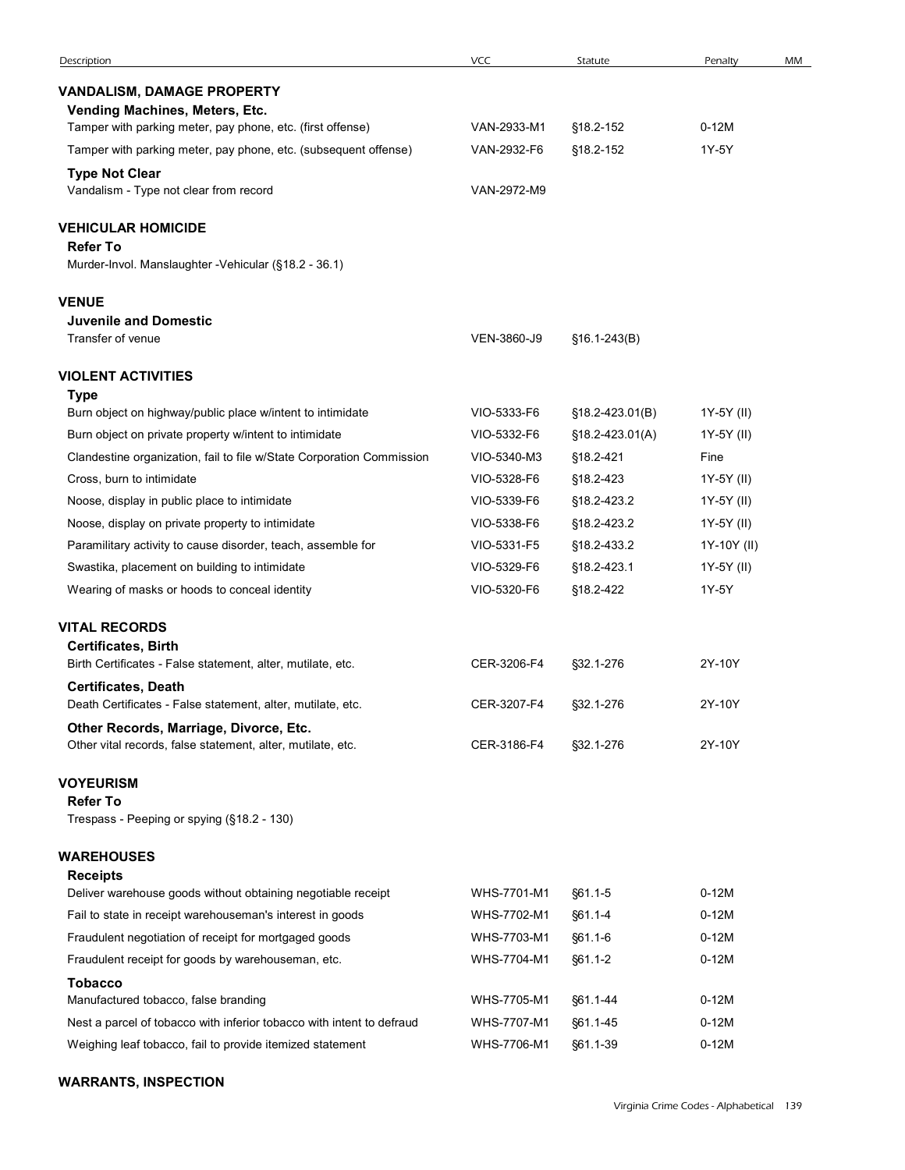| Description                                                                                           |             |                 |             |    |
|-------------------------------------------------------------------------------------------------------|-------------|-----------------|-------------|----|
|                                                                                                       |             |                 |             |    |
|                                                                                                       | <b>VCC</b>  | Statute         | Penalty     | MM |
| <b>VANDALISM, DAMAGE PROPERTY</b>                                                                     |             |                 |             |    |
| Vending Machines, Meters, Etc.                                                                        |             |                 |             |    |
| Tamper with parking meter, pay phone, etc. (first offense)                                            | VAN-2933-M1 | §18.2-152       | $0-12M$     |    |
| Tamper with parking meter, pay phone, etc. (subsequent offense)                                       | VAN-2932-F6 | §18.2-152       | 1Y-5Y       |    |
| <b>Type Not Clear</b>                                                                                 |             |                 |             |    |
| Vandalism - Type not clear from record                                                                | VAN-2972-M9 |                 |             |    |
| <b>VEHICULAR HOMICIDE</b>                                                                             |             |                 |             |    |
| <b>Refer To</b><br>Murder-Invol. Manslaughter -Vehicular (§18.2 - 36.1)                               |             |                 |             |    |
| <b>VENUE</b>                                                                                          |             |                 |             |    |
| <b>Juvenile and Domestic</b><br>Transfer of venue                                                     | VEN-3860-J9 | $$16.1-243(B)$  |             |    |
|                                                                                                       |             |                 |             |    |
| <b>VIOLENT ACTIVITIES</b>                                                                             |             |                 |             |    |
| <b>Type</b><br>Burn object on highway/public place w/intent to intimidate                             | VIO-5333-F6 | §18.2-423.01(B) | 1Y-5Y (II)  |    |
| Burn object on private property w/intent to intimidate                                                | VIO-5332-F6 | §18.2-423.01(A) | 1Y-5Y (II)  |    |
| Clandestine organization, fail to file w/State Corporation Commission                                 | VIO-5340-M3 | §18.2-421       | Fine        |    |
| Cross, burn to intimidate                                                                             | VIO-5328-F6 | §18.2-423       | 1Y-5Y (II)  |    |
| Noose, display in public place to intimidate                                                          | VIO-5339-F6 | §18.2-423.2     | 1Y-5Y (II)  |    |
| Noose, display on private property to intimidate                                                      | VIO-5338-F6 | §18.2-423.2     | 1Y-5Y (II)  |    |
| Paramilitary activity to cause disorder, teach, assemble for                                          | VIO-5331-F5 | §18.2-433.2     | 1Y-10Y (II) |    |
| Swastika, placement on building to intimidate                                                         | VIO-5329-F6 | §18.2-423.1     | 1Y-5Y (II)  |    |
| Wearing of masks or hoods to conceal identity                                                         | VIO-5320-F6 | §18.2-422       | 1Y-5Y       |    |
| <b>VITAL RECORDS</b>                                                                                  |             |                 |             |    |
| <b>Certificates, Birth</b>                                                                            |             |                 |             |    |
| Birth Certificates - False statement, alter, mutilate, etc.                                           | CER-3206-F4 | §32.1-276       | 2Y-10Y      |    |
| <b>Certificates, Death</b>                                                                            |             |                 |             |    |
| Death Certificates - False statement, alter, mutilate, etc.<br>Other Records, Marriage, Divorce, Etc. | CER-3207-F4 | §32.1-276       | 2Y-10Y      |    |
| Other vital records, false statement, alter, mutilate, etc.                                           | CER-3186-F4 | §32.1-276       | 2Y-10Y      |    |
| <b>VOYEURISM</b>                                                                                      |             |                 |             |    |
| <b>Refer To</b><br>Trespass - Peeping or spying (§18.2 - 130)                                         |             |                 |             |    |
|                                                                                                       |             |                 |             |    |
| <b>WAREHOUSES</b><br><b>Receipts</b>                                                                  |             |                 |             |    |
| Deliver warehouse goods without obtaining negotiable receipt                                          | WHS-7701-M1 | §61.1-5         | $0-12M$     |    |
| Fail to state in receipt warehouseman's interest in goods                                             | WHS-7702-M1 | §61.1-4         | $0-12M$     |    |
| Fraudulent negotiation of receipt for mortgaged goods                                                 | WHS-7703-M1 | §61.1-6         | $0-12M$     |    |
| Fraudulent receipt for goods by warehouseman, etc.                                                    | WHS-7704-M1 | §61.1-2         | $0-12M$     |    |
| <b>Tobacco</b>                                                                                        |             |                 |             |    |
| Manufactured tobacco, false branding                                                                  | WHS-7705-M1 | §61.1-44        | $0-12M$     |    |
| Nest a parcel of tobacco with inferior tobacco with intent to defraud                                 | WHS-7707-M1 | §61.1-45        | $0-12M$     |    |
|                                                                                                       | WHS-7706-M1 |                 |             |    |
| Weighing leaf tobacco, fail to provide itemized statement                                             |             | §61.1-39        | $0-12M$     |    |

## WARRANTS, INSPECTION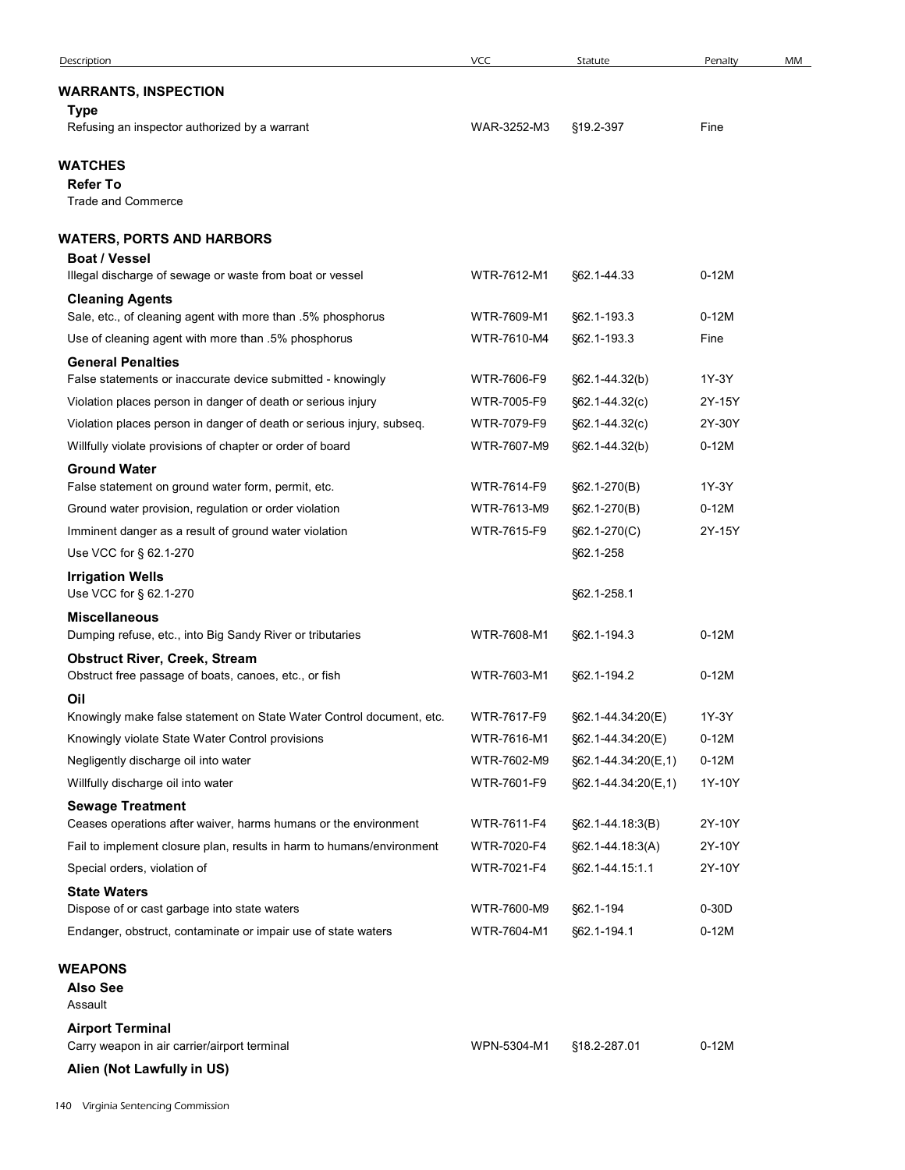| Description                                                                                                                        | <b>VCC</b>                 | Statute                                | Penalty           | MM |
|------------------------------------------------------------------------------------------------------------------------------------|----------------------------|----------------------------------------|-------------------|----|
| <b>WARRANTS, INSPECTION</b><br>Type                                                                                                |                            |                                        |                   |    |
| Refusing an inspector authorized by a warrant                                                                                      | WAR-3252-M3                | §19.2-397                              | Fine              |    |
| WATCHES<br><b>Refer To</b><br><b>Trade and Commerce</b>                                                                            |                            |                                        |                   |    |
| <b>WATERS, PORTS AND HARBORS</b>                                                                                                   |                            |                                        |                   |    |
| <b>Boat / Vessel</b><br>Illegal discharge of sewage or waste from boat or vessel                                                   | WTR-7612-M1                | §62.1-44.33                            | $0-12M$           |    |
| <b>Cleaning Agents</b>                                                                                                             |                            |                                        |                   |    |
| Sale, etc., of cleaning agent with more than .5% phosphorus<br>Use of cleaning agent with more than .5% phosphorus                 | WTR-7609-M1<br>WTR-7610-M4 | §62.1-193.3<br>§62.1-193.3             | $0-12M$<br>Fine   |    |
| <b>General Penalties</b>                                                                                                           |                            |                                        |                   |    |
| False statements or inaccurate device submitted - knowingly                                                                        | WTR-7606-F9                | §62.1-44.32(b)                         | 1Y-3Y             |    |
| Violation places person in danger of death or serious injury                                                                       | WTR-7005-F9                | §62.1-44.32(c)                         | 2Y-15Y            |    |
| Violation places person in danger of death or serious injury, subseq.<br>Willfully violate provisions of chapter or order of board | WTR-7079-F9<br>WTR-7607-M9 | §62.1-44.32(c)                         | 2Y-30Y<br>$0-12M$ |    |
| <b>Ground Water</b>                                                                                                                |                            | §62.1-44.32(b)                         |                   |    |
| False statement on ground water form, permit, etc.                                                                                 | WTR-7614-F9                | $§62.1-270(B)$                         | 1Y-3Y             |    |
| Ground water provision, regulation or order violation                                                                              | WTR-7613-M9                | $§62.1 - 270(B)$                       | $0-12M$           |    |
| Imminent danger as a result of ground water violation<br>Use VCC for § 62.1-270                                                    | WTR-7615-F9                | §62.1-270(C)<br>§62.1-258              | 2Y-15Y            |    |
| <b>Irrigation Wells</b><br>Use VCC for § 62.1-270                                                                                  |                            | §62.1-258.1                            |                   |    |
| <b>Miscellaneous</b><br>Dumping refuse, etc., into Big Sandy River or tributaries                                                  | WTR-7608-M1                | §62.1-194.3                            | $0-12M$           |    |
| <b>Obstruct River, Creek, Stream</b><br>Obstruct free passage of boats, canoes, etc., or fish                                      | WTR-7603-M1                | §62.1-194.2                            | $0-12M$           |    |
| Oil                                                                                                                                |                            |                                        |                   |    |
| Knowingly make false statement on State Water Control document, etc.<br>Knowingly violate State Water Control provisions           | WTR-7617-F9<br>WTR-7616-M1 | §62.1-44.34:20(E)<br>§62.1-44.34:20(E) | 1Y-3Y<br>$0-12M$  |    |
| Negligently discharge oil into water                                                                                               | WTR-7602-M9                | §62.1-44.34:20(E,1)                    | $0-12M$           |    |
| Willfully discharge oil into water                                                                                                 | WTR-7601-F9                | §62.1-44.34.20(E,1)                    | 1Y-10Y            |    |
| <b>Sewage Treatment</b>                                                                                                            |                            |                                        |                   |    |
| Ceases operations after waiver, harms humans or the environment                                                                    | WTR-7611-F4                | §62.1-44.18:3(B)                       | 2Y-10Y            |    |
| Fail to implement closure plan, results in harm to humans/environment                                                              | WTR-7020-F4                | §62.1-44.18.3(A)                       | 2Y-10Y            |    |
| Special orders, violation of<br><b>State Waters</b>                                                                                | WTR-7021-F4                | §62.1-44.15:1.1                        | 2Y-10Y            |    |
| Dispose of or cast garbage into state waters                                                                                       | WTR-7600-M9                | §62.1-194                              | $0-30D$           |    |
| Endanger, obstruct, contaminate or impair use of state waters                                                                      | WTR-7604-M1                | §62.1-194.1                            | $0-12M$           |    |
| <b>WEAPONS</b>                                                                                                                     |                            |                                        |                   |    |
| <b>Also See</b><br>Assault                                                                                                         |                            |                                        |                   |    |
| <b>Airport Terminal</b><br>Carry weapon in air carrier/airport terminal                                                            | WPN-5304-M1                | §18.2-287.01                           | $0-12M$           |    |
| Alien (Not Lawfully in US)                                                                                                         |                            |                                        |                   |    |
| 40 Virginia Sentencing Commission                                                                                                  |                            |                                        |                   |    |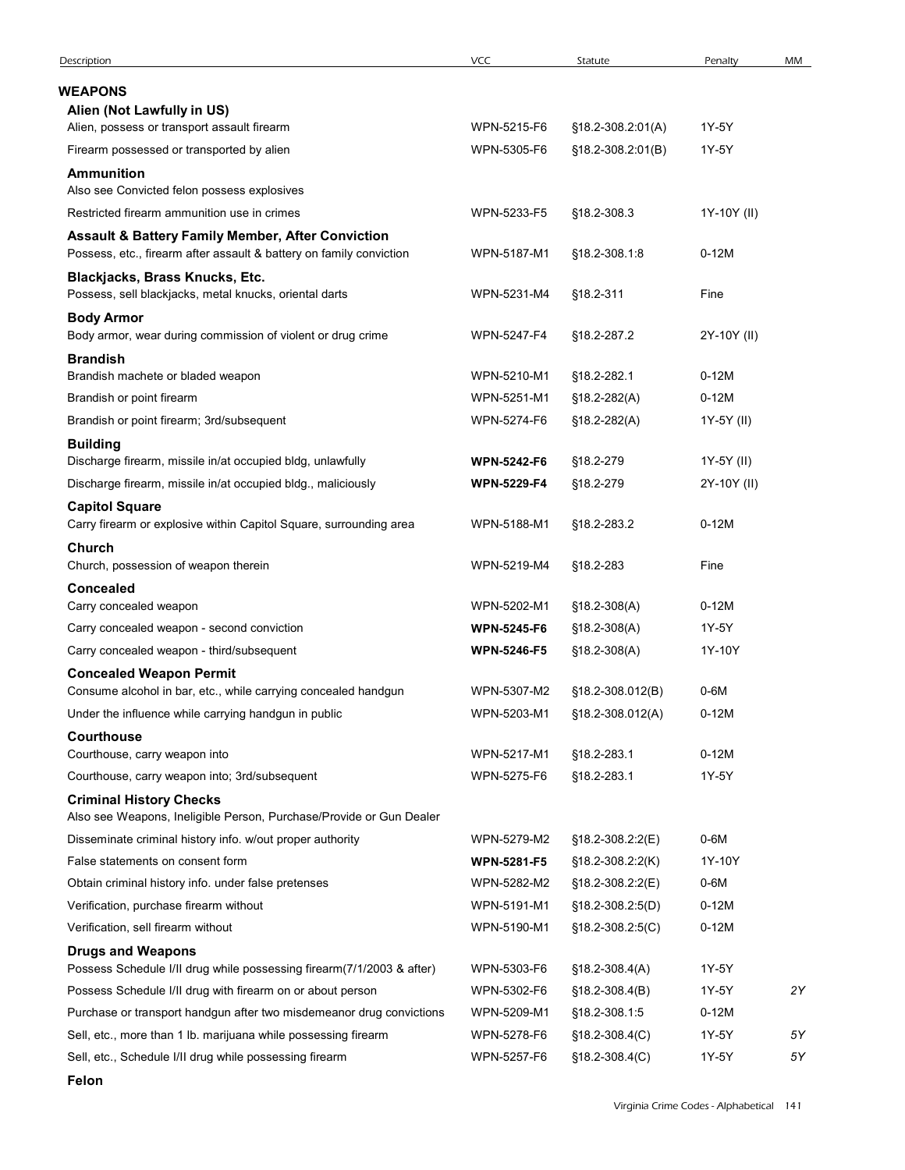| Description<br>WEAPONS<br>Alien (Not Lawfully in US)<br>Alien, possess or transport assault firearm<br>WPN-5215-F6<br>§18.2-308.2:01(A)<br>1Y-5Y<br>WPN-5305-F6<br>1Y-5Y<br>Firearm possessed or transported by alien<br>$$18.2 - 308.2:01(B)$<br><b>Ammunition</b><br>Also see Convicted felon possess explosives<br>Restricted firearm ammunition use in crimes<br>WPN-5233-F5<br>1Y-10Y (II)<br>§18.2-308.3<br><b>Assault &amp; Battery Family Member, After Conviction</b><br>Possess, etc., firearm after assault & battery on family conviction<br>WPN-5187-M1<br>$0-12M$<br>§18.2-308.1.8<br>Blackjacks, Brass Knucks, Etc.<br>Possess, sell blackjacks, metal knucks, oriental darts<br>WPN-5231-M4<br>§18.2-311<br>Fine<br><b>Body Armor</b><br>Body armor, wear during commission of violent or drug crime<br>2Y-10Y (II)<br>WPN-5247-F4<br>§18.2-287.2<br><b>Brandish</b><br>$0-12M$<br>Brandish machete or bladed weapon<br>WPN-5210-M1<br>§18.2-282.1<br>WPN-5251-M1<br>$$18.2 - 282(A)$<br>$0-12M$<br>Brandish or point firearm<br>Brandish or point firearm; 3rd/subsequent<br>WPN-5274-F6<br>$$18.2 - 282(A)$<br>1Y-5Y (II)<br><b>Building</b><br>Discharge firearm, missile in/at occupied bldg, unlawfully<br>§18.2-279<br>1Y-5Y (II)<br><b>WPN-5242-F6</b><br>Discharge firearm, missile in/at occupied bldg., maliciously<br>§18.2-279<br>2Y-10Y (II)<br><b>WPN-5229-F4</b><br><b>Capitol Square</b><br>Carry firearm or explosive within Capitol Square, surrounding area<br>WPN-5188-M1<br>§18.2-283.2<br>$0-12M$<br>Church<br>Church, possession of weapon therein<br>WPN-5219-M4<br>§18.2-283<br>Fine<br>Concealed<br>WPN-5202-M1<br>$0-12M$<br>Carry concealed weapon<br>$$18.2-308(A)$<br>Carry concealed weapon - second conviction<br>§18.2-308(A)<br>1Y-5Y<br><b>WPN-5245-F6</b><br>Carry concealed weapon - third/subsequent<br>1Y-10Y<br><b>WPN-5246-F5</b><br>$$18.2-308(A)$<br><b>Concealed Weapon Permit</b><br>Consume alcohol in bar, etc., while carrying concealed handgun<br>WPN-5307-M2<br>§18.2-308.012(B)<br>$0-6M$<br>Under the influence while carrying handgun in public<br>WPN-5203-M1<br>$0-12M$<br>§18.2-308.012(A)<br>Courthouse<br>WPN-5217-M1<br>$0-12M$<br>Courthouse, carry weapon into<br>§18.2-283.1<br>Courthouse, carry weapon into; 3rd/subsequent<br>WPN-5275-F6<br>1Y-5Y<br>§18.2-283.1<br><b>Criminal History Checks</b><br>Also see Weapons, Ineligible Person, Purchase/Provide or Gun Dealer<br>Disseminate criminal history info. w/out proper authority<br>WPN-5279-M2<br>§18.2-308.2:2(E)<br>$0-6M$<br>False statements on consent form<br><b>WPN-5281-F5</b><br>1Y-10Y<br>$$18.2 - 308.2 :2(K)$<br>WPN-5282-M2<br>$0-6M$<br>Obtain criminal history info. under false pretenses<br>§18.2-308.2:2(E)<br>Verification, purchase firearm without<br>WPN-5191-M1<br>$0-12M$<br>§18.2-308.2:5(D)<br>Verification, sell firearm without<br>WPN-5190-M1<br>$0-12M$<br>$$18.2 - 308.2:5(C)$<br><b>Drugs and Weapons</b><br>Possess Schedule I/II drug while possessing firearm(7/1/2003 & after)<br>WPN-5303-F6<br>1Y-5Y<br>$$18.2 - 308.4(A)$<br>2Y<br>Possess Schedule I/II drug with firearm on or about person<br>WPN-5302-F6<br>1Y-5Y<br>$$18.2 - 308.4(B)$<br>Purchase or transport handgun after two misdemeanor drug convictions<br>WPN-5209-M1<br>$0-12M$<br>§18.2-308.1:5<br>$5Y$<br>Sell, etc., more than 1 lb. marijuana while possessing firearm<br>WPN-5278-F6<br>1Y-5Y<br>$$18.2 - 308.4(C)$<br>WPN-5257-F6 |                                                         |            |                |         |    |
|----------------------------------------------------------------------------------------------------------------------------------------------------------------------------------------------------------------------------------------------------------------------------------------------------------------------------------------------------------------------------------------------------------------------------------------------------------------------------------------------------------------------------------------------------------------------------------------------------------------------------------------------------------------------------------------------------------------------------------------------------------------------------------------------------------------------------------------------------------------------------------------------------------------------------------------------------------------------------------------------------------------------------------------------------------------------------------------------------------------------------------------------------------------------------------------------------------------------------------------------------------------------------------------------------------------------------------------------------------------------------------------------------------------------------------------------------------------------------------------------------------------------------------------------------------------------------------------------------------------------------------------------------------------------------------------------------------------------------------------------------------------------------------------------------------------------------------------------------------------------------------------------------------------------------------------------------------------------------------------------------------------------------------------------------------------------------------------------------------------------------------------------------------------------------------------------------------------------------------------------------------------------------------------------------------------------------------------------------------------------------------------------------------------------------------------------------------------------------------------------------------------------------------------------------------------------------------------------------------------------------------------------------------------------------------------------------------------------------------------------------------------------------------------------------------------------------------------------------------------------------------------------------------------------------------------------------------------------------------------------------------------------------------------------------------------------------------------------------------------------------------------------------------------------------------------------------------------------------------------------------------------------------------------------------------------------------------------------------------------------------------------------------------------------------------------------------------------------------------------|---------------------------------------------------------|------------|----------------|---------|----|
|                                                                                                                                                                                                                                                                                                                                                                                                                                                                                                                                                                                                                                                                                                                                                                                                                                                                                                                                                                                                                                                                                                                                                                                                                                                                                                                                                                                                                                                                                                                                                                                                                                                                                                                                                                                                                                                                                                                                                                                                                                                                                                                                                                                                                                                                                                                                                                                                                                                                                                                                                                                                                                                                                                                                                                                                                                                                                                                                                                                                                                                                                                                                                                                                                                                                                                                                                                                                                                                                                        |                                                         | <b>VCC</b> | Statute        | Penalty | MM |
|                                                                                                                                                                                                                                                                                                                                                                                                                                                                                                                                                                                                                                                                                                                                                                                                                                                                                                                                                                                                                                                                                                                                                                                                                                                                                                                                                                                                                                                                                                                                                                                                                                                                                                                                                                                                                                                                                                                                                                                                                                                                                                                                                                                                                                                                                                                                                                                                                                                                                                                                                                                                                                                                                                                                                                                                                                                                                                                                                                                                                                                                                                                                                                                                                                                                                                                                                                                                                                                                                        |                                                         |            |                |         |    |
|                                                                                                                                                                                                                                                                                                                                                                                                                                                                                                                                                                                                                                                                                                                                                                                                                                                                                                                                                                                                                                                                                                                                                                                                                                                                                                                                                                                                                                                                                                                                                                                                                                                                                                                                                                                                                                                                                                                                                                                                                                                                                                                                                                                                                                                                                                                                                                                                                                                                                                                                                                                                                                                                                                                                                                                                                                                                                                                                                                                                                                                                                                                                                                                                                                                                                                                                                                                                                                                                                        |                                                         |            |                |         |    |
|                                                                                                                                                                                                                                                                                                                                                                                                                                                                                                                                                                                                                                                                                                                                                                                                                                                                                                                                                                                                                                                                                                                                                                                                                                                                                                                                                                                                                                                                                                                                                                                                                                                                                                                                                                                                                                                                                                                                                                                                                                                                                                                                                                                                                                                                                                                                                                                                                                                                                                                                                                                                                                                                                                                                                                                                                                                                                                                                                                                                                                                                                                                                                                                                                                                                                                                                                                                                                                                                                        |                                                         |            |                |         |    |
|                                                                                                                                                                                                                                                                                                                                                                                                                                                                                                                                                                                                                                                                                                                                                                                                                                                                                                                                                                                                                                                                                                                                                                                                                                                                                                                                                                                                                                                                                                                                                                                                                                                                                                                                                                                                                                                                                                                                                                                                                                                                                                                                                                                                                                                                                                                                                                                                                                                                                                                                                                                                                                                                                                                                                                                                                                                                                                                                                                                                                                                                                                                                                                                                                                                                                                                                                                                                                                                                                        |                                                         |            |                |         |    |
|                                                                                                                                                                                                                                                                                                                                                                                                                                                                                                                                                                                                                                                                                                                                                                                                                                                                                                                                                                                                                                                                                                                                                                                                                                                                                                                                                                                                                                                                                                                                                                                                                                                                                                                                                                                                                                                                                                                                                                                                                                                                                                                                                                                                                                                                                                                                                                                                                                                                                                                                                                                                                                                                                                                                                                                                                                                                                                                                                                                                                                                                                                                                                                                                                                                                                                                                                                                                                                                                                        |                                                         |            |                |         |    |
|                                                                                                                                                                                                                                                                                                                                                                                                                                                                                                                                                                                                                                                                                                                                                                                                                                                                                                                                                                                                                                                                                                                                                                                                                                                                                                                                                                                                                                                                                                                                                                                                                                                                                                                                                                                                                                                                                                                                                                                                                                                                                                                                                                                                                                                                                                                                                                                                                                                                                                                                                                                                                                                                                                                                                                                                                                                                                                                                                                                                                                                                                                                                                                                                                                                                                                                                                                                                                                                                                        |                                                         |            |                |         |    |
|                                                                                                                                                                                                                                                                                                                                                                                                                                                                                                                                                                                                                                                                                                                                                                                                                                                                                                                                                                                                                                                                                                                                                                                                                                                                                                                                                                                                                                                                                                                                                                                                                                                                                                                                                                                                                                                                                                                                                                                                                                                                                                                                                                                                                                                                                                                                                                                                                                                                                                                                                                                                                                                                                                                                                                                                                                                                                                                                                                                                                                                                                                                                                                                                                                                                                                                                                                                                                                                                                        |                                                         |            |                |         |    |
|                                                                                                                                                                                                                                                                                                                                                                                                                                                                                                                                                                                                                                                                                                                                                                                                                                                                                                                                                                                                                                                                                                                                                                                                                                                                                                                                                                                                                                                                                                                                                                                                                                                                                                                                                                                                                                                                                                                                                                                                                                                                                                                                                                                                                                                                                                                                                                                                                                                                                                                                                                                                                                                                                                                                                                                                                                                                                                                                                                                                                                                                                                                                                                                                                                                                                                                                                                                                                                                                                        |                                                         |            |                |         |    |
|                                                                                                                                                                                                                                                                                                                                                                                                                                                                                                                                                                                                                                                                                                                                                                                                                                                                                                                                                                                                                                                                                                                                                                                                                                                                                                                                                                                                                                                                                                                                                                                                                                                                                                                                                                                                                                                                                                                                                                                                                                                                                                                                                                                                                                                                                                                                                                                                                                                                                                                                                                                                                                                                                                                                                                                                                                                                                                                                                                                                                                                                                                                                                                                                                                                                                                                                                                                                                                                                                        |                                                         |            |                |         |    |
|                                                                                                                                                                                                                                                                                                                                                                                                                                                                                                                                                                                                                                                                                                                                                                                                                                                                                                                                                                                                                                                                                                                                                                                                                                                                                                                                                                                                                                                                                                                                                                                                                                                                                                                                                                                                                                                                                                                                                                                                                                                                                                                                                                                                                                                                                                                                                                                                                                                                                                                                                                                                                                                                                                                                                                                                                                                                                                                                                                                                                                                                                                                                                                                                                                                                                                                                                                                                                                                                                        |                                                         |            |                |         |    |
|                                                                                                                                                                                                                                                                                                                                                                                                                                                                                                                                                                                                                                                                                                                                                                                                                                                                                                                                                                                                                                                                                                                                                                                                                                                                                                                                                                                                                                                                                                                                                                                                                                                                                                                                                                                                                                                                                                                                                                                                                                                                                                                                                                                                                                                                                                                                                                                                                                                                                                                                                                                                                                                                                                                                                                                                                                                                                                                                                                                                                                                                                                                                                                                                                                                                                                                                                                                                                                                                                        |                                                         |            |                |         |    |
|                                                                                                                                                                                                                                                                                                                                                                                                                                                                                                                                                                                                                                                                                                                                                                                                                                                                                                                                                                                                                                                                                                                                                                                                                                                                                                                                                                                                                                                                                                                                                                                                                                                                                                                                                                                                                                                                                                                                                                                                                                                                                                                                                                                                                                                                                                                                                                                                                                                                                                                                                                                                                                                                                                                                                                                                                                                                                                                                                                                                                                                                                                                                                                                                                                                                                                                                                                                                                                                                                        |                                                         |            |                |         |    |
|                                                                                                                                                                                                                                                                                                                                                                                                                                                                                                                                                                                                                                                                                                                                                                                                                                                                                                                                                                                                                                                                                                                                                                                                                                                                                                                                                                                                                                                                                                                                                                                                                                                                                                                                                                                                                                                                                                                                                                                                                                                                                                                                                                                                                                                                                                                                                                                                                                                                                                                                                                                                                                                                                                                                                                                                                                                                                                                                                                                                                                                                                                                                                                                                                                                                                                                                                                                                                                                                                        |                                                         |            |                |         |    |
|                                                                                                                                                                                                                                                                                                                                                                                                                                                                                                                                                                                                                                                                                                                                                                                                                                                                                                                                                                                                                                                                                                                                                                                                                                                                                                                                                                                                                                                                                                                                                                                                                                                                                                                                                                                                                                                                                                                                                                                                                                                                                                                                                                                                                                                                                                                                                                                                                                                                                                                                                                                                                                                                                                                                                                                                                                                                                                                                                                                                                                                                                                                                                                                                                                                                                                                                                                                                                                                                                        |                                                         |            |                |         |    |
|                                                                                                                                                                                                                                                                                                                                                                                                                                                                                                                                                                                                                                                                                                                                                                                                                                                                                                                                                                                                                                                                                                                                                                                                                                                                                                                                                                                                                                                                                                                                                                                                                                                                                                                                                                                                                                                                                                                                                                                                                                                                                                                                                                                                                                                                                                                                                                                                                                                                                                                                                                                                                                                                                                                                                                                                                                                                                                                                                                                                                                                                                                                                                                                                                                                                                                                                                                                                                                                                                        |                                                         |            |                |         |    |
|                                                                                                                                                                                                                                                                                                                                                                                                                                                                                                                                                                                                                                                                                                                                                                                                                                                                                                                                                                                                                                                                                                                                                                                                                                                                                                                                                                                                                                                                                                                                                                                                                                                                                                                                                                                                                                                                                                                                                                                                                                                                                                                                                                                                                                                                                                                                                                                                                                                                                                                                                                                                                                                                                                                                                                                                                                                                                                                                                                                                                                                                                                                                                                                                                                                                                                                                                                                                                                                                                        |                                                         |            |                |         |    |
|                                                                                                                                                                                                                                                                                                                                                                                                                                                                                                                                                                                                                                                                                                                                                                                                                                                                                                                                                                                                                                                                                                                                                                                                                                                                                                                                                                                                                                                                                                                                                                                                                                                                                                                                                                                                                                                                                                                                                                                                                                                                                                                                                                                                                                                                                                                                                                                                                                                                                                                                                                                                                                                                                                                                                                                                                                                                                                                                                                                                                                                                                                                                                                                                                                                                                                                                                                                                                                                                                        |                                                         |            |                |         |    |
|                                                                                                                                                                                                                                                                                                                                                                                                                                                                                                                                                                                                                                                                                                                                                                                                                                                                                                                                                                                                                                                                                                                                                                                                                                                                                                                                                                                                                                                                                                                                                                                                                                                                                                                                                                                                                                                                                                                                                                                                                                                                                                                                                                                                                                                                                                                                                                                                                                                                                                                                                                                                                                                                                                                                                                                                                                                                                                                                                                                                                                                                                                                                                                                                                                                                                                                                                                                                                                                                                        |                                                         |            |                |         |    |
|                                                                                                                                                                                                                                                                                                                                                                                                                                                                                                                                                                                                                                                                                                                                                                                                                                                                                                                                                                                                                                                                                                                                                                                                                                                                                                                                                                                                                                                                                                                                                                                                                                                                                                                                                                                                                                                                                                                                                                                                                                                                                                                                                                                                                                                                                                                                                                                                                                                                                                                                                                                                                                                                                                                                                                                                                                                                                                                                                                                                                                                                                                                                                                                                                                                                                                                                                                                                                                                                                        |                                                         |            |                |         |    |
|                                                                                                                                                                                                                                                                                                                                                                                                                                                                                                                                                                                                                                                                                                                                                                                                                                                                                                                                                                                                                                                                                                                                                                                                                                                                                                                                                                                                                                                                                                                                                                                                                                                                                                                                                                                                                                                                                                                                                                                                                                                                                                                                                                                                                                                                                                                                                                                                                                                                                                                                                                                                                                                                                                                                                                                                                                                                                                                                                                                                                                                                                                                                                                                                                                                                                                                                                                                                                                                                                        |                                                         |            |                |         |    |
|                                                                                                                                                                                                                                                                                                                                                                                                                                                                                                                                                                                                                                                                                                                                                                                                                                                                                                                                                                                                                                                                                                                                                                                                                                                                                                                                                                                                                                                                                                                                                                                                                                                                                                                                                                                                                                                                                                                                                                                                                                                                                                                                                                                                                                                                                                                                                                                                                                                                                                                                                                                                                                                                                                                                                                                                                                                                                                                                                                                                                                                                                                                                                                                                                                                                                                                                                                                                                                                                                        |                                                         |            |                |         |    |
|                                                                                                                                                                                                                                                                                                                                                                                                                                                                                                                                                                                                                                                                                                                                                                                                                                                                                                                                                                                                                                                                                                                                                                                                                                                                                                                                                                                                                                                                                                                                                                                                                                                                                                                                                                                                                                                                                                                                                                                                                                                                                                                                                                                                                                                                                                                                                                                                                                                                                                                                                                                                                                                                                                                                                                                                                                                                                                                                                                                                                                                                                                                                                                                                                                                                                                                                                                                                                                                                                        |                                                         |            |                |         |    |
|                                                                                                                                                                                                                                                                                                                                                                                                                                                                                                                                                                                                                                                                                                                                                                                                                                                                                                                                                                                                                                                                                                                                                                                                                                                                                                                                                                                                                                                                                                                                                                                                                                                                                                                                                                                                                                                                                                                                                                                                                                                                                                                                                                                                                                                                                                                                                                                                                                                                                                                                                                                                                                                                                                                                                                                                                                                                                                                                                                                                                                                                                                                                                                                                                                                                                                                                                                                                                                                                                        |                                                         |            |                |         |    |
|                                                                                                                                                                                                                                                                                                                                                                                                                                                                                                                                                                                                                                                                                                                                                                                                                                                                                                                                                                                                                                                                                                                                                                                                                                                                                                                                                                                                                                                                                                                                                                                                                                                                                                                                                                                                                                                                                                                                                                                                                                                                                                                                                                                                                                                                                                                                                                                                                                                                                                                                                                                                                                                                                                                                                                                                                                                                                                                                                                                                                                                                                                                                                                                                                                                                                                                                                                                                                                                                                        |                                                         |            |                |         |    |
|                                                                                                                                                                                                                                                                                                                                                                                                                                                                                                                                                                                                                                                                                                                                                                                                                                                                                                                                                                                                                                                                                                                                                                                                                                                                                                                                                                                                                                                                                                                                                                                                                                                                                                                                                                                                                                                                                                                                                                                                                                                                                                                                                                                                                                                                                                                                                                                                                                                                                                                                                                                                                                                                                                                                                                                                                                                                                                                                                                                                                                                                                                                                                                                                                                                                                                                                                                                                                                                                                        |                                                         |            |                |         |    |
|                                                                                                                                                                                                                                                                                                                                                                                                                                                                                                                                                                                                                                                                                                                                                                                                                                                                                                                                                                                                                                                                                                                                                                                                                                                                                                                                                                                                                                                                                                                                                                                                                                                                                                                                                                                                                                                                                                                                                                                                                                                                                                                                                                                                                                                                                                                                                                                                                                                                                                                                                                                                                                                                                                                                                                                                                                                                                                                                                                                                                                                                                                                                                                                                                                                                                                                                                                                                                                                                                        |                                                         |            |                |         |    |
|                                                                                                                                                                                                                                                                                                                                                                                                                                                                                                                                                                                                                                                                                                                                                                                                                                                                                                                                                                                                                                                                                                                                                                                                                                                                                                                                                                                                                                                                                                                                                                                                                                                                                                                                                                                                                                                                                                                                                                                                                                                                                                                                                                                                                                                                                                                                                                                                                                                                                                                                                                                                                                                                                                                                                                                                                                                                                                                                                                                                                                                                                                                                                                                                                                                                                                                                                                                                                                                                                        |                                                         |            |                |         |    |
|                                                                                                                                                                                                                                                                                                                                                                                                                                                                                                                                                                                                                                                                                                                                                                                                                                                                                                                                                                                                                                                                                                                                                                                                                                                                                                                                                                                                                                                                                                                                                                                                                                                                                                                                                                                                                                                                                                                                                                                                                                                                                                                                                                                                                                                                                                                                                                                                                                                                                                                                                                                                                                                                                                                                                                                                                                                                                                                                                                                                                                                                                                                                                                                                                                                                                                                                                                                                                                                                                        |                                                         |            |                |         |    |
|                                                                                                                                                                                                                                                                                                                                                                                                                                                                                                                                                                                                                                                                                                                                                                                                                                                                                                                                                                                                                                                                                                                                                                                                                                                                                                                                                                                                                                                                                                                                                                                                                                                                                                                                                                                                                                                                                                                                                                                                                                                                                                                                                                                                                                                                                                                                                                                                                                                                                                                                                                                                                                                                                                                                                                                                                                                                                                                                                                                                                                                                                                                                                                                                                                                                                                                                                                                                                                                                                        |                                                         |            |                |         |    |
|                                                                                                                                                                                                                                                                                                                                                                                                                                                                                                                                                                                                                                                                                                                                                                                                                                                                                                                                                                                                                                                                                                                                                                                                                                                                                                                                                                                                                                                                                                                                                                                                                                                                                                                                                                                                                                                                                                                                                                                                                                                                                                                                                                                                                                                                                                                                                                                                                                                                                                                                                                                                                                                                                                                                                                                                                                                                                                                                                                                                                                                                                                                                                                                                                                                                                                                                                                                                                                                                                        |                                                         |            |                |         |    |
|                                                                                                                                                                                                                                                                                                                                                                                                                                                                                                                                                                                                                                                                                                                                                                                                                                                                                                                                                                                                                                                                                                                                                                                                                                                                                                                                                                                                                                                                                                                                                                                                                                                                                                                                                                                                                                                                                                                                                                                                                                                                                                                                                                                                                                                                                                                                                                                                                                                                                                                                                                                                                                                                                                                                                                                                                                                                                                                                                                                                                                                                                                                                                                                                                                                                                                                                                                                                                                                                                        |                                                         |            |                |         |    |
|                                                                                                                                                                                                                                                                                                                                                                                                                                                                                                                                                                                                                                                                                                                                                                                                                                                                                                                                                                                                                                                                                                                                                                                                                                                                                                                                                                                                                                                                                                                                                                                                                                                                                                                                                                                                                                                                                                                                                                                                                                                                                                                                                                                                                                                                                                                                                                                                                                                                                                                                                                                                                                                                                                                                                                                                                                                                                                                                                                                                                                                                                                                                                                                                                                                                                                                                                                                                                                                                                        |                                                         |            |                |         |    |
|                                                                                                                                                                                                                                                                                                                                                                                                                                                                                                                                                                                                                                                                                                                                                                                                                                                                                                                                                                                                                                                                                                                                                                                                                                                                                                                                                                                                                                                                                                                                                                                                                                                                                                                                                                                                                                                                                                                                                                                                                                                                                                                                                                                                                                                                                                                                                                                                                                                                                                                                                                                                                                                                                                                                                                                                                                                                                                                                                                                                                                                                                                                                                                                                                                                                                                                                                                                                                                                                                        |                                                         |            |                |         |    |
|                                                                                                                                                                                                                                                                                                                                                                                                                                                                                                                                                                                                                                                                                                                                                                                                                                                                                                                                                                                                                                                                                                                                                                                                                                                                                                                                                                                                                                                                                                                                                                                                                                                                                                                                                                                                                                                                                                                                                                                                                                                                                                                                                                                                                                                                                                                                                                                                                                                                                                                                                                                                                                                                                                                                                                                                                                                                                                                                                                                                                                                                                                                                                                                                                                                                                                                                                                                                                                                                                        |                                                         |            |                |         |    |
|                                                                                                                                                                                                                                                                                                                                                                                                                                                                                                                                                                                                                                                                                                                                                                                                                                                                                                                                                                                                                                                                                                                                                                                                                                                                                                                                                                                                                                                                                                                                                                                                                                                                                                                                                                                                                                                                                                                                                                                                                                                                                                                                                                                                                                                                                                                                                                                                                                                                                                                                                                                                                                                                                                                                                                                                                                                                                                                                                                                                                                                                                                                                                                                                                                                                                                                                                                                                                                                                                        |                                                         |            |                |         |    |
|                                                                                                                                                                                                                                                                                                                                                                                                                                                                                                                                                                                                                                                                                                                                                                                                                                                                                                                                                                                                                                                                                                                                                                                                                                                                                                                                                                                                                                                                                                                                                                                                                                                                                                                                                                                                                                                                                                                                                                                                                                                                                                                                                                                                                                                                                                                                                                                                                                                                                                                                                                                                                                                                                                                                                                                                                                                                                                                                                                                                                                                                                                                                                                                                                                                                                                                                                                                                                                                                                        |                                                         |            |                |         |    |
|                                                                                                                                                                                                                                                                                                                                                                                                                                                                                                                                                                                                                                                                                                                                                                                                                                                                                                                                                                                                                                                                                                                                                                                                                                                                                                                                                                                                                                                                                                                                                                                                                                                                                                                                                                                                                                                                                                                                                                                                                                                                                                                                                                                                                                                                                                                                                                                                                                                                                                                                                                                                                                                                                                                                                                                                                                                                                                                                                                                                                                                                                                                                                                                                                                                                                                                                                                                                                                                                                        | Sell, etc., Schedule I/II drug while possessing firearm |            | §18.2-308.4(C) | 1Y-5Y   | 5Y |
| Felon                                                                                                                                                                                                                                                                                                                                                                                                                                                                                                                                                                                                                                                                                                                                                                                                                                                                                                                                                                                                                                                                                                                                                                                                                                                                                                                                                                                                                                                                                                                                                                                                                                                                                                                                                                                                                                                                                                                                                                                                                                                                                                                                                                                                                                                                                                                                                                                                                                                                                                                                                                                                                                                                                                                                                                                                                                                                                                                                                                                                                                                                                                                                                                                                                                                                                                                                                                                                                                                                                  |                                                         |            |                |         |    |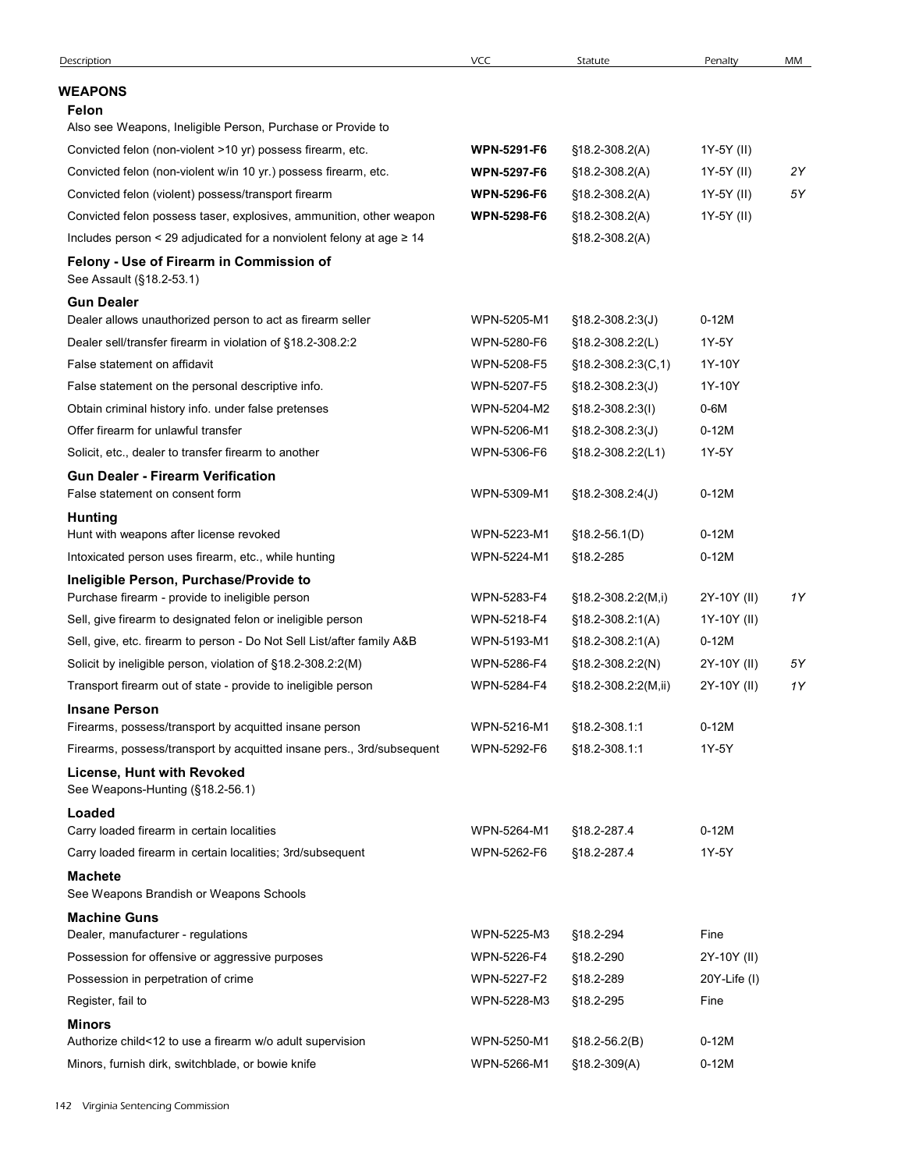| <b>WEAPONS</b><br><b>Felon</b><br>Also see Weapons, Ineligible Person, Purchase or Provide to<br>Convicted felon (non-violent >10 yr) possess firearm, etc.<br><b>WPN-5291-F6</b><br>1Y-5Y (II)<br>$$18.2-308.2(A)$<br>Convicted felon (non-violent w/in 10 yr.) possess firearm, etc.<br><b>WPN-5297-F6</b><br>$$18.2-308.2(A)$<br>1Y-5Y (II)<br>Convicted felon (violent) possess/transport firearm<br><b>WPN-5296-F6</b><br>1Y-5Y (II)<br>$$18.2-308.2(A)$<br><b>WPN-5298-F6</b><br>1Y-5Y (II)<br>Convicted felon possess taser, explosives, ammunition, other weapon<br>$$18.2-308.2(A)$<br>Includes person < 29 adjudicated for a nonviolent felony at age $\geq 14$<br>$$18.2 - 308.2(A)$<br>Felony - Use of Firearm in Commission of<br>See Assault (§18.2-53.1)<br><b>Gun Dealer</b><br>Dealer allows unauthorized person to act as firearm seller<br>WPN-5205-M1<br>$0-12M$<br>$$18.2 - 308.2 \cdot 3(J)$<br>Dealer sell/transfer firearm in violation of §18.2-308.2:2<br>WPN-5280-F6<br>1Y-5Y<br>$$18.2-308.2:2(L)$ | 2Y<br>5Υ |
|--------------------------------------------------------------------------------------------------------------------------------------------------------------------------------------------------------------------------------------------------------------------------------------------------------------------------------------------------------------------------------------------------------------------------------------------------------------------------------------------------------------------------------------------------------------------------------------------------------------------------------------------------------------------------------------------------------------------------------------------------------------------------------------------------------------------------------------------------------------------------------------------------------------------------------------------------------------------------------------------------------------------------------|----------|
|                                                                                                                                                                                                                                                                                                                                                                                                                                                                                                                                                                                                                                                                                                                                                                                                                                                                                                                                                                                                                                |          |
|                                                                                                                                                                                                                                                                                                                                                                                                                                                                                                                                                                                                                                                                                                                                                                                                                                                                                                                                                                                                                                |          |
|                                                                                                                                                                                                                                                                                                                                                                                                                                                                                                                                                                                                                                                                                                                                                                                                                                                                                                                                                                                                                                |          |
|                                                                                                                                                                                                                                                                                                                                                                                                                                                                                                                                                                                                                                                                                                                                                                                                                                                                                                                                                                                                                                |          |
|                                                                                                                                                                                                                                                                                                                                                                                                                                                                                                                                                                                                                                                                                                                                                                                                                                                                                                                                                                                                                                |          |
|                                                                                                                                                                                                                                                                                                                                                                                                                                                                                                                                                                                                                                                                                                                                                                                                                                                                                                                                                                                                                                |          |
|                                                                                                                                                                                                                                                                                                                                                                                                                                                                                                                                                                                                                                                                                                                                                                                                                                                                                                                                                                                                                                |          |
|                                                                                                                                                                                                                                                                                                                                                                                                                                                                                                                                                                                                                                                                                                                                                                                                                                                                                                                                                                                                                                |          |
|                                                                                                                                                                                                                                                                                                                                                                                                                                                                                                                                                                                                                                                                                                                                                                                                                                                                                                                                                                                                                                |          |
|                                                                                                                                                                                                                                                                                                                                                                                                                                                                                                                                                                                                                                                                                                                                                                                                                                                                                                                                                                                                                                |          |
|                                                                                                                                                                                                                                                                                                                                                                                                                                                                                                                                                                                                                                                                                                                                                                                                                                                                                                                                                                                                                                |          |
| False statement on affidavit<br>WPN-5208-F5<br>1Y-10Y<br>$$18.2 - 308.2 : 3(C, 1)$<br>False statement on the personal descriptive info.<br>WPN-5207-F5<br>1Y-10Y<br>$$18.2 - 308.2 \cdot 3(J)$                                                                                                                                                                                                                                                                                                                                                                                                                                                                                                                                                                                                                                                                                                                                                                                                                                 |          |
| Obtain criminal history info. under false pretenses<br>WPN-5204-M2<br>0-6M<br>$$18.2 - 308.2 :3(1)$                                                                                                                                                                                                                                                                                                                                                                                                                                                                                                                                                                                                                                                                                                                                                                                                                                                                                                                            |          |
| Offer firearm for unlawful transfer<br>WPN-5206-M1<br>§18.2-308.2:3(J)<br>$0-12M$                                                                                                                                                                                                                                                                                                                                                                                                                                                                                                                                                                                                                                                                                                                                                                                                                                                                                                                                              |          |
| 1Y-5Y<br>WPN-5306-F6<br>§18.2-308.2:2(L1)<br>Solicit, etc., dealer to transfer firearm to another                                                                                                                                                                                                                                                                                                                                                                                                                                                                                                                                                                                                                                                                                                                                                                                                                                                                                                                              |          |
| <b>Gun Dealer - Firearm Verification</b><br>$0-12M$<br>False statement on consent form<br>WPN-5309-M1<br>$$18.2 - 308.2 : 4(J)$                                                                                                                                                                                                                                                                                                                                                                                                                                                                                                                                                                                                                                                                                                                                                                                                                                                                                                |          |
| <b>Hunting</b>                                                                                                                                                                                                                                                                                                                                                                                                                                                                                                                                                                                                                                                                                                                                                                                                                                                                                                                                                                                                                 |          |
| Hunt with weapons after license revoked<br>$0-12M$<br>WPN-5223-M1<br>$$18.2-56.1(D)$                                                                                                                                                                                                                                                                                                                                                                                                                                                                                                                                                                                                                                                                                                                                                                                                                                                                                                                                           |          |
| Intoxicated person uses firearm, etc., while hunting<br>$0-12M$<br>WPN-5224-M1<br>§18.2-285                                                                                                                                                                                                                                                                                                                                                                                                                                                                                                                                                                                                                                                                                                                                                                                                                                                                                                                                    |          |
| Ineligible Person, Purchase/Provide to<br>Purchase firearm - provide to ineligible person<br>WPN-5283-F4<br>2Y-10Y (II)<br>$§18.2-308.2:2(M,i)$                                                                                                                                                                                                                                                                                                                                                                                                                                                                                                                                                                                                                                                                                                                                                                                                                                                                                | 1Y       |
| Sell, give firearm to designated felon or ineligible person<br>WPN-5218-F4<br>1Y-10Y (II)<br>$$18.2 - 308.2:1(A)$                                                                                                                                                                                                                                                                                                                                                                                                                                                                                                                                                                                                                                                                                                                                                                                                                                                                                                              |          |
| Sell, give, etc. firearm to person - Do Not Sell List/after family A&B<br>WPN-5193-M1<br>$0-12M$<br>$$18.2 - 308.2:1(A)$                                                                                                                                                                                                                                                                                                                                                                                                                                                                                                                                                                                                                                                                                                                                                                                                                                                                                                       |          |
| Solicit by ineligible person, violation of §18.2-308.2:2(M)<br>WPN-5286-F4<br>2Y-10Y (II)<br>$$18.2 - 308.2 :2(N)$                                                                                                                                                                                                                                                                                                                                                                                                                                                                                                                                                                                                                                                                                                                                                                                                                                                                                                             | 5Υ       |
| Transport firearm out of state - provide to ineligible person<br>WPN-5284-F4<br>§18.2-308.2:2(M,ii)<br>2Y-10Y (II)                                                                                                                                                                                                                                                                                                                                                                                                                                                                                                                                                                                                                                                                                                                                                                                                                                                                                                             | 1Y       |
| <b>Insane Person</b>                                                                                                                                                                                                                                                                                                                                                                                                                                                                                                                                                                                                                                                                                                                                                                                                                                                                                                                                                                                                           |          |
| Firearms, possess/transport by acquitted insane person<br>WPN-5216-M1<br>§18.2-308.1:1<br>$0-12M$                                                                                                                                                                                                                                                                                                                                                                                                                                                                                                                                                                                                                                                                                                                                                                                                                                                                                                                              |          |
| 1Y-5Y<br>Firearms, possess/transport by acquitted insane pers., 3rd/subsequent<br>WPN-5292-F6<br>§18.2-308.1:1                                                                                                                                                                                                                                                                                                                                                                                                                                                                                                                                                                                                                                                                                                                                                                                                                                                                                                                 |          |
| License, Hunt with Revoked<br>See Weapons-Hunting (§18.2-56.1)                                                                                                                                                                                                                                                                                                                                                                                                                                                                                                                                                                                                                                                                                                                                                                                                                                                                                                                                                                 |          |
| Loaded                                                                                                                                                                                                                                                                                                                                                                                                                                                                                                                                                                                                                                                                                                                                                                                                                                                                                                                                                                                                                         |          |
| Carry loaded firearm in certain localities<br>WPN-5264-M1<br>§18.2-287.4<br>$0-12M$                                                                                                                                                                                                                                                                                                                                                                                                                                                                                                                                                                                                                                                                                                                                                                                                                                                                                                                                            |          |
| Carry loaded firearm in certain localities; 3rd/subsequent<br>WPN-5262-F6<br>§18.2-287.4<br>1Y-5Y                                                                                                                                                                                                                                                                                                                                                                                                                                                                                                                                                                                                                                                                                                                                                                                                                                                                                                                              |          |
| <b>Machete</b><br>See Weapons Brandish or Weapons Schools                                                                                                                                                                                                                                                                                                                                                                                                                                                                                                                                                                                                                                                                                                                                                                                                                                                                                                                                                                      |          |
| <b>Machine Guns</b>                                                                                                                                                                                                                                                                                                                                                                                                                                                                                                                                                                                                                                                                                                                                                                                                                                                                                                                                                                                                            |          |
| Fine<br>Dealer, manufacturer - regulations<br>WPN-5225-M3<br>§18.2-294                                                                                                                                                                                                                                                                                                                                                                                                                                                                                                                                                                                                                                                                                                                                                                                                                                                                                                                                                         |          |
| Possession for offensive or aggressive purposes<br>WPN-5226-F4<br>§18.2-290<br>2Y-10Y (II)                                                                                                                                                                                                                                                                                                                                                                                                                                                                                                                                                                                                                                                                                                                                                                                                                                                                                                                                     |          |
| Possession in perpetration of crime<br>WPN-5227-F2<br>§18.2-289<br>20Y-Life (I)                                                                                                                                                                                                                                                                                                                                                                                                                                                                                                                                                                                                                                                                                                                                                                                                                                                                                                                                                |          |
| Register, fail to<br>WPN-5228-M3<br>Fine<br>§18.2-295                                                                                                                                                                                                                                                                                                                                                                                                                                                                                                                                                                                                                                                                                                                                                                                                                                                                                                                                                                          |          |
| <b>Minors</b>                                                                                                                                                                                                                                                                                                                                                                                                                                                                                                                                                                                                                                                                                                                                                                                                                                                                                                                                                                                                                  |          |
| Authorize child<12 to use a firearm w/o adult supervision<br>WPN-5250-M1<br>$0-12M$<br>$$18.2 - 56.2(B)$<br>WPN-5266-M1<br>$0-12M$<br>Minors, furnish dirk, switchblade, or bowie knife<br>$$18.2-309(A)$                                                                                                                                                                                                                                                                                                                                                                                                                                                                                                                                                                                                                                                                                                                                                                                                                      |          |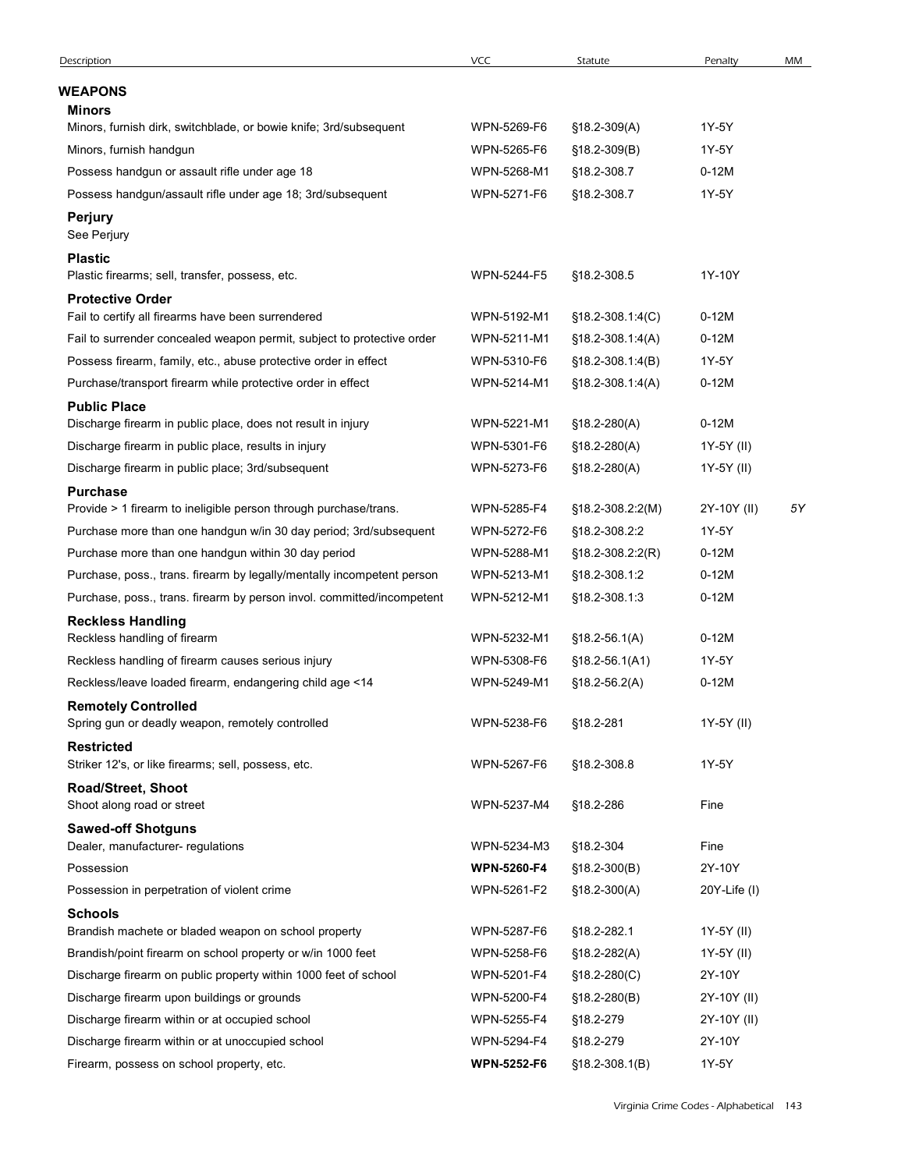| Description                                                                                 | <b>VCC</b>         | Statute              | Penalty      | MM |
|---------------------------------------------------------------------------------------------|--------------------|----------------------|--------------|----|
| <b>WEAPONS</b>                                                                              |                    |                      |              |    |
| Minors                                                                                      |                    |                      |              |    |
| Minors, furnish dirk, switchblade, or bowie knife; 3rd/subsequent                           | WPN-5269-F6        | $$18.2-309(A)$       | 1Y-5Y        |    |
| Minors, furnish handgun                                                                     | WPN-5265-F6        | $$18.2-309(B)$       | 1Y-5Y        |    |
| Possess handgun or assault rifle under age 18                                               | WPN-5268-M1        | §18.2-308.7          | $0-12M$      |    |
| Possess handgun/assault rifle under age 18; 3rd/subsequent<br><b>Perjury</b><br>See Perjury | WPN-5271-F6        | §18.2-308.7          | 1Y-5Y        |    |
| <b>Plastic</b>                                                                              |                    |                      |              |    |
| Plastic firearms; sell, transfer, possess, etc.                                             | WPN-5244-F5        | §18.2-308.5          | 1Y-10Y       |    |
| <b>Protective Order</b><br>Fail to certify all firearms have been surrendered               | WPN-5192-M1        | $$18.2 - 308.1:4(C)$ | $0-12M$      |    |
| Fail to surrender concealed weapon permit, subject to protective order                      | WPN-5211-M1        | $$18.2-308.1:4(A)$   | $0-12M$      |    |
| Possess firearm, family, etc., abuse protective order in effect                             | WPN-5310-F6        | $$18.2 - 308.1:4(B)$ | 1Y-5Y        |    |
| Purchase/transport firearm while protective order in effect                                 | WPN-5214-M1        | $$18.2 - 308.1.4(A)$ | $0-12M$      |    |
| <b>Public Place</b>                                                                         |                    |                      |              |    |
| Discharge firearm in public place, does not result in injury                                | WPN-5221-M1        | $$18.2 - 280(A)$     | $0-12M$      |    |
| Discharge firearm in public place, results in injury                                        | WPN-5301-F6        | $$18.2 - 280(A)$     | 1Y-5Y (II)   |    |
| Discharge firearm in public place; 3rd/subsequent                                           | WPN-5273-F6        | $$18.2 - 280(A)$     | 1Y-5Y (II)   |    |
| <b>Purchase</b>                                                                             |                    |                      |              |    |
| Provide > 1 firearm to ineligible person through purchase/trans.                            | WPN-5285-F4        | §18.2-308.2:2(M)     | 2Y-10Y (II)  | 5Υ |
| Purchase more than one handgun w/in 30 day period; 3rd/subsequent                           | WPN-5272-F6        | §18.2-308.2:2        | 1Y-5Y        |    |
| Purchase more than one handgun within 30 day period                                         | WPN-5288-M1        | §18.2-308.2:2(R)     | $0-12M$      |    |
| Purchase, poss., trans. firearm by legally/mentally incompetent person                      | WPN-5213-M1        | §18.2-308.1:2        | $0-12M$      |    |
| Purchase, poss., trans. firearm by person invol. committed/incompetent                      | WPN-5212-M1        | §18.2-308.1:3        | $0-12M$      |    |
| <b>Reckless Handling</b>                                                                    |                    |                      |              |    |
| Reckless handling of firearm                                                                | WPN-5232-M1        | $$18.2 - 56.1(A)$    | $0-12M$      |    |
| Reckless handling of firearm causes serious injury                                          | WPN-5308-F6        | $$18.2 - 56.1(A1)$   | 1Y-5Y        |    |
| Reckless/leave loaded firearm, endangering child age <14                                    | WPN-5249-M1        | $$18.2 - 56.2(A)$    | $0-12M$      |    |
| <b>Remotely Controlled</b>                                                                  |                    |                      |              |    |
| Spring gun or deadly weapon, remotely controlled                                            | WPN-5238-F6        | §18.2-281            | 1Y-5Y (II)   |    |
| <b>Restricted</b><br>Striker 12's, or like firearms; sell, possess, etc.                    | WPN-5267-F6        | §18.2-308.8          | 1Y-5Y        |    |
| Road/Street, Shoot                                                                          |                    |                      |              |    |
| Shoot along road or street                                                                  | WPN-5237-M4        | §18.2-286            | Fine         |    |
| <b>Sawed-off Shotguns</b>                                                                   |                    |                      |              |    |
| Dealer, manufacturer- regulations                                                           | WPN-5234-M3        | §18.2-304            | Fine         |    |
| Possession                                                                                  | <b>WPN-5260-F4</b> | $$18.2-300(B)$       | 2Y-10Y       |    |
| Possession in perpetration of violent crime                                                 | WPN-5261-F2        | $$18.2-300(A)$       | 20Y-Life (I) |    |
| <b>Schools</b>                                                                              |                    |                      |              |    |
| Brandish machete or bladed weapon on school property                                        | WPN-5287-F6        | §18.2-282.1          | 1Y-5Y (II)   |    |
| Brandish/point firearm on school property or w/in 1000 feet                                 | WPN-5258-F6        | §18.2-282(A)         | 1Y-5Y (II)   |    |
| Discharge firearm on public property within 1000 feet of school                             | WPN-5201-F4        | $$18.2 - 280(C)$     | 2Y-10Y       |    |
| Discharge firearm upon buildings or grounds                                                 | WPN-5200-F4        | $$18.2 - 280(B)$     | 2Y-10Y (II)  |    |
| Discharge firearm within or at occupied school                                              | WPN-5255-F4        | §18.2-279            | 2Y-10Y (II)  |    |
| Discharge firearm within or at unoccupied school                                            | WPN-5294-F4        | §18.2-279            | 2Y-10Y       |    |
|                                                                                             | <b>WPN-5252-F6</b> | $$18.2-308.1(B)$     | 1Y-5Y        |    |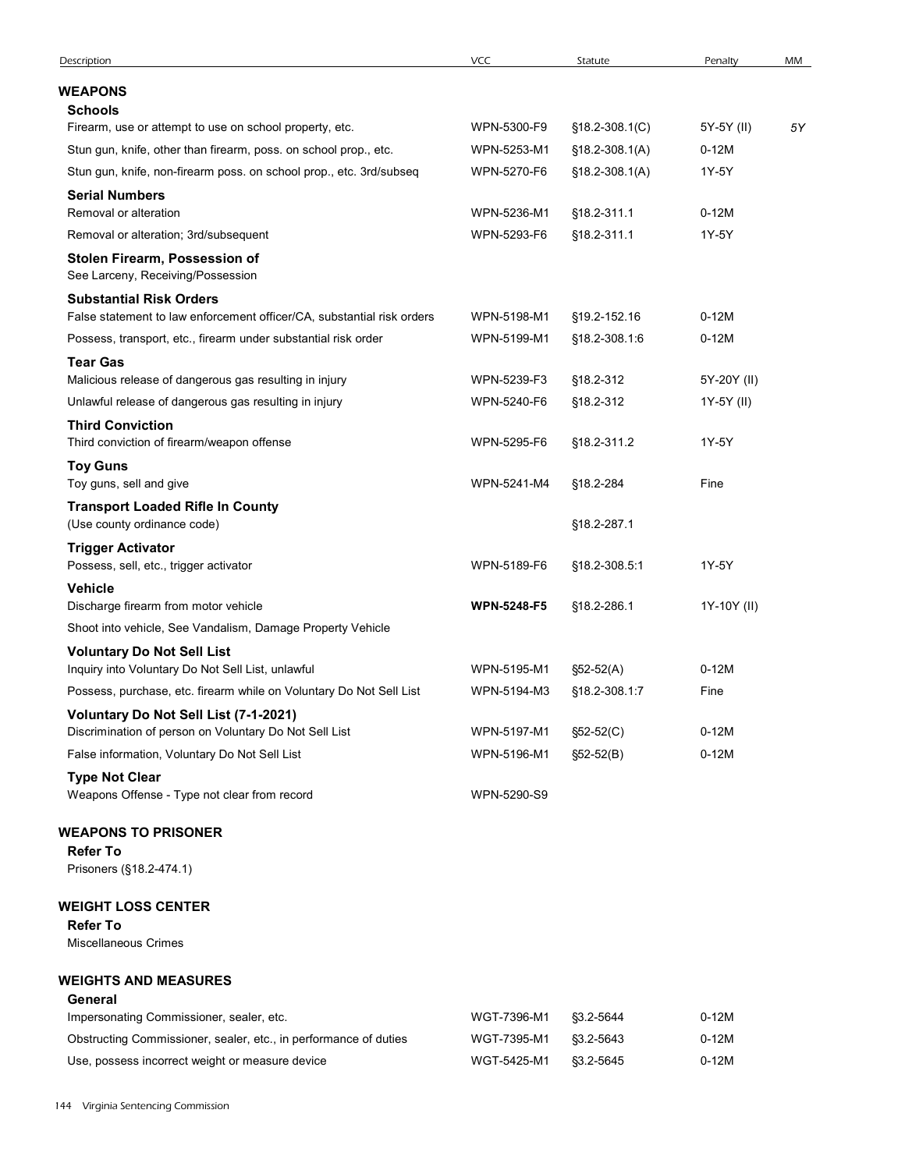| Description                                                                                                                 | VCC                        | Statute                          | Penalty               | MM |
|-----------------------------------------------------------------------------------------------------------------------------|----------------------------|----------------------------------|-----------------------|----|
| WEAPONS                                                                                                                     |                            |                                  |                       |    |
| <b>Schools</b>                                                                                                              |                            |                                  |                       |    |
| Firearm, use or attempt to use on school property, etc.<br>Stun gun, knife, other than firearm, poss. on school prop., etc. | WPN-5300-F9<br>WPN-5253-M1 | $$18.2 - 308.1(C)$               | 5Y-5Y (II)<br>$0-12M$ | 5Υ |
| Stun gun, knife, non-firearm poss. on school prop., etc. 3rd/subseq                                                         | WPN-5270-F6                | §18.2-308.1(A)<br>§18.2-308.1(A) | 1Y-5Y                 |    |
| <b>Serial Numbers</b>                                                                                                       |                            |                                  |                       |    |
| Removal or alteration                                                                                                       | WPN-5236-M1                | §18.2-311.1                      | $0-12M$               |    |
| Removal or alteration; 3rd/subsequent                                                                                       | WPN-5293-F6                | §18.2-311.1                      | 1Y-5Y                 |    |
| Stolen Firearm, Possession of<br>See Larceny, Receiving/Possession                                                          |                            |                                  |                       |    |
| <b>Substantial Risk Orders</b><br>False statement to law enforcement officer/CA, substantial risk orders                    | WPN-5198-M1                | §19.2-152.16                     | $0-12M$               |    |
| Possess, transport, etc., firearm under substantial risk order                                                              | WPN-5199-M1                | §18.2-308.1:6                    | $0-12M$               |    |
| <b>Tear Gas</b><br>Malicious release of dangerous gas resulting in injury                                                   | WPN-5239-F3                | §18.2-312                        | 5Y-20Y (II)           |    |
| Unlawful release of dangerous gas resulting in injury                                                                       | WPN-5240-F6                | §18.2-312                        | 1Y-5Y (II)            |    |
| <b>Third Conviction</b><br>Third conviction of firearm/weapon offense                                                       | WPN-5295-F6                | §18.2-311.2                      | 1Y-5Y                 |    |
| <b>Toy Guns</b><br>Toy guns, sell and give                                                                                  | WPN-5241-M4                | §18.2-284                        | Fine                  |    |
| <b>Transport Loaded Rifle In County</b><br>(Use county ordinance code)                                                      |                            | §18.2-287.1                      |                       |    |
| <b>Trigger Activator</b><br>Possess, sell, etc., trigger activator                                                          | WPN-5189-F6                | §18.2-308.5:1                    | 1Y-5Y                 |    |
| Vehicle                                                                                                                     |                            |                                  |                       |    |
| Discharge firearm from motor vehicle<br>Shoot into vehicle, See Vandalism, Damage Property Vehicle                          | <b>WPN-5248-F5</b>         | §18.2-286.1                      | 1Y-10Y (II)           |    |
| <b>Voluntary Do Not Sell List</b><br>Inquiry into Voluntary Do Not Sell List, unlawful                                      | WPN-5195-M1                | §52-52(A)                        | $0-12M$               |    |
| Possess, purchase, etc. firearm while on Voluntary Do Not Sell List                                                         | WPN-5194-M3                | §18.2-308.1:7                    | Fine                  |    |
| Voluntary Do Not Sell List (7-1-2021)                                                                                       |                            |                                  |                       |    |
| Discrimination of person on Voluntary Do Not Sell List                                                                      | WPN-5197-M1                | §52-52(C)                        | $0-12M$               |    |
| False information, Voluntary Do Not Sell List                                                                               | WPN-5196-M1                | $$52-52(B)$                      | $0-12M$               |    |
| <b>Type Not Clear</b><br>Weapons Offense - Type not clear from record                                                       | WPN-5290-S9                |                                  |                       |    |
| <b>WEAPONS TO PRISONER</b>                                                                                                  |                            |                                  |                       |    |
| <b>Refer To</b><br>Prisoners (§18.2-474.1)                                                                                  |                            |                                  |                       |    |
| <b>WEIGHT LOSS CENTER</b>                                                                                                   |                            |                                  |                       |    |
| <b>Refer To</b><br><b>Miscellaneous Crimes</b>                                                                              |                            |                                  |                       |    |
| <b>WEIGHTS AND MEASURES</b>                                                                                                 |                            |                                  |                       |    |
| General<br>Impersonating Commissioner, sealer, etc.                                                                         | WGT-7396-M1                | §3.2-5644                        | $0-12M$               |    |
|                                                                                                                             | WGT-7395-M1                | §3.2-5643                        |                       |    |
| Obstructing Commissioner, sealer, etc., in performance of duties                                                            |                            |                                  | $0-12M$               |    |

# General

| Impersonating Commissioner, sealer, etc.                         | WGT-7396-M1            | S3.2-5644 | $0-12M$ |
|------------------------------------------------------------------|------------------------|-----------|---------|
| Obstructing Commissioner, sealer, etc., in performance of duties | WGT-7395-M1            | 83.2-5643 | $0-12M$ |
| Use, possess incorrect weight or measure device                  | WGT-5425-M1 \$3.2-5645 |           | $0-12M$ |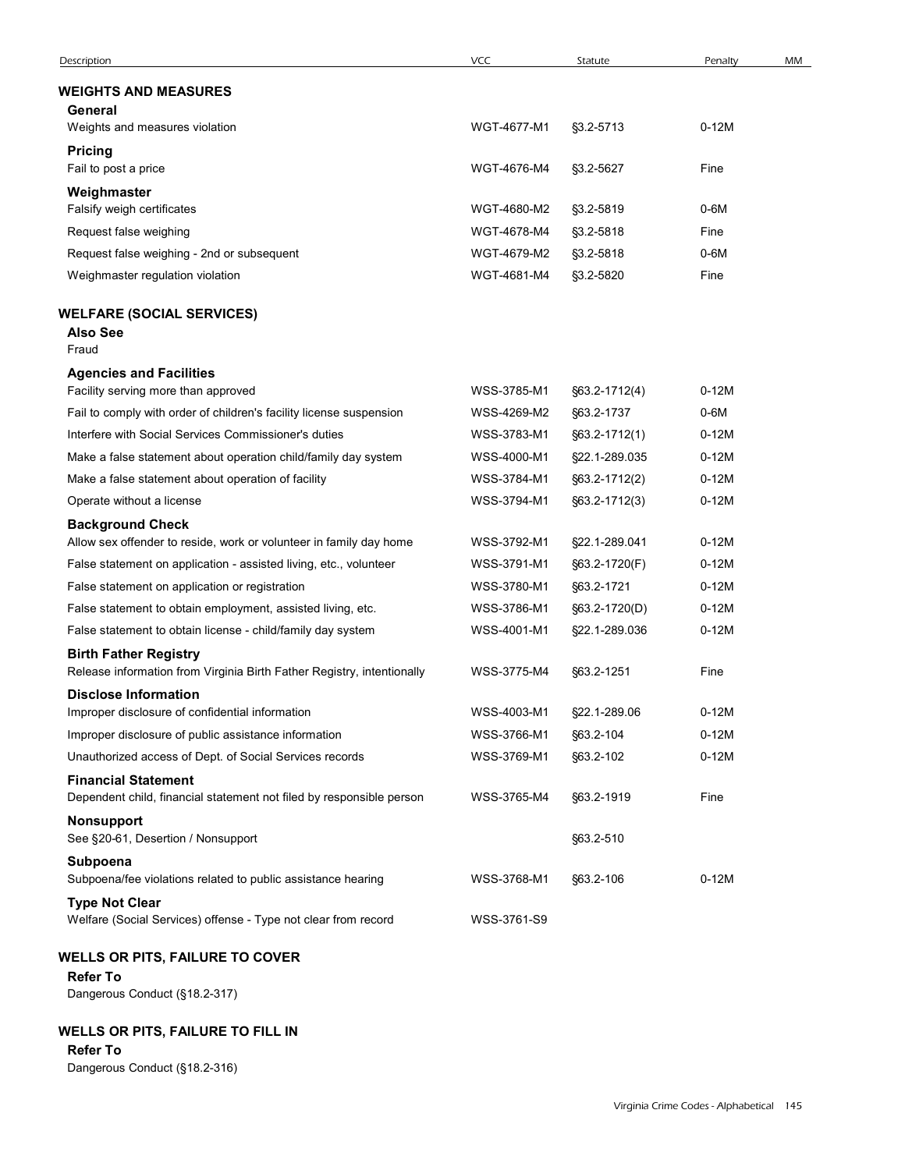| Description                                                                                            | VCC         | Statute            | Penalty | MM |
|--------------------------------------------------------------------------------------------------------|-------------|--------------------|---------|----|
| <b>WEIGHTS AND MEASURES</b>                                                                            |             |                    |         |    |
| General                                                                                                |             |                    |         |    |
| Weights and measures violation                                                                         | WGT-4677-M1 | §3.2-5713          | $0-12M$ |    |
| <b>Pricing</b>                                                                                         |             |                    |         |    |
| Fail to post a price                                                                                   | WGT-4676-M4 | §3.2-5627          | Fine    |    |
| Weighmaster<br>Falsify weigh certificates                                                              | WGT-4680-M2 | §3.2-5819          | 0-6M    |    |
| Request false weighing                                                                                 | WGT-4678-M4 | §3.2-5818          | Fine    |    |
| Request false weighing - 2nd or subsequent                                                             | WGT-4679-M2 | §3.2-5818          | $0-6M$  |    |
| Weighmaster regulation violation                                                                       | WGT-4681-M4 | §3.2-5820          | Fine    |    |
| <b>WELFARE (SOCIAL SERVICES)</b><br><b>Also See</b><br>Fraud                                           |             |                    |         |    |
| <b>Agencies and Facilities</b>                                                                         |             |                    |         |    |
| Facility serving more than approved                                                                    | WSS-3785-M1 | $\S63.2 - 1712(4)$ | $0-12M$ |    |
| Fail to comply with order of children's facility license suspension                                    | WSS-4269-M2 | §63.2-1737         | $0-6M$  |    |
| Interfere with Social Services Commissioner's duties                                                   | WSS-3783-M1 | §63.2-1712(1)      | $0-12M$ |    |
| Make a false statement about operation child/family day system                                         | WSS-4000-M1 | §22.1-289.035      | $0-12M$ |    |
| Make a false statement about operation of facility                                                     | WSS-3784-M1 | §63.2-1712(2)      | $0-12M$ |    |
| Operate without a license                                                                              | WSS-3794-M1 | §63.2-1712(3)      | $0-12M$ |    |
| <b>Background Check</b><br>Allow sex offender to reside, work or volunteer in family day home          | WSS-3792-M1 | §22.1-289.041      | $0-12M$ |    |
| False statement on application - assisted living, etc., volunteer                                      | WSS-3791-M1 | §63.2-1720(F)      | $0-12M$ |    |
| False statement on application or registration                                                         | WSS-3780-M1 | §63.2-1721         | $0-12M$ |    |
| False statement to obtain employment, assisted living, etc.                                            | WSS-3786-M1 | §63.2-1720(D)      | $0-12M$ |    |
| False statement to obtain license - child/family day system                                            | WSS-4001-M1 | §22.1-289.036      | $0-12M$ |    |
| <b>Birth Father Registry</b><br>Release information from Virginia Birth Father Registry, intentionally | WSS-3775-M4 | §63.2-1251         | Fine    |    |
| <b>Disclose Information</b><br>Improper disclosure of confidential information                         | WSS-4003-M1 | §22.1-289.06       | $0-12M$ |    |
| Improper disclosure of public assistance information                                                   | WSS-3766-M1 | §63.2-104          | $0-12M$ |    |
| Unauthorized access of Dept. of Social Services records                                                | WSS-3769-M1 | §63.2-102          | $0-12M$ |    |
| <b>Financial Statement</b><br>Dependent child, financial statement not filed by responsible person     | WSS-3765-M4 | §63.2-1919         | Fine    |    |
| Nonsupport<br>See §20-61, Desertion / Nonsupport                                                       |             | §63.2-510          |         |    |
| Subpoena<br>Subpoena/fee violations related to public assistance hearing                               | WSS-3768-M1 | §63.2-106          | $0-12M$ |    |
| <b>Type Not Clear</b><br>Welfare (Social Services) offense - Type not clear from record                | WSS-3761-S9 |                    |         |    |

# WELLS OR PITS, FAILURE TO FILL IN

#### Refer To

Dangerous Conduct (§18.2-316)